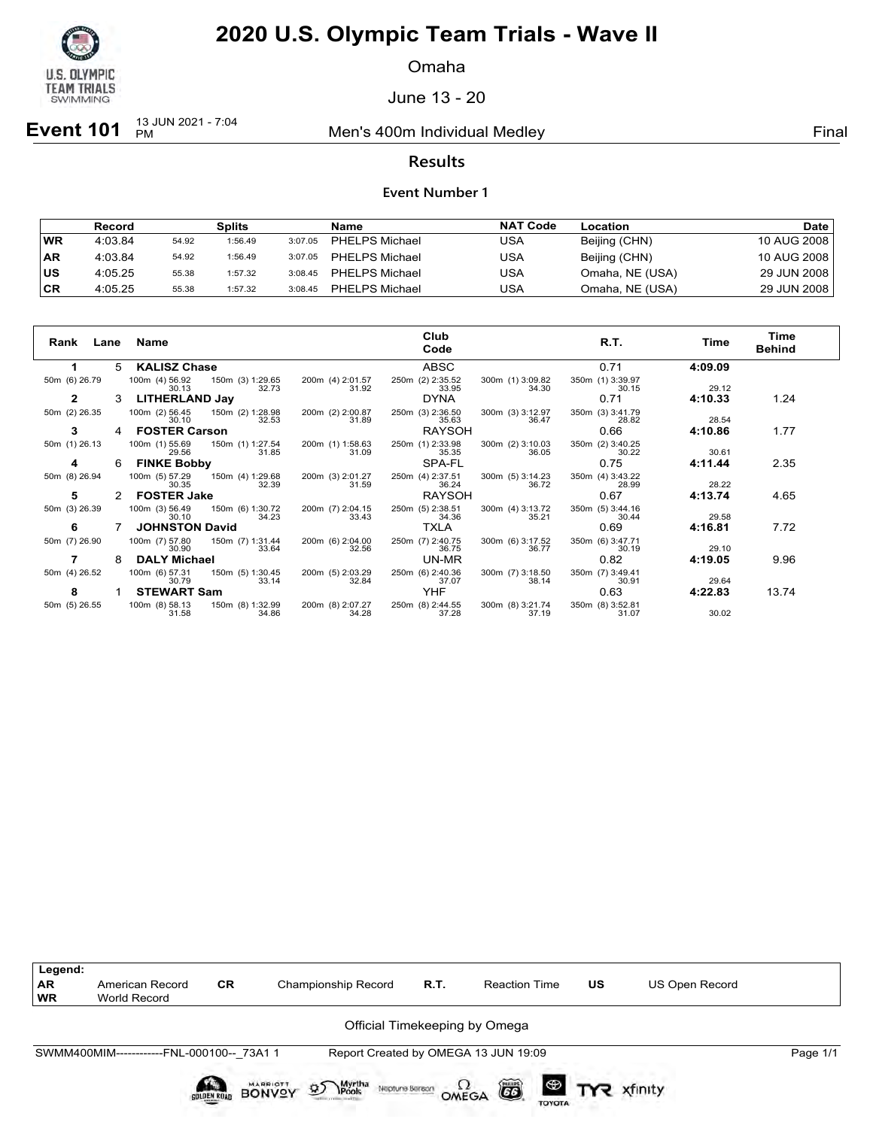

Omaha

June 13 - 20

**Event 101** <sup>13 JUN 2021 - 7:04</sup>

Men's 400m Individual Medley **Final** Primal

### **Results**

#### **Event Number 1**

|           | Record  |       | Splits  |         | Name                  | <b>NAT Code</b> | Location        | <b>Date</b> |
|-----------|---------|-------|---------|---------|-----------------------|-----------------|-----------------|-------------|
| WR        | 4:03.84 | 54.92 | 1:56.49 | 3:07.05 | <b>PHELPS Michael</b> | USA             | Beijing (CHN)   | 10 AUG 2008 |
| <b>AR</b> | 4:03.84 | 54.92 | 1:56.49 | 3:07.05 | <b>PHELPS Michael</b> | USA             | Beijing (CHN)   | 10 AUG 2008 |
| บร        | 4:05.25 | 55.38 | 1:57.32 | 3:08.45 | <b>PHELPS Michael</b> | USA             | Omaha, NE (USA) | 29 JUN 2008 |
| CR        | 4:05.25 | 55.38 | 1:57.32 | 3:08.45 | <b>PHELPS Michael</b> | USA             | Omaha, NE (USA) | 29 JUN 2008 |

| Rank<br>Lane  |   | Name                                                 | Club<br>Code                                                                        | R.T.                      | Time    | Time<br><b>Behind</b> |
|---------------|---|------------------------------------------------------|-------------------------------------------------------------------------------------|---------------------------|---------|-----------------------|
| 1             | 5 | <b>KALISZ Chase</b>                                  | <b>ABSC</b>                                                                         | 0.71                      | 4:09.09 |                       |
| 50m (6) 26.79 |   | 100m (4) 56.92<br>150m (3) 1:29.65<br>32.73<br>30.13 | 200m (4) 2:01.57<br>250m (2) 2:35.52<br>300m (1) 3:09.82<br>31.92<br>34.30<br>33.95 | 350m (1) 3:39.97<br>30.15 | 29.12   |                       |
|               | 3 | <b>LITHERLAND Jay</b>                                | <b>DYNA</b>                                                                         | 0.71                      | 4:10.33 | 1.24                  |
| 50m (2) 26.35 |   | 100m (2) 56.45<br>150m (2) 1:28.98<br>32.53<br>30.10 | 250m (3) 2:36.50<br>200m (2) 2:00.87<br>300m (3) 3:12.97<br>31.89<br>35.63<br>36.47 | 350m (3) 3:41.79<br>28.82 | 28.54   |                       |
| 3             |   | <b>FOSTER Carson</b>                                 | RAYSOH                                                                              | 0.66                      | 4:10.86 | 1.77                  |
| 50m (1) 26.13 |   | 100m (1) 55.69<br>150m (1) 1:27.54<br>29.56<br>31.85 | 250m (1) 2:33.98<br>200m (1) 1:58.63<br>300m (2) 3:10.03<br>31.09<br>35.35<br>36.05 | 350m (2) 3:40.25<br>30.22 | 30.61   |                       |
| 4             | 6 | <b>FINKE Bobby</b>                                   | SPA-FL                                                                              | 0.75                      | 4:11.44 | 2.35                  |
| 50m (8) 26.94 |   | 150m (4) 1:29.68<br>100m (5) 57.29<br>30.35<br>32.39 | 200m (3) 2:01.27<br>250m (4) 2:37.51<br>300m (5) 3:14.23<br>31.59<br>36.24<br>36.72 | 350m (4) 3:43.22<br>28.99 | 28.22   |                       |
| 5             |   | <b>FOSTER Jake</b>                                   | <b>RAYSOH</b>                                                                       | 0.67                      | 4:13.74 | 4.65                  |
| 50m (3) 26.39 |   | 100m (3) 56.49<br>150m (6) 1:30.72<br>34.23<br>30.10 | 250m (5) 2:38.51<br>200m (7) 2:04.15<br>300m (4) 3:13.72<br>34.36<br>33.43<br>35.21 | 350m (5) 3:44.16<br>30.44 | 29.58   |                       |
| 6             |   | <b>JOHNSTON David</b>                                | TXLA                                                                                | 0.69                      | 4:16.81 | 7.72                  |
| 50m (7) 26.90 |   | 150m (7) 1:31.44<br>100m (7) 57.80<br>33.64<br>30.90 | 250m (7) 2:40.75<br>200m (6) 2:04.00<br>300m (6) 3:17.52<br>36.75<br>32.56<br>36.77 | 350m (6) 3:47.71<br>30.19 | 29.10   |                       |
|               | 8 | <b>DALY Michael</b>                                  | UN-MR                                                                               | 0.82                      | 4:19.05 | 9.96                  |
| 50m (4) 26.52 |   | 100m (6) 57.31<br>150m (5) 1:30.45<br>30.79<br>33.14 | 250m (6) 2:40.36<br>200m (5) 2:03.29<br>300m (7) 3:18.50<br>32.84<br>37.07<br>38.14 | 350m (7) 3:49.41<br>30.91 | 29.64   |                       |
| 8             |   | <b>STEWART Sam</b>                                   | <b>YHF</b>                                                                          | 0.63                      | 4:22.83 | 13.74                 |
| 50m (5) 26.55 |   | 100m (8) 58.13<br>150m (8) 1:32.99<br>34.86<br>31.58 | 250m (8) 2:44.55<br>200m (8) 2:07.27<br>300m (8) 3:21.74<br>34.28<br>37.28<br>37.19 | 350m (8) 3:52.81<br>31.07 | 30.02   |                       |



Neptune Berson  $\Omega$ <br>OMEGA

 $G6$ 

TOYOTA

BONVOY

Myrtha<br>Pools

 $\mathcal{D}$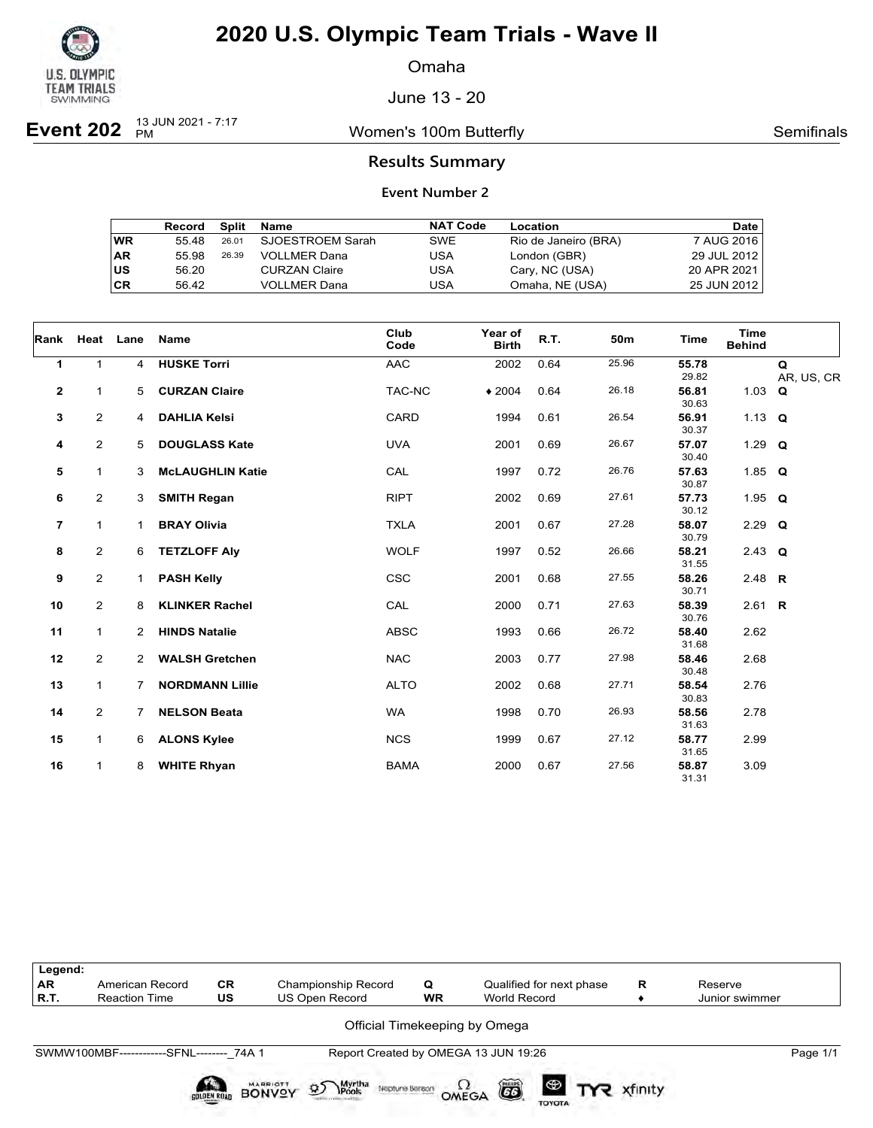

Omaha

June 13 - 20

**Event 202** <sup>13 JUN 2021 - 7:17</sup>

Women's 100m Butterfly **Semifinals** Semifinals

### **Results Summary**

|    | Record | Split | Name                 | <b>NAT Code</b> | Location             | Date        |
|----|--------|-------|----------------------|-----------------|----------------------|-------------|
| WR | 55.48  | 26.01 | SJOESTROEM Sarah     | SWE             | Rio de Janeiro (BRA) | 7 AUG 2016  |
| AR | 55.98  | 26.39 | <b>VOLLMER Dana</b>  | USA             | London (GBR)         | 29 JUL 2012 |
| US | 56.20  |       | <b>CURZAN Claire</b> | USA             | Cary, NC (USA)       | 20 APR 2021 |
| СR | 56.42  |       | <b>VOLLMER Dana</b>  | USA             | Omaha, NE (USA)      | 25 JUN 2012 |

| Rank           |                | Heat Lane      | Name                    | Club<br>Code | Year of<br><b>Birth</b> | R.T. | 50m   | <b>Time</b>    | <b>Time</b><br><b>Behind</b> |                 |
|----------------|----------------|----------------|-------------------------|--------------|-------------------------|------|-------|----------------|------------------------------|-----------------|
| 1              | $\mathbf{1}$   | $\overline{4}$ | <b>HUSKE Torri</b>      | <b>AAC</b>   | 2002                    | 0.64 | 25.96 | 55.78<br>29.82 |                              | Q<br>AR, US, CR |
| $\mathbf{2}$   | 1              | 5              | <b>CURZAN Claire</b>    | TAC-NC       | $*2004$                 | 0.64 | 26.18 | 56.81<br>30.63 | 1.03 $Q$                     |                 |
| 3              | $\overline{2}$ | $\overline{4}$ | <b>DAHLIA Kelsi</b>     | CARD         | 1994                    | 0.61 | 26.54 | 56.91<br>30.37 | 1.13 $Q$                     |                 |
| 4              | $\overline{a}$ | 5              | <b>DOUGLASS Kate</b>    | <b>UVA</b>   | 2001                    | 0.69 | 26.67 | 57.07<br>30.40 | 1.29 $Q$                     |                 |
| 5              | $\mathbf{1}$   | 3              | <b>McLAUGHLIN Katie</b> | CAL          | 1997                    | 0.72 | 26.76 | 57.63<br>30.87 | 1.85 $Q$                     |                 |
| 6              | $\overline{2}$ | 3              | <b>SMITH Regan</b>      | <b>RIPT</b>  | 2002                    | 0.69 | 27.61 | 57.73<br>30.12 | 1.95 $Q$                     |                 |
| $\overline{7}$ | $\mathbf{1}$   | 1.             | <b>BRAY Olivia</b>      | <b>TXLA</b>  | 2001                    | 0.67 | 27.28 | 58.07<br>30.79 | $2.29$ Q                     |                 |
| 8              | $\overline{2}$ | 6              | <b>TETZLOFF Aly</b>     | <b>WOLF</b>  | 1997                    | 0.52 | 26.66 | 58.21<br>31.55 | 2.43 $Q$                     |                 |
| 9              | $\overline{a}$ | 1.             | <b>PASH Kelly</b>       | <b>CSC</b>   | 2001                    | 0.68 | 27.55 | 58.26<br>30.71 | 2.48 $R$                     |                 |
| 10             | $\overline{2}$ | 8              | <b>KLINKER Rachel</b>   | CAL          | 2000                    | 0.71 | 27.63 | 58.39<br>30.76 | 2.61 <b>R</b>                |                 |
| 11             | $\mathbf{1}$   | $\mathbf{2}$   | <b>HINDS Natalie</b>    | <b>ABSC</b>  | 1993                    | 0.66 | 26.72 | 58.40<br>31.68 | 2.62                         |                 |
| 12             | $\overline{2}$ | $\overline{2}$ | <b>WALSH Gretchen</b>   | <b>NAC</b>   | 2003                    | 0.77 | 27.98 | 58.46<br>30.48 | 2.68                         |                 |
| 13             | $\mathbf{1}$   | 7              | <b>NORDMANN Lillie</b>  | <b>ALTO</b>  | 2002                    | 0.68 | 27.71 | 58.54<br>30.83 | 2.76                         |                 |
| 14             | $\overline{a}$ | $7^{\circ}$    | <b>NELSON Beata</b>     | <b>WA</b>    | 1998                    | 0.70 | 26.93 | 58.56<br>31.63 | 2.78                         |                 |
| 15             | $\mathbf{1}$   | 6              | <b>ALONS Kylee</b>      | <b>NCS</b>   | 1999                    | 0.67 | 27.12 | 58.77<br>31.65 | 2.99                         |                 |
| 16             | $\mathbf{1}$   | 8              | <b>WHITE Rhyan</b>      | <b>BAMA</b>  | 2000                    | 0.67 | 27.56 | 58.87<br>31.31 | 3.09                         |                 |

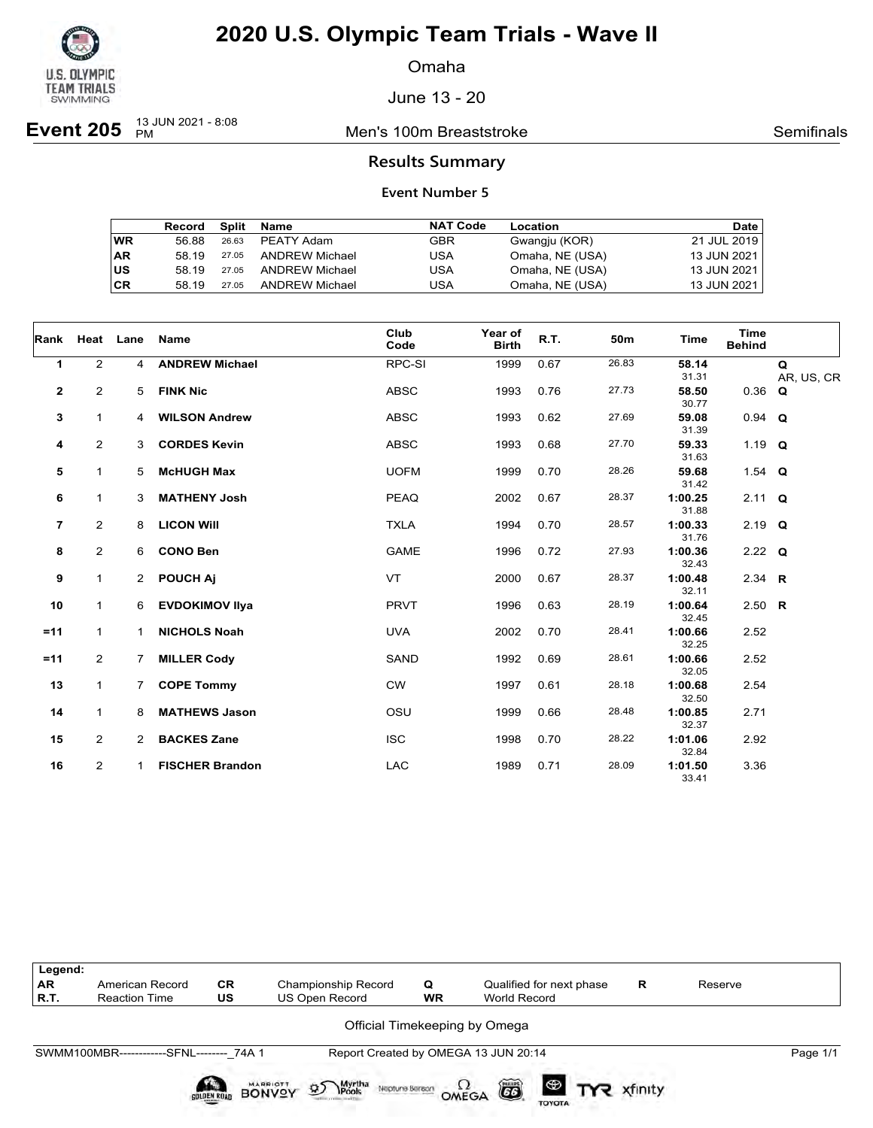

Omaha

June 13 - 20

**Event 205**  $\frac{13 \text{ JUN } 2021 - 8:08}{PM}$ 

**Men's 100m Breaststroke Semifinals** Semifinals

#### **Results Summary**

|           | Record | Split | Name                  | <b>NAT Code</b> | Location        | <b>Date</b> |
|-----------|--------|-------|-----------------------|-----------------|-----------------|-------------|
| <b>WR</b> | 56.88  | 26.63 | PEATY Adam            | <b>GBR</b>      | Gwangju (KOR)   | 21 JUL 2019 |
| AR        | 58 19  | 27.05 | ANDREW Michael        | USA             | Omaha, NE (USA) | 13 JUN 2021 |
| US        | 58 19  | 27.05 | ANDREW Michael        | USA             | Omaha, NE (USA) | 13 JUN 2021 |
| СR        | 58 19  | 27.05 | <b>ANDREW Michael</b> | USA             | Omaha, NE (USA) | 13 JUN 2021 |

| Rank                    |                | Heat Lane             | Name                   | Club<br>Code | Year of<br><b>Birth</b> | R.T. | 50 <sub>m</sub> | <b>Time</b>      | <b>Time</b><br><b>Behind</b> |                 |
|-------------------------|----------------|-----------------------|------------------------|--------------|-------------------------|------|-----------------|------------------|------------------------------|-----------------|
| 1                       | $\overline{2}$ | 4                     | <b>ANDREW Michael</b>  | RPC-SI       | 1999                    | 0.67 | 26.83           | 58.14<br>31.31   |                              | Q<br>AR, US, CR |
| $\mathbf 2$             | 2              | 5                     | <b>FINK Nic</b>        | <b>ABSC</b>  | 1993                    | 0.76 | 27.73           | 58.50<br>30.77   | $0.36$ Q                     |                 |
| 3                       | $\mathbf{1}$   | $\overline{4}$        | <b>WILSON Andrew</b>   | <b>ABSC</b>  | 1993                    | 0.62 | 27.69           | 59.08<br>31.39   | $0.94$ Q                     |                 |
| 4                       | 2              | 3                     | <b>CORDES Kevin</b>    | <b>ABSC</b>  | 1993                    | 0.68 | 27.70           | 59.33<br>31.63   | 1.19 $Q$                     |                 |
| 5                       | $\mathbf{1}$   | 5                     | <b>McHUGH Max</b>      | <b>UOFM</b>  | 1999                    | 0.70 | 28.26           | 59.68<br>31.42   | 1.54 $Q$                     |                 |
| 6                       | $\mathbf{1}$   | 3                     | <b>MATHENY Josh</b>    | <b>PEAQ</b>  | 2002                    | 0.67 | 28.37           | 1:00.25<br>31.88 | $2.11 \tQ$                   |                 |
| $\overline{\mathbf{r}}$ | 2              | 8                     | <b>LICON WIII</b>      | <b>TXLA</b>  | 1994                    | 0.70 | 28.57           | 1:00.33<br>31.76 | $2.19$ Q                     |                 |
| 8                       | 2              | 6                     | <b>CONO Ben</b>        | <b>GAME</b>  | 1996                    | 0.72 | 27.93           | 1:00.36<br>32.43 | $2.22$ Q                     |                 |
| 9                       | $\mathbf{1}$   | $\mathbf{2}^{\prime}$ | <b>POUCH Aj</b>        | <b>VT</b>    | 2000                    | 0.67 | 28.37           | 1:00.48<br>32.11 | 2.34 $R$                     |                 |
| 10                      | $\mathbf{1}$   | 6                     | <b>EVDOKIMOV IIva</b>  | <b>PRVT</b>  | 1996                    | 0.63 | 28.19           | 1:00.64<br>32.45 | 2.50 R                       |                 |
| $=11$                   | $\mathbf{1}$   | $\mathbf 1$           | <b>NICHOLS Noah</b>    | <b>UVA</b>   | 2002                    | 0.70 | 28.41           | 1:00.66<br>32.25 | 2.52                         |                 |
| $=11$                   | $\overline{2}$ | $\overline{7}$        | <b>MILLER Cody</b>     | <b>SAND</b>  | 1992                    | 0.69 | 28.61           | 1:00.66<br>32.05 | 2.52                         |                 |
| 13                      | $\mathbf{1}$   | $7^{\circ}$           | <b>COPE Tommy</b>      | <b>CW</b>    | 1997                    | 0.61 | 28.18           | 1:00.68<br>32.50 | 2.54                         |                 |
| 14                      | $\mathbf{1}$   | 8                     | <b>MATHEWS Jason</b>   | OSU          | 1999                    | 0.66 | 28.48           | 1:00.85<br>32.37 | 2.71                         |                 |
| 15                      | $\overline{2}$ | $\overline{2}$        | <b>BACKES Zane</b>     | <b>ISC</b>   | 1998                    | 0.70 | 28.22           | 1:01.06<br>32.84 | 2.92                         |                 |
| 16                      | $\overline{2}$ | 1                     | <b>FISCHER Brandon</b> | <b>LAC</b>   | 1989                    | 0.71 | 28.09           | 1:01.50<br>33.41 | 3.36                         |                 |

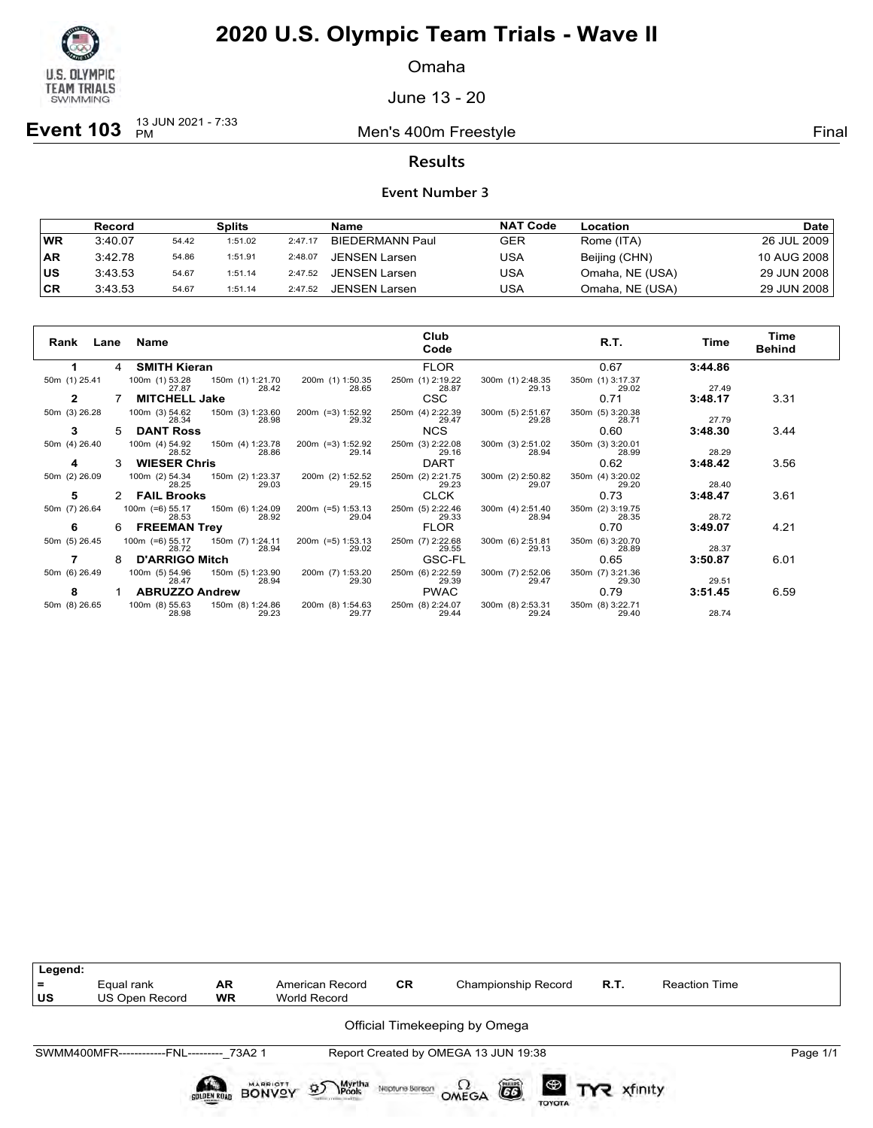

Omaha

June 13 - 20

**Event 103**  $_{PM}^{13 JUN 2021 - 7:33}$ 

Men's 400m Freestyle **Final** 

### **Results**

|           | Record  |       | Splits  |         | Name                   | <b>NAT Code</b> | Location        | Date        |
|-----------|---------|-------|---------|---------|------------------------|-----------------|-----------------|-------------|
| <b>WR</b> | 3:40.07 | 54.42 | 1:51.02 | 2:47.17 | <b>BIEDERMANN Paul</b> | GER             | Rome (ITA)      | 26 JUL 2009 |
| <b>AR</b> | 3:42.78 | 54.86 | 1:51.91 | 2:48.07 | JENSEN Larsen          | USA             | Beijing (CHN)   | 10 AUG 2008 |
| <b>US</b> | 3:43.53 | 54.67 | 1:51.14 | 2:47.52 | JENSEN Larsen          | USA             | Omaha, NE (USA) | 29 JUN 2008 |
| ∣CR       | 3:43.53 | 54.67 | 1:51.14 | 2:47.52 | <b>JENSEN Larsen</b>   | USA             | Omaha, NE (USA) | 29 JUN 2008 |

| Rank<br>Lane  |    | Name                       |                           |                              | Club<br>Code              |                           | R.T.                      | Time    | Time<br><b>Behind</b> |
|---------------|----|----------------------------|---------------------------|------------------------------|---------------------------|---------------------------|---------------------------|---------|-----------------------|
| 1             | -4 | <b>SMITH Kieran</b>        |                           |                              | <b>FLOR</b>               |                           | 0.67                      | 3:44.86 |                       |
| 50m (1) 25.41 |    | 100m (1) 53.28<br>27.87    | 150m (1) 1:21.70<br>28.42 | 200m (1) 1:50.35<br>28.65    | 250m (1) 2:19.22<br>28.87 | 300m (1) 2:48.35<br>29.13 | 350m (1) 3:17.37<br>29.02 | 27.49   |                       |
|               |    | <b>MITCHELL Jake</b>       |                           |                              | <b>CSC</b>                |                           | 0.71                      | 3:48.17 | 3.31                  |
| 50m (3) 26.28 |    | 100m (3) 54.62<br>28.34    | 150m (3) 1:23.60<br>28.98 | 200m (=3) 1:52.92<br>29.32   | 250m (4) 2:22.39<br>29.47 | 300m (5) 2:51.67<br>29.28 | 350m (5) 3:20.38<br>28.71 | 27.79   |                       |
| 3             | 5  | <b>DANT Ross</b>           |                           |                              | <b>NCS</b>                |                           | 0.60                      | 3:48.30 | 3.44                  |
| 50m (4) 26.40 |    | 100m (4) 54.92<br>28.52    | 150m (4) 1:23.78<br>28.86 | 200m (=3) 1:52.92<br>29.14   | 250m (3) 2:22.08<br>29.16 | 300m (3) 2:51.02<br>28.94 | 350m (3) 3:20.01<br>28.99 | 28.29   |                       |
| 4             | 3  | <b>WIESER Chris</b>        |                           |                              | <b>DART</b>               |                           | 0.62                      | 3:48.42 | 3.56                  |
| 50m (2) 26.09 |    | 100m (2) 54.34<br>28.25    | 150m (2) 1:23.37<br>29.03 | 200m (2) 1:52.52<br>29.15    | 250m (2) 2:21.75<br>29.23 | 300m (2) 2:50.82<br>29.07 | 350m (4) 3:20.02<br>29.20 | 28.40   |                       |
| 5             | 2  | <b>FAIL Brooks</b>         |                           |                              | <b>CLCK</b>               |                           | 0.73                      | 3:48.47 | 3.61                  |
| 50m (7) 26.64 |    | $100m$ (=6) 55.17<br>28.53 | 150m (6) 1:24.09<br>28.92 | $200m$ (=5) 1:53.13<br>29.04 | 250m (5) 2:22.46<br>29.33 | 300m (4) 2:51.40<br>28.94 | 350m (2) 3:19.75<br>28.35 | 28.72   |                       |
| 6             | 6  | <b>FREEMAN Trey</b>        |                           |                              | <b>FLOR</b>               |                           | 0.70                      | 3:49.07 | 4.21                  |
| 50m (5) 26.45 |    | $100m$ (=6) 55.17<br>28.72 | 150m (7) 1:24.11<br>28.94 | $200m$ (=5) 1:53.13<br>29.02 | 250m (7) 2:22.68<br>29.55 | 300m (6) 2:51.81<br>29.13 | 350m (6) 3:20.70<br>28.89 | 28.37   |                       |
|               | 8  | <b>D'ARRIGO Mitch</b>      |                           |                              | <b>GSC-FL</b>             |                           | 0.65                      | 3:50.87 | 6.01                  |
| 50m (6) 26.49 |    | 100m (5) 54.96<br>28.47    | 150m (5) 1:23.90<br>28.94 | 200m (7) 1:53.20<br>29.30    | 250m (6) 2:22.59<br>29.39 | 300m (7) 2:52.06<br>29.47 | 350m (7) 3:21.36<br>29.30 | 29.51   |                       |
| 8             |    | <b>ABRUZZO Andrew</b>      |                           |                              | <b>PWAC</b>               |                           | 0.79                      | 3:51.45 | 6.59                  |
| 50m (8) 26.65 |    | 100m (8) 55.63<br>28.98    | 150m (8) 1:24.86<br>29.23 | 200m (8) 1:54.63<br>29.77    | 250m (8) 2:24.07<br>29.44 | 300m (8) 2:53.31<br>29.24 | 350m (8) 3:22.71<br>29.40 | 28.74   |                       |

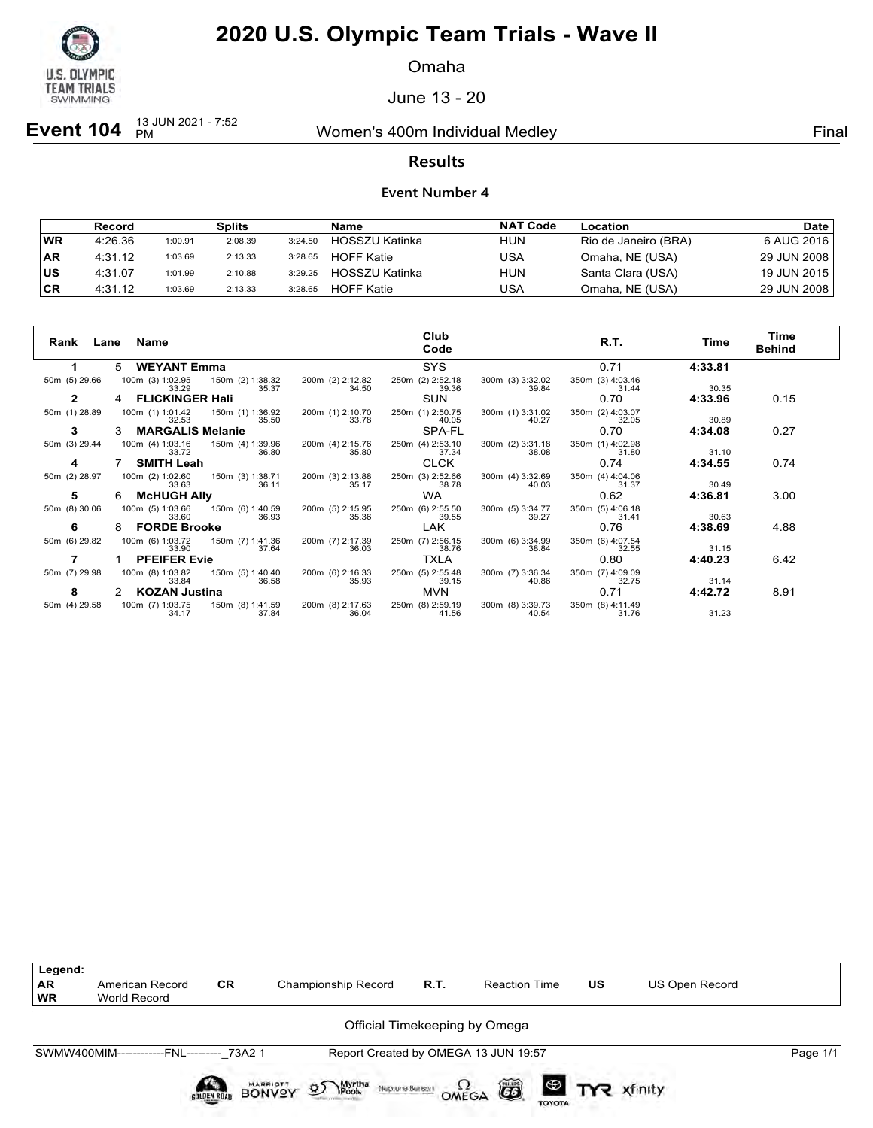

Omaha

June 13 - 20

**Event 104**  $_{PM}^{13 JUN 2021 - 7:52}$ 

Women's 400m Individual Medley **Final** Primal

### **Results**

#### **Event Number 4**

|            | Record  |         | <b>Splits</b> |         | Name                  | <b>NAT Code</b> | Location             | Date l      |
|------------|---------|---------|---------------|---------|-----------------------|-----------------|----------------------|-------------|
| WR         | 4:26.36 | 1:00.91 | 2:08.39       | 3:24.50 | HOSSZU Katinka        | <b>HUN</b>      | Rio de Janeiro (BRA) | 6 AUG 2016  |
| <b>AR</b>  | 4:31.12 | 1:03.69 | 2:13.33       | 3:28.65 | <b>HOFF Katie</b>     | USA             | Omaha, NE (USA)      | 29 JUN 2008 |
| <b>IUS</b> | 4:31.07 | 1:01.99 | 2:10.88       | 3:29.25 | <b>HOSSZU Katinka</b> | <b>HUN</b>      | Santa Clara (USA)    | 19 JUN 2015 |
| <b>CR</b>  | 4:31.12 | 1:03.69 | 2:13.33       | 3:28.65 | <b>HOFF Katie</b>     | USA             | Omaha, NE (USA)      | 29 JUN 2008 |

| Rank<br>Lane  | Name                         |                           |                           | Club<br>Code              |                           | R.T.                      | Time    | Time<br><b>Behind</b> |
|---------------|------------------------------|---------------------------|---------------------------|---------------------------|---------------------------|---------------------------|---------|-----------------------|
|               | <b>WEYANT Emma</b><br>5      |                           |                           | <b>SYS</b>                |                           | 0.71                      | 4:33.81 |                       |
| 50m (5) 29.66 | 100m (3) 1:02.95<br>33.29    | 150m (2) 1:38.32<br>35.37 | 200m (2) 2:12.82<br>34.50 | 250m (2) 2:52.18<br>39.36 | 300m (3) 3:32.02<br>39.84 | 350m (3) 4:03.46<br>31.44 | 30.35   |                       |
| $\mathbf{2}$  | <b>FLICKINGER Hali</b>       |                           |                           | <b>SUN</b>                |                           | 0.70                      | 4:33.96 | 0.15                  |
| 50m (1) 28.89 | 100m (1) 1:01.42<br>32.53    | 150m (1) 1:36.92<br>35.50 | 200m (1) 2:10.70<br>33.78 | 250m (1) 2:50.75<br>40.05 | 300m (1) 3:31.02<br>40.27 | 350m (2) 4:03.07<br>32.05 | 30.89   |                       |
| 3             | <b>MARGALIS Melanie</b><br>3 |                           |                           | SPA-FL                    |                           | 0.70                      | 4:34.08 | 0.27                  |
| 50m (3) 29.44 | 100m (4) 1:03.16<br>33.72    | 150m (4) 1:39.96<br>36.80 | 200m (4) 2:15.76<br>35.80 | 250m (4) 2:53.10<br>37.34 | 300m (2) 3:31.18<br>38.08 | 350m (1) 4:02.98<br>31.80 | 31.10   |                       |
| 4             | <b>SMITH Leah</b>            |                           |                           | <b>CLCK</b>               |                           | 0.74                      | 4:34.55 | 0.74                  |
| 50m (2) 28.97 | 100m (2) 1:02.60<br>33.63    | 150m (3) 1:38.71<br>36.11 | 200m (3) 2:13.88<br>35.17 | 250m (3) 2:52.66<br>38.78 | 300m (4) 3:32.69<br>40.03 | 350m (4) 4:04.06<br>31.37 | 30.49   |                       |
| 5             | <b>McHUGH Ally</b><br>6      |                           |                           | <b>WA</b>                 |                           | 0.62                      | 4:36.81 | 3.00                  |
| 50m (8) 30.06 | 100m (5) 1:03.66<br>33.60    | 150m (6) 1:40.59<br>36.93 | 200m (5) 2:15.95<br>35.36 | 250m (6) 2:55.50<br>39.55 | 300m (5) 3:34.77<br>39.27 | 350m (5) 4:06.18<br>31.41 | 30.63   |                       |
| 6             | <b>FORDE Brooke</b><br>8     |                           |                           | LAK.                      |                           | 0.76                      | 4:38.69 | 4.88                  |
| 50m (6) 29.82 | 100m (6) 1:03.72<br>33.90    | 150m (7) 1:41.36<br>37.64 | 200m (7) 2:17.39<br>36.03 | 250m (7) 2:56.15<br>38.76 | 300m (6) 3:34.99<br>38.84 | 350m (6) 4:07.54<br>32.55 | 31.15   |                       |
|               | <b>PFEIFER Evie</b>          |                           |                           | <b>TXLA</b>               |                           | 0.80                      | 4:40.23 | 6.42                  |
| 50m (7) 29.98 | 100m (8) 1:03.82<br>33.84    | 150m (5) 1:40.40<br>36.58 | 200m (6) 2:16.33<br>35.93 | 250m (5) 2:55.48<br>39.15 | 300m (7) 3:36.34<br>40.86 | 350m (7) 4:09.09<br>32.75 | 31.14   |                       |
| 8             | <b>KOZAN Justina</b><br>2    |                           |                           | <b>MVN</b>                |                           | 0.71                      | 4:42.72 | 8.91                  |
| 50m (4) 29.58 | 100m (7) 1:03.75<br>34.17    | 150m (8) 1:41.59<br>37.84 | 200m (8) 2:17.63<br>36.04 | 250m (8) 2:59.19<br>41.56 | 300m (8) 3:39.73<br>40.54 | 350m (8) 4:11.49<br>31.76 | 31.23   |                       |



Neptune Berech  $\Omega$ <br>OMEGA

 $G6$ 

TOYOTA

BONVOY

Myrtha<br>**\Pools** 

 $\mathcal{D}$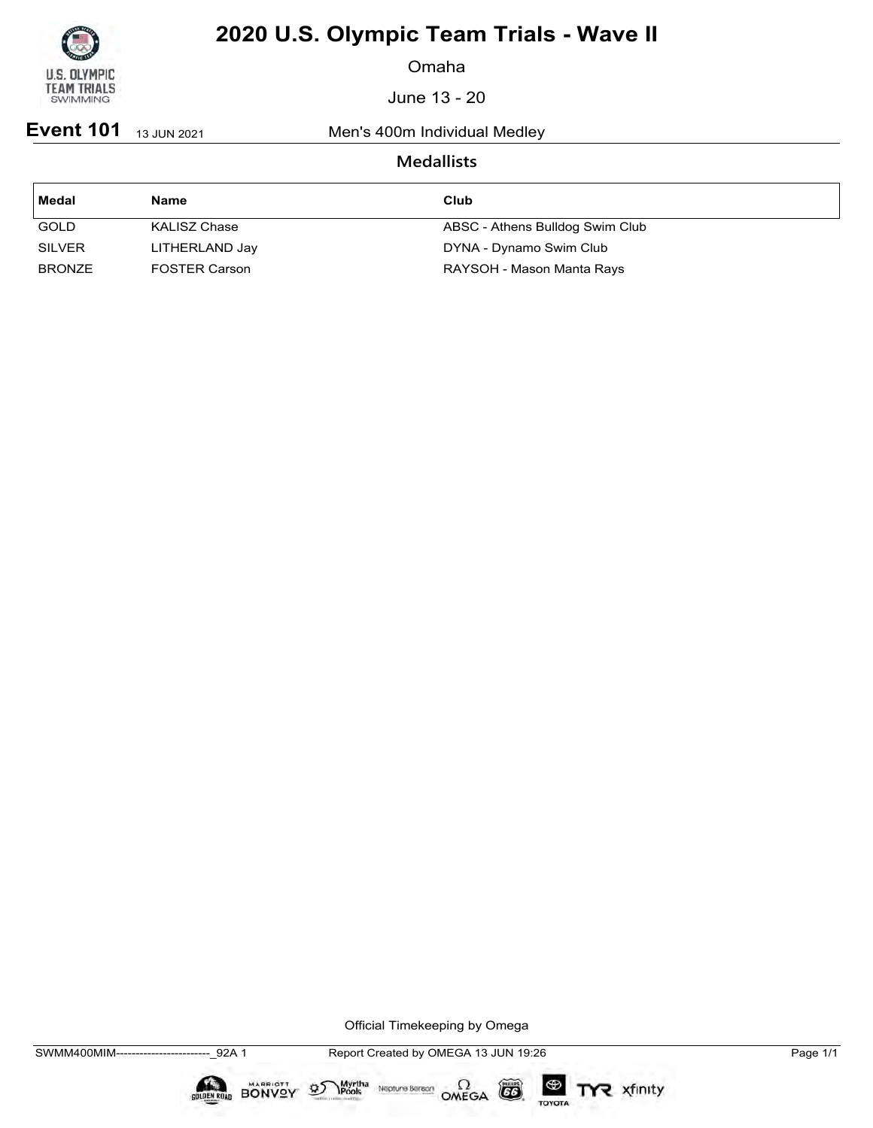

Omaha

June 13 - 20

**Event 101** 13 JUN 2021 Men's 400m Individual Medley

### **Medallists**

| Medal         | <b>Name</b>          | Club                            |
|---------------|----------------------|---------------------------------|
| <b>GOLD</b>   | KALISZ Chase         | ABSC - Athens Bulldog Swim Club |
| <b>SILVER</b> | LITHERLAND Jay       | DYNA - Dynamo Swim Club         |
| <b>BRONZE</b> | <b>FOSTER Carson</b> | RAYSOH - Mason Manta Rays       |

Official Timekeeping by Omega

 $\circled{G}$ 

TOYOTA

TYR xfinity

 $\sum_{\text{Pools}}$  Neptune Bergon  $\Omega$ <br>OMEGA



 $\mathfrak{D}$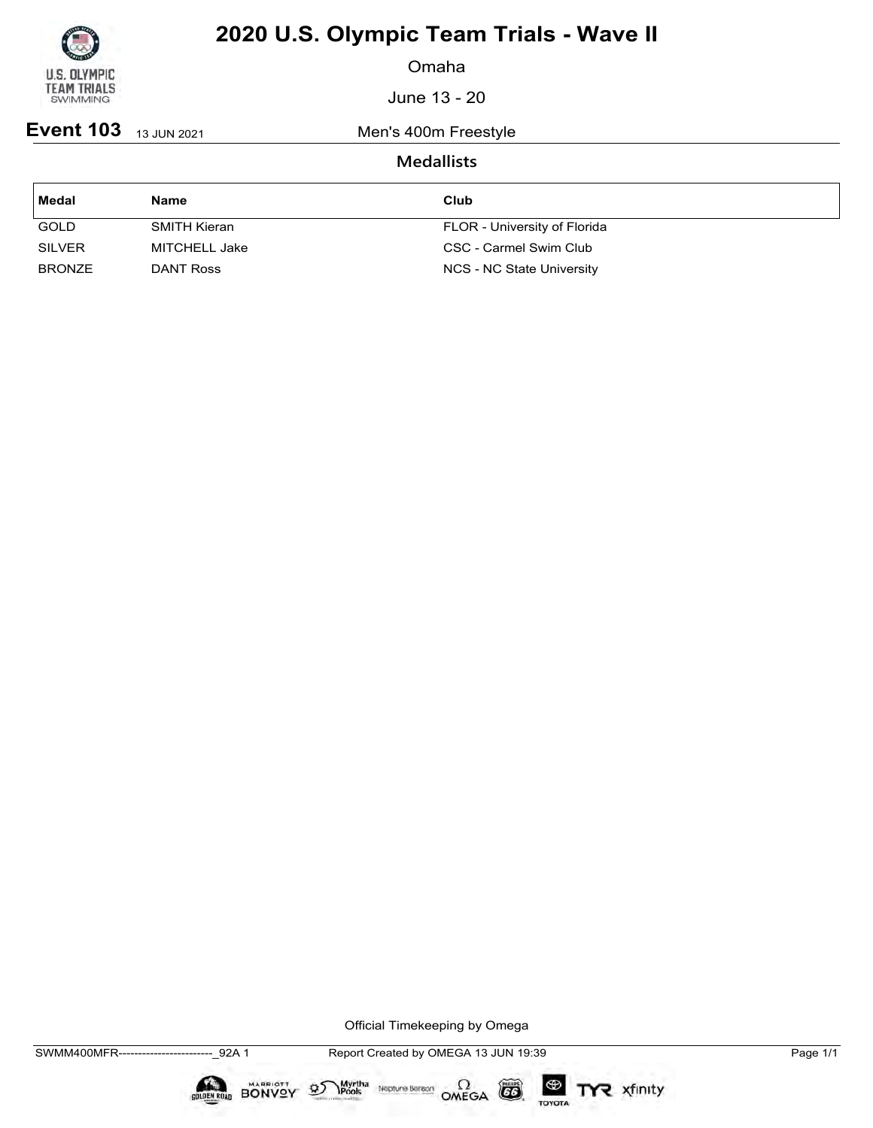

Omaha

June 13 - 20

**Event 103** 13 JUN 2021 Men's 400m Freestyle

### **Medallists**

| Medal         | <b>Name</b>   | Club                         |
|---------------|---------------|------------------------------|
| <b>GOLD</b>   | SMITH Kieran  | FLOR - University of Florida |
| <b>SILVER</b> | MITCHELL Jake | CSC - Carmel Swim Club       |
| <b>BRONZE</b> | DANT Ross     | NCS - NC State University    |

Official Timekeeping by Omega

 $\circled{G}$ 

TOYOTA

TYR xfinity

 $\sum_{\text{Pools}}$  Neptune Bergon  $\Omega$ <br>OMEGA



 $\mathfrak{D}$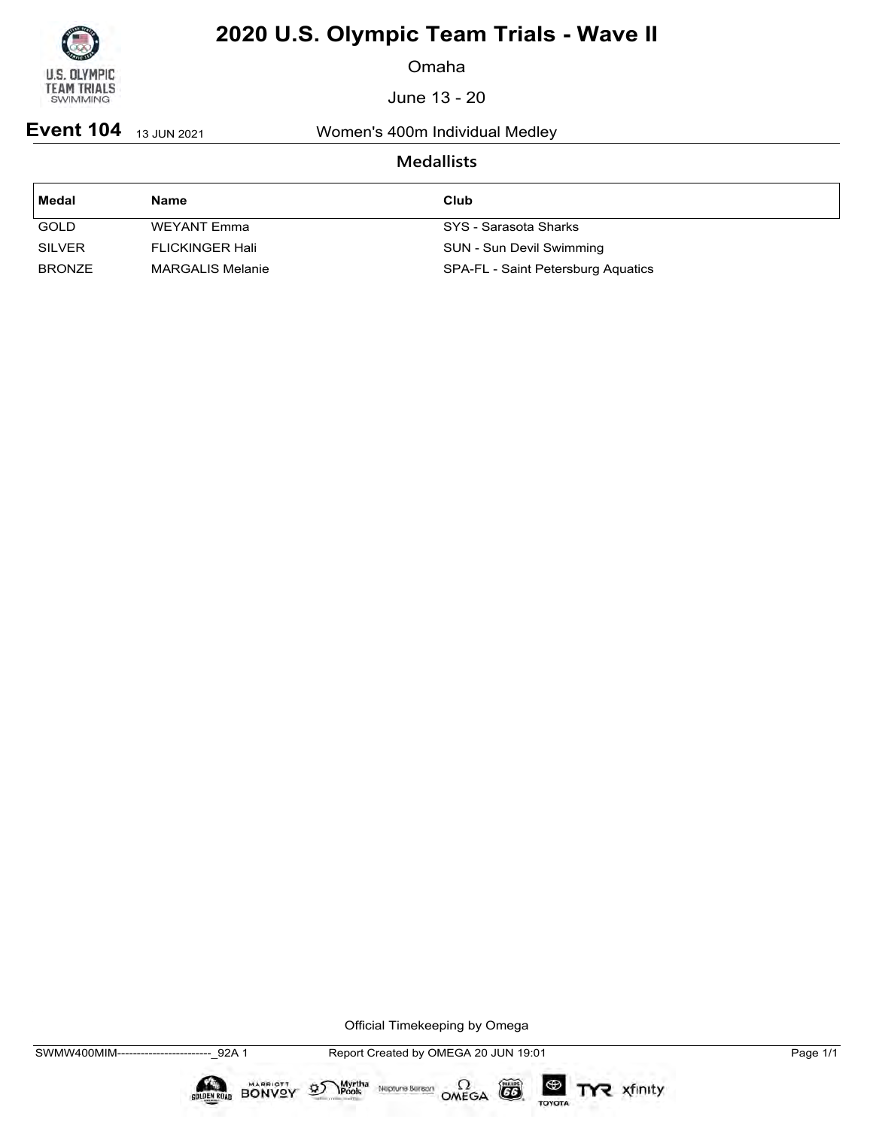

Omaha

June 13 - 20

**Event 104** 13 JUN 2021 Women's 400m Individual Medley

### **Medallists**

| ' Medal       | Name                    | Club                               |
|---------------|-------------------------|------------------------------------|
| <b>GOLD</b>   | WEYANT Emma             | SYS - Sarasota Sharks              |
| <b>SILVER</b> | FLICKINGER Hali         | SUN - Sun Devil Swimming           |
| <b>BRONZE</b> | <b>MARGALIS Melanie</b> | SPA-FL - Saint Petersburg Aquatics |

Official Timekeeping by Omega

 $\circled{G}$ 

TOYOTA

TYR xfinity

Myrtha Neptune Bereon OMEGA



 $\mathfrak{D}$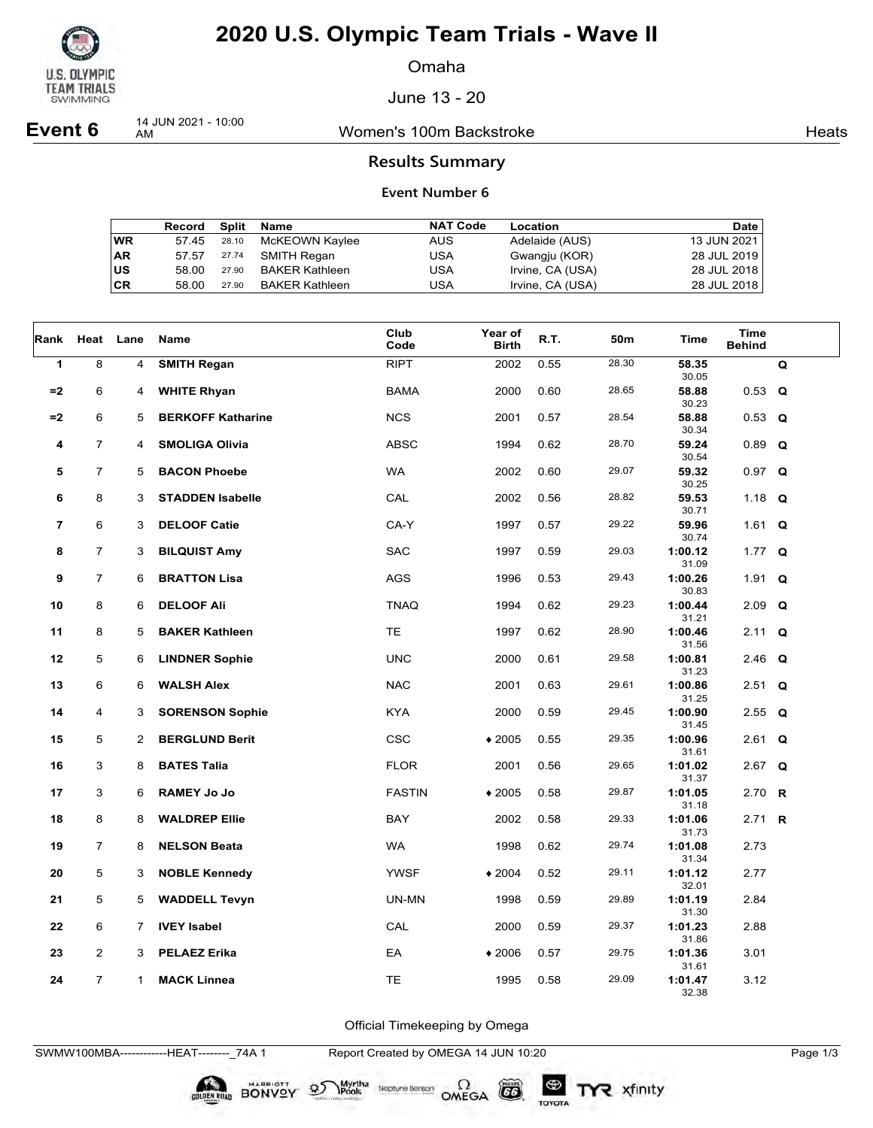

Omaha

June 13 - 20

**Event 6** 14 JUN 2021 - 10:00

Women's 100m Backstroke **Heats** Heats

### **Results Summary**

#### **Event Number 6**

|    | Record | Split | Name                  | <b>NAT Code</b> | Location         | Date        |
|----|--------|-------|-----------------------|-----------------|------------------|-------------|
| WR | 57.45  | 28.10 | McKEOWN Kaylee        | <b>AUS</b>      | Adelaide (AUS)   | 13 JUN 2021 |
| AR | 57.57  | 27.74 | SMITH Regan           | USA             | Gwangju (KOR)    | 28 JUL 2019 |
| US | 58.00  | 27.90 | <b>BAKER Kathleen</b> | USA             | Irvine, CA (USA) | 28 JUL 2018 |
| СR | 58.00  | 27.90 | BAKER Kathleen        | USA             | Irvine, CA (USA) | 28 JUL 2018 |

| Rank | Heat           | Lane        | Name                     | Club<br>Code  | Year of<br><b>Birth</b> | R.T. | 50m   | Time             | <b>Time</b><br><b>Behind</b> |   |
|------|----------------|-------------|--------------------------|---------------|-------------------------|------|-------|------------------|------------------------------|---|
| 1    | 8              | 4           | <b>SMITH Regan</b>       | <b>RIPT</b>   | 2002                    | 0.55 | 28.30 | 58.35<br>30.05   |                              | Q |
| $=2$ | 6              | 4           | <b>WHITE Rhyan</b>       | <b>BAMA</b>   | 2000                    | 0.60 | 28.65 | 58.88<br>30.23   | $0.53$ Q                     |   |
| $=2$ | 6              | 5           | <b>BERKOFF Katharine</b> | <b>NCS</b>    | 2001                    | 0.57 | 28.54 | 58.88            | $0.53$ Q                     |   |
| 4    | $\overline{7}$ | 4           | <b>SMOLIGA Olivia</b>    | <b>ABSC</b>   | 1994                    | 0.62 | 28.70 | 30.34<br>59.24   | $0.89$ Q                     |   |
| 5    | $\overline{7}$ | 5           | <b>BACON Phoebe</b>      | <b>WA</b>     | 2002                    | 0.60 | 29.07 | 30.54<br>59.32   | $0.97$ Q                     |   |
| 6    | 8              | 3           | <b>STADDEN Isabelle</b>  | CAL           | 2002                    | 0.56 | 28.82 | 30.25<br>59.53   | 1.18 $Q$                     |   |
| 7    | 6              | 3           | <b>DELOOF Catie</b>      | CA-Y          | 1997                    | 0.57 | 29.22 | 30.71<br>59.96   | 1.61 $Q$                     |   |
|      |                |             |                          |               |                         |      |       | 30.74            |                              |   |
| 8    | $\overline{7}$ | 3           | <b>BILQUIST Amy</b>      | <b>SAC</b>    | 1997                    | 0.59 | 29.03 | 1:00.12<br>31.09 | 1.77 $Q$                     |   |
| 9    | $\overline{7}$ | 6           | <b>BRATTON Lisa</b>      | <b>AGS</b>    | 1996                    | 0.53 | 29.43 | 1:00.26<br>30.83 | 1.91 $Q$                     |   |
| 10   | 8              | 6           | <b>DELOOF Ali</b>        | <b>TNAQ</b>   | 1994                    | 0.62 | 29.23 | 1:00.44          | $2.09$ Q                     |   |
| 11   | 8              | 5           | <b>BAKER Kathleen</b>    | <b>TE</b>     | 1997                    | 0.62 | 28.90 | 31.21<br>1:00.46 | 2.11                         | Q |
| 12   | 5              | 6           | <b>LINDNER Sophie</b>    | <b>UNC</b>    | 2000                    | 0.61 | 29.58 | 31.56<br>1:00.81 | 2.46 Q                       |   |
| 13   | 6              | 6           | <b>WALSH Alex</b>        | <b>NAC</b>    | 2001                    | 0.63 | 29.61 | 31.23<br>1:00.86 | $2.51$ Q                     |   |
|      |                |             |                          |               |                         |      |       | 31.25            |                              |   |
| 14   | 4              | 3           | <b>SORENSON Sophie</b>   | <b>KYA</b>    | 2000                    | 0.59 | 29.45 | 1:00.90<br>31.45 | 2.55 $Q$                     |   |
| 15   | 5              | 2           | <b>BERGLUND Berit</b>    | <b>CSC</b>    | $*2005$                 | 0.55 | 29.35 | 1:00.96          | $2.61$ Q                     |   |
| 16   | 3              | 8           | <b>BATES Talia</b>       | <b>FLOR</b>   | 2001                    | 0.56 | 29.65 | 31.61<br>1:01.02 | 2.67 $Q$                     |   |
|      |                |             |                          |               |                         |      |       | 31.37            |                              |   |
| 17   | 3              | 6           | <b>RAMEY Jo Jo</b>       | <b>FASTIN</b> | $*2005$                 | 0.58 | 29.87 | 1:01.05          | 2.70 $R$                     |   |
| 18   | 8              | 8           | <b>WALDREP Ellie</b>     | BAY           | 2002                    | 0.58 | 29.33 | 31.18<br>1:01.06 | 2.71 <b>R</b>                |   |
|      |                |             |                          |               |                         |      |       | 31.73            |                              |   |
| 19   | $\overline{7}$ | 8           | <b>NELSON Beata</b>      | <b>WA</b>     | 1998                    | 0.62 | 29.74 | 1:01.08<br>31.34 | 2.73                         |   |
| 20   | 5              | 3           | <b>NOBLE Kennedy</b>     | <b>YWSF</b>   | $*2004$                 | 0.52 | 29.11 | 1:01.12<br>32.01 | 2.77                         |   |
| 21   | 5              | 5           | <b>WADDELL Tevyn</b>     | UN-MN         | 1998                    | 0.59 | 29.89 | 1:01.19          | 2.84                         |   |
| 22   | 6              | 7           | <b>IVEY Isabel</b>       | CAL           | 2000                    | 0.59 | 29.37 | 31.30<br>1:01.23 | 2.88                         |   |
| 23   | $\overline{2}$ | 3           | <b>PELAEZ Erika</b>      | EA            | $*2006$                 | 0.57 | 29.75 | 31.86<br>1:01.36 | 3.01                         |   |
|      |                |             |                          |               |                         |      |       | 31.61            |                              |   |
| 24   | $\overline{7}$ | $\mathbf 1$ | <b>MACK Linnea</b>       | <b>TE</b>     | 1995                    | 0.58 | 29.09 | 1:01.47<br>32.38 | 3.12                         |   |

Official Timekeeping by Omega

SWMW100MBA------------HEAT--------\_74A 1 Report Created by OMEGA 14 JUN 10:20 Page 1/3

BONVOY 9

Myrtha<br>Pools

Neptune Bergan  $\Omega$ <br>OMEGA

 $G6$ 

TOYOTA

TYR xfinity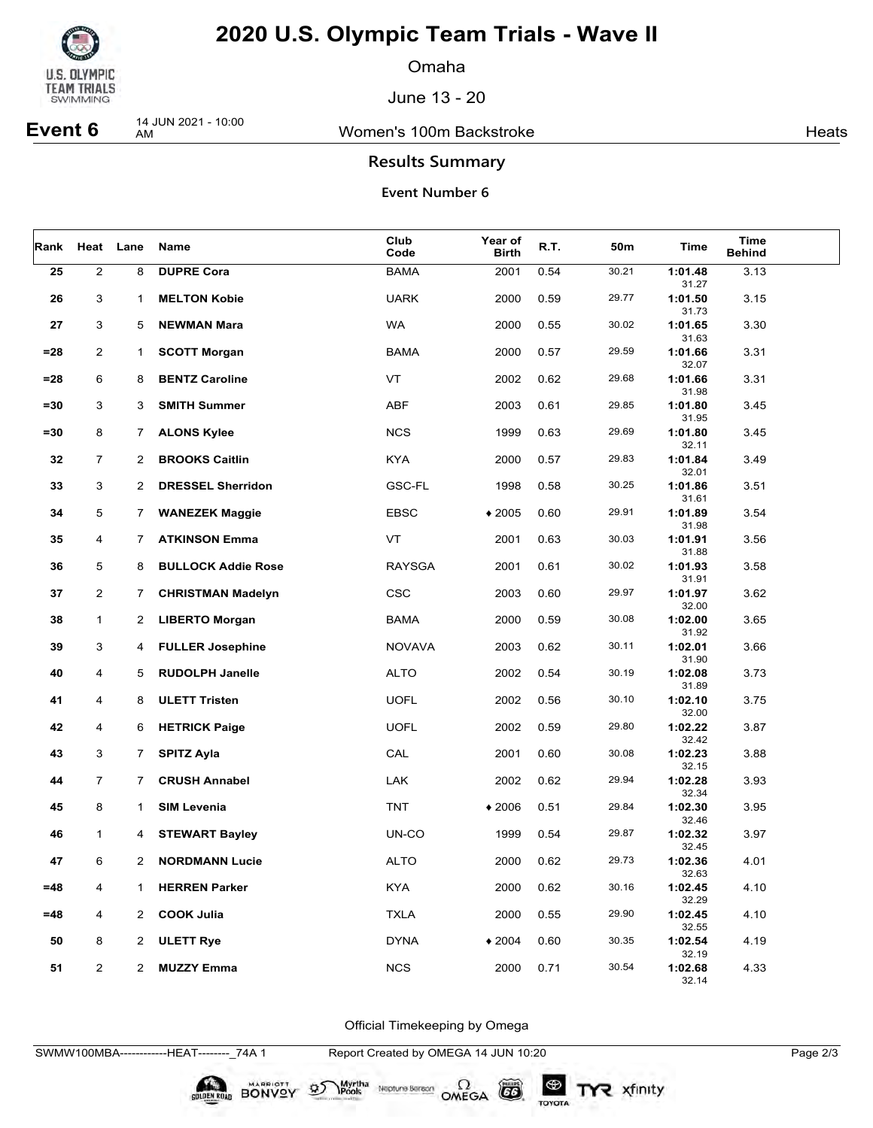

Omaha

June 13 - 20

**Event 6** 14 JUN 2021 - 10:00

Women's 100m Backstroke **Heats** Heats

### **Results Summary**

#### **Event Number 6**

| Rank   |                         | Heat Lane      | Name                      | Club<br>Code  | <b>Year of</b><br><b>Birth</b> | R.T. | 50m   | Time             | <b>Time</b><br><b>Behind</b> |  |
|--------|-------------------------|----------------|---------------------------|---------------|--------------------------------|------|-------|------------------|------------------------------|--|
| 25     | $\mathbf 2$             | 8              | <b>DUPRE Cora</b>         | <b>BAMA</b>   | 2001                           | 0.54 | 30.21 | 1:01.48<br>31.27 | 3.13                         |  |
| 26     | 3                       | 1              | <b>MELTON Kobie</b>       | <b>UARK</b>   | 2000                           | 0.59 | 29.77 | 1:01.50<br>31.73 | 3.15                         |  |
| 27     | 3                       | 5              | <b>NEWMAN Mara</b>        | <b>WA</b>     | 2000                           | 0.55 | 30.02 | 1:01.65<br>31.63 | 3.30                         |  |
| $= 28$ | $\overline{\mathbf{c}}$ | 1.             | <b>SCOTT Morgan</b>       | <b>BAMA</b>   | 2000                           | 0.57 | 29.59 | 1:01.66<br>32.07 | 3.31                         |  |
| $= 28$ | 6                       | 8              | <b>BENTZ Caroline</b>     | VT            | 2002                           | 0.62 | 29.68 | 1:01.66<br>31.98 | 3.31                         |  |
| $= 30$ | 3                       | 3              | <b>SMITH Summer</b>       | ABF           | 2003                           | 0.61 | 29.85 | 1:01.80<br>31.95 | 3.45                         |  |
| $= 30$ | 8                       | 7              | <b>ALONS Kylee</b>        | <b>NCS</b>    | 1999                           | 0.63 | 29.69 | 1:01.80<br>32.11 | 3.45                         |  |
| 32     | $\overline{7}$          | 2              | <b>BROOKS Caitlin</b>     | <b>KYA</b>    | 2000                           | 0.57 | 29.83 | 1:01.84<br>32.01 | 3.49                         |  |
| 33     | 3                       | $\overline{2}$ | <b>DRESSEL Sherridon</b>  | GSC-FL        | 1998                           | 0.58 | 30.25 | 1:01.86<br>31.61 | 3.51                         |  |
| 34     | 5                       | $7^{\circ}$    | <b>WANEZEK Maggie</b>     | <b>EBSC</b>   | $*2005$                        | 0.60 | 29.91 | 1:01.89<br>31.98 | 3.54                         |  |
| 35     | 4                       | 7.             | <b>ATKINSON Emma</b>      | VT            | 2001                           | 0.63 | 30.03 | 1:01.91<br>31.88 | 3.56                         |  |
| 36     | 5                       | 8              | <b>BULLOCK Addie Rose</b> | <b>RAYSGA</b> | 2001                           | 0.61 | 30.02 | 1:01.93<br>31.91 | 3.58                         |  |
| 37     | 2                       | $\mathbf{7}$   | <b>CHRISTMAN Madelyn</b>  | <b>CSC</b>    | 2003                           | 0.60 | 29.97 | 1:01.97<br>32.00 | 3.62                         |  |
| 38     | $\mathbf{1}$            | 2              | <b>LIBERTO Morgan</b>     | <b>BAMA</b>   | 2000                           | 0.59 | 30.08 | 1:02.00<br>31.92 | 3.65                         |  |
| 39     | 3                       | 4              | <b>FULLER Josephine</b>   | <b>NOVAVA</b> | 2003                           | 0.62 | 30.11 | 1:02.01<br>31.90 | 3.66                         |  |
| 40     | 4                       | 5              | <b>RUDOLPH Janelle</b>    | <b>ALTO</b>   | 2002                           | 0.54 | 30.19 | 1:02.08<br>31.89 | 3.73                         |  |
| 41     | 4                       | 8              | <b>ULETT Tristen</b>      | <b>UOFL</b>   | 2002                           | 0.56 | 30.10 | 1:02.10<br>32.00 | 3.75                         |  |
| 42     | 4                       | 6              | <b>HETRICK Paige</b>      | <b>UOFL</b>   | 2002                           | 0.59 | 29.80 | 1:02.22<br>32.42 | 3.87                         |  |
| 43     | 3                       | $\overline{7}$ | <b>SPITZ Ayla</b>         | CAL           | 2001                           | 0.60 | 30.08 | 1:02.23<br>32.15 | 3.88                         |  |
| 44     | $\overline{7}$          | $\overline{7}$ | <b>CRUSH Annabel</b>      | LAK           | 2002                           | 0.62 | 29.94 | 1:02.28<br>32.34 | 3.93                         |  |
| 45     | 8                       | $\mathbf{1}$   | <b>SIM Levenia</b>        | <b>TNT</b>    | $*2006$                        | 0.51 | 29.84 | 1:02.30<br>32.46 | 3.95                         |  |
| 46     | $\mathbf{1}$            | 4              | <b>STEWART Bayley</b>     | UN-CO         | 1999                           | 0.54 | 29.87 | 1:02.32<br>32.45 | 3.97                         |  |
| 47     | 6                       | 2              | <b>NORDMANN Lucie</b>     | <b>ALTO</b>   | 2000                           | 0.62 | 29.73 | 1:02.36<br>32.63 | 4.01                         |  |
| =48    | 4                       | 1              | <b>HERREN Parker</b>      | <b>KYA</b>    | 2000                           | 0.62 | 30.16 | 1:02.45<br>32.29 | 4.10                         |  |
| $=48$  | 4                       | $\mathbf{2}$   | <b>COOK Julia</b>         | <b>TXLA</b>   | 2000                           | 0.55 | 29.90 | 1:02.45<br>32.55 | 4.10                         |  |
| 50     | 8                       | $\overline{2}$ | <b>ULETT Rye</b>          | <b>DYNA</b>   | $*2004$                        | 0.60 | 30.35 | 1:02.54<br>32.19 | 4.19                         |  |
| 51     | $\overline{a}$          | 2              | <b>MUZZY Emma</b>         | <b>NCS</b>    | 2000                           | 0.71 | 30.54 | 1:02.68<br>32.14 | 4.33                         |  |

Official Timekeeping by Omega

SWMW100MBA------------HEAT--------\_74A 1 Report Created by OMEGA 14 JUN 10:20 Page 2/3

BONVOY 97

Myrtha<br>Pools

Neptune Bergan  $\Omega$ <br>OMEGA

 $G6$ 

TOYOTA

TYR xfinity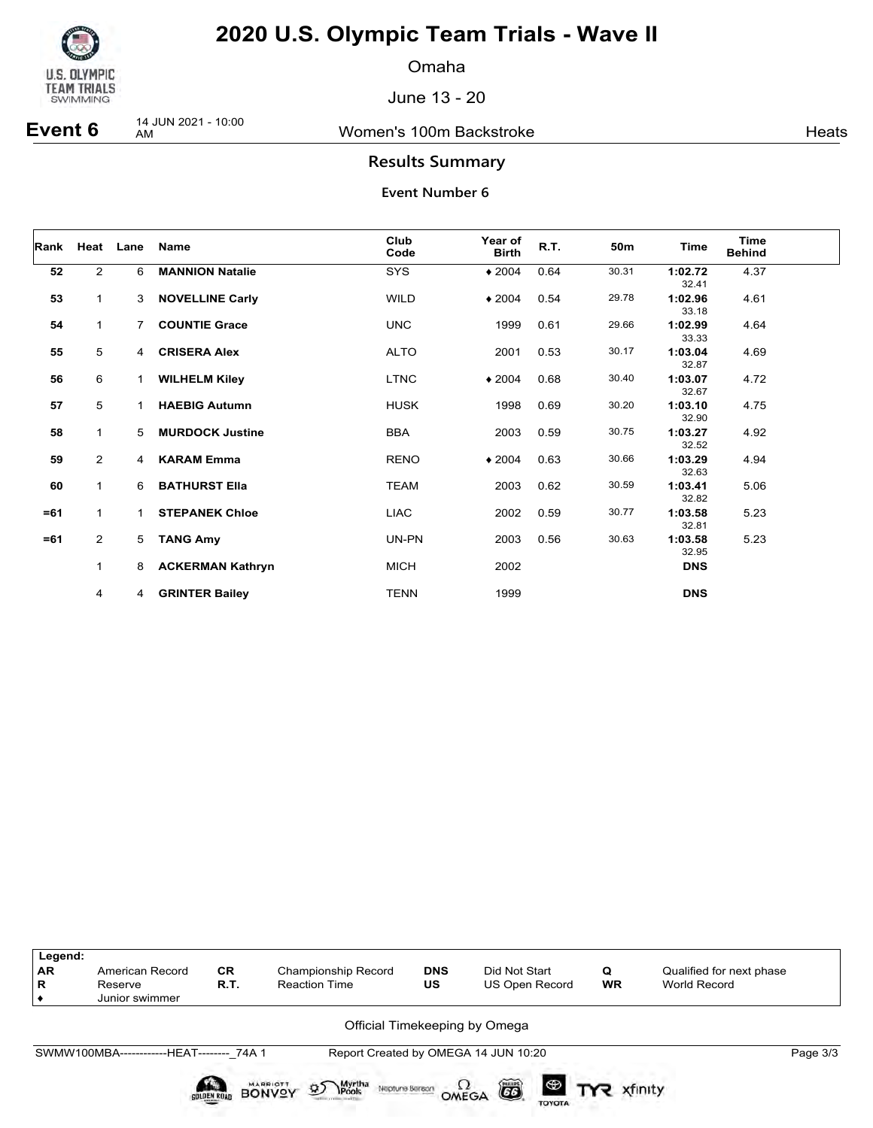

Omaha

June 13 - 20

**Event 6** 14 JUN 2021 - 10:00

Women's 100m Backstroke **Heats** Heats

### **Results Summary**

| Rank   |                | Heat Lane    | <b>Name</b>             | Club<br>Code | Year of<br><b>Birth</b> | R.T. | 50 <sub>m</sub> | Time             | <b>Time</b><br><b>Behind</b> |
|--------|----------------|--------------|-------------------------|--------------|-------------------------|------|-----------------|------------------|------------------------------|
| 52     | $\overline{2}$ | 6            | <b>MANNION Natalie</b>  | <b>SYS</b>   | $*2004$                 | 0.64 | 30.31           | 1:02.72<br>32.41 | 4.37                         |
| 53     | 1              | 3            | <b>NOVELLINE Carly</b>  | <b>WILD</b>  | $*2004$                 | 0.54 | 29.78           | 1:02.96<br>33.18 | 4.61                         |
| 54     | 1              | 7            | <b>COUNTIE Grace</b>    | <b>UNC</b>   | 1999                    | 0.61 | 29.66           | 1:02.99<br>33.33 | 4.64                         |
| 55     | 5              | 4            | <b>CRISERA Alex</b>     | <b>ALTO</b>  | 2001                    | 0.53 | 30.17           | 1:03.04<br>32.87 | 4.69                         |
| 56     | 6              | $\mathbf{1}$ | <b>WILHELM Kiley</b>    | <b>LTNC</b>  | $*2004$                 | 0.68 | 30.40           | 1:03.07<br>32.67 | 4.72                         |
| 57     | 5              |              | <b>HAEBIG Autumn</b>    | <b>HUSK</b>  | 1998                    | 0.69 | 30.20           | 1:03.10<br>32.90 | 4.75                         |
| 58     | 1              | 5            | <b>MURDOCK Justine</b>  | <b>BBA</b>   | 2003                    | 0.59 | 30.75           | 1:03.27<br>32.52 | 4.92                         |
| 59     | $\overline{2}$ | 4            | <b>KARAM Emma</b>       | <b>RENO</b>  | $*2004$                 | 0.63 | 30.66           | 1:03.29<br>32.63 | 4.94                         |
| 60     | 1              | 6            | <b>BATHURST Ella</b>    | <b>TEAM</b>  | 2003                    | 0.62 | 30.59           | 1:03.41<br>32.82 | 5.06                         |
| $= 61$ | $\mathbf{1}$   |              | <b>STEPANEK Chloe</b>   | <b>LIAC</b>  | 2002                    | 0.59 | 30.77           | 1:03.58<br>32.81 | 5.23                         |
| $= 61$ | $\overline{2}$ | 5            | <b>TANG Amy</b>         | UN-PN        | 2003                    | 0.56 | 30.63           | 1:03.58<br>32.95 | 5.23                         |
|        | $\mathbf{1}$   | 8            | <b>ACKERMAN Kathryn</b> | <b>MICH</b>  | 2002                    |      |                 | <b>DNS</b>       |                              |
|        | 4              | 4            | <b>GRINTER Bailey</b>   | TENN         | 1999                    |      |                 | <b>DNS</b>       |                              |

| Legend:<br><b>AR</b><br>R | American Record<br>Reserve<br>Junior swimmer | <b>CR</b><br>R.T. | <b>Championship Record</b><br><b>Reaction Time</b>                                      | <b>DNS</b><br>US | Did Not Start<br>US Open Record      | Q<br><b>WR</b> | Qualified for next phase<br>World Record |
|---------------------------|----------------------------------------------|-------------------|-----------------------------------------------------------------------------------------|------------------|--------------------------------------|----------------|------------------------------------------|
|                           |                                              |                   |                                                                                         |                  | Official Timekeeping by Omega        |                |                                          |
|                           | SWMW100MBA-------------HEAT-------- 74A 1    |                   |                                                                                         |                  | Report Created by OMEGA 14 JUN 10:20 |                | Page 3/3                                 |
|                           |                                              | SOLDEN ROAD       | Myrtha<br>Pools<br><b>MARRIOTT</b><br>$\mathfrak{D}$<br>Neptune Beraon<br><b>BONVOY</b> | OMEGA            | õ<br><b>TOYOTA</b>                   |                |                                          |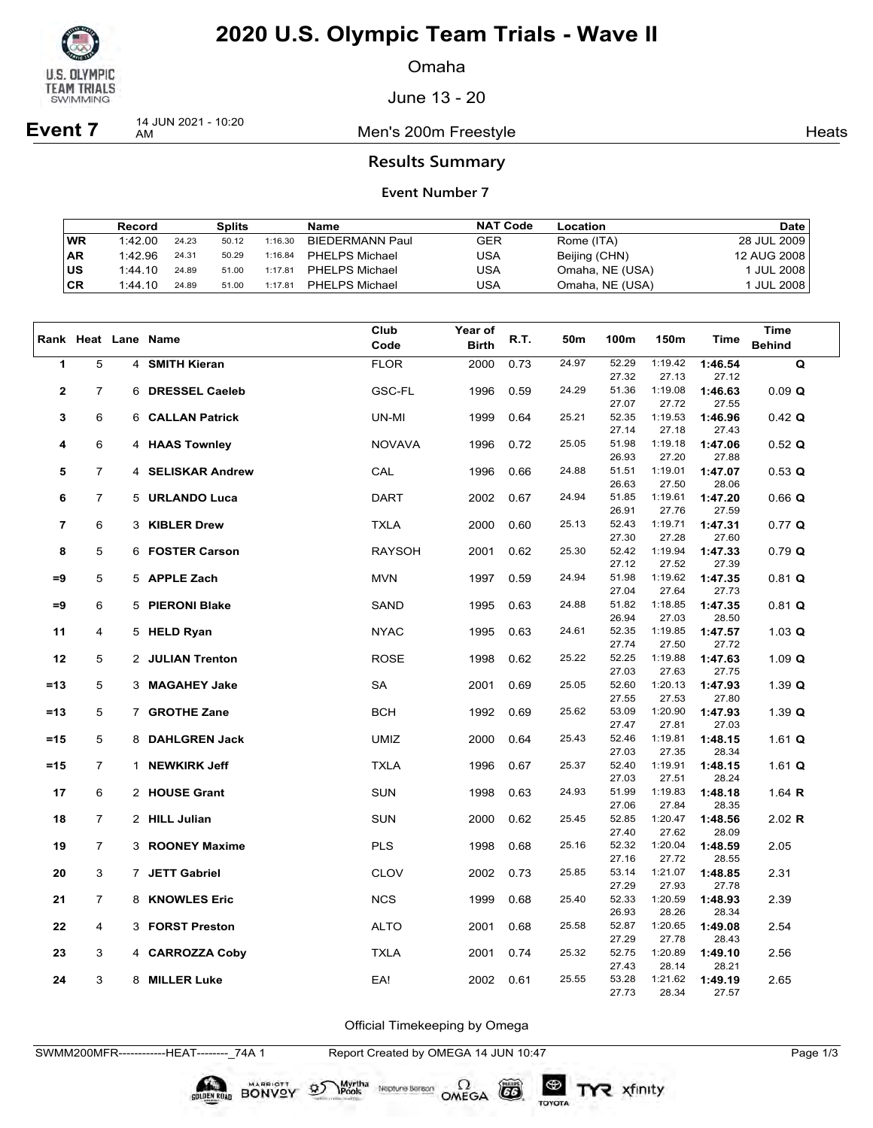

Omaha

June 13 - 20

**Event 7** 14 JUN 2021 - 10:20

Men's 200m Freestyle **Heats** Heats

#### **Results Summary**

#### **Event Number 7**

|           | Record  |       | Splits |         | Name                   | <b>NAT Code</b> | Location        | Date                  |
|-----------|---------|-------|--------|---------|------------------------|-----------------|-----------------|-----------------------|
| <b>WR</b> | 1:42.00 | 24.23 | 50.12  | 1:16.30 | <b>BIEDERMANN Paul</b> | GER             | Rome (ITA)      | 28 JUL 2009           |
| <b>AR</b> | 1:42.96 | 24.31 | 50.29  | 1:16.84 | <b>PHELPS Michael</b>  | USA             | Beijing (CHN)   | 12 AUG 2008           |
| ∣us       | 1:44.10 | 24.89 | 51.00  | 1:17.81 | <b>PHELPS Michael</b>  | USA             | Omaha, NE (USA) | <sup>1</sup> JUL 2008 |
| CR        | 1:44.10 | 24.89 | 51.00  | 1:17.81 | <b>PHELPS Michael</b>  | USA             | Omaha, NE (USA) | ' JUL 2008            |

|                         |                |                     | Club          | <b>Year of</b> |      |                 |                |                  |                  | <b>Time</b>   |
|-------------------------|----------------|---------------------|---------------|----------------|------|-----------------|----------------|------------------|------------------|---------------|
|                         |                | Rank Heat Lane Name | Code          | <b>Birth</b>   | R.T. | 50 <sub>m</sub> | 100m           | 150m             | Time             | <b>Behind</b> |
| 1                       | 5              | 4 SMITH Kieran      | <b>FLOR</b>   | 2000           | 0.73 | 24.97           | 52.29          | 1:19.42          | 1:46.54          | Q             |
|                         |                |                     |               |                |      |                 | 27.32          | 27.13            | 27.12            |               |
| $\mathbf 2$             | $\overline{7}$ | 6 DRESSEL Caeleb    | <b>GSC-FL</b> | 1996           | 0.59 | 24.29           | 51.36          | 1:19.08          | 1:46.63          | 0.09 Q        |
|                         |                |                     |               |                |      |                 | 27.07          | 27.72            | 27.55            |               |
| 3                       | 6              | 6 CALLAN Patrick    | UN-MI         | 1999           | 0.64 | 25.21           | 52.35          | 1:19.53          | 1:46.96          | $0.42$ Q      |
|                         |                |                     |               |                |      |                 | 27.14          | 27.18            | 27.43            |               |
| 4                       | 6              | 4 HAAS Townley      | <b>NOVAVA</b> | 1996           | 0.72 | 25.05           | 51.98          | 1:19.18          | 1:47.06          | $0.52$ Q      |
|                         |                |                     |               |                |      |                 | 26.93          | 27.20            | 27.88            |               |
| 5                       | $\overline{7}$ | 4 SELISKAR Andrew   | CAL           | 1996           | 0.66 | 24.88           | 51.51          | 1:19.01          | 1:47.07          | 0.53 Q        |
|                         |                |                     |               |                |      |                 | 26.63          | 27.50            | 28.06            |               |
| 6                       | $\overline{7}$ | 5 URLANDO Luca      | <b>DART</b>   | 2002           | 0.67 | 24.94           | 51.85          | 1:19.61<br>27.76 | 1:47.20          | $0.66$ Q      |
| $\overline{\mathbf{r}}$ | 6              | 3 KIBLER Drew       | <b>TXLA</b>   | 2000           | 0.60 | 25.13           | 26.91<br>52.43 | 1:19.71          | 27.59<br>1:47.31 | $0.77$ Q      |
|                         |                |                     |               |                |      |                 | 27.30          | 27.28            | 27.60            |               |
| 8                       | 5              | 6 FOSTER Carson     | <b>RAYSOH</b> | 2001           | 0.62 | 25.30           | 52.42          | 1:19.94          | 1:47.33          | 0.79 Q        |
|                         |                |                     |               |                |      |                 | 27.12          | 27.52            | 27.39            |               |
| =9                      | 5              | 5 APPLE Zach        | <b>MVN</b>    | 1997           | 0.59 | 24.94           | 51.98          | 1:19.62          | 1:47.35          | $0.81$ Q      |
|                         |                |                     |               |                |      |                 | 27.04          | 27.64            | 27.73            |               |
| $=9$                    | 6              | 5 PIERONI Blake     | SAND          | 1995           | 0.63 | 24.88           | 51.82          | 1:18.85          | 1:47.35          | $0.81$ Q      |
|                         |                |                     |               |                |      |                 | 26.94          | 27.03            | 28.50            |               |
| 11                      | 4              | 5 HELD Ryan         | <b>NYAC</b>   | 1995           | 0.63 | 24.61           | 52.35          | 1:19.85          | 1:47.57          | 1.03 $Q$      |
|                         |                |                     |               |                |      |                 | 27.74          | 27.50            | 27.72            |               |
| 12                      | 5              | 2 JULIAN Trenton    | <b>ROSE</b>   | 1998           | 0.62 | 25.22           | 52.25<br>27.03 | 1:19.88<br>27.63 | 1:47.63<br>27.75 | 1.09 $Q$      |
| $=13$                   | 5              | 3 MAGAHEY Jake      | SA            | 2001           | 0.69 | 25.05           | 52.60          | 1:20.13          | 1:47.93          | 1.39 $Q$      |
|                         |                |                     |               |                |      |                 | 27.55          | 27.53            | 27.80            |               |
| $=13$                   | 5              | 7 GROTHE Zane       | <b>BCH</b>    | 1992           | 0.69 | 25.62           | 53.09          | 1:20.90          | 1:47.93          | 1.39 $Q$      |
|                         |                |                     |               |                |      |                 | 27.47          | 27.81            | 27.03            |               |
| $=15$                   | 5              | 8 DAHLGREN Jack     | <b>UMIZ</b>   | 2000           | 0.64 | 25.43           | 52.46          | 1:19.81          | 1:48.15          | 1.61 $Q$      |
|                         |                |                     |               |                |      |                 | 27.03          | 27.35            | 28.34            |               |
| $=15$                   | $\overline{7}$ | 1 NEWKIRK Jeff      | <b>TXLA</b>   | 1996           | 0.67 | 25.37           | 52.40          | 1:19.91          | 1:48.15          | 1.61 $Q$      |
|                         |                |                     |               |                |      |                 | 27.03          | 27.51            | 28.24            |               |
| 17                      | 6              | 2 HOUSE Grant       | <b>SUN</b>    | 1998           | 0.63 | 24.93           | 51.99<br>27.06 | 1:19.83<br>27.84 | 1:48.18          | 1.64 $R$      |
| 18                      | $\overline{7}$ | 2 HILL Julian       | <b>SUN</b>    | 2000           | 0.62 | 25.45           | 52.85          | 1:20.47          | 28.35<br>1:48.56 | 2.02 R        |
|                         |                |                     |               |                |      |                 | 27.40          | 27.62            | 28.09            |               |
| 19                      | 7              | 3 ROONEY Maxime     | <b>PLS</b>    | 1998           | 0.68 | 25.16           | 52.32          | 1:20.04          | 1:48.59          | 2.05          |
|                         |                |                     |               |                |      |                 | 27.16          | 27.72            | 28.55            |               |
| 20                      | 3              | 7 JETT Gabriel      | <b>CLOV</b>   | 2002           | 0.73 | 25.85           | 53.14          | 1:21.07          | 1:48.85          | 2.31          |
|                         |                |                     |               |                |      |                 | 27.29          | 27.93            | 27.78            |               |
| 21                      | $\overline{7}$ | 8 KNOWLES Eric      | <b>NCS</b>    | 1999           | 0.68 | 25.40           | 52.33          | 1:20.59          | 1:48.93          | 2.39          |
|                         |                |                     |               |                |      |                 | 26.93          | 28.26            | 28.34            |               |
| 22                      | 4              | 3 FORST Preston     | <b>ALTO</b>   | 2001           | 0.68 | 25.58           | 52.87<br>27.29 | 1:20.65<br>27.78 | 1:49.08          | 2.54          |
| 23                      | 3              | 4 CARROZZA Coby     | <b>TXLA</b>   | 2001           | 0.74 | 25.32           | 52.75          | 1:20.89          | 28.43<br>1:49.10 | 2.56          |
|                         |                |                     |               |                |      |                 | 27.43          | 28.14            | 28.21            |               |
| 24                      | 3              | 8 MILLER Luke       | EA!           | 2002           | 0.61 | 25.55           | 53.28          | 1:21.62          | 1:49.19          | 2.65          |
|                         |                |                     |               |                |      |                 | 27.73          | 28.34            | 27.57            |               |

Official Timekeeping by Omega

SWMM200MFR------------HEAT--------\_74A 1 Report Created by OMEGA 14 JUN 10:47 Page 1/3

**BONVOY** 

Myrtha<br>Pools

 $\mathfrak{D}$ 

Neptune Berson  $\Omega$ <br>OMEGA

 $G6$ 

TOYOTA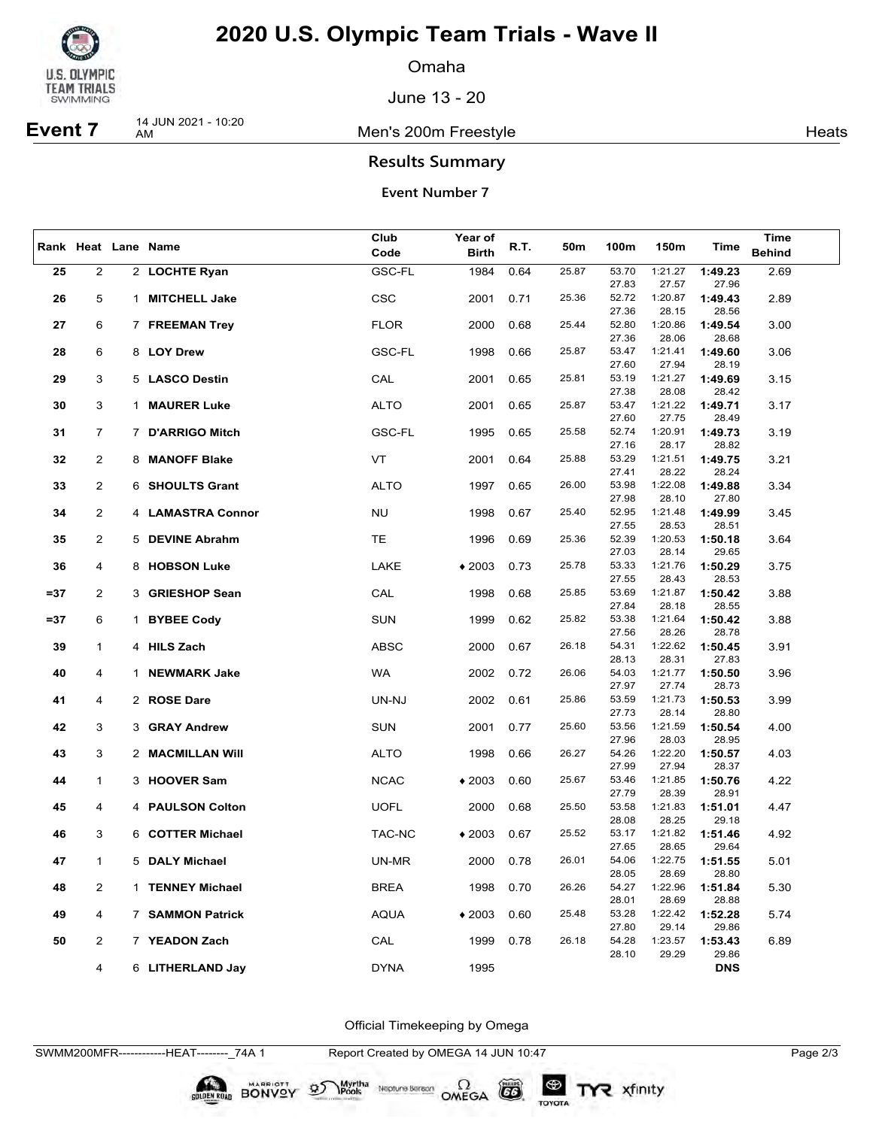

Omaha

June 13 - 20

**Event 7** 14 JUN 2021 - 10:20

Men's 200m Freestyle **Heats** Heats

### **Results Summary**

#### **Event Number 7**

|        |                | Rank Heat Lane Name     | Club        | Year of                                                      | R.T. | 50m   | 100m           | 150m             | Time             | Time          |
|--------|----------------|-------------------------|-------------|--------------------------------------------------------------|------|-------|----------------|------------------|------------------|---------------|
|        |                |                         | Code        | <b>Birth</b>                                                 |      |       |                |                  |                  | <b>Behind</b> |
| 25     | $\overline{2}$ | 2 LOCHTE Ryan           | GSC-FL      | 1984                                                         | 0.64 | 25.87 | 53.70<br>27.83 | 1:21.27<br>27.57 | 1:49.23<br>27.96 | 2.69          |
| 26     | 5              | 1 MITCHELL Jake         | <b>CSC</b>  | 2001                                                         | 0.71 | 25.36 | 52.72          | 1:20.87          | 1:49.43          | 2.89          |
|        |                |                         |             |                                                              |      |       | 27.36          | 28.15            | 28.56            |               |
| 27     | 6              | 7 FREEMAN Trey          | <b>FLOR</b> | 2000                                                         | 0.68 | 25.44 | 52.80          | 1:20.86          | 1:49.54          | 3.00          |
|        |                |                         |             |                                                              |      |       | 27.36          | 28.06            | 28.68            |               |
| 28     | 6              | 8 LOY Drew              | GSC-FL      | 1998                                                         | 0.66 | 25.87 | 53.47          | 1:21.41          | 1:49.60          | 3.06          |
|        |                |                         |             |                                                              |      |       | 27.60          | 27.94            | 28.19            |               |
| 29     | 3              | 5 LASCO Destin          | CAL         | 2001                                                         | 0.65 | 25.81 | 53.19          | 1:21.27          | 1:49.69          | 3.15          |
|        |                |                         |             |                                                              |      |       | 27.38          | 28.08            | 28.42            |               |
| 30     | 3              | 1 MAURER Luke           | <b>ALTO</b> | 2001                                                         | 0.65 | 25.87 | 53.47          | 1:21.22          | 1:49.71          | 3.17          |
|        |                |                         |             |                                                              |      |       | 27.60          | 27.75            | 28.49            |               |
| 31     | 7              | 7 D'ARRIGO Mitch        | GSC-FL      | 1995                                                         | 0.65 | 25.58 | 52.74<br>27.16 | 1:20.91<br>28.17 | 1:49.73<br>28.82 | 3.19          |
| 32     | $\overline{2}$ | 8 MANOFF Blake          | VT          | 2001                                                         | 0.64 | 25.88 | 53.29          | 1:21.51          | 1:49.75          | 3.21          |
|        |                |                         |             |                                                              |      |       | 27.41          | 28.22            | 28.24            |               |
| 33     | $\overline{2}$ | 6 SHOULTS Grant         | <b>ALTO</b> | 1997                                                         | 0.65 | 26.00 | 53.98          | 1:22.08          | 1:49.88          | 3.34          |
|        |                |                         |             |                                                              |      |       | 27.98          | 28.10            | 27.80            |               |
| 34     | $\overline{2}$ | 4 LAMASTRA Connor       | <b>NU</b>   | 1998                                                         | 0.67 | 25.40 | 52.95          | 1:21.48          | 1:49.99          | 3.45          |
|        |                |                         |             |                                                              |      |       | 27.55          | 28.53            | 28.51            |               |
| 35     | $\overline{2}$ | 5 DEVINE Abrahm         | TE          | 1996                                                         | 0.69 | 25.36 | 52.39          | 1:20.53          | 1:50.18          | 3.64          |
|        |                |                         |             |                                                              |      |       | 27.03          | 28.14            | 29.65            |               |
| 36     | 4              | 8 HOBSON Luke           | LAKE        | $*2003$                                                      | 0.73 | 25.78 | 53.33          | 1:21.76          | 1:50.29          | 3.75          |
|        |                |                         |             |                                                              |      |       | 27.55          | 28.43            | 28.53            |               |
| $= 37$ | $\overline{2}$ | 3 GRIESHOP Sean         | CAL         | 1998                                                         | 0.68 | 25.85 | 53.69          | 1:21.87          | 1:50.42          | 3.88          |
|        |                |                         |             |                                                              |      |       | 27.84          | 28.18            | 28.55            |               |
| $= 37$ | 6              | 1 BYBEE Cody            | <b>SUN</b>  | 1999                                                         | 0.62 | 25.82 | 53.38<br>27.56 | 1:21.64<br>28.26 | 1:50.42<br>28.78 | 3.88          |
| 39     | 1              | 4 HILS Zach             | <b>ABSC</b> | 2000                                                         | 0.67 | 26.18 | 54.31          | 1:22.62          | 1:50.45          | 3.91          |
|        |                |                         |             |                                                              |      |       | 28.13          | 28.31            | 27.83            |               |
| 40     | 4              | 1 NEWMARK Jake          | <b>WA</b>   | 2002                                                         | 0.72 | 26.06 | 54.03          | 1:21.77          | 1:50.50          | 3.96          |
|        |                |                         |             |                                                              |      |       | 27.97          | 27.74            | 28.73            |               |
| 41     | 4              | 2 ROSE Dare             | UN-NJ       | 2002                                                         | 0.61 | 25.86 | 53.59          | 1:21.73          | 1:50.53          | 3.99          |
|        |                |                         |             |                                                              |      |       | 27.73          | 28.14            | 28.80            |               |
| 42     | 3              | 3 GRAY Andrew           | <b>SUN</b>  | 2001                                                         | 0.77 | 25.60 | 53.56          | 1:21.59          | 1:50.54          | 4.00          |
|        |                |                         |             |                                                              |      |       | 27.96          | 28.03            | 28.95            |               |
| 43     | 3              | 2 MACMILLAN Will        | <b>ALTO</b> | 1998                                                         | 0.66 | 26.27 | 54.26          | 1:22.20          | 1:50.57          | 4.03          |
|        | $\mathbf{1}$   | 3 HOOVER Sam            |             |                                                              | 0.60 | 25.67 | 27.99<br>53.46 | 27.94<br>1:21.85 | 28.37            | 4.22          |
| 44     |                |                         | <b>NCAC</b> | $*2003$                                                      |      |       | 27.79          | 28.39            | 1:50.76<br>28.91 |               |
| 45     | 4              | 4 PAULSON Colton        | <b>UOFL</b> | 2000                                                         | 0.68 | 25.50 | 53.58          | 1:21.83          | 1:51.01          | 4.47          |
|        |                |                         |             |                                                              |      |       | 28.08          | 28.25            | 29.18            |               |
| 46     | 3              | 6 COTTER Michael        | TAC-NC      | $*2003$                                                      | 0.67 | 25.52 | 53.17          | 1:21.82          | 1:51.46          | 4.92          |
|        |                |                         |             |                                                              |      |       | 27.65          | 28.65            | 29.64            |               |
| 47     | 1              | 5 DALY Michael          | UN-MR       | 2000                                                         | 0.78 | 26.01 | 54.06          | 1:22.75          | 1:51.55          | 5.01          |
|        |                |                         |             |                                                              |      |       | 28.05          | 28.69            | 28.80            |               |
| 48     | 2              | 1 TENNEY Michael        | <b>BREA</b> | 1998                                                         | 0.70 | 26.26 | 54.27          | 1:22.96          | 1:51.84          | 5.30          |
|        |                |                         |             |                                                              |      |       | 28.01          | 28.69            | 28.88            |               |
| 49     | 4              | <b>7 SAMMON Patrick</b> | <b>AQUA</b> | $*2003$                                                      | 0.60 | 25.48 | 53.28          | 1:22.42          | 1:52.28          | 5.74          |
|        | $\overline{2}$ | 7 YEADON Zach           |             | 29.14<br>29.86<br>27.80<br>26.18<br>0.78<br>54.28<br>1:23.57 |      |       |                |                  |                  |               |
| 50     |                |                         | CAL         | 1999                                                         |      |       | 28.10          | 29.29            | 1:53.43<br>29.86 | 6.89          |
|        | 4              | 6 LITHERLAND Jay        | <b>DYNA</b> | 1995                                                         |      |       |                |                  | <b>DNS</b>       |               |
|        |                |                         |             |                                                              |      |       |                |                  |                  |               |

Official Timekeeping by Omega

SWMM200MFR------------HEAT--------\_74A 1 Report Created by OMEGA 14 JUN 10:47 Page 2/3

BONVOY 9

Myrtha<br>Pools

Neptune Berson  $\Omega$ <br>OMEGA

 $G6$ 

TOYOTA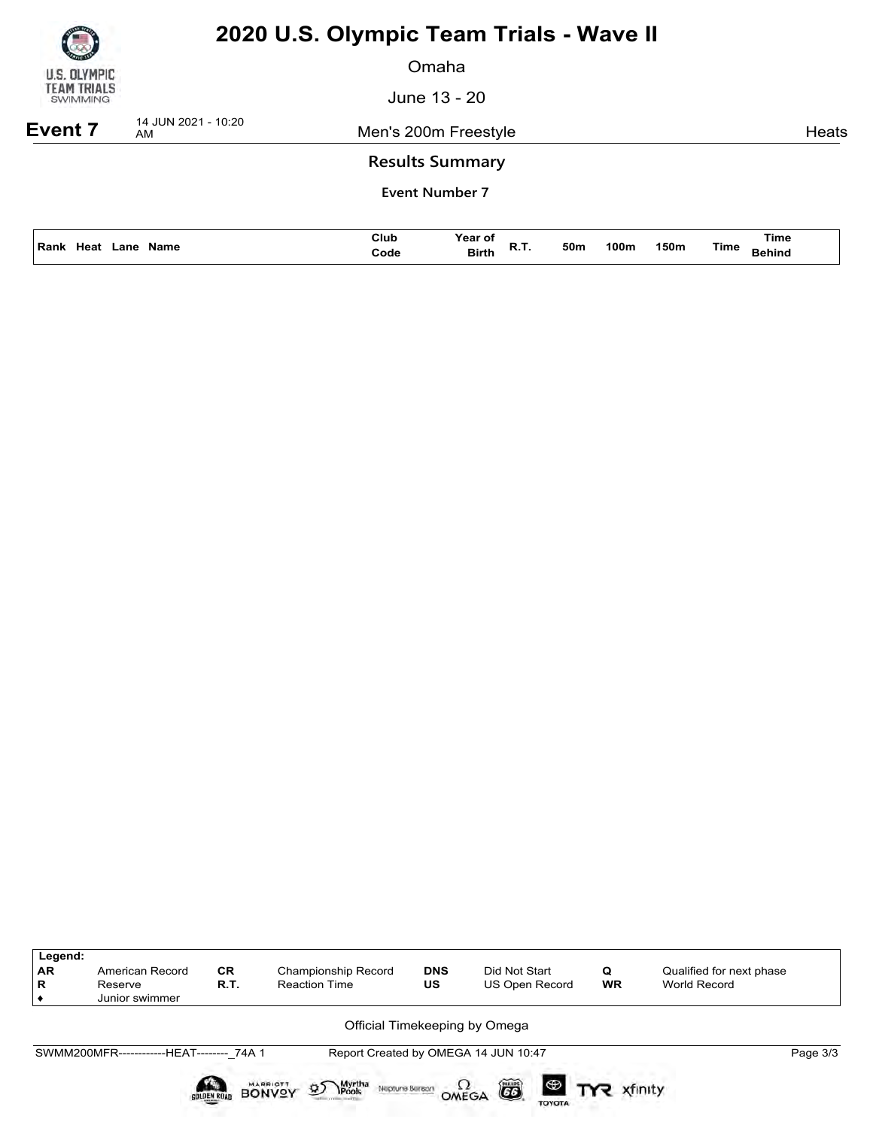

Omaha

June 13 - 20

**Event 7** 14 JUN 2021 - 10:20

Men's 200m Freestyle **Heats** 

### **Results Summary**

|                               | Club | Year of             |     |      |      |      | Time   |
|-------------------------------|------|---------------------|-----|------|------|------|--------|
| Rank<br>-leaf<br>Name<br>.anı | Code | <b>Birth</b><br>n., | 50m | 100m | 150m | Time | Behind |

| Legend:<br><b>AR</b><br>R | American Record<br>Reserve<br>Junior swimmer | <b>CR</b><br>R.T.  | Championship Record<br><b>Reaction Time</b>                                             | <b>DNS</b><br>US | Did Not Start<br>US Open Record      | Q<br><b>WR</b> | Qualified for next phase<br>World Record |          |
|---------------------------|----------------------------------------------|--------------------|-----------------------------------------------------------------------------------------|------------------|--------------------------------------|----------------|------------------------------------------|----------|
|                           |                                              |                    |                                                                                         |                  | Official Timekeeping by Omega        |                |                                          |          |
|                           | SWMM200MFR-------------HEAT-------- 74A 1    |                    |                                                                                         |                  | Report Created by OMEGA 14 JUN 10:47 |                |                                          | Page 3/3 |
|                           |                                              | <b>GOLDEN ROAD</b> | <b>MARRIOTT</b><br>Myrtha<br>Pools<br>$\mathfrak{D}$<br>Neptune Berach<br><b>BONVOY</b> | OMEGA            | õ<br><b>TOYOTA</b>                   |                |                                          |          |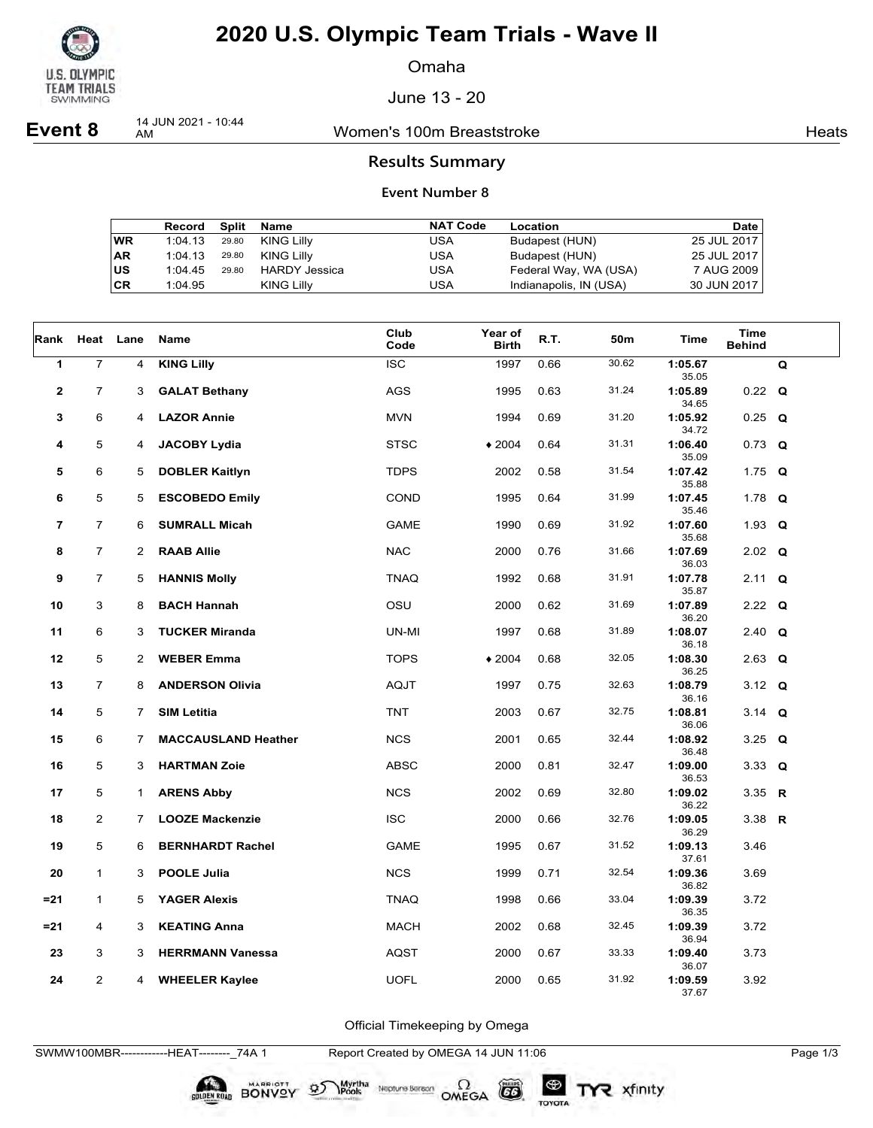

Omaha

June 13 - 20

**Event 8** 14 JUN 2021 - 10:44

Women's 100m Breaststroke **Heats** Heats

### **Results Summary**

#### **Event Number 8**

|    | Record Split |       | Name              | <b>NAT Code</b> | Location               | Date        |
|----|--------------|-------|-------------------|-----------------|------------------------|-------------|
| WR | 1:04.13      | 29.80 | KING Lilly        | USA             | Budapest (HUN)         | 25 JUL 2017 |
| AR | 1:04.13      | 29.80 | <b>KING Lilly</b> | USA             | Budapest (HUN)         | 25 JUL 2017 |
| US | 1:04.45      | 29.80 | HARDY Jessica     | USA             | Federal Way, WA (USA)  | 7 AUG 2009  |
| СR | 1:04.95      |       | <b>KING Lilly</b> | USA             | Indianapolis, IN (USA) | 30 JUN 2017 |

| Rank         |                | Heat Lane      | Name                       | Club<br>Code | Year of<br><b>Birth</b> | R.T. | 50m   | <b>Time</b>               | <b>Time</b><br><b>Behind</b> |   |
|--------------|----------------|----------------|----------------------------|--------------|-------------------------|------|-------|---------------------------|------------------------------|---|
| 1            | $\overline{7}$ | 4              | <b>KING Lilly</b>          | <b>ISC</b>   | 1997                    | 0.66 | 30.62 | 1:05.67<br>35.05          |                              | Q |
| $\mathbf{2}$ | $\overline{7}$ | 3              | <b>GALAT Bethany</b>       | <b>AGS</b>   | 1995                    | 0.63 | 31.24 | 1:05.89                   | $0.22 \quad Q$               |   |
| 3            | 6              | 4              | <b>LAZOR Annie</b>         | <b>MVN</b>   | 1994                    | 0.69 | 31.20 | 34.65<br>1:05.92          | $0.25$ Q                     |   |
| 4            | 5              | 4              | <b>JACOBY Lydia</b>        | <b>STSC</b>  | $*2004$                 | 0.64 | 31.31 | 34.72<br>1:06.40          | $0.73$ Q                     |   |
| 5            | 6              | 5              | <b>DOBLER Kaitlyn</b>      | <b>TDPS</b>  | 2002                    | 0.58 | 31.54 | 35.09<br>1:07.42          | 1.75 $Q$                     |   |
| 6            | 5              | 5              | <b>ESCOBEDO Emily</b>      | COND         | 1995                    | 0.64 | 31.99 | 35.88<br>1:07.45          | 1.78 $Q$                     |   |
| 7            | $\overline{7}$ | 6              | <b>SUMRALL Micah</b>       | <b>GAME</b>  | 1990                    | 0.69 | 31.92 | 35.46<br>1:07.60          | 1.93 $Q$                     |   |
| 8            | $\overline{7}$ | 2              | <b>RAAB Allie</b>          | <b>NAC</b>   | 2000                    | 0.76 | 31.66 | 35.68<br>1:07.69          | $2.02$ Q                     |   |
| 9            | $\overline{7}$ | 5              | <b>HANNIS Molly</b>        | <b>TNAQ</b>  | 1992                    | 0.68 | 31.91 | 36.03<br>1:07.78          | 2.11 Q                       |   |
| 10           | 3              | 8              | <b>BACH Hannah</b>         | OSU          | 2000                    | 0.62 | 31.69 | 35.87<br>1:07.89          | 2.22 $Q$                     |   |
| 11           | 6              | 3              | <b>TUCKER Miranda</b>      | UN-MI        | 1997                    | 0.68 | 31.89 | 36.20<br>1:08.07          | 2.40 $Q$                     |   |
| 12           | 5              | $\overline{2}$ | <b>WEBER Emma</b>          | <b>TOPS</b>  | $*2004$                 | 0.68 | 32.05 | 36.18<br>1:08.30          | $2.63$ Q                     |   |
| 13           | $\overline{7}$ | 8              | <b>ANDERSON Olivia</b>     | <b>AQJT</b>  | 1997                    | 0.75 | 32.63 | 36.25<br>1:08.79          | 3.12 $Q$                     |   |
| 14           | 5              | $\overline{7}$ | <b>SIM Letitia</b>         | <b>TNT</b>   | 2003                    | 0.67 | 32.75 | 36.16<br>1:08.81          | 3.14 $Q$                     |   |
| 15           | 6              | 7              | <b>MACCAUSLAND Heather</b> | <b>NCS</b>   | 2001                    | 0.65 | 32.44 | 36.06<br>1:08.92          | 3.25 $Q$                     |   |
| 16           | 5              | 3              | <b>HARTMAN Zoie</b>        | <b>ABSC</b>  | 2000                    | 0.81 | 32.47 | 36.48<br>1:09.00          | 3.33 $Q$                     |   |
|              |                |                |                            |              |                         |      |       | 36.53                     |                              |   |
| 17           | 5              | $\mathbf{1}$   | <b>ARENS Abby</b>          | <b>NCS</b>   | 2002                    | 0.69 | 32.80 | 1:09.02<br>36.22          | 3.35 R                       |   |
| 18           | $\overline{2}$ | $\overline{7}$ | <b>LOOZE Mackenzie</b>     | <b>ISC</b>   | 2000                    | 0.66 | 32.76 | 1:09.05<br>36.29          | 3.38 $R$                     |   |
| 19           | 5              | 6              | <b>BERNHARDT Rachel</b>    | <b>GAME</b>  | 1995                    | 0.67 | 31.52 | 1:09.13<br>37.61          | 3.46                         |   |
| 20           | 1              | 3              | <b>POOLE Julia</b>         | <b>NCS</b>   | 1999                    | 0.71 | 32.54 | 1:09.36<br>36.82          | 3.69                         |   |
| $= 21$       | $\mathbf{1}$   | 5              | <b>YAGER Alexis</b>        | <b>TNAQ</b>  | 1998                    | 0.66 | 33.04 | 1:09.39                   | 3.72                         |   |
| $= 21$       | 4              | 3              | <b>KEATING Anna</b>        | <b>MACH</b>  | 2002                    | 0.68 | 32.45 | 36.35<br>1:09.39          | 3.72                         |   |
| 23           | 3              | 3              | <b>HERRMANN Vanessa</b>    | <b>AQST</b>  | 2000                    | 0.67 | 33.33 | 36.94<br>1:09.40          | 3.73                         |   |
| 24           | $\overline{2}$ | 4              | <b>WHEELER Kaylee</b>      | <b>UOFL</b>  | 2000                    | 0.65 | 31.92 | 36.07<br>1:09.59<br>37.67 | 3.92                         |   |

Official Timekeeping by Omega

SWMW100MBR------------HEAT--------\_74A 1 Report Created by OMEGA 14 JUN 11:06 Page 1/3

BONVOY 9

Myrtha<br>Pools

Neptune Bergan  $\Omega$ <br>OMEGA

 $G6$ 

TOYOTA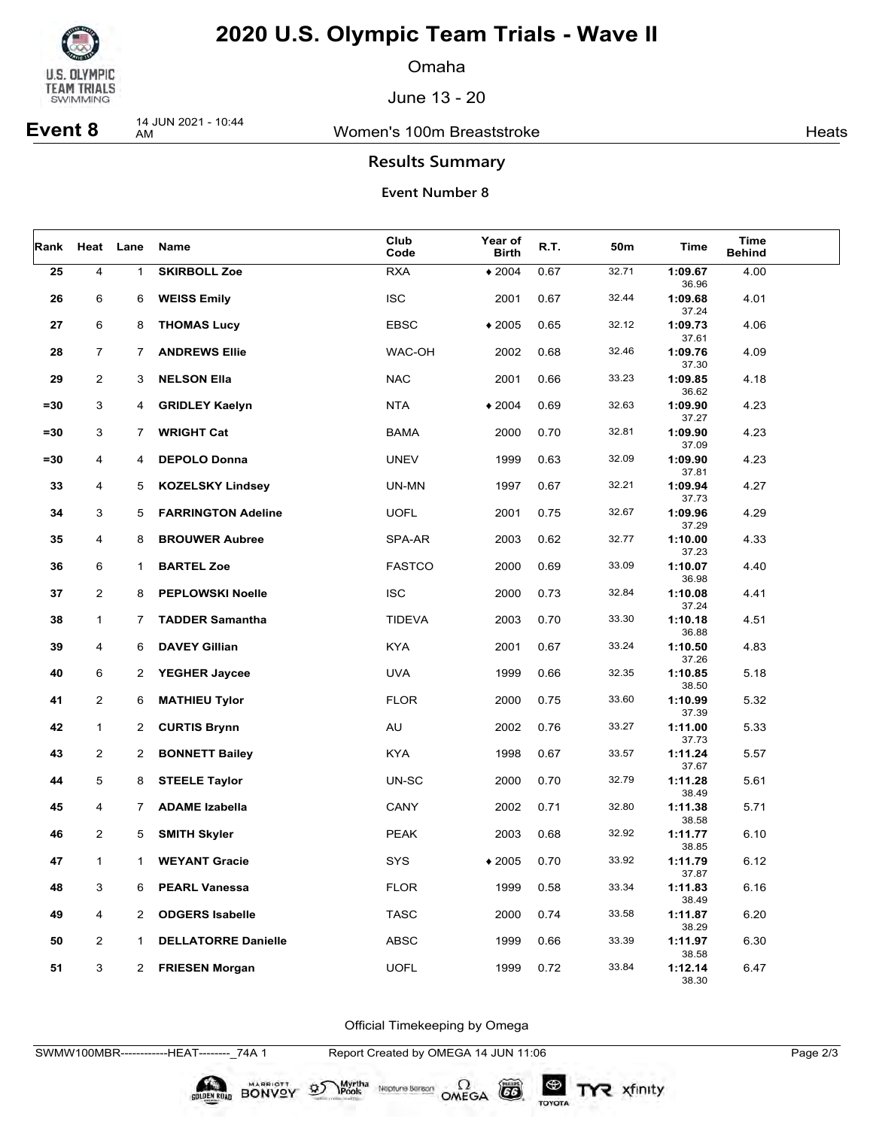

Omaha

June 13 - 20

**Event 8** 14 JUN 2021 - 10:44

Women's 100m Breaststroke **Heats** Heats

### **Results Summary**

#### **Event Number 8**

| Rank   |                | Heat Lane      | Name                       | Club<br>Code  | Year of<br><b>Birth</b> | R.T. | 50m   | Time             | Time<br><b>Behind</b> |  |
|--------|----------------|----------------|----------------------------|---------------|-------------------------|------|-------|------------------|-----------------------|--|
| 25     | $\overline{4}$ | $\mathbf 1$    | <b>SKIRBOLL Zoe</b>        | <b>RXA</b>    | $*2004$                 | 0.67 | 32.71 | 1:09.67<br>36.96 | 4.00                  |  |
| 26     | 6              | 6              | <b>WEISS Emily</b>         | <b>ISC</b>    | 2001                    | 0.67 | 32.44 | 1:09.68<br>37.24 | 4.01                  |  |
| 27     | 6              | 8              | <b>THOMAS Lucy</b>         | <b>EBSC</b>   | $*2005$                 | 0.65 | 32.12 | 1:09.73<br>37.61 | 4.06                  |  |
| 28     | $\overline{7}$ | 7              | <b>ANDREWS Ellie</b>       | WAC-OH        | 2002                    | 0.68 | 32.46 | 1:09.76<br>37.30 | 4.09                  |  |
| 29     | $\overline{2}$ | 3              | <b>NELSON Ella</b>         | <b>NAC</b>    | 2001                    | 0.66 | 33.23 | 1:09.85<br>36.62 | 4.18                  |  |
| $= 30$ | 3              | 4              | <b>GRIDLEY Kaelyn</b>      | <b>NTA</b>    | $*2004$                 | 0.69 | 32.63 | 1:09.90<br>37.27 | 4.23                  |  |
| $= 30$ | 3              | 7              | <b>WRIGHT Cat</b>          | <b>BAMA</b>   | 2000                    | 0.70 | 32.81 | 1:09.90<br>37.09 | 4.23                  |  |
| $= 30$ | 4              | 4              | <b>DEPOLO Donna</b>        | <b>UNEV</b>   | 1999                    | 0.63 | 32.09 | 1:09.90<br>37.81 | 4.23                  |  |
| 33     | 4              | 5              | <b>KOZELSKY Lindsey</b>    | UN-MN         | 1997                    | 0.67 | 32.21 | 1:09.94<br>37.73 | 4.27                  |  |
| 34     | 3              | 5              | <b>FARRINGTON Adeline</b>  | <b>UOFL</b>   | 2001                    | 0.75 | 32.67 | 1:09.96<br>37.29 | 4.29                  |  |
| 35     | 4              | 8              | <b>BROUWER Aubree</b>      | SPA-AR        | 2003                    | 0.62 | 32.77 | 1:10.00<br>37.23 | 4.33                  |  |
| 36     | 6              | 1              | <b>BARTEL Zoe</b>          | <b>FASTCO</b> | 2000                    | 0.69 | 33.09 | 1:10.07<br>36.98 | 4.40                  |  |
| 37     | $\overline{2}$ | 8              | <b>PEPLOWSKI Noelle</b>    | <b>ISC</b>    | 2000                    | 0.73 | 32.84 | 1:10.08<br>37.24 | 4.41                  |  |
| 38     | $\mathbf{1}$   | 7.             | <b>TADDER Samantha</b>     | <b>TIDEVA</b> | 2003                    | 0.70 | 33.30 | 1:10.18<br>36.88 | 4.51                  |  |
| 39     | 4              | 6              | <b>DAVEY Gillian</b>       | <b>KYA</b>    | 2001                    | 0.67 | 33.24 | 1:10.50<br>37.26 | 4.83                  |  |
| 40     | 6              | 2              | <b>YEGHER Jaycee</b>       | <b>UVA</b>    | 1999                    | 0.66 | 32.35 | 1:10.85<br>38.50 | 5.18                  |  |
| 41     | $\overline{a}$ | 6              | <b>MATHIEU Tylor</b>       | <b>FLOR</b>   | 2000                    | 0.75 | 33.60 | 1:10.99<br>37.39 | 5.32                  |  |
| 42     | $\mathbf{1}$   | $\overline{2}$ | <b>CURTIS Brynn</b>        | AU            | 2002                    | 0.76 | 33.27 | 1:11.00<br>37.73 | 5.33                  |  |
| 43     | $\overline{2}$ | $\overline{2}$ | <b>BONNETT Bailey</b>      | <b>KYA</b>    | 1998                    | 0.67 | 33.57 | 1:11.24<br>37.67 | 5.57                  |  |
| 44     | 5              | 8              | <b>STEELE Taylor</b>       | UN-SC         | 2000                    | 0.70 | 32.79 | 1:11.28<br>38.49 | 5.61                  |  |
| 45     | 4              | 7              | <b>ADAME Izabella</b>      | CANY          | 2002                    | 0.71 | 32.80 | 1:11.38<br>38.58 | 5.71                  |  |
| 46     | $\overline{2}$ | 5              | <b>SMITH Skyler</b>        | <b>PEAK</b>   | 2003                    | 0.68 | 32.92 | 1:11.77<br>38.85 | 6.10                  |  |
| 47     | 1              | 1.             | <b>WEYANT Gracie</b>       | SYS           | $*2005$                 | 0.70 | 33.92 | 1:11.79<br>37.87 | 6.12                  |  |
| 48     | 3              | 6              | <b>PEARL Vanessa</b>       | <b>FLOR</b>   | 1999                    | 0.58 | 33.34 | 1:11.83<br>38.49 | 6.16                  |  |
| 49     | $\overline{4}$ | $\mathbf{2}^-$ | <b>ODGERS Isabelle</b>     | <b>TASC</b>   | 2000                    | 0.74 | 33.58 | 1:11.87<br>38.29 | 6.20                  |  |
| 50     | $\overline{2}$ | 1              | <b>DELLATORRE Danielle</b> | <b>ABSC</b>   | 1999                    | 0.66 | 33.39 | 1:11.97<br>38.58 | 6.30                  |  |
| 51     | $\mathbf{3}$   | 2              | <b>FRIESEN Morgan</b>      | <b>UOFL</b>   | 1999                    | 0.72 | 33.84 | 1:12.14<br>38.30 | 6.47                  |  |

Official Timekeeping by Omega

SWMW100MBR------------HEAT--------\_74A 1 Report Created by OMEGA 14 JUN 11:06 Page 2/3

BONVOY 9

Myrtha<br>Pools

Neptune Bergan  $\Omega$ <br>OMEGA

 $G6$ 

TOYOTA

TYR xfinity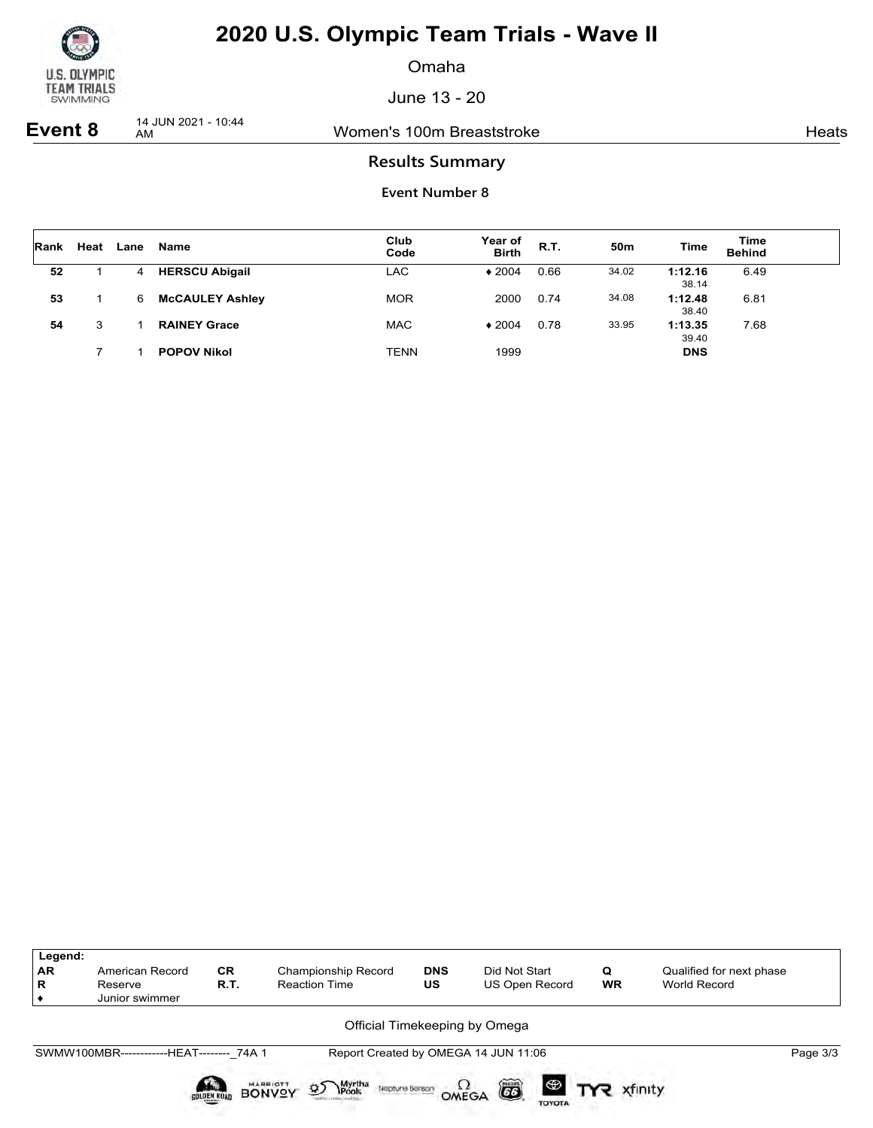

Omaha

June 13 - 20

**Event 8** 14 JUN 2021 - 10:44

Women's 100m Breaststroke Heats Heats

### **Results Summary**

| <b>Rank</b> | Heat | Lane | Name                   | Club<br>Code | Year of<br><b>Birth</b> | <b>R.T.</b> | 50 <sub>m</sub> | <b>Time</b>      | Time<br><b>Behind</b> |  |
|-------------|------|------|------------------------|--------------|-------------------------|-------------|-----------------|------------------|-----------------------|--|
| 52          |      | 4    | <b>HERSCU Abigail</b>  | LAC          | $*2004$                 | 0.66        | 34.02           | 1:12.16<br>38.14 | 6.49                  |  |
| 53          |      | 6    | <b>McCAULEY Ashley</b> | <b>MOR</b>   | 2000                    | 0.74        | 34.08           | 1:12.48<br>38.40 | 6.81                  |  |
| 54          | 3    |      | <b>RAINEY Grace</b>    | <b>MAC</b>   | $*2004$                 | 0.78        | 33.95           | 1:13.35<br>39.40 | 7.68                  |  |
|             |      |      | <b>POPOV Nikol</b>     | <b>TENN</b>  | 1999                    |             |                 | <b>DNS</b>       |                       |  |

| Legend:<br>AR<br>R | American Record<br>Reserve<br>Junior swimmer | <b>CR</b><br>R.T.  | Championship Record<br><b>Reaction Time</b>                                             | <b>DNS</b><br>US | Did Not Start<br>US Open Record      | Q<br><b>WR</b>        | Qualified for next phase<br>World Record |
|--------------------|----------------------------------------------|--------------------|-----------------------------------------------------------------------------------------|------------------|--------------------------------------|-----------------------|------------------------------------------|
|                    |                                              |                    | Official Timekeeping by Omega                                                           |                  |                                      |                       |                                          |
|                    | SWMW100MBR------------HEAT-------- 74A 1     |                    |                                                                                         |                  | Report Created by OMEGA 14 JUN 11:06 |                       | Page 3/3                                 |
|                    |                                              | <b>GOLDEN ROAD</b> | Myrtha<br>Pools<br><b>MARRIOTT</b><br>$\mathfrak{D}$<br>Neptune Bereon<br><b>BONVOY</b> | OMEGA            | 6<br><b>TOYOTA</b>                   | <b>ED TYP</b> xfinity |                                          |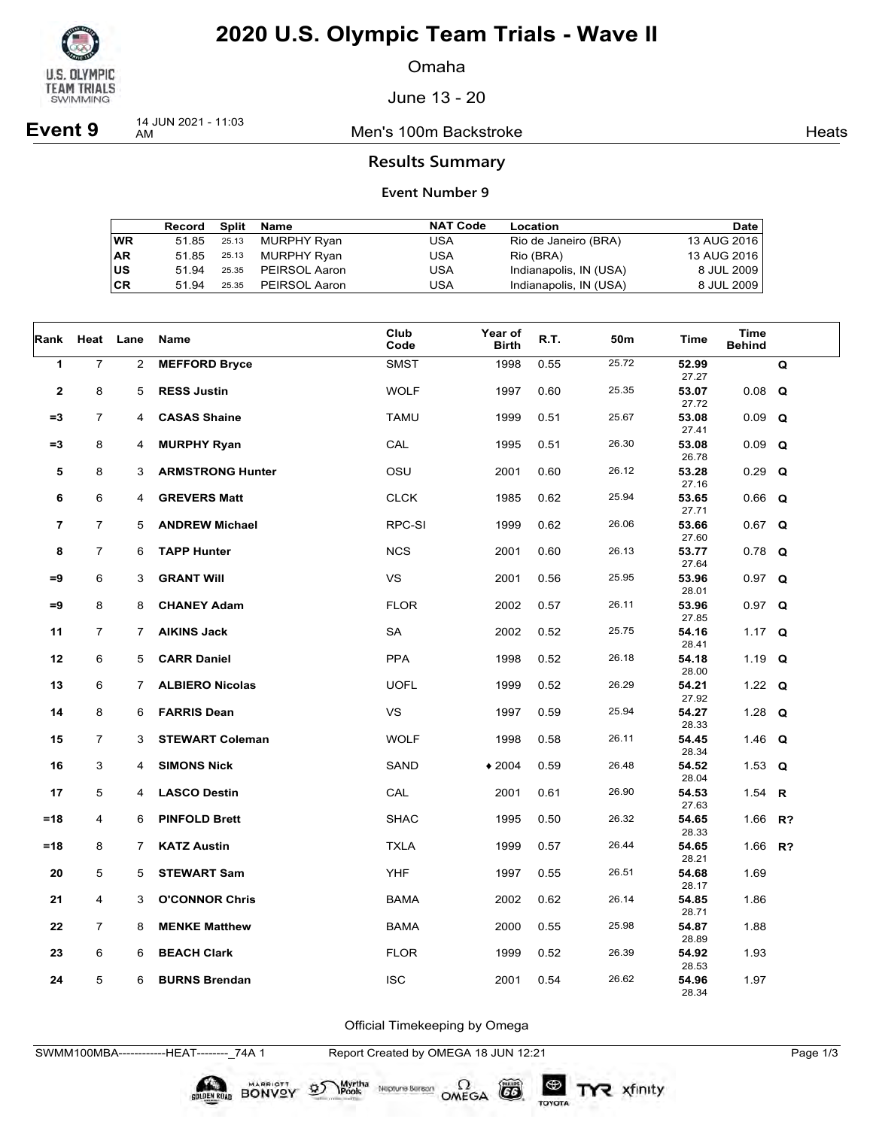

Omaha

June 13 - 20

**Event 9** 14 JUN 2021 - 11:03

Men's 100m Backstroke **Heats** Heats

### **Results Summary**

#### **Event Number 9**

|           | Record |       | Split Name    | <b>NAT Code</b> | Location               | Date        |
|-----------|--------|-------|---------------|-----------------|------------------------|-------------|
| <b>WR</b> | 51.85  | 25.13 | MURPHY Ryan   | USA             | Rio de Janeiro (BRA)   | 13 AUG 2016 |
| <b>AR</b> | 51.85  | 25.13 | MURPHY Ryan   | USA             | Rio (BRA)              | 13 AUG 2016 |
| <b>US</b> | 51.94  | 25.35 | PEIRSOL Aaron | USA             | Indianapolis, IN (USA) | 8 JUL 2009  |
| <b>CR</b> | 51 94  | 25.35 | PEIRSOL Aaron | USA             | Indianapolis, IN (USA) | 8 JUL 2009  |

| Rank         | Heat Lane      |                | Name                    | Club<br>Code | Year of<br><b>Birth</b> | R.T. | 50m   | Time           | <b>Time</b><br><b>Behind</b> |   |
|--------------|----------------|----------------|-------------------------|--------------|-------------------------|------|-------|----------------|------------------------------|---|
| 1            | $\overline{7}$ | 2              | <b>MEFFORD Bryce</b>    | <b>SMST</b>  | 1998                    | 0.55 | 25.72 | 52.99<br>27.27 |                              | Q |
| $\mathbf{2}$ | 8              | 5              | <b>RESS Justin</b>      | <b>WOLF</b>  | 1997                    | 0.60 | 25.35 | 53.07<br>27.72 | $0.08$ Q                     |   |
| $=3$         | $\overline{7}$ | 4              | <b>CASAS Shaine</b>     | <b>TAMU</b>  | 1999                    | 0.51 | 25.67 | 53.08<br>27.41 | $0.09$ Q                     |   |
| $= 3$        | 8              | 4              | <b>MURPHY Ryan</b>      | CAL          | 1995                    | 0.51 | 26.30 | 53.08<br>26.78 | $0.09$ Q                     |   |
| 5            | 8              | 3              | <b>ARMSTRONG Hunter</b> | OSU          | 2001                    | 0.60 | 26.12 | 53.28<br>27.16 | $0.29$ Q                     |   |
| 6            | 6              | 4              | <b>GREVERS Matt</b>     | <b>CLCK</b>  | 1985                    | 0.62 | 25.94 | 53.65<br>27.71 | $0.66$ Q                     |   |
| 7            | $\overline{7}$ | 5              | <b>ANDREW Michael</b>   | RPC-SI       | 1999                    | 0.62 | 26.06 | 53.66<br>27.60 | $0.67$ Q                     |   |
| 8            | $\overline{7}$ | 6              | <b>TAPP Hunter</b>      | <b>NCS</b>   | 2001                    | 0.60 | 26.13 | 53.77<br>27.64 | $0.78$ Q                     |   |
| $=9$         | 6              | 3              | <b>GRANT WIII</b>       | <b>VS</b>    | 2001                    | 0.56 | 25.95 | 53.96<br>28.01 | $0.97$ Q                     |   |
| $=9$         | 8              | 8              | <b>CHANEY Adam</b>      | <b>FLOR</b>  | 2002                    | 0.57 | 26.11 | 53.96<br>27.85 | $0.97$ Q                     |   |
| 11           | $\overline{7}$ | 7              | <b>AIKINS Jack</b>      | SA           | 2002                    | 0.52 | 25.75 | 54.16<br>28.41 | 1.17 $Q$                     |   |
| 12           | 6              | 5              | <b>CARR Daniel</b>      | <b>PPA</b>   | 1998                    | 0.52 | 26.18 | 54.18<br>28.00 | 1.19 $Q$                     |   |
| 13           | 6              | $\overline{7}$ | <b>ALBIERO Nicolas</b>  | <b>UOFL</b>  | 1999                    | 0.52 | 26.29 | 54.21<br>27.92 | 1.22 $Q$                     |   |
| 14           | 8              | 6              | <b>FARRIS Dean</b>      | <b>VS</b>    | 1997                    | 0.59 | 25.94 | 54.27<br>28.33 | 1.28 $Q$                     |   |
| 15           | $\overline{7}$ | 3              | <b>STEWART Coleman</b>  | <b>WOLF</b>  | 1998                    | 0.58 | 26.11 | 54.45<br>28.34 | 1.46 $Q$                     |   |
| 16           | 3              | 4              | <b>SIMONS Nick</b>      | SAND         | $*2004$                 | 0.59 | 26.48 | 54.52<br>28.04 | 1.53 $Q$                     |   |
| 17           | 5              | 4              | <b>LASCO Destin</b>     | CAL          | 2001                    | 0.61 | 26.90 | 54.53<br>27.63 | 1.54 R                       |   |
| $=18$        | 4              | 6              | <b>PINFOLD Brett</b>    | <b>SHAC</b>  | 1995                    | 0.50 | 26.32 | 54.65<br>28.33 | 1.66 R?                      |   |
| $=18$        | 8              | $\overline{7}$ | <b>KATZ Austin</b>      | <b>TXLA</b>  | 1999                    | 0.57 | 26.44 | 54.65<br>28.21 | 1.66 R?                      |   |
| 20           | 5              | 5              | <b>STEWART Sam</b>      | <b>YHF</b>   | 1997                    | 0.55 | 26.51 | 54.68<br>28.17 | 1.69                         |   |
| 21           | 4              | 3              | <b>O'CONNOR Chris</b>   | <b>BAMA</b>  | 2002                    | 0.62 | 26.14 | 54.85<br>28.71 | 1.86                         |   |
| 22           | $\overline{7}$ | 8              | <b>MENKE Matthew</b>    | <b>BAMA</b>  | 2000                    | 0.55 | 25.98 | 54.87<br>28.89 | 1.88                         |   |
| 23           | 6              | 6              | <b>BEACH Clark</b>      | <b>FLOR</b>  | 1999                    | 0.52 | 26.39 | 54.92<br>28.53 | 1.93                         |   |
| 24           | 5              | 6              | <b>BURNS Brendan</b>    | <b>ISC</b>   | 2001                    | 0.54 | 26.62 | 54.96<br>28.34 | 1.97                         |   |

Official Timekeeping by Omega

SWMM100MBA------------HEAT--------\_74A 1 Report Created by OMEGA 18 JUN 12:21 Page 1/3

BONVOY 9

Myrtha<br>Pools

Neptune Bergon  $\Omega$ <br>OMEGA

 $G6$ 

TOYOTA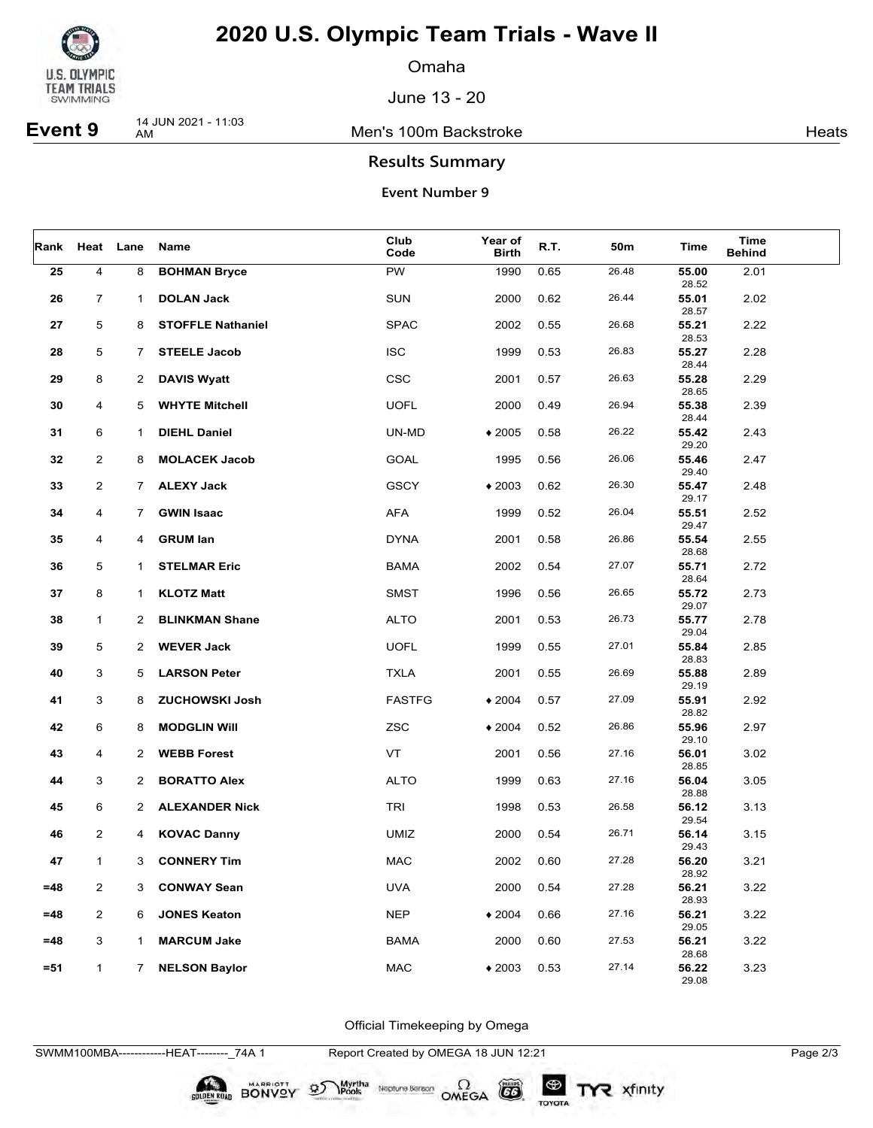

Omaha

June 13 - 20

**Event 9** 14 JUN 2021 - 11:03

Men's 100m Backstroke **Heats** Heats

### **Results Summary**

#### **Event Number 9**

| Rank   |                | Heat Lane      | Name                     | Club<br>Code  | Year of<br><b>Birth</b> | R.T. | 50m   | Time           | Time<br><b>Behind</b> |  |
|--------|----------------|----------------|--------------------------|---------------|-------------------------|------|-------|----------------|-----------------------|--|
| 25     | $\overline{4}$ | 8              | <b>BOHMAN Bryce</b>      | <b>PW</b>     | 1990                    | 0.65 | 26.48 | 55.00<br>28.52 | 2.01                  |  |
| 26     | $\overline{7}$ | $\mathbf{1}$   | <b>DOLAN Jack</b>        | <b>SUN</b>    | 2000                    | 0.62 | 26.44 | 55.01<br>28.57 | 2.02                  |  |
| 27     | 5              | 8              | <b>STOFFLE Nathaniel</b> | <b>SPAC</b>   | 2002                    | 0.55 | 26.68 | 55.21<br>28.53 | 2.22                  |  |
| 28     | 5              | 7.             | <b>STEELE Jacob</b>      | <b>ISC</b>    | 1999                    | 0.53 | 26.83 | 55.27<br>28.44 | 2.28                  |  |
| 29     | 8              | $\mathbf{2}$   | <b>DAVIS Wyatt</b>       | CSC           | 2001                    | 0.57 | 26.63 | 55.28<br>28.65 | 2.29                  |  |
| 30     | 4              | 5              | <b>WHYTE Mitchell</b>    | <b>UOFL</b>   | 2000                    | 0.49 | 26.94 | 55.38<br>28.44 | 2.39                  |  |
| 31     | 6              | 1              | <b>DIEHL Daniel</b>      | UN-MD         | $*2005$                 | 0.58 | 26.22 | 55.42<br>29.20 | 2.43                  |  |
| 32     | 2              | 8              | <b>MOLACEK Jacob</b>     | <b>GOAL</b>   | 1995                    | 0.56 | 26.06 | 55.46<br>29.40 | 2.47                  |  |
| 33     | $\overline{2}$ | $\mathbf{7}$   | <b>ALEXY Jack</b>        | <b>GSCY</b>   | $*2003$                 | 0.62 | 26.30 | 55.47<br>29.17 | 2.48                  |  |
| 34     | 4              | $\overline{7}$ | <b>GWIN Isaac</b>        | <b>AFA</b>    | 1999                    | 0.52 | 26.04 | 55.51<br>29.47 | 2.52                  |  |
| 35     | 4              | 4              | <b>GRUM lan</b>          | <b>DYNA</b>   | 2001                    | 0.58 | 26.86 | 55.54<br>28.68 | 2.55                  |  |
| 36     | 5              | $\mathbf{1}$   | <b>STELMAR Eric</b>      | <b>BAMA</b>   | 2002                    | 0.54 | 27.07 | 55.71<br>28.64 | 2.72                  |  |
| 37     | 8              | 1              | <b>KLOTZ Matt</b>        | <b>SMST</b>   | 1996                    | 0.56 | 26.65 | 55.72<br>29.07 | 2.73                  |  |
| 38     | $\mathbf{1}$   | $^{2}$         | <b>BLINKMAN Shane</b>    | <b>ALTO</b>   | 2001                    | 0.53 | 26.73 | 55.77<br>29.04 | 2.78                  |  |
| 39     | 5              | $\mathbf{2}$   | <b>WEVER Jack</b>        | <b>UOFL</b>   | 1999                    | 0.55 | 27.01 | 55.84<br>28.83 | 2.85                  |  |
| 40     | 3              | 5              | <b>LARSON Peter</b>      | <b>TXLA</b>   | 2001                    | 0.55 | 26.69 | 55.88<br>29.19 | 2.89                  |  |
| 41     | 3              | 8              | <b>ZUCHOWSKI Josh</b>    | <b>FASTFG</b> | $*2004$                 | 0.57 | 27.09 | 55.91<br>28.82 | 2.92                  |  |
| 42     | 6              | 8              | <b>MODGLIN WIII</b>      | ZSC           | $*2004$                 | 0.52 | 26.86 | 55.96<br>29.10 | 2.97                  |  |
| 43     | 4              | $^{2}$         | <b>WEBB Forest</b>       | VT            | 2001                    | 0.56 | 27.16 | 56.01<br>28.85 | 3.02                  |  |
| 44     | 3              | $\mathbf{2}$   | <b>BORATTO Alex</b>      | <b>ALTO</b>   | 1999                    | 0.63 | 27.16 | 56.04<br>28.88 | 3.05                  |  |
| 45     | 6              | $\mathbf{2}$   | <b>ALEXANDER Nick</b>    | <b>TRI</b>    | 1998                    | 0.53 | 26.58 | 56.12<br>29.54 | 3.13                  |  |
| 46     | $\overline{2}$ | 4              | <b>KOVAC Danny</b>       | <b>UMIZ</b>   | 2000                    | 0.54 | 26.71 | 56.14<br>29.43 | 3.15                  |  |
| 47     | 1              | 3              | <b>CONNERY Tim</b>       | <b>MAC</b>    | 2002                    | 0.60 | 27.28 | 56.20<br>28.92 | 3.21                  |  |
| $=48$  | 2              | 3              | <b>CONWAY Sean</b>       | <b>UVA</b>    | 2000                    | 0.54 | 27.28 | 56.21<br>28.93 | 3.22                  |  |
| $=48$  | $\overline{2}$ | 6              | <b>JONES Keaton</b>      | <b>NEP</b>    | $*2004$                 | 0.66 | 27.16 | 56.21<br>29.05 | 3.22                  |  |
| $=48$  | 3              | $\mathbf 1$    | <b>MARCUM Jake</b>       | <b>BAMA</b>   | 2000                    | 0.60 | 27.53 | 56.21<br>28.68 | 3.22                  |  |
| $= 51$ | $\mathbf{1}$   | $7^{\circ}$    | <b>NELSON Baylor</b>     | <b>MAC</b>    | $*2003$                 | 0.53 | 27.14 | 56.22<br>29.08 | 3.23                  |  |

Official Timekeeping by Omega

SWMM100MBA------------HEAT--------\_74A 1 Report Created by OMEGA 18 JUN 12:21 Page 2/3

BONVOY 9

Myrtha<br>Pools

Neptune Bergan  $\Omega$ <br>OMEGA

 $G6$ 

TOYOTA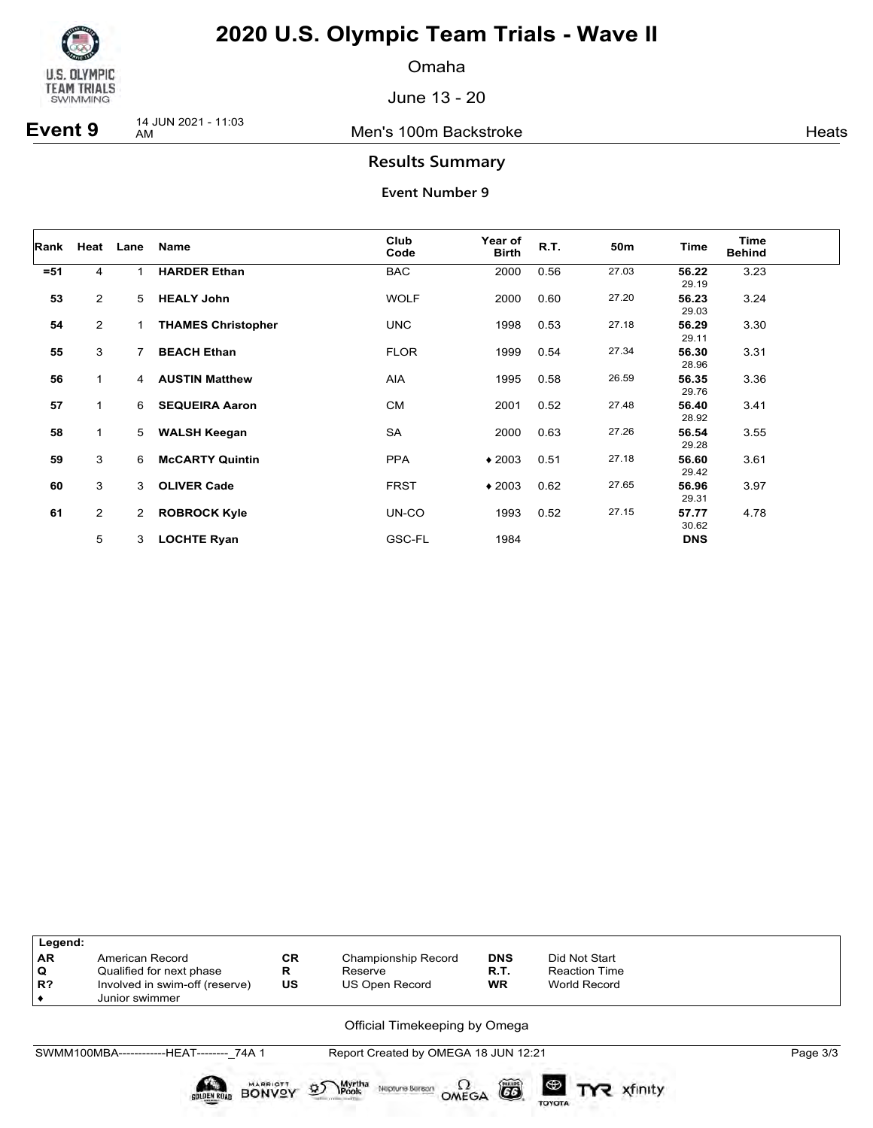

Omaha

June 13 - 20

**Event 9** 14 JUN 2021 - 11:03

Men's 100m Backstroke **Heats** Heats

### **Results Summary**

| Rank   |                | Heat Lane      | Name                      | Club<br>Code | Year of<br><b>Birth</b> | R.T. | 50m   | Time           | <b>Time</b><br><b>Behind</b> |
|--------|----------------|----------------|---------------------------|--------------|-------------------------|------|-------|----------------|------------------------------|
| $= 51$ | 4              |                | <b>HARDER Ethan</b>       | <b>BAC</b>   | 2000                    | 0.56 | 27.03 | 56.22<br>29.19 | 3.23                         |
| 53     | 2              | 5              | <b>HEALY John</b>         | <b>WOLF</b>  | 2000                    | 0.60 | 27.20 | 56.23<br>29.03 | 3.24                         |
| 54     | $\overline{2}$ | $\mathbf{1}$   | <b>THAMES Christopher</b> | <b>UNC</b>   | 1998                    | 0.53 | 27.18 | 56.29<br>29.11 | 3.30                         |
| 55     | 3              | $\overline{7}$ | <b>BEACH Ethan</b>        | <b>FLOR</b>  | 1999                    | 0.54 | 27.34 | 56.30<br>28.96 | 3.31                         |
| 56     | $\mathbf{1}$   | 4              | <b>AUSTIN Matthew</b>     | <b>AIA</b>   | 1995                    | 0.58 | 26.59 | 56.35<br>29.76 | 3.36                         |
| 57     | $\mathbf{1}$   | 6              | <b>SEQUEIRA Aaron</b>     | <b>CM</b>    | 2001                    | 0.52 | 27.48 | 56.40<br>28.92 | 3.41                         |
| 58     | $\mathbf{1}$   | 5              | <b>WALSH Keegan</b>       | SA           | 2000                    | 0.63 | 27.26 | 56.54<br>29.28 | 3.55                         |
| 59     | 3              | 6              | <b>McCARTY Quintin</b>    | <b>PPA</b>   | $*2003$                 | 0.51 | 27.18 | 56.60<br>29.42 | 3.61                         |
| 60     | 3              | 3              | <b>OLIVER Cade</b>        | <b>FRST</b>  | $*2003$                 | 0.62 | 27.65 | 56.96<br>29.31 | 3.97                         |
| 61     | $\overline{2}$ | $\overline{2}$ | <b>ROBROCK Kyle</b>       | UN-CO        | 1993                    | 0.52 | 27.15 | 57.77<br>30.62 | 4.78                         |
|        | 5              | 3              | <b>LOCHTE Ryan</b>        | GSC-FL       | 1984                    |      |       | <b>DNS</b>     |                              |

| Legend:   |                                                  |                 |                                                              |            |                                         |          |
|-----------|--------------------------------------------------|-----------------|--------------------------------------------------------------|------------|-----------------------------------------|----------|
| <b>AR</b> | American Record                                  | <b>CR</b>       | <b>Championship Record</b>                                   | <b>DNS</b> | Did Not Start                           |          |
| Q         | Qualified for next phase                         | R               | Reserve                                                      | R.T.       | <b>Reaction Time</b>                    |          |
| $R$ ?     | Involved in swim-off (reserve)<br>Junior swimmer | US              | <b>US Open Record</b>                                        | <b>WR</b>  | World Record                            |          |
|           |                                                  |                 | Official Timekeeping by Omega                                |            |                                         |          |
|           | SWMM100MBA-------------HEAT-------- 74A 1        |                 | Report Created by OMEGA 18 JUN 12:21                         |            |                                         | Page 3/3 |
|           | <b>GOLDEN ROAD</b><br><b>BONV<sup>O</sup></b>    | <b>MARRIOTT</b> | Myrtha<br>Pools<br>$\mathfrak{D}$<br>Neptune Beraon<br>OMEGA | õ          | $\bigoplus$<br>xfinity<br><b>TOYOTA</b> |          |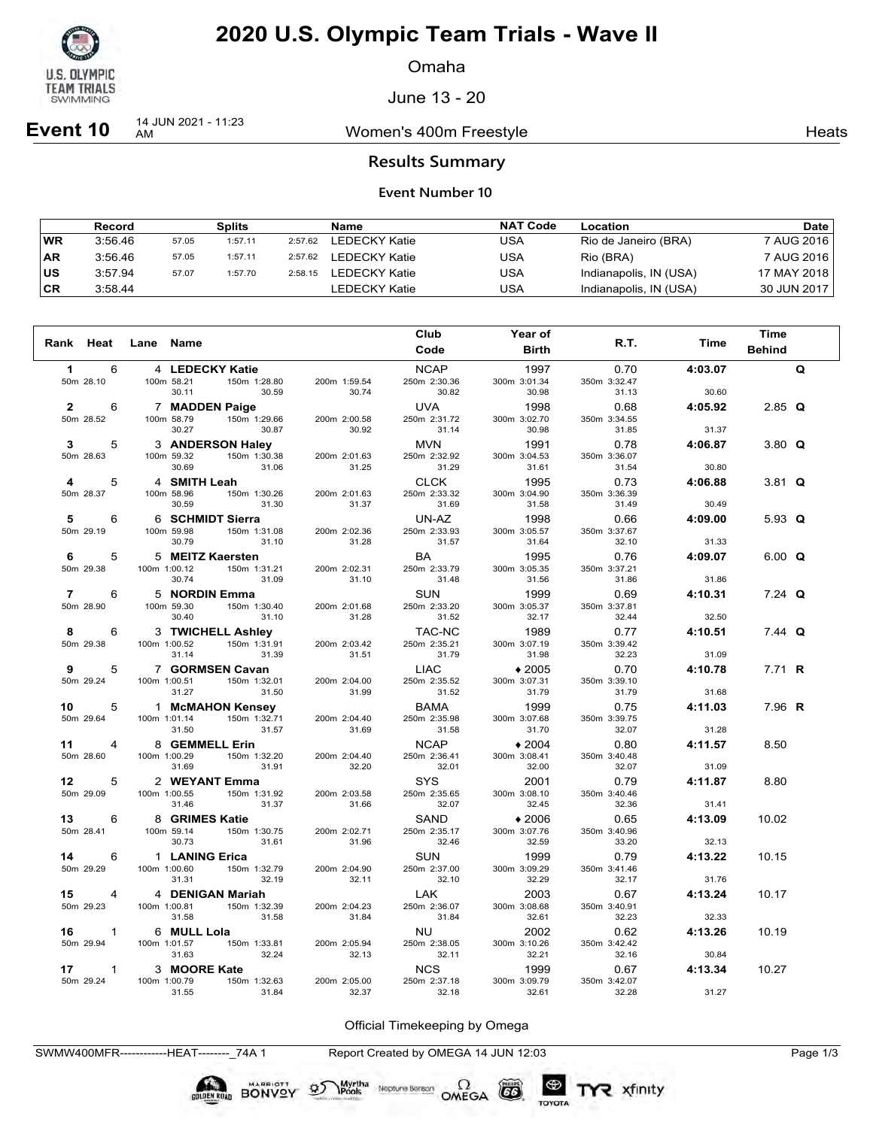

Omaha

June 13 - 20

**Event 10**  $\frac{14 \text{ JUN } 2021 - 11:23}{\text{AM}}$ 

Women's 400m Freestyle **Heats** Heats

#### **Results Summary**

#### **Event Number 10**

|           | Record  |       | Splits  |         | Name          | <b>NAT Code</b> | Location               | Date        |
|-----------|---------|-------|---------|---------|---------------|-----------------|------------------------|-------------|
| <b>WR</b> | 3:56.46 | 57.05 | 1:57.11 | 2:57.62 | LEDECKY Katie | USA             | Rio de Janeiro (BRA)   | 7 AUG 2016  |
| ∣AR       | 3:56.46 | 57.05 | 1:57.11 | 2:57.62 | LEDECKY Katie | USA             | Rio (BRA)              | 7 AUG 2016  |
| ∣us       | 3:57.94 | 57.07 | 1:57.70 | 2:58.15 | LEDECKY Katie | USA             | Indianapolis, IN (USA) | 17 MAY 2018 |
| ∣CR       | 3:58.44 |       |         |         | LEDECKY Katie | USA             | Indianapolis, IN (USA) | 30 JUN 2017 |

| Rank Heat                     | Lane Name    |                                                |                       | Club<br>Code                | Year of<br><b>Birth</b> | R.T.                  | Time    | <b>Time</b><br><b>Behind</b> |   |
|-------------------------------|--------------|------------------------------------------------|-----------------------|-----------------------------|-------------------------|-----------------------|---------|------------------------------|---|
|                               |              |                                                |                       |                             |                         |                       |         |                              |   |
| $\mathbf 1$<br>6<br>50m 28.10 |              | 4 LEDECKY Katie<br>100m 58.21<br>150m 1:28.80  | 200m 1:59.54          | <b>NCAP</b><br>250m 2:30.36 | 1997<br>300m 3:01.34    | 0.70<br>350m 3:32.47  | 4:03.07 |                              | Q |
|                               |              | 30.59<br>30.11                                 | 30.74                 | 30.82                       | 30.98                   | 31.13                 | 30.60   |                              |   |
| $\mathbf{2}$<br>6             |              | 7 MADDEN Paige                                 |                       | UVA                         | 1998                    | 0.68                  | 4:05.92 | $2.85$ Q                     |   |
| 50m 28.52                     |              | 150m 1:29.66<br>100m 58.79<br>30.87<br>30.27   | 200m 2:00.58<br>30.92 | 250m 2:31.72<br>31.14       | 300m 3:02.70<br>30.98   | 350m 3:34.55<br>31.85 | 31.37   |                              |   |
| 5<br>3                        |              | 3 ANDERSON Haley                               |                       | <b>MVN</b>                  | 1991                    | 0.78                  | 4:06.87 | 3.80 $Q$                     |   |
| 50m 28.63                     |              | 100m 59.32<br>150m 1:30.38                     | 200m 2:01.63          | 250m 2:32.92                | 300m 3:04.53            | 350m 3:36.07          |         |                              |   |
|                               |              | 30.69<br>31.06                                 | 31.25                 | 31.29                       | 31.61                   | 31.54                 | 30.80   |                              |   |
| 5<br>4<br>50m 28.37           |              | 4 SMITH Leah<br>150m 1:30.26<br>100m 58.96     | 200m 2:01.63          | CLCK<br>250m 2:33.32        | 1995<br>300m 3:04.90    | 0.73<br>350m 3:36.39  | 4:06.88 | 3.81 $Q$                     |   |
|                               |              | 30.59<br>31.30                                 | 31.37                 | 31.69                       | 31.58                   | 31.49                 | 30.49   |                              |   |
| 5<br>6                        |              | 6 SCHMIDT Sierra                               |                       | UN-AZ                       | 1998                    | 0.66                  | 4:09.00 | 5.93 $Q$                     |   |
| 50m 29.19                     |              | 100m 59.98<br>150m 1:31.08                     | 200m 2:02.36          | 250m 2:33.93                | 300m 3:05.57            | 350m 3:37.67          |         |                              |   |
|                               |              | 30.79<br>31.10                                 | 31.28                 | 31.57                       | 31.64                   | 32.10                 | 31.33   |                              |   |
| 5<br>6                        |              | 5 MEITZ Kaersten                               |                       | BA                          | 1995                    | 0.76                  | 4:09.07 | $6.00 \tQ$                   |   |
| 50m 29.38                     |              | 150m 1:31.21<br>100m 1:00.12<br>31.09<br>30.74 | 200m 2:02.31<br>31.10 | 250m 2:33.79<br>31.48       | 300m 3:05.35<br>31.56   | 350m 3:37.21<br>31.86 | 31.86   |                              |   |
| $\overline{7}$<br>6           |              | 5 NORDIN Emma                                  |                       | <b>SUN</b>                  | 1999                    | 0.69                  | 4:10.31 | $7.24$ Q                     |   |
| 50m 28.90                     |              | 150m 1:30.40<br>100m 59.30                     | 200m 2:01.68          | 250m 2:33.20                | 300m 3:05.37            | 350m 3:37.81          |         |                              |   |
|                               |              | 30.40<br>31.10                                 | 31.28                 | 31.52                       | 32.17                   | 32.44                 | 32.50   |                              |   |
| 8<br>6                        |              | 3 TWICHELL Ashley                              |                       | TAC-NC                      | 1989                    | 0.77                  | 4:10.51 | $7.44$ Q                     |   |
| 50m 29.38                     |              | 100m 1:00.52<br>150m 1:31.91                   | 200m 2:03.42          | 250m 2:35.21                | 300m 3:07.19            | 350m 3:39.42          |         |                              |   |
|                               |              | 31.14<br>31.39                                 | 31.51                 | 31.79                       | 31.98                   | 32.23                 | 31.09   |                              |   |
| 5<br>9                        |              | 7 GORMSEN Cavan                                |                       | <b>LIAC</b>                 | $*2005$                 | 0.70                  | 4:10.78 | 7.71 R                       |   |
| 50m 29.24                     |              | 100m 1:00.51  150m 1:32.01<br>31.27<br>31.50   | 200m 2:04.00<br>31.99 | 250m 2:35.52<br>31.52       | 300m 3:07.31<br>31.79   | 350m 3:39.10<br>31.79 | 31.68   |                              |   |
| 5<br>10                       |              | 1 McMAHON Kensey                               |                       | <b>BAMA</b>                 | 1999                    | 0.75                  | 4:11.03 | 7.96 R                       |   |
| 50m 29.64                     |              | 100m 1:01.14<br>150m 1:32.71                   | 200m 2:04.40          | 250m 2:35.98                | 300m 3:07.68            | 350m 3:39.75          |         |                              |   |
|                               |              | 31.57<br>31.50                                 | 31.69                 | 31.58                       | 31.70                   | 32.07                 | 31.28   |                              |   |
| $\overline{4}$<br>11          |              | 8 GEMMELL Erin                                 |                       | <b>NCAP</b>                 | $*2004$                 | 0.80                  | 4:11.57 | 8.50                         |   |
| 50m 28.60                     | 100m 1:00.29 | 150m 1:32.20                                   | 200m 2:04.40          | 250m 2:36.41                | 300m 3:08.41            | 350m 3:40.48          |         |                              |   |
|                               |              | 31.69<br>31.91                                 | 32.20                 | 32.01                       | 32.00                   | 32.07                 | 31.09   |                              |   |
| 12<br>5<br>50m 29.09          |              | 2 WEYANT Emma<br>150m 1:31.92<br>100m 1:00.55  | 200m 2:03.58          | <b>SYS</b><br>250m 2:35.65  | 2001<br>300m 3:08.10    | 0.79<br>350m 3:40.46  | 4:11.87 | 8.80                         |   |
|                               |              | 31.37<br>31.46                                 | 31.66                 | 32.07                       | 32.45                   | 32.36                 | 31.41   |                              |   |
| 13 —<br>6                     |              | 8 GRIMES Katie                                 |                       | SAND                        | $*2006$                 | 0.65                  | 4:13.09 | 10.02                        |   |
| 50m 28.41                     |              | 150m 1:30.75<br>100m 59.14                     | 200m 2:02.71          | 250m 2:35.17                | 300m 3:07.76            | 350m 3:40.96          |         |                              |   |
|                               |              | 30.73<br>31.61                                 | 31.96                 | 32.46                       | 32.59                   | 33.20                 | 32.13   |                              |   |
| 14<br>6                       |              | 1 LANING Erica                                 |                       | <b>SUN</b>                  | 1999                    | 0.79                  | 4:13.22 | 10.15                        |   |
| 50m 29.29                     |              | 150m 1:32.79<br>100m 1:00.60<br>32.19<br>31.31 | 200m 2:04.90<br>32.11 | 250m 2:37.00<br>32.10       | 300m 3:09.29<br>32.29   | 350m 3:41.46<br>32.17 | 31.76   |                              |   |
| 15<br>$\overline{4}$          |              | 4 DENIGAN Mariah                               |                       | LAK                         | 2003                    | 0.67                  | 4:13.24 | 10.17                        |   |
| 50m 29.23                     |              | 100m 1:00.81<br>150m 1:32.39                   | 200m 2:04.23          | 250m 2:36.07                | 300m 3:08.68            | 350m 3:40.91          |         |                              |   |
|                               |              | 31.58<br>31.58                                 | 31.84                 | 31.84                       | 32.61                   | 32.23                 | 32.33   |                              |   |
| 16<br>$\mathbf{1}$            |              | 6 MULL Lola                                    |                       | NU                          | 2002                    | 0.62                  | 4:13.26 | 10.19                        |   |
| 50m 29.94                     |              | 100m 1:01.57<br>150m 1:33.81                   | 200m 2:05.94          | 250m 2:38.05                | 300m 3:10.26            | 350m 3:42.42          |         |                              |   |
|                               |              | 31.63<br>32.24                                 | 32.13                 | 32.11                       | 32.21                   | 32.16                 | 30.84   |                              |   |
| $\mathbf{1}$<br>17            |              | 3 MOORE Kate<br>150m 1:32.63                   |                       | <b>NCS</b><br>250m 2:37.18  | 1999<br>300m 3:09.79    | 0.67                  | 4:13.34 | 10.27                        |   |
| 50m 29.24                     |              | 100m 1:00.79<br>31.84<br>31.55                 | 200m 2:05.00<br>32.37 | 32.18                       | 32.61                   | 350m 3:42.07<br>32.28 | 31.27   |                              |   |

Official Timekeeping by Omega

Neptune Bergan  $\Omega$ <br>OMEGA

CO

TOYOTA

TYR xfinity

SWMW400MFR------------HEAT--------\_74A 1 Report Created by OMEGA 14 JUN 12:03 Page 1/3

Myrtha

BONVOY 95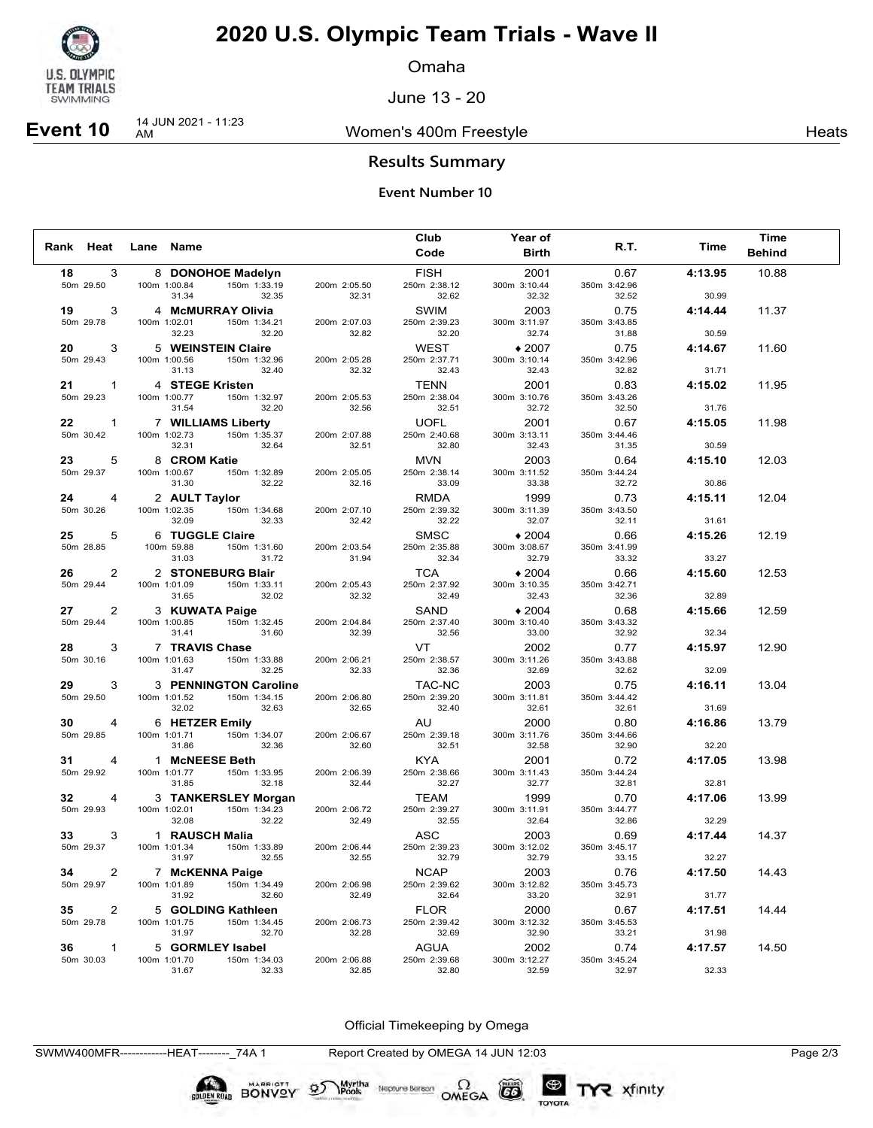

Omaha

June 13 - 20

# **Event 10** 14 JUN 2021 - 11:23

Women's 400m Freestyle **Heats** Heats

### **Results Summary**

#### **Event Number 10**

|           |                           |                                 |                                   |                       | Club                        | Year of               |                       |         | <b>Time</b>   |
|-----------|---------------------------|---------------------------------|-----------------------------------|-----------------------|-----------------------------|-----------------------|-----------------------|---------|---------------|
| Rank Heat |                           | Lane Name                       |                                   |                       | Code                        | <b>Birth</b>          | R.T.                  | Time    | <b>Behind</b> |
| 18        | 3                         |                                 | 8 DONOHOE Madelyn                 |                       | <b>FISH</b>                 | 2001                  | 0.67                  | 4:13.95 | 10.88         |
|           | 50m 29.50                 | 100m 1:00.84                    | 150m 1:33.19                      | 200m 2:05.50          | 250m 2:38.12                | 300m 3:10.44          | 350m 3:42.96          |         |               |
|           |                           | 31.34                           | 32.35                             | 32.31                 | 32.62                       | 32.32                 | 32.52                 | 30.99   |               |
| 19        | 3<br>50m 29.78            | 100m 1:02.01                    | 4 McMURRAY Olivia<br>150m 1:34.21 | 200m 2:07.03          | <b>SWIM</b><br>250m 2:39.23 | 2003<br>300m 3:11.97  | 0.75<br>350m 3:43.85  | 4:14.44 | 11.37         |
|           |                           | 32.23                           | 32.20                             | 32.82                 | 32.20                       | 32.74                 | 31.88                 | 30.59   |               |
| 20        | 3                         |                                 | 5 WEINSTEIN Claire                |                       | <b>WEST</b>                 | $*2007$               | 0.75                  | 4:14.67 | 11.60         |
|           | 50m 29.43                 | 100m 1:00.56                    | 150m 1:32.96                      | 200m 2:05.28          | 250m 2:37.71                | 300m 3:10.14          | 350m 3:42.96          |         |               |
|           |                           | 31.13                           | 32.40                             | 32.32                 | 32.43                       | 32.43                 | 32.82                 | 31.71   |               |
| 21        | $\mathbf{1}$<br>50m 29.23 | 4 STEGE Kristen<br>100m 1:00.77 | 150m 1:32.97                      | 200m 2:05.53          | <b>TENN</b><br>250m 2:38.04 | 2001<br>300m 3:10.76  | 0.83<br>350m 3:43.26  | 4:15.02 | 11.95         |
|           |                           | 31.54                           | 32.20                             | 32.56                 | 32.51                       | 32.72                 | 32.50                 | 31.76   |               |
| 22        | $\mathbf{1}$              |                                 | 7 WILLIAMS Liberty                |                       | <b>UOFL</b>                 | 2001                  | 0.67                  | 4:15.05 | 11.98         |
|           | 50m 30.42                 | 100m 1:02.73                    | 150m 1:35.37                      | 200m 2:07.88          | 250m 2:40.68                | 300m 3:13.11          | 350m 3:44.46          |         |               |
|           |                           | 32.31                           | 32.64                             | 32.51                 | 32.80                       | 32.43                 | 31.35                 | 30.59   |               |
| 23        | 5                         | 8 CROM Katie                    | 150m 1:32.89                      |                       | MVN                         | 2003                  | 0.64                  | 4:15.10 | 12.03         |
|           | 50m 29.37                 | 100m 1:00.67<br>31.30           | 32.22                             | 200m 2:05.05<br>32.16 | 250m 2:38.14<br>33.09       | 300m 3:11.52<br>33.38 | 350m 3:44.24<br>32.72 | 30.86   |               |
| 24        | 4                         | 2 AULT Taylor                   |                                   |                       | RMDA                        | 1999                  | 0.73                  | 4:15.11 | 12.04         |
|           | 50m 30.26                 | 100m 1:02.35                    | 150m 1:34.68                      | 200m 2:07.10          | 250m 2:39.32                | 300m 3:11.39          | 350m 3:43.50          |         |               |
|           |                           | 32.09                           | 32.33                             | 32.42                 | 32.22                       | 32.07                 | 32.11                 | 31.61   |               |
| 25        | 5                         | 6 TUGGLE Claire                 |                                   |                       | <b>SMSC</b>                 | $*2004$               | 0.66                  | 4:15.26 | 12.19         |
|           | 50m 28.85                 | 100m 59.88<br>31.03             | 150m 1:31.60<br>31.72             | 200m 2:03.54<br>31.94 | 250m 2:35.88<br>32.34       | 300m 3:08.67<br>32.79 | 350m 3:41.99<br>33.32 | 33.27   |               |
| 26        | 2                         |                                 | 2 STONEBURG Blair                 |                       | TCA                         | $*2004$               | 0.66                  | 4:15.60 | 12.53         |
|           | 50m 29.44                 | 100m 1:01.09                    | 150m 1:33.11                      | 200m 2:05.43          | 250m 2:37.92                | 300m 3:10.35          | 350m 3:42.71          |         |               |
|           |                           | 31.65                           | 32.02                             | 32.32                 | 32.49                       | 32.43                 | 32.36                 | 32.89   |               |
| 27        | 2                         | 3 KUWATA Paige                  |                                   |                       | SAND                        | $*2004$               | 0.68                  | 4:15.66 | 12.59         |
|           | 50m 29.44                 | 100m 1:00.85<br>31.41           | 150m 1:32.45<br>31.60             | 200m 2:04.84<br>32.39 | 250m 2:37.40<br>32.56       | 300m 3:10.40<br>33.00 | 350m 3:43.32<br>32.92 | 32.34   |               |
| 28        | 3                         | 7 TRAVIS Chase                  |                                   |                       | <b>VT</b>                   | 2002                  | 0.77                  | 4:15.97 | 12.90         |
|           | 50m 30.16                 | 100m 1:01.63                    | 150m 1:33.88                      | 200m 2:06.21          | 250m 2:38.57                | 300m 3:11.26          | 350m 3:43.88          |         |               |
|           |                           | 31.47                           | 32.25                             | 32.33                 | 32.36                       | 32.69                 | 32.62                 | 32.09   |               |
| 29        | 3                         |                                 | 3 PENNINGTON Caroline             |                       | TAC-NC                      | 2003                  | 0.75                  | 4:16.11 | 13.04         |
|           | 50m 29.50                 | 100m 1:01.52<br>32.02           | 150m 1:34.15<br>32.63             | 200m 2:06.80<br>32.65 | 250m 2:39.20<br>32.40       | 300m 3:11.81<br>32.61 | 350m 3:44.42<br>32.61 | 31.69   |               |
| 30        | 4                         | 6 HETZER Emily                  |                                   |                       | AU                          | 2000                  | 0.80                  | 4:16.86 | 13.79         |
|           | 50m 29.85                 | 100m 1:01.71                    | 150m 1:34.07                      | 200m 2:06.67          | 250m 2:39.18                | 300m 3:11.76          | 350m 3:44.66          |         |               |
|           |                           | 31.86                           | 32.36                             | 32.60                 | 32.51                       | 32.58                 | 32.90                 | 32.20   |               |
| 31        | 4                         | 1 McNEESE Beth                  |                                   |                       | <b>KYA</b>                  | 2001                  | 0.72                  | 4:17.05 | 13.98         |
|           | 50m 29.92                 | 100m 1:01.77<br>31.85           | 150m 1:33.95<br>32.18             | 200m 2:06.39<br>32.44 | 250m 2:38.66<br>32.27       | 300m 3:11.43<br>32.77 | 350m 3:44.24<br>32.81 | 32.81   |               |
| 32        | 4                         |                                 | 3 TANKERSLEY Morgan               |                       | TEAM                        | 1999                  | 0.70                  | 4:17.06 | 13.99         |
|           | 50m 29.93                 | 100m 1:02.01                    | 150m 1:34.23                      | 200m 2:06.72          | 250m 2:39.27                | 300m 3:11.91          | 350m 3:44.77          |         |               |
|           |                           | 32.08                           | 32.22                             | 32.49                 | 32.55                       | 32.64                 | 32.86                 | 32.29   |               |
| 33        | 3                         | 1 RAUSCH Malia                  |                                   |                       | <b>ASC</b>                  | 2003                  | 0.69                  | 4:17.44 | 14.37         |
|           | 50m 29.37                 | 100m 1:01.34<br>31.97           | 150m 1:33.89<br>32.55             | 200m 2:06.44<br>32.55 | 250m 2:39.23<br>32.79       | 300m 3:12.02<br>32.79 | 350m 3:45.17<br>33.15 | 32.27   |               |
| 34        | 2                         |                                 | 7 McKENNA Paige                   |                       | <b>NCAP</b>                 | 2003                  | 0.76                  | 4:17.50 | 14.43         |
|           | 50m 29.97                 | 100m 1:01.89                    | 150m 1:34.49                      | 200m 2:06.98          | 250m 2:39.62                | 300m 3:12.82          | 350m 3:45.73          |         |               |
|           |                           | 31.92                           | 32.60                             | 32.49                 | 32.64                       | 33.20                 | 32.91                 | 31.77   |               |
| 35        | 2                         |                                 | 5 GOLDING Kathleen                |                       | <b>FLOR</b>                 | 2000                  | 0.67                  | 4:17.51 | 14.44         |
|           | 50m 29.78                 | 100m 1:01.75<br>31.97           | 150m 1:34.45<br>32.70             | 200m 2:06.73<br>32.28 | 250m 2:39.42<br>32.69       | 300m 3:12.32<br>32.90 | 350m 3:45.53<br>33.21 | 31.98   |               |
| 36        | $\mathbf{1}$              |                                 | 5 GORMLEY Isabel                  |                       | <b>AGUA</b>                 | 2002                  | 0.74                  | 4:17.57 | 14.50         |
|           | 50m 30.03                 | 100m 1:01.70                    | 150m 1:34.03                      | 200m 2:06.88          | 250m 2:39.68                | 300m 3:12.27          | 350m 3:45.24          |         |               |
|           |                           | 31.67                           | 32.33                             | 32.85                 | 32.80                       | 32.59                 | 32.97                 | 32.33   |               |

Official Timekeeping by Omega

Neptune Berson  $\Omega$ <br>OMEGA

 $(G)$ 

TOYOTA

TYR xfinity

SWMW400MFR------------HEAT--------\_74A 1 Report Created by OMEGA 14 JUN 12:03 Page 2/3

BONVOY 95

Myrtha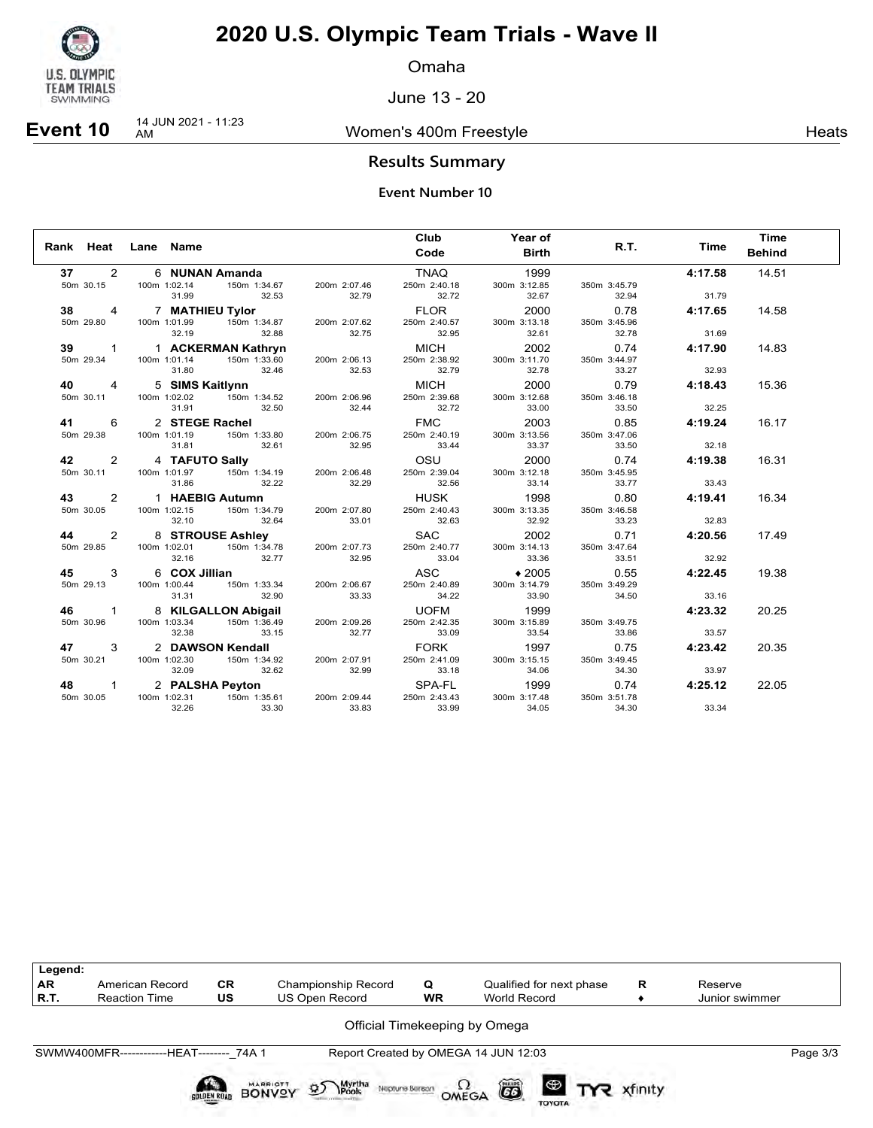

Omaha

June 13 - 20

### **Event 10** 14 JUN 2021 - 11:23

Women's 400m Freestyle **Heats** Heats

### **Results Summary**

|                                   | Rank Heat Lane Name   |                                                                         |                       | Club<br>Code                         | Year of<br><b>Birth</b>       | R.T.                          | <b>Time</b>      | <b>Time</b><br><b>Behind</b> |
|-----------------------------------|-----------------------|-------------------------------------------------------------------------|-----------------------|--------------------------------------|-------------------------------|-------------------------------|------------------|------------------------------|
| $\overline{2}$<br>37              |                       | 6 <b>NUNAN Amanda</b><br>Im 1:02.14 150m 1:34.67                        |                       | <b>TNAQ</b>                          | 1999                          |                               | 4:17.58          | 14.51                        |
| 50m 30.15                         | 100m 1:02.14<br>31.99 | 32.53                                                                   | 200m 2:07.46<br>32.79 | 250m 2:40.18<br>32.72                | 300m 3:12.85<br>32.67         | 350m 3:45.79<br>32.94         | 31.79            |                              |
| 38<br>4<br>50m 29.80              | 100m 1:01.99<br>32.19 | 7 MATHIEU Tylor<br>150m 1:34.87                                         | 200m 2:07.62          | FLOR<br>250m 2:40.57<br>32.95        | 2000<br>300m 3:13.18          | 0.78<br>350m 3:45.96          | 4:17.65          | 14.58                        |
|                                   |                       | 32.88                                                                   | 32.75                 |                                      | 32.61                         | 32.78                         | 31.69            |                              |
| 39<br>$\overline{1}$<br>50m 29.34 | 100m 1:01.14<br>31.80 | 1 ACKERMAN Kathryn<br>150m 1:33.60<br>32.46                             | 200m 2:06.13<br>32.53 | <b>MICH</b><br>250m 2:38.92<br>32.79 | 2002<br>300m 3:11.70<br>32.78 | 0.74<br>350m 3:44.97<br>33.27 | 4:17.90<br>32.93 | 14.83                        |
| 40<br>$\overline{4}$              |                       | 5 SIMS Kaitlynn                                                         |                       | MICH                                 | 2000                          | 0.79                          | 4:18.43          | 15.36                        |
| 50m 30.11                         | 100m 1:02.02<br>31.91 | 150m 1:34.52<br>32.50                                                   | 200m 2:06.96<br>32.44 | 250m 2:39.68<br>32.72                | 300m 3:12.68<br>33.00         | 350m 3:46.18<br>33.50         | 32.25            |                              |
| 6<br>41                           |                       | 2 STEGE Rachel                                                          |                       | <b>FMC</b>                           | 2003                          | 0.85                          | 4:19.24          | 16.17                        |
| 50m 29.38                         | 100m 1:01.19<br>31.81 | 150m 1:33.80<br>32.61                                                   | 200m 2:06.75<br>32.95 | 250m 2:40.19<br>33.44                | 300m 3:13.56<br>33.37         | 350m 3:47.06<br>33.50         | 32.18            |                              |
|                                   |                       |                                                                         |                       |                                      |                               |                               |                  |                              |
| 2<br>42<br>50m 30.11              | 100m 1:01.97<br>31.86 | 4 TAFUTO Sally<br><b>Sally</b><br>150m 1:34.19<br>32.22                 | 200m 2:06.48<br>32.29 | osu<br>250m 2:39.04<br>32.56         | 2000<br>300m 3:12.18<br>33.14 | 0.74<br>350m 3:45.95<br>33.77 | 4:19.38<br>33.43 | 16.31                        |
|                                   |                       |                                                                         |                       |                                      |                               |                               |                  |                              |
| 2<br>43<br>50m 30.05              | 100m 1:02.15<br>32.10 | 1 HAEBIG Autumn<br>150m 1:34.79<br>32.64                                | 200m 2:07.80<br>33.01 | HUSK<br>250m 2:40.43<br>32.63        | 1998<br>300m 3:13.35<br>32.92 | 0.80<br>350m 3:46.58<br>33.23 | 4:19.41<br>32.83 | 16.34                        |
| 2<br>44                           |                       | 8 STROUSE Ashley                                                        |                       | SAC                                  | 2002                          | 0.71                          | 4:20.56          | 17.49                        |
| 50m 29.85                         | 100m 1:02.01<br>32.16 | 150m 1:34.78<br>32.77                                                   | 200m 2:07.73<br>32.95 | 250m 2:40.77<br>33.04                | 300m 3:14.13<br>33.36         | 350m 3:47.64<br>33.51         | 32.92            |                              |
| 3<br>45                           | 6 COX Jillian         |                                                                         |                       | ASC                                  | $*2005$                       | 0.55                          | 4:22.45          | 19.38                        |
| 50m 29.13                         | 100m 1:00.44<br>31.31 | 150m 1:33.34<br>32.90                                                   | 200m 2:06.67<br>33.33 | 250m 2:40.89<br>34.22                | 300m 3:14.79<br>33.90         | 350m 3:49.29<br>34.50         | 33.16            |                              |
| 46<br>$\overline{1}$              |                       |                                                                         |                       | <b>UOFM</b>                          | 1999                          |                               | 4:23.32          | 20.25                        |
| 50m 30.96                         | 100m 1:03.34<br>32.38 | 8 KILGALLON Abigail<br>Im 1:03.34 150m 1:36.49<br>150m 1:36.49<br>33.15 | 200m 2:09.26<br>32.77 | 250m 2:42.35<br>33.09                | 300m 3:15.89<br>33.54         | 350m 3:49.75<br>33.86         | 33.57            |                              |
| 47<br>3                           |                       | 2 DAWSON Kendall                                                        |                       | <b>FORK</b>                          | 1997                          | 0.75                          | 4:23.42          | 20.35                        |
| 50m 30.21                         | 100m 1:02.30<br>32.09 | 150m 1:34.92<br>32.62                                                   | 200m 2:07.91<br>32.99 | 250m 2:41.09<br>33.18                | 300m 3:15.15<br>34.06         | 350m 3:49.45<br>34.30         | 33.97            |                              |
| 48<br>$\mathbf{1}$                |                       | 2 PALSHA Peyton                                                         |                       | SPA-FL                               | 1999                          | 0.74                          | 4:25.12          | 22.05                        |
| 50m 30.05                         | 100m 1:02.31<br>32.26 | 150m 1:35.61<br>33.30                                                   | 200m 2:09.44<br>33.83 | 250m 2:43.43<br>33.99                | 300m 3:17.48<br>34.05         | 350m 3:51.78<br>34.30         | 33.34            |                              |

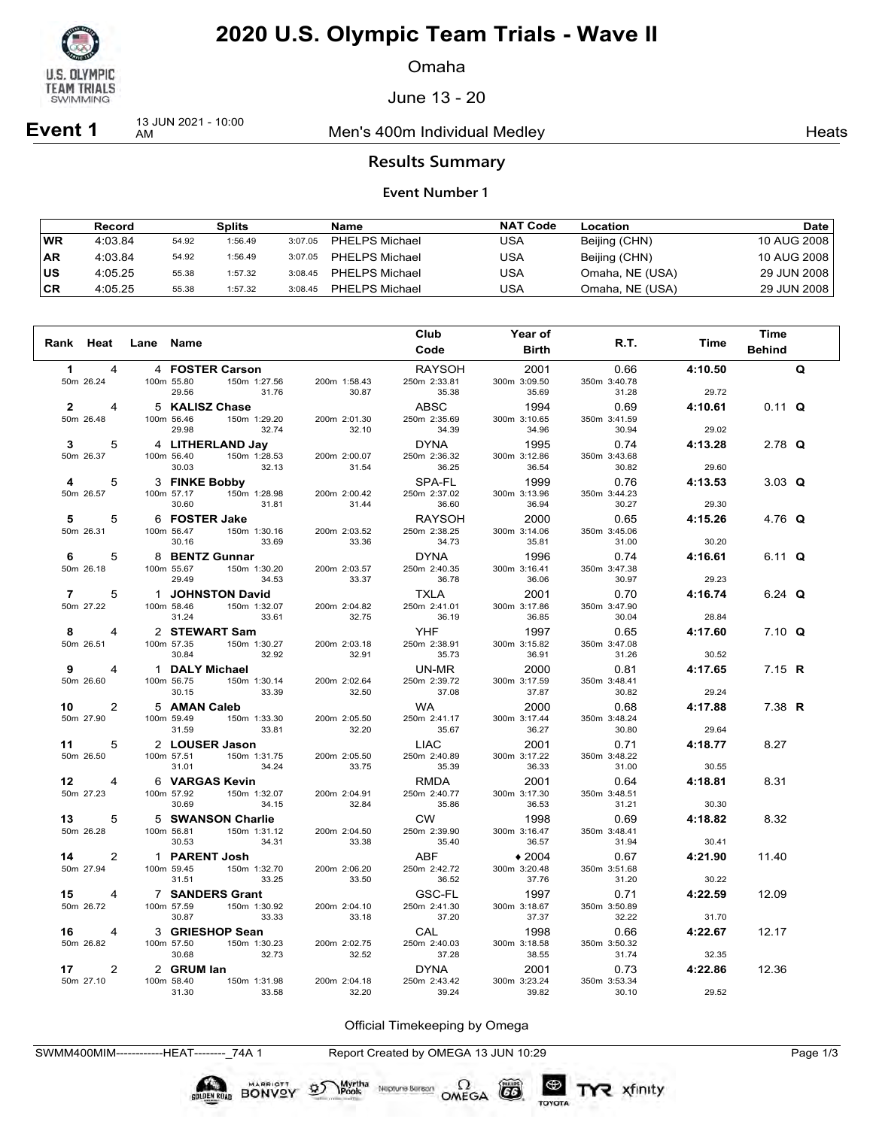

Omaha

June 13 - 20

**Event 1** 13 JUN 2021 - 10:00

Men's 400m Individual Medley Nearly Nearly Heats

### **Results Summary**

#### **Event Number 1**

|           | Record  |       | <b>Splits</b> |         | Name                  | <b>NAT Code</b> | Location        | Date l      |
|-----------|---------|-------|---------------|---------|-----------------------|-----------------|-----------------|-------------|
| <b>WR</b> | 4:03.84 | 54.92 | 1:56.49       | 3:07.05 | PHELPS Michael        | USA             | Beijing (CHN)   | 10 AUG 2008 |
| <b>AR</b> | 4:03.84 | 54.92 | 1:56.49       | 3:07.05 | PHELPS Michael        | USA             | Beijing (CHN)   | 10 AUG 2008 |
| ΙUS       | 4:05.25 | 55.38 | 1:57.32       | 3:08.45 | <b>PHELPS Michael</b> | USA             | Omaha, NE (USA) | 29 JUN 2008 |
| ∣CR       | 4:05.25 | 55.38 | 1:57.32       | 3:08.45 | <b>PHELPS Michael</b> | USA             | Omaha, NE (USA) | 29 JUN 2008 |

|                      |                                              |                       | Club                  | <b>Year of</b>        |                       |         | Time          |   |
|----------------------|----------------------------------------------|-----------------------|-----------------------|-----------------------|-----------------------|---------|---------------|---|
| Rank Heat Lane Name  |                                              |                       | Code                  | <b>Birth</b>          | R.T.                  | Time    | <b>Behind</b> |   |
| $\mathbf 1$<br>4     | 4 FOSTER Carson                              |                       | RAYSOH                | 2001                  | 0.66                  | 4:10.50 |               | Q |
| 50m 26.24            | 100m 55.80<br>150m 1:27.56<br>29.56<br>31.76 | 200m 1:58.43<br>30.87 | 250m 2:33.81<br>35.38 | 300m 3:09.50<br>35.69 | 350m 3:40.78<br>31.28 | 29.72   |               |   |
| $2^{\sim}$<br>4      | 5 KALISZ Chase                               |                       | ABSC                  | 1994                  | 0.69                  | 4:10.61 | $0.11$ Q      |   |
| 50m 26.48            | 100m 56.46<br>150m 1:29.20<br>29.98<br>32.74 | 200m 2:01.30<br>32.10 | 250m 2:35.69<br>34.39 | 300m 3:10.65<br>34.96 | 350m 3:41.59<br>30.94 | 29.02   |               |   |
| 3<br>5               | 4 LITHERLAND Jav                             |                       | <b>DYNA</b>           | 1995                  | 0.74                  | 4:13.28 | 2.78 $Q$      |   |
| 50m 26.37            | 150m 1:28.53<br>100m 56.40<br>30.03<br>32.13 | 200m 2:00.07<br>31.54 | 250m 2:36.32<br>36.25 | 300m 3:12.86<br>36.54 | 350m 3:43.68<br>30.82 | 29.60   |               |   |
| 4<br>5               | 3 FINKE Bobby                                |                       | SPA-FL                | 1999                  | 0.76                  | 4:13.53 | 3.03 $Q$      |   |
| 50m 26.57            | 150m 1:28.98<br>100m 57.17<br>30.60<br>31.81 | 200m 2:00.42<br>31.44 | 250m 2:37.02<br>36.60 | 300m 3:13.96<br>36.94 | 350m 3:44.23<br>30.27 | 29.30   |               |   |
| 5<br>5               | 6 FOSTER Jake                                |                       | <b>RAYSOH</b>         | 2000                  | 0.65                  | 4:15.26 | 4.76 Q        |   |
| 50m 26.31            | 150m 1:30.16<br>100m 56.47                   | 200m 2:03.52          | 250m 2:38.25          | 300m 3:14.06          | 350m 3:45.06          |         |               |   |
|                      | 30.16<br>33.69                               | 33.36                 | 34.73                 | 35.81                 | 31.00                 | 30.20   |               |   |
| 5<br>6               | 8 BENTZ Gunnar                               |                       | <b>DYNA</b>           | 1996                  | 0.74                  | 4:16.61 | 6.11 Q        |   |
| 50m 26.18            | 100m 55.67<br>150m 1:30.20<br>29.49<br>34.53 | 200m 2:03.57<br>33.37 | 250m 2:40.35<br>36.78 | 300m 3:16.41<br>36.06 | 350m 3:47.38<br>30.97 | 29.23   |               |   |
| $\overline{7}$<br>5  | <b>1 JOHNSTON David</b>                      |                       | <b>TXLA</b>           | 2001                  | 0.70                  | 4:16.74 | 6.24 $Q$      |   |
| 50m 27.22            | 150m 1:32.07<br>100m 58.46                   | 200m 2:04.82          | 250m 2:41.01          | 300m 3:17.86          | 350m 3:47.90          |         |               |   |
|                      | 31.24<br>33.61                               | 32.75                 | 36.19                 | 36.85                 | 30.04                 | 28.84   |               |   |
| 8<br>4               | 2 STEWART Sam                                |                       | YHF                   | 1997                  | 0.65                  | 4:17.60 | $7.10 \Omega$ |   |
| 50m 26.51            | 150m 1:30.27<br>100m 57.35<br>30.84<br>32.92 | 200m 2:03.18<br>32.91 | 250m 2:38.91<br>35.73 | 300m 3:15.82<br>36.91 | 350m 3:47.08<br>31.26 | 30.52   |               |   |
| 9<br>4               | 1 DALY Michael                               |                       | UN-MR                 | 2000                  | 0.81                  | 4:17.65 | 7.15 <b>R</b> |   |
| 50m 26.60            | 100m 56.75<br>150m 1:30.14<br>30.15<br>33.39 | 200m 2:02.64<br>32.50 | 250m 2:39.72<br>37.08 | 300m 3:17.59<br>37.87 | 350m 3:48.41<br>30.82 | 29.24   |               |   |
| 10<br>2              | 5 AMAN Caleb                                 |                       | <b>WA</b>             | 2000                  | 0.68                  | 4:17.88 | 7.38 R        |   |
| 50m 27.90            | 100m 59.49<br>150m 1:33.30<br>31.59<br>33.81 | 200m 2:05.50<br>32.20 | 250m 2:41.17<br>35.67 | 300m 3:17.44<br>36.27 | 350m 3:48.24<br>30.80 | 29.64   |               |   |
| 5<br>$11$ and $11$   | 2 LOUSER Jason                               |                       | LIAC                  | 2001                  | 0.71                  | 4:18.77 | 8.27          |   |
| 50m 26.50            | 100m 57.51<br>150m 1:31.75<br>31.01<br>34.24 | 200m 2:05.50<br>33.75 | 250m 2:40.89<br>35.39 | 300m 3:17.22<br>36.33 | 350m 3:48.22<br>31.00 | 30.55   |               |   |
| 12<br>$\overline{4}$ | 6 VARGAS Kevin                               |                       | RMDA                  | 2001                  | 0.64                  | 4:18.81 | 8.31          |   |
| 50m 27.23            | 100m 57.92<br>150m 1:32.07                   | 200m 2:04.91          | 250m 2:40.77          | 300m 3:17.30          | 350m 3:48.51          |         |               |   |
|                      | 30.69<br>34.15                               | 32.84                 | 35.86                 | 36.53                 | 31.21                 | 30.30   |               |   |
| 13 —<br>5            | 5 SWANSON Charlie                            |                       | <b>CW</b>             | 1998                  | 0.69                  | 4:18.82 | 8.32          |   |
| 50m 26.28            | 150m 1:31.12<br>100m 56.81<br>30.53<br>34.31 | 200m 2:04.50<br>33.38 | 250m 2:39.90<br>35.40 | 300m 3:16.47<br>36.57 | 350m 3:48.41<br>31.94 | 30.41   |               |   |
| 14<br>$\overline{2}$ | 1 PARENT Josh                                |                       | ABF                   | $*2004$               | 0.67                  | 4:21.90 | 11.40         |   |
| 50m 27.94            | 150m 1:32.70<br>100m 59.45<br>31.51<br>33.25 | 200m 2:06.20<br>33.50 | 250m 2:42.72<br>36.52 | 300m 3:20.48<br>37.76 | 350m 3:51.68<br>31.20 | 30.22   |               |   |
| 15<br>4              | 7 SANDERS Grant                              |                       | GSC-FL                | 1997                  | 0.71                  | 4:22.59 | 12.09         |   |
| 50m 26.72            | 150m 1:30.92<br>100m 57.59<br>30.87<br>33.33 | 200m 2:04.10<br>33.18 | 250m 2:41.30<br>37.20 | 300m 3:18.67<br>37.37 | 350m 3:50.89<br>32.22 | 31.70   |               |   |
| 16<br>4              | 3 GRIESHOP Sean                              |                       | CAL                   | 1998                  | 0.66                  | 4:22.67 | 12.17         |   |
| 50m 26.82            | 100m 57.50<br>150m 1:30.23                   | 200m 2:02.75          | 250m 2:40.03          | 300m 3:18.58          | 350m 3:50.32          |         |               |   |
|                      | 30.68<br>32.73                               | 32.52                 | 37.28                 | 38.55                 | 31.74                 | 32.35   |               |   |
| 17<br>2              | 2 GRUM lan                                   |                       | <b>DYNA</b>           | 2001                  | 0.73                  | 4:22.86 | 12.36         |   |
| 50m 27.10            | 100m 58.40<br>150m 1:31.98<br>31.30<br>33.58 | 200m 2:04.18<br>32.20 | 250m 2:43.42<br>39.24 | 300m 3:23.24<br>39.82 | 350m 3:53.34<br>30.10 | 29.52   |               |   |

Official Timekeeping by Omega

SWMM400MIM------------HEAT--------\_74A 1 Report Created by OMEGA 13 JUN 10:29 Page 1/3

**BONVOY** 

Neptune Bergan  $\Omega$ <br>OMEGA

 $(G)$ 

TOYOTA

Myrtha<br>Pools

 $\mathfrak{D}$ 

TYR xfinity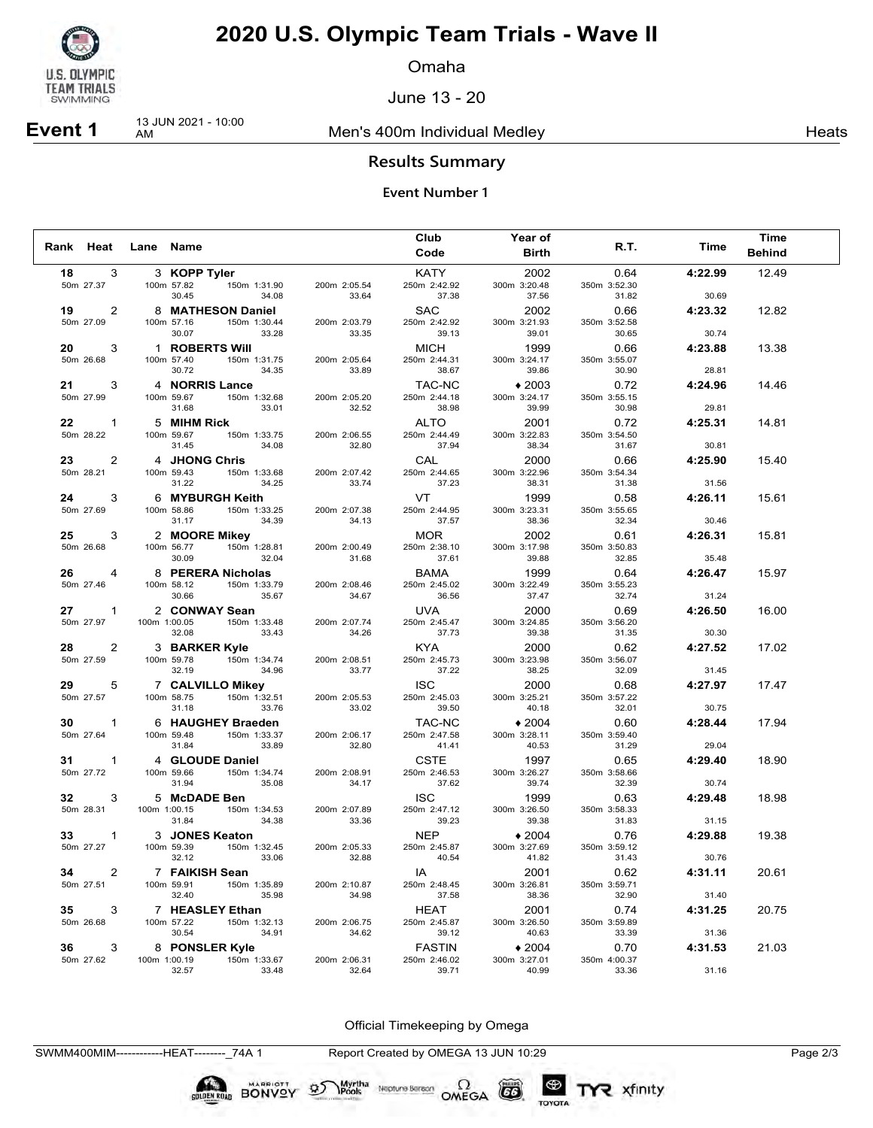

Omaha

June 13 - 20

**Event 1** 13 JUN 2021 - 10:00

Men's 400m Individual Medley Nearly Nearly Heats

### **Results Summary**

#### **Event Number 1**

|                                   |              |                                                 |                       | Club                        | Year of                 |                       |         | <b>Time</b>   |
|-----------------------------------|--------------|-------------------------------------------------|-----------------------|-----------------------------|-------------------------|-----------------------|---------|---------------|
| Rank Heat                         | Lane Name    |                                                 |                       | Code                        | <b>Birth</b>            | R.T.                  | Time    | <b>Behind</b> |
| 3<br>18                           |              | 3 KOPP Tyler                                    |                       | KATY                        | 2002                    | 0.64                  | 4:22.99 | 12.49         |
| 50m 27.37                         |              | 100m 57.82<br>150m 1:31.90                      | 200m 2:05.54          | 250m 2:42.92                | 300m 3:20.48            | 350m 3:52.30          |         |               |
|                                   |              | 30.45<br>34.08                                  | 33.64                 | 37.38                       | 37.56                   | 31.82                 | 30.69   |               |
| 2<br>19<br>50m 27.09              |              | 8 MATHESON Daniel<br>100m 57.16<br>150m 1:30.44 | 200m 2:03.79          | <b>SAC</b><br>250m 2:42.92  | 2002<br>300m 3:21.93    | 0.66<br>350m 3:52.58  | 4:23.32 | 12.82         |
|                                   |              | 30.07<br>33.28                                  | 33.35                 | 39.13                       | 39.01                   | 30.65                 | 30.74   |               |
| 3<br>20                           |              | 1 ROBERTS Will                                  |                       | <b>MICH</b>                 | 1999                    | 0.66                  | 4:23.88 | 13.38         |
| 50m 26.68                         |              | 150m 1:31.75<br>100m 57.40                      | 200m 2:05.64          | 250m 2:44.31                | 300m 3:24.17            | 350m 3:55.07          |         |               |
|                                   |              | 30.72<br>34.35                                  | 33.89                 | 38.67                       | 39.86                   | 30.90                 | 28.81   |               |
| 21<br>3                           |              | 4 NORRIS Lance                                  |                       | TAC-NC                      | $*2003$                 | 0.72                  | 4:24.96 | 14.46         |
| 50m 27.99                         |              | 150m 1:32.68<br>100m 59.67<br>31.68<br>33.01    | 200m 2:05.20<br>32.52 | 250m 2:44.18<br>38.98       | 300m 3:24.17<br>39.99   | 350m 3:55.15<br>30.98 | 29.81   |               |
| 22<br>$\mathbf{1}$                |              | 5 MIHM Rick                                     |                       | <b>ALTO</b>                 | 2001                    | 0.72                  | 4:25.31 | 14.81         |
| 50m 28.22                         |              | 150m 1:33.75<br>100m 59.67                      | 200m 2:06.55          | 250m 2:44.49                | 300m 3:22.83            | 350m 3:54.50          |         |               |
|                                   |              | 31.45<br>34.08                                  | 32.80                 | 37.94                       | 38.34                   | 31.67                 | 30.81   |               |
| 23<br>2                           |              | 4 JHONG Chris                                   |                       | CAL                         | 2000                    | 0.66                  | 4:25.90 | 15.40         |
| 50m 28.21                         |              | 150m 1:33.68<br>100m 59.43<br>31.22<br>34.25    | 200m 2:07.42<br>33.74 | 250m 2:44.65<br>37.23       | 300m 3:22.96<br>38.31   | 350m 3:54.34<br>31.38 | 31.56   |               |
| 24<br>3                           |              | 6 MYBURGH Keith                                 |                       | VT                          | 1999                    | 0.58                  | 4:26.11 | 15.61         |
| 50m 27.69                         |              | 150m 1:33.25<br>100m 58.86                      | 200m 2:07.38          | 250m 2:44.95                | 300m 3:23.31            | 350m 3:55.65          |         |               |
|                                   |              | 31.17<br>34.39                                  | 34.13                 | 37.57                       | 38.36                   | 32.34                 | 30.46   |               |
| 25<br>3                           |              | 2 MOORE Mikey                                   |                       | <b>MOR</b>                  | 2002                    | 0.61                  | 4:26.31 | 15.81         |
| 50m 26.68                         |              | 150m 1:28.81<br>100m 56.77                      | 200m 2:00.49          | 250m 2:38.10                | 300m 3:17.98            | 350m 3:50.83          |         |               |
|                                   |              | 30.09<br>32.04                                  | 31.68                 | 37.61                       | 39.88                   | 32.85                 | 35.48   |               |
| 26<br>4<br>50m 27.46              |              | 8 PERERA Nicholas<br>100m 58.12<br>150m 1:33.79 | 200m 2:08.46          | <b>BAMA</b><br>250m 2:45.02 | 1999<br>300m 3:22.49    | 0.64<br>350m 3:55.23  | 4:26.47 | 15.97         |
|                                   |              | 30.66<br>35.67                                  | 34.67                 | 36.56                       | 37.47                   | 32.74                 | 31.24   |               |
| 27<br>$\overline{1}$              |              | 2 CONWAY Sean                                   |                       | <b>UVA</b>                  | 2000                    | 0.69                  | 4:26.50 | 16.00         |
| 50m 27.97                         | 100m 1:00.05 | 150m 1:33.48                                    | 200m 2:07.74          | 250m 2:45.47                | 300m 3:24.85            | 350m 3:56.20          |         |               |
|                                   |              | 32.08<br>33.43                                  | 34.26                 | 37.73                       | 39.38                   | 31.35                 | 30.30   |               |
| $\overline{2}$<br>28<br>50m 27.59 |              | 3 BARKER Kyle<br>100m 59.78<br>150m 1:34.74     | 200m 2:08.51          | <b>KYA</b><br>250m 2:45.73  | 2000<br>300m 3:23.98    | 0.62<br>350m 3:56.07  | 4:27.52 | 17.02         |
|                                   |              | 32.19<br>34.96                                  | 33.77                 | 37.22                       | 38.25                   | 32.09                 | 31.45   |               |
| 5<br>29                           |              | 7 CALVILLO Mikey                                |                       | <b>ISC</b>                  | 2000                    | 0.68                  | 4:27.97 | 17.47         |
| 50m 27.57                         |              | 100m 58.75<br>150m 1:32.51                      | 200m 2:05.53          | 250m 2:45.03                | 300m 3:25.21            | 350m 3:57.22          |         |               |
|                                   |              | 31.18<br>33.76                                  | 33.02                 | 39.50                       | 40.18                   | 32.01                 | 30.75   |               |
| 30<br>1                           |              | 6 HAUGHEY Braeden                               |                       | TAC-NC                      | $*2004$                 | 0.60                  | 4:28.44 | 17.94         |
| 50m 27.64                         |              | 150m 1:33.37<br>100m 59.48<br>31.84<br>33.89    | 200m 2:06.17<br>32.80 | 250m 2:47.58<br>41.41       | 300m 3:28.11<br>40.53   | 350m 3:59.40<br>31.29 | 29.04   |               |
| 31<br>1                           |              | 4 GLOUDE Daniel                                 |                       | <b>CSTE</b>                 | 1997                    | 0.65                  | 4:29.40 | 18.90         |
| 50m 27.72                         |              | 150m 1:34.74<br>100m 59.66                      | 200m 2:08.91          | 250m 2:46.53                | 300m 3:26.27            | 350m 3:58.66          |         |               |
|                                   |              | 35.08<br>31.94                                  | 34.17                 | 37.62                       | 39.74                   | 32.39                 | 30.74   |               |
| 32<br>3                           |              | 5 McDADE Ben                                    |                       | <b>ISC</b>                  | 1999                    | 0.63                  | 4:29.48 | 18.98         |
| 50m 28.31                         | 100m 1:00.15 | 150m 1:34.53<br>34.38                           | 200m 2:07.89<br>33.36 | 250m 2:47.12                | 300m 3:26.50            | 350m 3:58.33          |         |               |
| $\mathbf{1}$<br>33                |              | 31.84                                           |                       | 39.23<br><b>NEP</b>         | 39.38                   | 31.83                 | 31.15   |               |
| 50m 27.27                         |              | 3 JONES Keaton<br>100m 59.39<br>150m 1:32.45    | 200m 2:05.33          | 250m 2:45.87                | $*2004$<br>300m 3:27.69 | 0.76<br>350m 3:59.12  | 4:29.88 | 19.38         |
|                                   |              | 32.12<br>33.06                                  | 32.88                 | 40.54                       | 41.82                   | 31.43                 | 30.76   |               |
| 2<br>34                           |              | 7 FAIKISH Sean                                  |                       | IA                          | 2001                    | 0.62                  | 4:31.11 | 20.61         |
| 50m 27.51                         |              | 100m 59.91 150m 1:35.89                         | 200m 2:10.87          | 250m 2:48.45                | 300m 3:26.81            | 350m 3:59.71          |         |               |
|                                   |              | 32.40<br>35.98                                  | 34.98                 | 37.58                       | 38.36                   | 32.90                 | 31.40   |               |
| 35<br>3<br>50m 26.68              |              | 7 HEASLEY Ethan<br>100m 57.22<br>150m 1:32.13   | 200m 2:06.75          | HEAT<br>250m 2:45.87        | 2001<br>300m 3:26.50    | 0.74<br>350m 3:59.89  | 4:31.25 | 20.75         |
|                                   |              | 30.54<br>34.91                                  | 34.62                 | 39.12                       | 40.63                   | 33.39                 | 31.36   |               |
| 36<br>3                           |              | 8 PONSLER Kyle                                  |                       | <b>FASTIN</b>               | $*2004$                 | 0.70                  | 4:31.53 | 21.03         |
| 50m 27.62                         |              | 150m 1:33.67<br>100m 1:00.19                    | 200m 2:06.31          | 250m 2:46.02                | 300m 3:27.01            | 350m 4:00.37          |         |               |
|                                   |              | 32.57<br>33.48                                  | 32.64                 | 39.71                       | 40.99                   | 33.36                 | 31.16   |               |

Official Timekeeping by Omega

SWMM400MIM------------HEAT--------\_74A 1 Report Created by OMEGA 13 JUN 10:29 Page 2/3

**BONVOY** 

Myrtha<br>Pools

 $\mathfrak{D}$ 

Neptune Berson  $\Omega$ <br>OMEGA

 $G6$ 

TOYOTA

TYR xfinity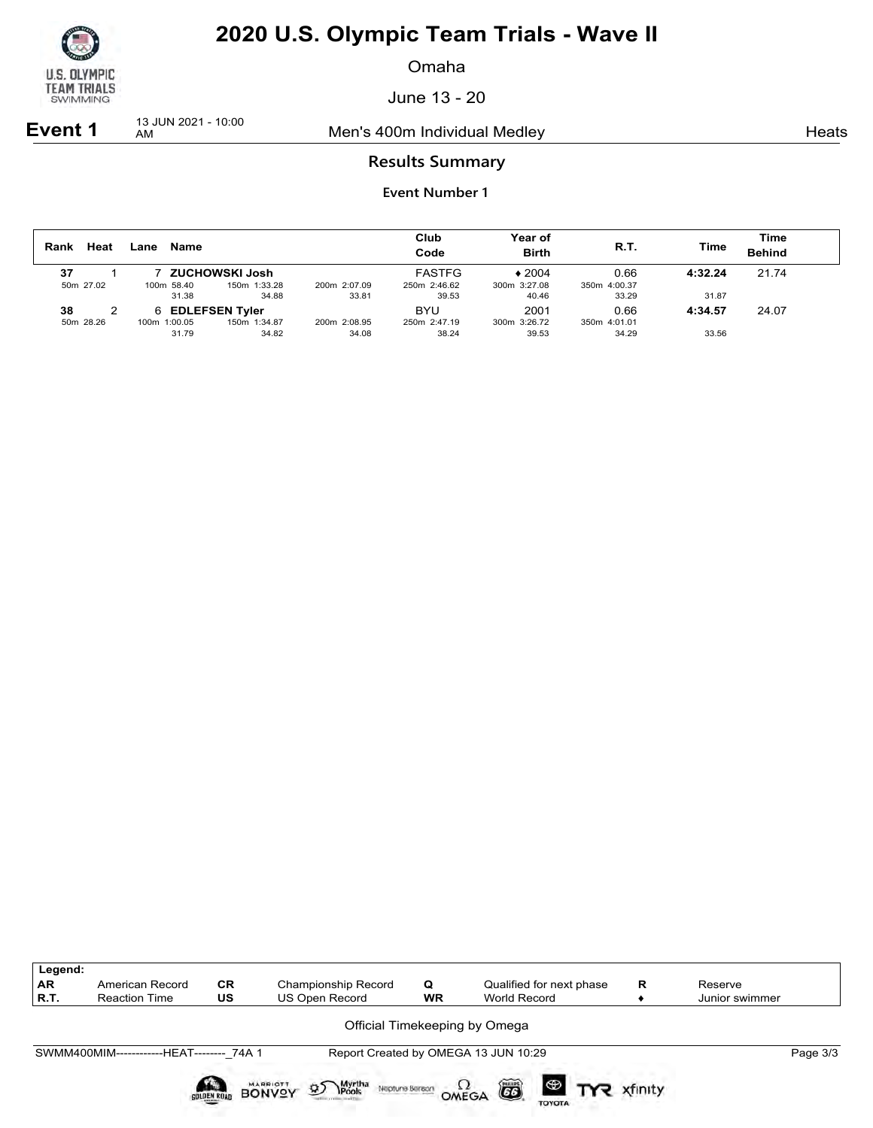

Omaha

June 13 - 20

**Event 1** 13 JUN 2021 - 10:00

Men's 400m Individual Medley Nearly Nearly Heats

### **Results Summary**

| Heat<br>Rank    | Lane | Name                                      |                       |                       | Club<br>Code                           | Year of<br><b>Birth</b>          | <b>R.T.</b>                   | Time             | Time<br><b>Behind</b> |
|-----------------|------|-------------------------------------------|-----------------------|-----------------------|----------------------------------------|----------------------------------|-------------------------------|------------------|-----------------------|
| 37<br>50m 27.02 |      | ZUCHOWSKI Josh<br>100m 58.40<br>31.38     | 150m 1:33.28<br>34.88 | 200m 2:07.09<br>33.81 | <b>FASTFG</b><br>250m 2:46.62<br>39.53 | $*2004$<br>300m 3:27.08<br>40.46 | 0.66<br>350m 4:00.37<br>33.29 | 4:32.24<br>31.87 | 21.74                 |
| 38<br>50m 28.26 |      | 6 EDLEFSEN Tyler<br>100m 1:00.05<br>31.79 | 150m 1:34.87<br>34.82 | 200m 2:08.95<br>34.08 | <b>BYU</b><br>250m 2:47.19<br>38.24    | 2001<br>300m 3:26.72<br>39.53    | 0.66<br>350m 4:01.01<br>34.29 | 4:34.57<br>33.56 | 24.07                 |

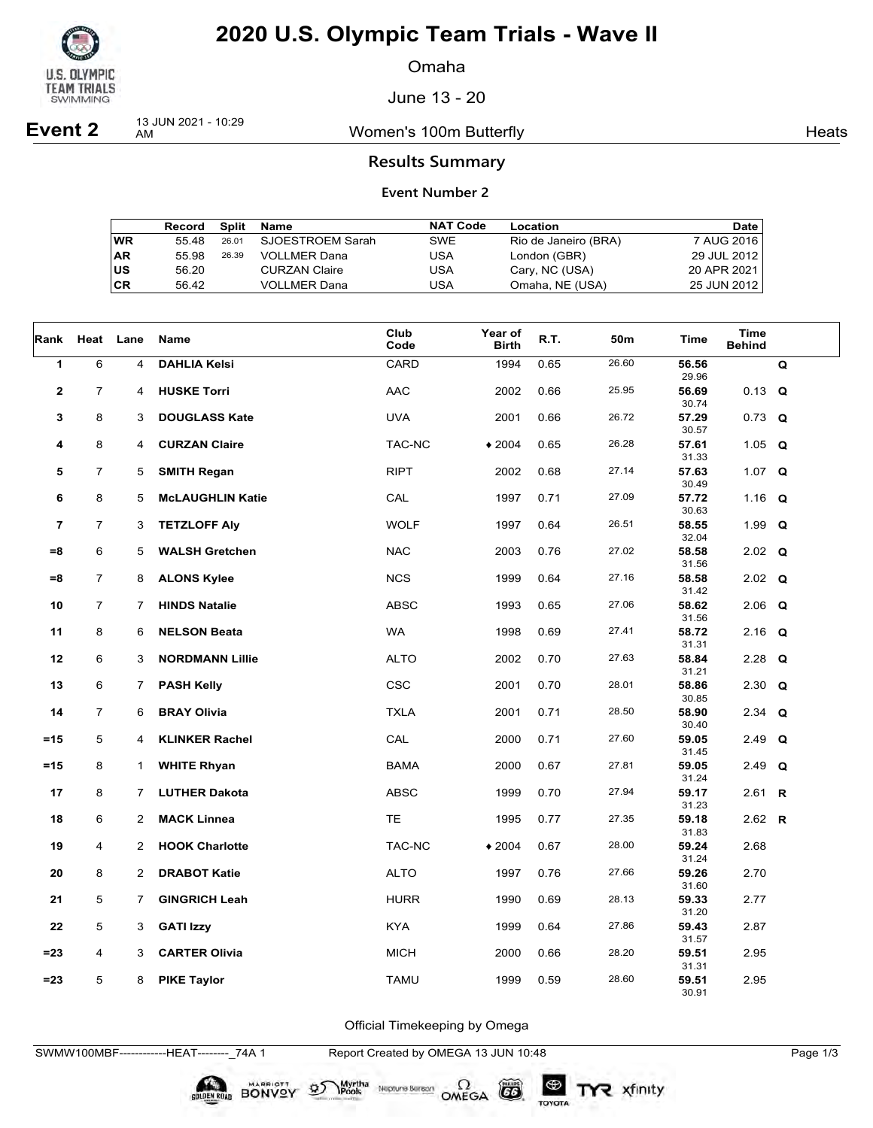

Omaha

June 13 - 20

**Event 2** 13 JUN 2021 - 10:29

Women's 100m Butterfly **American Control** Heats

### **Results Summary**

#### **Event Number 2**

|    | Record | Split | Name                 | <b>NAT Code</b> | Location             | Date        |
|----|--------|-------|----------------------|-----------------|----------------------|-------------|
| WR | 55.48  | 26.01 | SJOESTROEM Sarah     | <b>SWE</b>      | Rio de Janeiro (BRA) | 7 AUG 2016  |
| AR | 55.98  | 26.39 | VOLLMER Dana         | USA             | London (GBR)         | 29 JUL 2012 |
| US | 56.20  |       | <b>CURZAN Claire</b> | USA             | Cary, NC (USA)       | 20 APR 2021 |
| СR | 56.42  |       | <b>VOLLMER Dana</b>  | USA             | Omaha, NE (USA)      | 25 JUN 2012 |

| Rank                    |                | Heat Lane      | Name                    | Club<br>Code   | Year of<br><b>Birth</b> | R.T. | 50m   | Time                    | <b>Time</b><br><b>Behind</b> |   |
|-------------------------|----------------|----------------|-------------------------|----------------|-------------------------|------|-------|-------------------------|------------------------------|---|
| 1                       | 6              | 4              | <b>DAHLIA Kelsi</b>     | <b>CARD</b>    | 1994                    | 0.65 | 26.60 | 56.56<br>29.96          |                              | Q |
| $\mathbf 2$             | $\overline{7}$ | 4              | <b>HUSKE Torri</b>      | <b>AAC</b>     | 2002                    | 0.66 | 25.95 | 56.69<br>30.74          | $0.13$ Q                     |   |
| 3                       | 8              | 3              | <b>DOUGLASS Kate</b>    | <b>UVA</b>     | 2001                    | 0.66 | 26.72 | 57.29<br>30.57          | $0.73$ Q                     |   |
| 4                       | 8              | 4              | <b>CURZAN Claire</b>    | TAC-NC         | $*2004$                 | 0.65 | 26.28 | 57.61                   | 1.05 $Q$                     |   |
| 5                       | $\overline{7}$ | 5              | <b>SMITH Regan</b>      | <b>RIPT</b>    | 2002                    | 0.68 | 27.14 | 31.33<br>57.63          | 1.07 $Q$                     |   |
| 6                       | 8              | 5              | <b>McLAUGHLIN Katie</b> | $\mathsf{CAL}$ | 1997                    | 0.71 | 27.09 | 30.49<br>57.72          | 1.16 $Q$                     |   |
| $\overline{\mathbf{r}}$ | $\overline{7}$ | 3              | <b>TETZLOFF Aly</b>     | <b>WOLF</b>    | 1997                    | 0.64 | 26.51 | 30.63<br>58.55          | 1.99 $Q$                     |   |
| $= 8$                   | 6              | 5              | <b>WALSH Gretchen</b>   | <b>NAC</b>     | 2003                    | 0.76 | 27.02 | 32.04<br>58.58          | $2.02$ Q                     |   |
| $= 8$                   | $\overline{7}$ | 8              | <b>ALONS Kylee</b>      | <b>NCS</b>     | 1999                    | 0.64 | 27.16 | 31.56<br>58.58          | $2.02$ Q                     |   |
| 10                      | 7              | 7              | <b>HINDS Natalie</b>    | <b>ABSC</b>    | 1993                    | 0.65 | 27.06 | 31.42<br>58.62          | $2.06$ Q                     |   |
| 11                      | 8              | 6              | <b>NELSON Beata</b>     | <b>WA</b>      | 1998                    | 0.69 | 27.41 | 31.56<br>58.72          | $2.16$ Q                     |   |
| 12                      | 6              | 3              | <b>NORDMANN Lillie</b>  | <b>ALTO</b>    | 2002                    | 0.70 | 27.63 | 31.31<br>58.84          | $2.28$ Q                     |   |
| 13                      | 6              | 7              | <b>PASH Kelly</b>       | <b>CSC</b>     | 2001                    | 0.70 | 28.01 | 31.21<br>58.86          | 2.30 $Q$                     |   |
| 14                      | $\overline{7}$ | 6              | <b>BRAY Olivia</b>      | <b>TXLA</b>    | 2001                    | 0.71 | 28.50 | 30.85<br>58.90          | 2.34 $Q$                     |   |
|                         |                |                |                         | CAL            | 2000                    | 0.71 | 27.60 | 30.40                   |                              |   |
| $=15$                   | 5              | 4              | <b>KLINKER Rachel</b>   |                |                         |      |       | 59.05<br>31.45          | $2.49$ Q                     |   |
| $=15$                   | 8              | $\mathbf{1}$   | <b>WHITE Rhyan</b>      | <b>BAMA</b>    | 2000                    | 0.67 | 27.81 | 59.05<br>31.24          | 2.49 $Q$                     |   |
| 17                      | 8              | 7              | <b>LUTHER Dakota</b>    | <b>ABSC</b>    | 1999                    | 0.70 | 27.94 | 59.17<br>31.23          | 2.61 <b>R</b>                |   |
| 18                      | 6              | 2              | <b>MACK Linnea</b>      | <b>TE</b>      | 1995                    | 0.77 | 27.35 | 59.18<br>31.83          | 2.62 $R$                     |   |
| 19                      | 4              | $\overline{2}$ | <b>HOOK Charlotte</b>   | TAC-NC         | $*2004$                 | 0.67 | 28.00 | 59.24<br>31.24          | 2.68                         |   |
| 20                      | 8              | $\overline{2}$ | <b>DRABOT Katie</b>     | <b>ALTO</b>    | 1997                    | 0.76 | 27.66 | 59.26                   | 2.70                         |   |
| 21                      | 5              | 7              | <b>GINGRICH Leah</b>    | <b>HURR</b>    | 1990                    | 0.69 | 28.13 | 31.60<br>59.33          | 2.77                         |   |
| 22                      | 5              | 3              | <b>GATI Izzy</b>        | <b>KYA</b>     | 1999                    | 0.64 | 27.86 | 31.20<br>59.43          | 2.87                         |   |
| $= 23$                  | 4              | 3              | <b>CARTER Olivia</b>    | <b>MICH</b>    | 2000                    | 0.66 | 28.20 | 31.57<br>59.51          | 2.95                         |   |
| $= 23$                  | 5              | 8              | <b>PIKE Taylor</b>      | <b>TAMU</b>    | 1999                    | 0.59 | 28.60 | 31.31<br>59.51<br>30.91 | 2.95                         |   |

Official Timekeeping by Omega

SWMW100MBF------------HEAT--------\_74A 1 Report Created by OMEGA 13 JUN 10:48 Page 1/3

**SOLDEN ROAD BONVOY 95** 

 $G6$ 

TOYOTA

 $\sum_{\text{Pools}}$  Neptune Berean OMEGA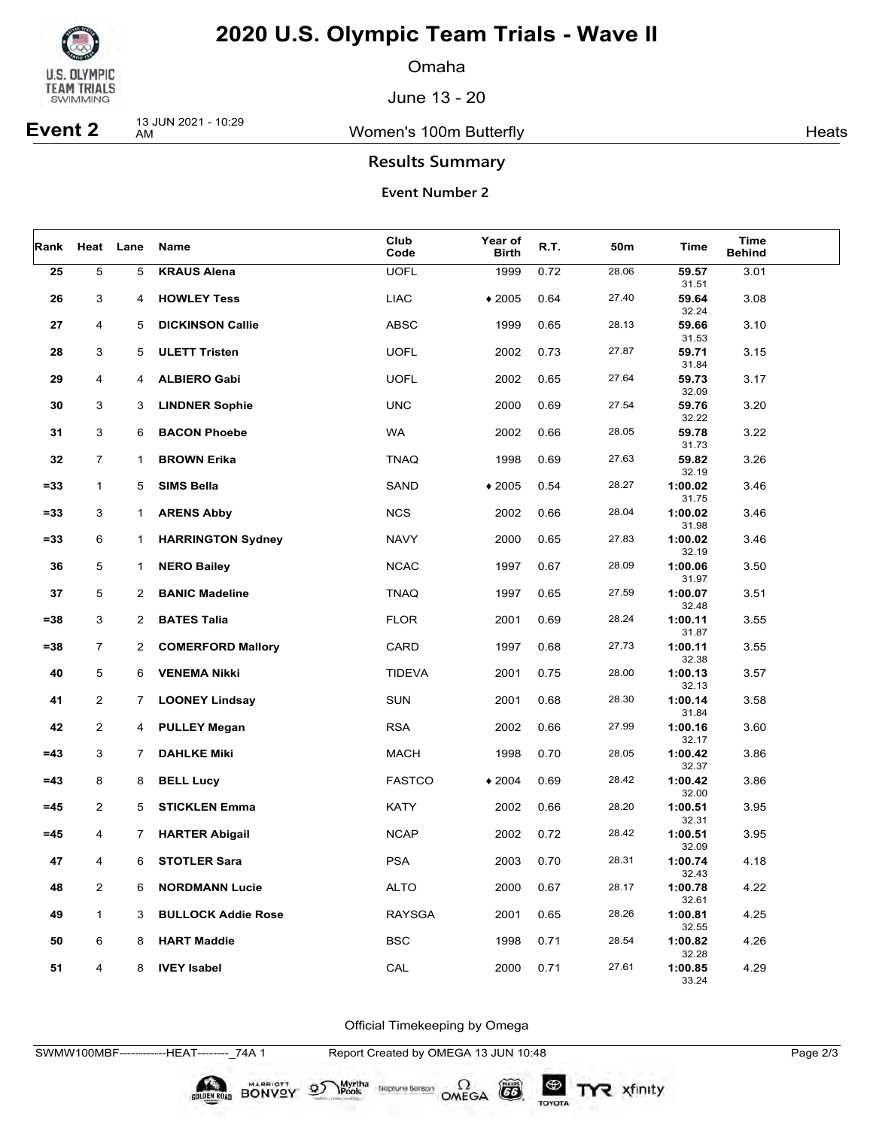

Omaha

June 13 - 20

**Event 2** 13 JUN 2021 - 10:29

Women's 100m Butterfly **American** Heats Heats

### **Results Summary**

#### **Event Number 2**

| Rank   |                | Heat Lane      | Name                      | Club<br>Code  | Year of<br><b>Birth</b> | R.T. | 50m   | Time             | <b>Time</b><br><b>Behind</b> |  |
|--------|----------------|----------------|---------------------------|---------------|-------------------------|------|-------|------------------|------------------------------|--|
| 25     | 5              | 5              | <b>KRAUS Alena</b>        | <b>UOFL</b>   | 1999                    | 0.72 | 28.06 | 59.57<br>31.51   | 3.01                         |  |
| 26     | 3              | 4              | <b>HOWLEY Tess</b>        | <b>LIAC</b>   | $*2005$                 | 0.64 | 27.40 | 59.64<br>32.24   | 3.08                         |  |
| 27     | 4              | 5              | <b>DICKINSON Callie</b>   | <b>ABSC</b>   | 1999                    | 0.65 | 28.13 | 59.66<br>31.53   | 3.10                         |  |
| 28     | 3              | 5              | <b>ULETT Tristen</b>      | <b>UOFL</b>   | 2002                    | 0.73 | 27.87 | 59.71<br>31.84   | 3.15                         |  |
| 29     | 4              | 4              | <b>ALBIERO Gabi</b>       | <b>UOFL</b>   | 2002                    | 0.65 | 27.64 | 59.73<br>32.09   | 3.17                         |  |
| 30     | 3              | 3              | <b>LINDNER Sophie</b>     | <b>UNC</b>    | 2000                    | 0.69 | 27.54 | 59.76<br>32.22   | 3.20                         |  |
| 31     | 3              | 6              | <b>BACON Phoebe</b>       | <b>WA</b>     | 2002                    | 0.66 | 28.05 | 59.78<br>31.73   | 3.22                         |  |
| 32     | $\overline{7}$ | 1              | <b>BROWN Erika</b>        | <b>TNAQ</b>   | 1998                    | 0.69 | 27.63 | 59.82<br>32.19   | 3.26                         |  |
| $= 33$ | $\mathbf{1}$   | 5              | <b>SIMS Bella</b>         | SAND          | $*2005$                 | 0.54 | 28.27 | 1:00.02<br>31.75 | 3.46                         |  |
| $= 33$ | 3              | 1              | <b>ARENS Abby</b>         | <b>NCS</b>    | 2002                    | 0.66 | 28.04 | 1:00.02<br>31.98 | 3.46                         |  |
| $= 33$ | 6              | 1              | <b>HARRINGTON Sydney</b>  | <b>NAVY</b>   | 2000                    | 0.65 | 27.83 | 1:00.02<br>32.19 | 3.46                         |  |
| 36     | 5              | $\mathbf{1}$   | <b>NERO Bailey</b>        | <b>NCAC</b>   | 1997                    | 0.67 | 28.09 | 1:00.06<br>31.97 | 3.50                         |  |
| 37     | 5              | $\overline{2}$ | <b>BANIC Madeline</b>     | <b>TNAQ</b>   | 1997                    | 0.65 | 27.59 | 1:00.07<br>32.48 | 3.51                         |  |
| $= 38$ | 3              | $\overline{2}$ | <b>BATES Talia</b>        | <b>FLOR</b>   | 2001                    | 0.69 | 28.24 | 1:00.11<br>31.87 | 3.55                         |  |
| $= 38$ | $\overline{7}$ | $\mathbf{2}^-$ | <b>COMERFORD Mallory</b>  | CARD          | 1997                    | 0.68 | 27.73 | 1:00.11<br>32.38 | 3.55                         |  |
| 40     | 5              | 6              | <b>VENEMA Nikki</b>       | <b>TIDEVA</b> | 2001                    | 0.75 | 28.00 | 1:00.13<br>32.13 | 3.57                         |  |
| 41     | $\overline{2}$ | 7              | <b>LOONEY Lindsay</b>     | SUN           | 2001                    | 0.68 | 28.30 | 1:00.14<br>31.84 | 3.58                         |  |
| 42     | $\overline{2}$ | 4              | <b>PULLEY Megan</b>       | <b>RSA</b>    | 2002                    | 0.66 | 27.99 | 1:00.16<br>32.17 | 3.60                         |  |
| $=43$  | 3              | $\overline{7}$ | <b>DAHLKE Miki</b>        | <b>MACH</b>   | 1998                    | 0.70 | 28.05 | 1:00.42<br>32.37 | 3.86                         |  |
| $=43$  | 8              | 8              | <b>BELL Lucy</b>          | <b>FASTCO</b> | $*2004$                 | 0.69 | 28.42 | 1:00.42<br>32.00 | 3.86                         |  |
| $=45$  | 2              | 5              | <b>STICKLEN Emma</b>      | <b>KATY</b>   | 2002                    | 0.66 | 28.20 | 1:00.51<br>32.31 | 3.95                         |  |
| $=45$  | 4              | 7.             | <b>HARTER Abigail</b>     | <b>NCAP</b>   | 2002                    | 0.72 | 28.42 | 1:00.51<br>32.09 | 3.95                         |  |
| 47     | 4              | 6              | <b>STOTLER Sara</b>       | <b>PSA</b>    | 2003                    | 0.70 | 28.31 | 1:00.74<br>32.43 | 4.18                         |  |
| 48     | 2              | 6              | <b>NORDMANN Lucie</b>     | <b>ALTO</b>   | 2000                    | 0.67 | 28.17 | 1:00.78<br>32.61 | 4.22                         |  |
| 49     | $\mathbf{1}$   | 3              | <b>BULLOCK Addie Rose</b> | <b>RAYSGA</b> | 2001                    | 0.65 | 28.26 | 1:00.81<br>32.55 | 4.25                         |  |
| 50     | 6              | 8              | <b>HART Maddie</b>        | <b>BSC</b>    | 1998                    | 0.71 | 28.54 | 1:00.82<br>32.28 | 4.26                         |  |
| 51     | 4              | 8              | <b>IVEY Isabel</b>        | CAL           | 2000                    | 0.71 | 27.61 | 1:00.85<br>33.24 | 4.29                         |  |

Official Timekeeping by Omega

SWMW100MBF------------HEAT--------\_74A 1 Report Created by OMEGA 13 JUN 10:48 Page 2/3

BONVOY 9

Myrtha<br>Pools

Neptune Berson  $\Omega$ <br>OMEGA

 $(G)$ 

TOYOTA

TYR xfinity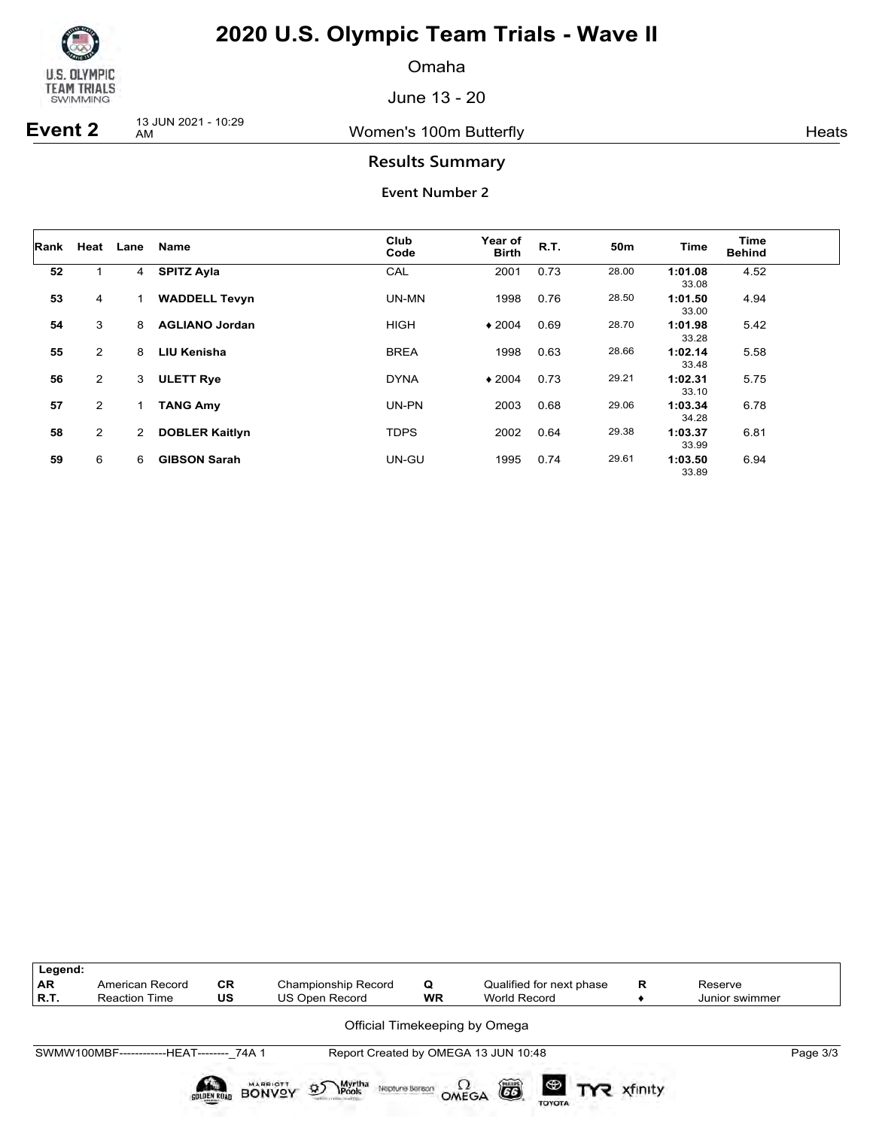

Omaha

June 13 - 20

**Event 2** 13 JUN 2021 - 10:29

Women's 100m Butterfly **American** Heats Heats

### **Results Summary**

| ∣Rank |                | Heat Lane      | <b>Name</b>           | Club<br>Code | Year of<br><b>Birth</b> | R.T. | 50 <sub>m</sub> | Time             | Time<br><b>Behind</b> |  |
|-------|----------------|----------------|-----------------------|--------------|-------------------------|------|-----------------|------------------|-----------------------|--|
| 52    | 1              | 4              | <b>SPITZ Ayla</b>     | CAL          | 2001                    | 0.73 | 28.00           | 1:01.08<br>33.08 | 4.52                  |  |
| 53    | 4              |                | <b>WADDELL Tevyn</b>  | UN-MN        | 1998                    | 0.76 | 28.50           | 1:01.50<br>33.00 | 4.94                  |  |
| 54    | 3              | 8              | <b>AGLIANO Jordan</b> | <b>HIGH</b>  | $*2004$                 | 0.69 | 28.70           | 1:01.98<br>33.28 | 5.42                  |  |
| 55    | $\overline{2}$ | 8              | <b>LIU Kenisha</b>    | <b>BREA</b>  | 1998                    | 0.63 | 28.66           | 1:02.14<br>33.48 | 5.58                  |  |
| 56    | $\overline{2}$ | 3              | <b>ULETT Rye</b>      | <b>DYNA</b>  | $*2004$                 | 0.73 | 29.21           | 1:02.31<br>33.10 | 5.75                  |  |
| 57    | $\overline{2}$ | 1              | <b>TANG Amy</b>       | UN-PN        | 2003                    | 0.68 | 29.06           | 1:03.34<br>34.28 | 6.78                  |  |
| 58    | $\overline{2}$ | $\overline{2}$ | <b>DOBLER Kaitlyn</b> | <b>TDPS</b>  | 2002                    | 0.64 | 29.38           | 1:03.37<br>33.99 | 6.81                  |  |
| 59    | 6              | 6              | <b>GIBSON Sarah</b>   | UN-GU        | 1995                    | 0.74 | 29.61           | 1:03.50<br>33.89 | 6.94                  |  |

| Legend:<br><b>AR</b><br>R.T. | American Record<br><b>Reaction Time</b>   | <b>CR</b><br>US    | Championship Record<br><b>US Open Record</b>        | Q<br><b>WR</b> | Qualified for next phase<br><b>World Record</b> | R       | Reserve<br>Junior swimmer |          |
|------------------------------|-------------------------------------------|--------------------|-----------------------------------------------------|----------------|-------------------------------------------------|---------|---------------------------|----------|
|                              |                                           |                    |                                                     |                | Official Timekeeping by Omega                   |         |                           |          |
|                              | SWMW100MBF-------------HEAT-------- 74A 1 |                    |                                                     |                | Report Created by OMEGA 13 JUN 10:48            |         |                           | Page 3/3 |
|                              |                                           | <b>GOLDEN ROAD</b> | <b>95</b> Myrtha<br><b>BONVOY</b><br>Neptune Berach |                | $\bullet$ TYR<br>õ<br>OMEGA<br><b>TOYOTA</b>    | xfinity |                           |          |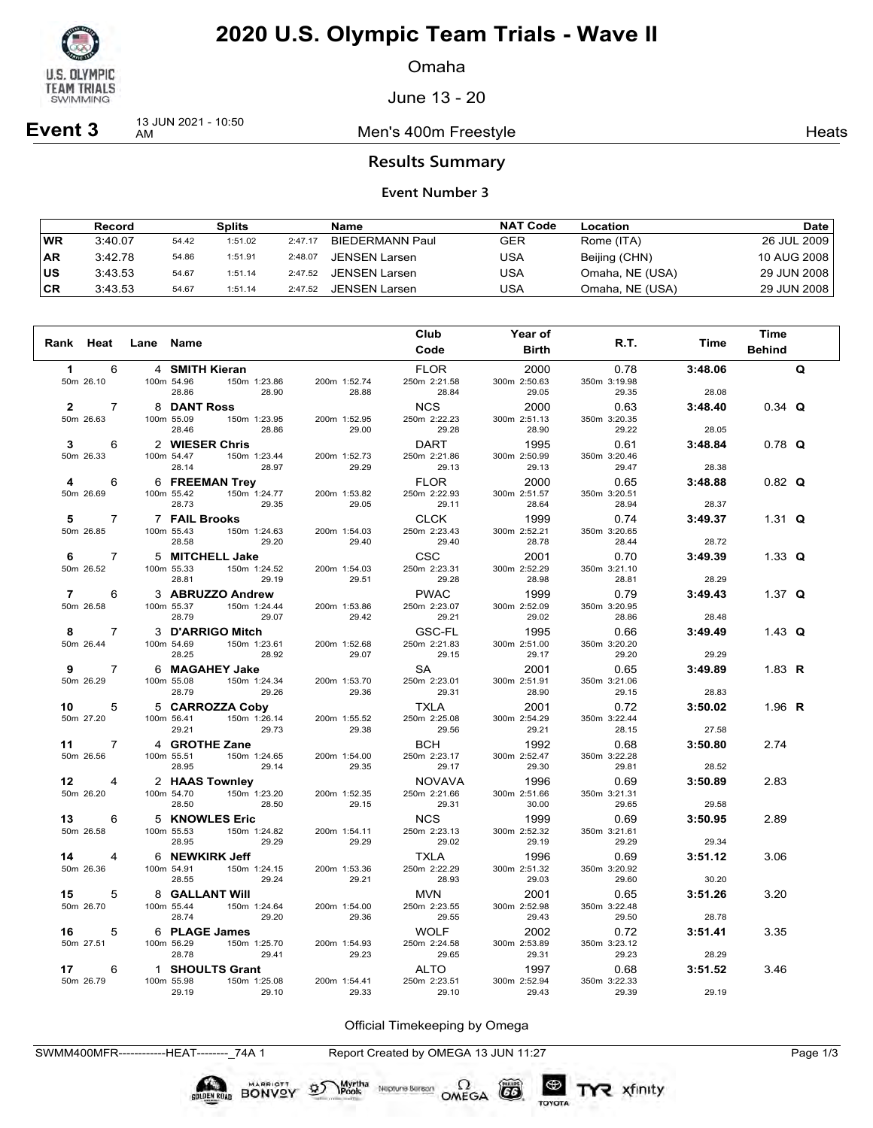

Omaha

June 13 - 20

**Event 3** 13 JUN 2021 - 10:50

Men's 400m Freestyle **Mental American** Heats

#### **Results Summary**

#### **Event Number 3**

|           | Record  |       | Splits  |         | Name                   | <b>NAT Code</b> | Location        | Date l      |
|-----------|---------|-------|---------|---------|------------------------|-----------------|-----------------|-------------|
| WR        | 3:40.07 | 54.42 | 1:51.02 | 2:47.17 | <b>BIEDERMANN Paul</b> | GER             | Rome (ITA)      | 26 JUL 2009 |
| <b>AR</b> | 3:42.78 | 54.86 | 1:51.91 | 2:48.07 | JENSEN Larsen          | USA             | Beijing (CHN)   | 10 AUG 2008 |
| US        | 3:43.53 | 54.67 | 1:51.14 | 2:47.52 | <b>JENSEN Larsen</b>   | USA             | Omaha, NE (USA) | 29 JUN 2008 |
| CR        | 3:43.53 | 54.67 | 1:51.14 | 2:47.52 | <b>JENSEN Larsen</b>   | USA             | Omaha, NE (USA) | 29 JUN 2008 |

| Rank Heat      |                             | Lane Name |                             |                                  |                       | Club                        | <b>Year of</b>        | R.T.                  | Time             | <b>Time</b>   |              |
|----------------|-----------------------------|-----------|-----------------------------|----------------------------------|-----------------------|-----------------------------|-----------------------|-----------------------|------------------|---------------|--------------|
|                |                             |           |                             |                                  |                       | Code                        | <b>Birth</b>          |                       |                  | <b>Behind</b> |              |
| $\mathbf{1}$   | 6                           |           | 4 SMITH Kieran              |                                  |                       | <b>FLOR</b>                 | 2000                  | 0.78                  | 3:48.06          |               | $\mathbf{Q}$ |
|                | 50m 26.10                   |           | 100m 54.96<br>28.86         | 150m 1:23.86<br>28.90            | 200m 1:52.74<br>28.88 | 250m 2:21.58<br>28.84       | 300m 2:50.63<br>29.05 | 350m 3:19.98<br>29.35 | 28.08            |               |              |
| $\mathbf{2}$   | $\overline{7}$              |           | <b>8 DANT Ross</b>          |                                  |                       | <b>NCS</b>                  | 2000                  | 0.63                  | 3:48.40          | $0.34$ Q      |              |
|                | 50m 26.63                   |           | 100m 55.09<br>28.46         | 150m 1:23.95<br>28.86            | 200m 1:52.95<br>29.00 | 250m 2:22.23<br>29.28       | 300m 2:51.13<br>28.90 | 350m 3:20.35<br>29.22 | 28.05            |               |              |
| $\mathbf{3}$   | 6                           |           | 2 WIESER Chris              |                                  |                       | DART                        | 1995                  | 0.61                  | 3:48.84          | $0.78$ Q      |              |
|                | 50m 26.33                   |           | 100m 54.47<br>28.14         | 150m 1:23.44<br>28.97            | 200m 1:52.73<br>29.29 | 250m 2:21.86<br>29.13       | 300m 2:50.99<br>29.13 | 350m 3:20.46<br>29.47 | 28.38            |               |              |
| 4              | 6                           |           |                             | 6 FREEMAN Trey                   |                       | FLOR                        | 2000                  | 0.65                  | 3:48.88          | $0.82$ Q      |              |
|                | 50m 26.69                   |           | 100m 55.42<br>28.73         | 150m 1:24.77<br>29.35            | 200m 1:53.82<br>29.05 | 250m 2:22.93                | 300m 2:51.57          | 350m 3:20.51          |                  |               |              |
| 5              | $\overline{7}$              |           | <b>7 FAIL Brooks</b>        |                                  |                       | 29.11<br>CLCK               | 28.64<br>1999         | 28.94<br>0.74         | 28.37<br>3:49.37 |               |              |
|                | 50m 26.85                   |           | 100m 55.43                  | 150m 1:24.63                     | 200m 1:54.03          | 250m 2:23.43                | 300m 2:52.21          | 350m 3:20.65          |                  | 1.31 $Q$      |              |
|                |                             |           | 28.58                       | 29.20                            | 29.40                 | 29.40                       | 28.78                 | 28.44                 | 28.72            |               |              |
| 6              | $\overline{7}$              |           |                             | 5 MITCHELL Jake                  |                       | <b>CSC</b>                  | 2001                  | 0.70                  | 3:49.39          | 1.33 $Q$      |              |
|                | 50m 26.52                   |           | 100m 55.33<br>28.81         | 150m 1:24.52<br>29.19            | 200m 1:54.03<br>29.51 | 250m 2:23.31<br>29.28       | 300m 2:52.29<br>28.98 | 350m 3:21.10<br>28.81 | 28.29            |               |              |
| $\overline{7}$ | 6                           |           |                             | 3 ABRUZZO Andrew                 |                       | <b>PWAC</b>                 | 1999                  | 0.79                  | 3:49.43          | 1.37 $Q$      |              |
|                | 50m 26.58                   |           | 100m 55.37                  | 150m 1:24.44                     | 200m 1:53.86          | 250m 2:23.07                | 300m 2:52.09          | 350m 3:20.95          |                  |               |              |
|                |                             |           | 28.79                       | 29.07                            | 29.42                 | 29.21                       | 29.02                 | 28.86                 | 28.48            |               |              |
| 8              | $\overline{7}$<br>50m 26.44 |           | 100m 54.69                  | 3 D'ARRIGO Mitch<br>150m 1:23.61 | 200m 1:52.68          | GSC-FL<br>250m 2:21.83      | 1995<br>300m 2:51.00  | 0.66<br>350m 3:20.20  | 3:49.49          | 1.43 $\Omega$ |              |
|                |                             |           | 28.25                       | 28.92                            | 29.07                 | 29.15                       | 29.17                 | 29.20                 | 29.29            |               |              |
| 9              | $\overline{7}$              |           |                             | 6 MAGAHEY Jake                   |                       | SA                          | 2001                  | 0.65                  | 3:49.89          | 1.83 R        |              |
|                | 50m 26.29                   |           | 28.79                       | 100m 55.08 150m 1:24.34<br>29.26 | 200m 1:53.70<br>29.36 | 250m 2:23.01<br>29.31       | 300m 2:51.91<br>28.90 | 350m 3:21.06<br>29.15 | 28.83            |               |              |
|                | 10<br>5                     |           |                             | 5 CARROZZA Coby                  |                       | <b>TXLA</b>                 | 2001                  | 0.72                  | 3:50.02          | 1.96 R        |              |
|                | 50m 27.20                   |           |                             | 100m 56.41   150m 1:26.14        | 200m 1:55.52          | 250m 2:25.08                | 300m 2:54.29          | 350m 3:22.44          |                  |               |              |
|                |                             |           | 29.21                       | 29.73                            | 29.38                 | 29.56                       | 29.21                 | 28.15                 | 27.58            |               |              |
|                | $11 \t 7$<br>50m 26.56      |           | 100m 55.51                  | 4 GROTHE Zane<br>150m 1:24.65    | 200m 1:54.00          | BCH<br>250m 2:23.17         | 1992                  | 0.68<br>350m 3:22.28  | 3:50.80          | 2.74          |              |
|                |                             |           | 28.95                       | 29.14                            | 29.35                 | 29.17                       | 300m 2:52.47<br>29.30 | 29.81                 | 28.52            |               |              |
|                | 12<br>$\overline{4}$        |           |                             | 2 HAAS Townley                   |                       | NOVAVA                      | 1996                  | 0.69                  | 3:50.89          | 2.83          |              |
|                | 50m 26.20                   |           | 100m 54.70<br>28.50         | 150m 1:23.20<br>28.50            | 200m 1:52.35<br>29.15 | 250m 2:21.66<br>29.31       | 300m 2:51.66          | 350m 3:21.31<br>29.65 | 29.58            |               |              |
| 13             | 6                           |           |                             | 5 KNOWLES Eric                   |                       | <b>NCS</b>                  | 30.00<br>1999         | 0.69                  | 3:50.95          | 2.89          |              |
|                | 50m 26.58                   |           | 100m 55.53                  | 150m 1:24.82                     | 200m 1:54.11          | 250m 2:23.13                | 300m 2:52.32          | 350m 3:21.61          |                  |               |              |
|                |                             |           | 28.95                       | 29.29                            | 29.29                 | 29.02                       | 29.19                 | 29.29                 | 29.34            |               |              |
| 14             | 4                           |           | 6 NEWKIRK Jeff              |                                  |                       | TXLA                        | 1996                  | 0.69                  | 3:51.12          | 3.06          |              |
|                | 50m 26.36                   |           | 100m 54.91<br>28.55         | 150m 1:24.15<br>29.24            | 200m 1:53.36<br>29.21 | 250m 2:22.29<br>28.93       | 300m 2:51.32<br>29.03 | 350m 3:20.92<br>29.60 | 30.20            |               |              |
| 15             | 5                           |           | 8 GALLANT WIII              |                                  |                       | <b>MVN</b>                  | 2001                  | 0.65                  | 3:51.26          | 3.20          |              |
|                | 50m 26.70                   |           | 100m 55.44                  | 150m 1:24.64                     | 200m 1:54.00          | 250m 2:23.55                | 300m 2:52.98          | 350m 3:22.48          |                  |               |              |
|                |                             |           | 28.74                       | 29.20                            | 29.36                 | 29.55                       | 29.43                 | 29.50                 | 28.78            |               |              |
| 16             | 5<br>50m 27.51              |           | 6 PLAGE James<br>100m 56.29 | 150m 1:25.70                     | 200m 1:54.93          | <b>WOLF</b><br>250m 2:24.58 | 2002<br>300m 2:53.89  | 0.72<br>350m 3:23.12  | 3:51.41          | 3.35          |              |
|                |                             |           | 28.78                       | 29.41                            | 29.23                 | 29.65                       | 29.31                 | 29.23                 | 28.29            |               |              |
| 17             | 6                           |           |                             | 1 SHOULTS Grant                  |                       | ALTO                        | 1997                  | 0.68                  | 3:51.52          | 3.46          |              |
|                | 50m 26.79                   |           | 100m 55.98<br>29.19         | 150m 1:25.08<br>29.10            | 200m 1:54.41<br>29.33 | 250m 2:23.51<br>29.10       | 300m 2:52.94<br>29.43 | 350m 3:22.33<br>29.39 | 29.19            |               |              |
|                |                             |           |                             |                                  |                       |                             |                       |                       |                  |               |              |

Official Timekeeping by Omega

SWMM400MFR------------HEAT--------\_74A 1 Report Created by OMEGA 13 JUN 11:27 Page 1/3

Myrtha<br>Pools

BONVOY 9

 $(G)$ 

TOYOTA

Neptune Bergan  $\Omega$ <br>OMEGA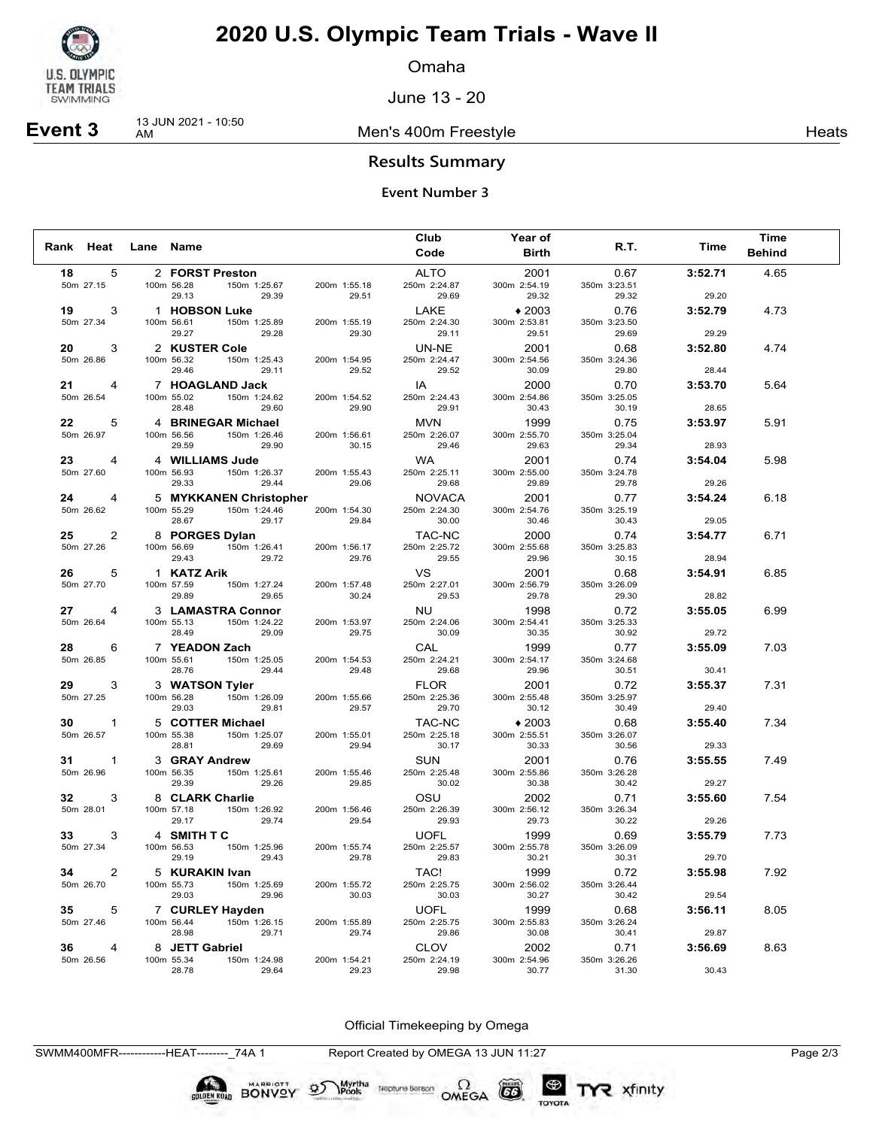

Omaha

June 13 - 20

**Event 3** 13 JUN 2021 - 10:50

Men's 400m Freestyle **Mental American** Heats

### **Results Summary**

#### **Event Number 3**

|                 |                |           |                                                 |       |                       | Club                        | Year of                 |                       |         | <b>Time</b>   |  |
|-----------------|----------------|-----------|-------------------------------------------------|-------|-----------------------|-----------------------------|-------------------------|-----------------------|---------|---------------|--|
| Rank Heat       |                | Lane Name |                                                 |       |                       | Code                        | <b>Birth</b>            | R.T.                  | Time    | <b>Behind</b> |  |
| 18              | 5              |           | 2 FORST Preston                                 |       |                       | <b>ALTO</b>                 | 2001                    | 0.67                  | 3:52.71 | 4.65          |  |
| 50m 27.15       |                |           | 150m 1:25.67<br>100m 56.28                      |       | 200m 1:55.18          | 250m 2:24.87                | 300m 2:54.19            | 350m 3:23.51          |         |               |  |
|                 |                |           | 29.13                                           | 29.39 | 29.51                 | 29.69                       | 29.32                   | 29.32                 | 29.20   |               |  |
| 19<br>50m 27.34 | 3              |           | 1 HOBSON Luke<br>100m 56.61<br>150m 1:25.89     |       | 200m 1:55.19          | LAKE<br>250m 2:24.30        | $*2003$<br>300m 2:53.81 | 0.76<br>350m 3:23.50  | 3:52.79 | 4.73          |  |
|                 |                |           | 29.27                                           | 29.28 | 29.30                 | 29.11                       | 29.51                   | 29.69                 | 29.29   |               |  |
| 20              | 3              |           | 2 KUSTER Cole                                   |       |                       | UN-NE                       | 2001                    | 0.68                  | 3:52.80 | 4.74          |  |
| 50m 26.86       |                |           | 100m 56.32<br>150m 1:25.43                      |       | 200m 1:54.95          | 250m 2:24.47                | 300m 2:54.56            | 350m 3:24.36          |         |               |  |
|                 |                |           | 29.46                                           | 29.11 | 29.52                 | 29.52                       | 30.09                   | 29.80                 | 28.44   |               |  |
| 21              | 4              |           | 7 HOAGLAND Jack                                 |       |                       | IA                          | 2000                    | 0.70                  | 3:53.70 | 5.64          |  |
| 50m 26.54       |                |           | 100m 55.02<br>150m 1:24.62<br>28.48             | 29.60 | 200m 1:54.52<br>29.90 | 250m 2:24.43<br>29.91       | 300m 2:54.86<br>30.43   | 350m 3:25.05<br>30.19 | 28.65   |               |  |
| 22              | 5              |           | 4 BRINEGAR Michael                              |       |                       | <b>MVN</b>                  | 1999                    | 0.75                  | 3:53.97 | 5.91          |  |
| 50m 26.97       |                |           | 100m 56.56<br>150m 1:26.46                      |       | 200m 1:56.61          | 250m 2:26.07                | 300m 2:55.70            | 350m 3:25.04          |         |               |  |
|                 |                |           | 29.59                                           | 29.90 | 30.15                 | 29.46                       | 29.63                   | 29.34                 | 28.93   |               |  |
| 23              | 4              |           | 4 WILLIAMS Jude                                 |       |                       | <b>WA</b>                   | 2001                    | 0.74                  | 3:54.04 | 5.98          |  |
| 50m 27.60       |                |           | 150m 1:26.37<br>100m 56.93                      |       | 200m 1:55.43          | 250m 2:25.11                | 300m 2:55.00            | 350m 3:24.78          |         |               |  |
|                 |                |           | 29.33                                           | 29.44 | 29.06                 | 29.68                       | 29.89                   | 29.78                 | 29.26   |               |  |
| 24              | 4              |           | 5 MYKKANEN Christopher                          |       |                       | <b>NOVACA</b>               | 2001                    | 0.77                  | 3:54.24 | 6.18          |  |
| 50m 26.62       |                |           | 150m 1:24.46<br>100m 55.29<br>28.67             | 29.17 | 200m 1:54.30<br>29.84 | 250m 2:24.30<br>30.00       | 300m 2:54.76<br>30.46   | 350m 3:25.19<br>30.43 | 29.05   |               |  |
| 25              | 2              |           | 8 PORGES Dylan                                  |       |                       | TAC-NC                      | 2000                    | 0.74                  | 3:54.77 | 6.71          |  |
| 50m 27.26       |                |           | 150m 1:26.41<br>100m 56.69                      |       | 200m 1:56.17          | 250m 2:25.72                | 300m 2:55.68            | 350m 3:25.83          |         |               |  |
|                 |                |           | 29.43                                           | 29.72 | 29.76                 | 29.55                       | 29.96                   | 30.15                 | 28.94   |               |  |
| 26              | 5              |           | 1 KATZ Arik                                     |       |                       | VS                          | 2001                    | 0.68                  | 3:54.91 | 6.85          |  |
| 50m 27.70       |                |           | 100m 57.59<br>150m 1:27.24                      |       | 200m 1:57.48          | 250m 2:27.01                | 300m 2:56.79            | 350m 3:26.09          |         |               |  |
|                 |                |           | 29.89                                           | 29.65 | 30.24                 | 29.53                       | 29.78                   | 29.30                 | 28.82   |               |  |
| 27<br>50m 26.64 | 4              |           | 3 LAMASTRA Connor<br>100m 55.13<br>150m 1:24.22 |       | 200m 1:53.97          | <b>NU</b><br>250m 2:24.06   | 1998<br>300m 2:54.41    | 0.72<br>350m 3:25.33  | 3:55.05 | 6.99          |  |
|                 |                |           | 28.49                                           | 29.09 | 29.75                 | 30.09                       | 30.35                   | 30.92                 | 29.72   |               |  |
| 28              | 6              |           | 7 YEADON Zach                                   |       |                       | CAL                         | 1999                    | 0.77                  | 3:55.09 | 7.03          |  |
| 50m 26.85       |                |           | 100m 55.61<br>150m 1:25.05                      |       | 200m 1:54.53          | 250m 2:24.21                | 300m 2:54.17            | 350m 3:24.68          |         |               |  |
|                 |                |           | 28.76                                           | 29.44 | 29.48                 | 29.68                       | 29.96                   | 30.51                 | 30.41   |               |  |
| 29              | 3              |           | 3 WATSON Tyler                                  |       |                       | <b>FLOR</b>                 | 2001                    | 0.72                  | 3:55.37 | 7.31          |  |
| 50m 27.25       |                |           | 100m 56.28<br>150m 1:26.09<br>29.03             | 29.81 | 200m 1:55.66<br>29.57 | 250m 2:25.36<br>29.70       | 300m 2:55.48<br>30.12   | 350m 3:25.97<br>30.49 | 29.40   |               |  |
|                 |                |           |                                                 |       |                       |                             | $*2003$                 |                       |         | 7.34          |  |
| 30<br>50m 26.57 | $\mathbf{1}$   |           | 5 COTTER Michael<br>150m 1:25.07<br>100m 55.38  |       | 200m 1:55.01          | TAC-NC<br>250m 2:25.18      | 300m 2:55.51            | 0.68<br>350m 3:26.07  | 3:55.40 |               |  |
|                 |                |           | 28.81                                           | 29.69 | 29.94                 | 30.17                       | 30.33                   | 30.56                 | 29.33   |               |  |
| 31              | 1              |           | 3 GRAY Andrew                                   |       |                       | <b>SUN</b>                  | 2001                    | 0.76                  | 3:55.55 | 7.49          |  |
| 50m 26.96       |                |           | 150m 1:25.61<br>100m 56.35                      |       | 200m 1:55.46          | 250m 2:25.48                | 300m 2:55.86            | 350m 3:26.28          |         |               |  |
|                 |                |           | 29.39                                           | 29.26 | 29.85                 | 30.02                       | 30.38                   | 30.42                 | 29.27   |               |  |
| 32              | 3              |           | 8 CLARK Charlie                                 |       |                       | OSU                         | 2002                    | 0.71                  | 3:55.60 | 7.54          |  |
| 50m 28.01       |                |           | 150m 1:26.92<br>100m 57.18<br>29.17             | 29.74 | 200m 1:56.46<br>29.54 | 250m 2:26.39<br>29.93       | 300m 2:56.12<br>29.73   | 350m 3:26.34<br>30.22 | 29.26   |               |  |
| 33              | 3              |           | 4 SMITH TC                                      |       |                       | <b>UOFL</b>                 | 1999                    | 0.69                  | 3:55.79 | 7.73          |  |
| 50m 27.34       |                |           | 100m 56.53<br>150m 1:25.96                      |       | 200m 1:55.74          | 250m 2:25.57                | 300m 2:55.78            | 350m 3:26.09          |         |               |  |
|                 |                |           | 29.19                                           | 29.43 | 29.78                 | 29.83                       | 30.21                   | 30.31                 | 29.70   |               |  |
| 34              | $\overline{2}$ |           | 5 KURAKIN Ivan                                  |       |                       | TAC!                        | 1999                    | 0.72                  | 3:55.98 | 7.92          |  |
| 50m 26.70       |                |           | 100m 55.73<br>150m 1:25.69                      |       | 200m 1:55.72          | 250m 2:25.75                | 300m 2:56.02            | 350m 3:26.44          |         |               |  |
|                 |                |           | 29.03                                           | 29.96 | 30.03                 | 30.03                       | 30.27                   | 30.42                 | 29.54   |               |  |
| 35<br>50m 27.46 | 5              |           | 7 CURLEY Hayden<br>150m 1:26.15<br>100m 56.44   |       | 200m 1:55.89          | <b>UOFL</b><br>250m 2:25.75 | 1999<br>300m 2:55.83    | 0.68<br>350m 3:26.24  | 3:56.11 | 8.05          |  |
|                 |                |           | 28.98                                           | 29.71 | 29.74                 | 29.86                       | 30.08                   | 30.41                 | 29.87   |               |  |
| 36              | 4              |           | 8 JETT Gabriel                                  |       |                       | <b>CLOV</b>                 | 2002                    | 0.71                  | 3:56.69 | 8.63          |  |
| 50m 26.56       |                |           | 100m 55.34<br>150m 1:24.98                      |       | 200m 1:54.21          | 250m 2:24.19                | 300m 2:54.96            | 350m 3:26.26          |         |               |  |
|                 |                |           | 28.78                                           | 29.64 | 29.23                 | 29.98                       | 30.77                   | 31.30                 | 30.43   |               |  |

Official Timekeeping by Omega

Neptune Berson  $\Omega$ <br>OMEGA

SWMM400MFR------------HEAT--------\_74A 1 Report Created by OMEGA 13 JUN 11:27 Page 2/3

SOLDEN ROAD BONVOY 95

Myrtha<br>Pools

 $(G)$ 

TOYOTA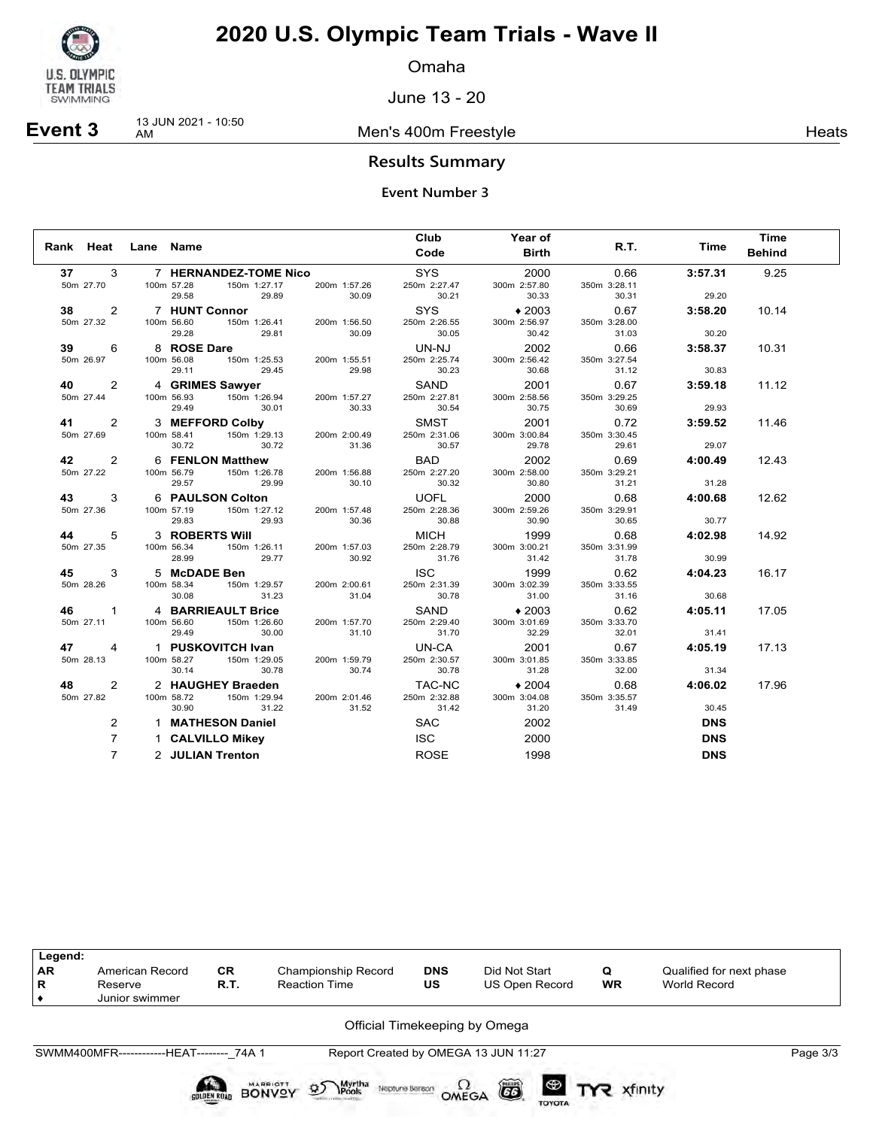

Omaha

June 13 - 20

**Event 3** 13 JUN 2021 - 10:50

Men's 400m Freestyle **Heats Heats** 

### **Results Summary**

|      |                                  | Rank Heat Lane Name |                                                                                                                     | Club<br>Code                                  | Year of<br><b>Birth</b>                | R.T.                                   | Time                      | <b>Time</b><br><b>Behind</b> |
|------|----------------------------------|---------------------|---------------------------------------------------------------------------------------------------------------------|-----------------------------------------------|----------------------------------------|----------------------------------------|---------------------------|------------------------------|
| 37   | 3<br>50m 27.70                   |                     | 7 HERNANDEZ-TOME Nico<br>100m 57.28<br>150m 1:27.17<br>200m 1:57.26<br>29.89<br>30.09<br>29.58                      | <b>SYS</b><br>250m 2:27.47<br>30.21           | 2000<br>300m 2:57.80<br>30.33          | 0.66<br>350m 3:28.11<br>30.31          | 3:57.31<br>29.20          | 9.25                         |
| 38   | 2<br>50m 27.32                   |                     | 7 HUNT Connor<br>100m 56.60<br>150m 1:26.41<br>200m 1:56.50                                                         | SYS<br>250m 2:26.55                           | $*2003$<br>300m 2:56.97                | 0.67<br>350m 3:28.00                   | 3:58.20                   | 10.14                        |
| 39   | 6<br>50m 26.97                   |                     | 29.28<br>29.81<br>30.09<br>8 ROSE Dare<br>100m 56.08<br>150m 1:25.53<br>200m 1:55.51                                | 30.05<br>UN-NJ<br>250m 2:25.74                | 30.42<br>2002<br>300m 2:56.42          | 31.03<br>0.66<br>350m 3:27.54          | 30.20<br>3:58.37          | 10.31                        |
| 40   | $\overline{2}$<br>50m 27.44      |                     | 29.11<br>29.45<br>29.98<br>4 GRIMES Sawyer<br>100m 56.93<br>150m 1:26.94<br>200m 1:57.27                            | 30.23<br>SAND<br>250m 2:27.81                 | 30.68<br>2001<br>300m 2:58.56          | 31.12<br>0.67<br>350m 3:29.25          | 30.83<br>3:59.18          | 11.12                        |
| 41 — | 2<br>50m 27.69                   |                     | 29.49<br>30.01<br>30.33<br>3 MEFFORD Colby<br>100m 58.41<br>150m 1:29.13<br>200m 2:00.49<br>30.72<br>30.72<br>31.36 | 30.54<br><b>SMST</b><br>250m 2:31.06<br>30.57 | 30.75<br>2001<br>300m 3:00.84<br>29.78 | 30.69<br>0.72<br>350m 3:30.45<br>29.61 | 29.93<br>3:59.52<br>29.07 | 11.46                        |
| 42   | 2<br>50m 27.22                   |                     | 6 FENLON Matthew<br>100m 56.79<br>150m 1:26.78<br>200m 1:56.88<br>29.57<br>29.99<br>30.10                           | <b>BAD</b><br>250m 2:27.20<br>30.32           | 2002<br>300m 2:58.00<br>30.80          | 0.69<br>350m 3:29.21<br>31.21          | 4:00.49<br>31.28          | 12.43                        |
| 43   | 3<br>50m 27.36                   |                     | 6 PAULSON Colton<br>150m 1:27.12<br>100m 57.19<br>200m 1:57.48<br>29.83<br>29.93<br>30.36                           | <b>UOFL</b><br>250m 2:28.36<br>30.88          | 2000<br>300m 2:59.26<br>30.90          | 0.68<br>350m 3:29.91<br>30.65          | 4:00.68<br>30.77          | 12.62                        |
| 44   | 5<br>50m 27.35                   |                     | 3 ROBERTS Will<br>150m 1:26.11<br>100m 56.34<br>200m 1:57.03<br>28.99<br>29.77<br>30.92                             | <b>MICH</b><br>250m 2:28.79<br>31.76          | 1999<br>300m 3:00.21<br>31.42          | 0.68<br>350m 3:31.99<br>31.78          | 4:02.98<br>30.99          | 14.92                        |
| 45   | 3<br>50m 28.26                   |                     | 5 McDADE Ben<br>100m 58.34<br>150m 1:29.57<br>200m 2:00.61<br>30.08<br>31.23<br>31.04                               | <b>ISC</b><br>250m 2:31.39<br>30.78           | 1999<br>300m 3:02.39<br>31.00          | 0.62<br>350m 3:33.55<br>31.16          | 4:04.23<br>30.68          | 16.17                        |
| 46   | $\mathbf{1}$<br>50m 27.11        |                     | 4 BARRIEAULT Brice<br>100m 56.60<br>150m 1:26.60<br>200m 1:57.70<br>31.10<br>29.49<br>30.00                         | SAND<br>250m 2:29.40<br>31.70                 | $*2003$<br>300m 3:01.69<br>32.29       | 0.62<br>350m 3:33.70<br>32.01          | 4:05.11<br>31.41          | 17.05                        |
| 47   | 4<br>50m 28.13                   |                     | 1 PUSKOVITCH Ivan<br>100m 58.27<br>150m 1:29.05<br>200m 1:59.79<br>30.14<br>30.78<br>30.74                          | UN-CA<br>250m 2:30.57<br>30.78                | 2001<br>300m 3:01.85<br>31.28          | 0.67<br>350m 3:33.85<br>32.00          | 4:05.19<br>31.34          | 17.13                        |
| 48   | 2<br>50m 27.82                   |                     | 2 HAUGHEY Braeden<br>100m 58.72<br>150m 1:29.94<br>200m 2:01.46<br>31.52<br>31.22<br>30.90                          | TAC-NC<br>250m 2:32.88<br>31.42               | $*2004$<br>300m 3:04.08<br>31.20       | 0.68<br>350m 3:35.57<br>31.49          | 4:06.02<br>30.45          | 17.96                        |
|      | 2                                |                     | 1 MATHESON Daniel                                                                                                   | <b>SAC</b>                                    | 2002                                   |                                        | <b>DNS</b>                |                              |
|      | $\overline{7}$<br>$\overline{7}$ |                     | 1 CALVILLO Mikey<br>2 JULIAN Trenton                                                                                | <b>ISC</b><br><b>ROSE</b>                     | 2000<br>1998                           |                                        | <b>DNS</b><br><b>DNS</b>  |                              |

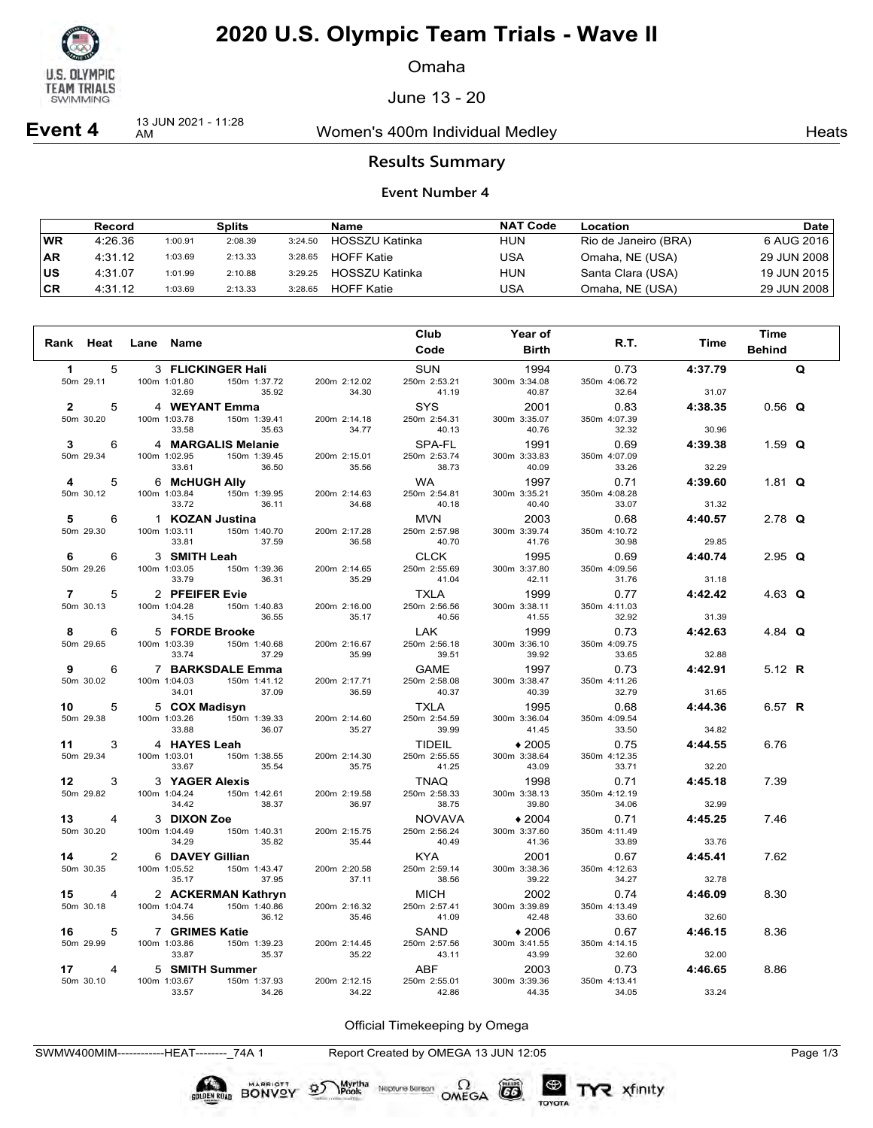

Omaha

June 13 - 20

**Event 4** 13 JUN 2021 - 11:28

Women's 400m Individual Medley Nearly Neats

### **Results Summary**

#### **Event Number 4**

|           | <b>Record</b> |         | Splits  |         | Name              | <b>NAT Code</b> | Location             | Date        |
|-----------|---------------|---------|---------|---------|-------------------|-----------------|----------------------|-------------|
| <b>WR</b> | 4:26.36       | 1:00.91 | 2:08.39 | 3:24.50 | HOSSZU Katinka    | <b>HUN</b>      | Rio de Janeiro (BRA) | 6 AUG 2016  |
| <b>AR</b> | 4:31.12       | 1:03.69 | 2:13.33 | 3:28.65 | <b>HOFF Katie</b> | USA             | Omaha, NE (USA)      | 29 JUN 2008 |
| ∣us       | 4:31.07       | 1:01.99 | 2:10.88 | 3:29.25 | HOSSZU Katinka    | <b>HUN</b>      | Santa Clara (USA)    | 19 JUN 2015 |
| ∣CR       | 4:31.12       | 1:03.69 | 2:13.33 | 3:28.65 | <b>HOFF Katie</b> | USA             | Omaha, NE (USA)      | 29 JUN 2008 |

|                 |   |              |                    |                       |                       | Club                       | Year of               |                       |         | <b>Time</b>   |   |
|-----------------|---|--------------|--------------------|-----------------------|-----------------------|----------------------------|-----------------------|-----------------------|---------|---------------|---|
| Rank Heat       |   | Lane Name    |                    |                       |                       | Code                       | <b>Birth</b>          | R.T.                  | Time    | <b>Behind</b> |   |
| 1.              | 5 |              | 3 FLICKINGER Hali  |                       |                       | <b>SUN</b>                 | 1994                  | 0.73                  | 4:37.79 |               | Q |
| 50m 29.11       |   | 100m 1:01.80 | 32.69              | 150m 1:37.72<br>35.92 | 200m 2:12.02<br>34.30 | 250m 2:53.21<br>41.19      | 300m 3:34.08<br>40.87 | 350m 4:06.72<br>32.64 | 31.07   |               |   |
| $\mathbf{2}$    | 5 |              |                    |                       |                       | <b>SYS</b>                 | 2001                  | 0.83                  | 4:38.35 |               |   |
| 50m 30.20       |   | 100m 1:03.78 | 4 WEYANT Emma      | 150m 1:39.41          | 200m 2:14.18          | 250m 2:54.31               | 300m 3:35.07          | 350m 4:07.39          |         | $0.56$ Q      |   |
|                 |   |              | 33.58              | 35.63                 | 34.77                 | 40.13                      | 40.76                 | 32.32                 | 30.96   |               |   |
| 3               | 6 |              | 4 MARGALIS Melanie |                       |                       | SPA-FL                     | 1991                  | 0.69                  | 4:39.38 | 1.59 $Q$      |   |
| 50m 29.34       |   | 100m 1:02.95 |                    | 150m 1:39.45          | 200m 2:15.01          | 250m 2:53.74               | 300m 3:33.83          | 350m 4:07.09          |         |               |   |
|                 |   |              | 33.61              | 36.50                 | 35.56                 | 38.73                      | 40.09                 | 33.26                 | 32.29   |               |   |
| 4<br>50m 30.12  | 5 | 100m 1:03.84 | 6 McHUGH Ally      | 150m 1:39.95          | 200m 2:14.63          | <b>WA</b><br>250m 2:54.81  | 1997<br>300m 3:35.21  | 0.71<br>350m 4:08.28  | 4:39.60 | 1.81 $\Omega$ |   |
|                 |   |              | 33.72              | 36.11                 | 34.68                 | 40.18                      | 40.40                 | 33.07                 | 31.32   |               |   |
| 5               | 6 |              | 1 KOZAN Justina    |                       |                       | <b>MVN</b>                 | 2003                  | 0.68                  | 4:40.57 | 2.78 $Q$      |   |
| 50m 29.30       |   | 100m 1:03.11 |                    | 150m 1:40.70          | 200m 2:17.28          | 250m 2:57.98               | 300m 3:39.74          | 350m 4:10.72          |         |               |   |
|                 |   |              | 33.81              | 37.59                 | 36.58                 | 40.70                      | 41.76                 | 30.98                 | 29.85   |               |   |
| 6               | 6 |              | 3 SMITH Leah       |                       |                       | <b>CLCK</b>                | 1995                  | 0.69                  | 4:40.74 | 2.95 $Q$      |   |
| 50m 29.26       |   | 100m 1:03.05 | 33.79              | 150m 1:39.36<br>36.31 | 200m 2:14.65<br>35.29 | 250m 2:55.69<br>41.04      | 300m 3:37.80<br>42.11 | 350m 4:09.56<br>31.76 | 31.18   |               |   |
| $\overline{7}$  | 5 |              | 2 PFEIFER Evie     |                       |                       | <b>TXLA</b>                | 1999                  | 0.77                  | 4:42.42 | 4.63 $Q$      |   |
| 50m 30.13       |   | 100m 1:04.28 |                    | 150m 1:40.83          | 200m 2:16.00          | 250m 2:56.56               | 300m 3:38.11          | 350m 4:11.03          |         |               |   |
|                 |   |              | 34.15              | 36.55                 | 35.17                 | 40.56                      | 41.55                 | 32.92                 | 31.39   |               |   |
| 8               | 6 |              | 5 FORDE Brooke     |                       |                       | <b>LAK</b>                 | 1999                  | 0.73                  | 4:42.63 | 4.84 $Q$      |   |
| 50m 29.65       |   | 100m 1:03.39 | 33.74              | 150m 1:40.68<br>37.29 | 200m 2:16.67<br>35.99 | 250m 2:56.18<br>39.51      | 300m 3:36.10<br>39.92 | 350m 4:09.75<br>33.65 | 32.88   |               |   |
| 9               | 6 |              | 7 BARKSDALE Emma   |                       |                       | <b>GAME</b>                | 1997                  | 0.73                  | 4:42.91 | 5.12 R        |   |
| 50m 30.02       |   | 100m 1:04.03 |                    | 150m 1:41.12          | 200m 2:17.71          | 250m 2:58.08               | 300m 3:38.47          | 350m 4:11.26          |         |               |   |
|                 |   |              | 34.01              | 37.09                 | 36.59                 | 40.37                      | 40.39                 | 32.79                 | 31.65   |               |   |
| 10              | 5 |              | 5 COX Madisyn      |                       |                       | <b>TXLA</b>                | 1995                  | 0.68                  | 4:44.36 | 6.57 R        |   |
| 50m 29.38       |   | 100m 1:03.26 | 33.88              | 150m 1:39.33<br>36.07 | 200m 2:14.60<br>35.27 | 250m 2:54.59<br>39.99      | 300m 3:36.04<br>41.45 | 350m 4:09.54<br>33.50 | 34.82   |               |   |
| 11              | 3 |              | 4 HAYES Leah       |                       |                       | <b>TIDEIL</b>              | $*2005$               | 0.75                  | 4:44.55 | 6.76          |   |
| 50m 29.34       |   | 100m 1:03.01 |                    | 150m 1:38.55          | 200m 2:14.30          | 250m 2:55.55               | 300m 3:38.64          | 350m 4:12.35          |         |               |   |
|                 |   |              | 33.67              | 35.54                 | 35.75                 | 41.25                      | 43.09                 | 33.71                 | 32.20   |               |   |
| 12 <sup>1</sup> | 3 |              | 3 YAGER Alexis     |                       |                       | <b>TNAQ</b>                | 1998                  | 0.71                  | 4:45.18 | 7.39          |   |
| 50m 29.82       |   | 100m 1:04.24 | 34.42              | 150m 1:42.61<br>38.37 | 200m 2:19.58<br>36.97 | 250m 2:58.33<br>38.75      | 300m 3:38.13<br>39.80 | 350m 4:12.19<br>34.06 | 32.99   |               |   |
| 13              | 4 |              | 3 DIXON Zoe        |                       |                       | <b>NOVAVA</b>              | $*2004$               | 0.71                  | 4:45.25 | 7.46          |   |
| 50m 30.20       |   | 100m 1:04.49 |                    | 150m 1:40.31          | 200m 2:15.75          | 250m 2:56.24               | 300m 3:37.60          | 350m 4:11.49          |         |               |   |
|                 |   |              | 34.29              | 35.82                 | 35.44                 | 40.49                      | 41.36                 | 33.89                 | 33.76   |               |   |
| 14              | 2 |              | 6 DAVEY Gillian    |                       |                       | <b>KYA</b>                 | 2001                  | 0.67                  | 4:45.41 | 7.62          |   |
| 50m 30.35       |   | 100m 1:05.52 | 35.17              | 150m 1:43.47<br>37.95 | 200m 2:20.58<br>37.11 | 250m 2:59.14<br>38.56      | 300m 3:38.36<br>39.22 | 350m 4:12.63<br>34.27 | 32.78   |               |   |
| 15              | 4 |              |                    |                       |                       | <b>MICH</b>                | 2002                  | 0.74                  | 4:46.09 |               |   |
| 50m 30.18       |   | 100m 1:04.74 | 2 ACKERMAN Kathryn | 150m 1:40.86          | 200m 2:16.32          | 250m 2:57.41               | 300m 3:39.89          | 350m 4:13.49          |         | 8.30          |   |
|                 |   |              | 34.56              | 36.12                 | 35.46                 | 41.09                      | 42.48                 | 33.60                 | 32.60   |               |   |
| 16              | 5 |              | 7 GRIMES Katie     |                       |                       | SAND                       | $*2006$               | 0.67                  | 4:46.15 | 8.36          |   |
| 50m 29.99       |   | 100m 1:03.86 |                    | 150m 1:39.23          | 200m 2:14.45          | 250m 2:57.56               | 300m 3:41.55          | 350m 4:14.15          |         |               |   |
|                 |   |              | 33.87              | 35.37                 | 35.22                 | 43.11                      | 43.99                 | 32.60                 | 32.00   |               |   |
| 17<br>50m 30.10 | 4 | 100m 1:03.67 | 5 SMITH Summer     | 150m 1:37.93          | 200m 2:12.15          | <b>ABF</b><br>250m 2:55.01 | 2003<br>300m 3:39.36  | 0.73<br>350m 4:13.41  | 4:46.65 | 8.86          |   |
|                 |   |              | 33.57              | 34.26                 | 34.22                 | 42.86                      | 44.35                 | 34.05                 | 33.24   |               |   |

Official Timekeeping by Omega

TYR xfinity

SWMW400MIM------------HEAT--------\_74A 1 Report Created by OMEGA 13 JUN 12:05 Page 1/3

BONVOY 95

Myrtha

Neptune Berson  $\Omega$ <br>OMEGA

CO

TOYOTA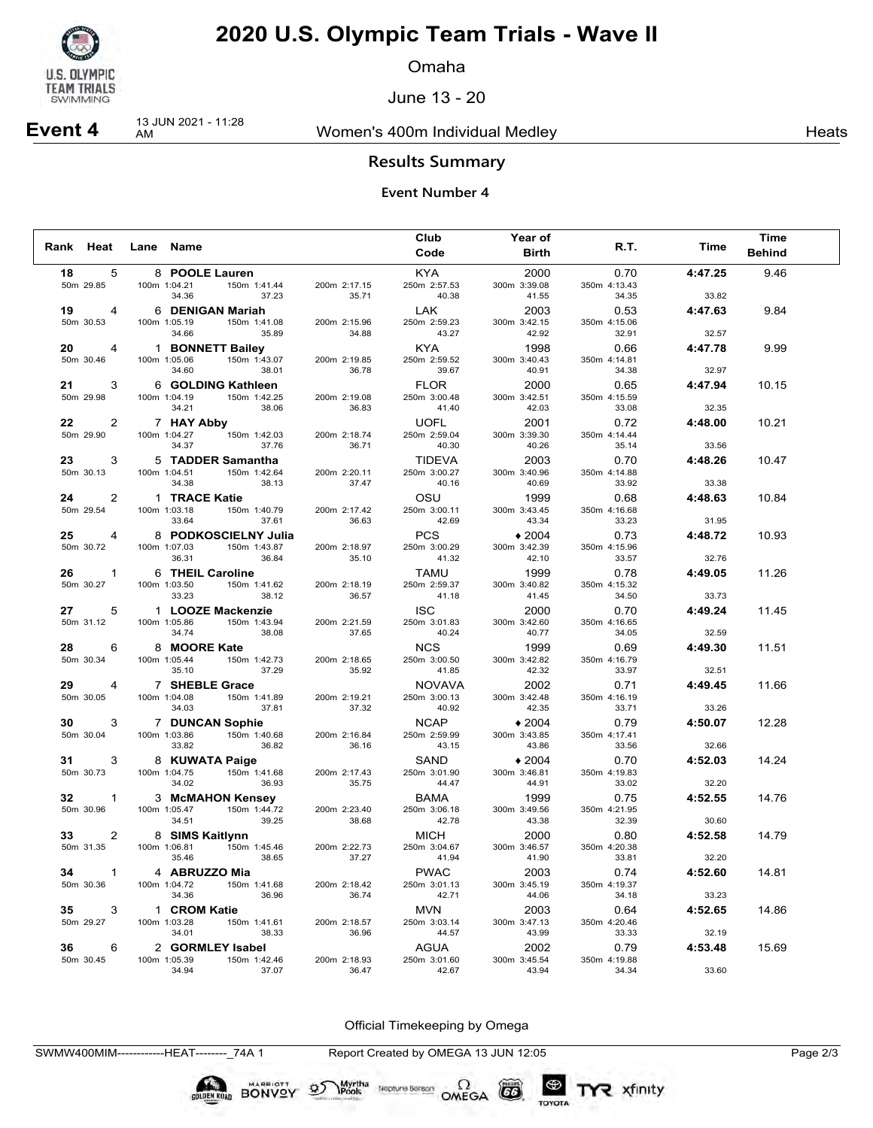

Omaha

June 13 - 20

# **Event 4** 13 JUN 2021 - 11:28

Women's 400m Individual Medley Nearly Neats

### **Results Summary**

#### **Event Number 4**

|    |                     |                                      |                       |                       | Club                  | <b>Year of</b>        |                       |         | Time          |
|----|---------------------|--------------------------------------|-----------------------|-----------------------|-----------------------|-----------------------|-----------------------|---------|---------------|
|    | Rank Heat Lane Name |                                      |                       |                       | Code                  | <b>Birth</b>          | R.T.                  | Time    | <b>Behind</b> |
| 18 | 5                   | 8 POOLE Lauren                       |                       |                       | KYA                   | 2000                  | 0.70                  | 4:47.25 | 9.46          |
|    | 50m 29.85           | 100m 1:04.21   150m 1:41.44          |                       | 200m 2:17.15          | 250m 2:57.53          | 300m 3:39.08          | 350m 4:13.43          |         |               |
|    |                     | 34.36                                | 37.23                 | 35.71                 | 40.38                 | 41.55                 | 34.35                 | 33.82   |               |
| 19 | 4                   | 6 DENIGAN Mariah                     |                       |                       | LAK                   | 2003                  | 0.53                  | 4:47.63 | 9.84          |
|    | 50m 30.53           | 100m 1:05.19<br>34.66                | 150m 1:41.08<br>35.89 | 200m 2:15.96<br>34.88 | 250m 2:59.23<br>43.27 | 300m 3:42.15<br>42.92 | 350m 4:15.06<br>32.91 | 32.57   |               |
| 20 | $\overline{4}$      | 1 BONNETT Bailey                     |                       |                       | <b>KYA</b>            | 1998                  | 0.66                  | 4:47.78 | 9.99          |
|    | 50m 30.46           | 100m 1:05.06                         | 150m 1:43.07          | 200m 2:19.85          | 250m 2:59.52          | 300m 3:40.43          | 350m 4:14.81          |         |               |
|    |                     | 34.60                                | 38.01                 | 36.78                 | 39.67                 | 40.91                 | 34.38                 | 32.97   |               |
| 21 | 3                   | 6 GOLDING Kathleen                   |                       |                       | FLOR                  | 2000                  | 0.65                  | 4:47.94 | 10.15         |
|    | 50m 29.98           | 100m 1:04.19                         | 150m 1:42.25          | 200m 2:19.08          | 250m 3:00.48          | 300m 3:42.51          | 350m 4:15.59          |         |               |
|    |                     | 34.21                                | 38.06                 | 36.83                 | 41.40                 | 42.03                 | 33.08                 | 32.35   |               |
| 22 | 2                   | 7 HAY Abby                           |                       |                       | UOFL                  | 2001                  | 0.72                  | 4:48.00 | 10.21         |
|    | 50m 29.90           | 100m 1:04.27<br>34.37                | 150m 1:42.03<br>37.76 | 200m 2:18.74<br>36.71 | 250m 2:59.04<br>40.30 | 300m 3:39.30<br>40.26 | 350m 4:14.44<br>35.14 | 33.56   |               |
| 23 | 3                   | 5 TADDER Samantha                    |                       |                       | <b>TIDEVA</b>         | 2003                  | 0.70                  | 4:48.26 | 10.47         |
|    | 50m 30.13           | 100m 1:04.51                         | 150m 1:42.64          | 200m 2:20.11          | 250m 3:00.27          | 300m 3:40.96          | 350m 4:14.88          |         |               |
|    |                     | 34.38                                | 38.13                 | 37.47                 | 40.16                 | 40.69                 | 33.92                 | 33.38   |               |
| 24 | $\overline{2}$      | 1 TRACE Katie                        |                       |                       | OSU                   | 1999                  | 0.68                  | 4:48.63 | 10.84         |
|    | 50m 29.54           | 100m 1:03.18                         | 150m 1:40.79          | 200m 2:17.42          | 250m 3:00.11          | 300m 3:43.45          | 350m 4:16.68          |         |               |
|    |                     | 33.64                                | 37.61                 | 36.63                 | 42.69                 | 43.34                 | 33.23                 | 31.95   |               |
| 25 | $\overline{4}$      |                                      | 8 PODKOSCIELNY Julia  |                       | <b>PCS</b>            | $*2004$               | 0.73                  | 4:48.72 | 10.93         |
|    | 50m 30.72           | 100m 1:07.03<br>36.31                | 150m 1:43.87<br>36.84 | 200m 2:18.97<br>35.10 | 250m 3:00.29<br>41.32 | 300m 3:42.39<br>42.10 | 350m 4:15.96<br>33.57 | 32.76   |               |
| 26 | $\mathbf{1}$        | 6 THEIL Caroline                     |                       |                       | TAMU                  | 1999                  | 0.78                  | 4:49.05 | 11.26         |
|    | 50m 30.27           | 100m 1:03.50                         | 150m 1:41.62          | 200m 2:18.19          | 250m 2:59.37          | 300m 3:40.82          | 350m 4:15.32          |         |               |
|    |                     | 33.23                                | 38.12                 | 36.57                 | 41.18                 | 41.45                 | 34.50                 | 33.73   |               |
| 27 | 5                   | 1 LOOZE Mackenzie                    |                       |                       | <b>ISC</b>            | 2000                  | 0.70                  | 4:49.24 | 11.45         |
|    | 50m 31.12           | 100m 1:05.86                         | 150m 1:43.94          | 200m 2:21.59          | 250m 3:01.83          | 300m 3:42.60          | 350m 4:16.65          |         |               |
|    |                     | 34.74                                | 38.08                 | 37.65                 | 40.24                 | 40.77                 | 34.05                 | 32.59   |               |
| 28 | 6                   | 8 MOORE Kate                         |                       |                       | <b>NCS</b>            | 1999                  | 0.69                  | 4:49.30 | 11.51         |
|    | 50m 30.34           | 100m 1:05.44<br>35.10                | 150m 1:42.73<br>37.29 | 200m 2:18.65<br>35.92 | 250m 3:00.50<br>41.85 | 300m 3:42.82<br>42.32 | 350m 4:16.79<br>33.97 | 32.51   |               |
| 29 | 4                   | 7 SHEBLE Grace                       |                       |                       | <b>NOVAVA</b>         | 2002                  | 0.71                  | 4:49.45 | 11.66         |
|    | 50m 30.05           | 100m 1:04.08                         | 150m 1:41.89          | 200m 2:19.21          | 250m 3:00.13          | 300m 3:42.48          | 350m 4:16.19          |         |               |
|    |                     | 34.03                                | 37.81                 | 37.32                 | 40.92                 | 42.35                 | 33.71                 | 33.26   |               |
| 30 | 3                   | 7 DUNCAN Sophie                      |                       |                       | <b>NCAP</b>           | $*2004$               | 0.79                  | 4:50.07 | 12.28         |
|    | 50m 30.04           | 100m 1:03.86                         | 150m 1:40.68          | 200m 2:16.84          | 250m 2:59.99          | 300m 3:43.85          | 350m 4:17.41          |         |               |
|    |                     | 33.82                                | 36.82                 | 36.16                 | 43.15                 | 43.86                 | 33.56                 | 32.66   |               |
| 31 | 3                   | 8 KUWATA Paige                       |                       |                       | SAND                  | $*2004$               | 0.70                  | 4:52.03 | 14.24         |
|    | 50m 30.73           | 100m 1:04.75<br>34.02                | 150m 1:41.68<br>36.93 | 200m 2:17.43<br>35.75 | 250m 3:01.90<br>44.47 | 300m 3:46.81<br>44.91 | 350m 4:19.83<br>33.02 | 32.20   |               |
| 32 | $\mathbf{1}$        | 3 McMAHON Kensey                     |                       |                       | BAMA                  | 1999                  | 0.75                  | 4:52.55 | 14.76         |
|    | 50m 30.96           | 100m 1:05.47                         | 150m 1:44.72          | 200m 2:23.40          | 250m 3:06.18          | 300m 3:49.56          | 350m 4:21.95          |         |               |
|    |                     | 34.51                                | 39.25                 | 38.68                 | 42.78                 | 43.38                 | 32.39                 | 30.60   |               |
| 33 | 2                   | 8 SIMS Kaitlynn                      |                       |                       | <b>MICH</b>           | 2000                  | 0.80                  | 4:52.58 | 14.79         |
|    | 50m 31.35           | 100m 1:06.81                         | 150m 1:45.46          | 200m 2:22.73          | 250m 3:04.67          | 300m 3:46.57          | 350m 4:20.38          |         |               |
|    |                     | 35.46                                | 38.65                 | 37.27                 | 41.94                 | 41.90                 | 33.81                 | 32.20   |               |
| 34 | $\mathbf{1}$        | 4 ABRUZZO Mia                        |                       |                       | <b>PWAC</b>           | 2003                  | 0.74                  | 4:52.60 | 14.81         |
|    | 50m 30.36           | 100m 1:04.72   150m 1:41.68<br>34.36 | 36.96                 | 200m 2:18.42<br>36.74 | 250m 3:01.13<br>42.71 | 300m 3:45.19<br>44.06 | 350m 4:19.37<br>34.18 | 33.23   |               |
| 35 | 3                   | 1 CROM Katie                         |                       |                       | MVN                   | 2003                  | 0.64                  | 4:52.65 | 14.86         |
|    | 50m 29.27           | 100m 1:03.28                         | 150m 1:41.61          | 200m 2:18.57          | 250m 3:03.14          | 300m 3:47.13          | 350m 4:20.46          |         |               |
|    |                     | 34.01                                | 38.33                 | 36.96                 | 44.57                 | 43.99                 | 33.33                 | 32.19   |               |
| 36 | 6                   | 2 GORMLEY Isabel                     |                       |                       | AGUA                  | 2002                  | 0.79                  | 4:53.48 | 15.69         |
|    | 50m 30.45           | 100m 1:05.39                         | 150m 1:42.46          | 200m 2:18.93          | 250m 3:01.60          | 300m 3:45.54          | 350m 4:19.88          |         |               |
|    |                     | 34.94                                | 37.07                 | 36.47                 | 42.67                 | 43.94                 | 34.34                 | 33.60   |               |

Official Timekeeping by Omega

SWMW400MIM------------HEAT--------\_74A 1 Report Created by OMEGA 13 JUN 12:05 Page 2/3

BONVOY 9

Myrtha<br>Pools

Neptune Bergan  $\Omega$ <br>OMEGA

CO

TOYOTA

TYR xfinity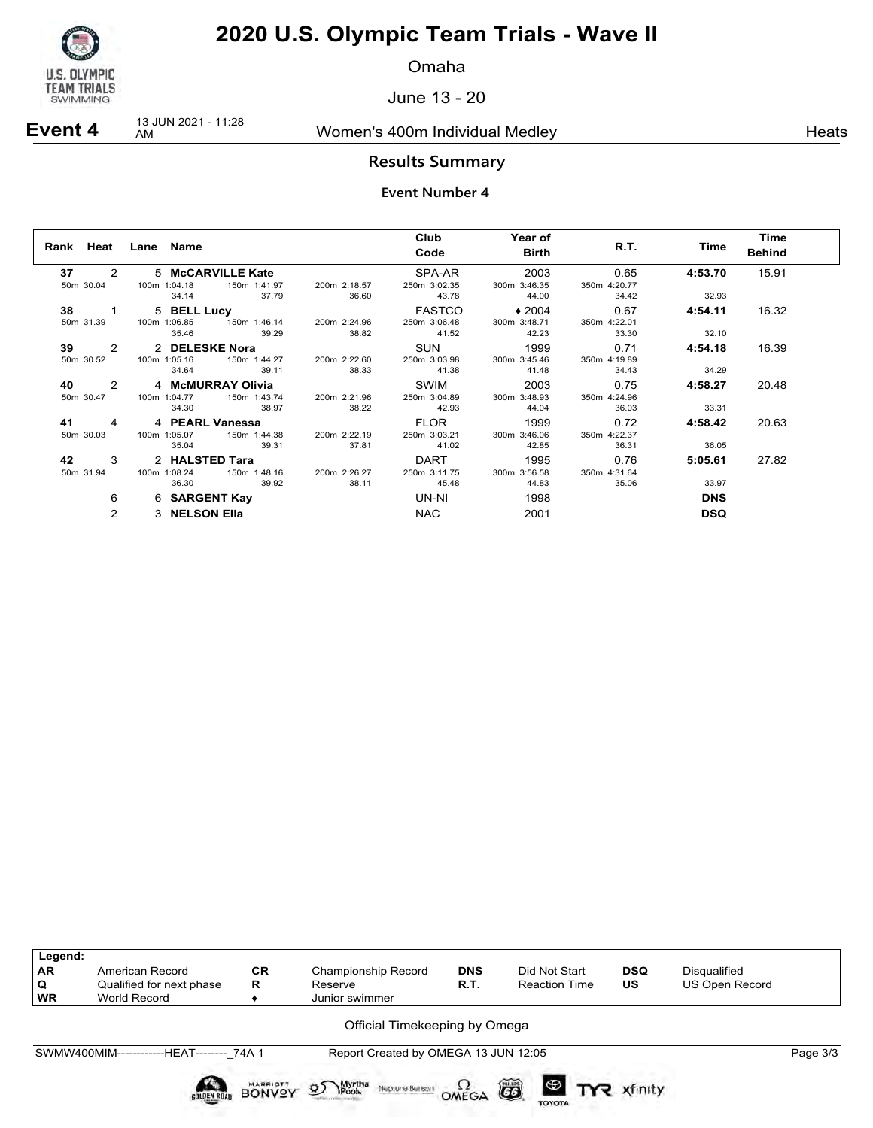

Omaha

June 13 - 20

# **Event 4** 13 JUN 2021 - 11:28

Women's 400m Individual Medley Nearly Neats

### **Results Summary**

|                        | Rank Heat Lane Name                                 |                   |              | Club<br>Code | <b>Year of</b><br><b>Birth</b> | R.T.         | Time       | Time<br><b>Behind</b> |
|------------------------|-----------------------------------------------------|-------------------|--------------|--------------|--------------------------------|--------------|------------|-----------------------|
| 37                     | $2 \left( \frac{1}{2} \right)$<br>5 McCARVILLE Kate |                   |              | SPA-AR       | 2003                           | 0.65         | 4:53.70    | 15.91                 |
| 50m 30.04              | 100m 1:04.18                                        | 150m 1:41.97      | 200m 2:18.57 | 250m 3:02.35 | 300m 3:46.35                   | 350m 4:20.77 |            |                       |
|                        | 34.14                                               | 37.79             | 36.60        | 43.78        | 44.00                          | 34.42        | 32.93      |                       |
| 38 1                   | 5 BELL Lucy                                         |                   |              | FASTCO       | $\rightarrow$ 2004             | 0.67         | 4:54.11    | 16.32                 |
| 50m 31.39              | 100m 1:06.85                                        | 150m 1:46.14      | 200m 2:24.96 | 250m 3:06.48 | 300m 3:48.71                   | 350m 4:22.01 |            |                       |
|                        | 35.46                                               | 39.29             | 38.82        | 41.52        | 42.23                          | 33.30        | 32.10      |                       |
| $39 \qquad 2$          |                                                     | 2 DELESKE Nora    |              | SUN          | 1999                           | 0.71         | 4:54.18    | 16.39                 |
| 50m 30.52              | 100m 1:05.16                                        | 150m 1:44.27      | 200m 2:22.60 | 250m 3:03.98 | 300m 3:45.46                   | 350m 4:19.89 |            |                       |
|                        | 34.64                                               | 39.11             | 38.33        | 41.38        | 41.48                          | 34.43        | 34.29      |                       |
| 40 2                   |                                                     | 4 McMURRAY Olivia |              | SWIM         | 2003                           | 0.75         | 4:58.27    | 20.48                 |
| 50m 30.47              | 100m 1:04.77 150m 1:43.74                           |                   | 200m 2:21.96 | 250m 3:04.89 | 300m 3:48.93                   | 350m 4:24.96 |            |                       |
|                        | 34.30                                               | 38.97             | 38.22        | 42.93        | 44.04                          | 36.03        | 33.31      |                       |
| 41 —<br>$\overline{a}$ | 4 PEARL Vanessa                                     |                   |              | FLOR         | 1999                           | 0.72         | 4:58.42    | 20.63                 |
| 50 <sub>m</sub> 30.03  | 100m 1:05.07                                        | 150m 1:44.38      | 200m 2:22.19 | 250m 3:03.21 | 300m 3:46.06                   | 350m 4:22.37 |            |                       |
|                        | 35.04                                               | 39.31             | 37.81        | 41.02        | 42.85                          | 36.31        | 36.05      |                       |
| 42 3                   | 2 HALSTED Tara                                      |                   |              | DART         | 1995                           | 0.76         | 5:05.61    | 27.82                 |
| 50m 31.94              | 100m 1:08.24                                        | 150m 1:48.16      | 200m 2:26.27 | 250m 3:11.75 | 300m 3:56.58                   | 350m 4:31.64 |            |                       |
|                        | 36.30                                               | 39.92             | 38.11        | 45.48        | 44.83                          | 35.06        | 33.97      |                       |
| 6                      | 6 SARGENT Kay                                       |                   |              | UN-NI        | 1998                           |              | <b>DNS</b> |                       |
| $\mathcal{P}$          | 3 NELSON Ella                                       |                   |              | <b>NAC</b>   | 2001                           |              | <b>DSQ</b> |                       |

| Legend:<br><b>AR</b> | American Record                          | <b>CR</b>                 | Championship Record                                                   | <b>DNS</b>             | Did Not Start                       | <b>DSQ</b> | Disqualified   |          |
|----------------------|------------------------------------------|---------------------------|-----------------------------------------------------------------------|------------------------|-------------------------------------|------------|----------------|----------|
| Q                    | Qualified for next phase                 | R                         | Reserve                                                               | R.T.                   | <b>Reaction Time</b>                | US.        | US Open Record |          |
| <b>WR</b>            | World Record                             |                           | Junior swimmer                                                        |                        |                                     |            |                |          |
|                      | SWMW400MIM------------HEAT-------- 74A 1 |                           | Official Timekeeping by Omega<br>Report Created by OMEGA 13 JUN 12:05 |                        |                                     |            |                | Page 3/3 |
|                      | <b>SOLDEN ROAD</b>                       | MARRIOTT<br><b>BONVOY</b> | Myrtha<br><b>\Pools</b><br>$\mathfrak{D}$<br>Neptune Beraon           | $\Omega_{\text{MEGA}}$ | ã<br>$\circledast$<br><b>TOYOTA</b> | xfinity    |                |          |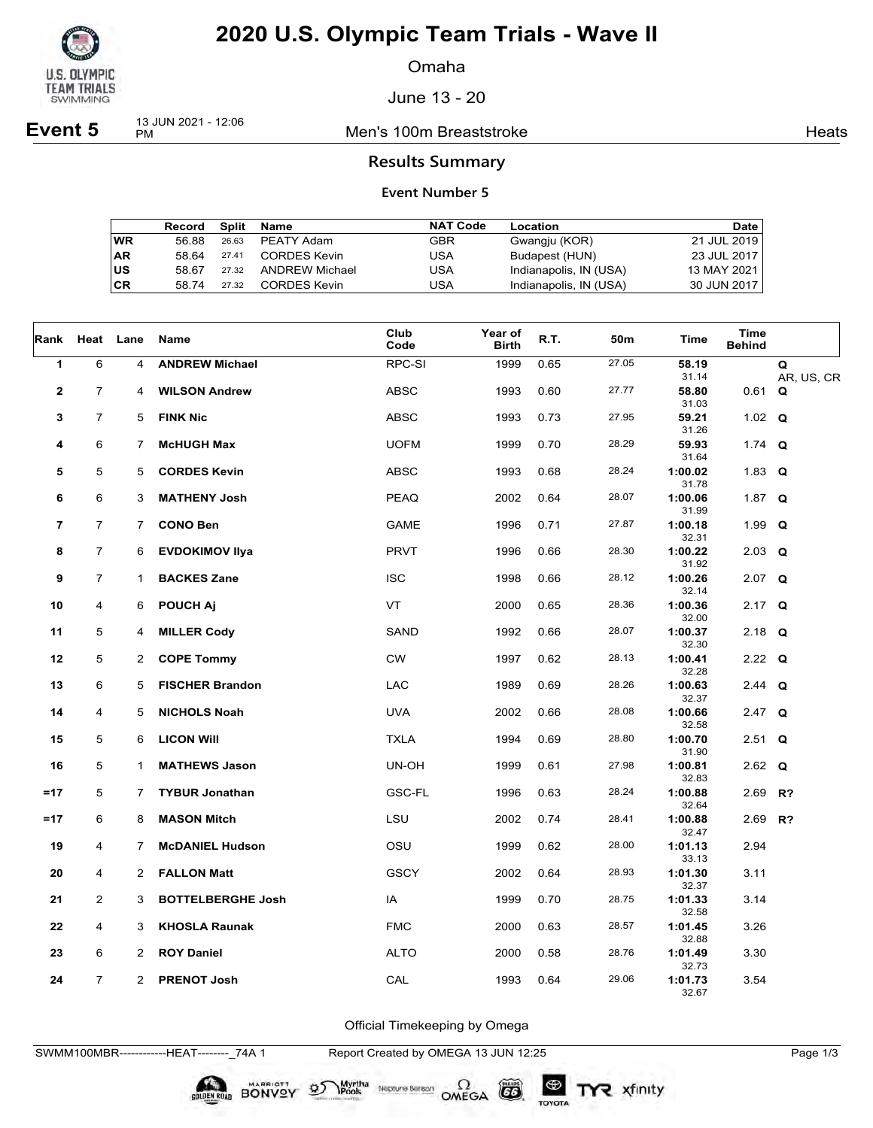

Omaha

June 13 - 20

**Event 5** 13 JUN 2021 - 12:06

Men's 100m Breaststroke **Heats** Heats

### **Results Summary**

#### **Event Number 5**

|           | Record | Split | Name                  | <b>NAT Code</b> | Location               | <b>Date</b> |
|-----------|--------|-------|-----------------------|-----------------|------------------------|-------------|
| <b>WR</b> | 56.88  | 26.63 | PEATY Adam            | <b>GBR</b>      | Gwangju (KOR)          | 21 JUL 2019 |
| AR        | 58.64  | 27.41 | CORDES Kevin          | USA             | Budapest (HUN)         | 23 JUL 2017 |
| US        | 58.67  | 27.32 | <b>ANDREW Michael</b> | USA             | Indianapolis, IN (USA) | 13 MAY 2021 |
| СR        | 58 74  | 27.32 | CORDES Kevin          | JSA             | Indianapolis, IN (USA) | 30 JUN 2017 |

| Rank         | Heat           | Lane           | Name                     | Club<br>Code | Year of<br><b>Birth</b> | R.T. | 50m   | Time             | Time<br><b>Behind</b> |                 |
|--------------|----------------|----------------|--------------------------|--------------|-------------------------|------|-------|------------------|-----------------------|-----------------|
| $\mathbf{1}$ | 6              | 4              | <b>ANDREW Michael</b>    | RPC-SI       | 1999                    | 0.65 | 27.05 | 58.19<br>31.14   |                       | Q<br>AR, US, CR |
| $\mathbf 2$  | $\overline{7}$ | 4              | <b>WILSON Andrew</b>     | <b>ABSC</b>  | 1993                    | 0.60 | 27.77 | 58.80            | $0.61$ Q              |                 |
| 3            | $\overline{7}$ | 5              | <b>FINK Nic</b>          | <b>ABSC</b>  | 1993                    | 0.73 | 27.95 | 31.03<br>59.21   | 1.02 $Q$              |                 |
| 4            | 6              | 7              | <b>McHUGH Max</b>        | <b>UOFM</b>  | 1999                    | 0.70 | 28.29 | 31.26<br>59.93   | 1.74 $Q$              |                 |
| 5            | 5              | 5              | <b>CORDES Kevin</b>      | <b>ABSC</b>  | 1993                    | 0.68 | 28.24 | 31.64<br>1:00.02 | 1.83 $Q$              |                 |
| 6            | 6              | 3              | <b>MATHENY Josh</b>      | <b>PEAQ</b>  | 2002                    | 0.64 | 28.07 | 31.78<br>1:00.06 | 1.87 $Q$              |                 |
| 7            | 7              | 7.             | <b>CONO Ben</b>          | <b>GAME</b>  | 1996                    | 0.71 | 27.87 | 31.99<br>1:00.18 | 1.99 $Q$              |                 |
| 8            | $\overline{7}$ | 6              | <b>EVDOKIMOV IIya</b>    | <b>PRVT</b>  | 1996                    | 0.66 | 28.30 | 32.31<br>1:00.22 | $2.03$ Q              |                 |
| 9            | $\overline{7}$ | $\mathbf{1}$   | <b>BACKES Zane</b>       | <b>ISC</b>   | 1998                    | 0.66 | 28.12 | 31.92<br>1:00.26 | $2.07$ Q              |                 |
| 10           | 4              | 6              | <b>POUCH Aj</b>          | <b>VT</b>    | 2000                    | 0.65 | 28.36 | 32.14<br>1:00.36 | 2.17 $Q$              |                 |
| 11           | 5              | 4              | <b>MILLER Cody</b>       | SAND         | 1992                    | 0.66 | 28.07 | 32.00<br>1:00.37 | 2.18 $Q$              |                 |
|              |                |                |                          |              |                         |      |       | 32.30            |                       |                 |
| 12           | 5              | 2              | <b>COPE Tommy</b>        | <b>CW</b>    | 1997                    | 0.62 | 28.13 | 1:00.41<br>32.28 | 2.22 $Q$              |                 |
| 13           | 6              | 5              | <b>FISCHER Brandon</b>   | <b>LAC</b>   | 1989                    | 0.69 | 28.26 | 1:00.63<br>32.37 | 2.44 $Q$              |                 |
| 14           | 4              | 5              | <b>NICHOLS Noah</b>      | <b>UVA</b>   | 2002                    | 0.66 | 28.08 | 1:00.66<br>32.58 | $2.47$ Q              |                 |
| 15           | 5              | 6              | <b>LICON WIII</b>        | <b>TXLA</b>  | 1994                    | 0.69 | 28.80 | 1:00.70<br>31.90 | $2.51$ Q              |                 |
| 16           | 5              | 1              | <b>MATHEWS Jason</b>     | UN-OH        | 1999                    | 0.61 | 27.98 | 1:00.81<br>32.83 | 2.62 $Q$              |                 |
| $=17$        | 5              | 7              | <b>TYBUR Jonathan</b>    | GSC-FL       | 1996                    | 0.63 | 28.24 | 1:00.88          | 2.69 R?               |                 |
| $=17$        | 6              | 8              | <b>MASON Mitch</b>       | LSU          | 2002                    | 0.74 | 28.41 | 32.64<br>1:00.88 | $2.69$ R?             |                 |
| 19           | 4              | 7              | <b>McDANIEL Hudson</b>   | OSU          | 1999                    | 0.62 | 28.00 | 32.47<br>1:01.13 | 2.94                  |                 |
| 20           | 4              | 2              | <b>FALLON Matt</b>       | <b>GSCY</b>  | 2002                    | 0.64 | 28.93 | 33.13<br>1:01.30 | 3.11                  |                 |
| 21           | $\overline{2}$ | 3              | <b>BOTTELBERGHE Josh</b> | IA           | 1999                    | 0.70 | 28.75 | 32.37<br>1:01.33 | 3.14                  |                 |
| 22           | 4              | 3              | <b>KHOSLA Raunak</b>     | <b>FMC</b>   | 2000                    | 0.63 | 28.57 | 32.58<br>1:01.45 | 3.26                  |                 |
|              |                |                |                          |              |                         |      |       | 32.88            |                       |                 |
| 23           | 6              | 2              | <b>ROY Daniel</b>        | <b>ALTO</b>  | 2000                    | 0.58 | 28.76 | 1:01.49<br>32.73 | 3.30                  |                 |
| 24           | $\overline{7}$ | $\overline{2}$ | <b>PRENOT Josh</b>       | CAL          | 1993                    | 0.64 | 29.06 | 1:01.73<br>32.67 | 3.54                  |                 |

Official Timekeeping by Omega

SWMM100MBR------------HEAT--------\_74A 1 Report Created by OMEGA 13 JUN 12:25 Page 1/3

BONVOY 9

Myrtha<br>Pools

Neptune Bergan  $\Omega$ <br>OMEGA

 $G6$ 

TOYOTA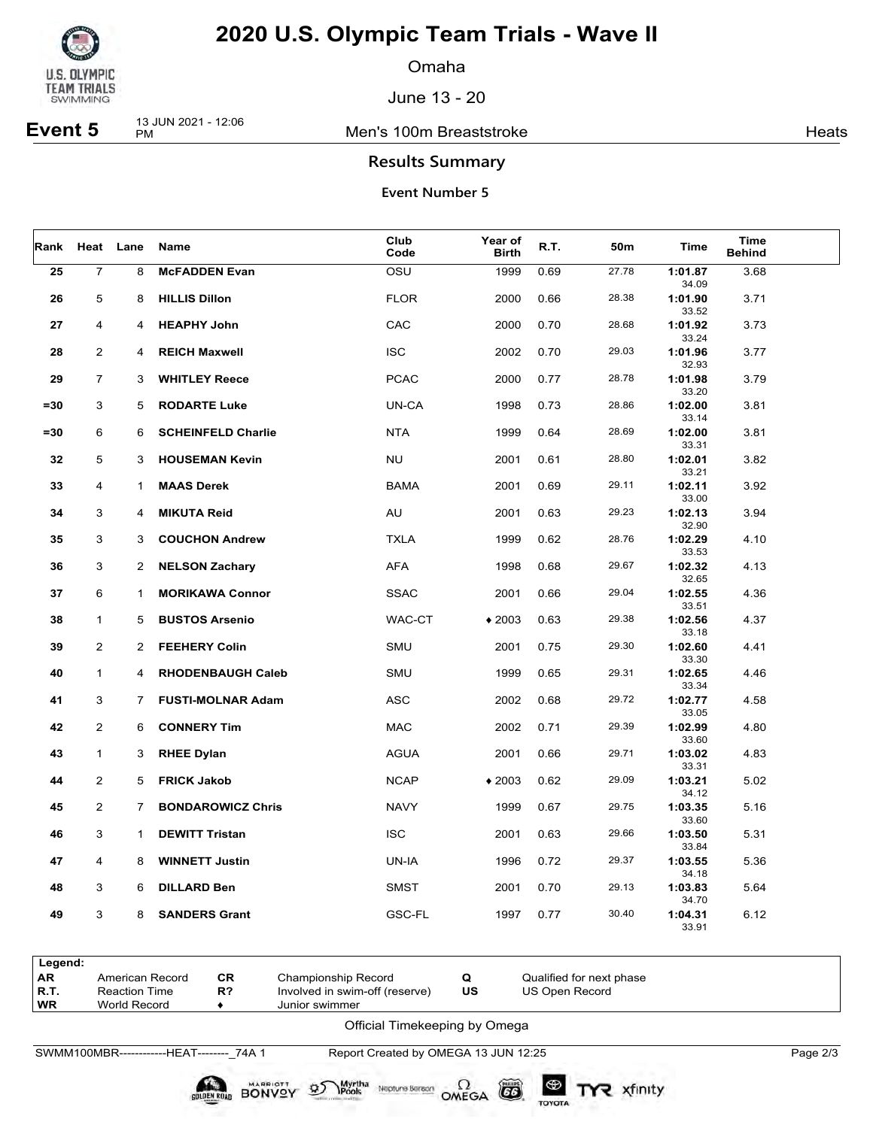

Omaha

June 13 - 20

**Event 5** 13 JUN 2021 - 12:06

Men's 100m Breaststroke **Heats** Heats

### **Results Summary**

### **Event Number 5**

| Rank   | Heat Lane        |                      | Name                      | Club<br>Code | Year of<br><b>Birth</b> | R.T. | 50m   | Time             | Time<br><b>Behind</b> |  |
|--------|------------------|----------------------|---------------------------|--------------|-------------------------|------|-------|------------------|-----------------------|--|
| 25     | $\boldsymbol{7}$ | 8                    | <b>McFADDEN Evan</b>      | OSU          | 1999                    | 0.69 | 27.78 | 1:01.87<br>34.09 | 3.68                  |  |
| 26     | 5                | 8                    | <b>HILLIS Dillon</b>      | <b>FLOR</b>  | 2000                    | 0.66 | 28.38 | 1:01.90<br>33.52 | 3.71                  |  |
| 27     | 4                | 4                    | <b>HEAPHY John</b>        | CAC          | 2000                    | 0.70 | 28.68 | 1:01.92<br>33.24 | 3.73                  |  |
| 28     | $\overline{2}$   | 4                    | <b>REICH Maxwell</b>      | <b>ISC</b>   | 2002                    | 0.70 | 29.03 | 1:01.96<br>32.93 | 3.77                  |  |
| 29     | $\overline{7}$   | 3                    | <b>WHITLEY Reece</b>      | <b>PCAC</b>  | 2000                    | 0.77 | 28.78 | 1:01.98<br>33.20 | 3.79                  |  |
| $= 30$ | 3                | 5                    | <b>RODARTE Luke</b>       | UN-CA        | 1998                    | 0.73 | 28.86 | 1:02.00<br>33.14 | 3.81                  |  |
| $= 30$ | 6                | 6                    | <b>SCHEINFELD Charlie</b> | <b>NTA</b>   | 1999                    | 0.64 | 28.69 | 1:02.00<br>33.31 | 3.81                  |  |
| 32     | 5                | 3                    | <b>HOUSEMAN Kevin</b>     | <b>NU</b>    | 2001                    | 0.61 | 28.80 | 1:02.01<br>33.21 | 3.82                  |  |
| 33     | 4                | $\mathbf{1}$         | <b>MAAS Derek</b>         | <b>BAMA</b>  | 2001                    | 0.69 | 29.11 | 1:02.11<br>33.00 | 3.92                  |  |
| 34     | 3                | 4                    | <b>MIKUTA Reid</b>        | AU           | 2001                    | 0.63 | 29.23 | 1:02.13<br>32.90 | 3.94                  |  |
| 35     | 3                | 3                    | <b>COUCHON Andrew</b>     | <b>TXLA</b>  | 1999                    | 0.62 | 28.76 | 1:02.29<br>33.53 | 4.10                  |  |
| 36     | 3                | $\mathbf{2}^{\circ}$ | <b>NELSON Zachary</b>     | <b>AFA</b>   | 1998                    | 0.68 | 29.67 | 1:02.32<br>32.65 | 4.13                  |  |
| 37     | 6                | $\mathbf{1}$         | <b>MORIKAWA Connor</b>    | <b>SSAC</b>  | 2001                    | 0.66 | 29.04 | 1:02.55<br>33.51 | 4.36                  |  |
| 38     | $\mathbf{1}$     | 5                    | <b>BUSTOS Arsenio</b>     | WAC-CT       | $*2003$                 | 0.63 | 29.38 | 1:02.56<br>33.18 | 4.37                  |  |
| 39     | $\overline{2}$   | 2                    | <b>FEEHERY Colin</b>      | <b>SMU</b>   | 2001                    | 0.75 | 29.30 | 1:02.60<br>33.30 | 4.41                  |  |
| 40     | $\mathbf{1}$     | 4                    | <b>RHODENBAUGH Caleb</b>  | <b>SMU</b>   | 1999                    | 0.65 | 29.31 | 1:02.65<br>33.34 | 4.46                  |  |
| 41     | 3                | 7                    | <b>FUSTI-MOLNAR Adam</b>  | ASC          | 2002                    | 0.68 | 29.72 | 1:02.77<br>33.05 | 4.58                  |  |
| 42     | $\overline{c}$   | 6                    | <b>CONNERY Tim</b>        | <b>MAC</b>   | 2002                    | 0.71 | 29.39 | 1:02.99<br>33.60 | 4.80                  |  |
| 43     | 1                | 3                    | <b>RHEE Dylan</b>         | <b>AGUA</b>  | 2001                    | 0.66 | 29.71 | 1:03.02<br>33.31 | 4.83                  |  |
| 44     | $\overline{2}$   | 5                    | <b>FRICK Jakob</b>        | <b>NCAP</b>  | $*2003$                 | 0.62 | 29.09 | 1:03.21<br>34.12 | 5.02                  |  |
| 45     | 2                | $\overline{7}$       | <b>BONDAROWICZ Chris</b>  | <b>NAVY</b>  | 1999                    | 0.67 | 29.75 | 1:03.35<br>33.60 | 5.16                  |  |
| 46     | 3                | 1                    | <b>DEWITT Tristan</b>     | <b>ISC</b>   | 2001                    | 0.63 | 29.66 | 1:03.50<br>33.84 | 5.31                  |  |
| 47     | 4                | 8                    | <b>WINNETT Justin</b>     | UN-IA        | 1996                    | 0.72 | 29.37 | 1:03.55<br>34.18 | 5.36                  |  |
| 48     | 3                | 6                    | <b>DILLARD Ben</b>        | <b>SMST</b>  | 2001                    | 0.70 | 29.13 | 1:03.83<br>34.70 | 5.64                  |  |
| 49     | 3                | 8                    | <b>SANDERS Grant</b>      | GSC-FL       | 1997                    | 0.77 | 30.40 | 1:04.31<br>33.91 | 6.12                  |  |

| Legend:   |                      |       |                                |    |                          |  |  |  |  |  |
|-----------|----------------------|-------|--------------------------------|----|--------------------------|--|--|--|--|--|
| <b>AR</b> | American Record      | CR.   | Championship Record            |    | Qualified for next phase |  |  |  |  |  |
| R.T.      | <b>Reaction Time</b> | $R$ ? | Involved in swim-off (reserve) | บร | US Open Record           |  |  |  |  |  |
| <b>WR</b> | World Record         |       | Junior swimmer                 |    |                          |  |  |  |  |  |
|           | $Qf_{\text{ideal}}$  |       |                                |    |                          |  |  |  |  |  |

Official Timekeeping by Omega

SWMM100MBR------------HEAT--------\_74A 1 Report Created by OMEGA 13 JUN 12:25 Page 2/3

**SOLDEN ROAD BONVOY 95** 

Neptune Bergan  $\Omega$ <br>OMEGA

 $\circled{G}$ 

TOYOTA

Myrtha<br>Pools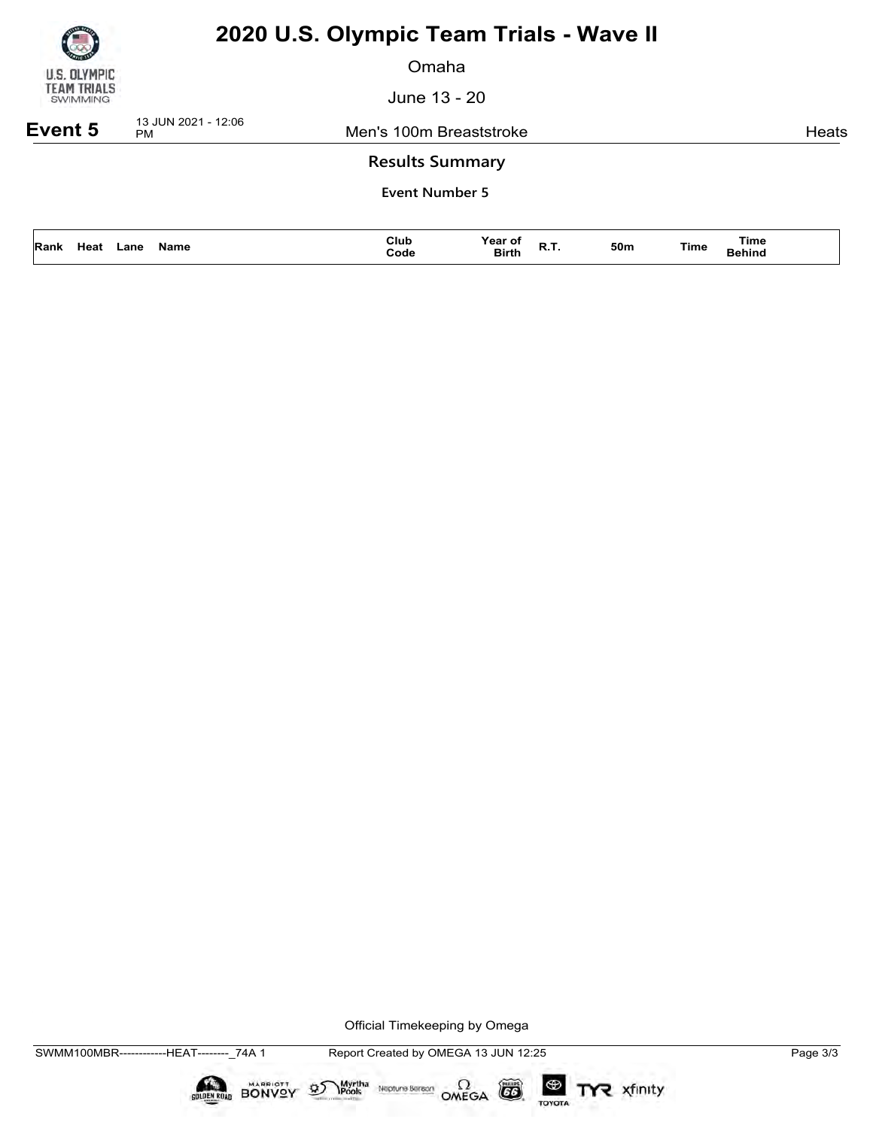

Omaha

June 13 - 20

**Event 5** 13 JUN 2021 - 12:06

Men's 100m Breaststroke **Heats** Heats

### **Results Summary**

**Event Number 5**

| Heat<br>Name<br>Rank<br>.ane | Club<br>Code<br>. | Year of<br>ot<br><b>Birth</b><br>n. | 50m | <b>Time</b><br><b>Time</b><br>Behind |  |
|------------------------------|-------------------|-------------------------------------|-----|--------------------------------------|--|
|------------------------------|-------------------|-------------------------------------|-----|--------------------------------------|--|

Official Timekeeping by Omega

Neptune Bergan  $\Omega$ <br>OMEGA

CO

TOYOTA

TYR xfinity

Myrtha<br>Pools

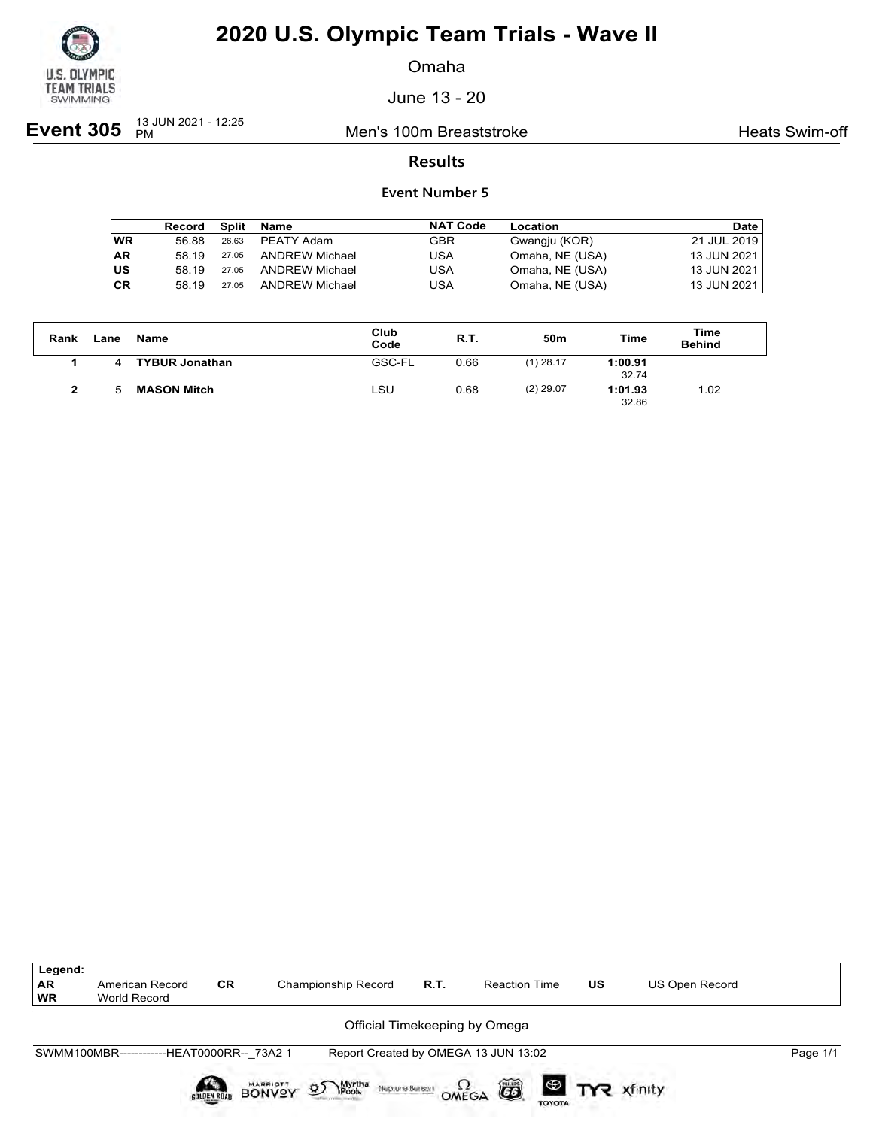

Omaha

June 13 - 20

**Event 305** <sup>13 JUN 2021 - 12:25</sup>

Men's 100m Breaststroke **Heats Swim-off** 

### **Results**

|           | Record | Split | Name                  | <b>NAT Code</b> | Location        | Date        |
|-----------|--------|-------|-----------------------|-----------------|-----------------|-------------|
| <b>WR</b> | 56.88  | 26.63 | PEATY Adam            | GBR             | Gwangju (KOR)   | 21 JUL 2019 |
| ∣AR       | 58 19  | 27.05 | <b>ANDREW Michael</b> | USA             | Omaha, NE (USA) | 13 JUN 2021 |
| lus       | 58 19  | 27.05 | <b>ANDREW Michael</b> | USA             | Omaha, NE (USA) | 13 JUN 2021 |
| ∣CR       | 58.19  | 27.05 | <b>ANDREW Michael</b> | USA             | Omaha, NE (USA) | 13 JUN 2021 |

| Rank         | ∟ane | Name                  | Club<br>Code  | R.T. | 50m         | Time             | Time<br><b>Behind</b> |
|--------------|------|-----------------------|---------------|------|-------------|------------------|-----------------------|
|              | 4    | <b>TYBUR Jonathan</b> | <b>GSC-FL</b> | 0.66 | $(1)$ 28.17 | 1:00.91<br>32.74 |                       |
| $\mathbf{2}$ | h    | <b>MASON Mitch</b>    | ∟SU           | 0.68 | $(2)$ 29.07 | 1:01.93<br>32.86 | 1.02                  |

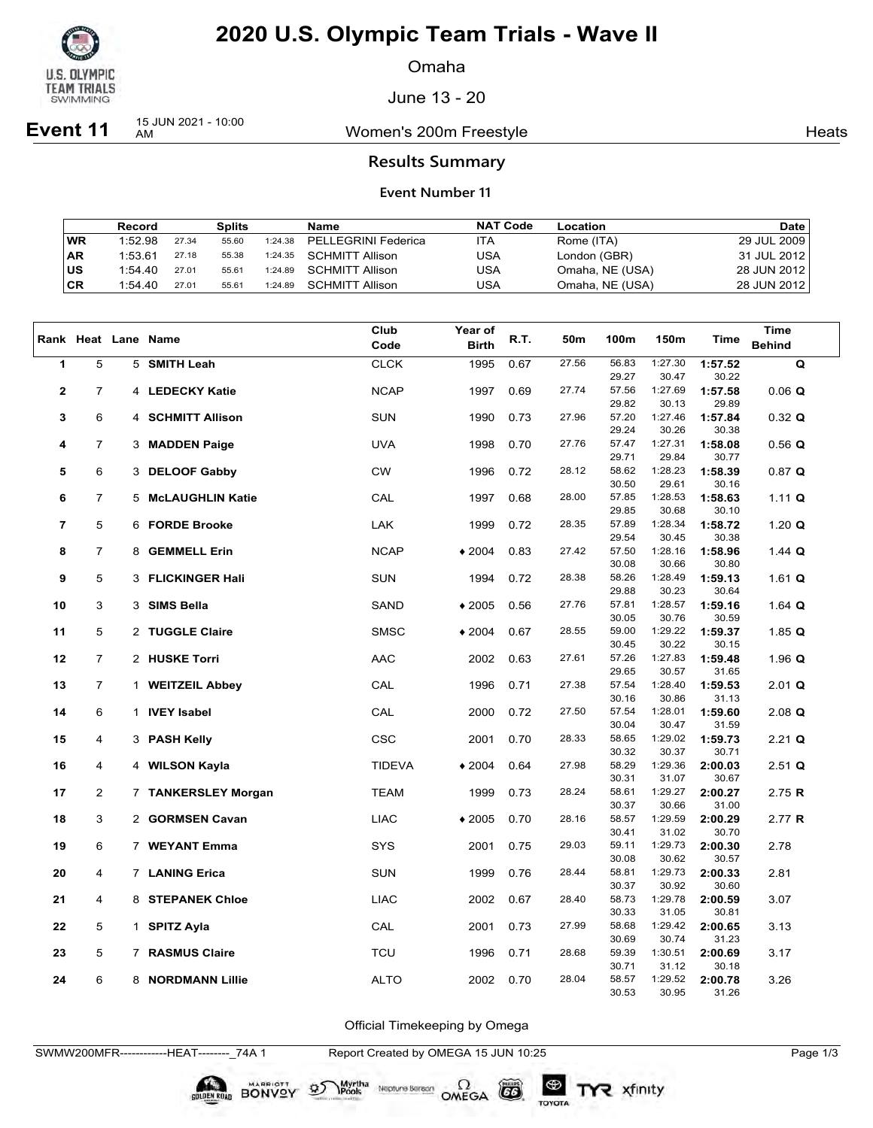

Omaha

June 13 - 20

**Event 11** 15 JUN 2021 - 10:00

Women's 200m Freestyle **Heats** Heats

### **Results Summary**

#### **Event Number 11**

|           | Record  |       | Splits |         | Name                    | <b>NAT Code</b> | Location        | Date          |
|-----------|---------|-------|--------|---------|-------------------------|-----------------|-----------------|---------------|
| WR        | 1:52.98 | 27.34 | 55.60  | 1:24.38 | PELLEGRINI Federica     | ITA             | Rome (ITA)      | 29 JUL 2009   |
| <b>AR</b> | 1:53.61 | 27.18 | 55.38  |         | 1:24.35 SCHMITT Allison | USA             | London (GBR)    | 31 JUL 2012   |
| lus       | 1:54.40 | 27.01 | 55.61  | 1:24.89 | SCHMITT Allison         | USA             | Omaha, NE (USA) | 28 JUN 2012 l |
| CR        | 1:54.40 | 27.01 | 55.61  | 1:24.89 | <b>SCHMITT Allison</b>  | USA             | Omaha, NE (USA) | 28 JUN 2012   |

|                |                |   | Rank Heat Lane Name   | Club          | Year of              | R.T. | 50m   | 100m           | 150m             | <b>Time</b>      | <b>Time</b>   |
|----------------|----------------|---|-----------------------|---------------|----------------------|------|-------|----------------|------------------|------------------|---------------|
|                |                |   |                       | Code          | <b>Birth</b>         |      |       |                |                  |                  | <b>Behind</b> |
| $\mathbf{1}$   | 5              |   | 5 SMITH Leah          | <b>CLCK</b>   | 1995                 | 0.67 | 27.56 | 56.83<br>29.27 | 1:27.30<br>30.47 | 1:57.52<br>30.22 | Q             |
| $\mathbf{2}$   | $\overline{7}$ |   | 4 LEDECKY Katie       | <b>NCAP</b>   | 1997                 | 0.69 | 27.74 | 57.56          | 1:27.69          | 1:57.58          | $0.06$ Q      |
|                |                |   |                       |               |                      |      |       | 29.82          | 30.13            | 29.89            |               |
| 3              | 6              |   | 4 SCHMITT Allison     | <b>SUN</b>    | 1990                 | 0.73 | 27.96 | 57.20          | 1:27.46          | 1:57.84          |               |
|                |                |   |                       |               |                      |      |       | 29.24          | 30.26            | 30.38            | 0.32 Q        |
| 4              | $\overline{7}$ |   | 3 MADDEN Paige        | <b>UVA</b>    | 1998                 | 0.70 | 27.76 | 57.47          | 1:27.31          | 1:58.08          | $0.56$ Q      |
|                |                |   |                       |               |                      |      |       | 29.71          | 29.84            | 30.77            |               |
| 5              | 6              |   | 3 DELOOF Gabby        | <b>CW</b>     | 1996                 | 0.72 | 28.12 | 58.62          | 1:28.23          | 1:58.39          | 0.87 Q        |
|                |                |   |                       |               |                      |      |       | 30.50          | 29.61            | 30.16            |               |
| 6              | $\overline{7}$ |   | 5 McLAUGHLIN Katie    | CAL           | 1997                 | 0.68 | 28.00 | 57.85          | 1:28.53          | 1:58.63          | 1.11 $Q$      |
|                |                |   |                       |               |                      |      |       | 29.85          | 30.68            | 30.10            |               |
| $\overline{7}$ | 5              |   | 6 FORDE Brooke        | LAK           | 1999                 | 0.72 | 28.35 | 57.89          | 1:28.34          | 1:58.72          | 1.20 $Q$      |
|                |                |   |                       |               |                      |      |       | 29.54          | 30.45            | 30.38            |               |
| 8              | $\overline{7}$ | 8 | <b>GEMMELL Erin</b>   | <b>NCAP</b>   | $*2004$              | 0.83 | 27.42 | 57.50          | 1:28.16          | 1:58.96          | 1.44 Q        |
|                |                |   |                       |               |                      |      |       | 30.08          | 30.66            | 30.80            |               |
| 9              | 5              |   | 3 FLICKINGER Hali     | <b>SUN</b>    | 1994                 | 0.72 | 28.38 | 58.26          | 1:28.49          | 1:59.13          | 1.61 $Q$      |
|                |                |   |                       |               |                      |      |       | 29.88          | 30.23            | 30.64            |               |
| 10             | 3              |   | 3 SIMS Bella          | SAND          | $*2005$              | 0.56 | 27.76 | 57.81          | 1:28.57          | 1:59.16          | 1.64 $Q$      |
|                |                |   |                       |               |                      |      |       | 30.05          | 30.76            | 30.59            |               |
| 11             | 5              |   | 2 TUGGLE Claire       | <b>SMSC</b>   | $*2004$              | 0.67 | 28.55 | 59.00          | 1:29.22          | 1:59.37          | 1.85 $Q$      |
|                |                |   |                       |               |                      |      |       | 30.45          | 30.22            | 30.15            |               |
| 12             | $\overline{7}$ |   | 2 HUSKE Torri         | <b>AAC</b>    | 2002                 | 0.63 | 27.61 | 57.26          | 1:27.83          | 1:59.48          | 1.96 $Q$      |
|                |                |   |                       |               |                      |      |       | 29.65          | 30.57            | 31.65            |               |
| 13             | $\overline{7}$ |   | 1 WEITZEIL Abbey      | CAL           | 1996                 | 0.71 | 27.38 | 57.54          | 1:28.40          | 1:59.53          | $2.01$ Q      |
|                |                |   |                       |               |                      |      |       | 30.16          | 30.86            | 31.13            |               |
| 14             | 6              |   | 1 IVEY Isabel         | CAL           | 2000                 | 0.72 | 27.50 | 57.54          | 1:28.01          | 1:59.60          | $2.08$ Q      |
|                |                |   |                       |               |                      |      |       | 30.04          | 30.47            | 31.59            |               |
| 15             | 4              |   | 3 PASH Kelly          | CSC           | 2001                 | 0.70 | 28.33 | 58.65          | 1:29.02          | 1:59.73          | $2.21$ Q      |
|                |                |   |                       |               |                      |      |       | 30.32          | 30.37            | 30.71            |               |
| 16             | 4              |   | 4 WILSON Kayla        | <b>TIDEVA</b> | $\blacklozenge$ 2004 | 0.64 | 27.98 | 58.29          | 1:29.36          | 2:00.03          | $2.51$ Q      |
|                |                |   |                       |               |                      |      |       | 30.31          | 31.07            | 30.67            |               |
| 17             | $\overline{c}$ |   | 7 TANKERSLEY Morgan   | <b>TEAM</b>   | 1999                 | 0.73 | 28.24 | 58.61<br>30.37 | 1:29.27<br>30.66 | 2:00.27<br>31.00 | 2.75 $R$      |
|                |                |   |                       |               |                      |      | 28.16 | 58.57          | 1:29.59          |                  |               |
| 18             | 3              |   | 2 GORMSEN Cavan       | <b>LIAC</b>   | $*2005$              | 0.70 |       | 30.41          | 31.02            | 2:00.29<br>30.70 | 2.77 R        |
| 19             | 6              |   | 7 WEYANT Emma         | SYS           | 2001                 | 0.75 | 29.03 | 59.11          | 1:29.73          | 2:00.30          | 2.78          |
|                |                |   |                       |               |                      |      |       | 30.08          | 30.62            | 30.57            |               |
| 20             | 4              |   | 7 LANING Erica        | <b>SUN</b>    | 1999                 | 0.76 | 28.44 | 58.81          | 1:29.73          | 2:00.33          | 2.81          |
|                |                |   |                       |               |                      |      |       | 30.37          | 30.92            | 30.60            |               |
| 21             | 4              | 8 | <b>STEPANEK Chloe</b> | <b>LIAC</b>   | 2002                 | 0.67 | 28.40 | 58.73          | 1:29.78          | 2:00.59          | 3.07          |
|                |                |   |                       |               |                      |      |       | 30.33          | 31.05            | 30.81            |               |
| 22             | 5              | 1 | <b>SPITZ Ayla</b>     | CAL           | 2001                 | 0.73 | 27.99 | 58.68          | 1:29.42          | 2:00.65          | 3.13          |
|                |                |   |                       |               |                      |      |       | 30.69          | 30.74            | 31.23            |               |
| 23             | 5              | 7 | <b>RASMUS Claire</b>  | <b>TCU</b>    | 1996                 | 0.71 | 28.68 | 59.39          | 1:30.51          | 2:00.69          | 3.17          |
|                |                |   |                       |               |                      |      |       | 30.71          | 31.12            | 30.18            |               |
| 24             | 6              |   | 8 NORDMANN Lillie     | <b>ALTO</b>   | 2002                 | 0.70 | 28.04 | 58.57          | 1:29.52          | 2:00.78          | 3.26          |
|                |                |   |                       |               |                      |      |       | 30.53          | 30.95            | 31.26            |               |

Official Timekeeping by Omega

SWMW200MFR------------HEAT--------\_74A 1 Report Created by OMEGA 15 JUN 10:25 Page 1/3

BONVOY 95

Myrtha<br>Pools

Neptune Bergan  $\Omega$ <br>OMEGA

 $(G)$ 

TOYOTA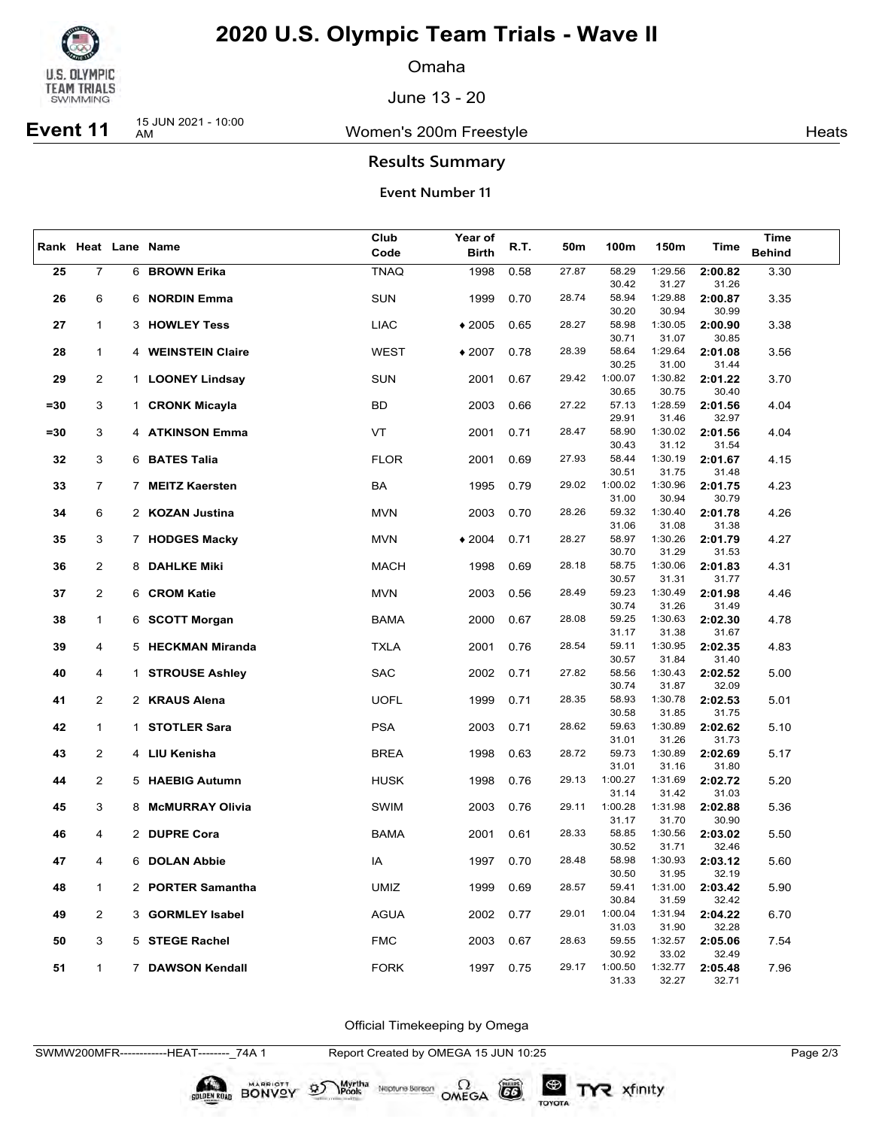

Omaha

June 13 - 20

# **Event 11** 15 JUN 2021 - 10:00

Women's 200m Freestyle **Heats** Heats

## **Results Summary**

#### **Event Number 11**

|        | Rank Heat Lane Name |   |                        | Club        | Year of      |      |       |                  |                  |                  | <b>Time</b>   |
|--------|---------------------|---|------------------------|-------------|--------------|------|-------|------------------|------------------|------------------|---------------|
|        |                     |   |                        | Code        | <b>Birth</b> | R.T. | 50m   | 100m             | 150m             | Time             | <b>Behind</b> |
| 25     | $\overline{7}$      |   | 6 BROWN Erika          | <b>TNAQ</b> | 1998         | 0.58 | 27.87 | 58.29            | 1:29.56          | 2:00.82          | 3.30          |
|        |                     |   |                        |             |              |      |       | 30.42            | 31.27            | 31.26            |               |
| 26     | 6                   |   | 6 NORDIN Emma          | <b>SUN</b>  | 1999         | 0.70 | 28.74 | 58.94            | 1:29.88          | 2:00.87          | 3.35          |
|        |                     |   |                        |             |              |      |       | 30.20            | 30.94            | 30.99            |               |
| 27     | $\mathbf{1}$        |   | 3 HOWLEY Tess          | <b>LIAC</b> | $*2005$      | 0.65 | 28.27 | 58.98            | 1:30.05          | 2:00.90          | 3.38          |
|        |                     |   |                        |             |              |      |       | 30.71            | 31.07            | 30.85            |               |
| 28     | $\mathbf{1}$        |   | 4 WEINSTEIN Claire     | <b>WEST</b> | $*2007$      | 0.78 | 28.39 | 58.64            | 1:29.64          | 2:01.08          | 3.56          |
|        |                     |   |                        |             |              |      |       | 30.25            | 31.00            | 31.44            |               |
| 29     | $\overline{2}$      |   | 1 LOONEY Lindsay       | <b>SUN</b>  | 2001         | 0.67 | 29.42 | 1:00.07<br>30.65 | 1:30.82<br>30.75 | 2:01.22<br>30.40 | 3.70          |
| $= 30$ | 3                   |   | 1 CRONK Micayla        | BD          | 2003         | 0.66 | 27.22 | 57.13            | 1:28.59          | 2:01.56          | 4.04          |
|        |                     |   |                        |             |              |      |       | 29.91            | 31.46            | 32.97            |               |
| $= 30$ | 3                   |   | 4 ATKINSON Emma        | VT          | 2001         | 0.71 | 28.47 | 58.90            | 1:30.02          | 2:01.56          | 4.04          |
|        |                     |   |                        |             |              |      |       | 30.43            | 31.12            | 31.54            |               |
| 32     | 3                   |   | 6 BATES Talia          | <b>FLOR</b> | 2001         | 0.69 | 27.93 | 58.44            | 1:30.19          | 2:01.67          | 4.15          |
|        |                     |   |                        |             |              |      |       | 30.51            | 31.75            | 31.48            |               |
| 33     | $\overline{7}$      |   | 7 MEITZ Kaersten       | BA          | 1995         | 0.79 | 29.02 | 1:00.02          | 1:30.96          | 2:01.75          | 4.23          |
|        |                     |   |                        |             |              |      |       | 31.00            | 30.94            | 30.79            |               |
| 34     | 6                   |   | 2 KOZAN Justina        | <b>MVN</b>  | 2003         | 0.70 | 28.26 | 59.32<br>31.06   | 1:30.40<br>31.08 | 2:01.78<br>31.38 | 4.26          |
| 35     | 3                   |   | 7 HODGES Macky         | MVN         | $*2004$      | 0.71 | 28.27 | 58.97            | 1:30.26          | 2:01.79          | 4.27          |
|        |                     |   |                        |             |              |      |       | 30.70            | 31.29            | 31.53            |               |
| 36     | $\overline{2}$      |   | 8 DAHLKE Miki          | <b>MACH</b> | 1998         | 0.69 | 28.18 | 58.75            | 1:30.06          | 2:01.83          | 4.31          |
|        |                     |   |                        |             |              |      |       | 30.57            | 31.31            | 31.77            |               |
| 37     | $\overline{2}$      |   | 6 CROM Katie           | MVN         | 2003         | 0.56 | 28.49 | 59.23            | 1:30.49          | 2:01.98          | 4.46          |
|        |                     |   |                        |             |              |      |       | 30.74            | 31.26            | 31.49            |               |
| 38     | $\mathbf{1}$        |   | 6 SCOTT Morgan         | BAMA        | 2000         | 0.67 | 28.08 | 59.25            | 1:30.63          | 2:02.30          | 4.78          |
|        | 4                   |   |                        |             |              | 0.76 | 28.54 | 31.17<br>59.11   | 31.38<br>1:30.95 | 31.67<br>2:02.35 |               |
| 39     |                     |   | 5 HECKMAN Miranda      | <b>TXLA</b> | 2001         |      |       | 30.57            | 31.84            | 31.40            | 4.83          |
| 40     | 4                   |   | 1 STROUSE Ashley       | <b>SAC</b>  | 2002         | 0.71 | 27.82 | 58.56            | 1:30.43          | 2:02.52          | 5.00          |
|        |                     |   |                        |             |              |      |       | 30.74            | 31.87            | 32.09            |               |
| 41     | $\overline{2}$      |   | 2 KRAUS Alena          | <b>UOFL</b> | 1999         | 0.71 | 28.35 | 58.93            | 1:30.78          | 2:02.53          | 5.01          |
|        |                     |   |                        |             |              |      |       | 30.58            | 31.85            | 31.75            |               |
| 42     | $\mathbf{1}$        |   | 1 STOTLER Sara         | <b>PSA</b>  | 2003         | 0.71 | 28.62 | 59.63            | 1:30.89          | 2:02.62          | 5.10          |
|        |                     |   |                        |             |              |      | 28.72 | 31.01<br>59.73   | 31.26<br>1:30.89 | 31.73            |               |
| 43     | $\overline{2}$      |   | 4 LIU Kenisha          | BREA        | 1998         | 0.63 |       | 31.01            | 31.16            | 2:02.69<br>31.80 | 5.17          |
| 44     | $\overline{2}$      |   | 5 HAEBIG Autumn        | <b>HUSK</b> | 1998         | 0.76 | 29.13 | 1:00.27          | 1:31.69          | 2:02.72          | 5.20          |
|        |                     |   |                        |             |              |      |       | 31.14            | 31.42            | 31.03            |               |
| 45     | 3                   | 8 | <b>McMURRAY Olivia</b> | SWIM        | 2003         | 0.76 | 29.11 | 1:00.28          | 1:31.98          | 2:02.88          | 5.36          |
|        |                     |   |                        |             |              |      |       | 31.17            | 31.70            | 30.90            |               |
| 46     | 4                   |   | 2 DUPRE Cora           | BAMA        | 2001         | 0.61 | 28.33 | 58.85            | 1:30.56          | 2:03.02          | 5.50          |
|        |                     |   |                        |             |              |      |       | 30.52            | 31.71<br>1:30.93 | 32.46            |               |
| 47     | 4                   |   | 6 DOLAN Abbie          | IA          | 1997         | 0.70 | 28.48 | 58.98<br>30.50   | 31.95            | 2:03.12<br>32.19 | 5.60          |
| 48     | 1                   |   | 2 PORTER Samantha      | UMIZ        | 1999         | 0.69 | 28.57 | 59.41            | 1:31.00          | 2:03.42          | 5.90          |
|        |                     |   |                        |             |              |      |       | 30.84            | 31.59            | 32.42            |               |
| 49     | $\overline{2}$      |   | 3 GORMLEY Isabel       | AGUA        | 2002         | 0.77 | 29.01 | 1:00.04          | 1:31.94          | 2:04.22          | 6.70          |
|        |                     |   |                        |             |              |      |       | 31.03            | 31.90            | 32.28            |               |
| 50     | 3                   |   | 5 STEGE Rachel         | <b>FMC</b>  | 2003         | 0.67 | 28.63 | 59.55            | 1:32.57          | 2:05.06          | 7.54          |
|        |                     |   |                        |             |              |      |       | 30.92            | 33.02            | 32.49            |               |
| 51     | $\mathbf{1}$        |   | 7 DAWSON Kendall       | <b>FORK</b> | 1997         | 0.75 | 29.17 | 1:00.50<br>31.33 | 1:32.77<br>32.27 | 2:05.48<br>32.71 | 7.96          |
|        |                     |   |                        |             |              |      |       |                  |                  |                  |               |

Official Timekeeping by Omega

BONVOY 9

Myrtha<br>Pools

Neptune Berson  $\Omega$ <br>OMEGA

 $G6$ 

TOYOTA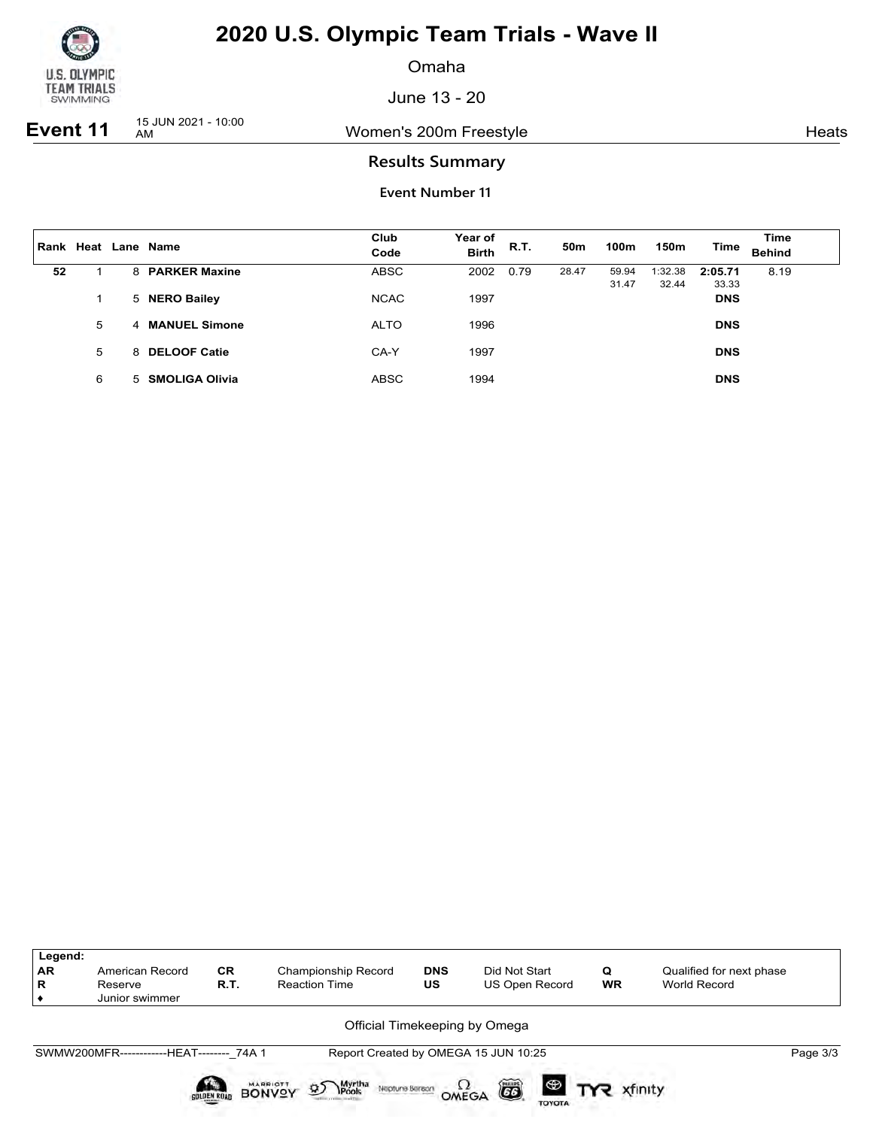

Omaha

June 13 - 20

**Event 11**  $\frac{15 \text{ JUN } 2021 - 10:00}{\text{AM}}$ 

Women's 200m Freestyle **Heats** Heats

## **Results Summary**

| Rank |   | Heat Lane Name   | Club<br>Code | Year of<br><b>Birth</b> | R.T. | 50 <sub>m</sub> | 100m           | 150m             | Time             | <b>Time</b><br><b>Behind</b> |
|------|---|------------------|--------------|-------------------------|------|-----------------|----------------|------------------|------------------|------------------------------|
| 52   |   | 8 PARKER Maxine  | <b>ABSC</b>  | 2002                    | 0.79 | 28.47           | 59.94<br>31.47 | 1:32.38<br>32.44 | 2:05.71<br>33.33 | 8.19                         |
|      |   | 5 NERO Bailey    | <b>NCAC</b>  | 1997                    |      |                 |                |                  | <b>DNS</b>       |                              |
|      | 5 | 4 MANUEL Simone  | <b>ALTO</b>  | 1996                    |      |                 |                |                  | <b>DNS</b>       |                              |
|      | 5 | 8 DELOOF Catie   | CA-Y         | 1997                    |      |                 |                |                  | <b>DNS</b>       |                              |
|      | 6 | 5 SMOLIGA Olivia | <b>ABSC</b>  | 1994                    |      |                 |                |                  | <b>DNS</b>       |                              |

| Legend:<br><b>AR</b><br>R | American Record<br>Reserve<br>Junior swimmer | <b>CR</b><br>R.T.  | Championship Record<br><b>Reaction Time</b>                                | <b>DNS</b><br>US | Did Not Start<br>US Open Record      | Q<br><b>WR</b> | Qualified for next phase<br>World Record |  |  |  |  |  |
|---------------------------|----------------------------------------------|--------------------|----------------------------------------------------------------------------|------------------|--------------------------------------|----------------|------------------------------------------|--|--|--|--|--|
|                           | Official Timekeeping by Omega                |                    |                                                                            |                  |                                      |                |                                          |  |  |  |  |  |
|                           | SWMW200MFR-------------HEAT-------- 74A 1    |                    |                                                                            |                  | Report Created by OMEGA 15 JUN 10:25 |                | Page 3/3                                 |  |  |  |  |  |
|                           |                                              | <b>GOLDEN ROAD</b> | <b>MARRIOTT</b><br>Myrtha<br>Pools<br>D<br>Neptune Berach<br><b>BONVOY</b> |                  | 6<br>OMEGA<br><b>TOYOTA</b>          |                |                                          |  |  |  |  |  |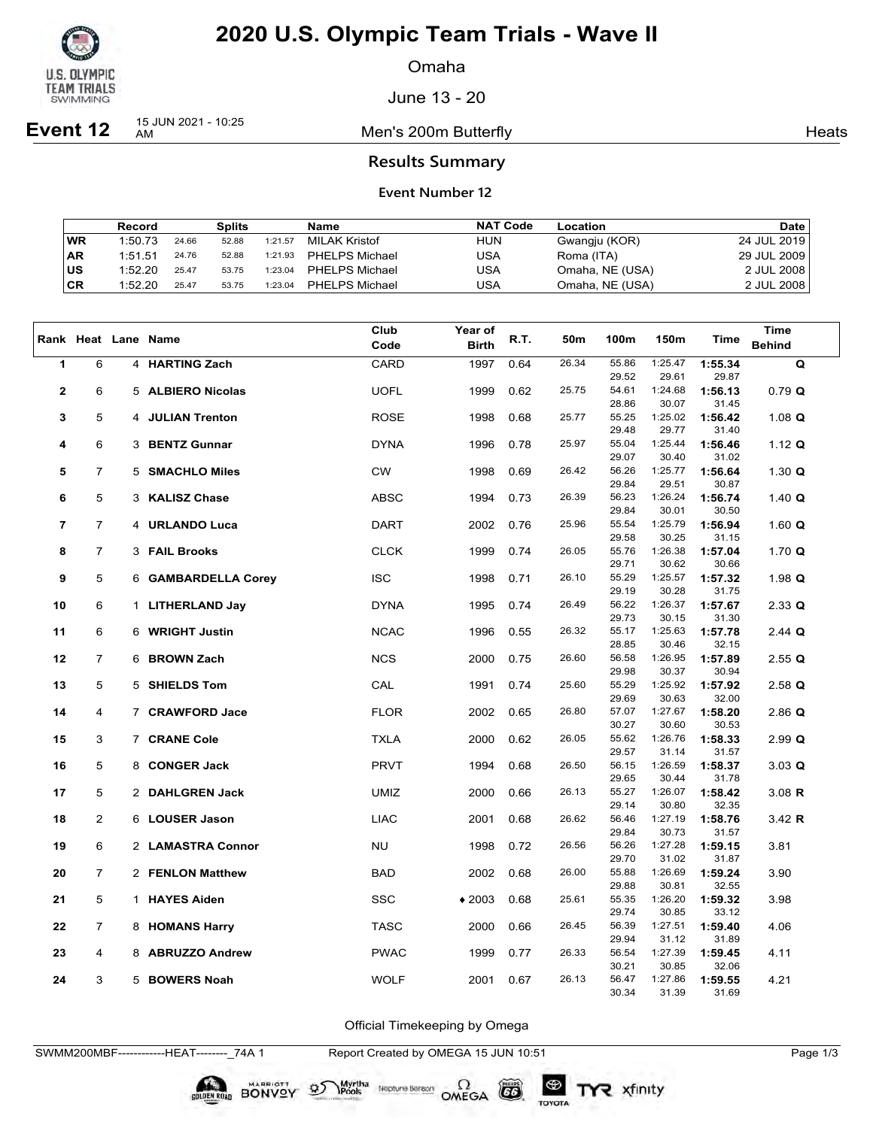

Omaha

June 13 - 20

**Event 12** 15 JUN 2021 - 10:25

Men's 200m Butterfly **American** Heats Heats

## **Results Summary**

#### **Event Number 12**

|           | Record  |       | Splits |         | Name                  | <b>NAT Code</b> | Location        | Date        |
|-----------|---------|-------|--------|---------|-----------------------|-----------------|-----------------|-------------|
| <b>WR</b> | 1:50.73 | 24.66 | 52.88  | 1:21.57 | MILAK Kristof         | <b>HUN</b>      | Gwangju (KOR)   | 24 JUL 2019 |
| <b>AR</b> | 1:51.51 | 24.76 | 52.88  | 1:21.93 | <b>PHELPS Michael</b> | USA             | Roma (ITA)      | 29 JUL 2009 |
| ∣us       | 1:52.20 | 25.47 | 53.75  | 1:23.04 | PHELPS Michael        | USA             | Omaha, NE (USA) | 2 JUL 2008  |
| CR        | 1:52.20 | 25.47 | 53.75  | 1:23.04 | PHELPS Michael        | USA             | Omaha, NE (USA) | 2 JUL 2008  |

|                         |                |             |                       | Club        | Year of      |      |       |                |                  |                  | <b>Time</b>   |
|-------------------------|----------------|-------------|-----------------------|-------------|--------------|------|-------|----------------|------------------|------------------|---------------|
|                         |                |             | Rank Heat Lane Name   | Code        | <b>Birth</b> | R.T. | 50m   | 100m           | 150m             | Time             | <b>Behind</b> |
| $\mathbf{1}$            | 6              |             | 4 HARTING Zach        | CARD        | 1997         | 0.64 | 26.34 | 55.86          | 1:25.47          | 1:55.34          | Q             |
|                         |                |             |                       |             |              |      |       | 29.52          | 29.61            | 29.87            |               |
| $\overline{\mathbf{2}}$ | 6              |             | 5 ALBIERO Nicolas     | <b>UOFL</b> | 1999         | 0.62 | 25.75 | 54.61<br>28.86 | 1:24.68<br>30.07 | 1:56.13<br>31.45 | 0.79 Q        |
| 3                       | 5              |             | 4 JULIAN Trenton      | <b>ROSE</b> | 1998         | 0.68 | 25.77 | 55.25          | 1:25.02          | 1:56.42          | 1.08 $Q$      |
|                         |                |             |                       |             |              |      |       | 29.48          | 29.77            | 31.40            |               |
| 4                       | 6              | 3           | <b>BENTZ Gunnar</b>   | <b>DYNA</b> | 1996         | 0.78 | 25.97 | 55.04          | 1:25.44          | 1:56.46          | 1.12 $Q$      |
|                         |                |             |                       |             |              |      |       | 29.07          | 30.40            | 31.02            |               |
| 5                       | $\overline{7}$ |             | 5 SMACHLO Miles       | <b>CW</b>   | 1998         | 0.69 | 26.42 | 56.26          | 1:25.77          | 1:56.64          | 1.30 $Q$      |
|                         |                |             |                       |             |              |      |       | 29.84          | 29.51            | 30.87            |               |
| 6                       | 5              |             | 3 KALISZ Chase        | ABSC        | 1994         | 0.73 | 26.39 | 56.23          | 1:26.24          | 1:56.74          | 1.40 $Q$      |
|                         | $\overline{7}$ |             |                       |             |              |      | 25.96 | 29.84<br>55.54 | 30.01<br>1:25.79 | 30.50            |               |
| 7                       |                |             | 4 URLANDO Luca        | DART        | 2002         | 0.76 |       | 29.58          | 30.25            | 1:56.94<br>31.15 | 1.60 $Q$      |
| 8                       | $\overline{7}$ |             | 3 FAIL Brooks         | <b>CLCK</b> | 1999         | 0.74 | 26.05 | 55.76          | 1:26.38          | 1:57.04          | 1.70 $Q$      |
|                         |                |             |                       |             |              |      |       | 29.71          | 30.62            | 30.66            |               |
| 9                       | 5              |             | 6 GAMBARDELLA Corey   | <b>ISC</b>  | 1998         | 0.71 | 26.10 | 55.29          | 1:25.57          | 1:57.32          | 1.98 $Q$      |
|                         |                |             |                       |             |              |      |       | 29.19          | 30.28            | 31.75            |               |
| 10                      | 6              |             | 1 LITHERLAND Jay      | <b>DYNA</b> | 1995         | 0.74 | 26.49 | 56.22          | 1:26.37          | 1:57.67          | 2.33 Q        |
|                         |                |             |                       |             |              |      |       | 29.73          | 30.15            | 31.30            |               |
| 11                      | 6              |             | 6 WRIGHT Justin       | <b>NCAC</b> | 1996         | 0.55 | 26.32 | 55.17          | 1:25.63          | 1:57.78          | 2.44 Q        |
| 12                      | $\overline{7}$ |             |                       |             |              | 0.75 | 26.60 | 28.85<br>56.58 | 30.46<br>1:26.95 | 32.15            |               |
|                         |                |             | 6 BROWN Zach          | <b>NCS</b>  | 2000         |      |       | 29.98          | 30.37            | 1:57.89<br>30.94 | 2.55Q         |
| 13                      | 5              |             | 5 SHIELDS Tom         | CAL         | 1991         | 0.74 | 25.60 | 55.29          | 1:25.92          | 1:57.92          | $2.58$ Q      |
|                         |                |             |                       |             |              |      |       | 29.69          | 30.63            | 32.00            |               |
| 14                      | 4              |             | 7 CRAWFORD Jace       | <b>FLOR</b> | 2002         | 0.65 | 26.80 | 57.07          | 1:27.67          | 1:58.20          | $2.86$ Q      |
|                         |                |             |                       |             |              |      |       | 30.27          | 30.60            | 30.53            |               |
| 15                      | 3              |             | 7 CRANE Cole          | <b>TXLA</b> | 2000         | 0.62 | 26.05 | 55.62          | 1:26.76          | 1:58.33          | $2.99$ Q      |
|                         |                |             |                       |             |              |      |       | 29.57          | 31.14            | 31.57            |               |
| 16                      | 5              |             | 8 CONGER Jack         | <b>PRVT</b> | 1994         | 0.68 | 26.50 | 56.15<br>29.65 | 1:26.59<br>30.44 | 1:58.37<br>31.78 | 3.03 Q        |
| 17                      | 5              |             | 2 DAHLGREN Jack       | UMIZ        | 2000         | 0.66 | 26.13 | 55.27          | 1:26.07          | 1:58.42          | $3.08$ R      |
|                         |                |             |                       |             |              |      |       | 29.14          | 30.80            | 32.35            |               |
| 18                      | 2              |             | 6 LOUSER Jason        | <b>LIAC</b> | 2001         | 0.68 | 26.62 | 56.46          | 1:27.19          | 1:58.76          | 3.42 $R$      |
|                         |                |             |                       |             |              |      |       | 29.84          | 30.73            | 31.57            |               |
| 19                      | 6              |             | 2 LAMASTRA Connor     | <b>NU</b>   | 1998         | 0.72 | 26.56 | 56.26          | 1:27.28          | 1:59.15          | 3.81          |
|                         |                |             |                       |             |              |      |       | 29.70          | 31.02            | 31.87            |               |
| 20                      | $\overline{7}$ |             | 2 FENLON Matthew      | <b>BAD</b>  | 2002         | 0.68 | 26.00 | 55.88          | 1:26.69          | 1:59.24          | 3.90          |
| 21                      | 5              | $\mathbf 1$ | <b>HAYES Aiden</b>    | <b>SSC</b>  |              |      | 25.61 | 29.88<br>55.35 | 30.81<br>1:26.20 | 32.55<br>1:59.32 |               |
|                         |                |             |                       |             | $*2003$      | 0.68 |       | 29.74          | 30.85            | 33.12            | 3.98          |
| 22                      | $\overline{7}$ |             | 8 HOMANS Harry        | <b>TASC</b> | 2000         | 0.66 | 26.45 | 56.39          | 1:27.51          | 1:59.40          | 4.06          |
|                         |                |             |                       |             |              |      |       | 29.94          | 31.12            | 31.89            |               |
| 23                      | 4              | 8           | <b>ABRUZZO Andrew</b> | <b>PWAC</b> | 1999         | 0.77 | 26.33 | 56.54          | 1:27.39          | 1:59.45          | 4.11          |
|                         |                |             |                       |             |              |      |       | 30.21          | 30.85            | 32.06            |               |
| 24                      | 3              | 5           | <b>BOWERS Noah</b>    | <b>WOLF</b> | 2001         | 0.67 | 26.13 | 56.47          | 1:27.86          | 1:59.55          | 4.21          |
|                         |                |             |                       |             |              |      |       | 30.34          | 31.39            | 31.69            |               |

Official Timekeeping by Omega

Neptune Berson  $\Omega$ <br>OMEGA

SWMM200MBF------------HEAT--------\_74A 1 Report Created by OMEGA 15 JUN 10:51 Page 1/3

BONVOY 95

Myrtha

 $G6$ 

TOYOTA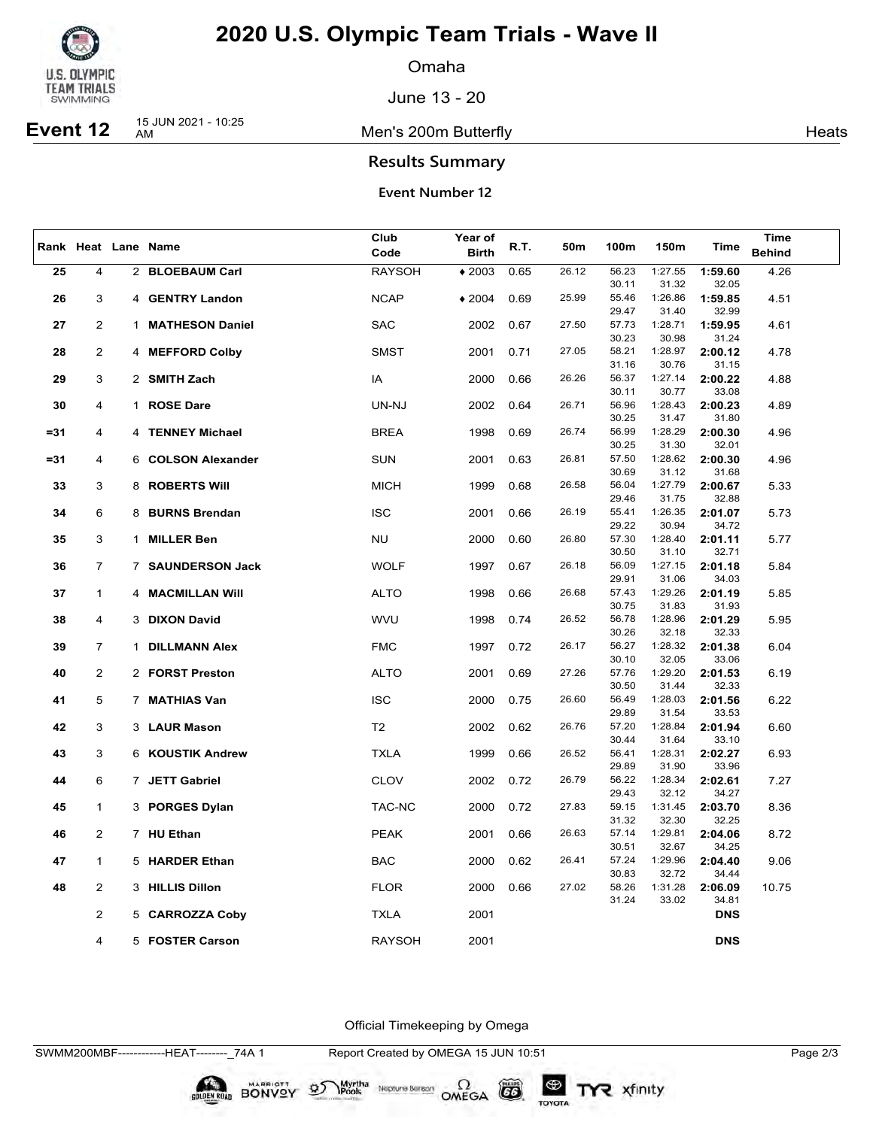

Omaha

June 13 - 20

**Event 12** 15 JUN 2021 - 10:25

Men's 200m Butterfly **America America** Heats

## **Results Summary**

**Event Number 12**

|        | Rank Heat Lane Name |              | Club                   | Year of        |              | 50m  |       |                |                  | <b>Time</b>      |               |
|--------|---------------------|--------------|------------------------|----------------|--------------|------|-------|----------------|------------------|------------------|---------------|
|        |                     |              |                        | Code           | <b>Birth</b> | R.T. |       | 100m           | 150m             | <b>Time</b>      | <b>Behind</b> |
| 25     | 4                   |              | 2 BLOEBAUM Carl        | <b>RAYSOH</b>  | $*2003$      | 0.65 | 26.12 | 56.23          | 1:27.55          | 1:59.60          | 4.26          |
|        |                     |              |                        |                |              |      |       | 30.11          | 31.32            | 32.05            |               |
| 26     | 3                   |              | 4 GENTRY Landon        | <b>NCAP</b>    | $*2004$      | 0.69 | 25.99 | 55.46          | 1:26.86          | 1:59.85          | 4.51          |
|        |                     |              |                        |                |              |      |       | 29.47          | 31.40            | 32.99            |               |
| 27     | $\overline{2}$      | 1.           | <b>MATHESON Daniel</b> | <b>SAC</b>     | 2002         | 0.67 | 27.50 | 57.73          | 1:28.71          | 1:59.95          | 4.61          |
|        |                     |              |                        |                |              |      |       | 30.23          | 30.98            | 31.24            |               |
| 28     | 2                   |              | 4 MEFFORD Colby        | <b>SMST</b>    | 2001         | 0.71 | 27.05 | 58.21          | 1:28.97          | 2:00.12          | 4.78          |
|        |                     |              |                        |                |              |      |       | 31.16          | 30.76            | 31.15            |               |
| 29     | 3                   |              | 2 SMITH Zach           | IA             | 2000         | 0.66 | 26.26 | 56.37          | 1:27.14          | 2:00.22          | 4.88          |
|        |                     |              |                        |                |              |      |       | 30.11          | 30.77            | 33.08            |               |
| 30     | 4                   |              | 1 ROSE Dare            | UN-NJ          | 2002         | 0.64 | 26.71 | 56.96          | 1:28.43          | 2:00.23          | 4.89          |
|        |                     |              |                        |                |              |      |       | 30.25          | 31.47            | 31.80            |               |
| $= 31$ | 4                   | 4            | <b>TENNEY Michael</b>  | <b>BREA</b>    | 1998         | 0.69 | 26.74 | 56.99          | 1:28.29          | 2:00.30          | 4.96          |
|        |                     |              |                        |                |              |      |       | 30.25          | 31.30            | 32.01            |               |
| $= 31$ | 4                   |              | 6 COLSON Alexander     | <b>SUN</b>     | 2001         | 0.63 | 26.81 | 57.50          | 1:28.62          | 2:00.30          | 4.96          |
|        |                     |              |                        |                |              |      |       | 30.69          | 31.12            | 31.68            |               |
| 33     | 3                   |              | 8 ROBERTS Will         | <b>MICH</b>    | 1999         | 0.68 | 26.58 | 56.04          | 1:27.79          | 2:00.67          | 5.33          |
|        |                     |              |                        |                |              |      |       | 29.46          | 31.75            | 32.88            |               |
| 34     | 6                   |              | 8 BURNS Brendan        | <b>ISC</b>     | 2001         | 0.66 | 26.19 | 55.41          | 1:26.35          | 2:01.07          | 5.73          |
|        |                     |              |                        |                |              |      |       | 29.22          | 30.94            | 34.72            |               |
| 35     | 3                   | $\mathbf{1}$ | <b>MILLER Ben</b>      | <b>NU</b>      | 2000         | 0.60 | 26.80 | 57.30          | 1:28.40          | 2:01.11          | 5.77          |
|        |                     |              |                        |                |              |      |       | 30.50          | 31.10            | 32.71            |               |
| 36     | $\overline{7}$      |              | 7 SAUNDERSON Jack      | <b>WOLF</b>    | 1997         | 0.67 | 26.18 | 56.09          | 1:27.15          | 2:01.18          | 5.84          |
|        |                     |              |                        |                |              |      |       | 29.91          | 31.06            | 34.03            |               |
| 37     | $\mathbf{1}$        |              | 4 MACMILLAN Will       | <b>ALTO</b>    | 1998         | 0.66 | 26.68 | 57.43          | 1:29.26          | 2:01.19          | 5.85          |
|        |                     |              |                        |                |              |      |       | 30.75          | 31.83            | 31.93            |               |
| 38     | 4                   |              | 3 DIXON David          | <b>WVU</b>     | 1998         | 0.74 | 26.52 | 56.78<br>30.26 | 1:28.96<br>32.18 | 2:01.29<br>32.33 | 5.95          |
| 39     | $\overline{7}$      |              | 1 DILLMANN Alex        | <b>FMC</b>     | 1997         | 0.72 | 26.17 | 56.27          | 1:28.32          | 2:01.38          | 6.04          |
|        |                     |              |                        |                |              |      |       | 30.10          | 32.05            | 33.06            |               |
| 40     | $\overline{2}$      |              | 2 FORST Preston        | <b>ALTO</b>    | 2001         | 0.69 | 27.26 | 57.76          | 1:29.20          | 2:01.53          | 6.19          |
|        |                     |              |                        |                |              |      |       | 30.50          | 31.44            | 32.33            |               |
| 41     | 5                   |              | 7 MATHIAS Van          | <b>ISC</b>     | 2000         | 0.75 | 26.60 | 56.49          | 1:28.03          | 2:01.56          | 6.22          |
|        |                     |              |                        |                |              |      |       | 29.89          | 31.54            | 33.53            |               |
| 42     | 3                   |              | 3 LAUR Mason           | T <sub>2</sub> | 2002         | 0.62 | 26.76 | 57.20          | 1:28.84          | 2:01.94          | 6.60          |
|        |                     |              |                        |                |              |      |       | 30.44          | 31.64            | 33.10            |               |
| 43     | 3                   |              | 6 KOUSTIK Andrew       | <b>TXLA</b>    | 1999         | 0.66 | 26.52 | 56.41          | 1:28.31          | 2:02.27          | 6.93          |
|        |                     |              |                        |                |              |      |       | 29.89          | 31.90            | 33.96            |               |
| 44     | 6                   |              | 7 JETT Gabriel         | <b>CLOV</b>    | 2002         | 0.72 | 26.79 | 56.22          | 1:28.34          | 2:02.61          | 7.27          |
|        |                     |              |                        |                |              |      |       | 29.43          | 32.12            | 34.27            |               |
| 45     | $\mathbf{1}$        |              | 3 PORGES Dylan         | TAC-NC         | 2000         | 0.72 | 27.83 | 59.15          | 1:31.45          | 2:03.70          | 8.36          |
|        |                     |              |                        |                |              |      |       | 31.32          | 32.30            | 32.25            |               |
| 46     | $\overline{2}$      |              | 7 HU Ethan             | <b>PEAK</b>    | 2001         | 0.66 | 26.63 | 57.14          | 1:29.81          | 2:04.06          | 8.72          |
|        |                     |              |                        |                |              |      |       | 30.51          | 32.67            | 34.25            |               |
| 47     | $\mathbf{1}$        |              | 5 HARDER Ethan         | <b>BAC</b>     | 2000         | 0.62 | 26.41 | 57.24          | 1:29.96          | 2:04.40          | 9.06          |
|        |                     |              |                        |                |              |      |       | 30.83          | 32.72            | 34.44            |               |
| 48     | 2                   |              | 3 HILLIS Dillon        | <b>FLOR</b>    | 2000         | 0.66 | 27.02 | 58.26<br>31.24 | 1:31.28<br>33.02 | 2:06.09<br>34.81 | 10.75         |
|        | $\overline{2}$      |              |                        |                |              |      |       |                |                  |                  |               |
|        |                     |              | 5 CARROZZA Coby        | <b>TXLA</b>    | 2001         |      |       |                |                  | <b>DNS</b>       |               |
|        | 4                   |              | 5 FOSTER Carson        | <b>RAYSOH</b>  | 2001         |      |       |                |                  | <b>DNS</b>       |               |
|        |                     |              |                        |                |              |      |       |                |                  |                  |               |

Official Timekeeping by Omega

SWMM200MBF------------HEAT--------\_74A 1 Report Created by OMEGA 15 JUN 10:51 Page 2/3

BONVOY 9

Myrtha

Neptune Berson  $\Omega$ <br>OMEGA

 $G6$ 

TOYOTA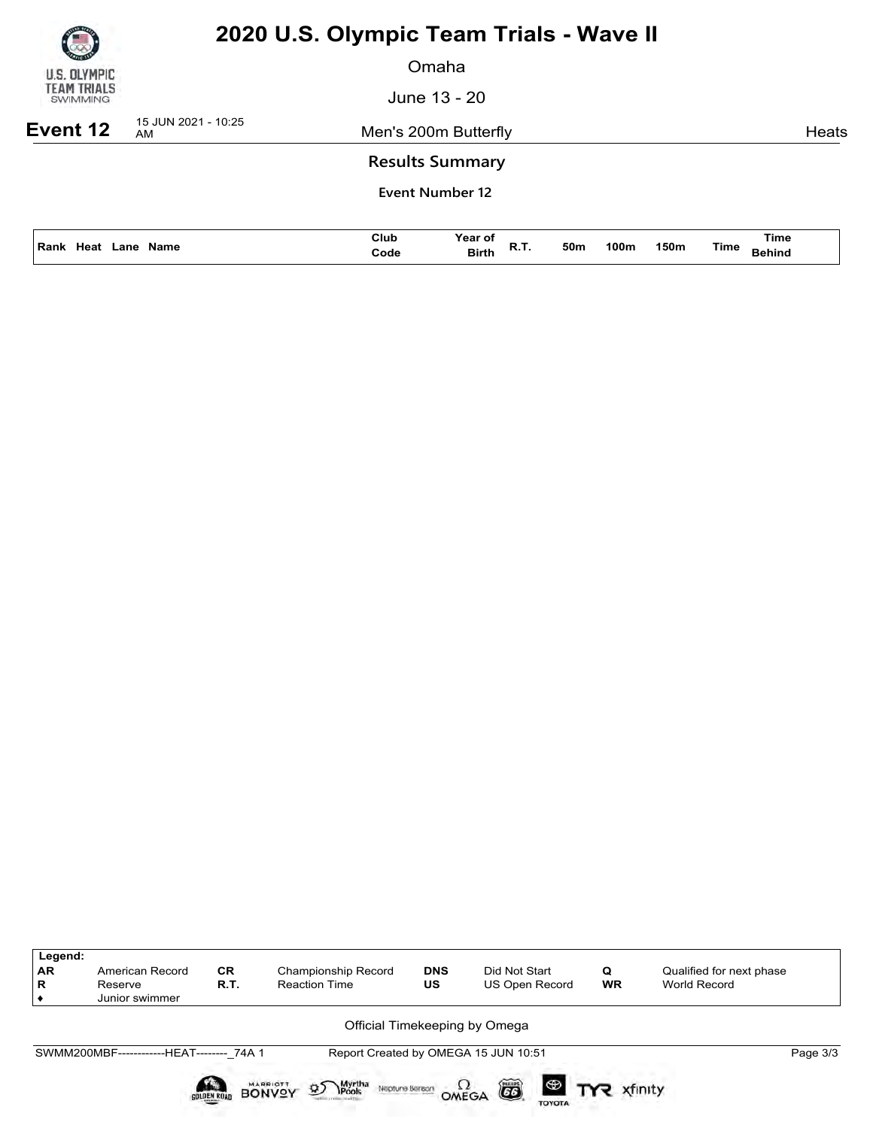| U.S. OLYMPIC<br>TEAM TRIALS<br><b>SWIMMING</b> |
|------------------------------------------------|

Omaha

June 13 - 20

**Event 12** 15 JUN 2021 - 10:25

Men's 200m Butterfly **American Control** Ments

## **Results Summary**

| l Rank<br>Heat<br>Name<br>.ane<br>$\sim$ $\sim$ $\sim$ | Club<br>Code | Year of<br><b>Birth</b> | n., | 50m<br>$\sim$ $\sim$ | 100m | 150m | Time | Time<br>Behind |
|--------------------------------------------------------|--------------|-------------------------|-----|----------------------|------|------|------|----------------|
|                                                        |              |                         |     |                      |      |      |      |                |

| Legend:<br><b>AR</b><br>R | American Record<br>Reserve<br>Junior swimmer | <b>CR</b><br>R.T. | Championship Record<br><b>Reaction Time</b>                                 | <b>DNS</b><br>US | Did Not Start<br>US Open Record      | Q<br><b>WR</b> | Qualified for next phase<br>World Record |          |  |  |  |  |  |  |
|---------------------------|----------------------------------------------|-------------------|-----------------------------------------------------------------------------|------------------|--------------------------------------|----------------|------------------------------------------|----------|--|--|--|--|--|--|
|                           | Official Timekeeping by Omega                |                   |                                                                             |                  |                                      |                |                                          |          |  |  |  |  |  |  |
|                           | SWMM200MBF-------------HEAT-------- 74A 1    |                   |                                                                             |                  | Report Created by OMEGA 15 JUN 10:51 |                |                                          | Page 3/3 |  |  |  |  |  |  |
|                           |                                              | SOLDEN ROAD       | Myrtha<br>Pools<br><b>MARRIOTT</b><br>øΣ<br>Neptune Beraon<br><b>BONVOY</b> | OMEGA            | õ<br>$\circledast$<br><b>TOYOTA</b>  | R xfinity      |                                          |          |  |  |  |  |  |  |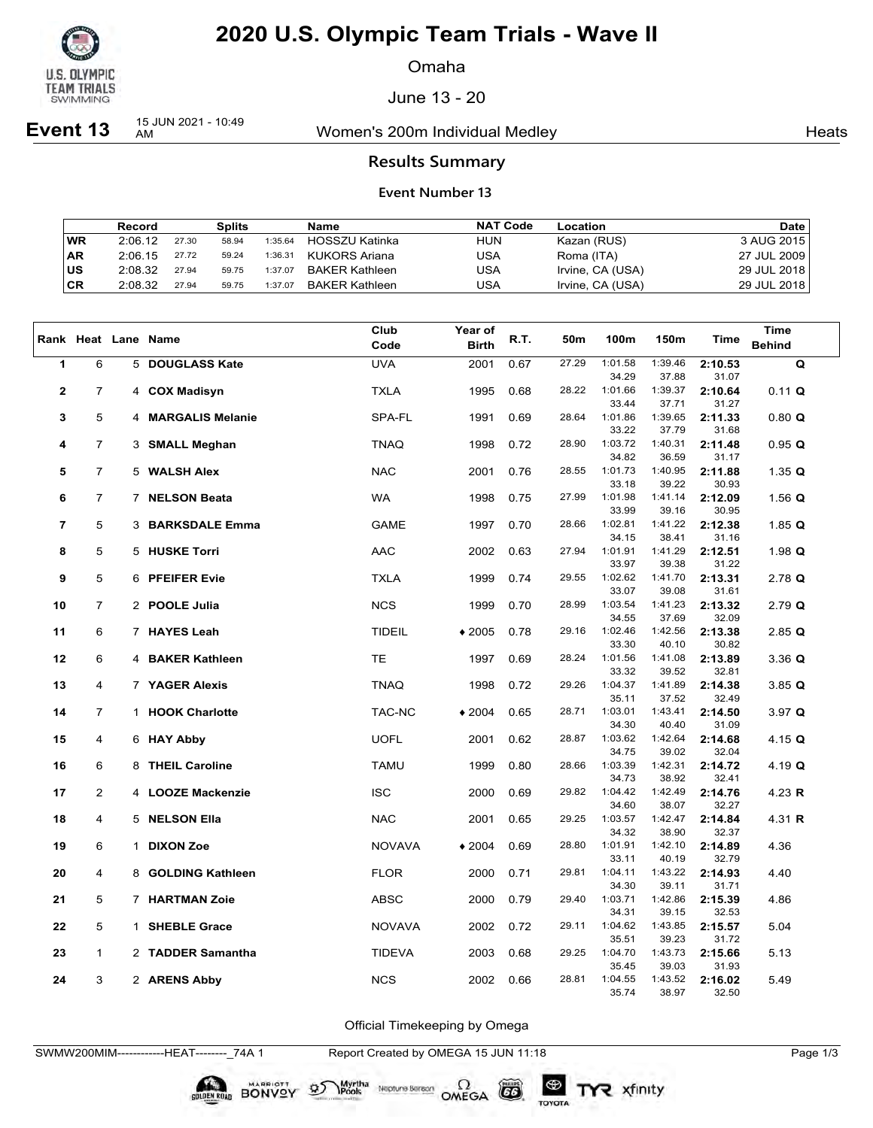

Omaha

June 13 - 20

**Event 13** 15 JUN 2021 - 10:49

Women's 200m Individual Medley Nearly Neats

### **Results Summary**

#### **Event Number 13**

|           | Record  |       | <b>Splits</b> |         | Name                  | <b>NAT Code</b> | Location         | <b>Date</b> |
|-----------|---------|-------|---------------|---------|-----------------------|-----------------|------------------|-------------|
| <b>WR</b> | 2:06.12 | 27.30 | 58.94         | 1:35.64 | HOSSZU Katinka        | <b>HUN</b>      | Kazan (RUS)      | 3 AUG 2015  |
| <b>AR</b> | 2:06.15 | 27.72 | 59.24         | 1:36.31 | KUKORS Ariana         | USA             | Roma (ITA)       | 27 JUL 2009 |
| lus       | 2:08.32 | 27.94 | 59.75         | 1:37.07 | <b>BAKER Kathleen</b> | USA             | Irvine, CA (USA) | 29 JUL 2018 |
| CR        | 2:08.32 | 27.94 | 59.75         | 1:37.07 | <b>BAKER Kathleen</b> | USA             | Irvine, CA (USA) | 29 JUL 2018 |

|                         |                |   |                     | Club          | Year of      |      |       |                  |                  |                  | <b>Time</b>     |
|-------------------------|----------------|---|---------------------|---------------|--------------|------|-------|------------------|------------------|------------------|-----------------|
|                         |                |   | Rank Heat Lane Name | Code          | <b>Birth</b> | R.T. | 50m   | 100m             | 150m             | <b>Time</b>      | <b>Behind</b>   |
| 1                       | 6              |   | 5 DOUGLASS Kate     | <b>UVA</b>    | 2001         | 0.67 | 27.29 | 1:01.58          | 1:39.46          | 2:10.53          | Q               |
|                         |                |   |                     |               |              |      |       | 34.29            | 37.88            | 31.07            |                 |
| $\mathbf 2$             | $\overline{7}$ |   | 4 COX Madisyn       | <b>TXLA</b>   | 1995         | 0.68 | 28.22 | 1:01.66<br>33.44 | 1:39.37<br>37.71 | 2:10.64          | 0.11 Q          |
| 3                       | 5              |   | 4 MARGALIS Melanie  | SPA-FL        | 1991         | 0.69 | 28.64 | 1:01.86          | 1:39.65          | 31.27<br>2:11.33 | 0.80 Q          |
|                         |                |   |                     |               |              |      |       | 33.22            | 37.79            | 31.68            |                 |
| 4                       | $\overline{7}$ |   | 3 SMALL Meghan      | <b>TNAQ</b>   | 1998         | 0.72 | 28.90 | 1:03.72          | 1:40.31          | 2:11.48          | 0.95 Q          |
|                         |                |   |                     |               |              |      |       | 34.82            | 36.59            | 31.17            |                 |
| 5                       | $\overline{7}$ |   | 5 WALSH Alex        | <b>NAC</b>    | 2001         | 0.76 | 28.55 | 1:01.73          | 1:40.95          | 2:11.88          | 1.35 $Q$        |
|                         |                |   |                     |               |              |      |       | 33.18            | 39.22            | 30.93            |                 |
| 6                       | $\overline{7}$ |   | 7 NELSON Beata      | <b>WA</b>     | 1998         | 0.75 | 27.99 | 1:01.98          | 1:41.14          | 2:12.09          | 1.56 $Q$        |
|                         |                |   |                     |               |              |      |       | 33.99            | 39.16            | 30.95            |                 |
| $\overline{\mathbf{r}}$ | 5              |   | 3 BARKSDALE Emma    | <b>GAME</b>   | 1997         | 0.70 | 28.66 | 1:02.81<br>34.15 | 1:41.22<br>38.41 | 2:12.38<br>31.16 | 1.85 $Q$        |
| 8                       | 5              |   | 5 HUSKE Torri       | AAC           | 2002         | 0.63 | 27.94 | 1:01.91          | 1:41.29          | 2:12.51          | 1.98 $Q$        |
|                         |                |   |                     |               |              |      |       | 33.97            | 39.38            | 31.22            |                 |
| 9                       | 5              |   | 6 PFEIFER Evie      | <b>TXLA</b>   | 1999         | 0.74 | 29.55 | 1:02.62          | 1:41.70          | 2:13.31          | $2.78$ Q        |
|                         |                |   |                     |               |              |      |       | 33.07            | 39.08            | 31.61            |                 |
| 10                      | $\overline{7}$ |   | 2 POOLE Julia       | <b>NCS</b>    | 1999         | 0.70 | 28.99 | 1:03.54          | 1:41.23          | 2:13.32          | $2.79$ Q        |
|                         |                |   |                     |               |              |      |       | 34.55            | 37.69            | 32.09            |                 |
| 11                      | 6              |   | 7 HAYES Leah        | <b>TIDEIL</b> | $*2005$      | 0.78 | 29.16 | 1:02.46          | 1:42.56          | 2:13.38          | $2.85$ <b>Q</b> |
|                         |                |   |                     |               |              |      | 28.24 | 33.30<br>1:01.56 | 40.10<br>1:41.08 | 30.82            |                 |
| 12                      | 6              |   | 4 BAKER Kathleen    | <b>TE</b>     | 1997         | 0.69 |       | 33.32            | 39.52            | 2:13.89<br>32.81 | $3.36$ Q        |
| 13                      | 4              |   | 7 YAGER Alexis      | <b>TNAQ</b>   | 1998         | 0.72 | 29.26 | 1:04.37          | 1:41.89          | 2:14.38          | 3.85Q           |
|                         |                |   |                     |               |              |      |       | 35.11            | 37.52            | 32.49            |                 |
| 14                      | $\overline{7}$ |   | 1 HOOK Charlotte    | TAC-NC        | $*2004$      | 0.65 | 28.71 | 1:03.01          | 1:43.41          | 2:14.50          | $3.97$ Q        |
|                         |                |   |                     |               |              |      |       | 34.30            | 40.40            | 31.09            |                 |
| 15                      | 4              |   | 6 HAY Abby          | <b>UOFL</b>   | 2001         | 0.62 | 28.87 | 1:03.62          | 1:42.64          | 2:14.68          | 4.15 $Q$        |
|                         |                |   |                     |               |              |      |       | 34.75            | 39.02            | 32.04            |                 |
| 16                      | 6              |   | 8 THEIL Caroline    | <b>TAMU</b>   | 1999         | 0.80 | 28.66 | 1:03.39<br>34.73 | 1:42.31<br>38.92 | 2:14.72          | 4.19 Q          |
| 17                      | 2              |   | 4 LOOZE Mackenzie   | <b>ISC</b>    | 2000         | 0.69 | 29.82 | 1:04.42          | 1:42.49          | 32.41<br>2:14.76 | 4.23 $R$        |
|                         |                |   |                     |               |              |      |       | 34.60            | 38.07            | 32.27            |                 |
| 18                      | 4              |   | 5 NELSON Ella       | <b>NAC</b>    | 2001         | 0.65 | 29.25 | 1:03.57          | 1:42.47          | 2:14.84          | 4.31 R          |
|                         |                |   |                     |               |              |      |       | 34.32            | 38.90            | 32.37            |                 |
| 19                      | 6              | 1 | <b>DIXON Zoe</b>    | <b>NOVAVA</b> | $*2004$      | 0.69 | 28.80 | 1:01.91          | 1:42.10          | 2:14.89          | 4.36            |
|                         |                |   |                     |               |              |      |       | 33.11            | 40.19            | 32.79            |                 |
| 20                      | 4              |   | 8 GOLDING Kathleen  | <b>FLOR</b>   | 2000         | 0.71 | 29.81 | 1:04.11          | 1:43.22          | 2:14.93          | 4.40            |
|                         |                |   |                     |               |              |      |       | 34.30            | 39.11            | 31.71            |                 |
| 21                      | 5              |   | 7 HARTMAN Zoie      | <b>ABSC</b>   | 2000         | 0.79 | 29.40 | 1:03.71<br>34.31 | 1:42.86<br>39.15 | 2:15.39<br>32.53 | 4.86            |
| 22                      | 5              |   | 1 SHEBLE Grace      | <b>NOVAVA</b> | 2002         | 0.72 | 29.11 | 1:04.62          | 1:43.85          | 2:15.57          | 5.04            |
|                         |                |   |                     |               |              |      |       | 35.51            | 39.23            | 31.72            |                 |
| 23                      | $\mathbf{1}$   |   | 2 TADDER Samantha   | <b>TIDEVA</b> | 2003         | 0.68 | 29.25 | 1:04.70          | 1:43.73          | 2:15.66          | 5.13            |
|                         |                |   |                     |               |              |      |       | 35.45            | 39.03            | 31.93            |                 |
| 24                      | 3              |   | 2 ARENS Abby        | <b>NCS</b>    | 2002         | 0.66 | 28.81 | 1:04.55          | 1:43.52          | 2:16.02          | 5.49            |
|                         |                |   |                     |               |              |      |       | 35.74            | 38.97            | 32.50            |                 |

Official Timekeeping by Omega

SWMW200MIM------------HEAT--------\_74A 1 Report Created by OMEGA 15 JUN 11:18 Page 1/3

BONVOY 9

Myrtha<br>Pools

Neptune Berson  $\Omega$ <br>OMEGA

 $(G)$ 

TOYOTA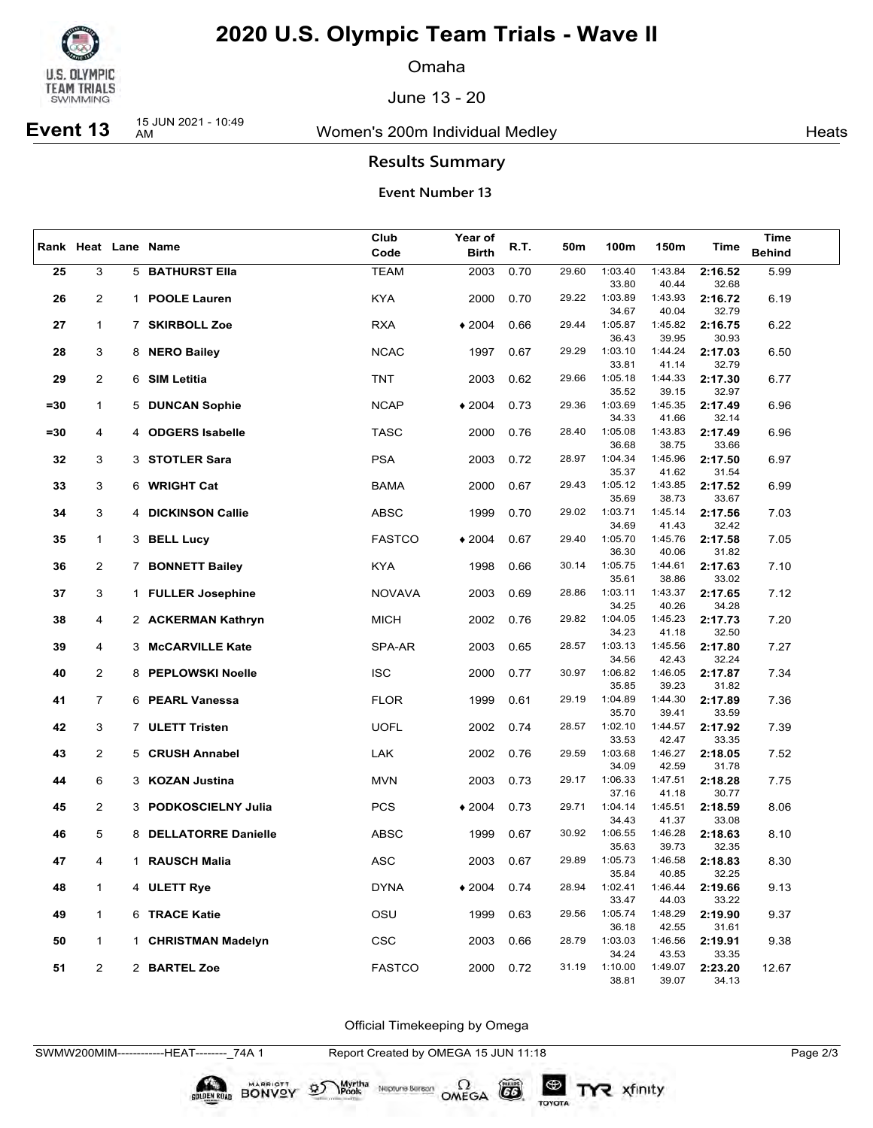

Omaha

June 13 - 20

# **Event 13** 15 JUN 2021 - 10:49

Women's 200m Individual Medley Nearly Neats

### **Results Summary**

#### **Event Number 13**

|        |                |                       | Club          | Year of      |      | 50m   |                  |                  |                  | Time          |
|--------|----------------|-----------------------|---------------|--------------|------|-------|------------------|------------------|------------------|---------------|
|        |                | Rank Heat Lane Name   | Code          | <b>Birth</b> | R.T. |       | 100m             | 150m             | Time             | <b>Behind</b> |
| 25     | 3              | 5 BATHURST Ella       | <b>TEAM</b>   | 2003         | 0.70 | 29.60 | 1:03.40          | 1:43.84          | 2:16.52          | 5.99          |
|        |                |                       |               |              |      |       | 33.80            | 40.44            | 32.68            |               |
| 26     | 2              | 1 POOLE Lauren        | <b>KYA</b>    | 2000         | 0.70 | 29.22 | 1:03.89          | 1:43.93          | 2:16.72          | 6.19          |
|        |                |                       |               |              |      |       | 34.67            | 40.04            | 32.79            |               |
| 27     | $\mathbf{1}$   | 7 SKIRBOLL Zoe        | <b>RXA</b>    | $*2004$      | 0.66 | 29.44 | 1:05.87          | 1:45.82          | 2:16.75          | 6.22          |
|        |                |                       |               |              |      |       | 36.43            | 39.95            | 30.93            |               |
| 28     | 3              | 8 NERO Bailey         | <b>NCAC</b>   | 1997         | 0.67 | 29.29 | 1:03.10          | 1:44.24          | 2:17.03          | 6.50          |
|        |                |                       |               |              |      |       | 33.81            | 41.14            | 32.79            |               |
| 29     | $\overline{2}$ | 6 SIM Letitia         | TNT           | 2003         | 0.62 | 29.66 | 1:05.18          | 1:44.33          | 2:17.30          | 6.77          |
|        |                |                       |               |              |      |       | 35.52            | 39.15            | 32.97            |               |
| $= 30$ | $\mathbf{1}$   | 5 DUNCAN Sophie       | <b>NCAP</b>   | $*2004$      | 0.73 | 29.36 | 1:03.69          | 1:45.35          | 2:17.49          | 6.96          |
|        |                |                       |               |              |      |       | 34.33            | 41.66            | 32.14            |               |
| $= 30$ | 4              | 4 ODGERS Isabelle     | <b>TASC</b>   | 2000         | 0.76 | 28.40 | 1:05.08          | 1:43.83          | 2:17.49          | 6.96          |
|        | 3              |                       | <b>PSA</b>    |              | 0.72 | 28.97 | 36.68<br>1:04.34 | 38.75<br>1:45.96 | 33.66            |               |
| 32     |                | 3 STOTLER Sara        |               | 2003         |      |       | 35.37            | 41.62            | 2:17.50<br>31.54 | 6.97          |
| 33     | 3              | 6 WRIGHT Cat          | <b>BAMA</b>   | 2000         | 0.67 | 29.43 | 1:05.12          | 1:43.85          | 2:17.52          | 6.99          |
|        |                |                       |               |              |      |       | 35.69            | 38.73            | 33.67            |               |
| 34     | 3              | 4 DICKINSON Callie    | ABSC          | 1999         | 0.70 | 29.02 | 1:03.71          | 1:45.14          | 2:17.56          | 7.03          |
|        |                |                       |               |              |      |       | 34.69            | 41.43            | 32.42            |               |
| 35     | $\mathbf{1}$   | 3 BELL Lucy           | <b>FASTCO</b> | $*2004$      | 0.67 | 29.40 | 1:05.70          | 1:45.76          | 2:17.58          | 7.05          |
|        |                |                       |               |              |      |       | 36.30            | 40.06            | 31.82            |               |
| 36     | $\overline{2}$ | 7 BONNETT Bailey      | <b>KYA</b>    | 1998         | 0.66 | 30.14 | 1:05.75          | 1:44.61          | 2:17.63          | 7.10          |
|        |                |                       |               |              |      |       | 35.61            | 38.86            | 33.02            |               |
| 37     | 3              | 1 FULLER Josephine    | <b>NOVAVA</b> | 2003         | 0.69 | 28.86 | 1:03.11          | 1:43.37          | 2:17.65          | 7.12          |
|        |                |                       |               |              |      |       | 34.25            | 40.26            | 34.28            |               |
| 38     | 4              | 2 ACKERMAN Kathryn    | <b>MICH</b>   | 2002         | 0.76 | 29.82 | 1:04.05          | 1:45.23          | 2:17.73          | 7.20          |
|        |                |                       |               |              |      |       | 34.23            | 41.18            | 32.50            |               |
| 39     | 4              | 3 McCARVILLE Kate     | SPA-AR        | 2003         | 0.65 | 28.57 | 1:03.13          | 1:45.56          | 2:17.80          | 7.27          |
| 40     | 2              | 8 PEPLOWSKI Noelle    | <b>ISC</b>    | 2000         | 0.77 | 30.97 | 34.56<br>1:06.82 | 42.43<br>1:46.05 | 32.24<br>2:17.87 | 7.34          |
|        |                |                       |               |              |      |       | 35.85            | 39.23            | 31.82            |               |
| 41     | 7              | 6 PEARL Vanessa       | <b>FLOR</b>   | 1999         | 0.61 | 29.19 | 1:04.89          | 1:44.30          | 2:17.89          | 7.36          |
|        |                |                       |               |              |      |       | 35.70            | 39.41            | 33.59            |               |
| 42     | 3              | 7 ULETT Tristen       | <b>UOFL</b>   | 2002         | 0.74 | 28.57 | 1:02.10          | 1:44.57          | 2:17.92          | 7.39          |
|        |                |                       |               |              |      |       | 33.53            | 42.47            | 33.35            |               |
| 43     | $\overline{2}$ | 5 CRUSH Annabel       | LAK           | 2002         | 0.76 | 29.59 | 1:03.68          | 1:46.27          | 2:18.05          | 7.52          |
|        |                |                       |               |              |      |       | 34.09            | 42.59            | 31.78            |               |
| 44     | 6              | 3 KOZAN Justina       | <b>MVN</b>    | 2003         | 0.73 | 29.17 | 1:06.33          | 1:47.51          | 2:18.28          | 7.75          |
|        |                |                       |               |              |      |       | 37.16            | 41.18            | 30.77            |               |
| 45     | $\overline{2}$ | 3 PODKOSCIELNY Julia  | <b>PCS</b>    | $*2004$      | 0.73 | 29.71 | 1:04.14          | 1:45.51          | 2:18.59          | 8.06          |
|        |                |                       |               |              |      |       | 34.43            | 41.37            | 33.08            |               |
| 46     | 5              | 8 DELLATORRE Danielle | ABSC          | 1999         | 0.67 | 30.92 | 1:06.55<br>35.63 | 1:46.28<br>39.73 | 2:18.63<br>32.35 | 8.10          |
| 47     | 4              | 1 RAUSCH Malia        | <b>ASC</b>    | 2003         | 0.67 | 29.89 | 1:05.73          | 1:46.58          | 2:18.83          | 8.30          |
|        |                |                       |               |              |      |       | 35.84            | 40.85            | 32.25            |               |
| 48     | 1              | 4 ULETT Rye           | <b>DYNA</b>   | $*2004$      | 0.74 | 28.94 | 1:02.41          | 1:46.44          | 2:19.66          | 9.13          |
|        |                |                       |               |              |      |       | 33.47            | 44.03            | 33.22            |               |
| 49     | $\mathbf{1}$   | 6 TRACE Katie         | OSU           | 1999         | 0.63 | 29.56 | 1:05.74          | 1:48.29          | 2:19.90          | 9.37          |
|        |                |                       |               |              |      |       | 36.18            | 42.55            | 31.61            |               |
| 50     | $\mathbf{1}$   | 1 CHRISTMAN Madelyn   | <b>CSC</b>    | 2003         | 0.66 | 28.79 | 1:03.03          | 1:46.56          | 2:19.91          | 9.38          |
|        |                |                       |               |              |      |       | 34.24            | 43.53            | 33.35            |               |
| 51     | $\overline{2}$ | 2 BARTEL Zoe          | <b>FASTCO</b> | 2000         | 0.72 | 31.19 | 1:10.00          | 1:49.07          | 2:23.20          | 12.67         |
|        |                |                       |               |              |      |       | 38.81            | 39.07            | 34.13            |               |

Official Timekeeping by Omega

SWMW200MIM------------HEAT--------\_74A 1 Report Created by OMEGA 15 JUN 11:18 Page 2/3

BONVOY

Neptune Bergan  $\Omega$ <br>OMEGA

 $G6$ 

TOYOTA

Myrtha<br>Pools

 $\mathfrak{D}$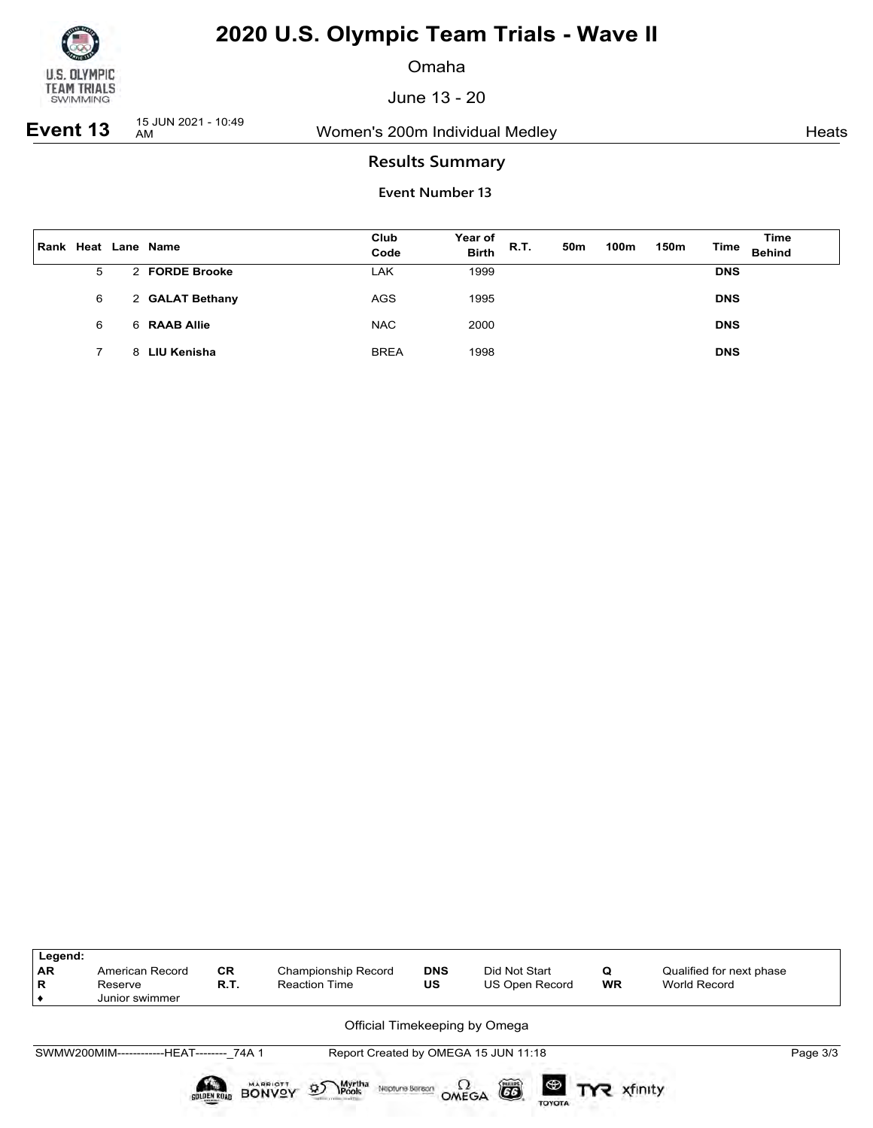

Omaha

June 13 - 20

**Event 13** 15 JUN 2021 - 10:49

Women's 200m Individual Medley Nearly Neats

## **Results Summary**

| Rank | Heat | Lane Name       | Club<br>Code | Year of<br><b>Birth</b> | R.T. | 50m | 100m | 150m | Time       | Time<br><b>Behind</b> |
|------|------|-----------------|--------------|-------------------------|------|-----|------|------|------------|-----------------------|
|      | 5    | 2 FORDE Brooke  | LAK          | 1999                    |      |     |      |      | <b>DNS</b> |                       |
|      | 6    | 2 GALAT Bethany | <b>AGS</b>   | 1995                    |      |     |      |      | <b>DNS</b> |                       |
|      | 6    | 6 RAAB Allie    | <b>NAC</b>   | 2000                    |      |     |      |      | <b>DNS</b> |                       |
|      |      | 8 LIU Kenisha   | <b>BREA</b>  | 1998                    |      |     |      |      | <b>DNS</b> |                       |

| Legend:<br><b>AR</b><br>R | American Record<br>Reserve<br>Junior swimmer | <b>CR</b><br>R.T. | Championship Record<br><b>Reaction Time</b>                                                     | <b>DNS</b><br><b>US</b> | Did Not Start<br>US Open Record             | Q<br><b>WR</b> | Qualified for next phase<br>World Record |          |
|---------------------------|----------------------------------------------|-------------------|-------------------------------------------------------------------------------------------------|-------------------------|---------------------------------------------|----------------|------------------------------------------|----------|
|                           |                                              |                   | Official Timekeeping by Omega                                                                   |                         |                                             |                |                                          |          |
|                           | SWMW200MIM-------------HEAT-------- 74A 1    |                   |                                                                                                 |                         | Report Created by OMEGA 15 JUN 11:18        |                |                                          | Page 3/3 |
|                           |                                              | SOLDEN ROAD       | Myrtha<br><b>IPools</b><br><b>MARRIOTT</b><br>$\mathfrak{D}$<br>Neptune Beraon<br><b>BONVOY</b> | $\Omega_{\text{MEGA}}$  | $\bullet$ TYR xfinity<br>6<br><b>TOYOTA</b> |                |                                          |          |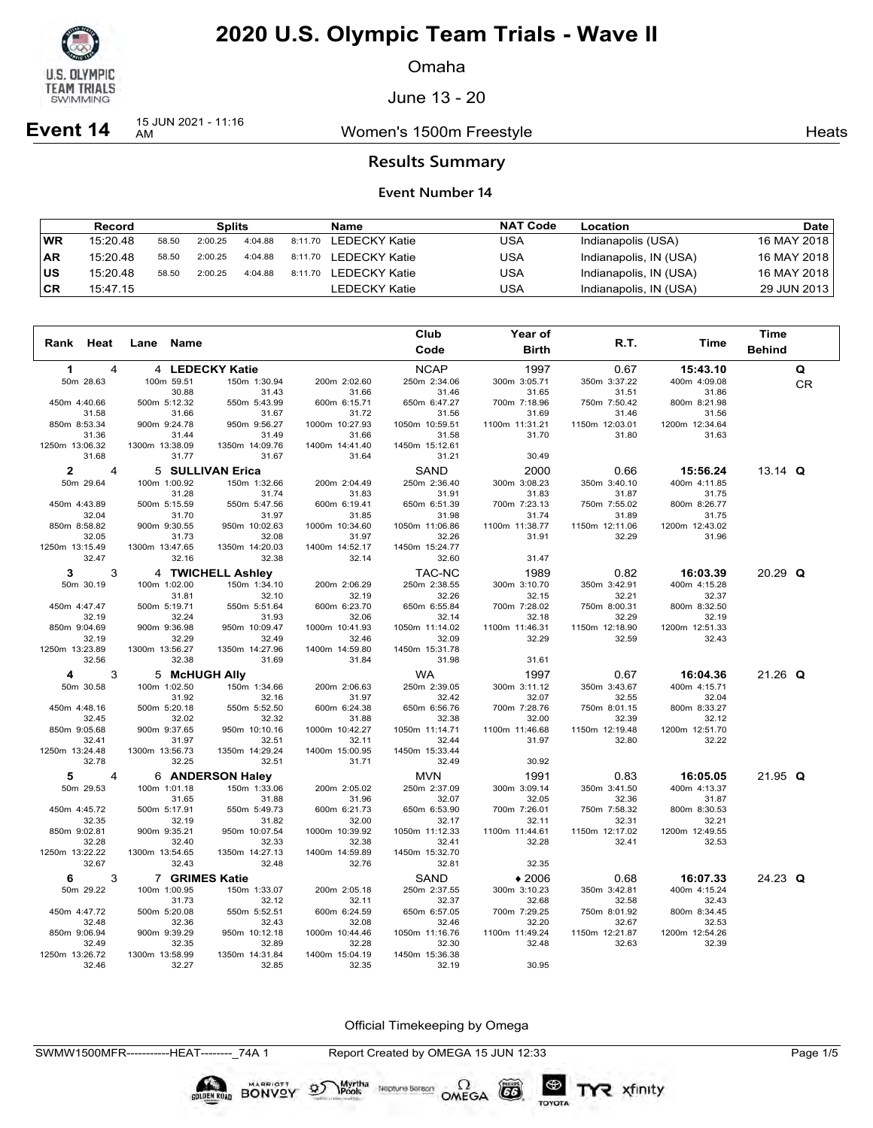

Omaha

June 13 - 20

**Event 14** 15 JUN 2021 - 11:16

Women's 1500m Freestyle **Heats** Heats

### **Results Summary**

#### **Event Number 14**

|           | Record   |       | <b>Splits</b> |         |         | Name                  | <b>NAT Code</b> | Location               | Date l      |
|-----------|----------|-------|---------------|---------|---------|-----------------------|-----------------|------------------------|-------------|
| <b>WR</b> | 15:20.48 | 58.50 | 2:00.25       | 4:04.88 | 8:11.70 | LEDECKY Katie         | USA             | Indianapolis (USA)     | 16 MAY 2018 |
| <b>AR</b> | 15:20.48 | 58.50 | 2:00.25       | 4:04.88 |         | 8:11.70 LEDECKY Katie | USA             | Indianapolis, IN (USA) | 16 MAY 2018 |
| ΙUS       | 15:20.48 | 58.50 | 2:00.25       | 4:04.88 | 8:11.70 | LEDECKY Katie         | USA             | Indianapolis, IN (USA) | 16 MAY 2018 |
| ∣CR       | 15:47.15 |       |               |         |         | LEDECKY Katie         | USA             | Indianapolis, IN (USA) | 29 JUN 2013 |

|                         |   |                |               |                         |                         | Club                    | Year of                 |                         |                         | <b>Time</b>   |    |
|-------------------------|---|----------------|---------------|-------------------------|-------------------------|-------------------------|-------------------------|-------------------------|-------------------------|---------------|----|
| Rank Heat               |   | Lane           | Name          |                         |                         | Code                    | <b>Birth</b>            | R.T.                    | Time                    | <b>Behind</b> |    |
| 1                       | 4 |                |               | 4 LEDECKY Katie         |                         | <b>NCAP</b>             | 1997                    | 0.67                    | 15:43.10                |               | Q  |
| 50m 28.63               |   | 100m 59.51     |               | 150m 1:30.94            | 200m 2:02.60            | 250m 2:34.06            | 300m 3:05.71            | 350m 3:37.22            | 400m 4:09.08            |               | CR |
|                         |   |                | 30.88         | 31.43                   | 31.66                   | 31.46                   | 31.65                   | 31.51                   | 31.86                   |               |    |
| 450m 4:40.66            |   | 500m 5:12.32   |               | 550m 5:43.99            | 600m 6:15.71            | 650m 6:47.27            | 700m 7:18.96            | 750m 7:50.42            | 800m 8:21.98            |               |    |
| 31.58                   |   |                | 31.66         | 31.67                   | 31.72                   | 31.56                   | 31.69                   | 31.46                   | 31.56                   |               |    |
| 850m 8:53.34            |   | 900m 9:24.78   |               | 950m 9:56.27            | 1000m 10:27.93          | 1050m 10:59.51          | 1100m 11:31.21          | 1150m 12:03.01          | 1200m 12:34.64          |               |    |
| 31.36                   |   |                | 31.44         | 31.49                   | 31.66                   | 31.58                   | 31.70                   | 31.80                   | 31.63                   |               |    |
| 1250m 13:06.32          |   | 1300m 13:38.09 |               | 1350m 14:09.76          | 1400m 14:41.40          | 1450m 15:12.61          |                         |                         |                         |               |    |
| 31.68                   |   |                | 31.77         | 31.67                   | 31.64                   | 31.21                   | 30.49                   |                         |                         |               |    |
| $\mathbf{2}$            | 4 |                |               | 5 SULLIVAN Erica        |                         | SAND                    | 2000                    | 0.66                    | 15:56.24                | 13.14 $Q$     |    |
| 50m 29.64               |   | 100m 1:00.92   |               | 150m 1:32.66            | 200m 2:04.49            | 250m 2:36.40            | 300m 3:08.23            | 350m 3:40.10            | 400m 4:11.85            |               |    |
|                         |   |                | 31.28         | 31.74                   | 31.83                   | 31.91                   | 31.83                   | 31.87                   | 31.75                   |               |    |
| 450m 4:43.89<br>32.04   |   | 500m 5:15.59   | 31.70         | 550m 5:47.56            | 600m 6:19.41            | 650m 6:51.39            | 700m 7:23.13<br>31.74   | 750m 7:55.02<br>31.89   | 800m 8:26.77<br>31.75   |               |    |
| 850m 8:58.82            |   | 900m 9:30.55   |               | 31.97<br>950m 10:02.63  | 31.85<br>1000m 10:34.60 | 31.98<br>1050m 11:06.86 | 1100m 11:38.77          | 1150m 12:11.06          | 1200m 12:43.02          |               |    |
| 32.05                   |   |                | 31.73         | 32.08                   | 31.97                   | 32.26                   | 31.91                   | 32.29                   | 31.96                   |               |    |
| 1250m 13:15.49          |   | 1300m 13:47.65 |               | 1350m 14:20.03          | 1400m 14:52.17          | 1450m 15:24.77          |                         |                         |                         |               |    |
| 32.47                   |   |                | 32.16         | 32.38                   | 32.14                   | 32.60                   | 31.47                   |                         |                         |               |    |
| 3                       | 3 |                |               | 4 TWICHELL Ashley       |                         | TAC-NC                  | 1989                    | 0.82                    | 16:03.39                | $20.29$ Q     |    |
| 50m 30.19               |   | 100m 1:02.00   |               | 150m 1:34.10            | 200m 2:06.29            | 250m 2:38.55            | 300m 3:10.70            | 350m 3:42.91            | 400m 4:15.28            |               |    |
|                         |   |                | 31.81         | 32.10                   | 32.19                   | 32.26                   | 32.15                   | 32.21                   | 32.37                   |               |    |
| 450m 4:47.47            |   | 500m 5:19.71   |               | 550m 5:51.64            | 600m 6:23.70            | 650m 6:55.84            | 700m 7:28.02            | 750m 8:00.31            | 800m 8:32.50            |               |    |
| 32.19                   |   |                | 32.24         | 31.93                   | 32.06                   | 32.14                   | 32.18                   | 32.29                   | 32.19                   |               |    |
| 850m 9:04.69            |   | 900m 9:36.98   |               | 950m 10:09.47           | 1000m 10:41.93          | 1050m 11:14.02          | 1100m 11:46.31          | 1150m 12:18.90          | 1200m 12:51.33          |               |    |
| 32.19                   |   |                | 32.29         | 32.49                   | 32.46                   | 32.09                   | 32.29                   | 32.59                   | 32.43                   |               |    |
| 1250m 13:23.89          |   | 1300m 13:56.27 |               | 1350m 14:27.96          | 1400m 14:59.80          | 1450m 15:31.78          |                         |                         |                         |               |    |
| 32.56                   |   |                | 32.38         | 31.69                   | 31.84                   | 31.98                   | 31.61                   |                         |                         |               |    |
| 4                       | 3 |                | 5 McHUGH Ally |                         |                         | <b>WA</b>               | 1997                    | 0.67                    | 16:04.36                | $21.26$ Q     |    |
| 50m 30.58               |   | 100m 1:02.50   |               | 150m 1:34.66            | 200m 2:06.63            | 250m 2:39.05            | 300m 3:11.12            | 350m 3:43.67            | 400m 4:15.71            |               |    |
|                         |   |                | 31.92         | 32.16                   | 31.97                   | 32.42                   | 32.07                   | 32.55                   | 32.04                   |               |    |
| 450m 4:48.16            |   | 500m 5:20.18   |               | 550m 5:52.50            | 600m 6:24.38            | 650m 6:56.76            | 700m 7:28.76            | 750m 8:01.15            | 800m 8:33.27            |               |    |
| 32.45                   |   |                | 32.02         | 32.32                   | 31.88                   | 32.38                   | 32.00                   | 32.39                   | 32.12                   |               |    |
| 850m 9:05.68<br>32.41   |   | 900m 9:37.65   | 31.97         | 950m 10:10.16<br>32.51  | 1000m 10:42.27<br>32.11 | 1050m 11:14.71<br>32.44 | 1100m 11:46.68<br>31.97 | 1150m 12:19.48<br>32.80 | 1200m 12:51.70<br>32.22 |               |    |
| 1250m 13:24.48          |   | 1300m 13:56.73 |               | 1350m 14:29.24          | 1400m 15:00.95          | 1450m 15:33.44          |                         |                         |                         |               |    |
| 32.78                   |   |                | 32.25         | 32.51                   | 31.71                   | 32.49                   | 30.92                   |                         |                         |               |    |
| 5                       | 4 |                |               | 6 ANDERSON Haley        |                         | <b>MVN</b>              | 1991                    | 0.83                    | 16:05.05                | $21.95$ Q     |    |
| 50m 29.53               |   | 100m 1:01.18   |               | 150m 1:33.06            | 200m 2:05.02            | 250m 2:37.09            | 300m 3:09.14            | 350m 3:41.50            | 400m 4:13.37            |               |    |
|                         |   |                | 31.65         | 31.88                   | 31.96                   | 32.07                   | 32.05                   | 32.36                   | 31.87                   |               |    |
| 450m 4:45.72            |   | 500m 5:17.91   |               | 550m 5:49.73            | 600m 6:21.73            | 650m 6:53.90            | 700m 7:26.01            | 750m 7:58.32            | 800m 8:30.53            |               |    |
| 32.35                   |   |                | 32.19         | 31.82                   | 32.00                   | 32.17                   | 32.11                   | 32.31                   | 32.21                   |               |    |
| 850m 9:02.81            |   | 900m 9:35.21   |               | 950m 10:07.54           | 1000m 10:39.92          | 1050m 11:12.33          | 1100m 11:44.61          | 1150m 12:17.02          | 1200m 12:49.55          |               |    |
| 32.28                   |   |                | 32.40         | 32.33                   | 32.38                   | 32.41                   | 32.28                   | 32.41                   | 32.53                   |               |    |
| 1250m 13:22.22          |   | 1300m 13:54.65 |               | 1350m 14:27.13          | 1400m 14:59.89          | 1450m 15:32.70          |                         |                         |                         |               |    |
| 32.67                   |   |                | 32.43         | 32.48                   | 32.76                   | 32.81                   | 32.35                   |                         |                         |               |    |
| 6                       | 3 |                |               | 7 GRIMES Katie          |                         | SAND                    | $*2006$                 | 0.68                    | 16:07.33                | $24.23$ Q     |    |
| 50m 29.22               |   | 100m 1:00.95   |               | 150m 1:33.07            | 200m 2:05.18            | 250m 2:37.55            | 300m 3:10.23            | 350m 3:42.81            | 400m 4:15.24            |               |    |
|                         |   |                | 31.73         | 32.12                   | 32.11                   | 32.37                   | 32.68                   | 32.58                   | 32.43                   |               |    |
| 450m 4:47.72            |   | 500m 5:20.08   |               | 550m 5:52.51            | 600m 6:24.59            | 650m 6:57.05            | 700m 7:29.25            | 750m 8:01.92            | 800m 8:34.45            |               |    |
| 32.48                   |   |                | 32.36         | 32.43                   | 32.08                   | 32.46                   | 32.20                   | 32.67                   | 32.53                   |               |    |
| 850m 9:06.94            |   | 900m 9:39.29   |               | 950m 10:12.18           | 1000m 10:44.46          | 1050m 11:16.76          | 1100m 11:49.24<br>32.48 | 1150m 12:21.87          | 1200m 12:54.26          |               |    |
| 32.49<br>1250m 13:26.72 |   | 1300m 13:58.99 | 32.35         | 32.89<br>1350m 14:31.84 | 32.28<br>1400m 15:04.19 | 32.30<br>1450m 15:36.38 |                         | 32.63                   | 32.39                   |               |    |
| 32.46                   |   |                | 32.27         | 32.85                   | 32.35                   | 32.19                   | 30.95                   |                         |                         |               |    |

Official Timekeeping by Omega

Neptune Bergan  $\Omega$ <br>OMEGA

CO

TOYOTA

TYR xfinity

BONVOY 95

Myrtha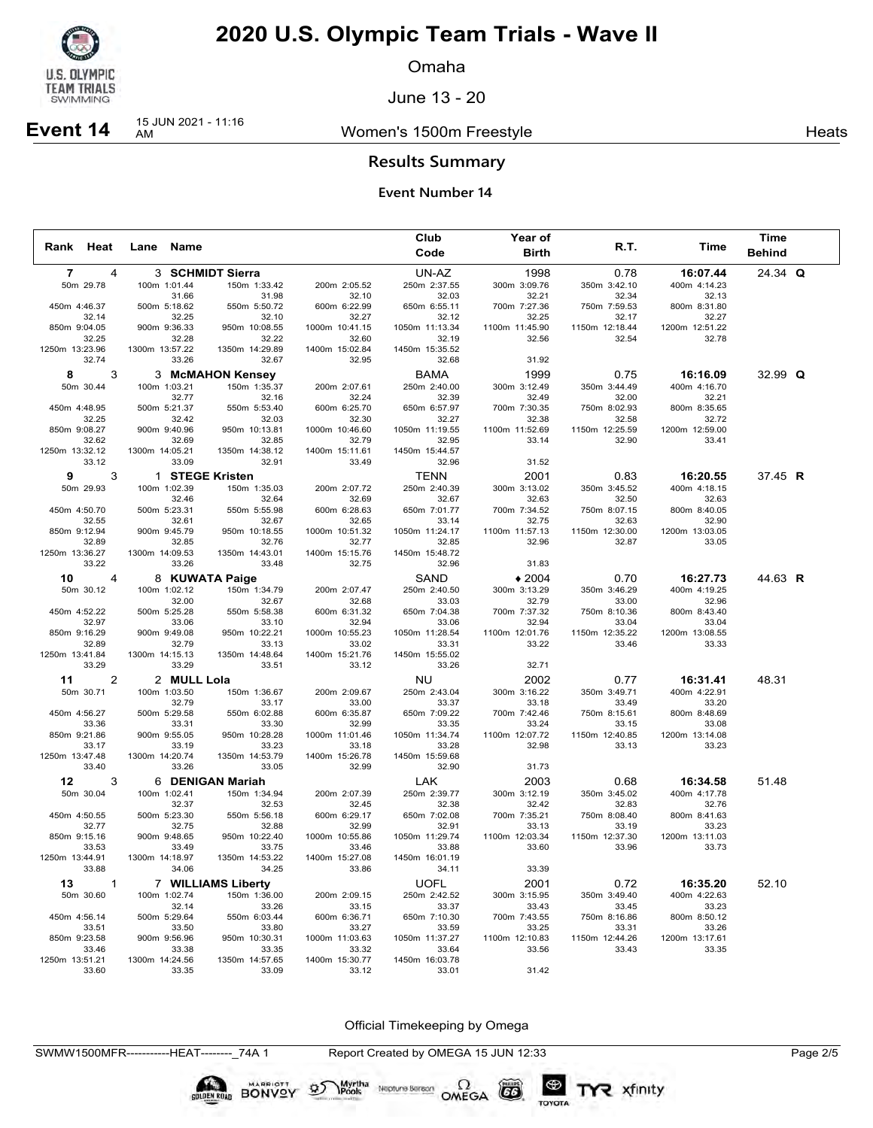

Omaha

June 13 - 20

### Women's 1500m Freestyle **Heats** Heats

**Event 14** 15 JUN 2021 - 11:16

**Results Summary**

### **Event Number 14**

|                 |              |                         |                                  |                         | Club                       | Year of                 |                         |                          | Time          |  |
|-----------------|--------------|-------------------------|----------------------------------|-------------------------|----------------------------|-------------------------|-------------------------|--------------------------|---------------|--|
| Rank Heat       |              | Lane Name               |                                  |                         | Code                       | <b>Birth</b>            | R.T.                    | Time                     | <b>Behind</b> |  |
| $\overline{7}$  | 4            |                         | 3 SCHMIDT Sierra                 |                         | UN-AZ                      | 1998                    | 0.78                    | 16:07.44                 | 24.34 Q       |  |
| 50m 29.78       |              | 100m 1:01.44            | 150m 1:33.42                     | 200m 2:05.52            | 250m 2:37.55               | 300m 3:09.76            | 350m 3:42.10            | 400m 4:14.23             |               |  |
|                 |              | 31.66                   | 31.98                            | 32.10                   | 32.03                      | 32.21                   | 32.34                   | 32.13                    |               |  |
| 450m 4:46.37    | 32.14        | 500m 5:18.62<br>32.25   | 550m 5:50.72<br>32.10            | 600m 6:22.99<br>32.27   | 650m 6:55.11<br>32.12      | 700m 7:27.36<br>32.25   | 750m 7:59.53<br>32.17   | 800m 8:31.80<br>32.27    |               |  |
| 850m 9:04.05    |              | 900m 9:36.33            | 950m 10:08.55                    | 1000m 10:41.15          | 1050m 11:13.34             | 1100m 11:45.90          | 1150m 12:18.44          | 1200m 12:51.22           |               |  |
|                 | 32.25        | 32.28                   | 32.22                            | 32.60                   | 32.19                      | 32.56                   | 32.54                   | 32.78                    |               |  |
| 1250m 13:23.96  |              | 1300m 13:57.22          | 1350m 14:29.89                   | 1400m 15:02.84          | 1450m 15:35.52             |                         |                         |                          |               |  |
|                 | 32.74        | 33.26                   | 32.67                            | 32.95                   | 32.68                      | 31.92                   |                         |                          |               |  |
| 8               | 3            |                         | 3 McMAHON Kensey                 |                         | <b>BAMA</b>                | 1999                    | 0.75                    | 16:16.09                 | 32.99 $Q$     |  |
| 50m 30.44       |              | 100m 1:03.21<br>32.77   | 150m 1:35.37<br>32.16            | 200m 2:07.61<br>32.24   | 250m 2:40.00<br>32.39      | 300m 3:12.49<br>32.49   | 350m 3:44.49<br>32.00   | 400m 4:16.70<br>32.21    |               |  |
| 450m 4:48.95    |              | 500m 5:21.37            | 550m 5:53.40                     | 600m 6:25.70            | 650m 6:57.97               | 700m 7:30.35            | 750m 8:02.93            | 800m 8:35.65             |               |  |
|                 | 32.25        | 32.42                   | 32.03                            | 32.30                   | 32.27                      | 32.38                   | 32.58                   | 32.72                    |               |  |
| 850m 9:08.27    |              | 900m 9:40.96            | 950m 10:13.81                    | 1000m 10:46.60          | 1050m 11:19.55             | 1100m 11:52.69          | 1150m 12:25.59          | 1200m 12:59.00           |               |  |
| 1250m 13:32.12  | 32.62        | 32.69<br>1300m 14:05.21 | 32.85<br>1350m 14:38.12          | 32.79<br>1400m 15:11.61 | 32.95<br>1450m 15:44.57    | 33.14                   | 32.90                   | 33.41                    |               |  |
|                 | 33.12        | 33.09                   | 32.91                            | 33.49                   | 32.96                      | 31.52                   |                         |                          |               |  |
| 9               | 3            |                         | 1 STEGE Kristen                  |                         | <b>TENN</b>                | 2001                    | 0.83                    | 16:20.55                 | 37.45 R       |  |
| 50m 29.93       |              | 100m 1:02.39            | 150m 1:35.03                     | 200m 2:07.72            | 250m 2:40.39               | 300m 3:13.02            | 350m 3:45.52            | 400m 4:18.15             |               |  |
|                 |              | 32.46                   | 32.64                            | 32.69                   | 32.67                      | 32.63                   | 32.50                   | 32.63                    |               |  |
| 450m 4:50.70    |              | 500m 5:23.31            | 550m 5:55.98                     | 600m 6:28.63            | 650m 7:01.77               | 700m 7:34.52            | 750m 8:07.15            | 800m 8:40.05             |               |  |
|                 | 32.55        | 32.61                   | 32.67                            | 32.65                   | 33.14                      | 32.75                   | 32.63                   | 32.90                    |               |  |
| 850m 9:12.94    | 32.89        | 900m 9:45.79<br>32.85   | 950m 10:18.55<br>32.76           | 1000m 10:51.32<br>32.77 | 1050m 11:24.17<br>32.85    | 1100m 11:57.13<br>32.96 | 1150m 12:30.00<br>32.87 | 1200m 13:03.05<br>33.05  |               |  |
| 1250m 13:36.27  |              | 1300m 14:09.53          | 1350m 14:43.01                   | 1400m 15:15.76          | 1450m 15:48.72             |                         |                         |                          |               |  |
|                 | 33.22        | 33.26                   | 33.48                            | 32.75                   | 32.96                      | 31.83                   |                         |                          |               |  |
| 10              | 4            |                         | 8 KUWATA Paige                   |                         | SAND                       | $*2004$                 | 0.70                    | 16:27.73                 | 44.63 R       |  |
| 50m 30.12       |              | 100m 1:02.12            | 150m 1:34.79                     | 200m 2:07.47            | 250m 2:40.50               | 300m 3:13.29            | 350m 3:46.29            | 400m 4:19.25             |               |  |
|                 |              | 32.00                   | 32.67                            | 32.68                   | 33.03                      | 32.79                   | 33.00                   | 32.96                    |               |  |
| 450m 4:52.22    |              | 500m 5:25.28            | 550m 5:58.38                     | 600m 6:31.32            | 650m 7:04.38               | 700m 7:37.32            | 750m 8:10.36            | 800m 8:43.40             |               |  |
| 850m 9:16.29    | 32.97        | 33.06<br>900m 9:49.08   | 33.10<br>950m 10:22.21           | 32.94<br>1000m 10:55.23 | 33.06<br>1050m 11:28.54    | 32.94<br>1100m 12:01.76 | 33.04<br>1150m 12:35.22 | 33.04<br>1200m 13:08.55  |               |  |
|                 | 32.89        | 32.79                   | 33.13                            | 33.02                   | 33.31                      | 33.22                   | 33.46                   | 33.33                    |               |  |
| 1250m 13:41.84  |              | 1300m 14:15.13          | 1350m 14:48.64                   | 1400m 15:21.76          | 1450m 15:55.02             |                         |                         |                          |               |  |
|                 | 33.29        | 33.29                   | 33.51                            | 33.12                   | 33.26                      | 32.71                   |                         |                          |               |  |
| 11              | 2            | 2 MULL Lola             |                                  |                         | <b>NU</b>                  | 2002                    | 0.77                    | 16:31.41                 | 48.31         |  |
| 50m 30.71       |              | 100m 1:03.50            | 150m 1:36.67                     | 200m 2:09.67            | 250m 2:43.04               | 300m 3:16.22            | 350m 3:49.71            | 400m 4:22.91             |               |  |
| 450m 4:56.27    |              | 32.79<br>500m 5:29.58   | 33.17<br>550m 6:02.88            | 33.00<br>600m 6:35.87   | 33.37<br>650m 7:09.22      | 33.18<br>700m 7:42.46   | 33.49<br>750m 8:15.61   | 33.20<br>800m 8:48.69    |               |  |
|                 | 33.36        | 33.31                   | 33.30                            | 32.99                   | 33.35                      | 33.24                   | 33.15                   | 33.08                    |               |  |
| 850m 9:21.86    |              | 900m 9:55.05            | 950m 10:28.28                    | 1000m 11:01.46          | 1050m 11:34.74             | 1100m 12:07.72          | 1150m 12:40.85          | 1200m 13:14.08           |               |  |
|                 | 33.17        | 33.19                   | 33.23                            | 33.18                   | 33.28                      | 32.98                   | 33.13                   | 33.23                    |               |  |
| 1250m 13:47.48  | 33.40        | 1300m 14:20.74<br>33.26 | 1350m 14:53.79<br>33.05          | 1400m 15:26.78<br>32.99 | 1450m 15:59.68<br>32.90    | 31.73                   |                         |                          |               |  |
|                 |              |                         |                                  |                         |                            |                         |                         |                          |               |  |
| 12<br>50m 30.04 | 3            | 100m 1:02.41            | 6 DENIGAN Mariah<br>150m 1:34.94 | 200m 2:07.39            | <b>LAK</b><br>250m 2:39.77 | 2003<br>300m 3:12.19    | 0.68<br>350m 3:45.02    | 16:34.58<br>400m 4:17.78 | 51.48         |  |
|                 |              | 32.37                   | 32.53                            | 32.45                   | 32.38                      | 32.42                   | 32.83                   | 32.76                    |               |  |
| 450m 4:50.55    |              | 500m 5:23.30            | 550m 5:56.18                     | 600m 6:29.17            | 650m 7:02.08               | 700m 7:35.21            | 750m 8:08.40            | 800m 8:41.63             |               |  |
|                 | 32.77        | 32.75                   | 32.88                            | 32.99                   | 32.91                      | 33.13                   | 33.19                   | 33.23                    |               |  |
| 850m 9:15.16    |              | 900m 9:48.65            | 950m 10:22.40                    | 1000m 10:55.86          | 1050m 11:29.74             | 1100m 12:03.34          | 1150m 12:37.30          | 1200m 13:11.03           |               |  |
| 1250m 13:44.91  | 33.53        | 33.49<br>1300m 14:18.97 | 33.75<br>1350m 14:53.22          | 33.46<br>1400m 15:27.08 | 33.88<br>1450m 16:01.19    | 33.60                   | 33.96                   | 33.73                    |               |  |
|                 | 33.88        | 34.06                   | 34.25                            | 33.86                   | 34.11                      | 33.39                   |                         |                          |               |  |
| 13              | $\mathbf{1}$ |                         | 7 WILLIAMS Liberty               |                         | <b>UOFL</b>                | 2001                    | 0.72                    | 16:35.20                 | 52.10         |  |
| 50m 30.60       |              | 100m 1:02.74            | 150m 1:36.00                     | 200m 2:09.15            | 250m 2:42.52               | 300m 3:15.95            | 350m 3:49.40            | 400m 4:22.63             |               |  |
|                 |              | 32.14                   | 33.26                            | 33.15                   | 33.37                      | 33.43                   | 33.45                   | 33.23                    |               |  |
| 450m 4:56.14    |              | 500m 5:29.64            | 550m 6:03.44                     | 600m 6:36.71            | 650m 7:10.30               | 700m 7:43.55            | 750m 8:16.86            | 800m 8:50.12             |               |  |
|                 | 33.51        | 33.50                   | 33.80                            | 33.27                   | 33.59                      | 33.25                   | 33.31                   | 33.26                    |               |  |
| 850m 9:23.58    | 33.46        | 900m 9:56.96<br>33.38   | 950m 10:30.31<br>33.35           | 1000m 11:03.63<br>33.32 | 1050m 11:37.27<br>33.64    | 1100m 12:10.83<br>33.56 | 1150m 12:44.26<br>33.43 | 1200m 13:17.61<br>33.35  |               |  |
| 1250m 13:51.21  |              | 1300m 14:24.56          | 1350m 14:57.65                   | 1400m 15:30.77          | 1450m 16:03.78             |                         |                         |                          |               |  |
|                 | 33.60        | 33.35                   | 33.09                            | 33.12                   | 33.01                      | 31.42                   |                         |                          |               |  |

Official Timekeeping by Omega

SWMW1500MFR-----------HEAT--------\_74A 1 Report Created by OMEGA 15 JUN 12:33 Page 2/5

Neptune Berson  $\Omega$ <br>OMEGA

 $(G)$ 

TOYOTA

Myrtha<br>Pools

 $\mathfrak{D}$ 

BONVOY

**GOLDEN ROAD**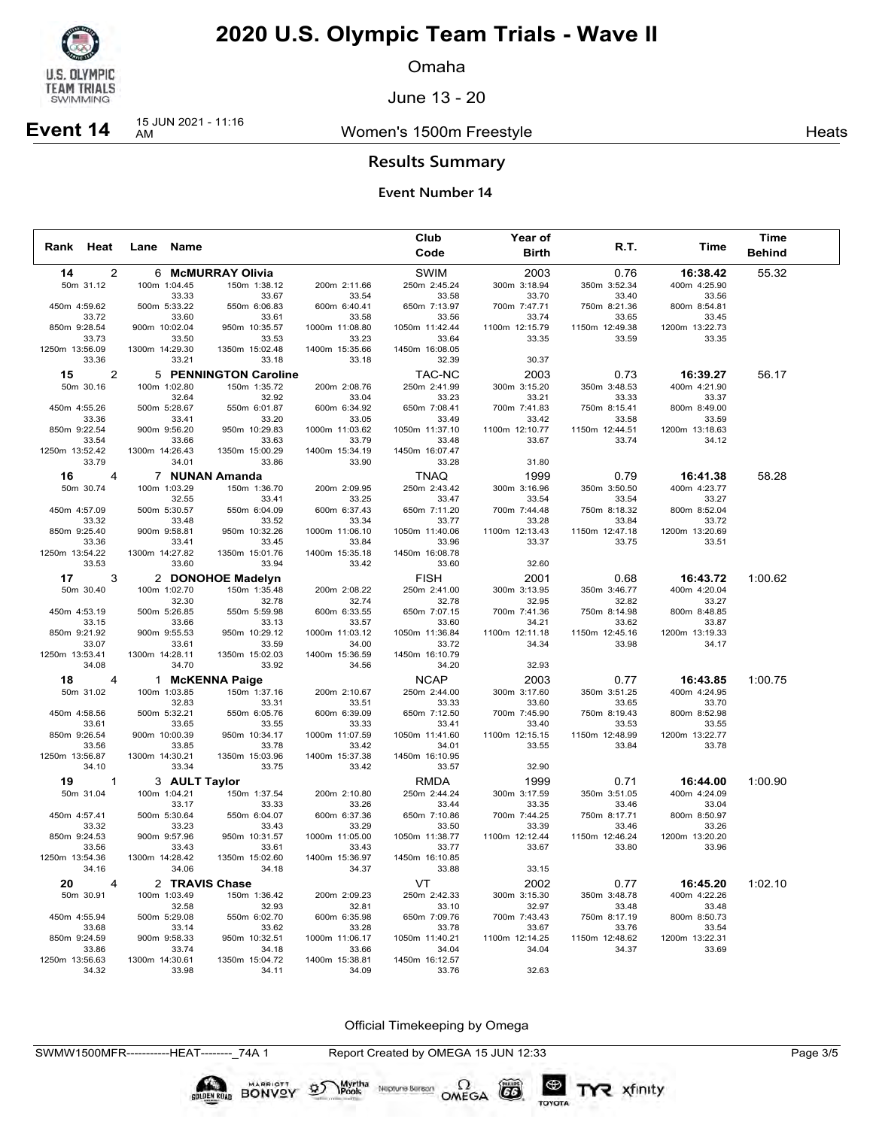

Omaha

June 13 - 20

### Women's 1500m Freestyle **Heats** Heats

# **Event 14** 15 JUN 2021 - 11:16

**Results Summary**

#### **Event Number 14**

|                 |                |                |                       |                                 |                         | Club                        | <b>Year of</b>          |                         |                          | Time          |  |
|-----------------|----------------|----------------|-----------------------|---------------------------------|-------------------------|-----------------------------|-------------------------|-------------------------|--------------------------|---------------|--|
| Rank Heat       |                |                | Lane Name             |                                 |                         | Code                        | <b>Birth</b>            | R.T.                    | Time                     | <b>Behind</b> |  |
| 14              | 2              |                |                       | 6 McMURRAY Olivia               |                         | <b>SWIM</b>                 | 2003                    | 0.76                    | 16:38.42                 | 55.32         |  |
| 50m 31.12       |                |                | 100m 1:04.45          | 150m 1:38.12                    | 200m 2:11.66            | 250m 2:45.24                | 300m 3:18.94            | 350m 3:52.34            | 400m 4:25.90             |               |  |
|                 |                |                | 33.33                 | 33.67                           | 33.54                   | 33.58                       | 33.70                   | 33.40                   | 33.56                    |               |  |
| 450m 4:59.62    |                |                | 500m 5:33.22          | 550m 6:06.83                    | 600m 6:40.41            | 650m 7:13.97                | 700m 7:47.71            | 750m 8:21.36            | 800m 8:54.81             |               |  |
|                 | 33.72          |                | 33.60                 | 33.61                           | 33.58                   | 33.56                       | 33.74                   | 33.65                   | 33.45                    |               |  |
| 850m 9:28.54    |                | 900m 10:02.04  |                       | 950m 10:35.57                   | 1000m 11:08.80          | 1050m 11:42.44              | 1100m 12:15.79          | 1150m 12:49.38          | 1200m 13:22.73           |               |  |
|                 | 33.73          |                | 33.50                 | 33.53                           | 33.23                   | 33.64                       | 33.35                   | 33.59                   | 33.35                    |               |  |
| 1250m 13:56.09  |                | 1300m 14:29.30 |                       | 1350m 15:02.48                  | 1400m 15:35.66          | 1450m 16:08.05              |                         |                         |                          |               |  |
|                 | 33.36          |                | 33.21                 | 33.18                           | 33.18                   | 32.39                       | 30.37                   |                         |                          |               |  |
| 15              | 2              |                |                       | 5 PENNINGTON Caroline           |                         | TAC-NC                      | 2003                    | 0.73                    | 16:39.27                 | 56.17         |  |
| 50m 30.16       |                |                | 100m 1:02.80          | 150m 1:35.72                    | 200m 2:08.76            | 250m 2:41.99                | 300m 3:15.20            | 350m 3:48.53            | 400m 4:21.90             |               |  |
|                 |                |                | 32.64                 | 32.92                           | 33.04                   | 33.23                       | 33.21                   | 33.33                   | 33.37                    |               |  |
| 450m 4:55.26    |                |                | 500m 5:28.67          | 550m 6:01.87                    | 600m 6:34.92            | 650m 7:08.41                | 700m 7:41.83            | 750m 8:15.41            | 800m 8:49.00             |               |  |
| 850m 9:22.54    | 33.36          |                | 33.41<br>900m 9:56.20 | 33.20<br>950m 10:29.83          | 33.05<br>1000m 11:03.62 | 33.49<br>1050m 11:37.10     | 33.42<br>1100m 12:10.77 | 33.58<br>1150m 12:44.51 | 33.59<br>1200m 13:18.63  |               |  |
|                 | 33.54          |                | 33.66                 | 33.63                           | 33.79                   | 33.48                       | 33.67                   | 33.74                   | 34.12                    |               |  |
| 1250m 13:52.42  |                | 1300m 14:26.43 |                       | 1350m 15:00.29                  | 1400m 15:34.19          | 1450m 16:07.47              |                         |                         |                          |               |  |
|                 | 33.79          |                | 34.01                 | 33.86                           | 33.90                   | 33.28                       | 31.80                   |                         |                          |               |  |
| 16              | $\overline{4}$ |                |                       | 7 NUNAN Amanda                  |                         | <b>TNAQ</b>                 | 1999                    | 0.79                    | 16:41.38                 | 58.28         |  |
| 50m 30.74       |                |                | 100m 1:03.29          | 150m 1:36.70                    | 200m 2:09.95            | 250m 2:43.42                | 300m 3:16.96            | 350m 3:50.50            | 400m 4:23.77             |               |  |
|                 |                |                | 32.55                 | 33.41                           | 33.25                   | 33.47                       | 33.54                   | 33.54                   | 33.27                    |               |  |
| 450m 4:57.09    |                |                | 500m 5:30.57          | 550m 6:04.09                    | 600m 6:37.43            | 650m 7:11.20                | 700m 7:44.48            | 750m 8:18.32            | 800m 8:52.04             |               |  |
|                 | 33.32          |                | 33.48                 | 33.52                           | 33.34                   | 33.77                       | 33.28                   | 33.84                   | 33.72                    |               |  |
| 850m 9:25.40    |                |                | 900m 9:58.81          | 950m 10:32.26                   | 1000m 11:06.10          | 1050m 11:40.06              | 1100m 12:13.43          | 1150m 12:47.18          | 1200m 13:20.69           |               |  |
|                 | 33.36          |                | 33.41                 | 33.45                           | 33.84                   | 33.96                       | 33.37                   | 33.75                   | 33.51                    |               |  |
| 1250m 13:54.22  |                | 1300m 14:27.82 |                       | 1350m 15:01.76                  | 1400m 15:35.18          | 1450m 16:08.78              |                         |                         |                          |               |  |
|                 | 33.53          |                | 33.60                 | 33.94                           | 33.42                   | 33.60                       | 32.60                   |                         |                          |               |  |
| 17              | 3              |                |                       | 2 DONOHOE Madelyn               |                         | <b>FISH</b>                 | 2001                    | 0.68                    | 16:43.72                 | 1:00.62       |  |
| 50m 30.40       |                |                | 100m 1:02.70          | 150m 1:35.48                    | 200m 2:08.22            | 250m 2:41.00                | 300m 3:13.95            | 350m 3:46.77            | 400m 4:20.04             |               |  |
|                 |                |                | 32.30                 | 32.78                           | 32.74                   | 32.78                       | 32.95                   | 32.82                   | 33.27                    |               |  |
| 450m 4:53.19    |                |                | 500m 5:26.85          | 550m 5:59.98                    | 600m 6:33.55            | 650m 7:07.15                | 700m 7:41.36            | 750m 8:14.98            | 800m 8:48.85             |               |  |
|                 | 33.15          |                | 33.66                 | 33.13                           | 33.57                   | 33.60                       | 34.21                   | 33.62                   | 33.87                    |               |  |
| 850m 9:21.92    |                |                | 900m 9:55.53          | 950m 10:29.12                   | 1000m 11:03.12          | 1050m 11:36.84              | 1100m 12:11.18          | 1150m 12:45.16          | 1200m 13:19.33           |               |  |
| 1250m 13:53.41  | 33.07          | 1300m 14:28.11 | 33.61                 | 33.59<br>1350m 15:02.03         | 34.00<br>1400m 15:36.59 | 33.72<br>1450m 16:10.79     | 34.34                   | 33.98                   | 34.17                    |               |  |
|                 | 34.08          |                | 34.70                 | 33.92                           | 34.56                   | 34.20                       | 32.93                   |                         |                          |               |  |
|                 |                |                |                       |                                 |                         |                             |                         |                         |                          |               |  |
| 18<br>50m 31.02 | 4              |                | 100m 1:03.85          | 1 McKENNA Paige<br>150m 1:37.16 | 200m 2:10.67            | <b>NCAP</b><br>250m 2:44.00 | 2003<br>300m 3:17.60    | 0.77<br>350m 3:51.25    | 16:43.85<br>400m 4:24.95 | 1:00.75       |  |
|                 |                |                | 32.83                 | 33.31                           | 33.51                   | 33.33                       | 33.60                   | 33.65                   | 33.70                    |               |  |
| 450m 4:58.56    |                |                | 500m 5:32.21          | 550m 6:05.76                    | 600m 6:39.09            | 650m 7:12.50                | 700m 7:45.90            | 750m 8:19.43            | 800m 8:52.98             |               |  |
|                 | 33.61          |                | 33.65                 | 33.55                           | 33.33                   | 33.41                       | 33.40                   | 33.53                   | 33.55                    |               |  |
| 850m 9:26.54    |                | 900m 10:00.39  |                       | 950m 10:34.17                   | 1000m 11:07.59          | 1050m 11:41.60              | 1100m 12:15.15          | 1150m 12:48.99          | 1200m 13:22.77           |               |  |
|                 | 33.56          |                | 33.85                 | 33.78                           | 33.42                   | 34.01                       | 33.55                   | 33.84                   | 33.78                    |               |  |
| 1250m 13:56.87  |                | 1300m 14:30.21 |                       | 1350m 15:03.96                  | 1400m 15:37.38          | 1450m 16:10.95              |                         |                         |                          |               |  |
|                 | 34.10          |                | 33.34                 | 33.75                           | 33.42                   | 33.57                       | 32.90                   |                         |                          |               |  |
| 19              | $\overline{1}$ |                | 3 AULT Taylor         |                                 |                         | <b>RMDA</b>                 | 1999                    | 0.71                    | 16:44.00                 | 1:00.90       |  |
| 50m 31.04       |                |                | 100m 1:04.21          | 150m 1:37.54                    | 200m 2:10.80            | 250m 2:44.24                | 300m 3:17.59            | 350m 3:51.05            | 400m 4:24.09             |               |  |
|                 |                |                | 33.17                 | 33.33                           | 33.26                   | 33.44                       | 33.35                   | 33.46                   | 33.04                    |               |  |
| 450m 4:57.41    |                |                | 500m 5:30.64          | 550m 6:04.07                    | 600m 6:37.36            | 650m 7:10.86                | 700m 7:44.25            | 750m 8:17.71            | 800m 8:50.97             |               |  |
|                 | 33.32          |                | 33.23                 | 33.43                           | 33.29                   | 33.50                       | 33.39                   | 33.46                   | 33.26                    |               |  |
| 850m 9:24.53    |                |                | 900m 9:57.96          | 950m 10:31.57                   | 1000m 11:05.00          | 1050m 11:38.77              | 1100m 12:12.44          | 1150m 12:46.24          | 1200m 13:20.20           |               |  |
| 1250m 13:54.36  | 33.56          | 1300m 14:28.42 | 33.43                 | 33.61<br>1350m 15:02.60         | 33.43<br>1400m 15:36.97 | 33.77<br>1450m 16:10.85     | 33.67                   | 33.80                   | 33.96                    |               |  |
|                 | 34.16          |                | 34.06                 | 34.18                           | 34.37                   | 33.88                       | 33.15                   |                         |                          |               |  |
|                 |                |                |                       |                                 |                         |                             |                         |                         |                          |               |  |
| 20              | $\overline{4}$ |                | 2 TRAVIS Chase        |                                 |                         | VT.                         | 2002                    | 0.77                    | 16:45.20                 | 1:02.10       |  |
| 50m 30.91       |                |                | 100m 1:03.49          | 150m 1:36.42                    | 200m 2:09.23            | 250m 2:42.33                | 300m 3:15.30            | 350m 3:48.78            | 400m 4:22.26             |               |  |
| 450m 4:55.94    |                |                | 32.58<br>500m 5:29.08 | 32.93<br>550m 6:02.70           | 32.81<br>600m 6:35.98   | 33.10<br>650m 7:09.76       | 32.97<br>700m 7:43.43   | 33.48<br>750m 8:17.19   | 33.48<br>800m 8:50.73    |               |  |
|                 | 33.68          |                | 33.14                 | 33.62                           | 33.28                   | 33.78                       | 33.67                   | 33.76                   | 33.54                    |               |  |
| 850m 9:24.59    |                |                | 900m 9:58.33          | 950m 10:32.51                   | 1000m 11:06.17          | 1050m 11:40.21              | 1100m 12:14.25          | 1150m 12:48.62          | 1200m 13:22.31           |               |  |
|                 | 33.86          |                | 33.74                 | 34.18                           | 33.66                   | 34.04                       | 34.04                   | 34.37                   | 33.69                    |               |  |
| 1250m 13:56.63  |                | 1300m 14:30.61 |                       | 1350m 15:04.72                  | 1400m 15:38.81          | 1450m 16:12.57              |                         |                         |                          |               |  |
|                 | 34.32          |                | 33.98                 | 34.11                           | 34.09                   | 33.76                       | 32.63                   |                         |                          |               |  |

Official Timekeeping by Omega

SWMW1500MFR-----------HEAT--------\_74A 1 Report Created by OMEGA 15 JUN 12:33 Page 3/5

BONVOY

Myrtha<br>Pools

 $\mathcal{D}$ 

Neptune Berson  $\Omega$ <br>OMEGA

 $(G)$ 

TOYOTA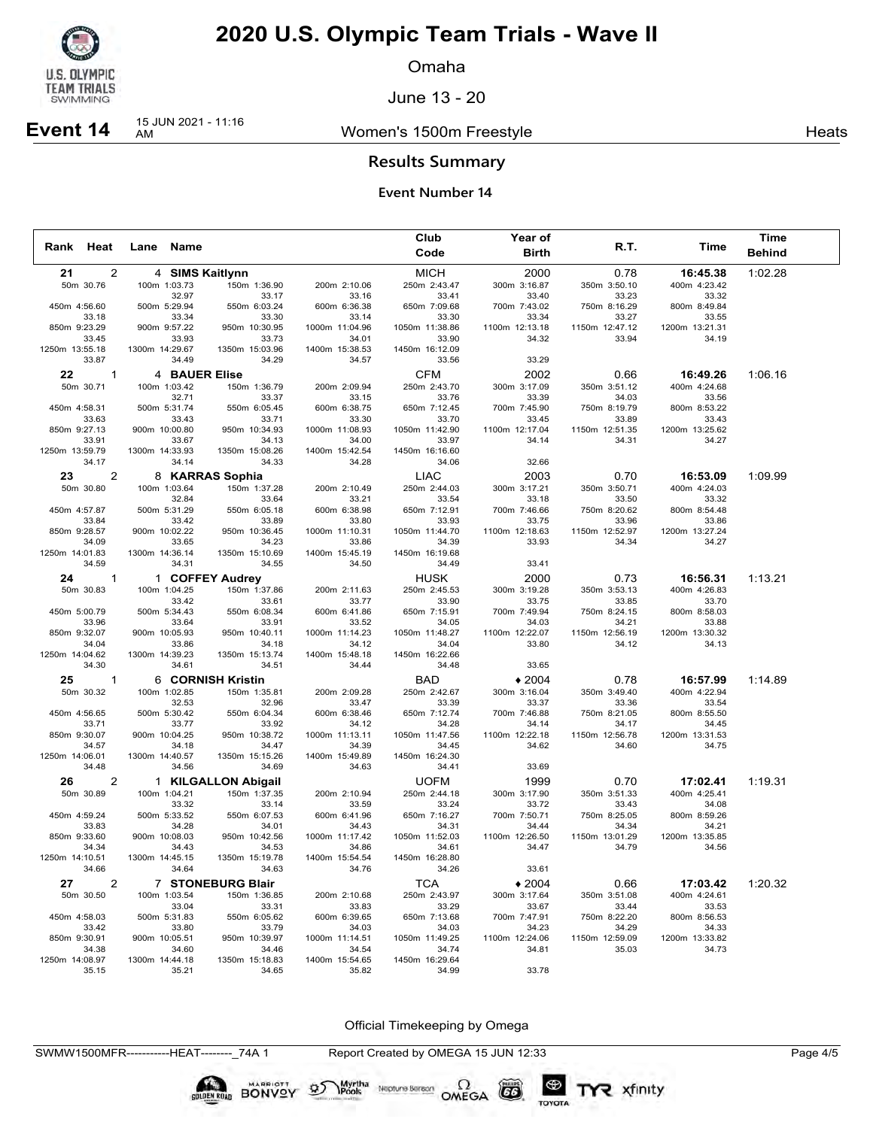

Omaha

June 13 - 20

### Women's 1500m Freestyle **Heats** Heats

# **Event 14** 15 JUN 2021 - 11:16

**Results Summary**

#### **Event Number 14**

|                       |                |                |                                 |                         | Club                    | Year of                 |                         |                         | <b>Time</b>   |
|-----------------------|----------------|----------------|---------------------------------|-------------------------|-------------------------|-------------------------|-------------------------|-------------------------|---------------|
| Rank Heat             |                | Lane Name      |                                 |                         | Code                    | <b>Birth</b>            | R.T.                    | Time                    | <b>Behind</b> |
| 21                    | 2              |                | 4 SIMS Kaitlynn                 |                         | <b>MICH</b>             | 2000                    | 0.78                    | 16:45.38                | 1:02.28       |
| 50m 30.76             |                | 100m 1:03.73   | 150m 1:36.90                    | 200m 2:10.06            | 250m 2:43.47            | 300m 3:16.87            | 350m 3:50.10            | 400m 4:23.42            |               |
|                       |                |                | 32.97<br>33.17                  | 33.16                   | 33.41                   | 33.40                   | 33.23                   | 33.32                   |               |
| 450m 4:56.60          |                | 500m 5:29.94   | 550m 6:03.24                    | 600m 6:36.38            | 650m 7:09.68            | 700m 7:43.02            | 750m 8:16.29            | 800m 8:49.84            |               |
| 33.18                 |                |                | 33.30<br>33.34                  | 33.14                   | 33.30                   | 33.34                   | 33.27                   | 33.55                   |               |
| 850m 9:23.29          |                | 900m 9:57.22   | 950m 10:30.95                   | 1000m 11:04.96          | 1050m 11:38.86          | 1100m 12:13.18          | 1150m 12:47.12          | 1200m 13:21.31          |               |
| 33.45                 |                |                | 33.93<br>33.73                  | 34.01                   | 33.90                   | 34.32                   | 33.94                   | 34.19                   |               |
| 1250m 13:55.18        |                | 1300m 14:29.67 | 1350m 15:03.96                  | 1400m 15:38.53          | 1450m 16:12.09          |                         |                         |                         |               |
| 33.87                 |                |                | 34.49<br>34.29                  | 34.57                   | 33.56                   | 33.29                   |                         |                         |               |
| 22                    | $\mathbf{1}$   |                | <b>4 BAUER Elise</b>            |                         | <b>CFM</b>              | 2002                    | 0.66                    | 16:49.26                | 1:06.16       |
| 50m 30.71             |                | 100m 1:03.42   | 150m 1:36.79                    | 200m 2:09.94            | 250m 2:43.70            | 300m 3:17.09            | 350m 3:51.12            | 400m 4:24.68            |               |
|                       |                |                | 32.71<br>33.37                  | 33.15                   | 33.76                   | 33.39                   | 34.03                   | 33.56                   |               |
| 450m 4:58.31          |                | 500m 5:31.74   | 550m 6:05.45                    | 600m 6:38.75            | 650m 7:12.45            | 700m 7:45.90            | 750m 8:19.79            | 800m 8:53.22            |               |
| 33.63                 |                |                | 33.43<br>33.71                  | 33.30                   | 33.70                   | 33.45                   | 33.89                   | 33.43                   |               |
| 850m 9:27.13<br>33.91 |                | 900m 10:00.80  | 950m 10:34.93<br>33.67<br>34.13 | 1000m 11:08.93<br>34.00 | 1050m 11:42.90<br>33.97 | 1100m 12:17.04<br>34.14 | 1150m 12:51.35<br>34.31 | 1200m 13:25.62<br>34.27 |               |
| 1250m 13:59.79        |                | 1300m 14:33.93 | 1350m 15:08.26                  | 1400m 15:42.54          | 1450m 16:16.60          |                         |                         |                         |               |
| 34.17                 |                |                | 34.14<br>34.33                  | 34.28                   | 34.06                   | 32.66                   |                         |                         |               |
|                       |                |                |                                 |                         |                         |                         |                         |                         |               |
| 23                    | 2              |                | 8 KARRAS Sophia                 |                         | <b>LIAC</b>             | 2003                    | 0.70                    | 16:53.09                | 1:09.99       |
| 50m 30.80             |                | 100m 1:03.64   | 150m 1:37.28                    | 200m 2:10.49            | 250m 2:44.03            | 300m 3:17.21            | 350m 3:50.71            | 400m 4:24.03            |               |
| 450m 4:57.87          |                | 500m 5:31.29   | 32.84<br>33.64<br>550m 6:05.18  | 33.21<br>600m 6:38.98   | 33.54<br>650m 7:12.91   | 33.18<br>700m 7:46.66   | 33.50<br>750m 8:20.62   | 33.32<br>800m 8:54.48   |               |
| 33.84                 |                |                | 33.42<br>33.89                  | 33.80                   | 33.93                   | 33.75                   | 33.96                   | 33.86                   |               |
| 850m 9:28.57          |                | 900m 10:02.22  | 950m 10:36.45                   | 1000m 11:10.31          | 1050m 11:44.70          | 1100m 12:18.63          | 1150m 12:52.97          | 1200m 13:27.24          |               |
| 34.09                 |                |                | 33.65<br>34.23                  | 33.86                   | 34.39                   | 33.93                   | 34.34                   | 34.27                   |               |
| 1250m 14:01.83        |                | 1300m 14:36.14 | 1350m 15:10.69                  | 1400m 15:45.19          | 1450m 16:19.68          |                         |                         |                         |               |
| 34.59                 |                |                | 34.31<br>34.55                  | 34.50                   | 34.49                   | 33.41                   |                         |                         |               |
| 24                    | $\mathbf{1}$   |                | 1 COFFEY Audrey                 |                         | <b>HUSK</b>             | 2000                    | 0.73                    | 16:56.31                | 1:13.21       |
| 50m 30.83             |                | 100m 1:04.25   | 150m 1:37.86                    | 200m 2:11.63            | 250m 2:45.53            | 300m 3:19.28            | 350m 3:53.13            | 400m 4:26.83            |               |
|                       |                |                | 33.42<br>33.61                  | 33.77                   | 33.90                   | 33.75                   | 33.85                   | 33.70                   |               |
| 450m 5:00.79          |                | 500m 5:34.43   | 550m 6:08.34                    | 600m 6:41.86            | 650m 7:15.91            | 700m 7:49.94            | 750m 8:24.15            | 800m 8:58.03            |               |
| 33.96                 |                |                | 33.64<br>33.91                  | 33.52                   | 34.05                   | 34.03                   | 34.21                   | 33.88                   |               |
| 850m 9:32.07          |                | 900m 10:05.93  | 950m 10:40.11                   | 1000m 11:14.23          | 1050m 11:48.27          | 1100m 12:22.07          | 1150m 12:56.19          | 1200m 13:30.32          |               |
| 34.04                 |                |                | 33.86<br>34.18                  | 34.12                   | 34.04                   | 33.80                   | 34.12                   | 34.13                   |               |
| 1250m 14:04.62        |                | 1300m 14:39.23 | 1350m 15:13.74                  | 1400m 15:48.18          | 1450m 16:22.66          |                         |                         |                         |               |
| 34.30                 |                |                | 34.61<br>34.51                  | 34.44                   | 34.48                   | 33.65                   |                         |                         |               |
| 25                    | $\mathbf{1}$   |                | 6 CORNISH Kristin               |                         | <b>BAD</b>              | $*2004$                 | 0.78                    | 16:57.99                | 1:14.89       |
| 50m 30.32             |                | 100m 1:02.85   | 150m 1:35.81                    | 200m 2:09.28            | 250m 2:42.67            | 300m 3:16.04            | 350m 3:49.40            | 400m 4:22.94            |               |
|                       |                |                | 32.53<br>32.96                  | 33.47                   | 33.39                   | 33.37                   | 33.36                   | 33.54                   |               |
| 450m 4:56.65          |                | 500m 5:30.42   | 550m 6:04.34                    | 600m 6:38.46            | 650m 7:12.74            | 700m 7:46.88            | 750m 8:21.05            | 800m 8:55.50            |               |
| 33.71                 |                |                | 33.77<br>33.92                  | 34.12                   | 34.28                   | 34.14                   | 34.17                   | 34.45                   |               |
| 850m 9:30.07          |                | 900m 10:04.25  | 950m 10:38.72                   | 1000m 11:13.11          | 1050m 11:47.56          | 1100m 12:22.18          | 1150m 12:56.78          | 1200m 13:31.53          |               |
| 34.57                 |                |                | 34.18<br>34.47                  | 34.39                   | 34.45                   | 34.62                   | 34.60                   | 34.75                   |               |
| 1250m 14:06.01        |                | 1300m 14:40.57 | 1350m 15:15.26                  | 1400m 15:49.89          | 1450m 16:24.30          |                         |                         |                         |               |
| 34.48                 |                |                | 34.56<br>34.69                  | 34.63                   | 34.41                   | 33.69                   |                         |                         |               |
| 26                    | $\overline{2}$ |                | 1 KILGALLON Abigail             |                         | <b>UOFM</b>             | 1999                    | 0.70                    | 17:02.41                | 1:19.31       |
| 50m 30.89             |                | 100m 1:04.21   | 150m 1:37.35                    | 200m 2:10.94            | 250m 2:44.18            | 300m 3:17.90            | 350m 3:51.33            | 400m 4:25.41            |               |
|                       |                |                | 33.32<br>33.14                  | 33.59                   | 33.24                   | 33.72                   | 33.43                   | 34.08                   |               |
| 450m 4:59.24          |                | 500m 5:33.52   | 550m 6:07.53                    | 600m 6:41.96            | 650m 7:16.27            | 700m 7:50.71            | 750m 8:25.05            | 800m 8:59.26            |               |
| 33.83                 |                |                | 34.28<br>34.01                  | 34.43                   | 34.31                   | 34.44                   | 34.34                   | 34.21                   |               |
| 850m 9:33.60<br>34.34 |                | 900m 10:08.03  | 950m 10:42.56<br>34.43<br>34.53 | 1000m 11:17.42<br>34.86 | 1050m 11:52.03<br>34.61 | 1100m 12:26.50<br>34.47 | 1150m 13:01.29<br>34.79 | 1200m 13:35.85<br>34.56 |               |
| 1250m 14:10.51        |                | 1300m 14:45.15 | 1350m 15:19.78                  | 1400m 15:54.54          | 1450m 16:28.80          |                         |                         |                         |               |
| 34.66                 |                |                | 34.64<br>34.63                  | 34.76                   | 34.26                   | 33.61                   |                         |                         |               |
|                       |                |                |                                 |                         |                         |                         |                         |                         |               |
| 27                    | $\overline{2}$ |                | 7 STONEBURG Blair               |                         | <b>TCA</b>              | $*2004$                 | 0.66                    | 17:03.42                | 1:20.32       |
| 50m 30.50             |                | 100m 1:03.54   | 150m 1:36.85<br>33.04           | 200m 2:10.68            | 250m 2:43.97            | 300m 3:17.64            | 350m 3:51.08            | 400m 4:24.61<br>33.53   |               |
| 450m 4:58.03          |                | 500m 5:31.83   | 33.31<br>550m 6:05.62           | 33.83<br>600m 6:39.65   | 33.29<br>650m 7:13.68   | 33.67<br>700m 7:47.91   | 33.44<br>750m 8:22.20   | 800m 8:56.53            |               |
| 33.42                 |                |                | 33.80<br>33.79                  | 34.03                   | 34.03                   | 34.23                   | 34.29                   | 34.33                   |               |
| 850m 9:30.91          |                | 900m 10:05.51  | 950m 10:39.97                   | 1000m 11:14.51          | 1050m 11:49.25          | 1100m 12:24.06          | 1150m 12:59.09          | 1200m 13:33.82          |               |
| 34.38                 |                |                | 34.60<br>34.46                  | 34.54                   | 34.74                   | 34.81                   | 35.03                   | 34.73                   |               |
| 1250m 14:08.97        |                | 1300m 14:44.18 | 1350m 15:18.83                  | 1400m 15:54.65          | 1450m 16:29.64          |                         |                         |                         |               |
| 35.15                 |                |                | 35.21<br>34.65                  | 35.82                   | 34.99                   | 33.78                   |                         |                         |               |

Official Timekeeping by Omega

SWMW1500MFR-----------HEAT--------\_74A 1 Report Created by OMEGA 15 JUN 12:33 Page 4/5

Neptune Berson  $\Omega$ <br>OMEGA

 $(G)$ 

TOYOTA

**BONVOY** 

Myrtha<br>Pools

 $\mathfrak{D}$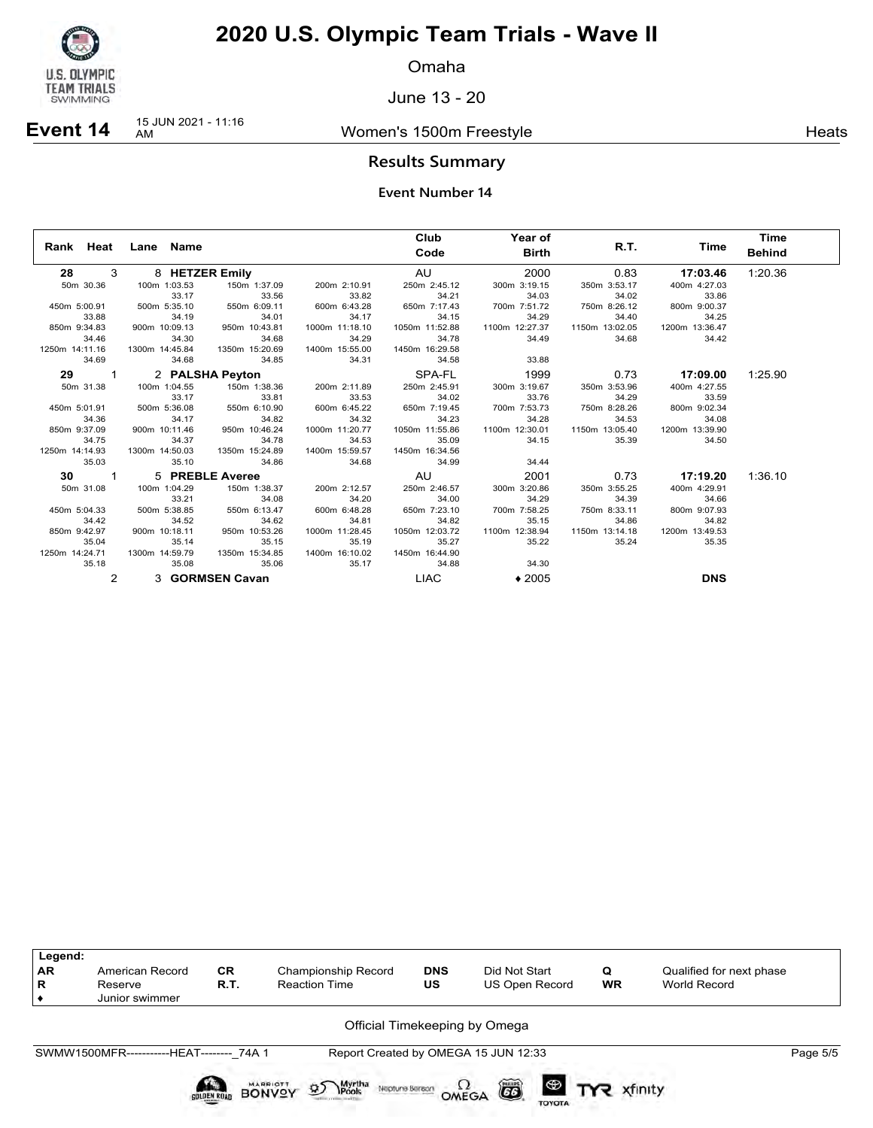

Omaha

June 13 - 20

### Women's 1500m Freestyle **Heats** Heats

# **Event 14** 15 JUN 2021 - 11:16

### **Results Summary**

|                |                     |                       |                | Club           | Year of        |                                          |                 | Time          |
|----------------|---------------------|-----------------------|----------------|----------------|----------------|------------------------------------------|-----------------|---------------|
|                | Rank Heat Lane Name |                       |                | Code           | Birth          |                                          | R.T.<br>Time    | <b>Behind</b> |
| 28 3           | 8 HETZER Emily      |                       |                | AU <b>AU</b>   | 2000           | 0.83                                     | 17:03.46        | 1:20.36       |
| 50m 30.36      | 100m 1:03.53        | 150m 1:37.09          | 200m 2:10.91   | 250m 2:45.12   | 300m 3:19.15   | 350m 3:53.17                             | 400m 4:27.03    |               |
|                | 33.17               | 33.56                 | 33.82          | 34.21          | 34.03          | 34.02                                    | 33.86           |               |
| 450m 5:00.91   | 500m 5:35.10        | 550m 6:09.11          | 600m 6:43.28   | 650m 7:17.43   | 700m 7:51.72   | 33.86 33.86<br>750m 8:26.12 800m 9:00.37 |                 |               |
| 33.88          | 34.19               | 34.01                 | 34.17          | 34.15          | 34.29          | 34.40                                    | 34.25           |               |
| 850m 9:34.83   | 900m 10:09.13       | 950m 10:43.81         | 1000m 11:18.10 | 1050m 11:52.88 | 1100m 12:27.37 | 1150m 13:02.05                           | 1200m 13:36.47  |               |
| 34.46          | 34.30               | 34.68                 | 34.29          | 34.78          | 34.49          | 34.68                                    | 34.42           |               |
| 1250m 14:11.16 | 1300m 14:45.84      | 1350m 15:20.69        | 1400m 15:55.00 | 1450m 16:29.58 |                |                                          |                 |               |
| 34.69          | 34.68               | 34.85                 | 34.31          | 34.58          | 33.88          |                                          |                 |               |
| 29 1           |                     | 2 PALSHA Peyton       |                | SPA-FL         | 1999           |                                          | $0.73$ 17:09.00 | 1:25.90       |
| 50m 31.38      | 100m 1:04.55        | 150m 1:38.36          | 200m 2:11.89   | 250m 2:45.91   | 300m 3:19.67   | 350m 3:53.96                             | 400m 4:27.55    |               |
|                | 33.17               | 33.81                 | 33.53          | 34.02          | 33.76          |                                          | 34.29<br>33.59  |               |
| 450m 5:01.91   | 500m 5:36.08        | 550m 6:10.90          | 600m 6:45.22   | 650m 7:19.45   | 700m 7:53.73   | 750m 8:28.26 800m 9:02.34                |                 |               |
| 34.36          | 34.17               | 34.82                 | 34.32          | 34.23          | 34.28          | 34.53                                    | 34.08           |               |
| 850m 9:37.09   | 900m 10:11.46       | 950m 10:46.24         | 1000m 11:20.77 | 1050m 11:55.86 | 1100m 12:30.01 | 1150m 13:05.40                           | 1200m 13:39.90  |               |
| 34.75          | 34.37               | 34.78                 | 34.53          | 35.09          | 34.15          | 35.39                                    | 34.50           |               |
| 1250m 14:14.93 | 1300m 14:50.03      | 1350m 15:24.89        | 1400m 15:59.57 | 1450m 16:34.56 |                |                                          |                 |               |
| 35.03          | 35.10               | 34.86                 | 34.68          | 34.99          | 34.44          |                                          |                 |               |
| $30 \t 1$      |                     | 5 PREBLE Averee       |                | <b>AU</b>      | 2001           |                                          |                 | 1:36.10       |
| 50m 31.08      | 100m 1:04.29        | 150m 1:38.37          | 200m 2:12.57   | 250m 2:46.57   | 300m 3:20.86   | 350m 3:55.25                             | 400m 4:29.91    |               |
|                | 33.21               | 34.08<br>550m 6:13.47 | 34.20          | 34.00          | 34.29          | 34.39                                    | 34.66           |               |
| 450m 5:04.33   | 500m 5:38.85        |                       | 600m 6:48.28   | 650m 7:23.10   | 700m 7:58.25   | 750m 8:33.11                             | 800m 9:07.93    |               |
| 34.42          | 34.52               | 34.62                 | 34.81          | 34.82          | 35.15          | 34.86                                    | 34.82           |               |
| 850m 9:42.97   | 900m 10:18.11       | 950m 10:53.26         | 1000m 11:28.45 | 1050m 12:03.72 | 1100m 12:38.94 | 1150m 13:14.18                           | 1200m 13:49.53  |               |
| 35.04          | 35.14               | 35.15                 | 35.19          | 35.27          | 35.22          | 35.24                                    | 35.35           |               |
| 1250m 14:24.71 | 1300m 14:59.79      | 1350m 15:34.85        | 1400m 16:10.02 | 1450m 16:44.90 |                |                                          |                 |               |
| 35.18          | 35.08               | 35.06                 | 35.17          | 34.88          | 34.30          |                                          |                 |               |
| $\overline{2}$ |                     | 3 GORMSEN Cavan       |                | LIAC           | $*2005$        |                                          | <b>DNS</b>      |               |

| Legend:<br><b>AR</b><br>R<br>◂ | American Record<br>Reserve<br>Junior swimmer | <b>CR</b><br>R.T. | Championship Record<br><b>Reaction Time</b>                            | <b>DNS</b><br>บร | Did Not Start<br>US Open Record             | Q<br><b>WR</b> | Qualified for next phase<br>World Record |
|--------------------------------|----------------------------------------------|-------------------|------------------------------------------------------------------------|------------------|---------------------------------------------|----------------|------------------------------------------|
|                                |                                              |                   |                                                                        |                  | Official Timekeeping by Omega               |                |                                          |
|                                | SWMW1500MFR------------HEAT-------- 74A 1    |                   |                                                                        |                  | Report Created by OMEGA 15 JUN 12:33        |                | Page 5/5                                 |
|                                |                                              | SOLDEN ROAD       | <b>95</b> Myrtha<br><b>MARRIOTT</b><br>Neptune Beraon<br><b>BONVOY</b> | OMEGA            | 6<br><b>ED TYR</b> xfinity<br><b>TOYOTA</b> |                |                                          |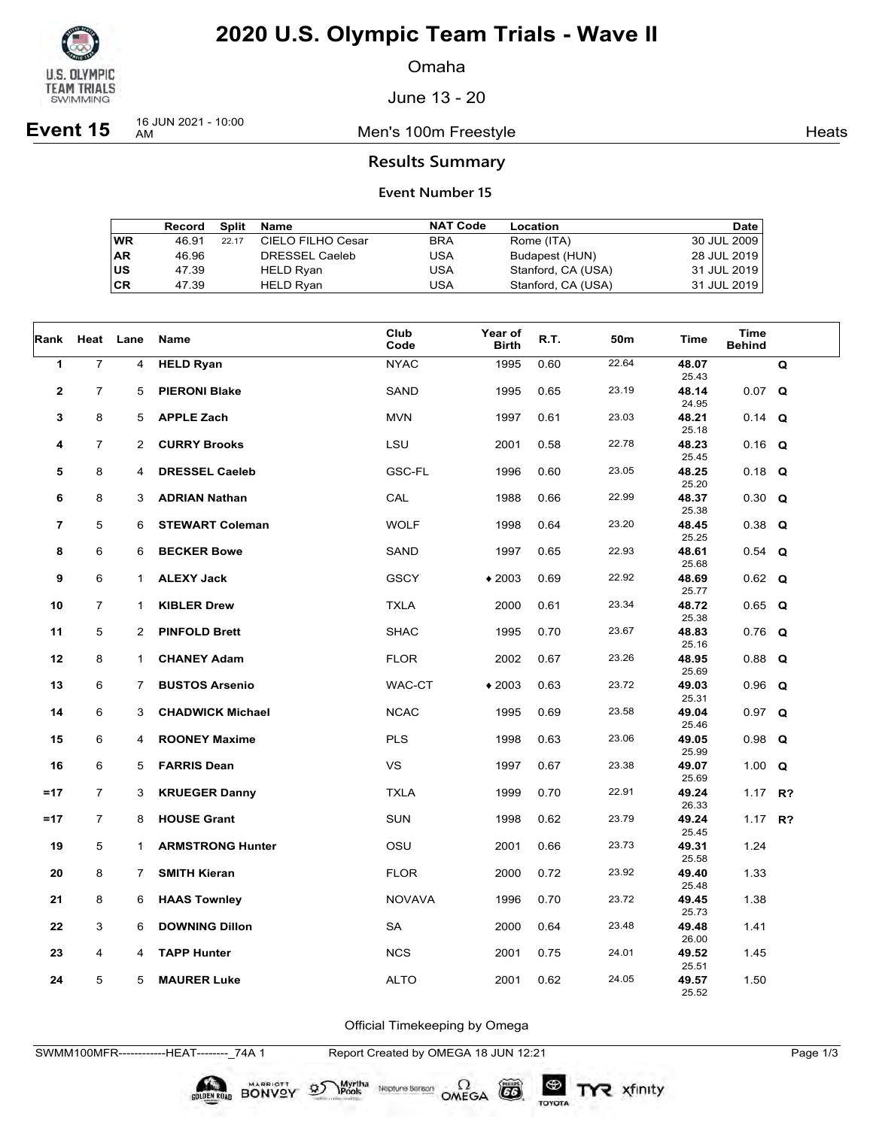

Omaha

June 13 - 20

**Event 15** 16 JUN 2021 - 10:00

Men's 100m Freestyle **Heats** Heats

## **Results Summary**

#### **Event Number 15**

|    | Record | Split | Name                  | <b>NAT Code</b> | Location           | Date        |
|----|--------|-------|-----------------------|-----------------|--------------------|-------------|
| WR | 46.91  | 22.17 | CIELO FILHO Cesar     | <b>BRA</b>      | Rome (ITA)         | 30 JUL 2009 |
| AR | 46.96  |       | <b>DRESSEL Caeleb</b> | USA             | Budapest (HUN)     | 28 JUL 2019 |
| US | 47.39  |       | <b>HELD Ryan</b>      | USA             | Stanford, CA (USA) | 31 JUL 2019 |
| СR | 47.39  |       | <b>HELD Rvan</b>      | USA             | Stanford, CA (USA) | 31 JUL 2019 |

| Rank                     |                | Heat Lane      | Name                    | Club<br>Code  | Year of<br><b>Birth</b> | R.T. | 50m   | Time                    | <b>Time</b><br><b>Behind</b> |   |
|--------------------------|----------------|----------------|-------------------------|---------------|-------------------------|------|-------|-------------------------|------------------------------|---|
| 1                        | $\overline{7}$ | 4              | <b>HELD Ryan</b>        | <b>NYAC</b>   | 1995                    | 0.60 | 22.64 | 48.07<br>25.43          |                              | Q |
| $\mathbf{2}$             | $\overline{7}$ | 5              | <b>PIERONI Blake</b>    | SAND          | 1995                    | 0.65 | 23.19 | 48.14<br>24.95          | $0.07$ Q                     |   |
| 3                        | 8              | 5              | <b>APPLE Zach</b>       | <b>MVN</b>    | 1997                    | 0.61 | 23.03 | 48.21<br>25.18          | $0.14$ Q                     |   |
| 4                        | 7              | 2              | <b>CURRY Brooks</b>     | LSU           | 2001                    | 0.58 | 22.78 | 48.23                   | $0.16$ Q                     |   |
| 5                        | 8              | 4              | <b>DRESSEL Caeleb</b>   | GSC-FL        | 1996                    | 0.60 | 23.05 | 25.45<br>48.25          | $0.18$ Q                     |   |
| 6                        | 8              | 3              | <b>ADRIAN Nathan</b>    | CAL           | 1988                    | 0.66 | 22.99 | 25.20<br>48.37          | $0.30 \quad Q$               |   |
| $\overline{\phantom{a}}$ | 5              | 6              | <b>STEWART Coleman</b>  | <b>WOLF</b>   | 1998                    | 0.64 | 23.20 | 25.38<br>48.45          | $0.38$ Q                     |   |
| 8                        | 6              | 6              | <b>BECKER Bowe</b>      | SAND          | 1997                    | 0.65 | 22.93 | 25.25<br>48.61          | $0.54$ Q                     |   |
| 9                        | 6              | $\mathbf 1$    | <b>ALEXY Jack</b>       | <b>GSCY</b>   | $*2003$                 | 0.69 | 22.92 | 25.68<br>48.69          | $0.62$ Q                     |   |
| 10                       | $\overline{7}$ | $\mathbf 1$    | <b>KIBLER Drew</b>      | <b>TXLA</b>   | 2000                    | 0.61 | 23.34 | 25.77<br>48.72          | $0.65$ Q                     |   |
| 11                       | 5              | $\overline{2}$ | <b>PINFOLD Brett</b>    | <b>SHAC</b>   | 1995                    | 0.70 | 23.67 | 25.38<br>48.83          | $0.76$ Q                     |   |
| 12                       | 8              | $\mathbf{1}$   | <b>CHANEY Adam</b>      | <b>FLOR</b>   | 2002                    | 0.67 | 23.26 | 25.16<br>48.95          | $0.88$ Q                     |   |
| 13                       | 6              | 7              | <b>BUSTOS Arsenio</b>   | WAC-CT        | $*2003$                 | 0.63 | 23.72 | 25.69<br>49.03          | $0.96$ Q                     |   |
| 14                       | 6              | 3              | <b>CHADWICK Michael</b> | <b>NCAC</b>   | 1995                    | 0.69 | 23.58 | 25.31<br>49.04          | $0.97$ Q                     |   |
|                          |                |                |                         |               |                         |      |       | 25.46                   |                              |   |
| 15                       | 6              | 4              | <b>ROONEY Maxime</b>    | <b>PLS</b>    | 1998                    | 0.63 | 23.06 | 49.05<br>25.99          | $0.98$ Q                     |   |
| 16                       | 6              | 5              | <b>FARRIS Dean</b>      | <b>VS</b>     | 1997                    | 0.67 | 23.38 | 49.07<br>25.69          | 1.00 $Q$                     |   |
| $=17$                    | $\overline{7}$ | 3              | <b>KRUEGER Danny</b>    | <b>TXLA</b>   | 1999                    | 0.70 | 22.91 | 49.24<br>26.33          | 1.17 $R$ ?                   |   |
| $=17$                    | $\overline{7}$ | 8              | <b>HOUSE Grant</b>      | <b>SUN</b>    | 1998                    | 0.62 | 23.79 | 49.24<br>25.45          | 1.17 $R$ ?                   |   |
| 19                       | 5              | $\mathbf{1}$   | <b>ARMSTRONG Hunter</b> | OSU           | 2001                    | 0.66 | 23.73 | 49.31<br>25.58          | 1.24                         |   |
| 20                       | 8              | 7              | <b>SMITH Kieran</b>     | <b>FLOR</b>   | 2000                    | 0.72 | 23.92 | 49.40                   | 1.33                         |   |
| 21                       | 8              | 6              | <b>HAAS Townley</b>     | <b>NOVAVA</b> | 1996                    | 0.70 | 23.72 | 25.48<br>49.45          | 1.38                         |   |
| 22                       | 3              | 6              | <b>DOWNING Dillon</b>   | <b>SA</b>     | 2000                    | 0.64 | 23.48 | 25.73<br>49.48          | 1.41                         |   |
| 23                       | 4              | 4              | <b>TAPP Hunter</b>      | <b>NCS</b>    | 2001                    | 0.75 | 24.01 | 26.00<br>49.52          | 1.45                         |   |
| 24                       | 5              | 5              | <b>MAURER Luke</b>      | <b>ALTO</b>   | 2001                    | 0.62 | 24.05 | 25.51<br>49.57<br>25.52 | 1.50                         |   |

Official Timekeeping by Omega

SWMM100MFR------------HEAT--------\_74A 1 Report Created by OMEGA 18 JUN 12:21 Page 1/3

SOLDEN ROAD BONVOY 95

Neptune Berson  $\Omega$ <br>OMEGA

 $G6$ 

TOYOTA

Myrtha<br>Pools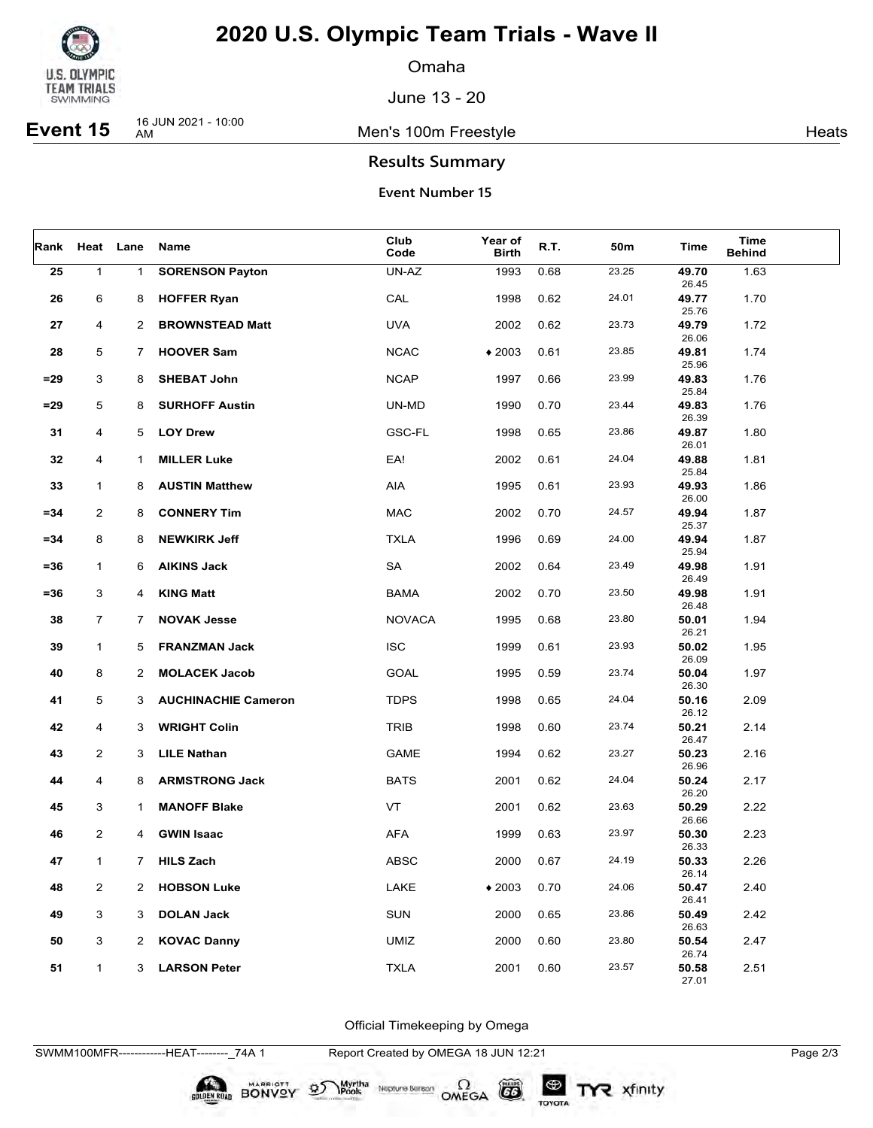

Omaha

June 13 - 20

**Event 15** 16 JUN 2021 - 10:00

Men's 100m Freestyle **Heats** Heats

## **Results Summary**

#### **Event Number 15**

| Rank   |                | Heat Lane      | Name                       | Club<br>Code  | Year of<br><b>Birth</b> | R.T. | 50m   | Time           | Time<br><b>Behind</b> |  |
|--------|----------------|----------------|----------------------------|---------------|-------------------------|------|-------|----------------|-----------------------|--|
| 25     | $\mathbf{1}$   | $\mathbf{1}$   | <b>SORENSON Payton</b>     | UN-AZ         | 1993                    | 0.68 | 23.25 | 49.70<br>26.45 | 1.63                  |  |
| 26     | 6              | 8              | <b>HOFFER Ryan</b>         | CAL           | 1998                    | 0.62 | 24.01 | 49.77<br>25.76 | 1.70                  |  |
| 27     | 4              | 2              | <b>BROWNSTEAD Matt</b>     | <b>UVA</b>    | 2002                    | 0.62 | 23.73 | 49.79          | 1.72                  |  |
| 28     | 5              | 7              | <b>HOOVER Sam</b>          | <b>NCAC</b>   | $*2003$                 | 0.61 | 23.85 | 26.06<br>49.81 | 1.74                  |  |
| $= 29$ | 3              | 8              | <b>SHEBAT John</b>         | <b>NCAP</b>   | 1997                    | 0.66 | 23.99 | 25.96<br>49.83 | 1.76                  |  |
| $= 29$ | 5              | 8              | <b>SURHOFF Austin</b>      | UN-MD         | 1990                    | 0.70 | 23.44 | 25.84<br>49.83 | 1.76                  |  |
| 31     | 4              | 5              | <b>LOY Drew</b>            | <b>GSC-FL</b> | 1998                    | 0.65 | 23.86 | 26.39<br>49.87 | 1.80                  |  |
| 32     | 4              | 1              | <b>MILLER Luke</b>         | EA!           | 2002                    | 0.61 | 24.04 | 26.01<br>49.88 | 1.81                  |  |
|        |                |                | <b>AUSTIN Matthew</b>      | AIA           |                         |      | 23.93 | 25.84<br>49.93 |                       |  |
| 33     | $\mathbf{1}$   | 8              |                            |               | 1995                    | 0.61 |       | 26.00          | 1.86                  |  |
| $= 34$ | 2              | 8              | <b>CONNERY Tim</b>         | <b>MAC</b>    | 2002                    | 0.70 | 24.57 | 49.94<br>25.37 | 1.87                  |  |
| $= 34$ | 8              | 8              | <b>NEWKIRK Jeff</b>        | <b>TXLA</b>   | 1996                    | 0.69 | 24.00 | 49.94<br>25.94 | 1.87                  |  |
| =36    | $\mathbf{1}$   | 6              | <b>AIKINS Jack</b>         | SA            | 2002                    | 0.64 | 23.49 | 49.98<br>26.49 | 1.91                  |  |
| =36    | 3              | 4              | <b>KING Matt</b>           | <b>BAMA</b>   | 2002                    | 0.70 | 23.50 | 49.98          | 1.91                  |  |
| 38     | $\overline{7}$ | 7              | <b>NOVAK Jesse</b>         | <b>NOVACA</b> | 1995                    | 0.68 | 23.80 | 26.48<br>50.01 | 1.94                  |  |
| 39     | $\mathbf{1}$   | 5              | <b>FRANZMAN Jack</b>       | <b>ISC</b>    | 1999                    | 0.61 | 23.93 | 26.21<br>50.02 | 1.95                  |  |
| 40     | 8              | $\overline{2}$ | <b>MOLACEK Jacob</b>       | <b>GOAL</b>   | 1995                    | 0.59 | 23.74 | 26.09<br>50.04 | 1.97                  |  |
| 41     | 5              | 3              | <b>AUCHINACHIE Cameron</b> | <b>TDPS</b>   | 1998                    | 0.65 | 24.04 | 26.30<br>50.16 | 2.09                  |  |
| 42     | 4              | 3              | <b>WRIGHT Colin</b>        | <b>TRIB</b>   | 1998                    | 0.60 | 23.74 | 26.12<br>50.21 | 2.14                  |  |
| 43     | 2              | 3              | <b>LILE Nathan</b>         | <b>GAME</b>   | 1994                    | 0.62 | 23.27 | 26.47<br>50.23 | 2.16                  |  |
|        |                |                |                            |               |                         |      |       | 26.96          |                       |  |
| 44     | 4              | 8              | <b>ARMSTRONG Jack</b>      | <b>BATS</b>   | 2001                    | 0.62 | 24.04 | 50.24<br>26.20 | 2.17                  |  |
| 45     | 3              | 1              | <b>MANOFF Blake</b>        | VT            | 2001                    | 0.62 | 23.63 | 50.29<br>26.66 | 2.22                  |  |
| 46     | $\overline{2}$ | 4              | <b>GWIN Isaac</b>          | AFA           | 1999                    | 0.63 | 23.97 | 50.30<br>26.33 | 2.23                  |  |
| 47     | 1              | $7^{\circ}$    | <b>HILS Zach</b>           | <b>ABSC</b>   | 2000                    | 0.67 | 24.19 | 50.33          | 2.26                  |  |
| 48     | 2              | 2              | <b>HOBSON Luke</b>         | LAKE          | $*2003$                 | 0.70 | 24.06 | 26.14<br>50.47 | 2.40                  |  |
| 49     | 3              | 3              | <b>DOLAN Jack</b>          | <b>SUN</b>    | 2000                    | 0.65 | 23.86 | 26.41<br>50.49 | 2.42                  |  |
| 50     | $\mathbf{3}$   | $\mathbf{2}$   | <b>KOVAC Danny</b>         | <b>UMIZ</b>   | 2000                    | 0.60 | 23.80 | 26.63<br>50.54 | 2.47                  |  |
| 51     | $\mathbf{1}$   | 3              | <b>LARSON Peter</b>        | <b>TXLA</b>   | 2001                    | 0.60 | 23.57 | 26.74<br>50.58 | 2.51                  |  |
|        |                |                |                            |               |                         |      |       | 27.01          |                       |  |

Official Timekeeping by Omega

SWMM100MFR------------HEAT--------\_74A 1 Report Created by OMEGA 18 JUN 12:21 Page 2/3

**DIDEN ROAD BONVOY 95** 

Myrtha<br>Pools

Neptune Berson  $\Omega$ <br>OMEGA

 $(G)$ 

TOYOTA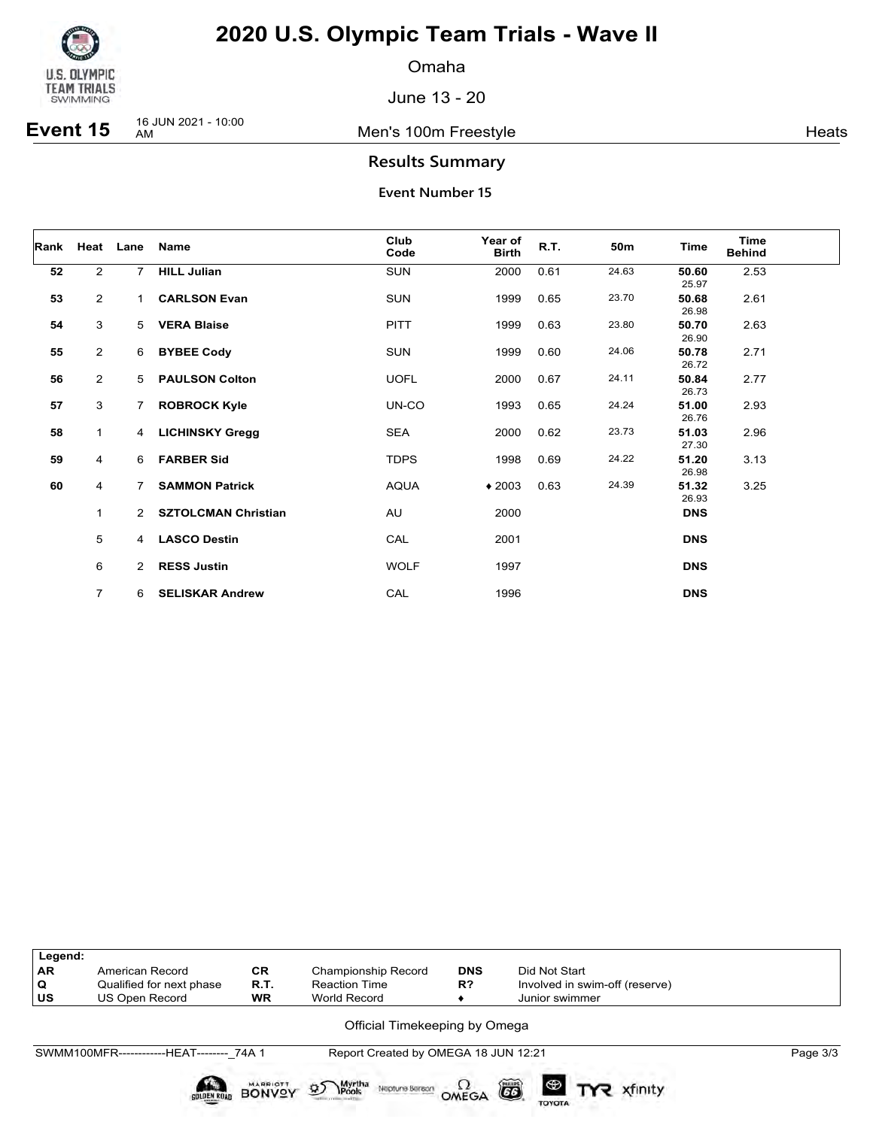

Omaha

June 13 - 20

**Event 15** 16 JUN 2021 - 10:00

Men's 100m Freestyle **Heats** 

## **Results Summary**

| Rank | Heat           | Lane           | <b>Name</b>                | Club<br>Code | Year of<br><b>Birth</b> | R.T. | 50m   | Time           | <b>Time</b><br><b>Behind</b> |  |
|------|----------------|----------------|----------------------------|--------------|-------------------------|------|-------|----------------|------------------------------|--|
| 52   | $\overline{2}$ | $7^{\circ}$    | <b>HILL Julian</b>         | <b>SUN</b>   | 2000                    | 0.61 | 24.63 | 50.60<br>25.97 | 2.53                         |  |
| 53   | $\overline{2}$ | $\mathbf{1}$   | <b>CARLSON Evan</b>        | <b>SUN</b>   | 1999                    | 0.65 | 23.70 | 50.68<br>26.98 | 2.61                         |  |
| 54   | 3              | 5              | <b>VERA Blaise</b>         | <b>PITT</b>  | 1999                    | 0.63 | 23.80 | 50.70<br>26.90 | 2.63                         |  |
| 55   | $\overline{2}$ | 6              | <b>BYBEE Cody</b>          | <b>SUN</b>   | 1999                    | 0.60 | 24.06 | 50.78<br>26.72 | 2.71                         |  |
| 56   | $\overline{2}$ | 5              | <b>PAULSON Colton</b>      | <b>UOFL</b>  | 2000                    | 0.67 | 24.11 | 50.84<br>26.73 | 2.77                         |  |
| 57   | 3              | $\overline{7}$ | <b>ROBROCK Kyle</b>        | UN-CO        | 1993                    | 0.65 | 24.24 | 51.00<br>26.76 | 2.93                         |  |
| 58   | $\mathbf{1}$   | 4              | <b>LICHINSKY Gregg</b>     | <b>SEA</b>   | 2000                    | 0.62 | 23.73 | 51.03<br>27.30 | 2.96                         |  |
| 59   | 4              | 6              | <b>FARBER Sid</b>          | <b>TDPS</b>  | 1998                    | 0.69 | 24.22 | 51.20<br>26.98 | 3.13                         |  |
| 60   | 4              | $\overline{7}$ | <b>SAMMON Patrick</b>      | <b>AQUA</b>  | $*2003$                 | 0.63 | 24.39 | 51.32<br>26.93 | 3.25                         |  |
|      | 1              | $2^{\circ}$    | <b>SZTOLCMAN Christian</b> | AU           | 2000                    |      |       | <b>DNS</b>     |                              |  |
|      | 5              | $\overline{4}$ | <b>LASCO Destin</b>        | CAL          | 2001                    |      |       | <b>DNS</b>     |                              |  |
|      | 6              | $\mathbf{2}$   | <b>RESS Justin</b>         | <b>WOLF</b>  | 1997                    |      |       | <b>DNS</b>     |                              |  |
|      | $\overline{7}$ | 6              | <b>SELISKAR Andrew</b>     | CAL          | 1996                    |      |       | <b>DNS</b>     |                              |  |

| Legend:   |                                           |           |                                      |            |                                |          |
|-----------|-------------------------------------------|-----------|--------------------------------------|------------|--------------------------------|----------|
| <b>AR</b> | American Record                           | <b>CR</b> | <b>Championship Record</b>           | <b>DNS</b> | Did Not Start                  |          |
| Q         | Qualified for next phase                  | R.T.      | <b>Reaction Time</b>                 | R?         | Involved in swim-off (reserve) |          |
| US        | US Open Record                            | <b>WR</b> | World Record                         |            | Junior swimmer                 |          |
|           |                                           |           | Official Timekeeping by Omega        |            |                                |          |
|           | SWMM100MFR-------------HEAT-------- 74A 1 |           | Report Created by OMEGA 18 JUN 12:21 |            |                                | Page 3/3 |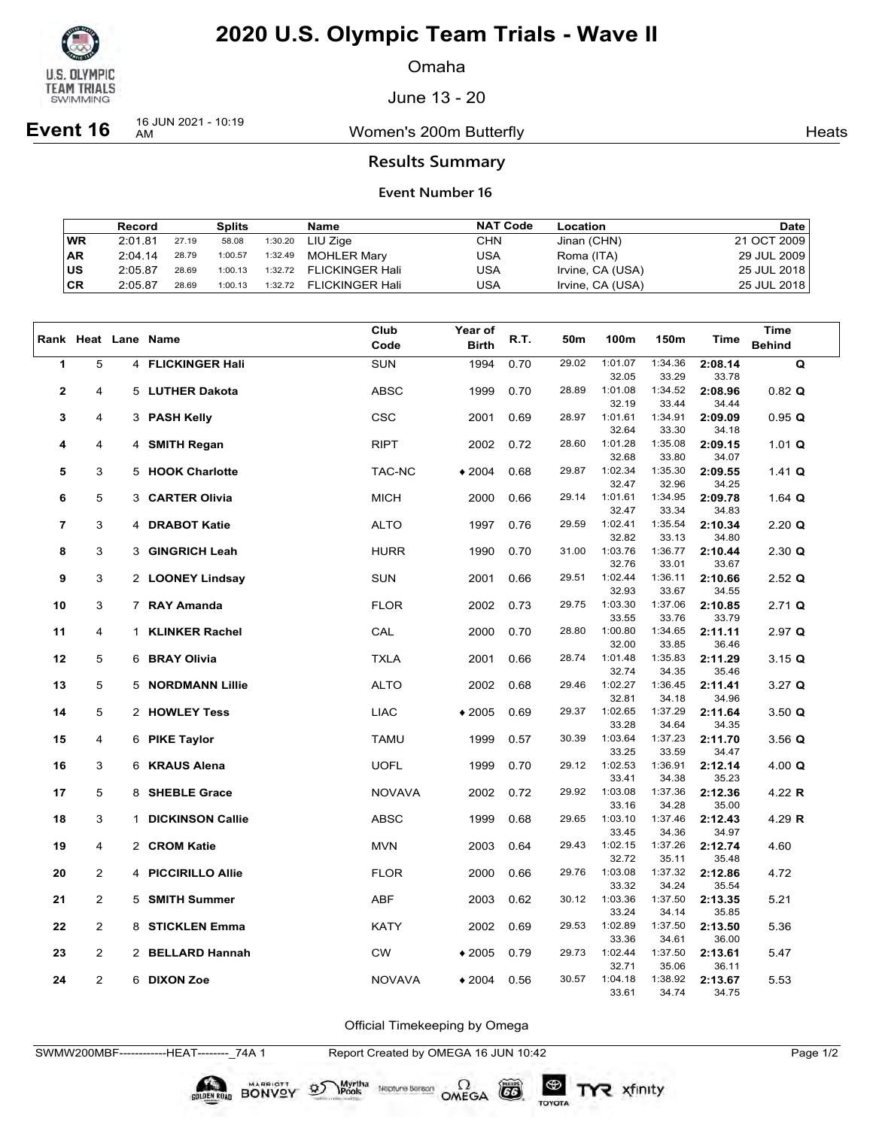

Omaha

June 13 - 20

**Event 16** 16 JUN 2021 - 10:19

Women's 200m Butterfly **American** Heats Heats

### **Results Summary**

#### **Event Number 16**

|           | Record  |       | <b>Splits</b> |         | Name                    | <b>NAT Code</b> | Location         | <b>Date</b> |
|-----------|---------|-------|---------------|---------|-------------------------|-----------------|------------------|-------------|
| WR        | 2:01.81 | 27.19 | 58.08         | 1:30.20 | LIU Ziae                | CHN             | Jinan (CHN)      | 21 OCT 2009 |
| <b>AR</b> | 2:04.14 | 28.79 | 1:00.57       | 1:32.49 | <b>MOHLER Marv</b>      | USA             | Roma (ITA)       | 29 JUL 2009 |
| ∣us       | 2:05.87 | 28.69 | 1:00.13       |         | 1:32.72 FLICKINGER Hali | USA             | Irvine, CA (USA) | 25 JUL 2018 |
| ∣CR       | 2:05.87 | 28.69 | 1:00.13       | 1:32.72 | <b>FLICKINGER Hali</b>  | USA             | Irvine, CA (USA) | 25 JUL 2018 |

|                |                |              |                         | Club          | <b>Year of</b> |      |       |                  |                  |                  | Time                 |
|----------------|----------------|--------------|-------------------------|---------------|----------------|------|-------|------------------|------------------|------------------|----------------------|
|                |                |              | Rank Heat Lane Name     | Code          | <b>Birth</b>   | R.T. | 50m   | 100m             | 150m             | Time             | <b>Behind</b>        |
|                |                |              |                         |               |                |      |       |                  |                  |                  |                      |
| 1              | 5              |              | 4 FLICKINGER Hali       | SUN           | 1994           | 0.70 | 29.02 | 1:01.07<br>32.05 | 1:34.36<br>33.29 | 2:08.14<br>33.78 | Q                    |
| $\mathbf{2}$   | 4              | 5            | <b>LUTHER Dakota</b>    | <b>ABSC</b>   | 1999           | 0.70 | 28.89 | 1:01.08          | 1:34.52          | 2:08.96          | $0.82$ Q             |
|                |                |              |                         |               |                |      |       | 32.19            | 33.44            | 34.44            |                      |
| 3              | 4              | 3            | <b>PASH Kelly</b>       | <b>CSC</b>    | 2001           | 0.69 | 28.97 | 1:01.61          | 1:34.91          | 2:09.09          | 0.95 Q               |
|                |                |              |                         |               |                |      |       | 32.64            | 33.30            | 34.18            |                      |
| 4              | 4              |              | 4 SMITH Regan           | <b>RIPT</b>   | 2002           | 0.72 | 28.60 | 1:01.28          | 1:35.08          | 2:09.15          | 1.01 $Q$             |
|                |                |              |                         |               |                |      |       | 32.68            | 33.80            | 34.07            |                      |
| 5              | 3              |              | 5 HOOK Charlotte        | TAC-NC        | $*2004$        | 0.68 | 29.87 | 1:02.34          | 1:35.30          | 2:09.55          | 1.41 $Q$             |
|                |                |              |                         |               |                |      |       | 32.47            | 32.96            | 34.25            |                      |
| 6              | 5              | 3            | <b>CARTER Olivia</b>    | <b>MICH</b>   | 2000           | 0.66 | 29.14 | 1:01.61          | 1:34.95          | 2:09.78          | 1.64 $Q$             |
|                |                |              |                         |               |                |      |       | 32.47            | 33.34            | 34.83            |                      |
| $\overline{7}$ | 3              | 4            | <b>DRABOT Katie</b>     | <b>ALTO</b>   | 1997           | 0.76 | 29.59 | 1:02.41          | 1:35.54          | 2:10.34          | $2.20$ Q             |
|                |                |              |                         |               |                |      |       | 32.82            | 33.13            | 34.80            |                      |
| 8              | 3              | 3            | <b>GINGRICH Leah</b>    | <b>HURR</b>   | 1990           | 0.70 | 31.00 | 1:03.76          | 1:36.77          | 2:10.44          | $2.30 \Omega$        |
|                |                |              |                         |               |                |      |       | 32.76            | 33.01            | 33.67            |                      |
| 9              | 3              |              | 2 LOONEY Lindsay        | <b>SUN</b>    | 2001           | 0.66 | 29.51 | 1:02.44<br>32.93 | 1:36.11<br>33.67 | 2:10.66          | $2.52$ Q             |
|                | 3              |              | 7 RAY Amanda            | <b>FLOR</b>   | 2002           | 0.73 | 29.75 | 1:03.30          | 1:37.06          | 34.55<br>2:10.85 | $2.71$ Q             |
| 10             |                |              |                         |               |                |      |       | 33.55            | 33.76            | 33.79            |                      |
| 11             | 4              | $\mathbf 1$  | <b>KLINKER Rachel</b>   | CAL           | 2000           | 0.70 | 28.80 | 1:00.80          | 1:34.65          | 2:11.11          | $2.97$ Q             |
|                |                |              |                         |               |                |      |       | 32.00            | 33.85            | 36.46            |                      |
| 12             | 5              |              | 6 BRAY Olivia           | <b>TXLA</b>   | 2001           | 0.66 | 28.74 | 1:01.48          | 1:35.83          | 2:11.29          | $3.15 \; \textbf{Q}$ |
|                |                |              |                         |               |                |      |       | 32.74            | 34.35            | 35.46            |                      |
| 13             | 5              |              | 5 NORDMANN Lillie       | <b>ALTO</b>   | 2002           | 0.68 | 29.46 | 1:02.27          | 1:36.45          | 2:11.41          | $3.27$ Q             |
|                |                |              |                         |               |                |      |       | 32.81            | 34.18            | 34.96            |                      |
| 14             | 5              |              | 2 HOWLEY Tess           | <b>LIAC</b>   | $*2005$        | 0.69 | 29.37 | 1:02.65          | 1:37.29          | 2:11.64          | 3.50 Q               |
|                |                |              |                         |               |                |      |       | 33.28            | 34.64            | 34.35            |                      |
| 15             | 4              |              | 6 PIKE Taylor           | <b>TAMU</b>   | 1999           | 0.57 | 30.39 | 1:03.64          | 1:37.23          | 2:11.70          | $3.56$ Q             |
|                |                |              |                         |               |                |      |       | 33.25            | 33.59            | 34.47            |                      |
| 16             | 3              |              | 6 KRAUS Alena           | <b>UOFL</b>   | 1999           | 0.70 | 29.12 | 1:02.53          | 1:36.91          | 2:12.14          | 4.00 $Q$             |
| 17             | 5              |              | 8 SHEBLE Grace          |               |                | 0.72 | 29.92 | 33.41<br>1:03.08 | 34.38<br>1:37.36 | 35.23            |                      |
|                |                |              |                         | <b>NOVAVA</b> | 2002           |      |       | 33.16            | 34.28            | 2:12.36<br>35.00 | 4.22 R               |
| 18             | 3              | $\mathbf{1}$ | <b>DICKINSON Callie</b> | <b>ABSC</b>   | 1999           | 0.68 | 29.65 | 1:03.10          | 1:37.46          | 2:12.43          | 4.29 R               |
|                |                |              |                         |               |                |      |       | 33.45            | 34.36            | 34.97            |                      |
| 19             | 4              |              | 2 CROM Katie            | <b>MVN</b>    | 2003           | 0.64 | 29.43 | 1:02.15          | 1:37.26          | 2:12.74          | 4.60                 |
|                |                |              |                         |               |                |      |       | 32.72            | 35.11            | 35.48            |                      |
| 20             | $\overline{2}$ |              | 4 PICCIRILLO Allie      | <b>FLOR</b>   | 2000           | 0.66 | 29.76 | 1:03.08          | 1:37.32          | 2:12.86          | 4.72                 |
|                |                |              |                         |               |                |      |       | 33.32            | 34.24            | 35.54            |                      |
| 21             | $\overline{2}$ | 5            | <b>SMITH Summer</b>     | <b>ABF</b>    | 2003           | 0.62 | 30.12 | 1:03.36          | 1:37.50          | 2:13.35          | 5.21                 |
|                |                |              |                         |               |                |      |       | 33.24            | 34.14            | 35.85            |                      |
| 22             | $\overline{2}$ |              | 8 STICKLEN Emma         | <b>KATY</b>   | 2002           | 0.69 | 29.53 | 1:02.89          | 1:37.50          | 2:13.50          | 5.36                 |
|                |                |              |                         |               |                |      |       | 33.36            | 34.61            | 36.00            |                      |
| 23             | $\overline{2}$ |              | 2 BELLARD Hannah        | CW            | $*2005$        | 0.79 | 29.73 | 1:02.44          | 1:37.50          | 2:13.61          | 5.47                 |
|                | $\overline{2}$ | 6            | <b>DIXON Zoe</b>        |               |                |      | 30.57 | 32.71<br>1:04.18 | 35.06<br>1:38.92 | 36.11            |                      |
| 24             |                |              |                         | <b>NOVAVA</b> | $*2004$        | 0.56 |       | 33.61            | 34.74            | 2:13.67<br>34.75 | 5.53                 |
|                |                |              |                         |               |                |      |       |                  |                  |                  |                      |

Official Timekeeping by Omega

SWMW200MBF------------HEAT--------\_74A 1 Report Created by OMEGA 16 JUN 10:42 Page 1/2

BONVOY 9

Myrtha<br>Pools

Neptune Berson  $\Omega$ <br>OMEGA

 $(G)$ 

TOYOTA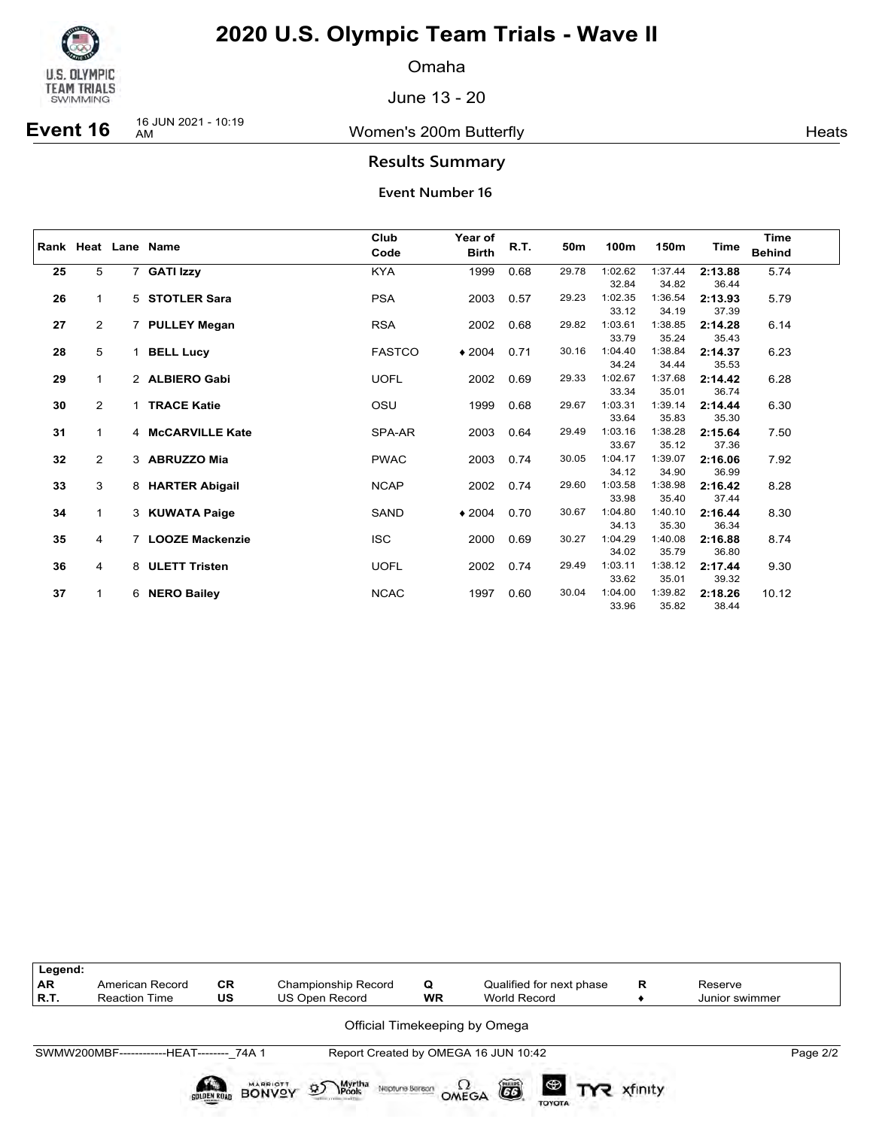

Omaha

June 13 - 20

**Event 16** 16 JUN 2021 - 10:19

Women's 200m Butterfly **American Control** Heats

### **Results Summary**

|    |                |   | Rank Heat Lane Name | Club<br>Code  | Year of<br><b>Birth</b> | R.T. | 50m   | 100m    | 150m    | Time    | <b>Time</b><br><b>Behind</b> |
|----|----------------|---|---------------------|---------------|-------------------------|------|-------|---------|---------|---------|------------------------------|
|    |                |   |                     |               |                         |      |       |         |         |         |                              |
| 25 | 5              |   | 7 GATI Izzy         | <b>KYA</b>    | 1999                    | 0.68 | 29.78 | 1:02.62 | 1:37.44 | 2:13.88 | 5.74                         |
|    |                |   |                     |               |                         |      |       | 32.84   | 34.82   | 36.44   |                              |
| 26 | $\mathbf{1}$   |   | 5 STOTLER Sara      | <b>PSA</b>    | 2003                    | 0.57 | 29.23 | 1:02.35 | 1:36.54 | 2:13.93 | 5.79                         |
|    |                |   |                     |               |                         |      |       | 33.12   | 34.19   | 37.39   |                              |
| 27 | $\overline{2}$ |   | 7 PULLEY Megan      | <b>RSA</b>    | 2002                    | 0.68 | 29.82 | 1:03.61 | 1:38.85 | 2:14.28 | 6.14                         |
|    |                |   |                     |               |                         |      |       | 33.79   | 35.24   | 35.43   |                              |
| 28 | 5              |   | <b>BELL Lucy</b>    | <b>FASTCO</b> | $*2004$                 | 0.71 | 30.16 | 1:04.40 | 1:38.84 | 2:14.37 | 6.23                         |
|    |                |   |                     |               |                         |      |       | 34.24   | 34.44   | 35.53   |                              |
| 29 | $\mathbf{1}$   |   | 2 ALBIERO Gabi      | <b>UOFL</b>   | 2002                    | 0.69 | 29.33 | 1:02.67 | 1:37.68 | 2:14.42 | 6.28                         |
|    |                |   |                     |               |                         |      |       | 33.34   | 35.01   | 36.74   |                              |
| 30 | $\overline{2}$ |   | 1 TRACE Katie       | OSU           | 1999                    | 0.68 | 29.67 | 1:03.31 | 1:39.14 | 2:14.44 | 6.30                         |
|    |                |   |                     |               |                         |      |       | 33.64   | 35.83   | 35.30   |                              |
| 31 | $\mathbf{1}$   |   | 4 McCARVILLE Kate   | SPA-AR        | 2003                    | 0.64 | 29.49 | 1:03.16 | 1:38.28 | 2:15.64 | 7.50                         |
|    |                |   |                     |               |                         |      |       | 33.67   | 35.12   | 37.36   |                              |
| 32 | $\overline{2}$ |   | 3 ABRUZZO Mia       | <b>PWAC</b>   | 2003                    | 0.74 | 30.05 | 1:04.17 | 1:39.07 | 2:16.06 | 7.92                         |
|    |                |   |                     |               |                         |      |       | 34.12   | 34.90   | 36.99   |                              |
| 33 | 3              |   | 8 HARTER Abigail    | <b>NCAP</b>   | 2002                    | 0.74 | 29.60 | 1:03.58 | 1:38.98 | 2:16.42 | 8.28                         |
|    |                |   |                     |               |                         |      |       | 33.98   | 35.40   | 37.44   |                              |
| 34 | $\mathbf{1}$   |   | 3 KUWATA Paige      | SAND          | $*2004$                 | 0.70 | 30.67 | 1:04.80 | 1:40.10 | 2:16.44 | 8.30                         |
|    |                |   |                     |               |                         |      |       | 34.13   | 35.30   | 36.34   |                              |
| 35 | 4              |   | 7 LOOZE Mackenzie   | <b>ISC</b>    | 2000                    | 0.69 | 30.27 | 1:04.29 | 1:40.08 | 2:16.88 | 8.74                         |
|    |                |   |                     |               |                         |      |       | 34.02   | 35.79   | 36.80   |                              |
| 36 | 4              |   | 8 ULETT Tristen     | <b>UOFL</b>   | 2002                    | 0.74 | 29.49 | 1:03.11 | 1:38.12 | 2:17.44 | 9.30                         |
|    |                |   |                     |               |                         |      |       | 33.62   | 35.01   | 39.32   |                              |
| 37 | $\mathbf{1}$   | 6 | <b>NERO Bailey</b>  | <b>NCAC</b>   | 1997                    | 0.60 | 30.04 | 1:04.00 | 1:39.82 | 2:18.26 | 10.12                        |
|    |                |   |                     |               |                         |      |       | 33.96   | 35.82   | 38.44   |                              |

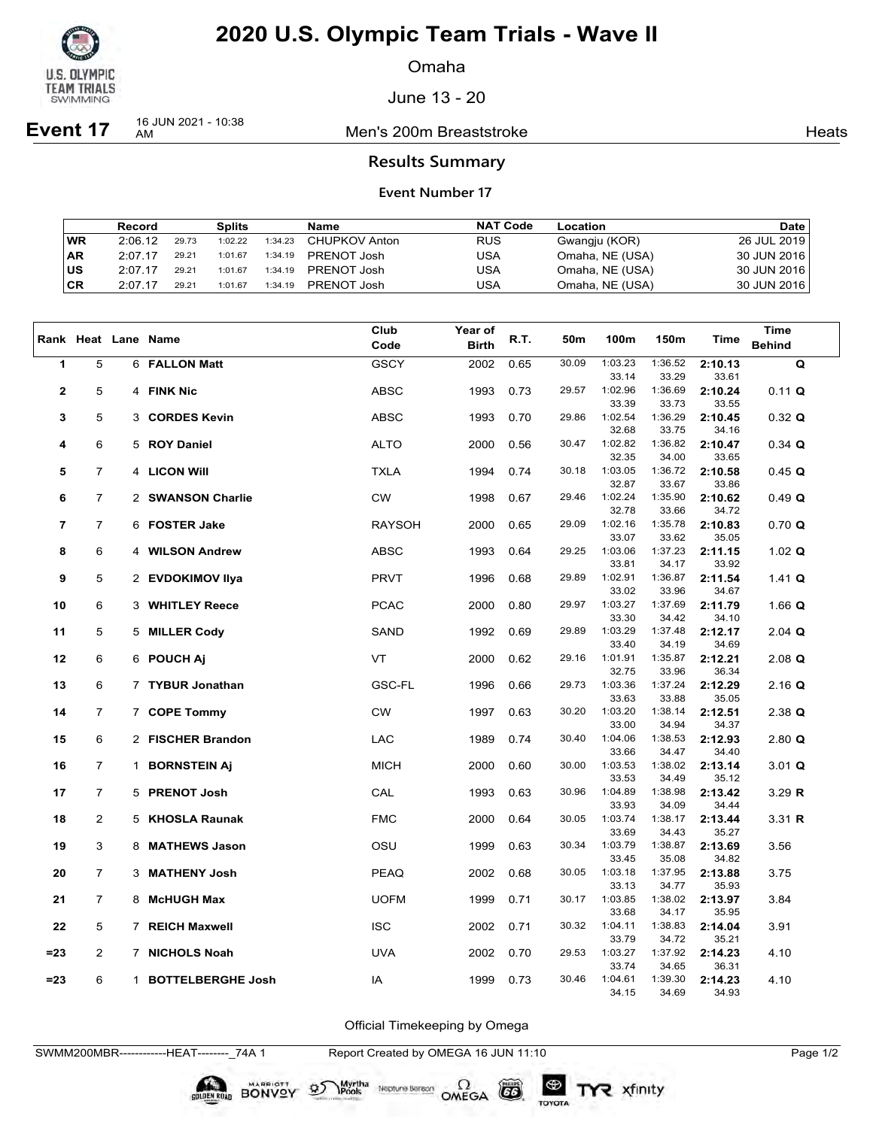

Omaha

June 13 - 20

**Event 17** 16 JUN 2021 - 10:38

Men's 200m Breaststroke **Heats** Heats

### **Results Summary**

#### **Event Number 17**

|           | Record  |       | Splits  |         | Name          | <b>NAT Code</b> | Location        | <b>Date</b> |
|-----------|---------|-------|---------|---------|---------------|-----------------|-----------------|-------------|
| WR        | 2:06.12 | 29.73 | 1:02.22 | 1:34.23 | CHUPKOV Anton | <b>RUS</b>      | Gwangju (KOR)   | 26 JUL 2019 |
| <b>AR</b> | 2:07.17 | 29.21 | 1:01.67 | 1:34.19 | PRENOT Josh   | USA             | Omaha, NE (USA) | 30 JUN 2016 |
| ∣us       | 2:07.17 | 29.21 | 1:01.67 | 1:34.19 | PRENOT Josh   | USA             | Omaha, NE (USA) | 30 JUN 2016 |
| CR        | 2:07.17 | 29.21 | 1:01.67 | 1:34.19 | PRENOT Josh   | USA             | Omaha, NE (USA) | 30 JUN 2016 |

|                         |                |             |                          | Club          | Year of      |      |       |                  |                  |                  | <b>Time</b>   |
|-------------------------|----------------|-------------|--------------------------|---------------|--------------|------|-------|------------------|------------------|------------------|---------------|
|                         |                |             | Rank Heat Lane Name      | Code          | <b>Birth</b> | R.T. | 50m   | 100m             | 150m             | Time             | <b>Behind</b> |
| 1                       | 5              |             | 6 FALLON Matt            | <b>GSCY</b>   | 2002         | 0.65 | 30.09 | 1:03.23          | 1:36.52          | 2:10.13          | $\mathbf Q$   |
|                         |                |             |                          |               |              |      |       | 33.14            | 33.29            | 33.61            |               |
| $\overline{\mathbf{2}}$ | 5              |             | 4 FINK Nic               | <b>ABSC</b>   | 1993         | 0.73 | 29.57 | 1:02.96          | 1:36.69          | 2:10.24          | $0.11$ Q      |
|                         |                |             |                          |               |              |      |       | 33.39            | 33.73            | 33.55            |               |
| 3                       | 5              | 3           | <b>CORDES Kevin</b>      | <b>ABSC</b>   | 1993         | 0.70 | 29.86 | 1:02.54          | 1:36.29          | 2:10.45          | $0.32$ Q      |
|                         |                |             |                          |               |              |      |       | 32.68            | 33.75            | 34.16            |               |
| 4                       | 6              | 5           | <b>ROY Daniel</b>        | <b>ALTO</b>   | 2000         | 0.56 | 30.47 | 1:02.82          | 1:36.82          | 2:10.47          | $0.34$ Q      |
|                         |                |             |                          |               |              |      |       | 32.35            | 34.00            | 33.65            |               |
| 5                       | $\overline{7}$ |             | 4 LICON Will             | <b>TXLA</b>   | 1994         | 0.74 | 30.18 | 1:03.05          | 1:36.72          | 2:10.58          | 0.45 Q        |
| 6                       | 7              |             | 2 SWANSON Charlie        | CW            | 1998         | 0.67 | 29.46 | 32.87<br>1:02.24 | 33.67<br>1:35.90 | 33.86<br>2:10.62 |               |
|                         |                |             |                          |               |              |      |       | 32.78            | 33.66            | 34.72            | 0.49 Q        |
| 7                       | $\overline{7}$ |             | 6 FOSTER Jake            | <b>RAYSOH</b> | 2000         | 0.65 | 29.09 | 1:02.16          | 1:35.78          | 2:10.83          | 0.70 Q        |
|                         |                |             |                          |               |              |      |       | 33.07            | 33.62            | 35.05            |               |
| 8                       | 6              | 4           | <b>WILSON Andrew</b>     | ABSC          | 1993         | 0.64 | 29.25 | 1:03.06          | 1:37.23          | 2:11.15          | 1.02 $Q$      |
|                         |                |             |                          |               |              |      |       | 33.81            | 34.17            | 33.92            |               |
| 9                       | 5              |             | 2 EVDOKIMOV Ilya         | <b>PRVT</b>   | 1996         | 0.68 | 29.89 | 1:02.91          | 1:36.87          | 2:11.54          | 1.41 $Q$      |
|                         |                |             |                          |               |              |      |       | 33.02            | 33.96            | 34.67            |               |
| 10                      | 6              |             | 3 WHITLEY Reece          | <b>PCAC</b>   | 2000         | 0.80 | 29.97 | 1:03.27          | 1:37.69          | 2:11.79          | 1.66 $Q$      |
|                         |                |             |                          |               |              |      |       | 33.30            | 34.42            | 34.10            |               |
| 11                      | 5              |             | 5 MILLER Cody            | SAND          | 1992         | 0.69 | 29.89 | 1:03.29          | 1:37.48          | 2:12.17          | 2.04 $Q$      |
|                         |                |             |                          |               |              |      |       | 33.40            | 34.19            | 34.69            |               |
| 12                      | 6              |             | 6 POUCH Aj               | VT            | 2000         | 0.62 | 29.16 | 1:01.91<br>32.75 | 1:35.87<br>33.96 | 2:12.21<br>36.34 | $2.08$ Q      |
| 13                      | 6              |             | 7 TYBUR Jonathan         | <b>GSC-FL</b> | 1996         | 0.66 | 29.73 | 1:03.36          | 1:37.24          | 2:12.29          | $2.16$ Q      |
|                         |                |             |                          |               |              |      |       | 33.63            | 33.88            | 35.05            |               |
| 14                      | 7              |             | 7 COPE Tommy             | CW            | 1997         | 0.63 | 30.20 | 1:03.20          | 1:38.14          | 2:12.51          | $2.38$ Q      |
|                         |                |             |                          |               |              |      |       | 33.00            | 34.94            | 34.37            |               |
| 15                      | 6              |             | 2 FISCHER Brandon        | LAC           | 1989         | 0.74 | 30.40 | 1:04.06          | 1:38.53          | 2:12.93          | $2.80$ Q      |
|                         |                |             |                          |               |              |      |       | 33.66            | 34.47            | 34.40            |               |
| 16                      | 7              |             | 1 BORNSTEIN Aj           | <b>MICH</b>   | 2000         | 0.60 | 30.00 | 1:03.53          | 1:38.02          | 2:13.14          | $3.01$ Q      |
|                         |                |             |                          |               |              |      |       | 33.53            | 34.49            | 35.12            |               |
| 17                      | $\overline{7}$ |             | 5 PRENOT Josh            | CAL           | 1993         | 0.63 | 30.96 | 1:04.89          | 1:38.98          | 2:13.42          | $3.29$ R      |
|                         |                |             |                          |               |              |      |       | 33.93            | 34.09            | 34.44            |               |
| 18                      | 2              |             | 5 KHOSLA Raunak          | <b>FMC</b>    | 2000         | 0.64 | 30.05 | 1:03.74          | 1:38.17          | 2:13.44          | 3.31 $R$      |
|                         |                |             |                          |               |              |      | 30.34 | 33.69<br>1:03.79 | 34.43<br>1:38.87 | 35.27            |               |
| 19                      | 3              | 8           | <b>MATHEWS Jason</b>     | OSU           | 1999         | 0.63 |       | 33.45            | 35.08            | 2:13.69<br>34.82 | 3.56          |
| 20                      | $\overline{7}$ | 3           | <b>MATHENY Josh</b>      | <b>PEAQ</b>   | 2002         | 0.68 | 30.05 | 1:03.18          | 1:37.95          | 2:13.88          | 3.75          |
|                         |                |             |                          |               |              |      |       | 33.13            | 34.77            | 35.93            |               |
| 21                      | $\overline{7}$ | 8           | <b>McHUGH Max</b>        | <b>UOFM</b>   | 1999         | 0.71 | 30.17 | 1:03.85          | 1:38.02          | 2:13.97          | 3.84          |
|                         |                |             |                          |               |              |      |       | 33.68            | 34.17            | 35.95            |               |
| 22                      | 5              |             | 7 REICH Maxwell          | <b>ISC</b>    | 2002         | 0.71 | 30.32 | 1:04.11          | 1:38.83          | 2:14.04          | 3.91          |
|                         |                |             |                          |               |              |      |       | 33.79            | 34.72            | 35.21            |               |
| $= 23$                  | 2              | $7^{\circ}$ | <b>NICHOLS Noah</b>      | <b>UVA</b>    | 2002         | 0.70 | 29.53 | 1:03.27          | 1:37.92          | 2:14.23          | 4.10          |
|                         |                |             |                          |               |              |      |       | 33.74            | 34.65            | 36.31            |               |
| =23                     | 6              | $\mathbf 1$ | <b>BOTTELBERGHE Josh</b> | IA            | 1999         | 0.73 | 30.46 | 1:04.61          | 1:39.30          | 2:14.23          | 4.10          |
|                         |                |             |                          |               |              |      |       | 34.15            | 34.69            | 34.93            |               |

Official Timekeeping by Omega

Neptune Berson  $\Omega$ <br>OMEGA

 $G6$ 

TOYOTA

TYR xfinity

SWMM200MBR------------HEAT--------\_74A 1 Report Created by OMEGA 16 JUN 11:10 Page 1/2

BONVOY 95

Myrtha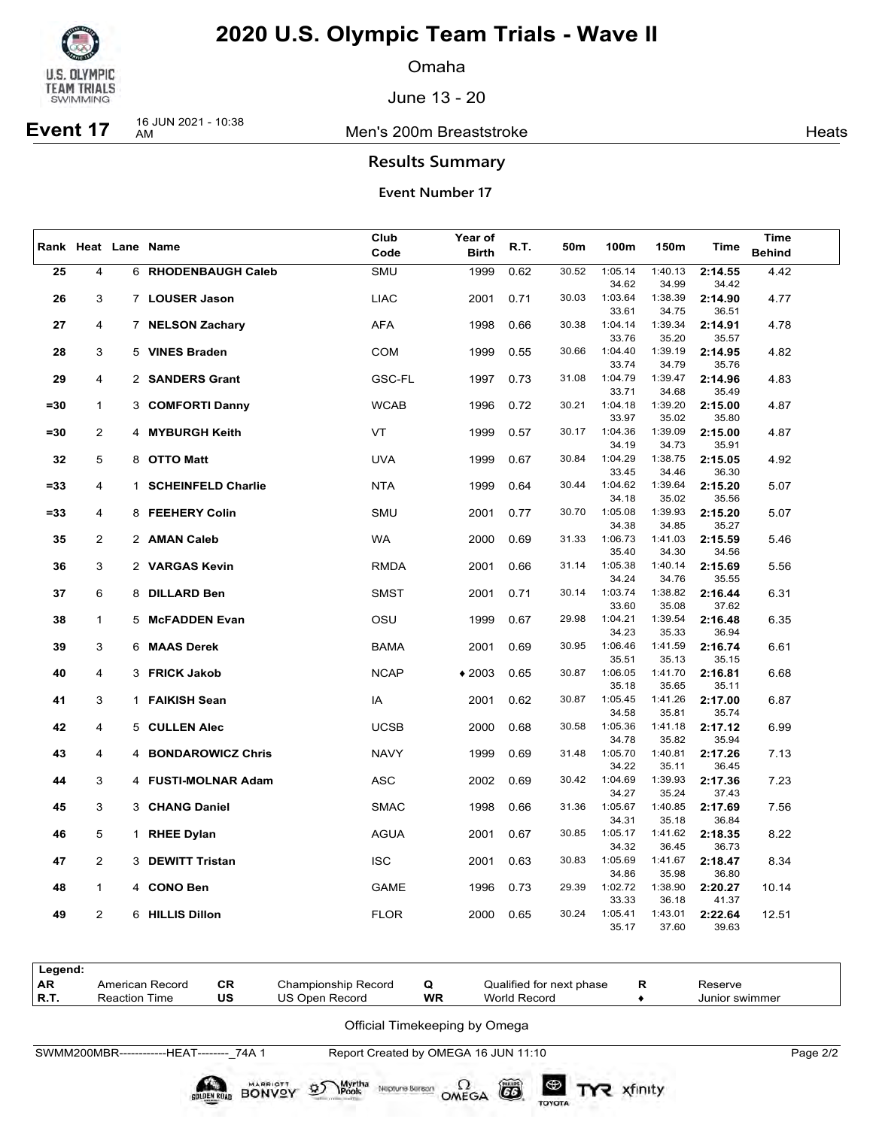

Omaha

June 13 - 20

# **Event 17** 16 JUN 2021 - 10:38

Men's 200m Breaststroke **Heats** Heats

## **Results Summary**

**Event Number 17**

|        |                |   |                          | Club          | Year of      |      |       |                  |                  |                  | <b>Time</b>   |
|--------|----------------|---|--------------------------|---------------|--------------|------|-------|------------------|------------------|------------------|---------------|
|        |                |   | Rank Heat Lane Name      | Code          | <b>Birth</b> | R.T. | 50m   | 100m             | 150m             | Time             | <b>Behind</b> |
| 25     | $\overline{4}$ |   | 6 RHODENBAUGH Caleb      | SMU           | 1999         | 0.62 | 30.52 | 1:05.14          | 1:40.13          | 2:14.55          | 4.42          |
|        |                |   |                          |               |              |      |       | 34.62            | 34.99            | 34.42            |               |
| 26     | 3              |   | 7 LOUSER Jason           | <b>LIAC</b>   | 2001         | 0.71 | 30.03 | 1:03.64          | 1:38.39          | 2:14.90          | 4.77          |
|        |                |   |                          |               |              |      |       | 33.61            | 34.75            | 36.51            |               |
| 27     | 4              |   | 7 NELSON Zachary         | <b>AFA</b>    | 1998         | 0.66 | 30.38 | 1:04.14          | 1:39.34          | 2:14.91          | 4.78          |
|        |                |   |                          |               |              |      |       | 33.76            | 35.20            | 35.57            |               |
| 28     | 3              |   | 5 VINES Braden           | <b>COM</b>    | 1999         | 0.55 | 30.66 | 1:04.40          | 1:39.19          | 2:14.95          | 4.82          |
|        |                |   |                          |               |              |      |       | 33.74            | 34.79            | 35.76            |               |
| 29     | 4              |   | 2 SANDERS Grant          | <b>GSC-FL</b> | 1997         | 0.73 | 31.08 | 1:04.79          | 1:39.47          | 2:14.96          | 4.83          |
|        |                |   |                          |               |              |      |       | 33.71            | 34.68            | 35.49            |               |
| $= 30$ | $\mathbf{1}$   |   | 3 COMFORTI Danny         | <b>WCAB</b>   | 1996         | 0.72 | 30.21 | 1:04.18          | 1:39.20          | 2:15.00          | 4.87          |
|        |                |   |                          |               |              |      |       | 33.97            | 35.02            | 35.80            |               |
| $= 30$ | $\overline{2}$ |   | 4 MYBURGH Keith          | VT            | 1999         | 0.57 | 30.17 | 1:04.36          | 1:39.09          | 2:15.00          | 4.87          |
|        |                |   |                          |               |              |      |       | 34.19            | 34.73            | 35.91            |               |
| 32     | 5              |   | 8 OTTO Matt              | <b>UVA</b>    | 1999         | 0.67 | 30.84 | 1:04.29<br>33.45 | 1:38.75<br>34.46 | 2:15.05<br>36.30 | 4.92          |
| $= 33$ | 4              |   | 1 SCHEINFELD Charlie     | <b>NTA</b>    | 1999         | 0.64 | 30.44 | 1:04.62          | 1:39.64          | 2:15.20          | 5.07          |
|        |                |   |                          |               |              |      |       | 34.18            | 35.02            | 35.56            |               |
| $= 33$ | 4              |   | 8 FEEHERY Colin          | SMU           | 2001         | 0.77 | 30.70 | 1:05.08          | 1:39.93          | 2:15.20          | 5.07          |
|        |                |   |                          |               |              |      |       | 34.38            | 34.85            | 35.27            |               |
| 35     | 2              |   | 2 AMAN Caleb             | <b>WA</b>     | 2000         | 0.69 | 31.33 | 1:06.73          | 1:41.03          | 2:15.59          | 5.46          |
|        |                |   |                          |               |              |      |       | 35.40            | 34.30            | 34.56            |               |
| 36     | 3              | 2 | <b>VARGAS Kevin</b>      | <b>RMDA</b>   | 2001         | 0.66 | 31.14 | 1:05.38          | 1:40.14          | 2:15.69          | 5.56          |
|        |                |   |                          |               |              |      |       | 34.24            | 34.76            | 35.55            |               |
| 37     | 6              |   | 8 DILLARD Ben            | <b>SMST</b>   | 2001         | 0.71 | 30.14 | 1:03.74          | 1:38.82          | 2:16.44          | 6.31          |
|        |                |   |                          |               |              |      |       | 33.60            | 35.08            | 37.62            |               |
| 38     | 1              |   | 5 McFADDEN Evan          | OSU           | 1999         | 0.67 | 29.98 | 1:04.21          | 1:39.54          | 2:16.48          | 6.35          |
|        |                |   |                          |               |              |      |       | 34.23            | 35.33            | 36.94            |               |
| 39     | 3              |   | 6 MAAS Derek             | BAMA          | 2001         | 0.69 | 30.95 | 1:06.46<br>35.51 | 1:41.59<br>35.13 | 2:16.74<br>35.15 | 6.61          |
| 40     | 4              |   | 3 FRICK Jakob            | <b>NCAP</b>   | $*2003$      | 0.65 | 30.87 | 1:06.05          | 1:41.70          | 2:16.81          | 6.68          |
|        |                |   |                          |               |              |      |       | 35.18            | 35.65            | 35.11            |               |
| 41     | 3              |   | 1 FAIKISH Sean           | IA            | 2001         | 0.62 | 30.87 | 1:05.45          | 1:41.26          | 2:17.00          | 6.87          |
|        |                |   |                          |               |              |      |       | 34.58            | 35.81            | 35.74            |               |
| 42     | 4              |   | 5 CULLEN Alec            | <b>UCSB</b>   | 2000         | 0.68 | 30.58 | 1:05.36          | 1:41.18          | 2:17.12          | 6.99          |
|        |                |   |                          |               |              |      |       | 34.78            | 35.82            | 35.94            |               |
| 43     | 4              | 4 | <b>BONDAROWICZ Chris</b> | <b>NAVY</b>   | 1999         | 0.69 | 31.48 | 1:05.70          | 1:40.81          | 2:17.26          | 7.13          |
|        |                |   |                          |               |              |      |       | 34.22            | 35.11            | 36.45            |               |
| 44     | 3              |   | 4 FUSTI-MOLNAR Adam      | <b>ASC</b>    | 2002         | 0.69 | 30.42 | 1:04.69          | 1:39.93          | 2:17.36          | 7.23          |
|        |                |   |                          |               |              |      |       | 34.27            | 35.24            | 37.43            |               |
| 45     | 3              |   | 3 CHANG Daniel           | <b>SMAC</b>   | 1998         | 0.66 | 31.36 | 1:05.67          | 1:40.85          | 2:17.69          | 7.56          |
|        |                |   |                          |               |              |      |       | 34.31            | 35.18            | 36.84            |               |
| 46     | 5              |   | 1 RHEE Dylan             | <b>AGUA</b>   | 2001         | 0.67 | 30.85 | 1:05.17<br>34.32 | 1:41.62<br>36.45 | 2:18.35<br>36.73 | 8.22          |
| 47     | 2              |   | 3 DEWITT Tristan         | <b>ISC</b>    | 2001         | 0.63 | 30.83 | 1:05.69          | 1:41.67          | 2:18.47          | 8.34          |
|        |                |   |                          |               |              |      |       | 34.86            | 35.98            | 36.80            |               |
| 48     | 1              | 4 | <b>CONO Ben</b>          | <b>GAME</b>   | 1996         | 0.73 | 29.39 | 1:02.72          | 1:38.90          | 2:20.27          | 10.14         |
|        |                |   |                          |               |              |      |       | 33.33            | 36.18            | 41.37            |               |
| 49     | 2              |   | 6 HILLIS Dillon          | <b>FLOR</b>   | 2000         | 0.65 | 30.24 | 1:05.41          | 1:43.01          | 2:22.64          | 12.51         |
|        |                |   |                          |               |              |      |       | 35.17            | 37.60            | 39.63            |               |

| Legend:<br>l AR<br>  R.T. | American Record<br><b>Reaction Time</b>   | <b>CR</b><br>US | Championship Record<br>US Open Record | Q<br>WR | Qualified for next phase<br>World Record | R | Reserve<br>Junior swimmer |          |
|---------------------------|-------------------------------------------|-----------------|---------------------------------------|---------|------------------------------------------|---|---------------------------|----------|
|                           |                                           |                 |                                       |         | Official Timekeeping by Omega            |   |                           |          |
|                           | SWMM200MBR-------------HEAT-------- 74A 1 |                 |                                       |         | Report Created by OMEGA 16 JUN 11:10     |   |                           | Page 2/2 |

SOLDEN ROAD BONVOY

Myrtha<br>Pools

 $\mathcal{D}$ 

Neptune Bergon  $\Omega$  CD

TYR xfinity

TOYOTA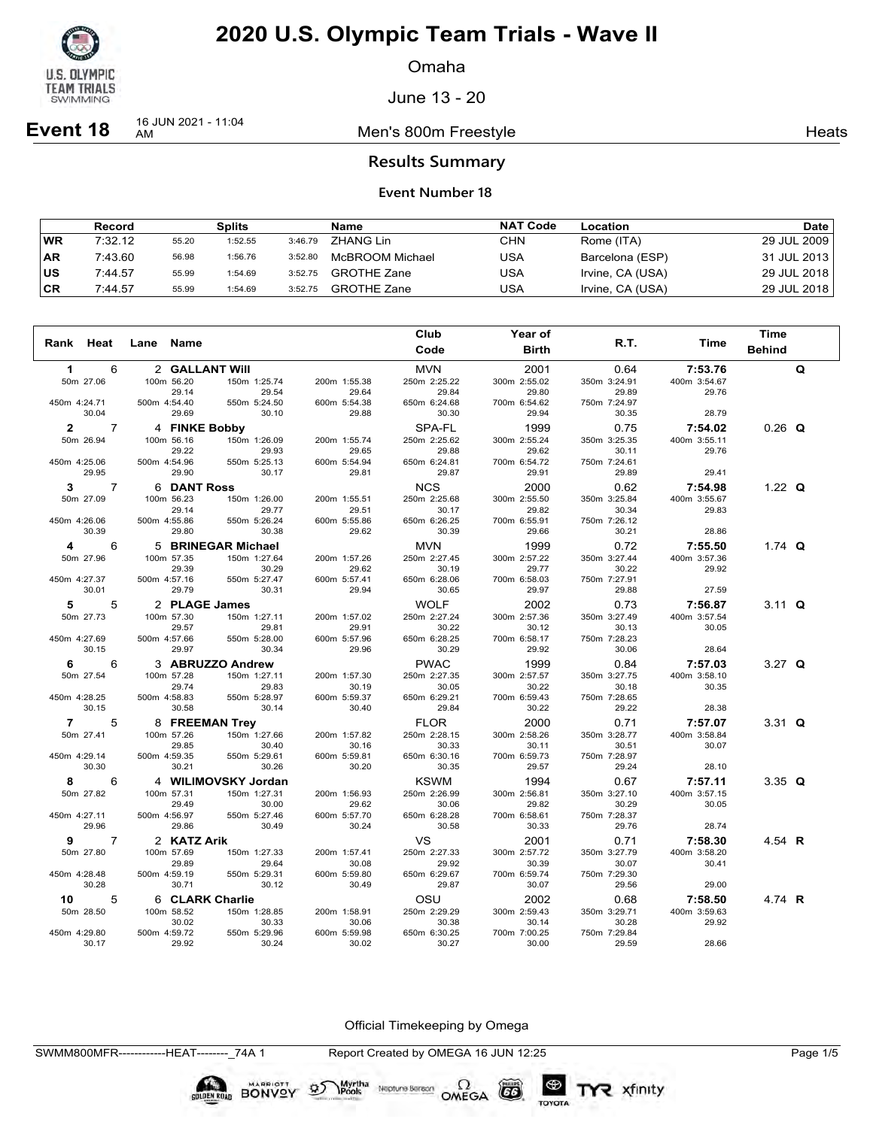

Omaha

June 13 - 20

**Event 18** 16 JUN 2021 - 11:04

Men's 800m Freestyle **Heats Heats** 

### **Results Summary**

#### **Event Number 18**

|           | Record  |       | Splits  |         | Name               | <b>NAT Code</b> | Location         | Date l      |
|-----------|---------|-------|---------|---------|--------------------|-----------------|------------------|-------------|
| WR        | 7:32.12 | 55.20 | 1:52.55 | 3:46.79 | ZHANG Lin          | CHN             | Rome (ITA)       | 29 JUL 2009 |
| <b>AR</b> | 7:43.60 | 56.98 | 1:56.76 | 3:52.80 | McBROOM Michael    | USA             | Barcelona (ESP)  | 31 JUL 2013 |
| US        | 7:44.57 | 55.99 | 1:54.69 | 3:52.75 | <b>GROTHE Zane</b> | USA             | Irvine, CA (USA) | 29 JUL 2018 |
| <b>CR</b> | 7:44.57 | 55.99 | 1:54.69 | 3:52.75 | <b>GROTHE Zane</b> | USA             | Irvine, CA (USA) | 29 JUL 2018 |

|                |           |                |              |                 |                       |                       | Club                  | Year of               |                       |              | <b>Time</b>   |   |
|----------------|-----------|----------------|--------------|-----------------|-----------------------|-----------------------|-----------------------|-----------------------|-----------------------|--------------|---------------|---|
| Rank Heat      |           |                | Lane         | Name            |                       |                       | Code                  | <b>Birth</b>          | R.T.                  | Time         | <b>Behind</b> |   |
| $\mathbf 1$    |           | 6              |              | 2 GALLANT Will  |                       |                       | <b>MVN</b>            | 2001                  | 0.64                  | 7:53.76      |               | Q |
|                | 50m 27.06 |                |              | 100m 56.20      | 150m 1:25.74          | 200m 1:55.38          | 250m 2:25.22          | 300m 2:55.02          | 350m 3:24.91          | 400m 3:54.67 |               |   |
|                |           |                |              | 29.14           | 29.54                 | 29.64                 | 29.84                 | 29.80                 | 29.89                 | 29.76        |               |   |
| 450m 4:24.71   |           |                | 500m 4:54.40 |                 | 550m 5:24.50          | 600m 5:54.38          | 650m 6:24.68          | 700m 6:54.62          | 750m 7:24.97          |              |               |   |
|                | 30.04     |                |              | 29.69           | 30.10                 | 29.88                 | 30.30                 | 29.94                 | 30.35                 | 28.79        |               |   |
| $\mathbf{2}$   |           | 7              |              | 4 FINKE Bobby   |                       |                       | SPA-FL                | 1999                  | 0.75                  | 7:54.02      | $0.26$ Q      |   |
|                | 50m 26.94 |                |              | 100m 56.16      | 150m 1:26.09          | 200m 1:55.74          | 250m 2:25.62          | 300m 2:55.24          | 350m 3:25.35          | 400m 3:55.11 |               |   |
|                |           |                |              | 29.22           | 29.93                 | 29.65                 | 29.88                 | 29.62                 | 30.11                 | 29.76        |               |   |
| 450m 4:25.06   |           |                | 500m 4:54.96 |                 | 550m 5:25.13          | 600m 5:54.94          | 650m 6:24.81          | 700m 6:54.72          | 750m 7:24.61          |              |               |   |
|                | 29.95     |                |              | 29.90           | 30.17                 | 29.81                 | 29.87                 | 29.91                 | 29.89                 | 29.41        |               |   |
| 3              |           | $\overline{7}$ |              | 6 DANT Ross     |                       |                       | <b>NCS</b>            | 2000                  | 0.62                  | 7:54.98      | 1.22 $Q$      |   |
|                | 50m 27.09 |                |              | 100m 56.23      | 150m 1:26.00          | 200m 1:55.51          | 250m 2:25.68          | 300m 2:55.50          | 350m 3:25.84          | 400m 3:55.67 |               |   |
|                |           |                |              | 29.14           | 29.77                 | 29.51                 | 30.17                 | 29.82                 | 30.34                 | 29.83        |               |   |
| 450m 4:26.06   |           |                | 500m 4:55.86 |                 | 550m 5:26.24          | 600m 5:55.86          | 650m 6:26.25          | 700m 6:55.91          | 750m 7:26.12          |              |               |   |
|                | 30.39     |                |              | 29.80           | 30.38                 | 29.62                 | 30.39                 | 29.66                 | 30.21                 | 28.86        |               |   |
| 4              |           | 6              |              |                 | 5 BRINEGAR Michael    |                       | <b>MVN</b>            | 1999                  | 0.72                  | 7:55.50      | 1.74 $Q$      |   |
|                | 50m 27.96 |                |              | 100m 57.35      | 150m 1:27.64          | 200m 1:57.26          | 250m 2:27.45          | 300m 2:57.22          | 350m 3:27.44          | 400m 3:57.36 |               |   |
|                |           |                |              | 29.39           | 30.29                 | 29.62                 | 30.19                 | 29.77                 | 30.22                 | 29.92        |               |   |
| 450m 4:27.37   |           |                | 500m 4:57.16 |                 | 550m 5:27.47          | 600m 5:57.41          | 650m 6:28.06          | 700m 6:58.03          | 750m 7:27.91          |              |               |   |
|                | 30.01     |                |              | 29.79           | 30.31                 | 29.94                 | 30.65                 | 29.97                 | 29.88                 | 27.59        |               |   |
| 5              |           | 5              |              | 2 PLAGE James   |                       |                       | <b>WOLF</b>           | 2002                  | 0.73                  | 7:56.87      | 3.11 Q        |   |
|                | 50m 27.73 |                |              | 100m 57.30      | 150m 1:27.11          | 200m 1:57.02          | 250m 2:27.24          | 300m 2:57.36          | 350m 3:27.49          | 400m 3:57.54 |               |   |
|                |           |                |              | 29.57           | 29.81                 | 29.91                 | 30.22                 | 30.12                 | 30.13                 | 30.05        |               |   |
| 450m 4:27.69   |           |                | 500m 4:57.66 |                 | 550m 5:28.00          | 600m 5:57.96          | 650m 6:28.25          | 700m 6:58.17          | 750m 7:28.23          |              |               |   |
|                | 30.15     |                |              | 29.97           | 30.34                 | 29.96                 | 30.29                 | 29.92                 | 30.06                 | 28.64        |               |   |
| 6              |           | 6              |              |                 | 3 ABRUZZO Andrew      |                       | <b>PWAC</b>           | 1999                  | 0.84                  | 7:57.03      | 3.27 $Q$      |   |
|                | 50m 27.54 |                |              | 100m 57.28      | 150m 1:27.11          | 200m 1:57.30          | 250m 2:27.35          | 300m 2:57.57          | 350m 3:27.75          | 400m 3:58.10 |               |   |
|                |           |                |              | 29.74           | 29.83                 | 30.19                 | 30.05                 | 30.22                 | 30.18                 | 30.35        |               |   |
| 450m 4:28.25   |           |                | 500m 4:58.83 |                 | 550m 5:28.97          | 600m 5:59.37          | 650m 6:29.21          | 700m 6:59.43          | 750m 7:28.65          |              |               |   |
|                | 30.15     |                |              | 30.58           | 30.14                 | 30.40                 | 29.84                 | 30.22                 | 29.22                 | 28.38        |               |   |
| $\overline{7}$ |           | 5              |              | 8 FREEMAN Trey  |                       |                       | <b>FLOR</b>           | 2000                  | 0.71                  | 7:57.07      | 3.31 $Q$      |   |
|                | 50m 27.41 |                |              | 100m 57.26      | 150m 1:27.66          | 200m 1:57.82          | 250m 2:28.15          | 300m 2:58.26          | 350m 3:28.77          | 400m 3:58.84 |               |   |
|                |           |                |              | 29.85           | 30.40                 | 30.16                 | 30.33                 | 30.11                 | 30.51                 | 30.07        |               |   |
| 450m 4:29.14   |           |                | 500m 4:59.35 |                 | 550m 5:29.61          | 600m 5:59.81          | 650m 6:30.16          | 700m 6:59.73          | 750m 7:28.97          |              |               |   |
|                | 30.30     |                |              | 30.21           | 30.26                 | 30.20                 | 30.35                 | 29.57                 | 29.24                 | 28.10        |               |   |
| 8              |           | 6              |              |                 | 4 WILIMOVSKY Jordan   |                       | <b>KSWM</b>           | 1994                  | 0.67                  | 7:57.11      | $3.35$ Q      |   |
|                | 50m 27.82 |                |              | 100m 57.31      | 150m 1:27.31          | 200m 1:56.93          | 250m 2:26.99          | 300m 2:56.81          | 350m 3:27.10          | 400m 3:57.15 |               |   |
|                |           |                |              | 29.49           | 30.00                 | 29.62                 | 30.06                 | 29.82                 | 30.29                 | 30.05        |               |   |
| 450m 4:27.11   | 29.96     |                | 500m 4:56.97 | 29.86           | 550m 5:27.46<br>30.49 | 600m 5:57.70<br>30.24 | 650m 6:28.28          | 700m 6:58.61<br>30.33 | 750m 7:28.37<br>29.76 | 28.74        |               |   |
|                |           |                |              |                 |                       |                       | 30.58                 |                       |                       |              |               |   |
| 9              |           | $\overline{7}$ |              | 2 KATZ Arik     |                       |                       | VS                    | 2001                  | 0.71                  | 7:58.30      | 4.54 R        |   |
|                | 50m 27.80 |                |              | 100m 57.69      | 150m 1:27.33          | 200m 1:57.41          | 250m 2:27.33          | 300m 2:57.72          | 350m 3:27.79          | 400m 3:58.20 |               |   |
|                |           |                |              | 29.89           | 29.64                 | 30.08                 | 29.92                 | 30.39                 | 30.07                 | 30.41        |               |   |
| 450m 4:28.48   | 30.28     |                | 500m 4:59.19 | 30.71           | 550m 5:29.31<br>30.12 | 600m 5:59.80<br>30.49 | 650m 6:29.67<br>29.87 | 700m 6:59.74          | 750m 7:29.30          | 29.00        |               |   |
|                |           |                |              |                 |                       |                       |                       | 30.07                 | 29.56                 |              |               |   |
| 10             |           | 5              |              | 6 CLARK Charlie |                       |                       | OSU                   | 2002                  | 0.68                  | 7:58.50      | 4.74 R        |   |
|                | 50m 28.50 |                |              | 100m 58.52      | 150m 1:28.85          | 200m 1:58.91          | 250m 2:29.29          | 300m 2:59.43          | 350m 3:29.71          | 400m 3:59.63 |               |   |
|                |           |                |              | 30.02           | 30.33                 | 30.06                 | 30.38                 | 30.14                 | 30.28                 | 29.92        |               |   |
| 450m 4:29.80   | 30.17     |                | 500m 4:59.72 | 29.92           | 550m 5:29.96<br>30.24 | 600m 5:59.98<br>30.02 | 650m 6:30.25<br>30.27 | 700m 7:00.25<br>30.00 | 750m 7:29.84<br>29.59 | 28.66        |               |   |
|                |           |                |              |                 |                       |                       |                       |                       |                       |              |               |   |

Official Timekeeping by Omega

SWMM800MFR------------HEAT--------\_74A 1 Report Created by OMEGA 16 JUN 12:25 Page 1/5

BONVOY 9

Myrtha<br>Pools

Neptune Berson  $\Omega$ <br>OMEGA

 $(G)$ 

TOYOTA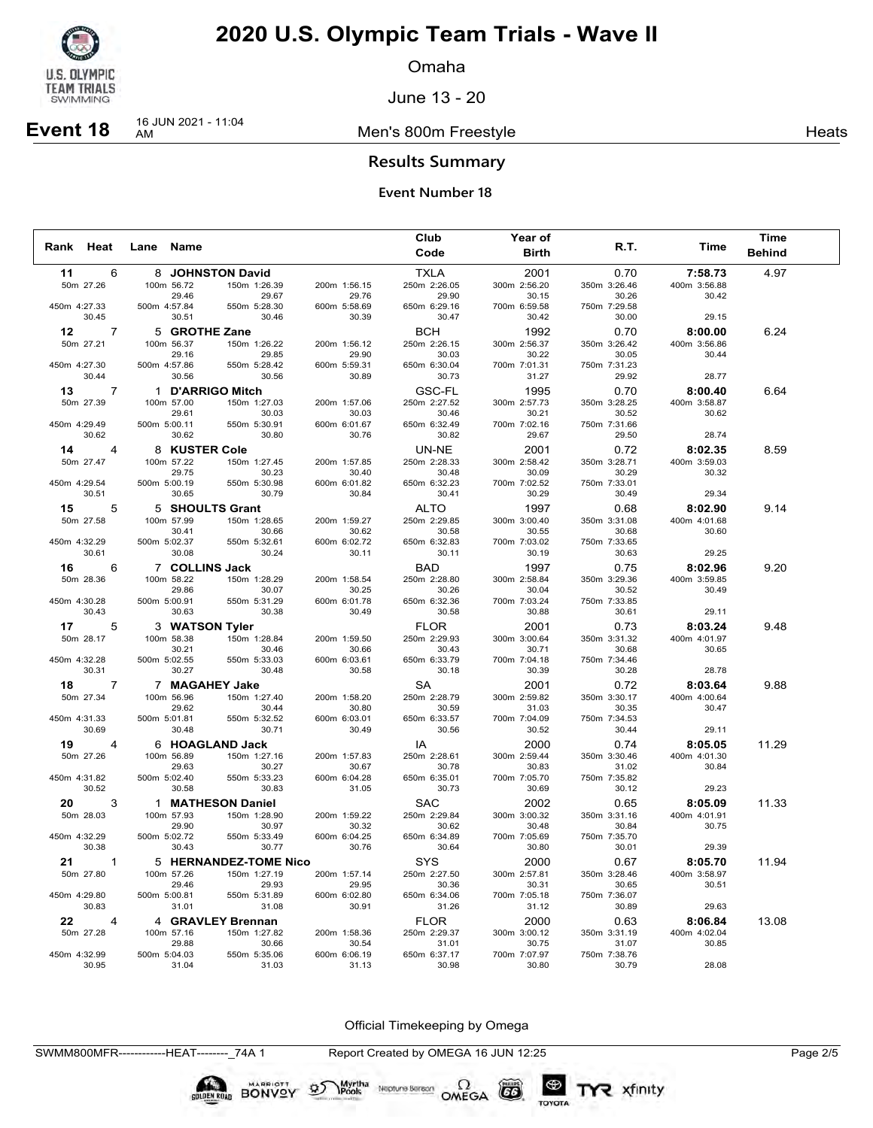

Omaha

June 13 - 20

**Event 18** 16 JUN 2021 - 11:04

Men's 800m Freestyle **Heats Heats** 

### **Results Summary**

### **Event Number 18**

|              |                      |              |                     |                       |                       | Club                  | Year of               |                       |                         | Time          |  |
|--------------|----------------------|--------------|---------------------|-----------------------|-----------------------|-----------------------|-----------------------|-----------------------|-------------------------|---------------|--|
| Rank Heat    |                      | Lane Name    |                     |                       |                       | Code                  | <b>Birth</b>          | R.T.                  | Time                    | <b>Behind</b> |  |
| 11           | -6                   |              |                     | 8 JOHNSTON David      |                       | TXLA                  | 2001                  | 0.70                  | 7:58.73                 | 4.97          |  |
|              | 50m 27.26            |              | 100m 56.72          | 150m 1:26.39          | 200m 1:56.15          | 250m 2:26.05          | 300m 2:56.20          | 350m 3:26.46          | 400m 3:56.88            |               |  |
|              |                      |              | 29.46               | 29.67                 | 29.76                 | 29.90                 | 30.15                 | 30.26                 | 30.42                   |               |  |
| 450m 4:27.33 |                      | 500m 4:57.84 |                     | 550m 5:28.30          | 600m 5:58.69          | 650m 6:29.16          | 700m 6:59.58          | 750m 7:29.58          |                         |               |  |
|              | 30.45                |              | 30.51               | 30.46                 | 30.39                 | 30.47                 | 30.42                 | 30.00                 | 29.15                   |               |  |
|              | $12 \t 7$            |              | 5 GROTHE Zane       |                       |                       | <b>BCH</b>            | 1992                  | 0.70                  | 8:00.00                 | 6.24          |  |
|              | 50m 27.21            |              | 100m 56.37          | 150m 1:26.22          | 200m 1:56.12          | 250m 2:26.15          | 300m 2:56.37          | 350m 3:26.42          | 400m 3:56.86            |               |  |
|              |                      |              | 29.16               | 29.85                 | 29.90                 | 30.03                 | 30.22                 | 30.05                 | 30.44                   |               |  |
| 450m 4:27.30 | 30.44                | 500m 4:57.86 |                     | 550m 5:28.42          | 600m 5:59.31<br>30.89 | 650m 6:30.04<br>30.73 | 700m 7:01.31          | 750m 7:31.23          |                         |               |  |
|              |                      |              | 30.56               | 30.56                 |                       |                       | 31.27                 | 29.92                 | 28.77                   |               |  |
|              | $13 \qquad 7$        |              |                     | 1 D'ARRIGO Mitch      |                       | GSC-FL                | 1995                  | 0.70                  | 8:00.40                 | 6.64          |  |
|              | 50m 27.39            |              | 100m 57.00          | 150m 1:27.03          | 200m 1:57.06          | 250m 2:27.52          | 300m 2:57.73          | 350m 3:28.25          | 400m 3:58.87            |               |  |
| 450m 4:29.49 |                      | 500m 5:00.11 | 29.61               | 30.03<br>550m 5:30.91 | 30.03<br>600m 6:01.67 | 30.46<br>650m 6:32.49 | 30.21<br>700m 7:02.16 | 30.52<br>750m 7:31.66 | 30.62                   |               |  |
|              | 30.62                |              | 30.62               | 30.80                 | 30.76                 | 30.82                 | 29.67                 | 29.50                 | 28.74                   |               |  |
|              | $14 \t 4$            |              | 8 KUSTER Cole       |                       |                       |                       | 2001                  | 0.72                  |                         | 8.59          |  |
|              | 50m 27.47            |              | 100m 57.22          | 150m 1:27.45          | 200m 1:57.85          | UN-NE<br>250m 2:28.33 | 300m 2:58.42          | 350m 3:28.71          | 8:02.35<br>400m 3:59.03 |               |  |
|              |                      |              | 29.75               | 30.23                 | 30.40                 | 30.48                 | 30.09                 | 30.29                 | 30.32                   |               |  |
| 450m 4:29.54 |                      | 500m 5:00.19 |                     | 550m 5:30.98          | 600m 6:01.82          | 650m 6:32.23          | 700m 7:02.52          | 750m 7:33.01          |                         |               |  |
|              | 30.51                |              | 30.65               | 30.79                 | 30.84                 | 30.41                 | 30.29                 | 30.49                 | 29.34                   |               |  |
|              | 15 5                 |              |                     | 5 SHOULTS Grant       |                       | ALTO                  | 1997                  | 0.68                  | 8:02.90                 | 9.14          |  |
|              | 50m 27.58            |              | 100m 57.99          | 150m 1:28.65          | 200m 1:59.27          | 250m 2:29.85          | 300m 3:00.40          | 350m 3:31.08          | 400m 4:01.68            |               |  |
|              |                      |              | 30.41               | 30.66                 | 30.62                 | 30.58                 | 30.55                 | 30.68                 | 30.60                   |               |  |
| 450m 4:32.29 |                      | 500m 5:02.37 |                     | 550m 5:32.61          | 600m 6:02.72          | 650m 6:32.83          | 700m 7:03.02          | 750m 7:33.65          |                         |               |  |
|              | 30.61                |              | 30.08               | 30.24                 | 30.11                 | 30.11                 | 30.19                 | 30.63                 | 29.25                   |               |  |
|              | $16 \t 6$            |              | 7 COLLINS Jack      |                       |                       | BAD                   | 1997                  | 0.75                  | 8:02.96                 | 9.20          |  |
|              | 50m 28.36            |              | 100m 58.22          | 150m 1:28.29          | 200m 1:58.54          | 250m 2:28.80          | 300m 2:58.84          | 350m 3:29.36          | 400m 3:59.85            |               |  |
|              |                      |              | 29.86               | 30.07                 | 30.25                 | 30.26                 | 30.04                 | 30.52                 | 30.49                   |               |  |
| 450m 4:30.28 |                      | 500m 5:00.91 |                     | 550m 5:31.29          | 600m 6:01.78          | 650m 6:32.36          | 700m 7:03.24          | 750m 7:33.85          |                         |               |  |
|              | 30.43                |              | 30.63               | 30.38                 | 30.49                 | 30.58                 | 30.88                 | 30.61                 | 29.11                   |               |  |
|              | 17<br>-5             |              |                     | 3 WATSON Tyler        |                       | <b>FLOR</b>           | 2001                  | 0.73                  | 8:03.24                 | 9.48          |  |
|              | 50m 28.17            |              | 100m 58.38          | 150m 1:28.84          | 200m 1:59.50          | 250m 2:29.93          | 300m 3:00.64          | 350m 3:31.32          | 400m 4:01.97            |               |  |
|              |                      |              | 30.21               | 30.46                 | 30.66                 | 30.43                 | 30.71                 | 30.68                 | 30.65                   |               |  |
| 450m 4:32.28 |                      | 500m 5:02.55 |                     | 550m 5:33.03          | 600m 6:03.61          | 650m 6:33.79          | 700m 7:04.18          | 750m 7:34.46          |                         |               |  |
|              | 30.31                |              | 30.27               | 30.48                 | 30.58                 | 30.18                 | 30.39                 | 30.28                 | 28.78                   |               |  |
|              | 18 7                 |              |                     | 7 MAGAHEY Jake        |                       | SA                    | 2001                  | 0.72                  | 8:03.64                 | 9.88          |  |
|              | 50m 27.34            |              | 100m 56.96          | 150m 1:27.40          | 200m 1:58.20          | 250m 2:28.79          | 300m 2:59.82          | 350m 3:30.17          | 400m 4:00.64            |               |  |
| 450m 4:31.33 |                      | 500m 5:01.81 | 29.62               | 30.44<br>550m 5:32.52 | 30.80<br>600m 6:03.01 | 30.59<br>650m 6:33.57 | 31.03<br>700m 7:04.09 | 30.35<br>750m 7:34.53 | 30.47                   |               |  |
|              | 30.69                |              | 30.48               | 30.71                 | 30.49                 | 30.56                 | 30.52                 | 30.44                 | 29.11                   |               |  |
|              |                      |              |                     |                       |                       |                       |                       |                       |                         |               |  |
|              | 19 4                 |              |                     | 6 HOAGLAND Jack       |                       | IA                    | 2000                  | 0.74                  | 8:05.05                 | 11.29         |  |
|              | 50m 27.26            |              | 100m 56.89<br>29.63 | 150m 1:27.16<br>30.27 | 200m 1:57.83<br>30.67 | 250m 2:28.61<br>30.78 | 300m 2:59.44<br>30.83 | 350m 3:30.46<br>31.02 | 400m 4:01.30<br>30.84   |               |  |
| 450m 4:31.82 |                      | 500m 5:02.40 |                     | 550m 5:33.23          | 600m 6:04.28          | 650m 6:35.01          | 700m 7:05.70          | 750m 7:35.82          |                         |               |  |
|              | 30.52                |              | 30.58               | 30.83                 | 31.05                 | 30.73                 | 30.69                 | 30.12                 | 29.23                   |               |  |
|              | 3                    |              |                     | 1 MATHESON Daniel     |                       | SAC                   | 2002                  | 0.65                  | 8:05.09                 | 11.33         |  |
|              | 50m 28.03            |              | 100m 57.93          | 150m 1:28.90          | 200m 1:59.22          | 250m 2:29.84          | 300m 3:00.32          | 350m 3:31.16          | 400m 4:01.91            |               |  |
|              |                      |              | 29.90               | 30.97                 | 30.32                 | 30.62                 | 30.48                 | 30.84                 | 30.75                   |               |  |
| 450m 4:32.29 |                      | 500m 5:02.72 |                     | 550m 5:33.49          | 600m 6:04.25          | 650m 6:34.89          | 700m 7:05.69          | 750m 7:35.70          |                         |               |  |
|              | 30.38                |              | 30.43               | 30.77                 | 30.76                 | 30.64                 | 30.80                 | 30.01                 | 29.39                   |               |  |
|              | $21 \qquad 1$        |              |                     | 5 HERNANDEZ-TOME Nico |                       | SYS                   | 2000                  | 0.67                  | 8:05.70                 | 11.94         |  |
|              | 50m 27.80            |              | 100m 57.26          | 150m 1:27.19          | 200m 1:57.14          | 250m 2:27.50          | 300m 2:57.81          | 350m 3:28.46          | 400m 3:58.97            |               |  |
|              |                      |              | 29.46               | 29.93                 | 29.95                 | 30.36                 | 30.31                 | 30.65                 | 30.51                   |               |  |
| 450m 4:29.80 |                      | 500m 5:00.81 |                     | 550m 5:31.89          | 600m 6:02.80          | 650m 6:34.06          | 700m 7:05.18          | 750m 7:36.07          |                         |               |  |
|              | 30.83                |              | 31.01               | 31.08                 | 30.91                 | 31.26                 | 31.12                 | 30.89                 | 29.63                   |               |  |
|              | 22<br>$\overline{4}$ |              |                     | 4 GRAVLEY Brennan     |                       | <b>FLOR</b>           | 2000                  | 0.63                  | 8:06.84                 | 13.08         |  |
|              | 50m 27.28            |              | 100m 57.16          | 150m 1:27.82          | 200m 1:58.36          | 250m 2:29.37          | 300m 3:00.12          | 350m 3:31.19          | 400m 4:02.04            |               |  |
|              |                      |              | 29.88               | 30.66                 | 30.54                 | 31.01                 | 30.75                 | 31.07                 | 30.85                   |               |  |
| 450m 4:32.99 |                      | 500m 5:04.03 |                     | 550m 5:35.06          | 600m 6:06.19          | 650m 6:37.17          | 700m 7:07.97          | 750m 7:38.76          |                         |               |  |
|              | 30.95                |              | 31.04               | 31.03                 | 31.13                 | 30.98                 | 30.80                 | 30.79                 | 28.08                   |               |  |

Official Timekeeping by Omega

TYR xfinity

SWMM800MFR------------HEAT--------\_74A 1 Report Created by OMEGA 16 JUN 12:25 Page 2/5

BONVOY 9

Myrtha<br>Pools

Neptune Berson  $\Omega$ <br>OMEGA

 $(G)$ 

TOYOTA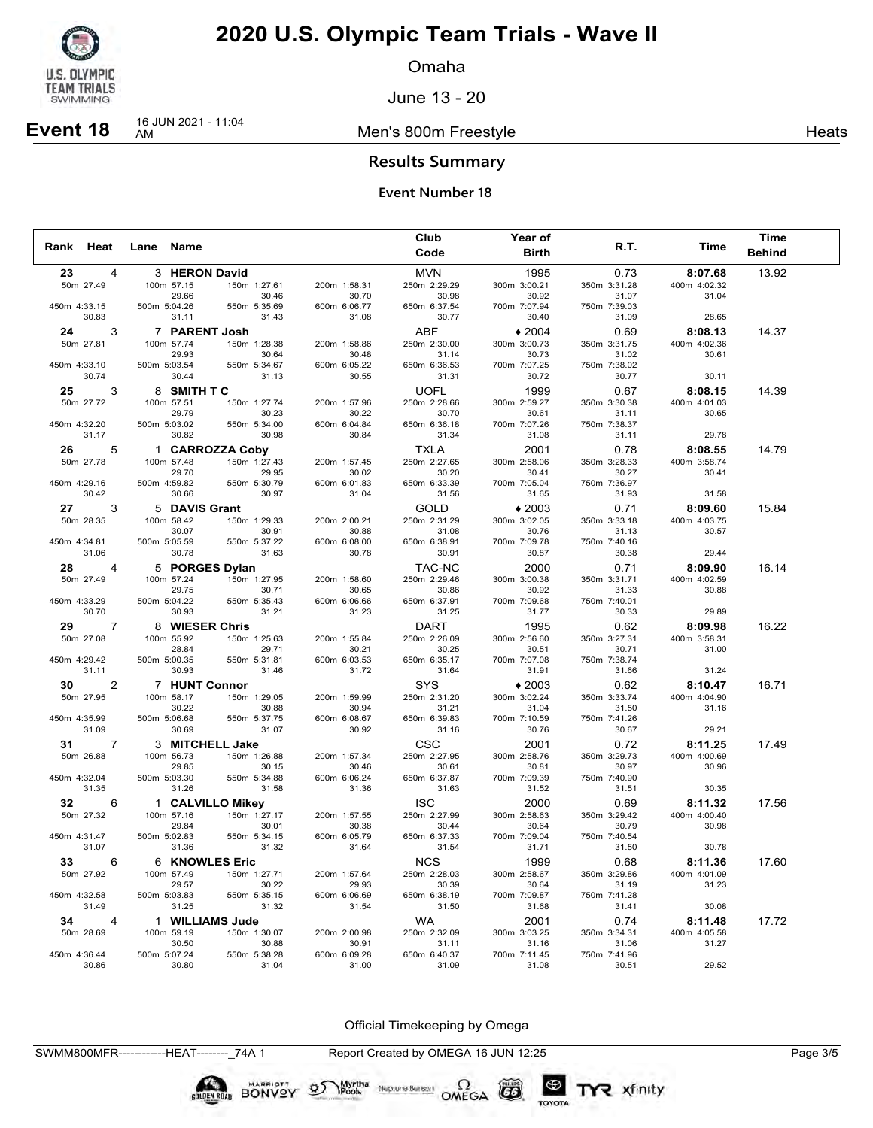

Omaha

June 13 - 20

**Event 18** 16 JUN 2021 - 11:04

Men's 800m Freestyle **Heats Heats** 

### **Results Summary**

### **Event Number 18**

|                       |                             |                       |                       | Club                  | <b>Year of</b>          |                       |                         | <b>Time</b>   |  |
|-----------------------|-----------------------------|-----------------------|-----------------------|-----------------------|-------------------------|-----------------------|-------------------------|---------------|--|
| Rank Heat             | Lane Name                   |                       |                       | Code                  | <b>Birth</b>            | R.T.                  | Time                    | <b>Behind</b> |  |
| 23<br>4               | 3 HERON David               |                       |                       | <b>MVN</b>            | 1995                    | 0.73                  | 8:07.68                 | 13.92         |  |
| 50m 27.49             | 100m 57.15                  | 150m 1:27.61          | 200m 1:58.31          | 250m 2:29.29          | 300m 3:00.21            | 350m 3:31.28          | 400m 4:02.32            |               |  |
|                       | 29.66                       | 30.46                 | 30.70                 | 30.98                 | 30.92                   | 31.07                 | 31.04                   |               |  |
| 450m 4:33.15          | 500m 5:04.26                | 550m 5:35.69          | 600m 6:06.77          | 650m 6:37.54          | 700m 7:07.94            | 750m 7:39.03          |                         |               |  |
| 30.83                 | 31.11                       | 31.43                 | 31.08                 | 30.77                 | 30.40                   | 31.09                 | 28.65                   |               |  |
| 24 7<br>3             | 7 PARENT Josh               |                       |                       | <b>ABF</b>            | $*2004$                 | 0.69                  | 8:08.13                 | 14.37         |  |
| 50m 27.81             | 100m 57.74                  | 150m 1:28.38          | 200m 1:58.86          | 250m 2:30.00          | 300m 3:00.73            | 350m 3:31.75          | 400m 4:02.36            |               |  |
| 450m 4:33.10          | 29.93<br>500m 5:03.54       | 30.64<br>550m 5:34.67 | 30.48<br>600m 6:05.22 | 31.14<br>650m 6:36.53 | 30.73<br>700m 7:07.25   | 31.02<br>750m 7:38.02 | 30.61                   |               |  |
| 30.74                 | 30.44                       | 31.13                 | 30.55                 | 31.31                 | 30.72                   | 30.77                 | 30.11                   |               |  |
| 25<br>3               | 8 SMITH TC                  |                       |                       | <b>UOFL</b>           | 1999                    | 0.67                  | 8:08.15                 | 14.39         |  |
| 50m 27.72             | 100m 57.51                  | 150m 1:27.74          | 200m 1:57.96          | 250m 2:28.66          | 300m 2:59.27            | 350m 3:30.38          | 400m 4:01.03            |               |  |
|                       | 29.79                       | 30.23                 | 30.22                 | 30.70                 | 30.61                   | 31.11                 | 30.65                   |               |  |
| 450m 4:32.20          | 500m 5:03.02                | 550m 5:34.00          | 600m 6:04.84          | 650m 6:36.18          | 700m 7:07.26            | 750m 7:38.37          |                         |               |  |
| 31.17                 | 30.82                       | 30.98                 | 30.84                 | 31.34                 | 31.08                   | 31.11                 | 29.78                   |               |  |
| 5                     |                             | 1 CARROZZA Coby       |                       | <b>TXLA</b>           | 2001                    | 0.78                  | 8:08.55                 | 14.79         |  |
| 50m 27.78             | 100m 57.48                  | 150m 1:27.43          | 200m 1:57.45          | 250m 2:27.65          | 300m 2:58.06            | 350m 3:28.33          | 400m 3:58.74            |               |  |
|                       | 29.70                       | 29.95                 | 30.02                 | 30.20                 | 30.41                   | 30.27                 | 30.41                   |               |  |
| 450m 4:29.16          | 500m 4:59.82                | 550m 5:30.79          | 600m 6:01.83          | 650m 6:33.39          | 700m 7:05.04            | 750m 7:36.97          |                         |               |  |
| 30.42                 | 30.66                       | 30.97                 | 31.04                 | 31.56                 | 31.65                   | 31.93                 | 31.58                   |               |  |
| 27<br>3               | 5 DAVIS Grant               |                       |                       | <b>GOLD</b>           | $*2003$                 | 0.71                  | 8:09.60                 | 15.84         |  |
| 50m 28.35             | 100m 58.42<br>30.07         | 150m 1:29.33<br>30.91 | 200m 2:00.21<br>30.88 | 250m 2:31.29<br>31.08 | 300m 3:02.05<br>30.76   | 350m 3:33.18<br>31.13 | 400m 4:03.75<br>30.57   |               |  |
| 450m 4:34.81          | 500m 5:05.59                | 550m 5:37.22          | 600m 6:08.00          | 650m 6:38.91          | 700m 7:09.78            | 750m 7:40.16          |                         |               |  |
| 31.06                 | 30.78                       | 31.63                 | 30.78                 | 30.91                 | 30.87                   | 30.38                 | 29.44                   |               |  |
| 28 4                  | 5 PORGES Dylan              |                       |                       | TAC-NC                | 2000                    | 0.71                  | 8:09.90                 | 16.14         |  |
| 50m 27.49             | 100m 57.24                  | 150m 1:27.95          | 200m 1:58.60          | 250m 2:29.46          | 300m 3:00.38            | 350m 3:31.71          | 400m 4:02.59            |               |  |
|                       | 29.75                       | 30.71                 | 30.65                 | 30.86                 | 30.92                   | 31.33                 | 30.88                   |               |  |
| 450m 4:33.29          | 500m 5:04.22                | 550m 5:35.43          | 600m 6:06.66          | 650m 6:37.91          | 700m 7:09.68            | 750m 7:40.01          |                         |               |  |
| 30.70                 | 30.93                       | 31.21                 | 31.23                 | 31.25                 | 31.77                   | 30.33                 | 29.89                   |               |  |
| 29<br>7               | 8 WIESER Chris              |                       |                       | DART                  | 1995                    | 0.62                  | 8:09.98                 | 16.22         |  |
| 50m 27.08             | 100m 55.92                  | 150m 1:25.63          | 200m 1:55.84          | 250m 2:26.09          | 300m 2:56.60            | 350m 3:27.31          | 400m 3:58.31            |               |  |
| 450m 4:29.42          | 28.84<br>500m 5:00.35       | 29.71<br>550m 5:31.81 | 30.21<br>600m 6:03.53 | 30.25<br>650m 6:35.17 | 30.51<br>700m 7:07.08   | 30.71                 | 31.00                   |               |  |
| 31.11                 | 30.93                       | 31.46                 | 31.72                 | 31.64                 | 31.91                   | 750m 7:38.74<br>31.66 | 31.24                   |               |  |
| 30<br>2               |                             |                       |                       | <b>SYS</b>            |                         |                       |                         |               |  |
| 50m 27.95             | 7 HUNT Connor<br>100m 58.17 | 150m 1:29.05          | 200m 1:59.99          | 250m 2:31.20          | $*2003$<br>300m 3:02.24 | 0.62<br>350m 3:33.74  | 8:10.47<br>400m 4:04.90 | 16.71         |  |
|                       | 30.22                       | 30.88                 | 30.94                 | 31.21                 | 31.04                   | 31.50                 | 31.16                   |               |  |
| 450m 4:35.99          | 500m 5:06.68                | 550m 5:37.75          | 600m 6:08.67          | 650m 6:39.83          | 700m 7:10.59            | 750m 7:41.26          |                         |               |  |
| 31.09                 | 30.69                       | 31.07                 | 30.92                 | 31.16                 | 30.76                   | 30.67                 | 29.21                   |               |  |
| 31<br>7               | 3 MITCHELL Jake             |                       |                       | <b>CSC</b>            | 2001                    | 0.72                  | 8:11.25                 | 17.49         |  |
| 50m 26.88             | 100m 56.73                  | 150m 1:26.88          | 200m 1:57.34          | 250m 2:27.95          | 300m 2:58.76            | 350m 3:29.73          | 400m 4:00.69            |               |  |
|                       | 29.85                       | 30.15                 | 30.46                 | 30.61                 | 30.81                   | 30.97                 | 30.96                   |               |  |
| 450m 4:32.04<br>31.35 | 500m 5:03.30                | 550m 5:34.88<br>31.58 | 600m 6:06.24<br>31.36 | 650m 6:37.87<br>31.63 | 700m 7:09.39            | 750m 7:40.90          |                         |               |  |
|                       | 31.26                       |                       |                       |                       | 31.52                   | 31.51                 | 30.35                   |               |  |
| 32<br>6               |                             | 1 CALVILLO Mikey      |                       | <b>ISC</b>            | 2000                    | 0.69                  | 8:11.32                 | 17.56         |  |
| 50m 27.32             | 100m 57.16<br>29.84         | 150m 1:27.17<br>30.01 | 200m 1:57.55<br>30.38 | 250m 2:27.99<br>30.44 | 300m 2:58.63<br>30.64   | 350m 3:29.42<br>30.79 | 400m 4:00.40<br>30.98   |               |  |
| 450m 4:31.47          | 500m 5:02.83                | 550m 5:34.15          | 600m 6:05.79          | 650m 6:37.33          | 700m 7:09.04            | 750m 7:40.54          |                         |               |  |
| 31.07                 | 31.36                       | 31.32                 | 31.64                 | 31.54                 | 31.71                   | 31.50                 | 30.78                   |               |  |
| 33<br>6               | 6 KNOWLES Eric              |                       |                       | <b>NCS</b>            | 1999                    | 0.68                  | 8:11.36                 | 17.60         |  |
| 50m 27.92             | 100m 57.49                  | 150m 1:27.71          | 200m 1:57.64          | 250m 2:28.03          | 300m 2:58.67            | 350m 3:29.86          | 400m 4:01.09            |               |  |
|                       | 29.57                       | 30.22                 | 29.93                 | 30.39                 | 30.64                   | 31.19                 | 31.23                   |               |  |
| 450m 4:32.58          | 500m 5:03.83                | 550m 5:35.15          | 600m 6:06.69          | 650m 6:38.19          | 700m 7:09.87            | 750m 7:41.28          |                         |               |  |
| 31.49                 | 31.25                       | 31.32                 | 31.54                 | 31.50                 | 31.68                   | 31.41                 | 30.08                   |               |  |
| 34<br>$\overline{a}$  | 1 WILLIAMS Jude             |                       |                       | WA                    | 2001                    | 0.74                  | 8:11.48                 | 17.72         |  |
| 50m 28.69             | 100m 59.19                  | 150m 1:30.07          | 200m 2:00.98          | 250m 2:32.09          | 300m 3:03.25            | 350m 3:34.31          | 400m 4:05.58            |               |  |
| 450m 4:36.44          | 30.50<br>500m 5:07.24       | 30.88<br>550m 5:38.28 | 30.91<br>600m 6:09.28 | 31.11<br>650m 6:40.37 | 31.16<br>700m 7:11.45   | 31.06<br>750m 7:41.96 | 31.27                   |               |  |
| 30.86                 | 30.80                       | 31.04                 | 31.00                 | 31.09                 | 31.08                   | 30.51                 | 29.52                   |               |  |

Official Timekeeping by Omega

Neptune Berson  $\Omega$ <br>OMEGA

 $(G)$ 

TOYOTA

TYR xfinity

SWMM800MFR------------HEAT--------\_74A 1 Report Created by OMEGA 16 JUN 12:25 Page 3/5

**BONVOY** 

Myrtha<br>Pools

 $\mathfrak{D}$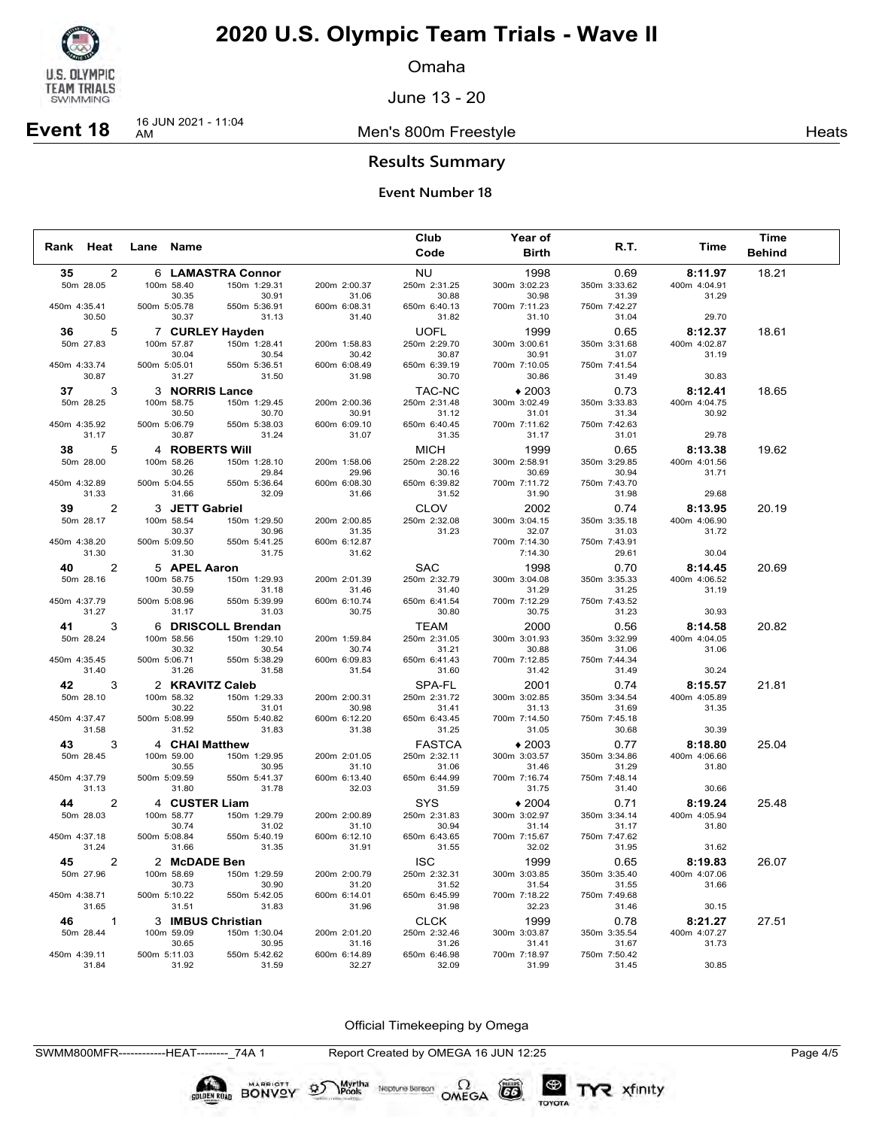

Omaha

June 13 - 20

**Event 18** 16 JUN 2021 - 11:04

Men's 800m Freestyle **Heats Heats** 

### **Results Summary**

### **Event Number 18**

|              |                |              |                            |                       |                       | Club                  | Year of               |                       |                         | <b>Time</b>   |  |
|--------------|----------------|--------------|----------------------------|-----------------------|-----------------------|-----------------------|-----------------------|-----------------------|-------------------------|---------------|--|
| Rank Heat    |                | Lane Name    |                            |                       |                       | Code                  | <b>Birth</b>          | R.T.                  | Time                    | <b>Behind</b> |  |
| 35           | 2              |              |                            | 6 LAMASTRA Connor     |                       | <b>NU</b>             | 1998                  | 0.69                  | 8:11.97                 | 18.21         |  |
|              | 50m 28.05      |              | 100m 58.40                 | 150m 1:29.31          | 200m 2:00.37          | 250m 2:31.25          | 300m 3:02.23          | 350m 3:33.62          | 400m 4:04.91            |               |  |
|              |                |              | 30.35                      | 30.91                 | 31.06                 | 30.88                 | 30.98                 | 31.39                 | 31.29                   |               |  |
| 450m 4:35.41 |                | 500m 5:05.78 |                            | 550m 5:36.91          | 600m 6:08.31          | 650m 6:40.13          | 700m 7:11.23          | 750m 7:42.27          |                         |               |  |
|              | 30.50          |              | 30.37                      | 31.13                 | 31.40                 | 31.82                 | 31.10                 | 31.04                 | 29.70                   |               |  |
|              | 36<br>5        |              |                            | 7 CURLEY Hayden       |                       | <b>UOFL</b>           | 1999                  | 0.65                  | 8:12.37                 | 18.61         |  |
|              | 50m 27.83      |              | 100m 57.87                 | 150m 1:28.41          | 200m 1:58.83          | 250m 2:29.70          | 300m 3:00.61          | 350m 3:31.68          | 400m 4:02.87            |               |  |
| 450m 4:33.74 |                | 500m 5:05.01 | 30.04                      | 30.54<br>550m 5:36.51 | 30.42<br>600m 6:08.49 | 30.87<br>650m 6:39.19 | 30.91<br>700m 7:10.05 | 31.07<br>750m 7:41.54 | 31.19                   |               |  |
|              | 30.87          |              | 31.27                      | 31.50                 | 31.98                 | 30.70                 | 30.86                 | 31.49                 | 30.83                   |               |  |
|              | 37<br>3        |              | 3 NORRIS Lance             |                       |                       | <b>TAC-NC</b>         | $*2003$               | 0.73                  | 8:12.41                 | 18.65         |  |
|              | 50m 28.25      |              | 100m 58.75                 | 150m 1:29.45          | 200m 2:00.36          | 250m 2:31.48          | 300m 3:02.49          | 350m 3:33.83          | 400m 4:04.75            |               |  |
|              |                |              | 30.50                      | 30.70                 | 30.91                 | 31.12                 | 31.01                 | 31.34                 | 30.92                   |               |  |
| 450m 4:35.92 |                | 500m 5:06.79 |                            | 550m 5:38.03          | 600m 6:09.10          | 650m 6:40.45          | 700m 7:11.62          | 750m 7:42.63          |                         |               |  |
|              | 31.17          |              | 30.87                      | 31.24                 | 31.07                 | 31.35                 | 31.17                 | 31.01                 | 29.78                   |               |  |
|              | 38 7<br>5      |              | 4 ROBERTS Will             |                       |                       | <b>MICH</b>           | 1999                  | 0.65                  | 8:13.38                 | 19.62         |  |
|              | 50m 28.00      |              | 100m 58.26                 | 150m 1:28.10          | 200m 1:58.06          | 250m 2:28.22          | 300m 2:58.91          | 350m 3:29.85          | 400m 4:01.56            |               |  |
|              |                |              | 30.26                      | 29.84                 | 29.96                 | 30.16                 | 30.69                 | 30.94                 | 31.71                   |               |  |
| 450m 4:32.89 |                | 500m 5:04.55 |                            | 550m 5:36.64          | 600m 6:08.30          | 650m 6:39.82          | 700m 7:11.72          | 750m 7:43.70          |                         |               |  |
|              | 31.33          |              | 31.66                      | 32.09                 | 31.66                 | 31.52                 | 31.90                 | 31.98                 | 29.68                   |               |  |
|              | 39<br>2        |              | 3 JETT Gabriel             |                       |                       | <b>CLOV</b>           | 2002                  | 0.74                  | 8:13.95                 | 20.19         |  |
|              | 50m 28.17      |              | 100m 58.54                 | 150m 1:29.50          | 200m 2:00.85          | 250m 2:32.08          | 300m 3:04.15          | 350m 3:35.18          | 400m 4:06.90            |               |  |
| 450m 4:38.20 |                | 500m 5:09.50 | 30.37                      | 30.96<br>550m 5:41.25 | 31.35<br>600m 6:12.87 | 31.23                 | 32.07<br>700m 7:14.30 | 31.03<br>750m 7:43.91 | 31.72                   |               |  |
|              | 31.30          |              | 31.30                      | 31.75                 | 31.62                 |                       | 7:14.30               | 29.61                 | 30.04                   |               |  |
|              | 2              |              | 5 APEL Aaron               |                       |                       | SAC                   | 1998                  | 0.70                  | 8:14.45                 | 20.69         |  |
|              | 50m 28.16      |              | 100m 58.75                 | 150m 1:29.93          | 200m 2:01.39          | 250m 2:32.79          | 300m 3:04.08          | 350m 3:35.33          | 400m 4:06.52            |               |  |
|              |                |              | 30.59                      | 31.18                 | 31.46                 | 31.40                 | 31.29                 | 31.25                 | 31.19                   |               |  |
| 450m 4:37.79 |                | 500m 5:08.96 |                            | 550m 5:39.99          | 600m 6:10.74          | 650m 6:41.54          | 700m 7:12.29          | 750m 7:43.52          |                         |               |  |
|              | 31.27          |              | 31.17                      | 31.03                 | 30.75                 | 30.80                 | 30.75                 | 31.23                 | 30.93                   |               |  |
|              | 41 - 1<br>3    |              |                            | 6 DRISCOLL Brendan    |                       | TEAM                  | 2000                  | 0.56                  | 8:14.58                 | 20.82         |  |
|              | 50m 28.24      |              | 100m 58.56                 | 150m 1:29.10          | 200m 1:59.84          | 250m 2:31.05          | 300m 3:01.93          | 350m 3:32.99          | 400m 4:04.05            |               |  |
|              |                |              | 30.32                      | 30.54                 | 30.74                 | 31.21                 | 30.88                 | 31.06                 | 31.06                   |               |  |
| 450m 4:35.45 |                | 500m 5:06.71 |                            | 550m 5:38.29          | 600m 6:09.83          | 650m 6:41.43          | 700m 7:12.85          | 750m 7:44.34          |                         |               |  |
|              | 31.40          |              | 31.26                      | 31.58                 | 31.54                 | 31.60                 | 31.42                 | 31.49                 | 30.24                   |               |  |
|              | 42 —<br>3      |              |                            | 2 KRAVITZ Caleb       |                       | SPA-FL                | 2001                  | 0.74                  | 8:15.57                 | 21.81         |  |
|              | 50m 28.10      |              | 100m 58.32<br>30.22        | 150m 1:29.33<br>31.01 | 200m 2:00.31<br>30.98 | 250m 2:31.72<br>31.41 | 300m 3:02.85<br>31.13 | 350m 3:34.54<br>31.69 | 400m 4:05.89<br>31.35   |               |  |
| 450m 4:37.47 |                | 500m 5:08.99 |                            | 550m 5:40.82          | 600m 6:12.20          | 650m 6:43.45          | 700m 7:14.50          | 750m 7:45.18          |                         |               |  |
|              | 31.58          |              | 31.52                      | 31.83                 | 31.38                 | 31.25                 | 31.05                 | 30.68                 | 30.39                   |               |  |
|              | 43<br>3        |              | 4 CHAI Matthew             |                       |                       | <b>FASTCA</b>         | $*2003$               | 0.77                  | 8:18.80                 | 25.04         |  |
|              | 50m 28.45      |              | 100m 59.00                 | 150m 1:29.95          | 200m 2:01.05          | 250m 2:32.11          | 300m 3:03.57          | 350m 3:34.86          | 400m 4:06.66            |               |  |
|              |                |              | 30.55                      | 30.95                 | 31.10                 | 31.06                 | 31.46                 | 31.29                 | 31.80                   |               |  |
| 450m 4:37.79 |                | 500m 5:09.59 |                            | 550m 5:41.37          | 600m 6:13.40          | 650m 6:44.99          | 700m 7:16.74          | 750m 7:48.14          |                         |               |  |
|              | 31.13          |              | 31.80                      | 31.78                 | 32.03                 | 31.59                 | 31.75                 | 31.40                 | 30.66                   |               |  |
|              | 44 — 1<br>2    |              | 4 CUSTER Liam              |                       |                       | <b>SYS</b>            | $*2004$               | 0.71                  | 8:19.24                 | 25.48         |  |
|              | 50m 28.03      |              | 100m 58.77                 | 150m 1:29.79          | 200m 2:00.89          | 250m 2:31.83          | 300m 3:02.97          | 350m 3:34.14          | 400m 4:05.94            |               |  |
|              |                |              | 30.74                      | 31.02                 | 31.10                 | 30.94<br>650m 6:43.65 | 31.14                 | 31.17                 | 31.80                   |               |  |
| 450m 4:37.18 | 31.24          | 500m 5:08.84 | 31.66                      | 550m 5:40.19<br>31.35 | 600m 6:12.10<br>31.91 | 31.55                 | 700m 7:15.67<br>32.02 | 750m 7:47.62<br>31.95 | 31.62                   |               |  |
|              | 45             |              |                            |                       |                       | <b>ISC</b>            |                       |                       |                         |               |  |
|              | 2<br>50m 27.96 |              | 2 McDADE Ben<br>100m 58.69 | 150m 1:29.59          | 200m 2:00.79          | 250m 2:32.31          | 1999<br>300m 3:03.85  | 0.65<br>350m 3:35.40  | 8:19.83<br>400m 4:07.06 | 26.07         |  |
|              |                |              | 30.73                      | 30.90                 | 31.20                 | 31.52                 | 31.54                 | 31.55                 | 31.66                   |               |  |
| 450m 4:38.71 |                | 500m 5:10.22 |                            | 550m 5:42.05          | 600m 6:14.01          | 650m 6:45.99          | 700m 7:18.22          | 750m 7:49.68          |                         |               |  |
|              | 31.65          |              | 31.51                      | 31.83                 | 31.96                 | 31.98                 | 32.23                 | 31.46                 | 30.15                   |               |  |
|              | 46 1           |              |                            | 3 IMBUS Christian     |                       | <b>CLCK</b>           | 1999                  | 0.78                  | 8:21.27                 | 27.51         |  |
|              | 50m 28.44      |              | 100m 59.09                 | 150m 1:30.04          | 200m 2:01.20          | 250m 2:32.46          | 300m 3:03.87          | 350m 3:35.54          | 400m 4:07.27            |               |  |
|              |                |              | 30.65                      | 30.95                 | 31.16                 | 31.26                 | 31.41                 | 31.67                 | 31.73                   |               |  |
| 450m 4:39.11 |                | 500m 5:11.03 |                            | 550m 5:42.62          | 600m 6:14.89          | 650m 6:46.98          | 700m 7:18.97          | 750m 7:50.42          |                         |               |  |
|              | 31.84          |              | 31.92                      | 31.59                 | 32.27                 | 32.09                 | 31.99                 | 31.45                 | 30.85                   |               |  |

Official Timekeeping by Omega

Neptune Berson  $\Omega$ <br>OMEGA

 $(G)$ 

TOYOTA

TYR xfinity

SWMM800MFR------------HEAT--------\_74A 1 Report Created by OMEGA 16 JUN 12:25 Page 4/5

BONVOY 9

Myrtha<br>Pools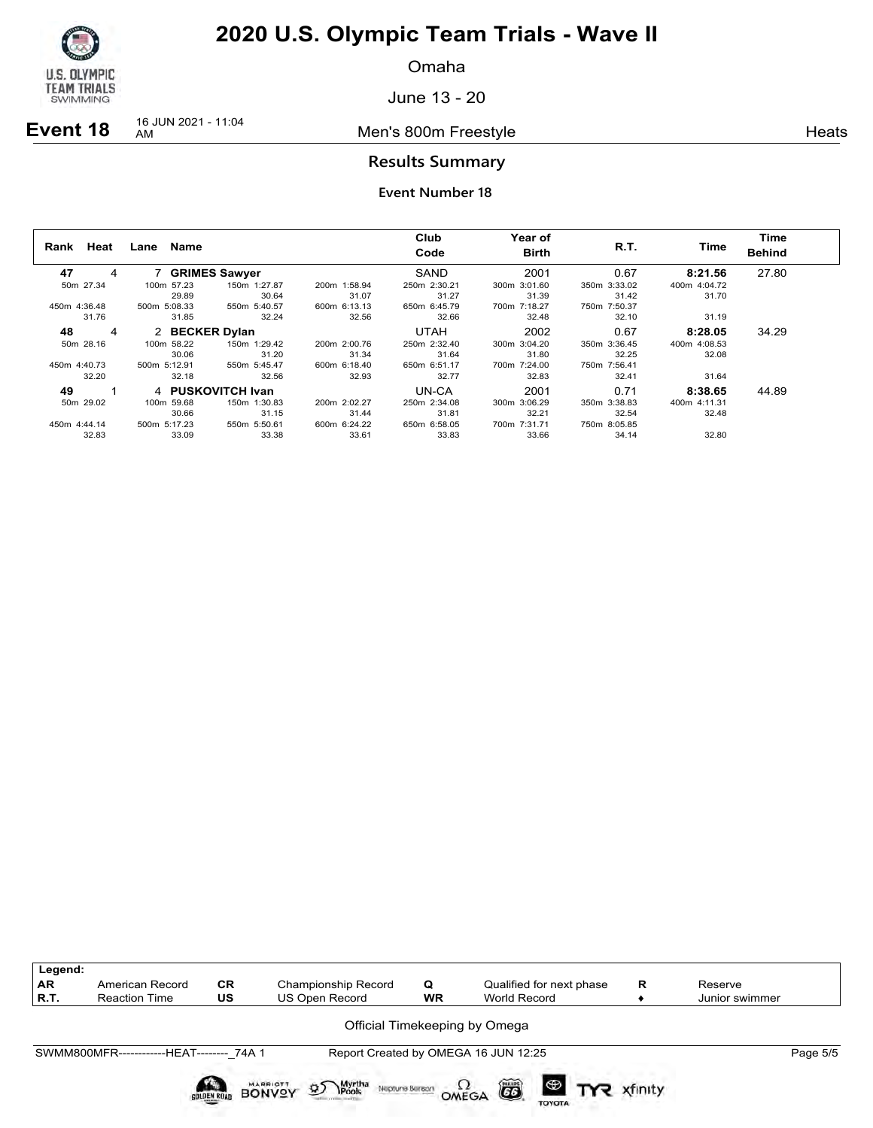

Omaha

June 13 - 20

**Event 18** 16 JUN 2021 - 11:04

Men's 800m Freestyle **Heats Heats** 

## **Results Summary**

| Heat<br>Rank | Name<br>Lane   |                      |              | Club<br>Code | Year of<br><b>Birth</b> | R.T.         | Time         | Time<br><b>Behind</b> |
|--------------|----------------|----------------------|--------------|--------------|-------------------------|--------------|--------------|-----------------------|
| 47<br>4      |                | <b>GRIMES Sawyer</b> |              | SAND         | 2001                    | 0.67         | 8:21.56      | 27.80                 |
| 50m 27.34    | 100m 57.23     | 150m 1:27.87         | 200m 1:58.94 | 250m 2:30.21 | 300m 3:01.60            | 350m 3:33.02 | 400m 4:04.72 |                       |
|              | 29.89          | 30.64                | 31.07        | 31.27        | 31.39                   | 31.42        | 31.70        |                       |
| 450m 4:36.48 | 500m 5:08.33   | 550m 5:40.57         | 600m 6:13.13 | 650m 6:45.79 | 700m 7:18.27            | 750m 7:50.37 |              |                       |
| 31.76        | 31.85          | 32.24                | 32.56        | 32.66        | 32.48                   | 32.10        | 31.19        |                       |
| 48<br>4      | 2 BECKER Dylan |                      |              | <b>UTAH</b>  | 2002                    | 0.67         | 8:28.05      | 34.29                 |
| 50m 28.16    | 100m 58.22     | 150m 1:29.42         | 200m 2:00.76 | 250m 2:32.40 | 300m 3:04.20            | 350m 3:36.45 | 400m 4:08.53 |                       |
|              | 30.06          | 31.20                | 31.34        | 31.64        | 31.80                   | 32.25        | 32.08        |                       |
| 450m 4:40.73 | 500m 5:12.91   | 550m 5:45.47         | 600m 6:18.40 | 650m 6:51.17 | 700m 7:24.00            | 750m 7:56.41 |              |                       |
| 32.20        | 32.18          | 32.56                | 32.93        | 32.77        | 32.83                   | 32.41        | 31.64        |                       |
| 49           |                | 4 PUSKOVITCH Ivan    |              | UN-CA        | 2001                    | 0.71         | 8:38.65      | 44.89                 |
| 50m 29.02    | 100m 59.68     | 150m 1:30.83         | 200m 2:02.27 | 250m 2:34.08 | 300m 3:06.29            | 350m 3:38.83 | 400m 4:11.31 |                       |
|              | 30.66          | 31.15                | 31.44        | 31.81        | 32.21                   | 32.54        | 32.48        |                       |
| 450m 4:44.14 | 500m 5:17.23   | 550m 5:50.61         | 600m 6:24.22 | 650m 6:58.05 | 700m 7:31.71            | 750m 8:05.85 |              |                       |
| 32.83        | 33.09          | 33.38                | 33.61        | 33.83        | 33.66                   | 34.14        | 32.80        |                       |

| Legend:<br>AR<br> R.T. | American Record<br><b>Reaction Time</b>   | <b>CR</b><br>US    | Championship Record<br>US Open Record                         | Q<br><b>WR</b> | Qualified for next phase<br>World Record   | R       | Reserve<br>Junior swimmer |          |
|------------------------|-------------------------------------------|--------------------|---------------------------------------------------------------|----------------|--------------------------------------------|---------|---------------------------|----------|
|                        |                                           |                    |                                                               |                | Official Timekeeping by Omega              |         |                           |          |
|                        | SWMM800MFR-------------HEAT-------- 74A 1 |                    |                                                               |                | Report Created by OMEGA 16 JUN 12:25       |         |                           | Page 5/5 |
|                        |                                           | SOLDEN ROAD BONVOY | <b>Myrtha</b><br>MARRIOTT<br>$\mathfrak{D}$<br>Neptune Beraon |                | ã<br>$\bigoplus$<br>OMEGA<br><b>TOYOTA</b> | xfinity |                           |          |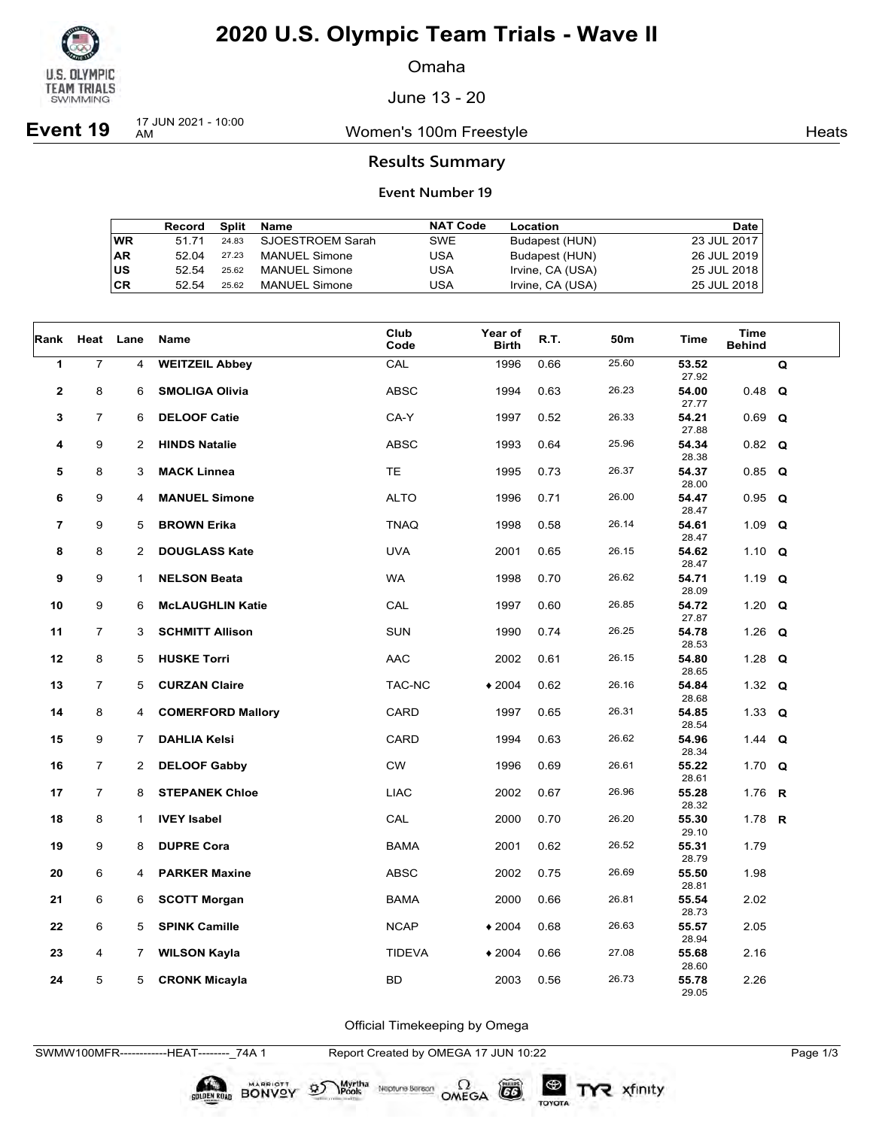

Omaha

June 13 - 20

**Event 19** 17 JUN 2021 - 10:00

Women's 100m Freestyle **Heats** Heats

### **Results Summary**

#### **Event Number 19**

|    | Record | Split | Name                 | <b>NAT Code</b> | Location         | <b>Date</b> |
|----|--------|-------|----------------------|-----------------|------------------|-------------|
| WR | 51 71  | 24.83 | SJOESTROEM Sarah     | SWE             | Budapest (HUN)   | 23 JUL 2017 |
| AR | 52.04  | 27.23 | <b>MANUEL Simone</b> | USA             | Budapest (HUN)   | 26 JUL 2019 |
| US | 52.54  | 25.62 | <b>MANUEL Simone</b> | USA             | Irvine, CA (USA) | 25 JUL 2018 |
| СR | 52.54  | 25.62 | <b>MANUEL Simone</b> | USA             | Irvine, CA (USA) | 25 JUL 2018 |

| Rank           | Heat Lane      |                | Name                     | Club<br>Code  | Year of<br><b>Birth</b> | R.T. | 50m   | Time           | <b>Time</b><br><b>Behind</b> |   |
|----------------|----------------|----------------|--------------------------|---------------|-------------------------|------|-------|----------------|------------------------------|---|
| 1              | $\overline{7}$ | 4              | <b>WEITZEIL Abbey</b>    | CAL           | 1996                    | 0.66 | 25.60 | 53.52<br>27.92 |                              | Q |
| $\mathbf{2}$   | 8              | 6              | <b>SMOLIGA Olivia</b>    | <b>ABSC</b>   | 1994                    | 0.63 | 26.23 | 54.00<br>27.77 | $0.48$ Q                     |   |
| 3              | $\overline{7}$ | 6              | <b>DELOOF Catie</b>      | CA-Y          | 1997                    | 0.52 | 26.33 | 54.21<br>27.88 | 0.69                         | Q |
| 4              | 9              | 2              | <b>HINDS Natalie</b>     | <b>ABSC</b>   | 1993                    | 0.64 | 25.96 | 54.34<br>28.38 | $0.82$ Q                     |   |
| 5              | 8              | 3              | <b>MACK Linnea</b>       | <b>TE</b>     | 1995                    | 0.73 | 26.37 | 54.37<br>28.00 | $0.85$ Q                     |   |
| 6              | 9              | 4              | <b>MANUEL Simone</b>     | <b>ALTO</b>   | 1996                    | 0.71 | 26.00 | 54.47<br>28.47 | $0.95$ Q                     |   |
| $\overline{7}$ | 9              | 5              | <b>BROWN Erika</b>       | <b>TNAQ</b>   | 1998                    | 0.58 | 26.14 | 54.61<br>28.47 | 1.09 $Q$                     |   |
| 8              | 8              | 2              | <b>DOUGLASS Kate</b>     | <b>UVA</b>    | 2001                    | 0.65 | 26.15 | 54.62<br>28.47 | 1.10 $Q$                     |   |
| 9              | 9              | $\mathbf 1$    | <b>NELSON Beata</b>      | <b>WA</b>     | 1998                    | 0.70 | 26.62 | 54.71<br>28.09 | 1.19 $Q$                     |   |
| 10             | 9              | 6              | <b>McLAUGHLIN Katie</b>  | CAL           | 1997                    | 0.60 | 26.85 | 54.72<br>27.87 | 1.20 $Q$                     |   |
| 11             | $\overline{7}$ | 3              | <b>SCHMITT Allison</b>   | <b>SUN</b>    | 1990                    | 0.74 | 26.25 | 54.78<br>28.53 | 1.26 $Q$                     |   |
| 12             | 8              | 5              | <b>HUSKE Torri</b>       | AAC           | 2002                    | 0.61 | 26.15 | 54.80<br>28.65 | 1.28 $Q$                     |   |
| 13             | $\overline{7}$ | 5              | <b>CURZAN Claire</b>     | TAC-NC        | $*2004$                 | 0.62 | 26.16 | 54.84<br>28.68 | 1.32 $Q$                     |   |
| 14             | 8              | 4              | <b>COMERFORD Mallory</b> | CARD          | 1997                    | 0.65 | 26.31 | 54.85<br>28.54 | 1.33 $Q$                     |   |
| 15             | 9              | 7              | <b>DAHLIA Kelsi</b>      | <b>CARD</b>   | 1994                    | 0.63 | 26.62 | 54.96<br>28.34 | 1.44 <b>Q</b>                |   |
| 16             | $\overline{7}$ | $\overline{2}$ | <b>DELOOF Gabby</b>      | CW            | 1996                    | 0.69 | 26.61 | 55.22<br>28.61 | 1.70 $Q$                     |   |
| 17             | $\overline{7}$ | 8              | <b>STEPANEK Chloe</b>    | <b>LIAC</b>   | 2002                    | 0.67 | 26.96 | 55.28<br>28.32 | 1.76 <b>R</b>                |   |
| 18             | 8              | $\mathbf{1}$   | <b>IVEY Isabel</b>       | CAL           | 2000                    | 0.70 | 26.20 | 55.30<br>29.10 | 1.78 <b>R</b>                |   |
| 19             | 9              | 8              | <b>DUPRE Cora</b>        | <b>BAMA</b>   | 2001                    | 0.62 | 26.52 | 55.31<br>28.79 | 1.79                         |   |
| 20             | 6              | 4              | <b>PARKER Maxine</b>     | <b>ABSC</b>   | 2002                    | 0.75 | 26.69 | 55.50<br>28.81 | 1.98                         |   |
| 21             | 6              | 6              | <b>SCOTT Morgan</b>      | <b>BAMA</b>   | 2000                    | 0.66 | 26.81 | 55.54<br>28.73 | 2.02                         |   |
| 22             | 6              | 5              | <b>SPINK Camille</b>     | <b>NCAP</b>   | $*2004$                 | 0.68 | 26.63 | 55.57<br>28.94 | 2.05                         |   |
| 23             | 4              | 7              | <b>WILSON Kayla</b>      | <b>TIDEVA</b> | $*2004$                 | 0.66 | 27.08 | 55.68<br>28.60 | 2.16                         |   |
| 24             | 5              | 5              | <b>CRONK Micayla</b>     | <b>BD</b>     | 2003                    | 0.56 | 26.73 | 55.78<br>29.05 | 2.26                         |   |

Official Timekeeping by Omega

SWMW100MFR------------HEAT--------\_74A 1 Report Created by OMEGA 17 JUN 10:22 Page 1/3

SOLDEN ROAD BONVOY 95

Neptune Bergan  $\Omega$ <br>OMEGA

 $G6$ 

TOYOTA

Myrtha<br>Pools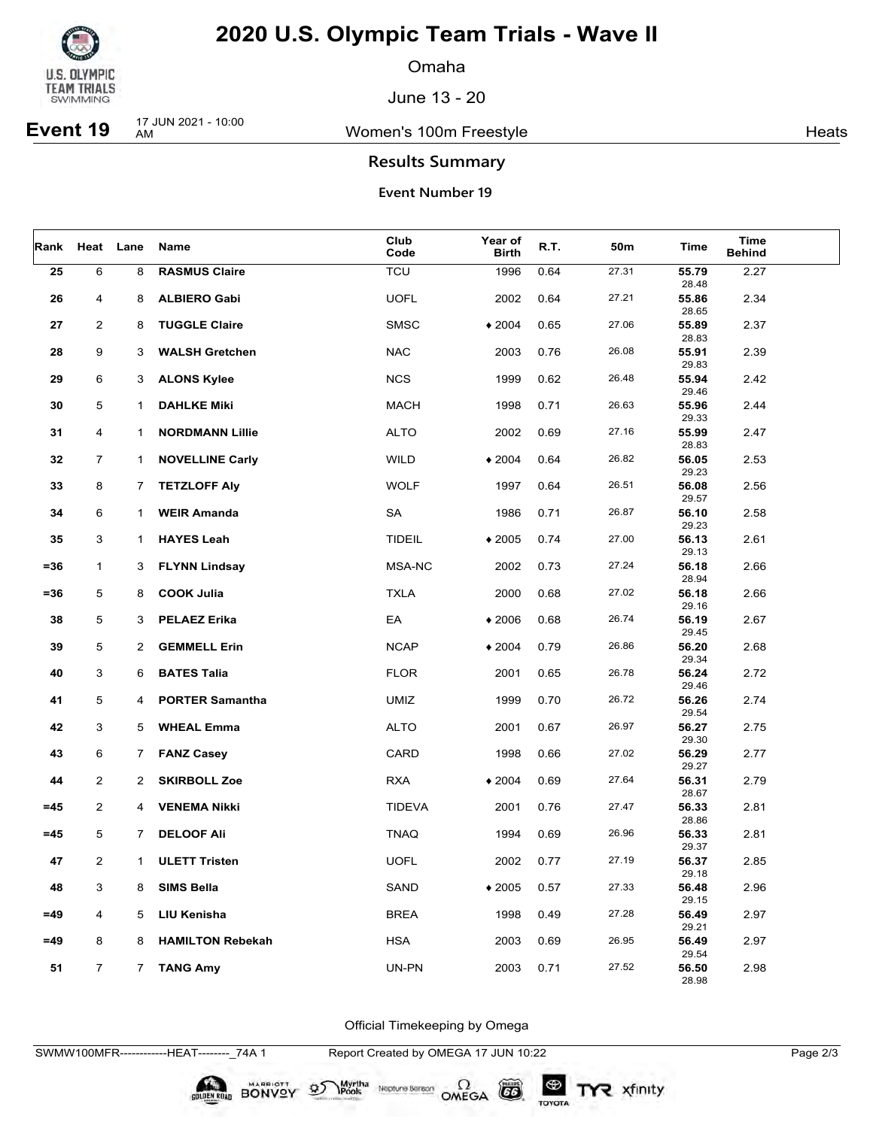

Omaha

June 13 - 20

**Event 19** 17 JUN 2021 - 10:00

Women's 100m Freestyle **Heats** Heats

## **Results Summary**

### **Event Number 19**

| Rank   |                         | Heat Lane             | Name                    | Club<br>Code  | Year of<br><b>Birth</b> | R.T. | 50m   | Time                    | Time<br><b>Behind</b> |  |
|--------|-------------------------|-----------------------|-------------------------|---------------|-------------------------|------|-------|-------------------------|-----------------------|--|
| 25     | 6                       | 8                     | <b>RASMUS Claire</b>    | <b>TCU</b>    | 1996                    | 0.64 | 27.31 | 55.79<br>28.48          | 2.27                  |  |
| 26     | 4                       | 8                     | <b>ALBIERO Gabi</b>     | <b>UOFL</b>   | 2002                    | 0.64 | 27.21 | 55.86<br>28.65          | 2.34                  |  |
| 27     | $\overline{c}$          | 8                     | <b>TUGGLE Claire</b>    | <b>SMSC</b>   | $*2004$                 | 0.65 | 27.06 | 55.89<br>28.83          | 2.37                  |  |
| 28     | 9                       | 3                     | <b>WALSH Gretchen</b>   | <b>NAC</b>    | 2003                    | 0.76 | 26.08 | 55.91<br>29.83          | 2.39                  |  |
| 29     | 6                       | 3                     | <b>ALONS Kylee</b>      | <b>NCS</b>    | 1999                    | 0.62 | 26.48 | 55.94<br>29.46          | 2.42                  |  |
| 30     | 5                       | 1                     | <b>DAHLKE Miki</b>      | <b>MACH</b>   | 1998                    | 0.71 | 26.63 | 55.96<br>29.33          | 2.44                  |  |
| 31     | 4                       | $\mathbf 1$           | <b>NORDMANN Lillie</b>  | <b>ALTO</b>   | 2002                    | 0.69 | 27.16 | 55.99<br>28.83          | 2.47                  |  |
| 32     | $\overline{7}$          | $\mathbf{1}$          | <b>NOVELLINE Carly</b>  | <b>WILD</b>   | $*2004$                 | 0.64 | 26.82 | 56.05                   | 2.53                  |  |
| 33     | 8                       | 7                     | <b>TETZLOFF Aly</b>     | <b>WOLF</b>   | 1997                    | 0.64 | 26.51 | 29.23<br>56.08<br>29.57 | 2.56                  |  |
| 34     | 6                       | $\mathbf{1}$          | <b>WEIR Amanda</b>      | SA            | 1986                    | 0.71 | 26.87 | 56.10<br>29.23          | 2.58                  |  |
| 35     | 3                       | $\mathbf 1$           | <b>HAYES Leah</b>       | <b>TIDEIL</b> | $*2005$                 | 0.74 | 27.00 | 56.13<br>29.13          | 2.61                  |  |
| $= 36$ | $\mathbf{1}$            | 3                     | <b>FLYNN Lindsay</b>    | MSA-NC        | 2002                    | 0.73 | 27.24 | 56.18<br>28.94          | 2.66                  |  |
| $= 36$ | 5                       | 8                     | <b>COOK Julia</b>       | <b>TXLA</b>   | 2000                    | 0.68 | 27.02 | 56.18<br>29.16          | 2.66                  |  |
| 38     | 5                       | 3                     | <b>PELAEZ Erika</b>     | EA            | $*2006$                 | 0.68 | 26.74 | 56.19<br>29.45          | 2.67                  |  |
| 39     | 5                       | $\mathbf{2}^{\prime}$ | <b>GEMMELL Erin</b>     | <b>NCAP</b>   | $*2004$                 | 0.79 | 26.86 | 56.20<br>29.34          | 2.68                  |  |
| 40     | 3                       | 6                     | <b>BATES Talia</b>      | <b>FLOR</b>   | 2001                    | 0.65 | 26.78 | 56.24<br>29.46          | 2.72                  |  |
| 41     | 5                       | 4                     | <b>PORTER Samantha</b>  | <b>UMIZ</b>   | 1999                    | 0.70 | 26.72 | 56.26<br>29.54          | 2.74                  |  |
| 42     | 3                       | 5                     | <b>WHEAL Emma</b>       | <b>ALTO</b>   | 2001                    | 0.67 | 26.97 | 56.27<br>29.30          | 2.75                  |  |
| 43     | 6                       | $7^{\circ}$           | <b>FANZ Casey</b>       | CARD          | 1998                    | 0.66 | 27.02 | 56.29<br>29.27          | 2.77                  |  |
| 44     | $\overline{2}$          | $\mathbf{2}$          | <b>SKIRBOLL Zoe</b>     | <b>RXA</b>    | $*2004$                 | 0.69 | 27.64 | 56.31<br>28.67          | 2.79                  |  |
| $=45$  | $\overline{2}$          | 4                     | <b>VENEMA Nikki</b>     | <b>TIDEVA</b> | 2001                    | 0.76 | 27.47 | 56.33<br>28.86          | 2.81                  |  |
| $=45$  | 5                       | 7                     | <b>DELOOF Ali</b>       | <b>TNAQ</b>   | 1994                    | 0.69 | 26.96 | 56.33<br>29.37          | 2.81                  |  |
| 47     | $\overline{\mathbf{c}}$ | $\mathbf{1}$          | <b>ULETT Tristen</b>    | <b>UOFL</b>   | 2002                    | 0.77 | 27.19 | 56.37<br>29.18          | 2.85                  |  |
| 48     | 3                       | 8                     | <b>SIMS Bella</b>       | SAND          | $*2005$                 | 0.57 | 27.33 | 56.48<br>29.15          | 2.96                  |  |
| $=49$  | 4                       | 5                     | LIU Kenisha             | <b>BREA</b>   | 1998                    | 0.49 | 27.28 | 56.49<br>29.21          | 2.97                  |  |
| $=49$  | 8                       | 8                     | <b>HAMILTON Rebekah</b> | <b>HSA</b>    | 2003                    | 0.69 | 26.95 | 56.49<br>29.54          | 2.97                  |  |
| 51     | $\overline{7}$          | $7^{\circ}$           | <b>TANG Amy</b>         | UN-PN         | 2003                    | 0.71 | 27.52 | 56.50<br>28.98          | 2.98                  |  |

Official Timekeeping by Omega

SWMW100MFR------------HEAT--------\_74A 1 Report Created by OMEGA 17 JUN 10:22 Page 2/3

SOLDEN ROAD BONVOY 95

Neptune Berson  $\Omega$ <br>OMEGA

 $(G)$ 

TOYOTA

Myrtha<br>Pools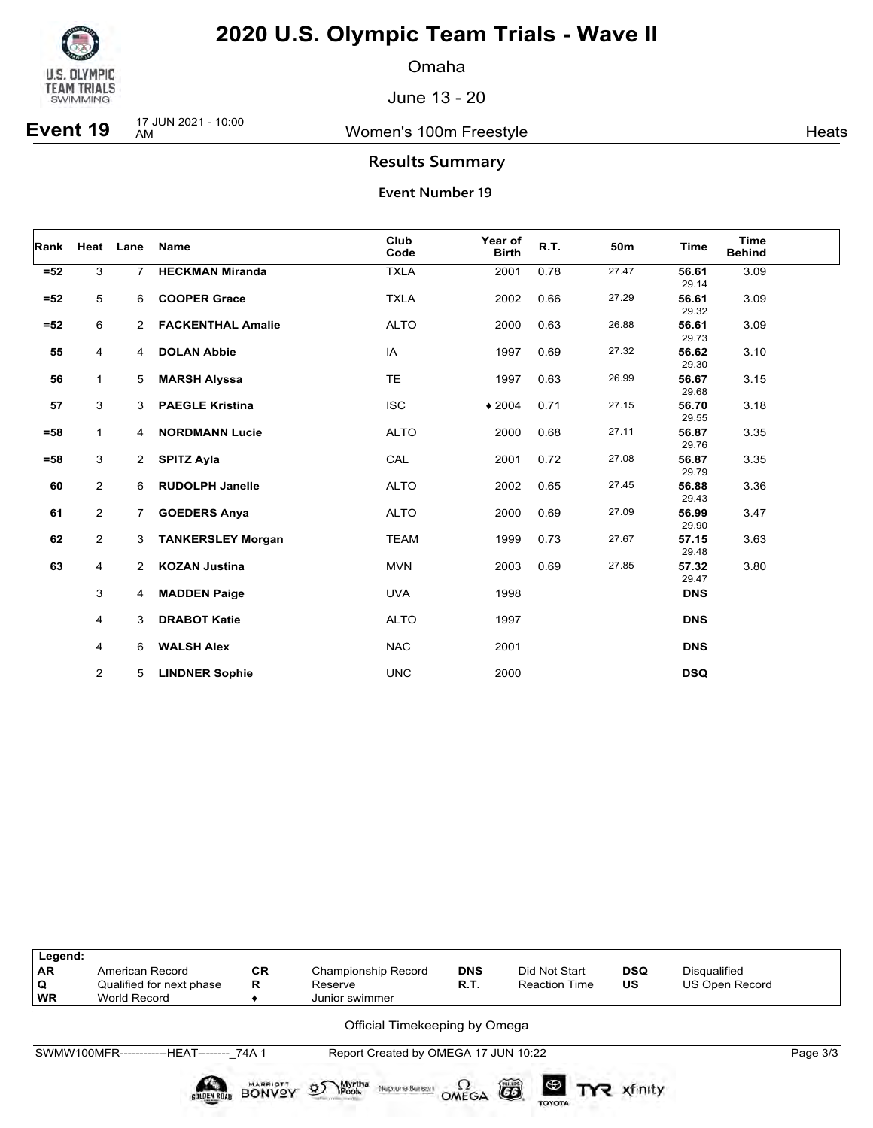

Omaha

June 13 - 20

**Event 19** 17 JUN 2021 - 10:00

Women's 100m Freestyle **Heats** Heats

## **Results Summary**

| Rank   |                | Heat Lane            | <b>Name</b>              | Club<br>Code | Year of<br><b>Birth</b> | R.T. | 50m   | <b>Time</b>    | <b>Time</b><br><b>Behind</b> |
|--------|----------------|----------------------|--------------------------|--------------|-------------------------|------|-------|----------------|------------------------------|
| $=52$  | 3              | $\overline{7}$       | <b>HECKMAN Miranda</b>   | <b>TXLA</b>  | 2001                    | 0.78 | 27.47 | 56.61<br>29.14 | 3.09                         |
| $=52$  | 5              | 6                    | <b>COOPER Grace</b>      | <b>TXLA</b>  | 2002                    | 0.66 | 27.29 | 56.61<br>29.32 | 3.09                         |
| $=52$  | 6              | $\mathbf{2}$         | <b>FACKENTHAL Amalie</b> | <b>ALTO</b>  | 2000                    | 0.63 | 26.88 | 56.61<br>29.73 | 3.09                         |
| 55     | $\overline{4}$ | 4                    | <b>DOLAN Abbie</b>       | IA           | 1997                    | 0.69 | 27.32 | 56.62<br>29.30 | 3.10                         |
| 56     | 1              | 5                    | <b>MARSH Alyssa</b>      | <b>TE</b>    | 1997                    | 0.63 | 26.99 | 56.67<br>29.68 | 3.15                         |
| 57     | $\mathbf{3}$   | 3                    | <b>PAEGLE Kristina</b>   | <b>ISC</b>   | $*2004$                 | 0.71 | 27.15 | 56.70<br>29.55 | 3.18                         |
| $=58$  | $\mathbf{1}$   | 4                    | <b>NORDMANN Lucie</b>    | <b>ALTO</b>  | 2000                    | 0.68 | 27.11 | 56.87<br>29.76 | 3.35                         |
| $= 58$ | 3              | $\mathbf{2}$         | <b>SPITZ Ayla</b>        | CAL          | 2001                    | 0.72 | 27.08 | 56.87<br>29.79 | 3.35                         |
| 60     | $\overline{2}$ | 6                    | <b>RUDOLPH Janelle</b>   | <b>ALTO</b>  | 2002                    | 0.65 | 27.45 | 56.88<br>29.43 | 3.36                         |
| 61     | $\overline{2}$ | $\overline{7}$       | <b>GOEDERS Anya</b>      | <b>ALTO</b>  | 2000                    | 0.69 | 27.09 | 56.99<br>29.90 | 3.47                         |
| 62     | $\overline{2}$ | 3                    | <b>TANKERSLEY Morgan</b> | <b>TEAM</b>  | 1999                    | 0.73 | 27.67 | 57.15<br>29.48 | 3.63                         |
| 63     | 4              | $\mathbf{2}^{\circ}$ | <b>KOZAN Justina</b>     | <b>MVN</b>   | 2003                    | 0.69 | 27.85 | 57.32<br>29.47 | 3.80                         |
|        | 3              | 4                    | <b>MADDEN Paige</b>      | <b>UVA</b>   | 1998                    |      |       | <b>DNS</b>     |                              |
|        | 4              | 3                    | <b>DRABOT Katie</b>      | <b>ALTO</b>  | 1997                    |      |       | <b>DNS</b>     |                              |
|        | 4              | 6                    | <b>WALSH Alex</b>        | <b>NAC</b>   | 2001                    |      |       | <b>DNS</b>     |                              |
|        | 2              | 5                    | <b>LINDNER Sophie</b>    | <b>UNC</b>   | 2000                    |      |       | <b>DSQ</b>     |                              |

| Legend:<br><b>AR</b><br>Q<br>WR | American Record<br>Qualified for next phase<br><b>World Record</b> | <b>CR</b><br>R                   | Championship Record<br>Reserve<br>Junior swimmer | <b>DNS</b><br>R.T. | Did Not Start<br><b>Reaction Time</b> | <b>DSQ</b><br>US | Disqualified<br><b>US Open Record</b> |          |  |  |  |
|---------------------------------|--------------------------------------------------------------------|----------------------------------|--------------------------------------------------|--------------------|---------------------------------------|------------------|---------------------------------------|----------|--|--|--|
| Official Timekeeping by Omega   |                                                                    |                                  |                                                  |                    |                                       |                  |                                       |          |  |  |  |
|                                 | SWMW100MFR-------------HEAT-------- 74A 1                          |                                  | Report Created by OMEGA 17 JUN 10:22             |                    |                                       |                  |                                       | Page 3/3 |  |  |  |
|                                 | <b>SOLDEN ROAD</b>                                                 | <b>MARRIOTT</b><br><b>BONVOY</b> | <b>95</b> Myrtha<br>Neptune Beraon               | OMEGA              | õ<br><b>TOYOTA</b>                    |                  |                                       |          |  |  |  |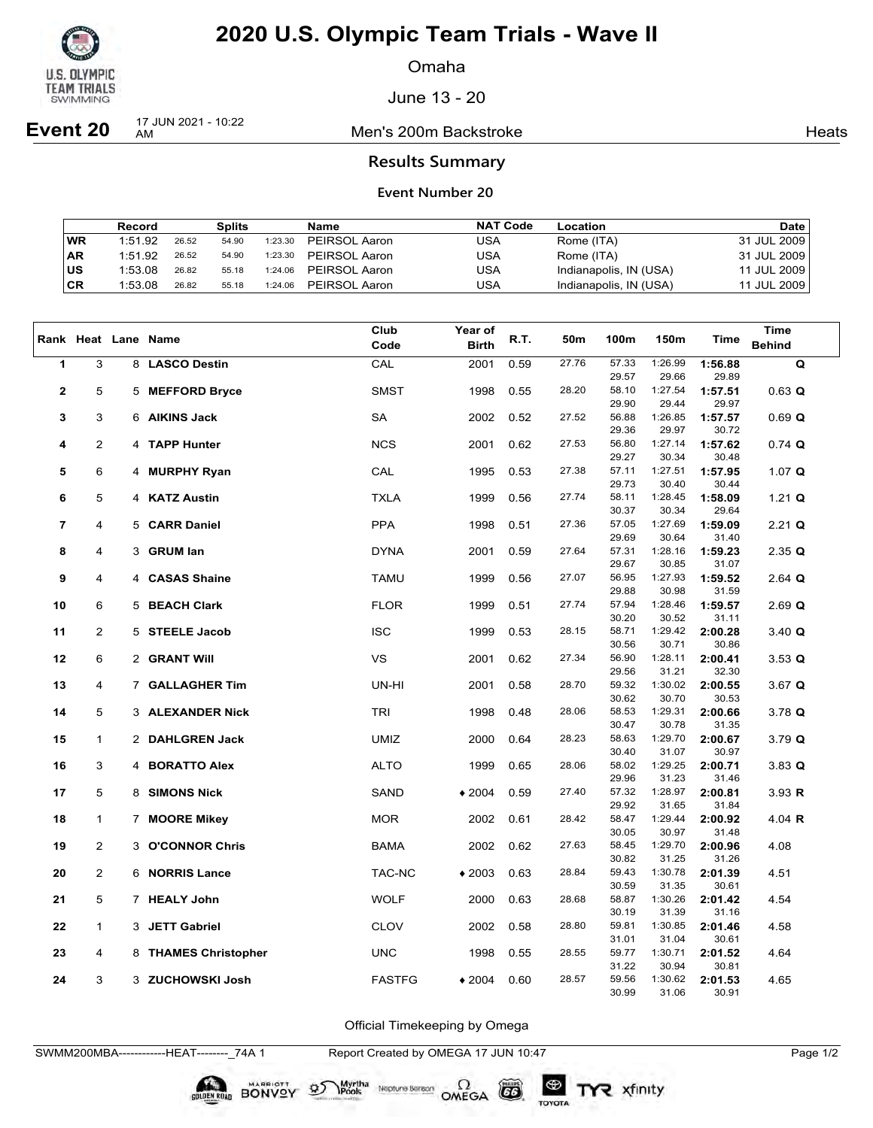

Omaha

June 13 - 20

**Event 20** 17 JUN 2021 - 10:22

Men's 200m Backstroke **Heats** Heats

### **Results Summary**

### **Event Number 20**

|           | Record  |       | <b>Splits</b> |         | Name          | <b>NAT Code</b> | Location               | <b>Date</b> |
|-----------|---------|-------|---------------|---------|---------------|-----------------|------------------------|-------------|
| WR        | 1:51.92 | 26.52 | 54.90         | 1:23.30 | PEIRSOL Aaron | USA             | Rome (ITA)             | 31 JUL 2009 |
| <b>AR</b> | 1:51.92 | 26.52 | 54.90         | 1:23.30 | PEIRSOL Aaron | USA             | Rome (ITA)             | 31 JUL 2009 |
| ∣us       | 1:53.08 | 26.82 | 55.18         | 1:24.06 | PEIRSOL Aaron | USA             | Indianapolis, IN (USA) | 11 JUL 2009 |
| CR        | 1:53.08 | 26.82 | 55.18         | 1:24.06 | PEIRSOL Aaron | USA             | Indianapolis, IN (USA) | 11 JUL 2009 |

|                |                |   |                         | Club          | Year of      |      |       |                |                  |                  | <b>Time</b>          |
|----------------|----------------|---|-------------------------|---------------|--------------|------|-------|----------------|------------------|------------------|----------------------|
|                |                |   | Rank Heat Lane Name     | Code          | <b>Birth</b> | R.T. | 50m   | 100m           | 150m             | Time             | <b>Behind</b>        |
| $\mathbf{1}$   | 3              |   | 8 LASCO Destin          | CAL           | 2001         | 0.59 | 27.76 | 57.33          | 1:26.99          | 1:56.88          | Q                    |
|                |                |   |                         |               |              |      |       | 29.57          | 29.66            | 29.89            |                      |
| $\mathbf{2}$   | 5              | 5 | <b>MEFFORD Bryce</b>    | <b>SMST</b>   | 1998         | 0.55 | 28.20 | 58.10          | 1:27.54          | 1:57.51          | $0.63$ Q             |
|                |                |   |                         |               |              |      |       | 29.90          | 29.44            | 29.97            |                      |
| 3              | 3              |   | 6 AIKINS Jack           | SA            | 2002         | 0.52 | 27.52 | 56.88          | 1:26.85          | 1:57.57          | 0.69 Q               |
|                |                |   |                         |               |              |      |       | 29.36          | 29.97            | 30.72            |                      |
| 4              | 2              |   | 4 TAPP Hunter           | <b>NCS</b>    | 2001         | 0.62 | 27.53 | 56.80          | 1:27.14          | 1:57.62          | $0.74$ Q             |
|                |                |   |                         |               |              |      |       | 29.27          | 30.34            | 30.48            |                      |
| 5              | 6              |   | 4 MURPHY Ryan           | CAL           | 1995         | 0.53 | 27.38 | 57.11          | 1:27.51          | 1:57.95          | 1.07 $Q$             |
|                |                |   |                         |               |              |      |       | 29.73          | 30.40            | 30.44            |                      |
| 6              | 5              |   | 4 KATZ Austin           | <b>TXLA</b>   | 1999         | 0.56 | 27.74 | 58.11<br>30.37 | 1:28.45<br>30.34 | 1:58.09<br>29.64 | 1.21 $Q$             |
| $\overline{7}$ | 4              |   | 5 CARR Daniel           | <b>PPA</b>    | 1998         | 0.51 | 27.36 | 57.05          | 1:27.69          | 1:59.09          | $2.21$ Q             |
|                |                |   |                         |               |              |      |       | 29.69          | 30.64            | 31.40            |                      |
| 8              | 4              | 3 | <b>GRUM lan</b>         | <b>DYNA</b>   | 2001         | 0.59 | 27.64 | 57.31          | 1:28.16          | 1:59.23          | 2.35 Q               |
|                |                |   |                         |               |              |      |       | 29.67          | 30.85            | 31.07            |                      |
| 9              | 4              |   | 4 CASAS Shaine          | <b>TAMU</b>   | 1999         | 0.56 | 27.07 | 56.95          | 1:27.93          | 1:59.52          | $2.64$ Q             |
|                |                |   |                         |               |              |      |       | 29.88          | 30.98            | 31.59            |                      |
| 10             | 6              |   | 5 BEACH Clark           | <b>FLOR</b>   | 1999         | 0.51 | 27.74 | 57.94          | 1:28.46          | 1:59.57          | $2.69$ Q             |
|                |                |   |                         |               |              |      |       | 30.20          | 30.52            | 31.11            |                      |
| 11             | 2              |   | 5 STEELE Jacob          | <b>ISC</b>    | 1999         | 0.53 | 28.15 | 58.71          | 1:29.42          | 2:00.28          | $3.40 \; \textbf{Q}$ |
|                |                |   |                         |               |              |      |       | 30.56          | 30.71            | 30.86            |                      |
| 12             | 6              |   | 2 GRANT Will            | VS            | 2001         | 0.62 | 27.34 | 56.90          | 1:28.11          | 2:00.41          | $3.53 \; \textbf{Q}$ |
|                |                |   |                         |               |              |      |       | 29.56          | 31.21            | 32.30            |                      |
| 13             | 4              |   | 7 GALLAGHER Tim         | UN-HI         | 2001         | 0.58 | 28.70 | 59.32          | 1:30.02          | 2:00.55          | $3.67$ Q             |
|                |                |   |                         |               |              |      |       | 30.62          | 30.70            | 30.53            |                      |
| 14             | 5              |   | <b>3 ALEXANDER Nick</b> | <b>TRI</b>    | 1998         | 0.48 | 28.06 | 58.53          | 1:29.31          | 2:00.66          | $3.78$ Q             |
|                |                |   |                         |               |              |      |       | 30.47          | 30.78            | 31.35            |                      |
| 15             | 1              |   | 2 DAHLGREN Jack         | <b>UMIZ</b>   | 2000         | 0.64 | 28.23 | 58.63          | 1:29.70          | 2:00.67          | 3.79 Q               |
|                |                |   |                         |               |              |      |       | 30.40          | 31.07            | 30.97            |                      |
| 16             | 3              |   | 4 BORATTO Alex          | <b>ALTO</b>   | 1999         | 0.65 | 28.06 | 58.02          | 1:29.25          | 2:00.71          | $3.83$ Q             |
|                |                |   |                         |               |              |      |       | 29.96          | 31.23            | 31.46            |                      |
| 17             | 5              | 8 | <b>SIMONS Nick</b>      | SAND          | $*2004$      | 0.59 | 27.40 | 57.32<br>29.92 | 1:28.97<br>31.65 | 2:00.81<br>31.84 | 3.93 R               |
| 18             | 1              |   |                         | <b>MOR</b>    | 2002         | 0.61 | 28.42 | 58.47          | 1:29.44          | 2:00.92          | 4.04 $R$             |
|                |                |   | 7 MOORE Mikey           |               |              |      |       | 30.05          | 30.97            | 31.48            |                      |
| 19             | $\overline{c}$ | 3 | <b>O'CONNOR Chris</b>   | <b>BAMA</b>   | 2002         | 0.62 | 27.63 | 58.45          | 1:29.70          | 2:00.96          | 4.08                 |
|                |                |   |                         |               |              |      |       | 30.82          | 31.25            | 31.26            |                      |
| 20             | 2              |   | 6 NORRIS Lance          | TAC-NC        | $*2003$      | 0.63 | 28.84 | 59.43          | 1:30.78          | 2:01.39          | 4.51                 |
|                |                |   |                         |               |              |      |       | 30.59          | 31.35            | 30.61            |                      |
| 21             | 5              |   | 7 HEALY John            | <b>WOLF</b>   | 2000         | 0.63 | 28.68 | 58.87          | 1:30.26          | 2:01.42          | 4.54                 |
|                |                |   |                         |               |              |      |       | 30.19          | 31.39            | 31.16            |                      |
| 22             | $\mathbf{1}$   |   | 3 JETT Gabriel          | <b>CLOV</b>   | 2002         | 0.58 | 28.80 | 59.81          | 1:30.85          | 2:01.46          | 4.58                 |
|                |                |   |                         |               |              |      |       | 31.01          | 31.04            | 30.61            |                      |
| 23             | 4              |   | 8 THAMES Christopher    | <b>UNC</b>    | 1998         | 0.55 | 28.55 | 59.77          | 1:30.71          | 2:01.52          | 4.64                 |
|                |                |   |                         |               |              |      |       | 31.22          | 30.94            | 30.81            |                      |
| 24             | 3              |   | 3 ZUCHOWSKI Josh        | <b>FASTFG</b> | $*2004$      | 0.60 | 28.57 | 59.56          | 1:30.62          | 2:01.53          | 4.65                 |
|                |                |   |                         |               |              |      |       | 30.99          | 31.06            | 30.91            |                      |

Official Timekeeping by Omega

Neptune Bergan  $\Omega$ <br>OMEGA

SWMM200MBA------------HEAT--------\_74A 1 Report Created by OMEGA 17 JUN 10:47 Page 1/2

Myrtha<br>Pools

BONVOY 9

 $(G)$ 

TOYOTA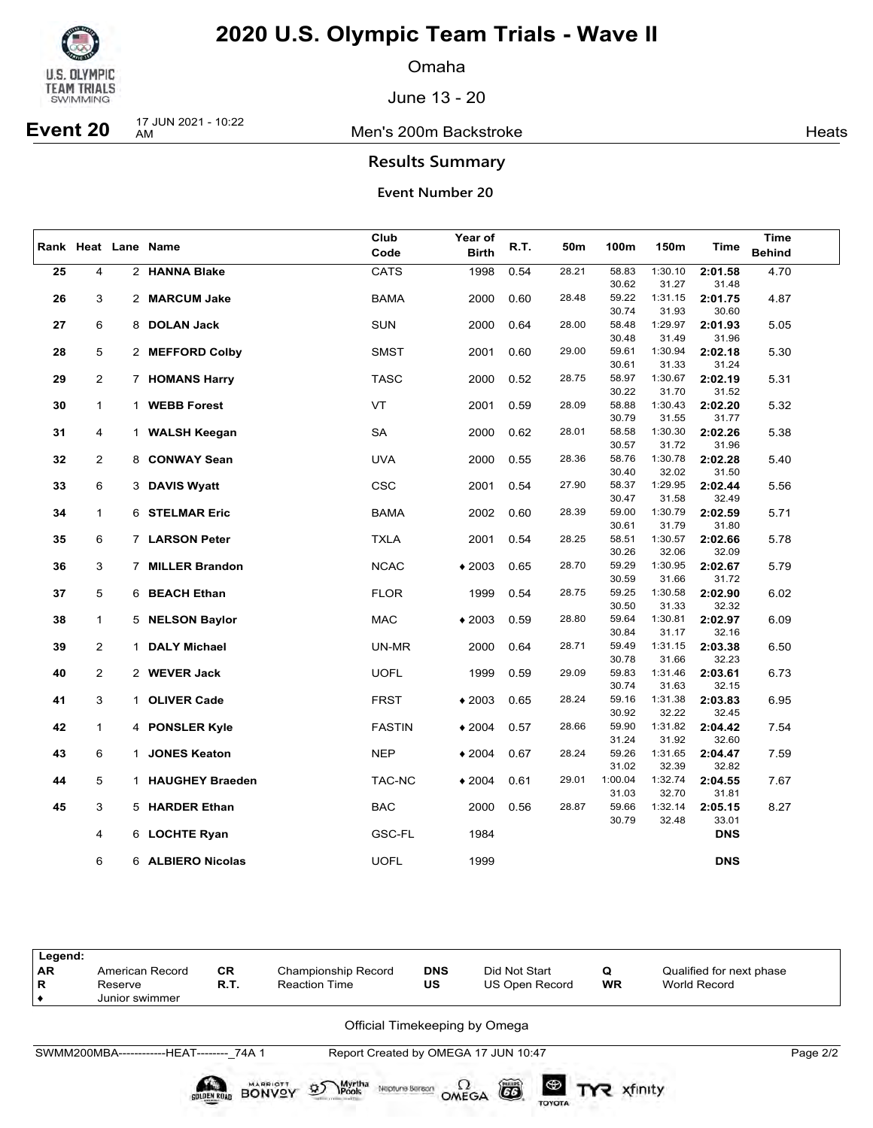

Omaha

June 13 - 20

### Men's 200m Backstroke **Heats** Heats

# **Event 20** 17 JUN 2021 - 10:22

**Results Summary**

## **Event Number 20**

| <b>Birth</b><br><b>Behind</b><br>Code<br>4<br>2 HANNA Blake<br><b>CATS</b><br>1998<br>0.54<br>28.21<br>58.83<br>1:30.10<br>2:01.58<br>4.70<br>25<br>31.27<br>31.48<br>30.62<br>28.48<br>59.22<br>1:31.15<br>26<br>3<br>2 MARCUM Jake<br>BAMA<br>2000<br>0.60<br>2:01.75<br>4.87<br>30.74<br>30.60<br>31.93<br>28.00<br>1:29.97<br>6<br><b>SUN</b><br>0.64<br>58.48<br>2:01.93<br>27<br>8 DOLAN Jack<br>2000<br>5.05<br>30.48<br>31.49<br>31.96<br>29.00<br>5<br><b>SMST</b><br>59.61<br>1:30.94<br>28<br>2 MEFFORD Colby<br>2001<br>0.60<br>2:02.18<br>5.30<br>30.61<br>31.33<br>31.24<br>29<br>$\overline{2}$<br><b>TASC</b><br>2000<br>0.52<br>28.75<br>58.97<br>1:30.67<br>2:02.19<br>7 HOMANS Harry<br>5.31<br>30.22<br>31.70<br>31.52<br>$\mathbf{1}$<br>1 WEBB Forest<br>VT<br>2001<br>28.09<br>58.88<br>1:30.43<br>2:02.20<br>30<br>0.59<br>5.32<br>30.79<br>31.55<br>31.77 | Rank Heat Lane Name | Club | Year of | R.T. | 150m<br>50m<br>100m | <b>Time</b> | Time |  |
|------------------------------------------------------------------------------------------------------------------------------------------------------------------------------------------------------------------------------------------------------------------------------------------------------------------------------------------------------------------------------------------------------------------------------------------------------------------------------------------------------------------------------------------------------------------------------------------------------------------------------------------------------------------------------------------------------------------------------------------------------------------------------------------------------------------------------------------------------------------------------------|---------------------|------|---------|------|---------------------|-------------|------|--|
|                                                                                                                                                                                                                                                                                                                                                                                                                                                                                                                                                                                                                                                                                                                                                                                                                                                                                    |                     |      |         |      |                     |             |      |  |
|                                                                                                                                                                                                                                                                                                                                                                                                                                                                                                                                                                                                                                                                                                                                                                                                                                                                                    |                     |      |         |      |                     |             |      |  |
|                                                                                                                                                                                                                                                                                                                                                                                                                                                                                                                                                                                                                                                                                                                                                                                                                                                                                    |                     |      |         |      |                     |             |      |  |
|                                                                                                                                                                                                                                                                                                                                                                                                                                                                                                                                                                                                                                                                                                                                                                                                                                                                                    |                     |      |         |      |                     |             |      |  |
|                                                                                                                                                                                                                                                                                                                                                                                                                                                                                                                                                                                                                                                                                                                                                                                                                                                                                    |                     |      |         |      |                     |             |      |  |
|                                                                                                                                                                                                                                                                                                                                                                                                                                                                                                                                                                                                                                                                                                                                                                                                                                                                                    |                     |      |         |      |                     |             |      |  |
|                                                                                                                                                                                                                                                                                                                                                                                                                                                                                                                                                                                                                                                                                                                                                                                                                                                                                    |                     |      |         |      |                     |             |      |  |
|                                                                                                                                                                                                                                                                                                                                                                                                                                                                                                                                                                                                                                                                                                                                                                                                                                                                                    |                     |      |         |      |                     |             |      |  |
|                                                                                                                                                                                                                                                                                                                                                                                                                                                                                                                                                                                                                                                                                                                                                                                                                                                                                    |                     |      |         |      |                     |             |      |  |
|                                                                                                                                                                                                                                                                                                                                                                                                                                                                                                                                                                                                                                                                                                                                                                                                                                                                                    |                     |      |         |      |                     |             |      |  |
|                                                                                                                                                                                                                                                                                                                                                                                                                                                                                                                                                                                                                                                                                                                                                                                                                                                                                    |                     |      |         |      |                     |             |      |  |
| SA<br>31<br>4<br>2000<br>0.62<br>28.01<br>58.58<br>1:30.30<br>1 WALSH Keegan<br>2:02.26<br>5.38                                                                                                                                                                                                                                                                                                                                                                                                                                                                                                                                                                                                                                                                                                                                                                                    |                     |      |         |      |                     |             |      |  |
| 30.57<br>31.72<br>31.96                                                                                                                                                                                                                                                                                                                                                                                                                                                                                                                                                                                                                                                                                                                                                                                                                                                            |                     |      |         |      |                     |             |      |  |
| 32<br>$\overline{2}$<br><b>UVA</b><br>0.55<br>1:30.78<br>8 CONWAY Sean<br>2000<br>28.36<br>58.76<br>2:02.28<br>5.40                                                                                                                                                                                                                                                                                                                                                                                                                                                                                                                                                                                                                                                                                                                                                                |                     |      |         |      |                     |             |      |  |
| 30.40<br>32.02<br>31.50                                                                                                                                                                                                                                                                                                                                                                                                                                                                                                                                                                                                                                                                                                                                                                                                                                                            |                     |      |         |      |                     |             |      |  |
| 33<br>6<br><b>CSC</b><br>2001<br>0.54<br>27.90<br>58.37<br>1:29.95<br>5.56<br>3 DAVIS Wyatt<br>2:02.44                                                                                                                                                                                                                                                                                                                                                                                                                                                                                                                                                                                                                                                                                                                                                                             |                     |      |         |      |                     |             |      |  |
| 30.47<br>31.58<br>32.49                                                                                                                                                                                                                                                                                                                                                                                                                                                                                                                                                                                                                                                                                                                                                                                                                                                            |                     |      |         |      |                     |             |      |  |
| 28.39<br>1:30.79<br>$\mathbf{1}$<br>6 STELMAR Eric<br><b>BAMA</b><br>2002<br>0.60<br>59.00<br>2:02.59<br>5.71<br>34<br>30.61<br>31.79<br>31.80                                                                                                                                                                                                                                                                                                                                                                                                                                                                                                                                                                                                                                                                                                                                     |                     |      |         |      |                     |             |      |  |
| 28.25<br>58.51<br>1:30.57<br>35<br>6<br>7 LARSON Peter<br><b>TXLA</b><br>2001<br>0.54<br>2:02.66<br>5.78                                                                                                                                                                                                                                                                                                                                                                                                                                                                                                                                                                                                                                                                                                                                                                           |                     |      |         |      |                     |             |      |  |
| 30.26<br>32.06<br>32.09                                                                                                                                                                                                                                                                                                                                                                                                                                                                                                                                                                                                                                                                                                                                                                                                                                                            |                     |      |         |      |                     |             |      |  |
| 36<br>3<br>7 MILLER Brandon<br><b>NCAC</b><br>$*2003$<br>0.65<br>28.70<br>59.29<br>1:30.95<br>2:02.67<br>5.79                                                                                                                                                                                                                                                                                                                                                                                                                                                                                                                                                                                                                                                                                                                                                                      |                     |      |         |      |                     |             |      |  |
| 30.59<br>31.66<br>31.72                                                                                                                                                                                                                                                                                                                                                                                                                                                                                                                                                                                                                                                                                                                                                                                                                                                            |                     |      |         |      |                     |             |      |  |
| 5<br>37<br>6 BEACH Ethan<br><b>FLOR</b><br>1999<br>0.54<br>28.75<br>59.25<br>1:30.58<br>2:02.90<br>6.02                                                                                                                                                                                                                                                                                                                                                                                                                                                                                                                                                                                                                                                                                                                                                                            |                     |      |         |      |                     |             |      |  |
| 30.50<br>31.33<br>32.32                                                                                                                                                                                                                                                                                                                                                                                                                                                                                                                                                                                                                                                                                                                                                                                                                                                            |                     |      |         |      |                     |             |      |  |
| 38<br>$\mathbf{1}$<br>5 NELSON Baylor<br><b>MAC</b><br>$*2003$<br>0.59<br>28.80<br>59.64<br>1:30.81<br>2:02.97<br>6.09<br>32.16<br>30.84<br>31.17                                                                                                                                                                                                                                                                                                                                                                                                                                                                                                                                                                                                                                                                                                                                  |                     |      |         |      |                     |             |      |  |
| 2<br>39<br>1 DALY Michael<br>UN-MR<br>2000<br>0.64<br>28.71<br>59.49<br>1:31.15<br>2:03.38<br>6.50                                                                                                                                                                                                                                                                                                                                                                                                                                                                                                                                                                                                                                                                                                                                                                                 |                     |      |         |      |                     |             |      |  |
| 30.78<br>31.66<br>32.23                                                                                                                                                                                                                                                                                                                                                                                                                                                                                                                                                                                                                                                                                                                                                                                                                                                            |                     |      |         |      |                     |             |      |  |
| 40<br>$\overline{2}$<br>2 WEVER Jack<br><b>UOFL</b><br>1999<br>0.59<br>29.09<br>59.83<br>1:31.46<br>2:03.61<br>6.73                                                                                                                                                                                                                                                                                                                                                                                                                                                                                                                                                                                                                                                                                                                                                                |                     |      |         |      |                     |             |      |  |
| 32.15<br>30.74<br>31.63                                                                                                                                                                                                                                                                                                                                                                                                                                                                                                                                                                                                                                                                                                                                                                                                                                                            |                     |      |         |      |                     |             |      |  |
| 3<br>28.24<br>59.16<br>1:31.38<br>1 OLIVER Cade<br><b>FRST</b><br>$*2003$<br>0.65<br>2:03.83<br>6.95<br>41                                                                                                                                                                                                                                                                                                                                                                                                                                                                                                                                                                                                                                                                                                                                                                         |                     |      |         |      |                     |             |      |  |
| 32.22<br>30.92<br>32.45<br>28.66<br>59.90<br>1:31.82                                                                                                                                                                                                                                                                                                                                                                                                                                                                                                                                                                                                                                                                                                                                                                                                                               |                     |      |         |      |                     |             |      |  |
| 42<br>$\mathbf{1}$<br>4 PONSLER Kyle<br><b>FASTIN</b><br>$*2004$<br>0.57<br>2:04.42<br>7.54<br>31.92<br>31.24<br>32.60                                                                                                                                                                                                                                                                                                                                                                                                                                                                                                                                                                                                                                                                                                                                                             |                     |      |         |      |                     |             |      |  |
| 6<br>28.24<br>59.26<br>1:31.65<br>43<br>1 JONES Keaton<br><b>NEP</b><br>$*2004$<br>0.67<br>2:04.47<br>7.59                                                                                                                                                                                                                                                                                                                                                                                                                                                                                                                                                                                                                                                                                                                                                                         |                     |      |         |      |                     |             |      |  |
| 31.02<br>32.39<br>32.82                                                                                                                                                                                                                                                                                                                                                                                                                                                                                                                                                                                                                                                                                                                                                                                                                                                            |                     |      |         |      |                     |             |      |  |
| 5<br>1:32.74<br>7.67<br>44<br>1 HAUGHEY Braeden<br>TAC-NC<br>$*2004$<br>0.61<br>29.01<br>1:00.04<br>2:04.55                                                                                                                                                                                                                                                                                                                                                                                                                                                                                                                                                                                                                                                                                                                                                                        |                     |      |         |      |                     |             |      |  |
| 32.70<br>31.03<br>31.81                                                                                                                                                                                                                                                                                                                                                                                                                                                                                                                                                                                                                                                                                                                                                                                                                                                            |                     |      |         |      |                     |             |      |  |
| 3<br><b>BAC</b><br>1:32.14<br>45<br>5 HARDER Ethan<br>2000<br>0.56<br>28.87<br>59.66<br>2:05.15<br>8.27                                                                                                                                                                                                                                                                                                                                                                                                                                                                                                                                                                                                                                                                                                                                                                            |                     |      |         |      |                     |             |      |  |
| 30.79<br>32.48<br>33.01                                                                                                                                                                                                                                                                                                                                                                                                                                                                                                                                                                                                                                                                                                                                                                                                                                                            |                     |      |         |      |                     |             |      |  |
| 4<br>6 LOCHTE Ryan<br>GSC-FL<br>1984<br><b>DNS</b>                                                                                                                                                                                                                                                                                                                                                                                                                                                                                                                                                                                                                                                                                                                                                                                                                                 |                     |      |         |      |                     |             |      |  |
| 6<br><b>UOFL</b><br><b>DNS</b><br>6 ALBIERO Nicolas<br>1999                                                                                                                                                                                                                                                                                                                                                                                                                                                                                                                                                                                                                                                                                                                                                                                                                        |                     |      |         |      |                     |             |      |  |

| Legend:<br><b>AR</b><br>R                 | American Record<br>Reserve<br>Junior swimmer | <b>CR</b><br>R.T. | Championship Record<br><b>Reaction Time</b> | <b>DNS</b><br>Did Not Start<br>US<br>US Open Record |  | Q<br><b>WR</b> | Qualified for next phase<br>World Record |  |  |  |  |  |
|-------------------------------------------|----------------------------------------------|-------------------|---------------------------------------------|-----------------------------------------------------|--|----------------|------------------------------------------|--|--|--|--|--|
|                                           | Official Timekeeping by Omega                |                   |                                             |                                                     |  |                |                                          |  |  |  |  |  |
| SWMM200MBA-------------HEAT-------- 74A 1 | Page 2/2                                     |                   |                                             |                                                     |  |                |                                          |  |  |  |  |  |

 $\sum_{\text{Pools}}^{\text{Myrtha}}$  Nepture Beream  $\Omega$  CD  $\Xi$ 

BONVOY 9

 $\circledast$ 

TOYOTA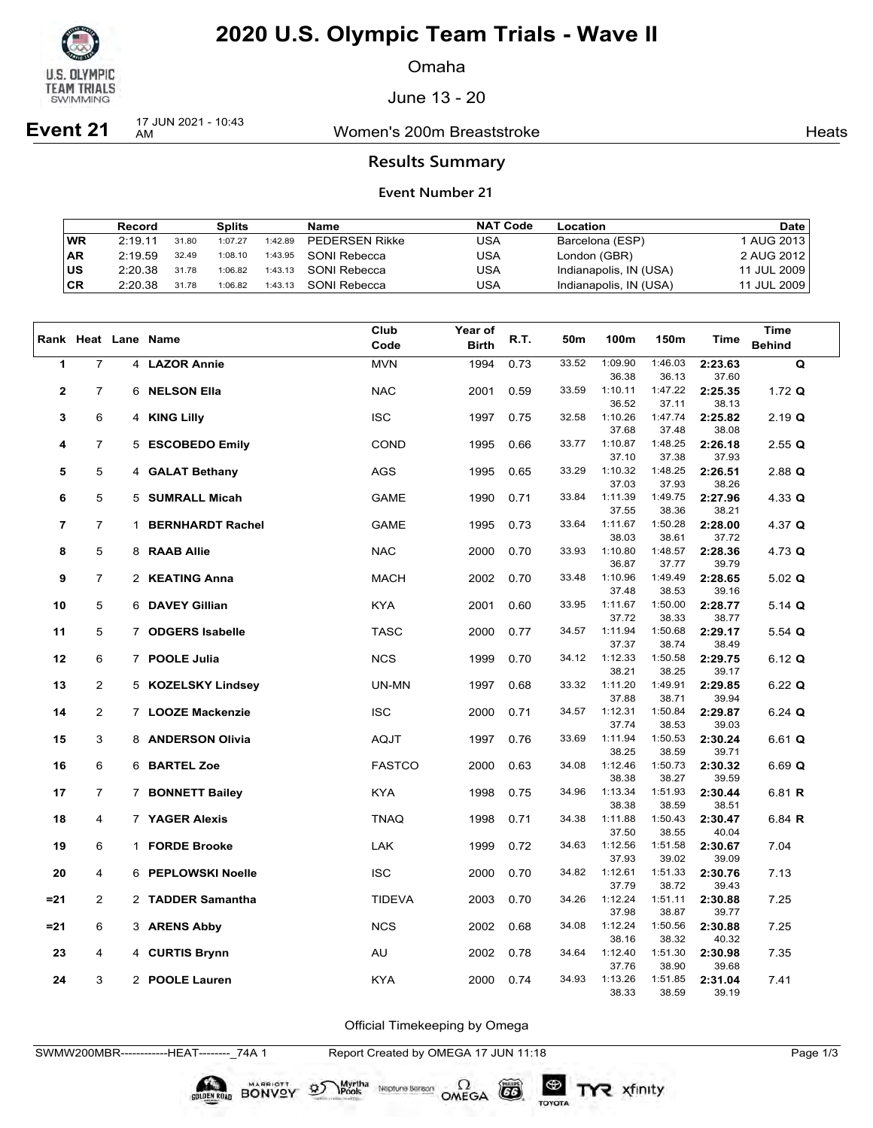

Omaha

June 13 - 20

**Event 21** 17 JUN 2021 - 10:43

Women's 200m Breaststroke **Heats** Heats

### **Results Summary**

#### **Event Number 21**

|           | Record  |       | Splits  |         | Name                  | <b>NAT Code</b> | Location               | Date         |
|-----------|---------|-------|---------|---------|-----------------------|-----------------|------------------------|--------------|
| <b>WR</b> | 2.1911  | 31.80 | 1:07.27 | 1:42.89 | <b>PEDERSEN Rikke</b> | USA             | Barcelona (ESP)        | 1 AUG 2013 l |
| <b>AR</b> | 2:19.59 | 32.49 | 1:08.10 | 1:43.95 | SONI Rebecca          | USA             | London (GBR)           | 2 AUG 2012   |
| ∣us       | 2:20.38 | 31.78 | 1:06.82 | 1:43.13 | SONI Rebecca          | USA             | Indianapolis, IN (USA) | 11 JUL 2009  |
| CR        | 2:20.38 | 31.78 | 1:06.82 | 1:43.13 | SONI Rebecca          | USA             | Indianapolis, IN (USA) | 11 JUL 2009  |

|                          |                |              | Rank Heat Lane Name     | Club          | <b>Year of</b> | R.T. | 50m   | 100m             | 150m             | <b>Time</b>      | <b>Time</b>   |
|--------------------------|----------------|--------------|-------------------------|---------------|----------------|------|-------|------------------|------------------|------------------|---------------|
|                          |                |              |                         | Code          | <b>Birth</b>   |      |       |                  |                  |                  | <b>Behind</b> |
| $\mathbf{1}$             | $\overline{7}$ |              | 4 LAZOR Annie           | <b>MVN</b>    | 1994           | 0.73 | 33.52 | 1:09.90<br>36.38 | 1:46.03<br>36.13 | 2:23.63<br>37.60 | Q             |
| $\mathbf{2}$             | $\overline{7}$ | 6            | <b>NELSON Ella</b>      | <b>NAC</b>    | 2001           | 0.59 | 33.59 | 1:10.11<br>36.52 | 1:47.22<br>37.11 | 2:25.35<br>38.13 | 1.72 $Q$      |
| 3                        | 6              |              | 4 KING Lilly            | <b>ISC</b>    | 1997           | 0.75 | 32.58 | 1:10.26          | 1:47.74          | 2:25.82          | $2.19$ Q      |
| 4                        | $\overline{7}$ | 5            | <b>ESCOBEDO Emily</b>   | <b>COND</b>   | 1995           | 0.66 | 33.77 | 37.68<br>1:10.87 | 37.48<br>1:48.25 | 38.08<br>2:26.18 | $2.55$ Q      |
| 5                        | 5              |              | 4 GALAT Bethany         | <b>AGS</b>    | 1995           | 0.65 | 33.29 | 37.10<br>1:10.32 | 37.38<br>1:48.25 | 37.93<br>2:26.51 | $2.88$ Q      |
|                          |                |              |                         |               |                |      |       | 37.03            | 37.93            | 38.26            |               |
| 6                        | 5              |              | 5 SUMRALL Micah         | <b>GAME</b>   | 1990           | 0.71 | 33.84 | 1:11.39<br>37.55 | 1:49.75<br>38.36 | 2:27.96<br>38.21 | 4.33 $Q$      |
| $\overline{\phantom{a}}$ | $\overline{7}$ | $\mathbf{1}$ | <b>BERNHARDT Rachel</b> | <b>GAME</b>   | 1995           | 0.73 | 33.64 | 1:11.67<br>38.03 | 1:50.28<br>38.61 | 2:28.00<br>37.72 | 4.37 $Q$      |
| 8                        | 5              |              | 8 RAAB Allie            | <b>NAC</b>    | 2000           | 0.70 | 33.93 | 1:10.80          | 1:48.57          | 2:28.36          | 4.73 $Q$      |
| 9                        | $\overline{7}$ |              | 2 KEATING Anna          | <b>MACH</b>   | 2002           | 0.70 | 33.48 | 36.87<br>1:10.96 | 37.77<br>1:49.49 | 39.79<br>2:28.65 | 5.02 $Q$      |
| 10                       | 5              |              | 6 DAVEY Gillian         | <b>KYA</b>    | 2001           | 0.60 | 33.95 | 37.48<br>1:11.67 | 38.53<br>1:50.00 | 39.16<br>2:28.77 | 5.14 $Q$      |
| 11                       | 5              |              | 7 ODGERS Isabelle       | <b>TASC</b>   | 2000           | 0.77 | 34.57 | 37.72<br>1:11.94 | 38.33<br>1:50.68 | 38.77<br>2:29.17 |               |
|                          |                |              |                         |               |                |      |       | 37.37            | 38.74            | 38.49            | 5.54 $Q$      |
| 12                       | 6              |              | 7 POOLE Julia           | <b>NCS</b>    | 1999           | 0.70 | 34.12 | 1:12.33<br>38.21 | 1:50.58<br>38.25 | 2:29.75<br>39.17 | 6.12 $Q$      |
| 13                       | 2              |              | 5 KOZELSKY Lindsey      | UN-MN         | 1997           | 0.68 | 33.32 | 1:11.20<br>37.88 | 1:49.91<br>38.71 | 2:29.85<br>39.94 | $6.22$ Q      |
| 14                       | 2              |              | 7 LOOZE Mackenzie       | <b>ISC</b>    | 2000           | 0.71 | 34.57 | 1:12.31<br>37.74 | 1:50.84<br>38.53 | 2:29.87<br>39.03 | 6.24 Q        |
| 15                       | 3              |              | 8 ANDERSON Olivia       | <b>AQJT</b>   | 1997           | 0.76 | 33.69 | 1:11.94          | 1:50.53          | 2:30.24          | 6.61 $Q$      |
| 16                       | 6              |              | 6 BARTEL Zoe            | <b>FASTCO</b> | 2000           | 0.63 | 34.08 | 38.25<br>1:12.46 | 38.59<br>1:50.73 | 39.71<br>2:30.32 | 6.69 Q        |
| 17                       | $\overline{7}$ |              | 7 BONNETT Bailey        | <b>KYA</b>    | 1998           | 0.75 | 34.96 | 38.38<br>1:13.34 | 38.27<br>1:51.93 | 39.59<br>2:30.44 | 6.81 R        |
| 18                       | 4              |              | 7 YAGER Alexis          | <b>TNAQ</b>   | 1998           | 0.71 | 34.38 | 38.38<br>1:11.88 | 38.59<br>1:50.43 | 38.51<br>2:30.47 | 6.84 $R$      |
|                          |                |              |                         |               |                |      |       | 37.50            | 38.55            | 40.04            |               |
| 19                       | 6              | $\mathbf{1}$ | <b>FORDE Brooke</b>     | LAK           | 1999           | 0.72 | 34.63 | 1:12.56<br>37.93 | 1:51.58<br>39.02 | 2:30.67<br>39.09 | 7.04          |
| 20                       | 4              |              | 6 PEPLOWSKI Noelle      | <b>ISC</b>    | 2000           | 0.70 | 34.82 | 1:12.61<br>37.79 | 1:51.33<br>38.72 | 2:30.76<br>39.43 | 7.13          |
| $= 21$                   | 2              |              | 2 TADDER Samantha       | <b>TIDEVA</b> | 2003           | 0.70 | 34.26 | 1:12.24          | 1:51.11          | 2:30.88          | 7.25          |
| $= 21$                   | 6              |              | 3 ARENS Abby            | <b>NCS</b>    | 2002           | 0.68 | 34.08 | 37.98<br>1:12.24 | 38.87<br>1:50.56 | 39.77<br>2:30.88 | 7.25          |
| 23                       | 4              |              | 4 CURTIS Brynn          | AU            | 2002           | 0.78 | 34.64 | 38.16<br>1:12.40 | 38.32<br>1:51.30 | 40.32<br>2:30.98 | 7.35          |
| 24                       | 3              |              | 2 POOLE Lauren          | <b>KYA</b>    | 2000           | 0.74 | 34.93 | 37.76<br>1:13.26 | 38.90<br>1:51.85 | 39.68<br>2:31.04 | 7.41          |
|                          |                |              |                         |               |                |      |       | 38.33            | 38.59            | 39.19            |               |

Official Timekeeping by Omega

SWMW200MBR------------HEAT--------\_74A 1 Report Created by OMEGA 17 JUN 11:18 Page 1/3

BONVOY 95

Myrtha

Neptune Bergan  $\Omega$ <br>OMEGA

 $G6$ 

TOYOTA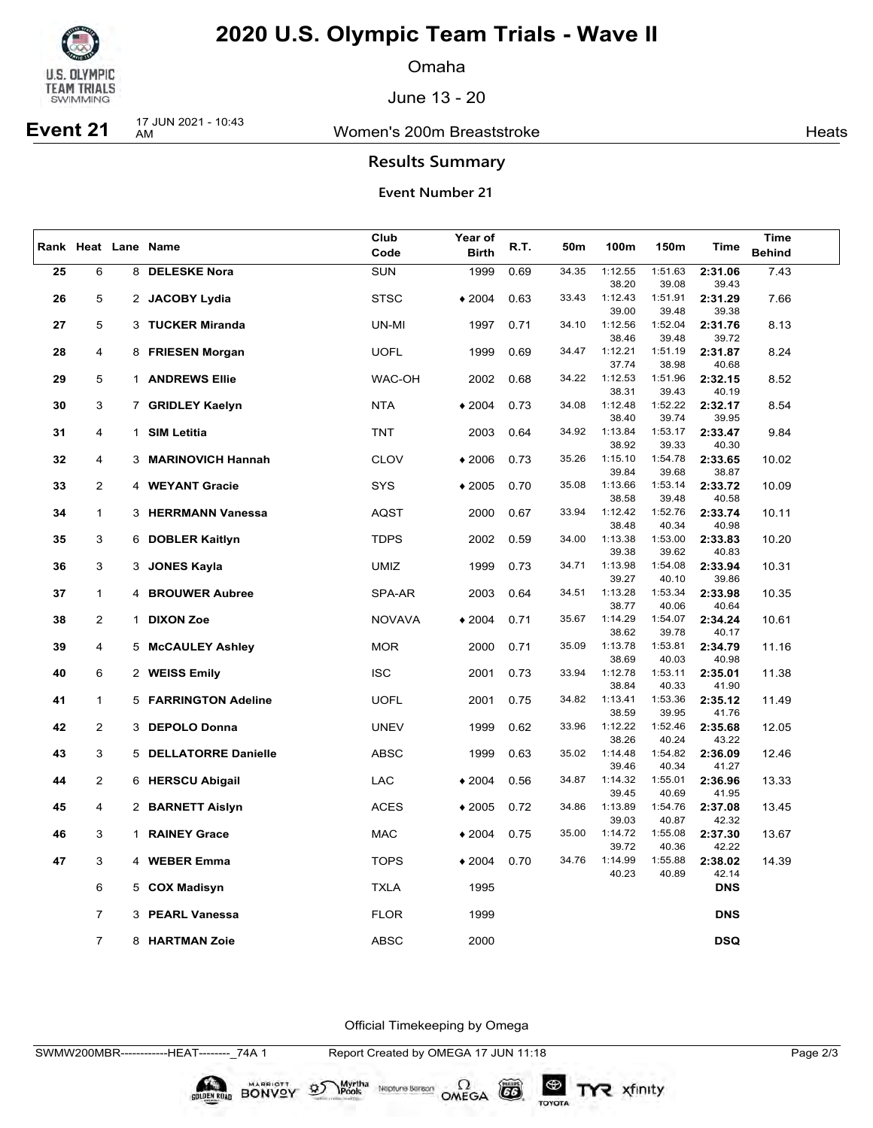

Omaha

June 13 - 20

### Women's 200m Breaststroke **Heats** Heats

**Event 21** 17 JUN 2021 - 10:43

**Results Summary**

### **Event Number 21**

|    |                |              |                          | Club          | Year of      | 50 <sub>m</sub> |       |                  |                  | Time             |               |
|----|----------------|--------------|--------------------------|---------------|--------------|-----------------|-------|------------------|------------------|------------------|---------------|
|    |                |              | Rank Heat Lane Name      | Code          | <b>Birth</b> | R.T.            |       | 100m             | 150m             | Time             | <b>Behind</b> |
| 25 | 6              |              | 8 DELESKE Nora           | <b>SUN</b>    | 1999         | 0.69            | 34.35 | 1:12.55          | 1:51.63          | 2:31.06          | 7.43          |
|    |                |              |                          |               |              |                 |       | 38.20            | 39.08            | 39.43            |               |
| 26 | 5              |              | 2 JACOBY Lydia           | <b>STSC</b>   | $*2004$      | 0.63            | 33.43 | 1:12.43          | 1:51.91          | 2:31.29          | 7.66          |
|    |                |              |                          |               |              |                 |       | 39.00            | 39.48            | 39.38            |               |
| 27 | 5              |              | 3 TUCKER Miranda         | UN-MI         | 1997         | 0.71            | 34.10 | 1:12.56          | 1:52.04          | 2:31.76          | 8.13          |
|    |                |              |                          |               |              |                 |       | 38.46            | 39.48            | 39.72            |               |
| 28 | 4              |              | 8 FRIESEN Morgan         | <b>UOFL</b>   | 1999         | 0.69            | 34.47 | 1:12.21          | 1:51.19          | 2:31.87          | 8.24          |
|    |                |              |                          |               |              |                 |       | 37.74            | 38.98            | 40.68            |               |
| 29 | 5              |              | 1 ANDREWS Ellie          | WAC-OH        | 2002         | 0.68            | 34.22 | 1:12.53          | 1:51.96          | 2:32.15          | 8.52          |
|    |                |              |                          |               |              |                 |       | 38.31            | 39.43            | 40.19            |               |
| 30 | 3              |              | 7 GRIDLEY Kaelyn         | <b>NTA</b>    | $*2004$      | 0.73            | 34.08 | 1:12.48          | 1:52.22<br>39.74 | 2:32.17          | 8.54          |
| 31 | 4              | $\mathbf{1}$ | <b>SIM Letitia</b>       | <b>TNT</b>    | 2003         | 0.64            | 34.92 | 38.40<br>1:13.84 | 1:53.17          | 39.95<br>2:33.47 | 9.84          |
|    |                |              |                          |               |              |                 |       | 38.92            | 39.33            | 40.30            |               |
| 32 | 4              | 3            | <b>MARINOVICH Hannah</b> | <b>CLOV</b>   | $*2006$      | 0.73            | 35.26 | 1:15.10          | 1:54.78          | 2:33.65          | 10.02         |
|    |                |              |                          |               |              |                 |       | 39.84            | 39.68            | 38.87            |               |
| 33 | $\overline{2}$ |              | 4 WEYANT Gracie          | SYS           | $*2005$      | 0.70            | 35.08 | 1:13.66          | 1:53.14          | 2:33.72          | 10.09         |
|    |                |              |                          |               |              |                 |       | 38.58            | 39.48            | 40.58            |               |
| 34 | $\mathbf 1$    |              | 3 HERRMANN Vanessa       | AQST          | 2000         | 0.67            | 33.94 | 1:12.42          | 1:52.76          | 2:33.74          | 10.11         |
|    |                |              |                          |               |              |                 |       | 38.48            | 40.34            | 40.98            |               |
| 35 | 3              |              | 6 DOBLER Kaitlyn         | <b>TDPS</b>   | 2002         | 0.59            | 34.00 | 1:13.38          | 1:53.00          | 2:33.83          | 10.20         |
|    |                |              |                          |               |              |                 |       | 39.38            | 39.62            | 40.83            |               |
| 36 | 3              |              | 3 JONES Kayla            | <b>UMIZ</b>   | 1999         | 0.73            | 34.71 | 1:13.98          | 1:54.08          | 2:33.94          | 10.31         |
|    |                |              |                          |               |              |                 |       | 39.27            | 40.10            | 39.86            |               |
| 37 | 1              |              | 4 BROUWER Aubree         | SPA-AR        | 2003         | 0.64            | 34.51 | 1:13.28<br>38.77 | 1:53.34<br>40.06 | 2:33.98<br>40.64 | 10.35         |
| 38 | $\overline{2}$ |              | 1 DIXON Zoe              | <b>NOVAVA</b> | $*2004$      | 0.71            | 35.67 | 1:14.29          | 1:54.07          | 2:34.24          | 10.61         |
|    |                |              |                          |               |              |                 |       | 38.62            | 39.78            | 40.17            |               |
| 39 | 4              |              | 5 McCAULEY Ashley        | <b>MOR</b>    | 2000         | 0.71            | 35.09 | 1:13.78          | 1:53.81          | 2:34.79          | 11.16         |
|    |                |              |                          |               |              |                 |       | 38.69            | 40.03            | 40.98            |               |
| 40 | 6              |              | 2 WEISS Emily            | <b>ISC</b>    | 2001         | 0.73            | 33.94 | 1:12.78          | 1:53.11          | 2:35.01          | 11.38         |
|    |                |              |                          |               |              |                 |       | 38.84            | 40.33            | 41.90            |               |
| 41 | $\mathbf{1}$   |              | 5 FARRINGTON Adeline     | <b>UOFL</b>   | 2001         | 0.75            | 34.82 | 1:13.41          | 1:53.36          | 2:35.12          | 11.49         |
|    |                |              |                          |               |              |                 |       | 38.59            | 39.95            | 41.76            |               |
| 42 | 2              |              | 3 DEPOLO Donna           | <b>UNEV</b>   | 1999         | 0.62            | 33.96 | 1:12.22          | 1:52.46          | 2:35.68          | 12.05         |
|    |                |              |                          |               |              |                 | 35.02 | 38.26<br>1:14.48 | 40.24<br>1:54.82 | 43.22            |               |
| 43 | 3              |              | 5 DELLATORRE Danielle    | <b>ABSC</b>   | 1999         | 0.63            |       | 39.46            | 40.34            | 2:36.09<br>41.27 | 12.46         |
| 44 | 2              |              | 6 HERSCU Abigail         | LAC           | $*2004$      | 0.56            | 34.87 | 1:14.32          | 1:55.01          | 2:36.96          | 13.33         |
|    |                |              |                          |               |              |                 |       | 39.45            | 40.69            | 41.95            |               |
| 45 | 4              |              | 2 BARNETT Aislyn         | ACES          | $*2005$      | 0.72            | 34.86 | 1:13.89          | 1:54.76          | 2:37.08          | 13.45         |
|    |                |              |                          |               |              |                 |       | 39.03            | 40.87            | 42.32            |               |
| 46 | 3              |              | 1 RAINEY Grace           | MAC           | $*2004$      | 0.75            | 35.00 | 1:14.72          | 1:55.08          | 2:37.30          | 13.67         |
|    |                |              |                          |               |              |                 |       | 39.72            | 40.36            | 42.22            |               |
| 47 | 3              |              | 4 WEBER Emma             | <b>TOPS</b>   | $*2004$      | 0.70            | 34.76 | 1:14.99          | 1:55.88          | 2:38.02          | 14.39         |
|    |                |              |                          |               |              |                 |       | 40.23            | 40.89            | 42.14            |               |
|    | 6              |              | 5 COX Madisyn            | <b>TXLA</b>   | 1995         |                 |       |                  |                  | <b>DNS</b>       |               |
|    |                |              |                          |               |              |                 |       |                  |                  |                  |               |
|    | $\overline{7}$ |              | 3 PEARL Vanessa          | <b>FLOR</b>   | 1999         |                 |       |                  |                  | <b>DNS</b>       |               |
|    | $\overline{7}$ |              | 8 HARTMAN Zoie           | <b>ABSC</b>   | 2000         |                 |       |                  |                  | <b>DSQ</b>       |               |
|    |                |              |                          |               |              |                 |       |                  |                  |                  |               |

Official Timekeeping by Omega

BONVOY 95

Myrtha

Neptune Bergan  $\Omega$ <br>OMEGA

 $G6$ 

TOYOTA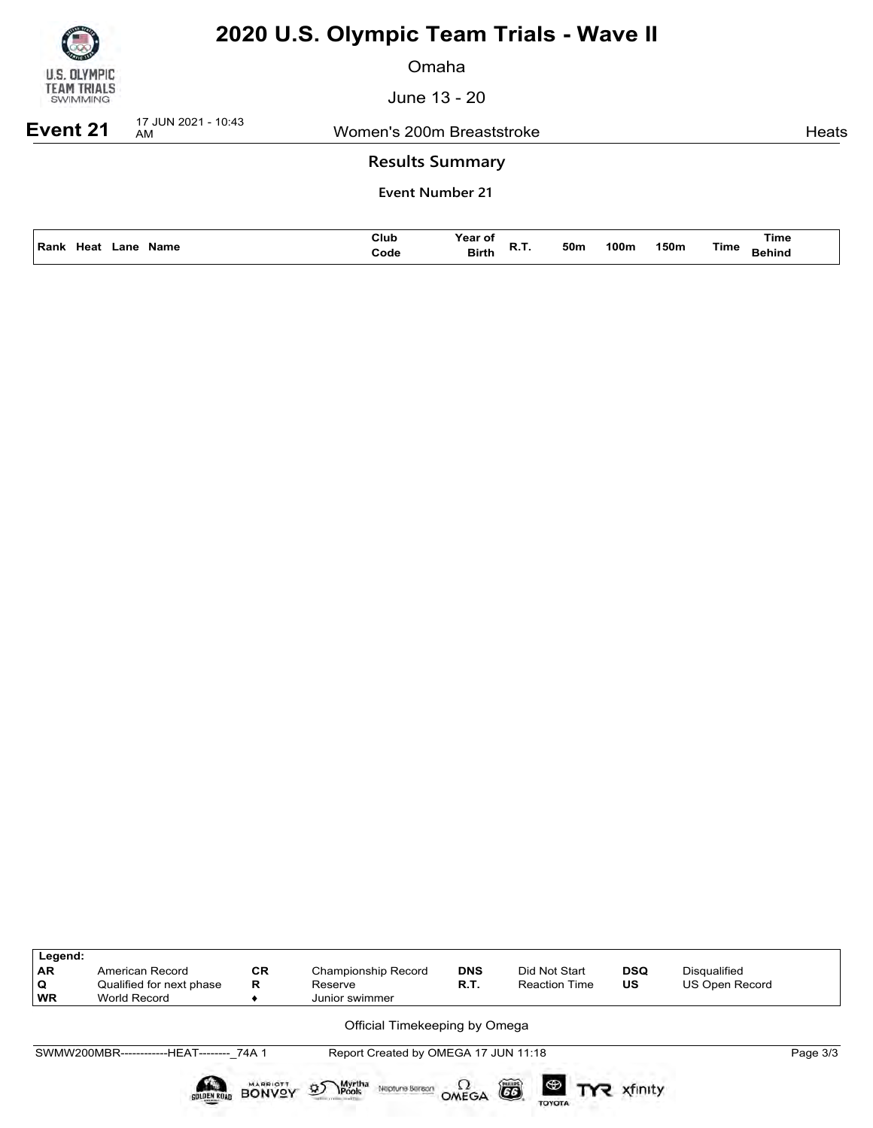

Omaha

June 13 - 20

**Event 21** 17 JUN 2021 - 10:43

Women's 200m Breaststroke **Heats** Heats

### **Results Summary**

| ' Ran.<br>Name<br>.ane<br>-leat | Club<br>Code<br>. | ear<br><b>Birth</b><br>. | 50m | 100n | 150m | Time | Time |
|---------------------------------|-------------------|--------------------------|-----|------|------|------|------|
|                                 |                   |                          |     |      |      |      |      |

| Legend:<br>AR<br>Q<br><b>WR</b> | American Record<br>Qualified for next phase<br>World Record | <b>CR</b><br>R                   | Championship Record<br>Reserve<br>Junior swimmer            | <b>DNS</b><br>R.T. | Did Not Start<br><b>Reaction Time</b> | <b>DSQ</b><br><b>US</b> | Disqualified<br>US Open Record |          |
|---------------------------------|-------------------------------------------------------------|----------------------------------|-------------------------------------------------------------|--------------------|---------------------------------------|-------------------------|--------------------------------|----------|
|                                 |                                                             |                                  | Official Timekeeping by Omega                               |                    |                                       |                         |                                |          |
|                                 | SWMW200MBR-------------HEAT-------- 74A 1                   |                                  | Report Created by OMEGA 17 JUN 11:18                        |                    |                                       |                         |                                | Page 3/3 |
|                                 | SOLDEN ROAD                                                 | <b>MARRIOTT</b><br><b>BONVOY</b> | Myrtha<br><b>\Pools</b><br>$\mathfrak{D}$<br>Neptune Beraon | OMEGA              | õ<br>$\circledast$<br><b>TOYOTA</b>   | xfinity                 |                                |          |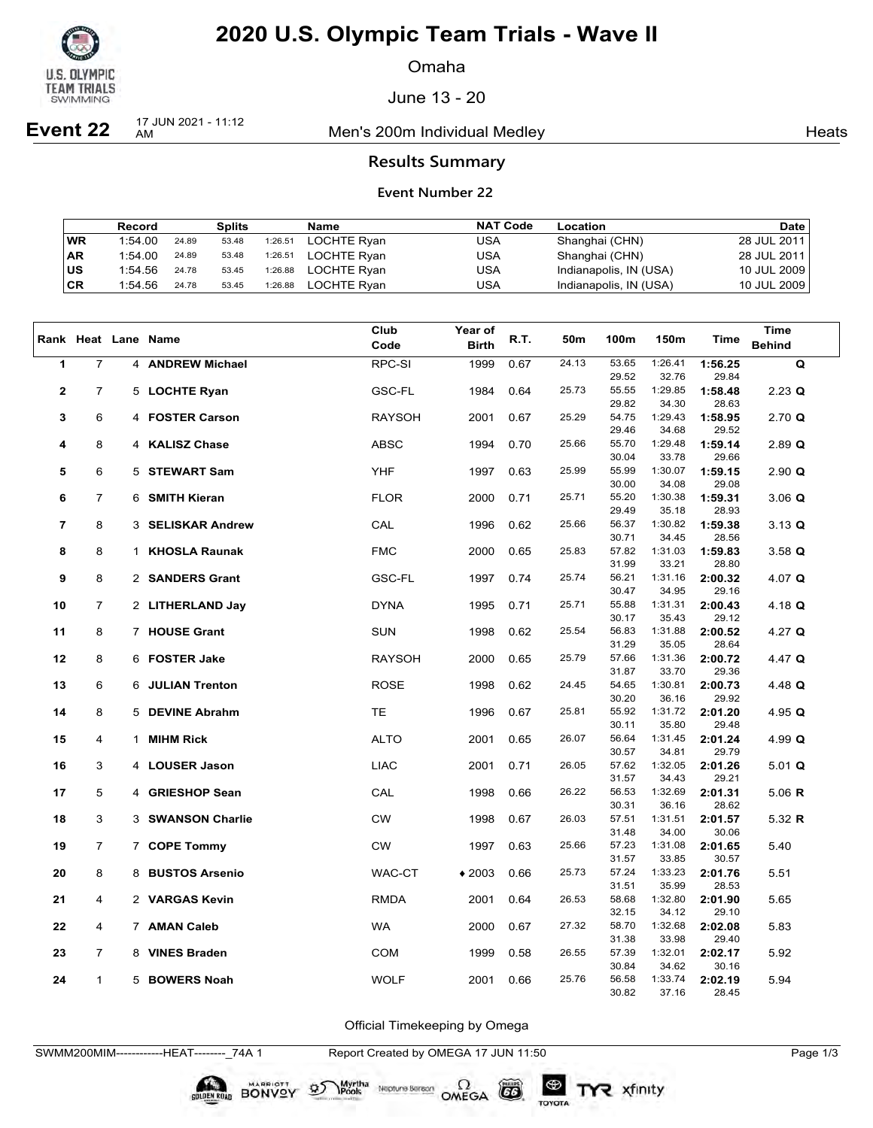

Omaha

June 13 - 20

**Event 22** 17 JUN 2021 - 11:12

Men's 200m Individual Medley Nearly Nearly Heats

### **Results Summary**

### **Event Number 22**

|           | Record  |       | <b>Splits</b> |         | Name               | <b>NAT Code</b> | Location               | <b>Date</b> |
|-----------|---------|-------|---------------|---------|--------------------|-----------------|------------------------|-------------|
| <b>WR</b> | 1:54.00 | 24.89 | 53.48         | 1:26.51 | <b>LOCHTE Rvan</b> | USA             | Shanghai (CHN)         | 28 JUL 2011 |
| <b>AR</b> | 1:54.00 | 24.89 | 53.48         | 1:26.51 | <b>LOCHTE Rvan</b> | USA             | Shanghai (CHN)         | 28 JUL 2011 |
| lus       | 1:54.56 | 24.78 | 53.45         | 1:26.88 | <b>LOCHTE Rvan</b> | USA             | Indianapolis, IN (USA) | 10 JUL 2009 |
| ∣CR       | 1:54.56 | 24.78 | 53.45         | 1:26.88 | <b>LOCHTE Rvan</b> | USA             | Indianapolis, IN (USA) | 10 JUL 2009 |

|                |                |              |                         | Club          | <b>Year of</b> |      |       |                |                  |                  | Time                 |
|----------------|----------------|--------------|-------------------------|---------------|----------------|------|-------|----------------|------------------|------------------|----------------------|
|                |                |              | Rank Heat Lane Name     | Code          | <b>Birth</b>   | R.T. | 50m   | 100m           | 150m             | Time             | <b>Behind</b>        |
|                | $\overline{7}$ |              |                         |               |                |      | 24.13 | 53.65          | 1:26.41          |                  |                      |
| $\mathbf{1}$   |                |              | 4 ANDREW Michael        | RPC-SI        | 1999           | 0.67 |       | 29.52          | 32.76            | 1:56.25<br>29.84 | $\mathbf Q$          |
| $\mathbf{2}$   | $\overline{7}$ |              | 5 LOCHTE Ryan           | <b>GSC-FL</b> | 1984           | 0.64 | 25.73 | 55.55          | 1:29.85          | 1:58.48          | $2.23$ Q             |
|                |                |              |                         |               |                |      |       | 29.82          | 34.30            | 28.63            |                      |
| 3              | 6              |              | 4 FOSTER Carson         | <b>RAYSOH</b> | 2001           | 0.67 | 25.29 | 54.75          | 1:29.43          | 1:58.95          | $2.70$ Q             |
|                |                |              |                         |               |                |      |       | 29.46          | 34.68            | 29.52            |                      |
| 4              | 8              |              | 4 KALISZ Chase          | <b>ABSC</b>   | 1994           | 0.70 | 25.66 | 55.70          | 1:29.48          | 1:59.14          | $2.89$ Q             |
|                |                |              |                         |               |                |      |       | 30.04          | 33.78            | 29.66            |                      |
| 5              | 6              |              | 5 STEWART Sam           | <b>YHF</b>    | 1997           | 0.63 | 25.99 | 55.99          | 1:30.07          | 1:59.15          | 2.90 Q               |
|                |                |              |                         |               |                |      |       | 30.00          | 34.08            | 29.08            |                      |
| 6              | $\overline{7}$ |              | 6 SMITH Kieran          | <b>FLOR</b>   | 2000           | 0.71 | 25.71 | 55.20          | 1:30.38          | 1:59.31          | $3.06$ Q             |
|                |                |              |                         |               |                |      |       | 29.49          | 35.18            | 28.93            |                      |
| $\overline{7}$ | 8              |              | 3 SELISKAR Andrew       | CAL           | 1996           | 0.62 | 25.66 | 56.37          | 1:30.82          | 1:59.38          | $3.13 \; \textbf{Q}$ |
|                |                |              |                         |               |                |      |       | 30.71          | 34.45            | 28.56            |                      |
| 8              | 8              | $\mathbf{1}$ | <b>KHOSLA Raunak</b>    | <b>FMC</b>    | 2000           | 0.65 | 25.83 | 57.82          | 1:31.03          | 1:59.83          | $3.58$ Q             |
|                |                |              |                         |               |                |      |       | 31.99          | 33.21            | 28.80            |                      |
| 9              | 8              |              | 2 SANDERS Grant         | <b>GSC-FL</b> | 1997           | 0.74 | 25.74 | 56.21          | 1:31.16          | 2:00.32          | 4.07 $Q$             |
|                |                |              |                         |               |                |      |       | 30.47<br>55.88 | 34.95            | 29.16            |                      |
| 10             | 7              |              | 2 LITHERLAND Jay        | <b>DYNA</b>   | 1995           | 0.71 | 25.71 | 30.17          | 1:31.31<br>35.43 | 2:00.43<br>29.12 | 4.18 $Q$             |
| 11             | 8              |              | 7 HOUSE Grant           | <b>SUN</b>    | 1998           | 0.62 | 25.54 | 56.83          | 1:31.88          | 2:00.52          | 4.27 $Q$             |
|                |                |              |                         |               |                |      |       | 31.29          | 35.05            | 28.64            |                      |
| 12             | 8              |              | 6 FOSTER Jake           | <b>RAYSOH</b> | 2000           | 0.65 | 25.79 | 57.66          | 1:31.36          | 2:00.72          | 4.47 $Q$             |
|                |                |              |                         |               |                |      |       | 31.87          | 33.70            | 29.36            |                      |
| 13             | 6              |              | <b>6 JULIAN Trenton</b> | <b>ROSE</b>   | 1998           | 0.62 | 24.45 | 54.65          | 1:30.81          | 2:00.73          | 4.48 $Q$             |
|                |                |              |                         |               |                |      |       | 30.20          | 36.16            | 29.92            |                      |
| 14             | 8              |              | 5 DEVINE Abrahm         | <b>TE</b>     | 1996           | 0.67 | 25.81 | 55.92          | 1:31.72          | 2:01.20          | 4.95 $Q$             |
|                |                |              |                         |               |                |      |       | 30.11          | 35.80            | 29.48            |                      |
| 15             | 4              |              | 1 MIHM Rick             | <b>ALTO</b>   | 2001           | 0.65 | 26.07 | 56.64          | 1:31.45          | 2:01.24          | 4.99 $Q$             |
|                |                |              |                         |               |                |      |       | 30.57          | 34.81            | 29.79            |                      |
| 16             | 3              |              | 4 LOUSER Jason          | <b>LIAC</b>   | 2001           | 0.71 | 26.05 | 57.62          | 1:32.05          | 2:01.26          | $5.01$ Q             |
|                |                |              |                         |               |                |      |       | 31.57          | 34.43            | 29.21            |                      |
| 17             | 5              |              | 4 GRIESHOP Sean         | CAL           | 1998           | 0.66 | 26.22 | 56.53          | 1:32.69          | 2:01.31          | 5.06 $R$             |
|                |                |              |                         |               |                |      | 26.03 | 30.31          | 36.16            | 28.62            |                      |
| 18             | 3              |              | 3 SWANSON Charlie       | <b>CW</b>     | 1998           | 0.67 |       | 57.51<br>31.48 | 1:31.51<br>34.00 | 2:01.57<br>30.06 | 5.32 $R$             |
| 19             | 7              |              | 7 COPE Tommy            | CW            | 1997           | 0.63 | 25.66 | 57.23          | 1:31.08          | 2:01.65          | 5.40                 |
|                |                |              |                         |               |                |      |       | 31.57          | 33.85            | 30.57            |                      |
| 20             | 8              |              | 8 BUSTOS Arsenio        | WAC-CT        | $*2003$        | 0.66 | 25.73 | 57.24          | 1:33.23          | 2:01.76          | 5.51                 |
|                |                |              |                         |               |                |      |       | 31.51          | 35.99            | 28.53            |                      |
| 21             | 4              |              | 2 VARGAS Kevin          | <b>RMDA</b>   | 2001           | 0.64 | 26.53 | 58.68          | 1:32.80          | 2:01.90          | 5.65                 |
|                |                |              |                         |               |                |      |       | 32.15          | 34.12            | 29.10            |                      |
| 22             | 4              |              | 7 AMAN Caleb            | <b>WA</b>     | 2000           | 0.67 | 27.32 | 58.70          | 1:32.68          | 2:02.08          | 5.83                 |
|                |                |              |                         |               |                |      |       | 31.38          | 33.98            | 29.40            |                      |
| 23             | 7              |              | 8 VINES Braden          | COM           | 1999           | 0.58 | 26.55 | 57.39          | 1:32.01          | 2:02.17          | 5.92                 |
|                |                |              |                         |               |                |      |       | 30.84          | 34.62            | 30.16            |                      |
| 24             | 1              |              | 5 BOWERS Noah           | <b>WOLF</b>   | 2001           | 0.66 | 25.76 | 56.58          | 1:33.74          | 2:02.19          | 5.94                 |
|                |                |              |                         |               |                |      |       | 30.82          | 37.16            | 28.45            |                      |

Official Timekeeping by Omega

SWMM200MIM------------HEAT--------\_74A 1 Report Created by OMEGA 17 JUN 11:50 Page 1/3

BONVOY

Neptune Bergan  $\Omega$ <br>OMEGA

 $(G)$ 

TOYOTA

Myrtha<br>Pools

 $\mathfrak{D}$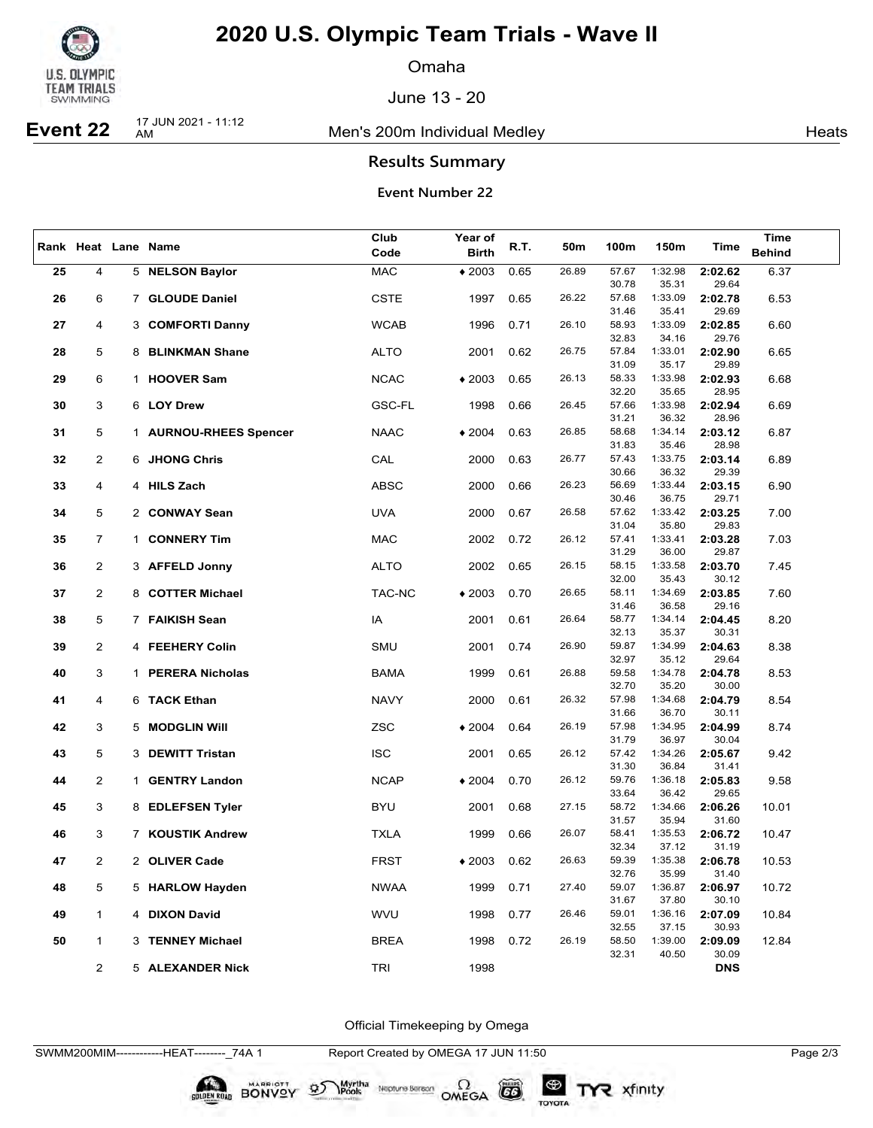

Omaha

June 13 - 20

## **Event 22** 17 JUN 2021 - 11:12

Men's 200m Individual Medley Nearly Nearly Heats

### **Results Summary**

### **Event Number 22**

|    |                |                        | Club        | Year of      |      |       |                |                  |                  | Time          |
|----|----------------|------------------------|-------------|--------------|------|-------|----------------|------------------|------------------|---------------|
|    |                | Rank Heat Lane Name    | Code        | <b>Birth</b> | R.T. | 50m   | 100m           | 150m             | Time             | <b>Behind</b> |
| 25 | 4              | 5 NELSON Baylor        | <b>MAC</b>  | $*2003$      | 0.65 | 26.89 | 57.67          | 1:32.98          | 2:02.62          | 6.37          |
|    |                |                        |             |              |      |       | 30.78          | 35.31            | 29.64            |               |
| 26 | 6              | 7 GLOUDE Daniel        | <b>CSTE</b> | 1997         | 0.65 | 26.22 | 57.68          | 1:33.09          | 2:02.78          | 6.53          |
|    |                |                        |             |              |      |       | 31.46          | 35.41            | 29.69            |               |
| 27 | 4              | 3 COMFORTI Danny       | <b>WCAB</b> | 1996         | 0.71 | 26.10 | 58.93          | 1:33.09          | 2:02.85          | 6.60          |
|    |                |                        |             |              |      |       | 32.83          | 34.16            | 29.76            |               |
| 28 | 5              | 8 BLINKMAN Shane       | ALTO        | 2001         | 0.62 | 26.75 | 57.84          | 1:33.01          | 2:02.90          | 6.65          |
|    |                |                        |             |              |      |       | 31.09          | 35.17            | 29.89            |               |
| 29 | 6              | 1 HOOVER Sam           | <b>NCAC</b> | $*2003$      | 0.65 | 26.13 | 58.33          | 1:33.98          | 2:02.93          | 6.68          |
|    | 3              | 6 LOY Drew             |             |              |      | 26.45 | 32.20<br>57.66 | 35.65<br>1:33.98 | 28.95            |               |
| 30 |                |                        | GSC-FL      | 1998         | 0.66 |       | 31.21          | 36.32            | 2:02.94<br>28.96 | 6.69          |
| 31 | 5              | 1 AURNOU-RHEES Spencer | <b>NAAC</b> | $*2004$      | 0.63 | 26.85 | 58.68          | 1:34.14          | 2:03.12          | 6.87          |
|    |                |                        |             |              |      |       | 31.83          | 35.46            | 28.98            |               |
| 32 | $\overline{2}$ | 6 JHONG Chris          | CAL         | 2000         | 0.63 | 26.77 | 57.43          | 1:33.75          | 2:03.14          | 6.89          |
|    |                |                        |             |              |      |       | 30.66          | 36.32            | 29.39            |               |
| 33 | 4              | 4 HILS Zach            | <b>ABSC</b> | 2000         | 0.66 | 26.23 | 56.69          | 1:33.44          | 2:03.15          | 6.90          |
|    |                |                        |             |              |      |       | 30.46          | 36.75            | 29.71            |               |
| 34 | 5              | 2 CONWAY Sean          | <b>UVA</b>  | 2000         | 0.67 | 26.58 | 57.62          | 1:33.42          | 2:03.25          | 7.00          |
|    |                |                        |             |              |      |       | 31.04          | 35.80            | 29.83            |               |
| 35 | $\overline{7}$ | 1 CONNERY Tim          | MAC         | 2002         | 0.72 | 26.12 | 57.41          | 1:33.41          | 2:03.28          | 7.03          |
|    | $\overline{2}$ |                        |             |              | 0.65 | 26.15 | 31.29<br>58.15 | 36.00<br>1:33.58 | 29.87<br>2:03.70 | 7.45          |
| 36 |                | 3 AFFELD Jonny         | ALTO        | 2002         |      |       | 32.00          | 35.43            | 30.12            |               |
| 37 | $\overline{2}$ | 8 COTTER Michael       | TAC-NC      | $*2003$      | 0.70 | 26.65 | 58.11          | 1:34.69          | 2:03.85          | 7.60          |
|    |                |                        |             |              |      |       | 31.46          | 36.58            | 29.16            |               |
| 38 | 5              | 7 FAIKISH Sean         | IA          | 2001         | 0.61 | 26.64 | 58.77          | 1:34.14          | 2:04.45          | 8.20          |
|    |                |                        |             |              |      |       | 32.13          | 35.37            | 30.31            |               |
| 39 | $\overline{2}$ | 4 FEEHERY Colin        | SMU         | 2001         | 0.74 | 26.90 | 59.87          | 1:34.99          | 2:04.63          | 8.38          |
|    |                |                        |             |              |      |       | 32.97          | 35.12            | 29.64            |               |
| 40 | 3              | 1 PERERA Nicholas      | <b>BAMA</b> | 1999         | 0.61 | 26.88 | 59.58          | 1:34.78          | 2:04.78          | 8.53          |
| 41 | 4              | 6 TACK Ethan           |             | 2000         | 0.61 | 26.32 | 32.70<br>57.98 | 35.20<br>1:34.68 | 30.00            |               |
|    |                |                        | <b>NAVY</b> |              |      |       | 31.66          | 36.70            | 2:04.79<br>30.11 | 8.54          |
| 42 | 3              | 5 MODGLIN Will         | <b>ZSC</b>  | $*2004$      | 0.64 | 26.19 | 57.98          | 1:34.95          | 2:04.99          | 8.74          |
|    |                |                        |             |              |      |       | 31.79          | 36.97            | 30.04            |               |
| 43 | 5              | 3 DEWITT Tristan       | <b>ISC</b>  | 2001         | 0.65 | 26.12 | 57.42          | 1:34.26          | 2:05.67          | 9.42          |
|    |                |                        |             |              |      |       | 31.30          | 36.84            | 31.41            |               |
| 44 | $\overline{2}$ | 1 GENTRY Landon        | <b>NCAP</b> | $*2004$      | 0.70 | 26.12 | 59.76          | 1:36.18          | 2:05.83          | 9.58          |
|    |                |                        |             |              |      |       | 33.64          | 36.42            | 29.65            |               |
| 45 | 3              | 8 EDLEFSEN Tyler       | <b>BYU</b>  | 2001         | 0.68 | 27.15 | 58.72<br>31.57 | 1:34.66<br>35.94 | 2:06.26          | 10.01         |
| 46 | 3              | 7 KOUSTIK Andrew       | <b>TXLA</b> | 1999         | 0.66 | 26.07 | 58.41          | 1:35.53          | 31.60<br>2:06.72 | 10.47         |
|    |                |                        |             |              |      |       | 32.34          | 37.12            | 31.19            |               |
| 47 | $\overline{2}$ | 2 OLIVER Cade          | <b>FRST</b> | $*2003$      | 0.62 | 26.63 | 59.39          | 1:35.38          | 2:06.78          | 10.53         |
|    |                |                        |             |              |      |       | 32.76          | 35.99            | 31.40            |               |
| 48 | 5              | 5 HARLOW Hayden        | <b>NWAA</b> | 1999         | 0.71 | 27.40 | 59.07          | 1:36.87          | 2:06.97          | 10.72         |
|    |                |                        |             |              |      |       | 31.67          | 37.80            | 30.10            |               |
| 49 | $\mathbf{1}$   | 4 DIXON David          | WVU         | 1998         | 0.77 | 26.46 | 59.01          | 1:36.16          | 2:07.09          | 10.84         |
|    |                |                        |             |              |      |       | 32.55          | 37.15            | 30.93            |               |
| 50 | $\mathbf{1}$   | 3 TENNEY Michael       | <b>BREA</b> | 1998         | 0.72 | 26.19 | 58.50<br>32.31 | 1:39.00<br>40.50 | 2:09.09<br>30.09 | 12.84         |
|    | $\overline{2}$ | 5 ALEXANDER Nick       | <b>TRI</b>  | 1998         |      |       |                |                  | <b>DNS</b>       |               |
|    |                |                        |             |              |      |       |                |                  |                  |               |

Official Timekeeping by Omega

SWMM200MIM------------HEAT--------\_74A 1 Report Created by OMEGA 17 JUN 11:50 Page 2/3

**BONVOY** 

Myrtha<br>Pools

 $\mathfrak{D}$ 

Neptune Berson  $\Omega$ <br>OMEGA

 $G6$ 

TOYOTA

TYR xfinity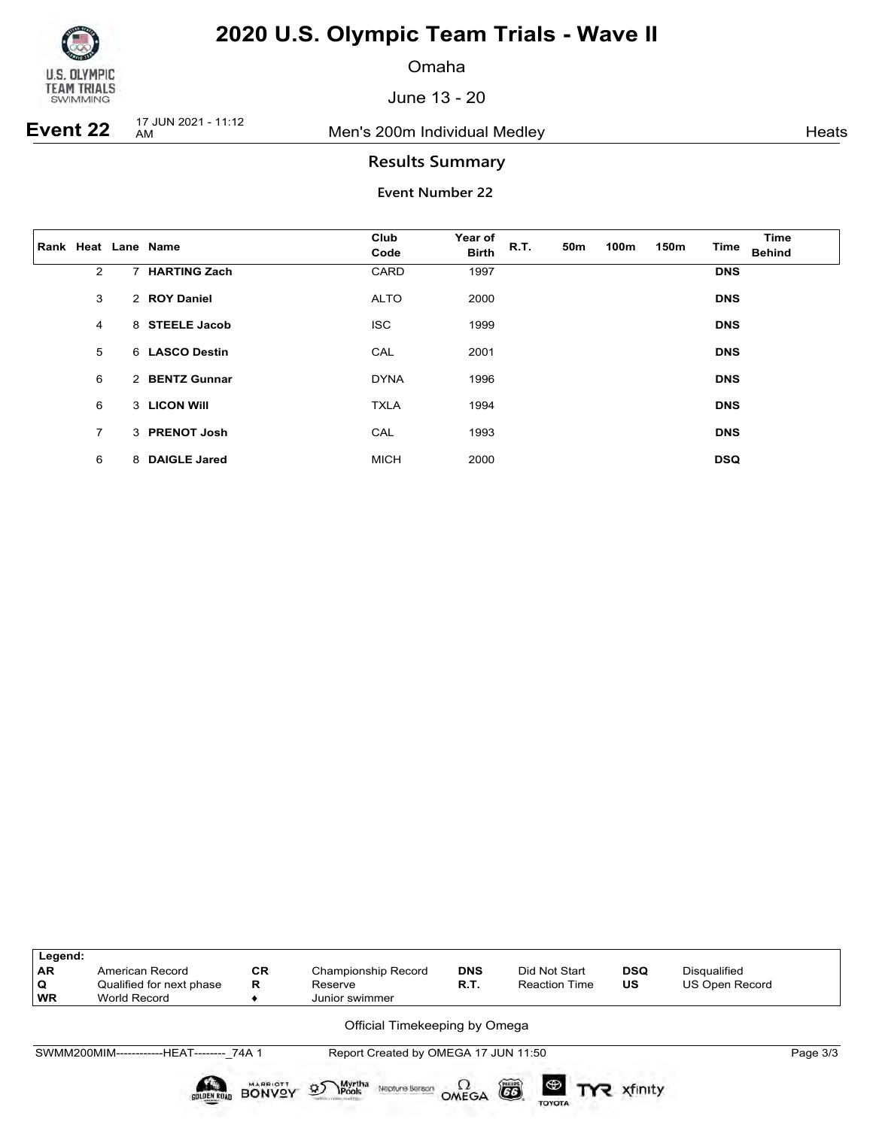

Omaha

June 13 - 20

**Event 22** 17 JUN 2021 - 11:12

Men's 200m Individual Medley **American** Ments

### **Results Summary**

|                |   | Rank Heat Lane Name | Club<br>Code | Year of<br><b>Birth</b> | R.T. | 50m | 100m | 150 <sub>m</sub> | <b>Time</b> | Time<br><b>Behind</b> |
|----------------|---|---------------------|--------------|-------------------------|------|-----|------|------------------|-------------|-----------------------|
| $\overline{2}$ | 7 | <b>HARTING Zach</b> | CARD         | 1997                    |      |     |      |                  | <b>DNS</b>  |                       |
| 3              |   | 2 ROY Daniel        | <b>ALTO</b>  | 2000                    |      |     |      |                  | <b>DNS</b>  |                       |
| 4              |   | 8 STEELE Jacob      | <b>ISC</b>   | 1999                    |      |     |      |                  | <b>DNS</b>  |                       |
| 5              |   | 6 LASCO Destin      | CAL          | 2001                    |      |     |      |                  | <b>DNS</b>  |                       |
| 6              |   | 2 BENTZ Gunnar      | <b>DYNA</b>  | 1996                    |      |     |      |                  | <b>DNS</b>  |                       |
| 6              |   | 3 LICON WIII        | <b>TXLA</b>  | 1994                    |      |     |      |                  | <b>DNS</b>  |                       |
| $\overline{7}$ |   | 3 PRENOT Josh       | CAL          | 1993                    |      |     |      |                  | <b>DNS</b>  |                       |
| 6              | 8 | <b>DAIGLE Jared</b> | <b>MICH</b>  | 2000                    |      |     |      |                  | <b>DSQ</b>  |                       |

| Legend:<br><b>AR</b><br>Q<br><b>WR</b> | American Record<br>Qualified for next phase<br><b>World Record</b> | <b>CR</b><br>R                   | <b>Championship Record</b><br>Reserve<br>Junior swimmer     | <b>DNS</b><br><b>R.T.</b> | Did Not Start<br><b>Reaction Time</b>       | <b>DSQ</b><br>US | Disqualified<br>US Open Record |          |
|----------------------------------------|--------------------------------------------------------------------|----------------------------------|-------------------------------------------------------------|---------------------------|---------------------------------------------|------------------|--------------------------------|----------|
|                                        |                                                                    |                                  | Official Timekeeping by Omega                               |                           |                                             |                  |                                |          |
|                                        | SWMM200MIM------------HEAT-------- 74A 1                           |                                  | Report Created by OMEGA 17 JUN 11:50                        |                           |                                             |                  |                                | Page 3/3 |
|                                        | <b>GOLDEN ROAD</b>                                                 | <b>MARRIOTT</b><br><b>BONVOY</b> | Myrtha<br><b>\Pools</b><br>$\mathfrak{D}$<br>Neptune Beraon | OMEGA                     | õ<br><b>ED TYP</b> xfinity<br><b>TOYOTA</b> |                  |                                |          |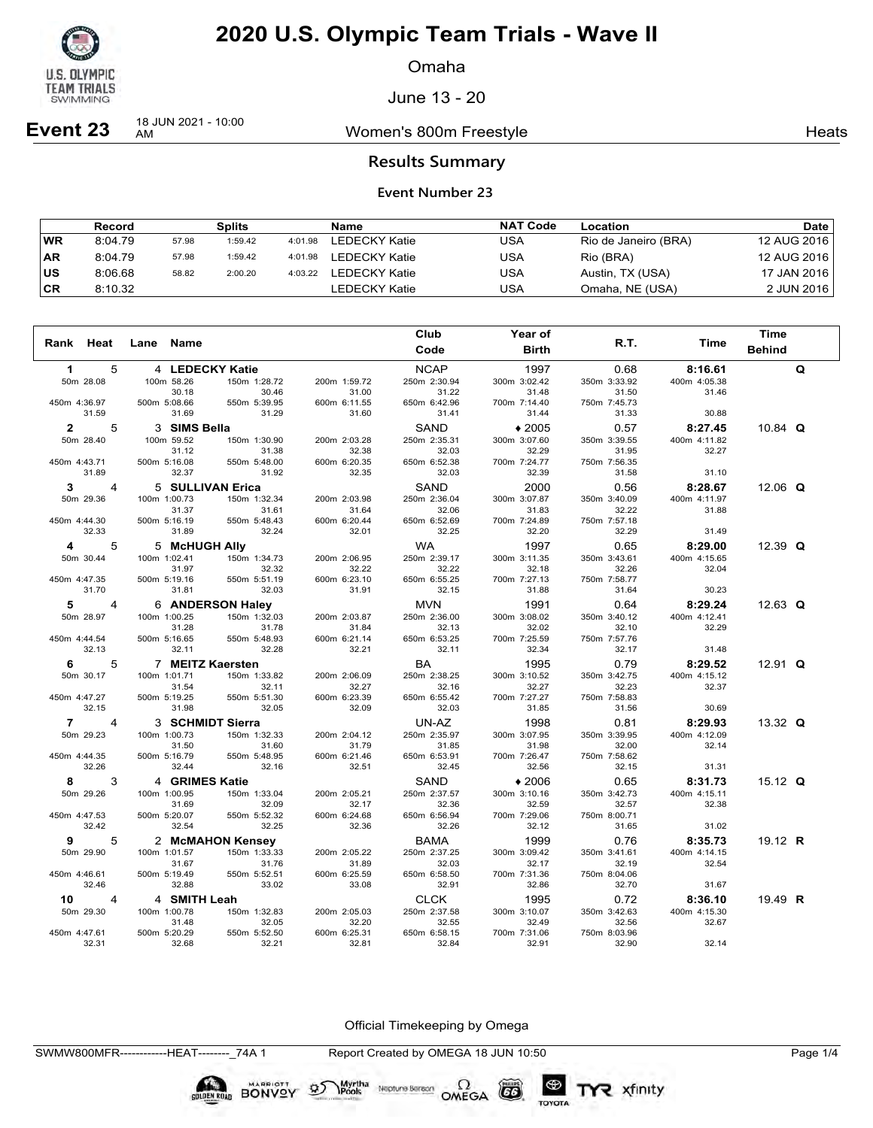

Omaha

June 13 - 20

**Event 23** 18 JUN 2021 - 10:00

Women's 800m Freestyle **Heats** Heats

### **Results Summary**

### **Event Number 23**

|           | <b>Record</b> |       | <b>Splits</b> |         | Name                 | <b>NAT Code</b> | Location             | Date        |
|-----------|---------------|-------|---------------|---------|----------------------|-----------------|----------------------|-------------|
| <b>WR</b> | 8:04.79       | 57.98 | 1:59.42       | 4:01.98 | LEDECKY Katie        | USA             | Rio de Janeiro (BRA) | 12 AUG 2016 |
| AR        | 8:04.79       | 57.98 | 1:59.42       | 4:01.98 | LEDECKY Katie        | USA             | Rio (BRA)            | 12 AUG 2016 |
| ∣US       | 8:06.68       | 58.82 | 2:00.20       | 4:03.22 | <b>LEDECKY Katie</b> | USA             | Austin, TX (USA)     | 17 JAN 2016 |
| ∣CR       | 8:10.32       |       |               |         | LEDECKY Katie        | USA             | Omaha, NE (USA)      | 2 JUN 2016  |

|                |                |              |                |                  |              | Club         | Year of      |              |              | <b>Time</b>   |   |
|----------------|----------------|--------------|----------------|------------------|--------------|--------------|--------------|--------------|--------------|---------------|---|
| Heat<br>Rank   |                | Lane         | Name           |                  |              | Code         | <b>Birth</b> | R.T.         | Time         | <b>Behind</b> |   |
| 1              | 5              |              |                | 4 LEDECKY Katie  |              | <b>NCAP</b>  | 1997         | 0.68         | 8:16.61      |               | Q |
| 50m 28.08      |                |              | 100m 58.26     | 150m 1:28.72     | 200m 1:59.72 | 250m 2:30.94 | 300m 3:02.42 | 350m 3:33.92 | 400m 4:05.38 |               |   |
|                |                |              | 30.18          | 30.46            | 31.00        | 31.22        | 31.48        | 31.50        | 31.46        |               |   |
| 450m 4:36.97   |                | 500m 5:08.66 |                | 550m 5:39.95     | 600m 6:11.55 | 650m 6:42.96 | 700m 7:14.40 | 750m 7:45.73 |              |               |   |
| 31.59          |                |              | 31.69          | 31.29            | 31.60        | 31.41        | 31.44        | 31.33        | 30.88        |               |   |
| $\mathbf{2}$   | 5              |              | 3 SIMS Bella   |                  |              | <b>SAND</b>  | $*2005$      | 0.57         | 8:27.45      | 10.84 $Q$     |   |
| 50m 28.40      |                |              | 100m 59.52     | 150m 1:30.90     | 200m 2:03.28 | 250m 2:35.31 | 300m 3:07.60 | 350m 3:39.55 | 400m 4:11.82 |               |   |
|                |                |              | 31.12          | 31.38            | 32.38        | 32.03        | 32.29        | 31.95        | 32.27        |               |   |
| 450m 4:43.71   |                | 500m 5:16.08 |                | 550m 5:48.00     | 600m 6:20.35 | 650m 6:52.38 | 700m 7:24.77 | 750m 7:56.35 |              |               |   |
| 31.89          |                |              | 32.37          | 31.92            | 32.35        | 32.03        | 32.39        | 31.58        | 31.10        |               |   |
| 3              | 4              |              |                | 5 SULLIVAN Erica |              | SAND         | 2000         | 0.56         | 8:28.67      | 12.06 $Q$     |   |
| 50m 29.36      |                | 100m 1:00.73 |                | 150m 1:32.34     | 200m 2:03.98 | 250m 2:36.04 | 300m 3:07.87 | 350m 3:40.09 | 400m 4:11.97 |               |   |
|                |                |              | 31.37          | 31.61            | 31.64        | 32.06        | 31.83        | 32.22        | 31.88        |               |   |
| 450m 4:44.30   |                | 500m 5:16.19 |                | 550m 5:48.43     | 600m 6:20.44 | 650m 6:52.69 | 700m 7:24.89 | 750m 7:57.18 |              |               |   |
| 32.33          |                |              | 31.89          | 32.24            | 32.01        | 32.25        | 32.20        | 32.29        | 31.49        |               |   |
| 4              | 5              |              | 5 McHUGH Ally  |                  |              | <b>WA</b>    | 1997         | 0.65         | 8:29.00      | 12.39 $Q$     |   |
| 50m 30.44      |                | 100m 1:02.41 |                | 150m 1:34.73     | 200m 2:06.95 | 250m 2:39.17 | 300m 3:11.35 | 350m 3:43.61 | 400m 4:15.65 |               |   |
|                |                |              | 31.97          | 32.32            | 32.22        | 32.22        | 32.18        | 32.26        | 32.04        |               |   |
| 450m 4:47.35   |                | 500m 5:19.16 |                | 550m 5:51.19     | 600m 6:23.10 | 650m 6:55.25 | 700m 7:27.13 | 750m 7:58.77 |              |               |   |
| 31.70          |                |              | 31.81          | 32.03            | 31.91        | 32.15        | 31.88        | 31.64        | 30.23        |               |   |
| 5              | 4              |              |                | 6 ANDERSON Haley |              | <b>MVN</b>   | 1991         | 0.64         | 8:29.24      | 12.63 $Q$     |   |
| 50m 28.97      |                | 100m 1:00.25 |                | 150m 1:32.03     | 200m 2:03.87 | 250m 2:36.00 | 300m 3:08.02 | 350m 3:40.12 | 400m 4:12.41 |               |   |
|                |                |              | 31.28          | 31.78            | 31.84        | 32.13        | 32.02        | 32.10        | 32.29        |               |   |
| 450m 4:44.54   |                | 500m 5:16.65 |                | 550m 5:48.93     | 600m 6:21.14 | 650m 6:53.25 | 700m 7:25.59 | 750m 7:57.76 |              |               |   |
| 32.13          |                |              | 32.11          | 32.28            | 32.21        | 32.11        | 32.34        | 32.17        | 31.48        |               |   |
| 6              | 5              |              |                | 7 MEITZ Kaersten |              | BA           | 1995         | 0.79         | 8:29.52      | 12.91 $Q$     |   |
| 50m 30.17      |                | 100m 1:01.71 |                | 150m 1:33.82     | 200m 2:06.09 | 250m 2:38.25 | 300m 3:10.52 | 350m 3:42.75 | 400m 4:15.12 |               |   |
|                |                |              | 31.54          | 32.11            | 32.27        | 32.16        | 32.27        | 32.23        | 32.37        |               |   |
| 450m 4:47.27   |                | 500m 5:19.25 |                | 550m 5:51.30     | 600m 6:23.39 | 650m 6:55.42 | 700m 7:27.27 | 750m 7:58.83 |              |               |   |
| 32.15          |                |              | 31.98          | 32.05            | 32.09        | 32.03        | 31.85        | 31.56        | 30.69        |               |   |
| $\overline{7}$ | 4              |              |                | 3 SCHMIDT Sierra |              | UN-AZ        | 1998         | 0.81         | 8:29.93      | 13.32 $Q$     |   |
| 50m 29.23      |                | 100m 1:00.73 |                | 150m 1:32.33     | 200m 2:04.12 | 250m 2:35.97 | 300m 3:07.95 | 350m 3:39.95 | 400m 4:12.09 |               |   |
|                |                |              | 31.50          | 31.60            | 31.79        | 31.85        | 31.98        | 32.00        | 32.14        |               |   |
| 450m 4:44.35   |                | 500m 5:16.79 |                | 550m 5:48.95     | 600m 6:21.46 | 650m 6:53.91 | 700m 7:26.47 | 750m 7:58.62 |              |               |   |
| 32.26          |                |              | 32.44          | 32.16            | 32.51        | 32.45        | 32.56        | 32.15        | 31.31        |               |   |
| 8              | 3              |              | 4 GRIMES Katie |                  |              | <b>SAND</b>  | $*2006$      | 0.65         | 8:31.73      | 15.12 $Q$     |   |
| 50m 29.26      |                | 100m 1:00.95 |                | 150m 1:33.04     | 200m 2:05.21 | 250m 2:37.57 | 300m 3:10.16 | 350m 3:42.73 | 400m 4:15.11 |               |   |
|                |                |              | 31.69          | 32.09            | 32.17        | 32.36        | 32.59        | 32.57        | 32.38        |               |   |
| 450m 4:47.53   |                | 500m 5:20.07 |                | 550m 5:52.32     | 600m 6:24.68 | 650m 6:56.94 | 700m 7:29.06 | 750m 8:00.71 |              |               |   |
| 32.42          |                |              | 32.54          | 32.25            | 32.36        | 32.26        | 32.12        | 31.65        | 31.02        |               |   |
| 9              | 5              |              |                | 2 McMAHON Kensey |              | <b>BAMA</b>  | 1999         | 0.76         | 8:35.73      | 19.12 R       |   |
| 50m 29.90      |                | 100m 1:01.57 |                | 150m 1:33.33     | 200m 2:05.22 | 250m 2:37.25 | 300m 3:09.42 | 350m 3:41.61 | 400m 4:14.15 |               |   |
|                |                |              | 31.67          | 31.76            | 31.89        | 32.03        | 32.17        | 32.19        | 32.54        |               |   |
| 450m 4:46.61   |                | 500m 5:19.49 |                | 550m 5:52.51     | 600m 6:25.59 | 650m 6:58.50 | 700m 7:31.36 | 750m 8:04.06 |              |               |   |
| 32.46          |                |              | 32.88          | 33.02            | 33.08        | 32.91        | 32.86        | 32.70        | 31.67        |               |   |
| 10             | $\overline{4}$ |              | 4 SMITH Leah   |                  |              | <b>CLCK</b>  | 1995         | 0.72         | 8:36.10      | 19.49 R       |   |
| 50m 29.30      |                | 100m 1:00.78 |                | 150m 1:32.83     | 200m 2:05.03 | 250m 2:37.58 | 300m 3:10.07 | 350m 3:42.63 | 400m 4:15.30 |               |   |
|                |                |              | 31.48          | 32.05            | 32.20        | 32.55        | 32.49        | 32.56        | 32.67        |               |   |
| 450m 4:47.61   |                | 500m 5:20.29 |                | 550m 5:52.50     | 600m 6:25.31 | 650m 6:58.15 | 700m 7:31.06 | 750m 8:03.96 |              |               |   |
| 32.31          |                |              | 32.68          | 32.21            | 32.81        | 32.84        | 32.91        | 32.90        | 32.14        |               |   |

Official Timekeeping by Omega

SWMW800MFR------------HEAT--------\_74A 1 Report Created by OMEGA 18 JUN 10:50 Page 1/4

BONVOY 95

Myrtha<br>Pools

Neptune Bergan  $\Omega$ <br>OMEGA

 $(G)$ 

TOYOTA

TYR xfinity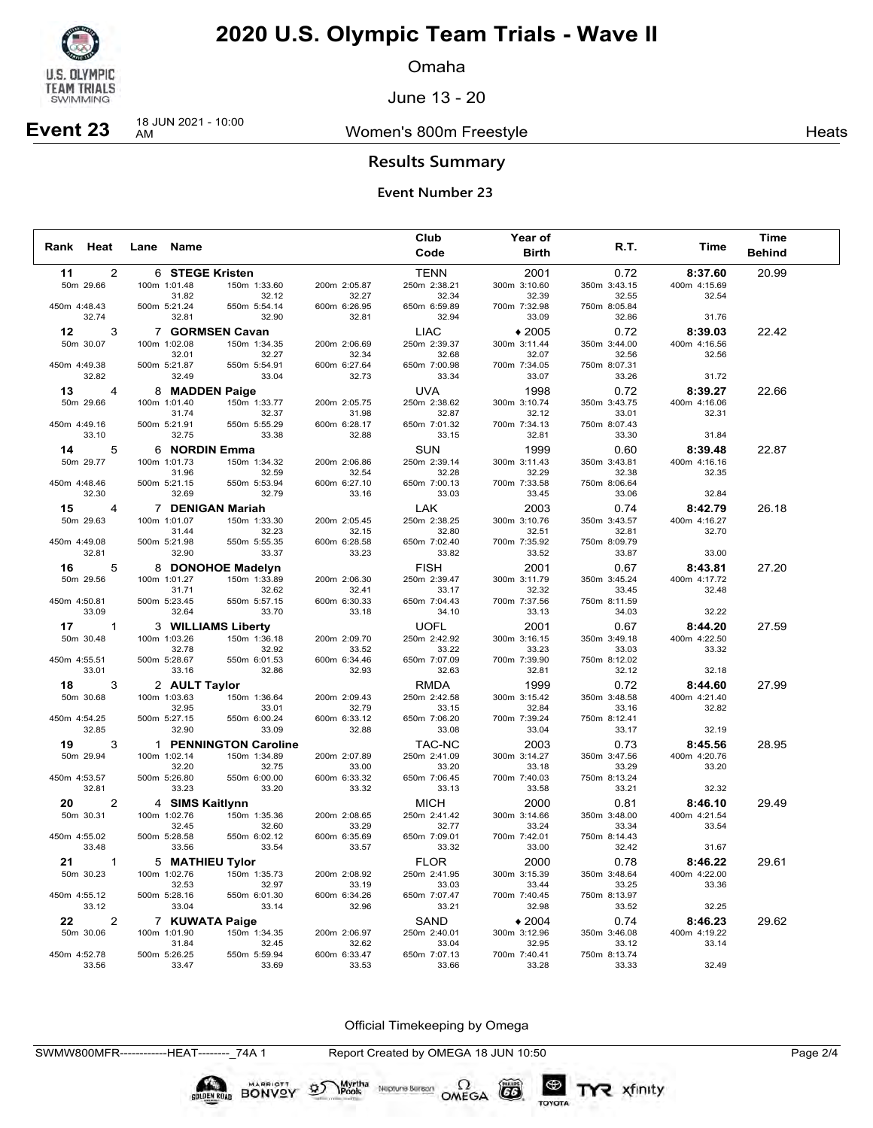

Omaha

June 13 - 20

## **Event 23** 18 JUN 2021 - 10:00

Women's 800m Freestyle **Heats** Heats

### **Results Summary**

### **Event Number 23**

|                 |                           |                                 |                       |                       | Club                  | Year of               |                       |                       | Time          |  |
|-----------------|---------------------------|---------------------------------|-----------------------|-----------------------|-----------------------|-----------------------|-----------------------|-----------------------|---------------|--|
| Rank Heat       |                           | Lane Name                       |                       |                       | Code                  | <b>Birth</b>          | R.T.                  | Time                  | <b>Behind</b> |  |
| 11              | 2                         | 6 STEGE Kristen                 |                       |                       | <b>TENN</b>           | 2001                  | 0.72                  | 8:37.60               | 20.99         |  |
|                 | 50m 29.66                 | 100m 1:01.48                    | 150m 1:33.60          | 200m 2:05.87          | 250m 2:38.21          | 300m 3:10.60          | 350m 3:43.15          | 400m 4:15.69          |               |  |
|                 |                           | 31.82                           | 32.12                 | 32.27                 | 32.34                 | 32.39                 | 32.55                 | 32.54                 |               |  |
| 450m 4:48.43    |                           | 500m 5:21.24                    | 550m 5:54.14          | 600m 6:26.95          | 650m 6:59.89          | 700m 7:32.98          | 750m 8:05.84          |                       |               |  |
|                 | 32.74                     | 32.81                           | 32.90                 | 32.81                 | 32.94                 | 33.09                 | 32.86                 | 31.76                 |               |  |
| 12 <sup>1</sup> | 3                         |                                 | 7 GORMSEN Cavan       |                       | <b>LIAC</b>           | $*2005$               | 0.72                  | 8:39.03               | 22.42         |  |
|                 | 50m 30.07                 | 100m 1:02.08<br>32.01           | 150m 1:34.35<br>32.27 | 200m 2:06.69<br>32.34 | 250m 2:39.37<br>32.68 | 300m 3:11.44<br>32.07 | 350m 3:44.00<br>32.56 | 400m 4:16.56<br>32.56 |               |  |
| 450m 4:49.38    |                           | 500m 5:21.87                    | 550m 5:54.91          | 600m 6:27.64          | 650m 7:00.98          | 700m 7:34.05          | 750m 8:07.31          |                       |               |  |
|                 | 32.82                     | 32.49                           | 33.04                 | 32.73                 | 33.34                 | 33.07                 | 33.26                 | 31.72                 |               |  |
| 13              | $\overline{4}$            | 8 MADDEN Paige                  |                       |                       | <b>UVA</b>            | 1998                  | 0.72                  | 8:39.27               | 22.66         |  |
|                 | 50m 29.66                 | 100m 1:01.40                    | 150m 1:33.77          | 200m 2:05.75          | 250m 2:38.62          | 300m 3:10.74          | 350m 3:43.75          | 400m 4:16.06          |               |  |
|                 |                           | 31.74                           | 32.37                 | 31.98                 | 32.87                 | 32.12                 | 33.01                 | 32.31                 |               |  |
| 450m 4:49.16    |                           | 500m 5:21.91                    | 550m 5:55.29          | 600m 6:28.17          | 650m 7:01.32          | 700m 7:34.13          | 750m 8:07.43          |                       |               |  |
|                 | 33.10                     | 32.75                           | 33.38                 | 32.88                 | 33.15                 | 32.81                 | 33.30                 | 31.84                 |               |  |
|                 | 14<br>5                   | 6 NORDIN Emma                   |                       |                       | SUN                   | 1999                  | 0.60                  | 8:39.48               | 22.87         |  |
|                 | 50m 29.77                 | 100m 1:01.73                    | 150m 1:34.32          | 200m 2:06.86          | 250m 2:39.14          | 300m 3:11.43          | 350m 3:43.81          | 400m 4:16.16<br>32.35 |               |  |
| 450m 4:48.46    |                           | 31.96<br>500m 5:21.15           | 32.59<br>550m 5:53.94 | 32.54<br>600m 6:27.10 | 32.28<br>650m 7:00.13 | 32.29<br>700m 7:33.58 | 32.38<br>750m 8:06.64 |                       |               |  |
|                 | 32.30                     | 32.69                           | 32.79                 | 33.16                 | 33.03                 | 33.45                 | 33.06                 | 32.84                 |               |  |
|                 | 15 —<br>4                 |                                 | 7 DENIGAN Mariah      |                       | LAK                   | 2003                  | 0.74                  | 8:42.79               | 26.18         |  |
|                 | 50m 29.63                 | 100m 1:01.07                    | 150m 1:33.30          | 200m 2:05.45          | 250m 2:38.25          | 300m 3:10.76          | 350m 3:43.57          | 400m 4:16.27          |               |  |
|                 |                           | 31.44                           | 32.23                 | 32.15                 | 32.80                 | 32.51                 | 32.81                 | 32.70                 |               |  |
| 450m 4:49.08    |                           | 500m 5:21.98                    | 550m 5:55.35          | 600m 6:28.58          | 650m 7:02.40          | 700m 7:35.92          | 750m 8:09.79          |                       |               |  |
|                 | 32.81                     | 32.90                           | 33.37                 | 33.23                 | 33.82                 | 33.52                 | 33.87                 | 33.00                 |               |  |
|                 | 16 —<br>5                 |                                 | 8 DONOHOE Madelyn     |                       | <b>FISH</b>           | 2001                  | 0.67                  | 8:43.81               | 27.20         |  |
|                 | 50m 29.56                 | 100m 1:01.27                    | 150m 1:33.89          | 200m 2:06.30          | 250m 2:39.47          | 300m 3:11.79          | 350m 3:45.24          | 400m 4:17.72          |               |  |
| 450m 4:50.81    |                           | 31.71<br>500m 5:23.45           | 32.62<br>550m 5:57.15 | 32.41<br>600m 6:30.33 | 33.17<br>650m 7:04.43 | 32.32<br>700m 7:37.56 | 33.45<br>750m 8:11.59 | 32.48                 |               |  |
|                 | 33.09                     | 32.64                           | 33.70                 | 33.18                 | 34.10                 | 33.13                 | 34.03                 | 32.22                 |               |  |
|                 | 17<br>$\mathbf{1}$        |                                 | 3 WILLIAMS Liberty    |                       | <b>UOFL</b>           | 2001                  | 0.67                  | 8:44.20               | 27.59         |  |
|                 | 50m 30.48                 | 100m 1:03.26                    | 150m 1:36.18          | 200m 2:09.70          | 250m 2:42.92          | 300m 3:16.15          | 350m 3:49.18          | 400m 4:22.50          |               |  |
|                 |                           | 32.78                           | 32.92                 | 33.52                 | 33.22                 | 33.23                 | 33.03                 | 33.32                 |               |  |
| 450m 4:55.51    |                           | 500m 5:28.67                    | 550m 6:01.53          | 600m 6:34.46          | 650m 7:07.09          | 700m 7:39.90          | 750m 8:12.02          |                       |               |  |
|                 | 33.01                     | 33.16                           | 32.86                 | 32.93                 | 32.63                 | 32.81                 | 32.12                 | 32.18                 |               |  |
|                 | 18 —<br>3                 | 2 AULT Taylor                   |                       |                       | <b>RMDA</b>           | 1999                  | 0.72                  | 8:44.60               | 27.99         |  |
|                 | 50m 30.68                 | 100m 1:03.63                    | 150m 1:36.64          | 200m 2:09.43          | 250m 2:42.58          | 300m 3:15.42          | 350m 3:48.58          | 400m 4:21.40          |               |  |
| 450m 4:54.25    |                           | 32.95<br>500m 5:27.15           | 33.01<br>550m 6:00.24 | 32.79<br>600m 6:33.12 | 33.15<br>650m 7:06.20 | 32.84<br>700m 7:39.24 | 33.16<br>750m 8:12.41 | 32.82                 |               |  |
|                 | 32.85                     | 32.90                           | 33.09                 | 32.88                 | 33.08                 | 33.04                 | 33.17                 | 32.19                 |               |  |
|                 | 19<br>3                   |                                 | 1 PENNINGTON Caroline |                       | TAC-NC                | 2003                  | 0.73                  | 8:45.56               | 28.95         |  |
|                 | 50m 29.94                 | 100m 1:02.14                    | 150m 1:34.89          | 200m 2:07.89          | 250m 2:41.09          | 300m 3:14.27          | 350m 3:47.56          | 400m 4:20.76          |               |  |
|                 |                           | 32.20                           | 32.75                 | 33.00                 | 33.20                 | 33.18                 | 33.29                 | 33.20                 |               |  |
| 450m 4:53.57    |                           | 500m 5:26.80                    | 550m 6:00.00          | 600m 6:33.32          | 650m 7:06.45          | 700m 7:40.03          | 750m 8:13.24          |                       |               |  |
|                 | 32.81                     | 33.23                           | 33.20                 | 33.32                 | 33.13                 | 33.58                 | 33.21                 | 32.32                 |               |  |
| 20              | 2                         | 4 SIMS Kaitlynn                 |                       |                       | <b>MICH</b>           | 2000                  | 0.81                  | 8:46.10               | 29.49         |  |
|                 | 50m 30.31                 | 100m 1:02.76                    | 150m 1:35.36          | 200m 2:08.65          | 250m 2:41.42          | 300m 3:14.66          | 350m 3:48.00          | 400m 4:21.54          |               |  |
|                 |                           | 32.45                           | 32.60                 | 33.29                 | 32.77                 | 33.24                 | 33.34                 | 33.54                 |               |  |
| 450m 4:55.02    | 33.48                     | 500m 5:28.58<br>33.56           | 550m 6:02.12<br>33.54 | 600m 6:35.69<br>33.57 | 650m 7:09.01<br>33.32 | 700m 7:42.01<br>33.00 | 750m 8:14.43<br>32.42 | 31.67                 |               |  |
|                 |                           |                                 |                       |                       | <b>FLOR</b>           | 2000                  | 0.78                  | 8:46.22               | 29.61         |  |
| 21              | $\mathbf{1}$<br>50m 30.23 | 5 MATHIEU Tylor<br>100m 1:02.76 | 150m 1:35.73          | 200m 2:08.92          | 250m 2:41.95          | 300m 3:15.39          | 350m 3:48.64          | 400m 4:22.00          |               |  |
|                 |                           | 32.53                           | 32.97                 | 33.19                 | 33.03                 | 33.44                 | 33.25                 | 33.36                 |               |  |
| 450m 4:55.12    |                           | 500m 5:28.16                    | 550m 6:01.30          | 600m 6:34.26          | 650m 7:07.47          | 700m 7:40.45          | 750m 8:13.97          |                       |               |  |
|                 | 33.12                     | 33.04                           | 33.14                 | 32.96                 | 33.21                 | 32.98                 | 33.52                 | 32.25                 |               |  |
| 22              | 2                         | 7 KUWATA Paige                  |                       |                       | SAND                  | $*2004$               | 0.74                  | 8:46.23               | 29.62         |  |
|                 | 50m 30.06                 | 100m 1:01.90                    | 150m 1:34.35          | 200m 2:06.97          | 250m 2:40.01          | 300m 3:12.96          | 350m 3:46.08          | 400m 4:19.22          |               |  |
|                 |                           | 31.84                           | 32.45                 | 32.62                 | 33.04                 | 32.95                 | 33.12                 | 33.14                 |               |  |
| 450m 4:52.78    | 33.56                     | 500m 5:26.25<br>33.47           | 550m 5:59.94<br>33.69 | 600m 6:33.47<br>33.53 | 650m 7:07.13<br>33.66 | 700m 7:40.41<br>33.28 | 750m 8:13.74<br>33.33 | 32.49                 |               |  |
|                 |                           |                                 |                       |                       |                       |                       |                       |                       |               |  |

Official Timekeeping by Omega

SWMW800MFR------------HEAT--------\_74A 1 Report Created by OMEGA 18 JUN 10:50 Page 2/4

**BONVOY** 

Myrtha<br>Pools

 $\mathcal{D}$ 

Neptune Berson  $\Omega$ <br>OMEGA

 $G6$ 

TOYOTA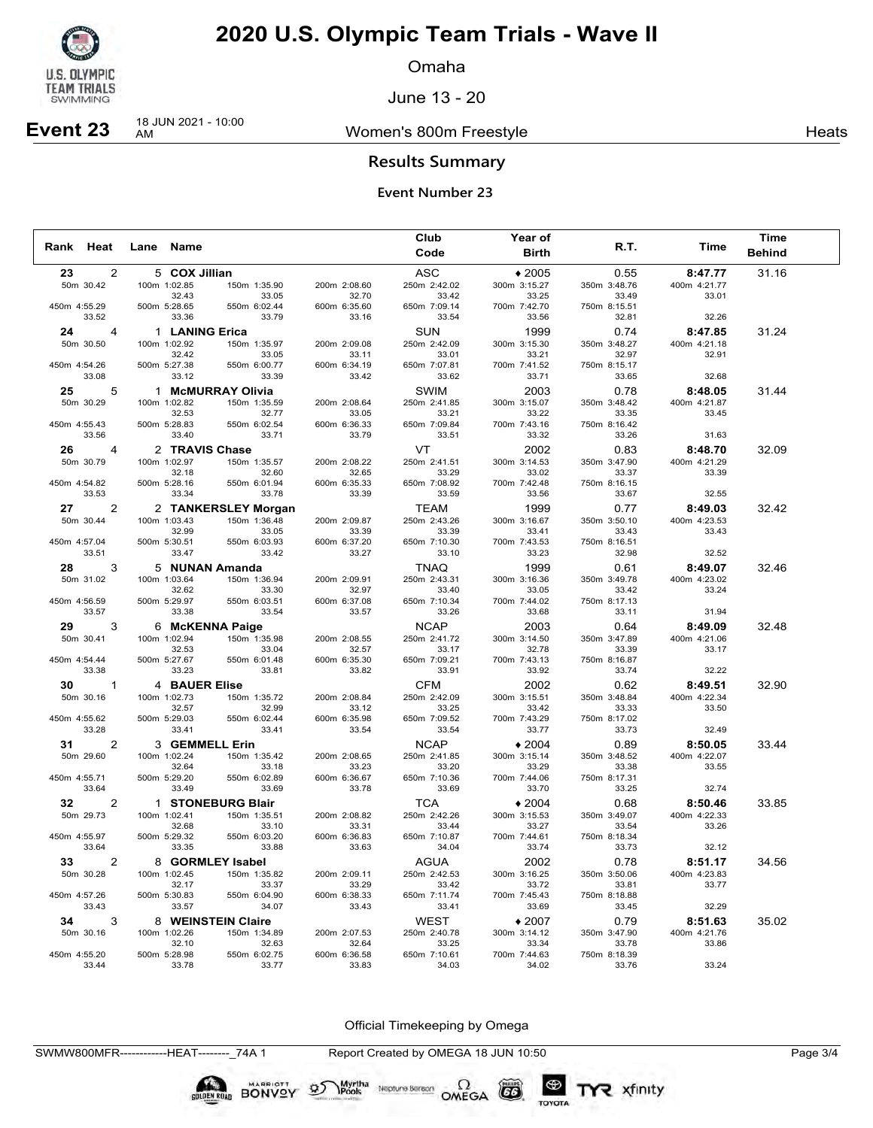

**Event 23** 18 JUN 2021 - 10:00

## **2020 U.S. Olympic Team Trials - Wave II**

Omaha

June 13 - 20

### Women's 800m Freestyle **Heats** Heats

### **Results Summary**

### **Event Number 23**

|              |                        |                       |                       |                       | Club                  | <b>Year of</b>        |                       |                       | <b>Time</b>   |  |
|--------------|------------------------|-----------------------|-----------------------|-----------------------|-----------------------|-----------------------|-----------------------|-----------------------|---------------|--|
| Rank Heat    |                        | Lane Name             |                       |                       | Code                  | <b>Birth</b>          | R.T.                  | Time                  | <b>Behind</b> |  |
| 23           | 2                      | 5 COX Jillian         |                       |                       | ASC                   | $*2005$               | 0.55                  | 8:47.77               | 31.16         |  |
|              | 50m 30.42              | 100m 1:02.85          | 150m 1:35.90          | 200m 2:08.60          | 250m 2:42.02          | 300m 3:15.27          | 350m 3:48.76          | 400m 4:21.77          |               |  |
|              |                        | 32.43                 | 33.05                 | 32.70                 | 33.42                 | 33.25                 | 33.49                 | 33.01                 |               |  |
| 450m 4:55.29 |                        | 500m 5:28.65          | 550m 6:02.44          | 600m 6:35.60          | 650m 7:09.14          | 700m 7:42.70          | 750m 8:15.51          |                       |               |  |
|              | 33.52                  | 33.36                 | 33.79                 | 33.16                 | 33.54                 | 33.56                 | 32.81                 | 32.26                 |               |  |
| 24           | 4                      | 1 LANING Erica        |                       |                       | <b>SUN</b>            | 1999                  | 0.74                  | 8:47.85               | 31.24         |  |
|              | 50m 30.50              | 100m 1:02.92          | 150m 1:35.97          | 200m 2:09.08          | 250m 2:42.09          | 300m 3:15.30          | 350m 3:48.27          | 400m 4:21.18          |               |  |
|              |                        | 32.42                 | 33.05                 | 33.11                 | 33.01                 | 33.21                 | 32.97                 | 32.91                 |               |  |
| 450m 4:54.26 | 33.08                  | 500m 5:27.38          | 550m 6:00.77          | 600m 6:34.19          | 650m 7:07.81          | 700m 7:41.52          | 750m 8:15.17          |                       |               |  |
|              |                        | 33.12                 | 33.39                 | 33.42                 | 33.62                 | 33.71                 | 33.65                 | 32.68                 |               |  |
|              | 25 7<br>5              |                       | 1 McMURRAY Olivia     |                       | SWIM                  | 2003                  | 0.78                  | 8:48.05               | 31.44         |  |
|              | 50m 30.29              | 100m 1:02.82<br>32.53 | 150m 1:35.59<br>32.77 | 200m 2:08.64<br>33.05 | 250m 2:41.85<br>33.21 | 300m 3:15.07<br>33.22 | 350m 3:48.42<br>33.35 | 400m 4:21.87<br>33.45 |               |  |
| 450m 4:55.43 |                        | 500m 5:28.83          | 550m 6:02.54          | 600m 6:36.33          | 650m 7:09.84          | 700m 7:43.16          | 750m 8:16.42          |                       |               |  |
|              | 33.56                  | 33.40                 | 33.71                 | 33.79                 | 33.51                 | 33.32                 | 33.26                 | 31.63                 |               |  |
|              | 26 7<br>$\overline{a}$ | 2 TRAVIS Chase        |                       |                       | VT.                   | 2002                  | 0.83                  | 8:48.70               | 32.09         |  |
|              | 50m 30.79              | 100m 1:02.97          | 150m 1:35.57          | 200m 2:08.22          | 250m 2:41.51          | 300m 3:14.53          | 350m 3:47.90          | 400m 4:21.29          |               |  |
|              |                        | 32.18                 | 32.60                 | 32.65                 | 33.29                 | 33.02                 | 33.37                 | 33.39                 |               |  |
| 450m 4:54.82 |                        | 500m 5:28.16          | 550m 6:01.94          | 600m 6:35.33          | 650m 7:08.92          | 700m 7:42.48          | 750m 8:16.15          |                       |               |  |
|              | 33.53                  | 33.34                 | 33.78                 | 33.39                 | 33.59                 | 33.56                 | 33.67                 | 32.55                 |               |  |
|              | 27<br>2                |                       | 2 TANKERSLEY Morgan   |                       | TEAM                  | 1999                  | 0.77                  | 8:49.03               | 32.42         |  |
|              | 50m 30.44              | 100m 1:03.43          | 150m 1:36.48          | 200m 2:09.87          | 250m 2:43.26          | 300m 3:16.67          | 350m 3:50.10          | 400m 4:23.53          |               |  |
|              |                        | 32.99                 | 33.05                 | 33.39                 | 33.39                 | 33.41                 | 33.43                 | 33.43                 |               |  |
| 450m 4:57.04 |                        | 500m 5:30.51          | 550m 6:03.93          | 600m 6:37.20          | 650m 7:10.30          | 700m 7:43.53          | 750m 8:16.51          |                       |               |  |
|              | 33.51                  | 33.47                 | 33.42                 | 33.27                 | 33.10                 | 33.23                 | 32.98                 | 32.52                 |               |  |
|              | 28 —<br>3              |                       | 5 NUNAN Amanda        |                       | TNAQ                  | 1999                  | 0.61                  | 8:49.07               | 32.46         |  |
|              | 50m 31.02              | 100m 1:03.64          | 150m 1:36.94          | 200m 2:09.91          | 250m 2:43.31          | 300m 3:16.36          | 350m 3:49.78          | 400m 4:23.02          |               |  |
|              |                        | 32.62                 | 33.30                 | 32.97                 | 33.40                 | 33.05                 | 33.42                 | 33.24                 |               |  |
| 450m 4:56.59 | 33.57                  | 500m 5:29.97<br>33.38 | 550m 6:03.51<br>33.54 | 600m 6:37.08<br>33.57 | 650m 7:10.34<br>33.26 | 700m 7:44.02<br>33.68 | 750m 8:17.13<br>33.11 | 31.94                 |               |  |
|              |                        |                       |                       |                       |                       |                       |                       |                       |               |  |
|              | 29<br>3                |                       | 6 McKENNA Paige       |                       | <b>NCAP</b>           | 2003                  | 0.64                  | 8:49.09               | 32.48         |  |
|              | 50m 30.41              | 100m 1:02.94<br>32.53 | 150m 1:35.98<br>33.04 | 200m 2:08.55<br>32.57 | 250m 2:41.72<br>33.17 | 300m 3:14.50<br>32.78 | 350m 3:47.89<br>33.39 | 400m 4:21.06<br>33.17 |               |  |
| 450m 4:54.44 |                        | 500m 5:27.67          | 550m 6:01.48          | 600m 6:35.30          | 650m 7:09.21          | 700m 7:43.13          | 750m 8:16.87          |                       |               |  |
|              | 33.38                  | 33.23                 | 33.81                 | 33.82                 | 33.91                 | 33.92                 | 33.74                 | 32.22                 |               |  |
|              | $30 \t 1$              | 4 BAUER Elise         |                       |                       | <b>CFM</b>            | 2002                  | 0.62                  | 8:49.51               | 32.90         |  |
|              | 50m 30.16              | 100m 1:02.73          | 150m 1:35.72          | 200m 2:08.84          | 250m 2:42.09          | 300m 3:15.51          | 350m 3:48.84          | 400m 4:22.34          |               |  |
|              |                        | 32.57                 | 32.99                 | 33.12                 | 33.25                 | 33.42                 | 33.33                 | 33.50                 |               |  |
| 450m 4:55.62 |                        | 500m 5:29.03          | 550m 6:02.44          | 600m 6:35.98          | 650m 7:09.52          | 700m 7:43.29          | 750m 8:17.02          |                       |               |  |
|              | 33.28                  | 33.41                 | 33.41                 | 33.54                 | 33.54                 | 33.77                 | 33.73                 | 32.49                 |               |  |
|              | 31<br>2                | 3 GEMMELL Erin        |                       |                       | <b>NCAP</b>           | $*2004$               | 0.89                  | 8:50.05               | 33.44         |  |
|              | 50m 29.60              | 100m 1:02.24          | 150m 1:35.42          | 200m 2:08.65          | 250m 2:41.85          | 300m 3:15.14          | 350m 3:48.52          | 400m 4:22.07          |               |  |
|              |                        | 32.64                 | 33.18                 | 33.23                 | 33.20                 | 33.29                 | 33.38                 | 33.55                 |               |  |
| 450m 4:55.71 |                        | 500m 5:29.20          | 550m 6:02.89          | 600m 6:36.67          | 650m 7:10.36          | 700m 7:44.06          | 750m 8:17.31          |                       |               |  |
|              | 33.64                  | 33.49                 | 33.69                 | 33.78                 | 33.69                 | 33.70                 | 33.25                 | 32.74                 |               |  |
|              | 32<br>2                |                       | 1 STONEBURG Blair     |                       | TCA                   | $*2004$               | 0.68                  | 8:50.46               | 33.85         |  |
|              | 50m 29.73              | 100m 1:02.41          | 150m 1:35.51          | 200m 2:08.82          | 250m 2:42.26          | 300m 3:15.53          | 350m 3:49.07          | 400m 4:22.33          |               |  |
| 450m 4:55.97 |                        | 32.68<br>500m 5:29.32 | 33.10<br>550m 6:03.20 | 33.31<br>600m 6:36.83 | 33.44<br>650m 7:10.87 | 33.27<br>700m 7:44.61 | 33.54<br>750m 8:18.34 | 33.26                 |               |  |
|              | 33.64                  | 33.35                 | 33.88                 | 33.63                 | 34.04                 | 33.74                 | 33.73                 | 32.12                 |               |  |
|              | 33<br>2                |                       | 8 GORMLEY Isabel      |                       | AGUA                  | 2002                  | 0.78                  | 8:51.17               | 34.56         |  |
|              | 50m 30.28              | 100m 1:02.45          | 150m 1:35.82          | 200m 2:09.11          | 250m 2:42.53          | 300m 3:16.25          | 350m 3:50.06          | 400m 4:23.83          |               |  |
|              |                        | 32.17                 | 33.37                 | 33.29                 | 33.42                 | 33.72                 | 33.81                 | 33.77                 |               |  |
| 450m 4:57.26 |                        | 500m 5:30.83          | 550m 6:04.90          | 600m 6:38.33          | 650m 7:11.74          | 700m 7:45.43          | 750m 8:18.88          |                       |               |  |
|              | 33.43                  | 33.57                 | 34.07                 | 33.43                 | 33.41                 | 33.69                 | 33.45                 | 32.29                 |               |  |
|              | 34<br>3                |                       | 8 WEINSTEIN Claire    |                       | WEST                  | $*2007$               | 0.79                  | 8:51.63               | 35.02         |  |
|              | 50m 30.16              | 100m 1:02.26          | 150m 1:34.89          | 200m 2:07.53          | 250m 2:40.78          | 300m 3:14.12          | 350m 3:47.90          | 400m 4:21.76          |               |  |
|              |                        | 32.10                 | 32.63                 | 32.64                 | 33.25                 | 33.34                 | 33.78                 | 33.86                 |               |  |
| 450m 4:55.20 |                        | 500m 5:28.98          | 550m 6:02.75          | 600m 6:36.58          | 650m 7:10.61          | 700m 7:44.63          | 750m 8:18.39          |                       |               |  |
|              | 33.44                  | 33.78                 | 33.77                 | 33.83                 | 34.03                 | 34.02                 | 33.76                 | 33.24                 |               |  |

Official Timekeeping by Omega

TYR xfinity

SWMW800MFR------------HEAT--------\_74A 1 Report Created by OMEGA 18 JUN 10:50 Page 3/4

BONVOY 95

Myrtha

Neptune Berson  $\Omega$ <br>OMEGA

 $(G)$ 

TOYOTA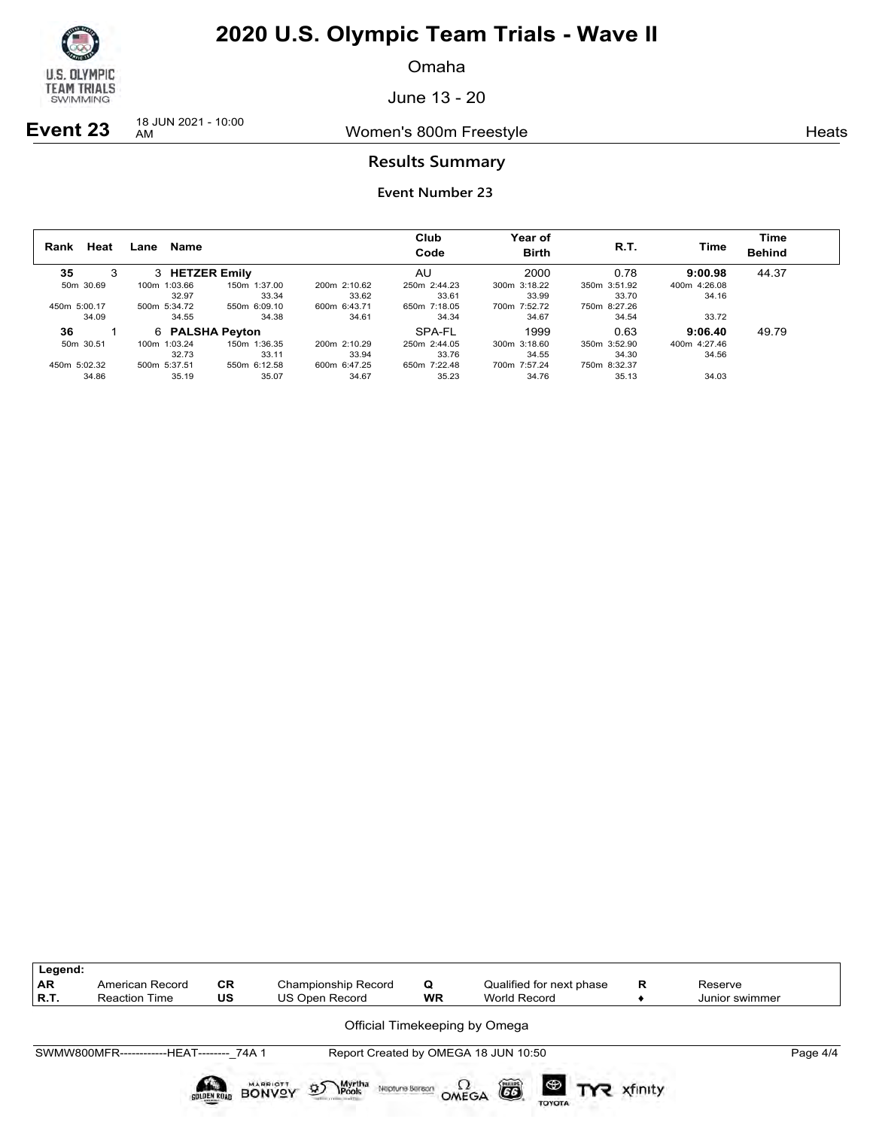

Omaha

June 13 - 20

**Event 23** 18 JUN 2021 - 10:00

Women's 800m Freestyle **Heats** Heats

### **Results Summary**

| Heat<br>Rank | Name<br>Lane    |              |              | Club<br>Code | Year of<br><b>Birth</b> | R.T.         | Time         | Time<br><b>Behind</b> |
|--------------|-----------------|--------------|--------------|--------------|-------------------------|--------------|--------------|-----------------------|
| 35<br>3      | 3 HETZER Emily  |              |              | AU           | 2000                    | 0.78         | 9:00.98      | 44.37                 |
| 50m 30.69    | 100m 1:03.66    | 150m 1:37.00 | 200m 2:10.62 | 250m 2:44.23 | 300m 3:18.22            | 350m 3:51.92 | 400m 4:26.08 |                       |
|              | 32.97           | 33.34        | 33.62        | 33.61        | 33.99                   | 33.70        | 34.16        |                       |
| 450m 5:00.17 | 500m 5:34.72    | 550m 6:09.10 | 600m 6:43.71 | 650m 7:18.05 | 700m 7:52.72            | 750m 8:27.26 |              |                       |
| 34.09        | 34.55           | 34.38        | 34.61        | 34.34        | 34.67                   | 34.54        | 33.72        |                       |
| 36           | 6 PALSHA Peyton |              |              | SPA-FL       | 1999                    | 0.63         | 9:06.40      | 49.79                 |
| 50m 30.51    | 100m 1:03.24    | 150m 1:36.35 | 200m 2:10.29 | 250m 2:44.05 | 300m 3:18.60            | 350m 3:52.90 | 400m 4:27.46 |                       |
|              | 32.73           | 33.11        | 33.94        | 33.76        | 34.55                   | 34.30        | 34.56        |                       |
| 450m 5:02.32 | 500m 5:37.51    | 550m 6:12.58 | 600m 6:47.25 | 650m 7:22.48 | 700m 7:57.24            | 750m 8:32.37 |              |                       |
| 34.86        | 35.19           | 35.07        | 34.67        | 35.23        | 34.76                   | 35.13        | 34.03        |                       |

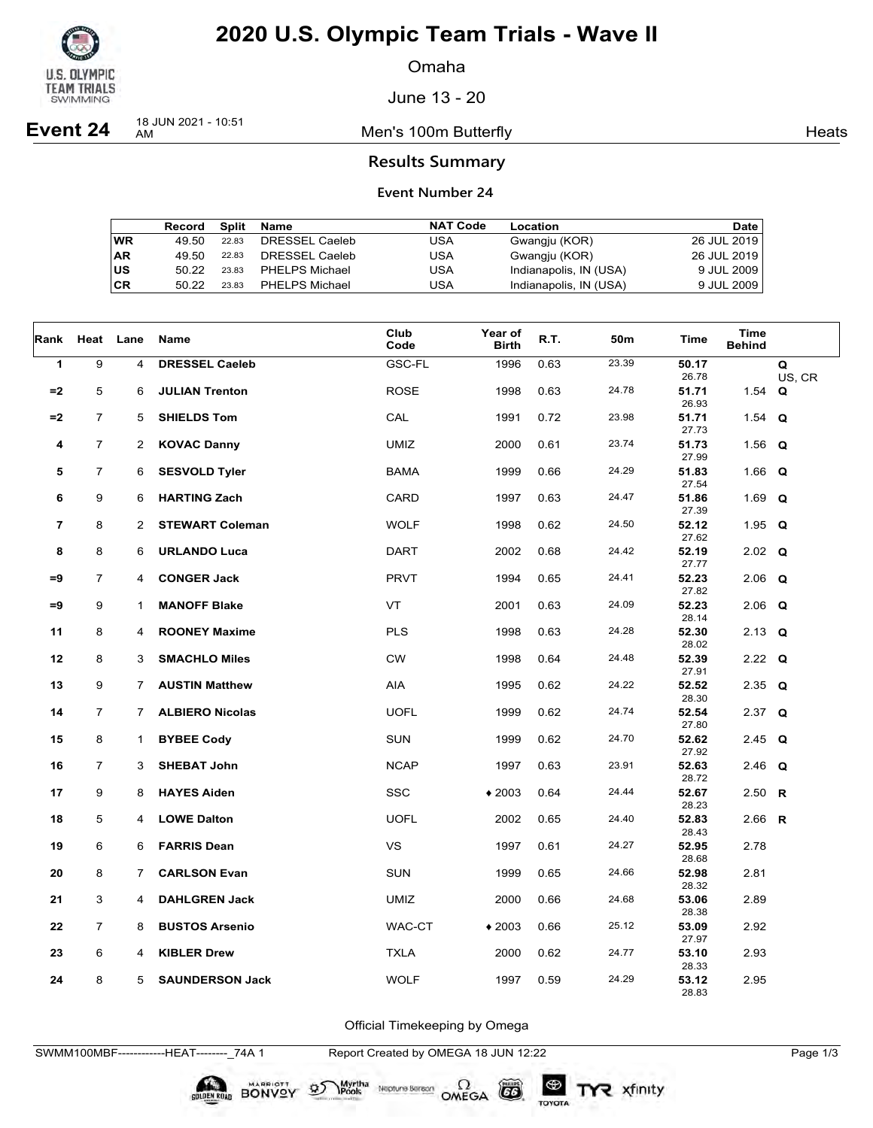

Omaha

June 13 - 20

**Event 24** 18 JUN 2021 - 10:51

Men's 100m Butterfly **American** Heats Heats

### **Results Summary**

### **Event Number 24**

|    | Record | Split | Name           | <b>NAT Code</b> | Location               | Date        |
|----|--------|-------|----------------|-----------------|------------------------|-------------|
| WR | 49.50  | 22.83 | DRESSEL Caeleb | USA             | Gwangju (KOR)          | 26 JUL 2019 |
| AR | 49.50  | 22.83 | DRESSEL Caeleb | USA             | Gwangju (KOR)          | 26 JUL 2019 |
| US | 50.22  | 23.83 | PHELPS Michael | USA             | Indianapolis, IN (USA) | 9 JUL 2009  |
| CR | 50.22  | 23.83 | PHELPS Michael | USA             | Indianapolis, IN (USA) | 9 JUL 2009  |

| Rank           | Heat Lane      |                | Name                   | Club<br>Code | Year of<br><b>Birth</b> | R.T. | 50m   | Time           | <b>Time</b><br><b>Behind</b> |             |
|----------------|----------------|----------------|------------------------|--------------|-------------------------|------|-------|----------------|------------------------------|-------------|
| 1              | 9              | 4              | <b>DRESSEL Caeleb</b>  | GSC-FL       | 1996                    | 0.63 | 23.39 | 50.17<br>26.78 |                              | Q<br>US, CR |
| $= 2$          | 5              | 6              | <b>JULIAN Trenton</b>  | <b>ROSE</b>  | 1998                    | 0.63 | 24.78 | 51.71<br>26.93 | 1.54 $Q$                     |             |
| $=2$           | $\overline{7}$ | 5              | <b>SHIELDS Tom</b>     | CAL          | 1991                    | 0.72 | 23.98 | 51.71<br>27.73 | 1.54 $Q$                     |             |
| 4              | $\overline{7}$ | 2              | <b>KOVAC Danny</b>     | <b>UMIZ</b>  | 2000                    | 0.61 | 23.74 | 51.73<br>27.99 | 1.56 $Q$                     |             |
| 5              | $\overline{7}$ | 6              | <b>SESVOLD Tyler</b>   | <b>BAMA</b>  | 1999                    | 0.66 | 24.29 | 51.83<br>27.54 | 1.66 $Q$                     |             |
| 6              | 9              | 6              | <b>HARTING Zach</b>    | CARD         | 1997                    | 0.63 | 24.47 | 51.86<br>27.39 | 1.69 $Q$                     |             |
| $\overline{7}$ | 8              | 2              | <b>STEWART Coleman</b> | <b>WOLF</b>  | 1998                    | 0.62 | 24.50 | 52.12<br>27.62 | 1.95 $Q$                     |             |
| 8              | 8              | 6              | <b>URLANDO Luca</b>    | <b>DART</b>  | 2002                    | 0.68 | 24.42 | 52.19<br>27.77 | $2.02$ Q                     |             |
| $=9$           | $\overline{7}$ | 4              | <b>CONGER Jack</b>     | <b>PRVT</b>  | 1994                    | 0.65 | 24.41 | 52.23<br>27.82 | $2.06$ Q                     |             |
| $=9$           | 9              | $\mathbf{1}$   | <b>MANOFF Blake</b>    | VT           | 2001                    | 0.63 | 24.09 | 52.23<br>28.14 | $2.06$ Q                     |             |
| 11             | 8              | 4              | <b>ROONEY Maxime</b>   | <b>PLS</b>   | 1998                    | 0.63 | 24.28 | 52.30<br>28.02 | $2.13$ Q                     |             |
| 12             | 8              | 3              | <b>SMACHLO Miles</b>   | <b>CW</b>    | 1998                    | 0.64 | 24.48 | 52.39<br>27.91 | 2.22 $Q$                     |             |
| 13             | 9              | $\overline{7}$ | <b>AUSTIN Matthew</b>  | AIA          | 1995                    | 0.62 | 24.22 | 52.52<br>28.30 | 2.35 $Q$                     |             |
| 14             | $\overline{7}$ | $\overline{7}$ | <b>ALBIERO Nicolas</b> | <b>UOFL</b>  | 1999                    | 0.62 | 24.74 | 52.54<br>27.80 | 2.37 $Q$                     |             |
| 15             | 8              | 1              | <b>BYBEE Cody</b>      | <b>SUN</b>   | 1999                    | 0.62 | 24.70 | 52.62<br>27.92 | 2.45 $Q$                     |             |
| 16             | $\overline{7}$ | 3              | <b>SHEBAT John</b>     | <b>NCAP</b>  | 1997                    | 0.63 | 23.91 | 52.63<br>28.72 | $2.46$ Q                     |             |
| 17             | 9              | 8              | <b>HAYES Aiden</b>     | <b>SSC</b>   | $*2003$                 | 0.64 | 24.44 | 52.67<br>28.23 | 2.50 R                       |             |
| 18             | 5              | 4              | <b>LOWE Dalton</b>     | <b>UOFL</b>  | 2002                    | 0.65 | 24.40 | 52.83<br>28.43 | 2.66 R                       |             |
| 19             | 6              | 6              | <b>FARRIS Dean</b>     | <b>VS</b>    | 1997                    | 0.61 | 24.27 | 52.95<br>28.68 | 2.78                         |             |
| 20             | 8              | $7^{\circ}$    | <b>CARLSON Evan</b>    | <b>SUN</b>   | 1999                    | 0.65 | 24.66 | 52.98<br>28.32 | 2.81                         |             |
| 21             | 3              | 4              | <b>DAHLGREN Jack</b>   | <b>UMIZ</b>  | 2000                    | 0.66 | 24.68 | 53.06<br>28.38 | 2.89                         |             |
| 22             | $\overline{7}$ | 8              | <b>BUSTOS Arsenio</b>  | WAC-CT       | $*2003$                 | 0.66 | 25.12 | 53.09<br>27.97 | 2.92                         |             |
| 23             | 6              | 4              | <b>KIBLER Drew</b>     | <b>TXLA</b>  | 2000                    | 0.62 | 24.77 | 53.10<br>28.33 | 2.93                         |             |
| 24             | 8              | 5              | <b>SAUNDERSON Jack</b> | <b>WOLF</b>  | 1997                    | 0.59 | 24.29 | 53.12<br>28.83 | 2.95                         |             |

Official Timekeeping by Omega

Neptune Bergan  $\Omega$ <br>OMEGA

 $(G)$ 

TOYOTA

SWMM100MBF------------HEAT--------\_74A 1 Report Created by OMEGA 18 JUN 12:22 Page 1/3

**SOLDEN ROAD BONVOY 95** 

Myrtha<br>Pools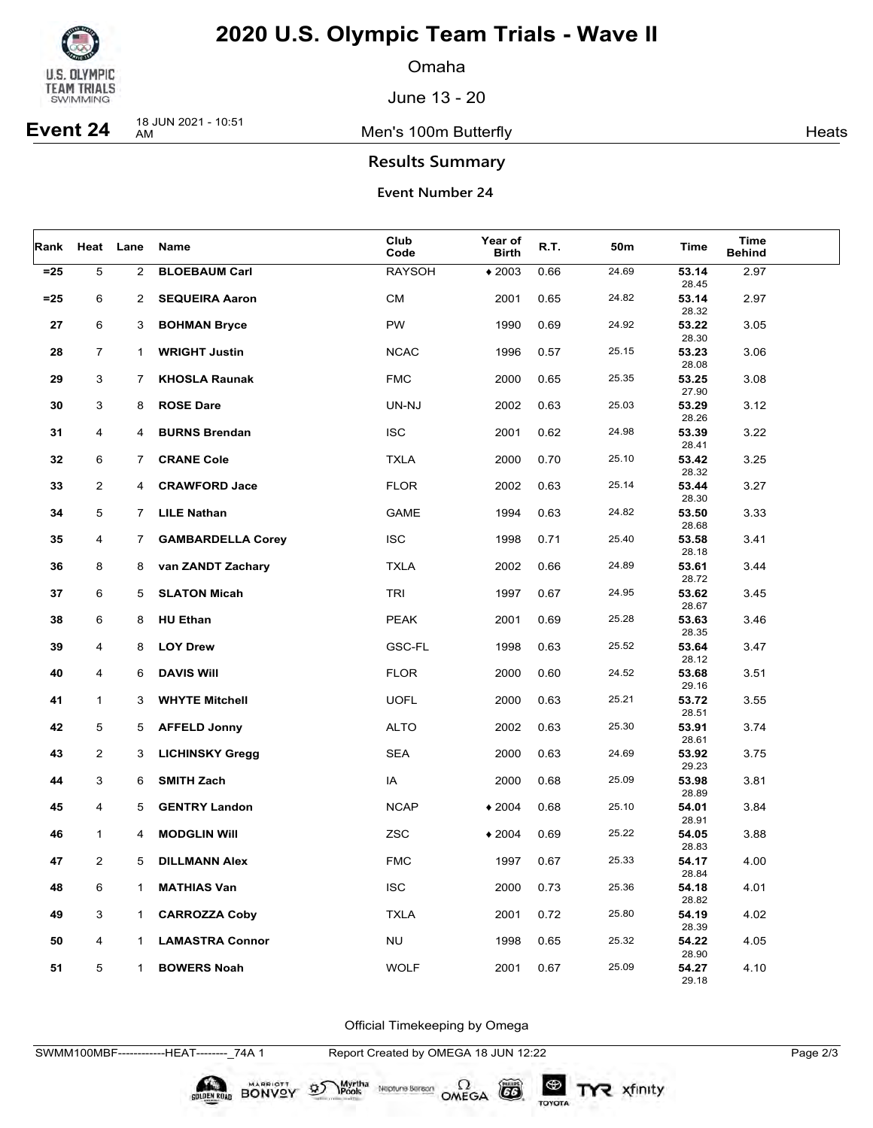

Omaha

June 13 - 20

**Event 24** 18 JUN 2021 - 10:51

Men's 100m Butterfly **American** Heats Heats

### **Results Summary**

### **Event Number 24**

|        | Rank Heat Lane |                | Name                     | Club<br>Code  | Year of<br><b>Birth</b> | R.T. | 50m   | Time                    | Time<br><b>Behind</b> |  |
|--------|----------------|----------------|--------------------------|---------------|-------------------------|------|-------|-------------------------|-----------------------|--|
| $= 25$ | $\,$ 5 $\,$    | $\overline{2}$ | <b>BLOEBAUM Carl</b>     | <b>RAYSOH</b> | $*2003$                 | 0.66 | 24.69 | 53.14<br>28.45          | 2.97                  |  |
| $= 25$ | 6              | $\overline{2}$ | <b>SEQUEIRA Aaron</b>    | <b>CM</b>     | 2001                    | 0.65 | 24.82 | 53.14<br>28.32          | 2.97                  |  |
| 27     | 6              | 3              | <b>BOHMAN Bryce</b>      | <b>PW</b>     | 1990                    | 0.69 | 24.92 | 53.22                   | 3.05                  |  |
| 28     | $\overline{7}$ | $\mathbf{1}$   | <b>WRIGHT Justin</b>     | <b>NCAC</b>   | 1996                    | 0.57 | 25.15 | 28.30<br>53.23          | 3.06                  |  |
| 29     | 3              | $\mathbf{7}$   | <b>KHOSLA Raunak</b>     | <b>FMC</b>    | 2000                    | 0.65 | 25.35 | 28.08<br>53.25          | 3.08                  |  |
| 30     | 3              | 8              | <b>ROSE Dare</b>         | UN-NJ         | 2002                    | 0.63 | 25.03 | 27.90<br>53.29          | 3.12                  |  |
| 31     | 4              | 4              | <b>BURNS Brendan</b>     | <b>ISC</b>    | 2001                    | 0.62 | 24.98 | 28.26<br>53.39          | 3.22                  |  |
| 32     | 6              | $\mathbf{7}$   | <b>CRANE Cole</b>        | <b>TXLA</b>   | 2000                    | 0.70 | 25.10 | 28.41<br>53.42<br>28.32 | 3.25                  |  |
| 33     | $\overline{2}$ | 4              | <b>CRAWFORD Jace</b>     | <b>FLOR</b>   | 2002                    | 0.63 | 25.14 | 53.44<br>28.30          | 3.27                  |  |
| 34     | 5              | $7^{\circ}$    | <b>LILE Nathan</b>       | <b>GAME</b>   | 1994                    | 0.63 | 24.82 | 53.50<br>28.68          | 3.33                  |  |
| 35     | 4              | $7^{\circ}$    | <b>GAMBARDELLA Corey</b> | <b>ISC</b>    | 1998                    | 0.71 | 25.40 | 53.58<br>28.18          | 3.41                  |  |
| 36     | 8              | 8              | van ZANDT Zachary        | <b>TXLA</b>   | 2002                    | 0.66 | 24.89 | 53.61<br>28.72          | 3.44                  |  |
| 37     | 6              | 5              | <b>SLATON Micah</b>      | <b>TRI</b>    | 1997                    | 0.67 | 24.95 | 53.62<br>28.67          | 3.45                  |  |
| 38     | 6              | 8              | <b>HU Ethan</b>          | <b>PEAK</b>   | 2001                    | 0.69 | 25.28 | 53.63<br>28.35          | 3.46                  |  |
| 39     | 4              | 8              | <b>LOY Drew</b>          | <b>GSC-FL</b> | 1998                    | 0.63 | 25.52 | 53.64<br>28.12          | 3.47                  |  |
| 40     | 4              | 6              | <b>DAVIS WIII</b>        | <b>FLOR</b>   | 2000                    | 0.60 | 24.52 | 53.68<br>29.16          | 3.51                  |  |
| 41     | $\mathbf{1}$   | 3              | <b>WHYTE Mitchell</b>    | <b>UOFL</b>   | 2000                    | 0.63 | 25.21 | 53.72<br>28.51          | 3.55                  |  |
| 42     | 5              | 5              | <b>AFFELD Jonny</b>      | <b>ALTO</b>   | 2002                    | 0.63 | 25.30 | 53.91<br>28.61          | 3.74                  |  |
| 43     | $\overline{2}$ | 3              | <b>LICHINSKY Gregg</b>   | <b>SEA</b>    | 2000                    | 0.63 | 24.69 | 53.92<br>29.23          | 3.75                  |  |
| 44     | 3              | 6              | <b>SMITH Zach</b>        | IA            | 2000                    | 0.68 | 25.09 | 53.98<br>28.89          | 3.81                  |  |
| 45     | 4              | 5              | <b>GENTRY Landon</b>     | <b>NCAP</b>   | $*2004$                 | 0.68 | 25.10 | 54.01<br>28.91          | 3.84                  |  |
| 46     | $\mathbf{1}$   | 4              | <b>MODGLIN Will</b>      | <b>ZSC</b>    | $*2004$                 | 0.69 | 25.22 | 54.05<br>28.83          | 3.88                  |  |
| 47     | $\overline{2}$ | 5              | <b>DILLMANN Alex</b>     | <b>FMC</b>    | 1997                    | 0.67 | 25.33 | 54.17<br>28.84          | 4.00                  |  |
| 48     | 6              | 1.             | <b>MATHIAS Van</b>       | <b>ISC</b>    | 2000                    | 0.73 | 25.36 | 54.18<br>28.82          | 4.01                  |  |
| 49     | 3              | $\mathbf{1}$   | <b>CARROZZA Coby</b>     | <b>TXLA</b>   | 2001                    | 0.72 | 25.80 | 54.19<br>28.39          | 4.02                  |  |
| 50     | $\overline{4}$ | 1.             | <b>LAMASTRA Connor</b>   | <b>NU</b>     | 1998                    | 0.65 | 25.32 | 54.22<br>28.90          | 4.05                  |  |
| 51     | 5              | 1              | <b>BOWERS Noah</b>       | <b>WOLF</b>   | 2001                    | 0.67 | 25.09 | 54.27<br>29.18          | 4.10                  |  |

Official Timekeeping by Omega

SWMM100MBF------------HEAT--------\_74A 1 Report Created by OMEGA 18 JUN 12:22 Page 2/3

BONVOY 9

Myrtha<br>Pools

Neptune Berson  $\Omega$ <br>OMEGA

 $(G)$ 

TOYOTA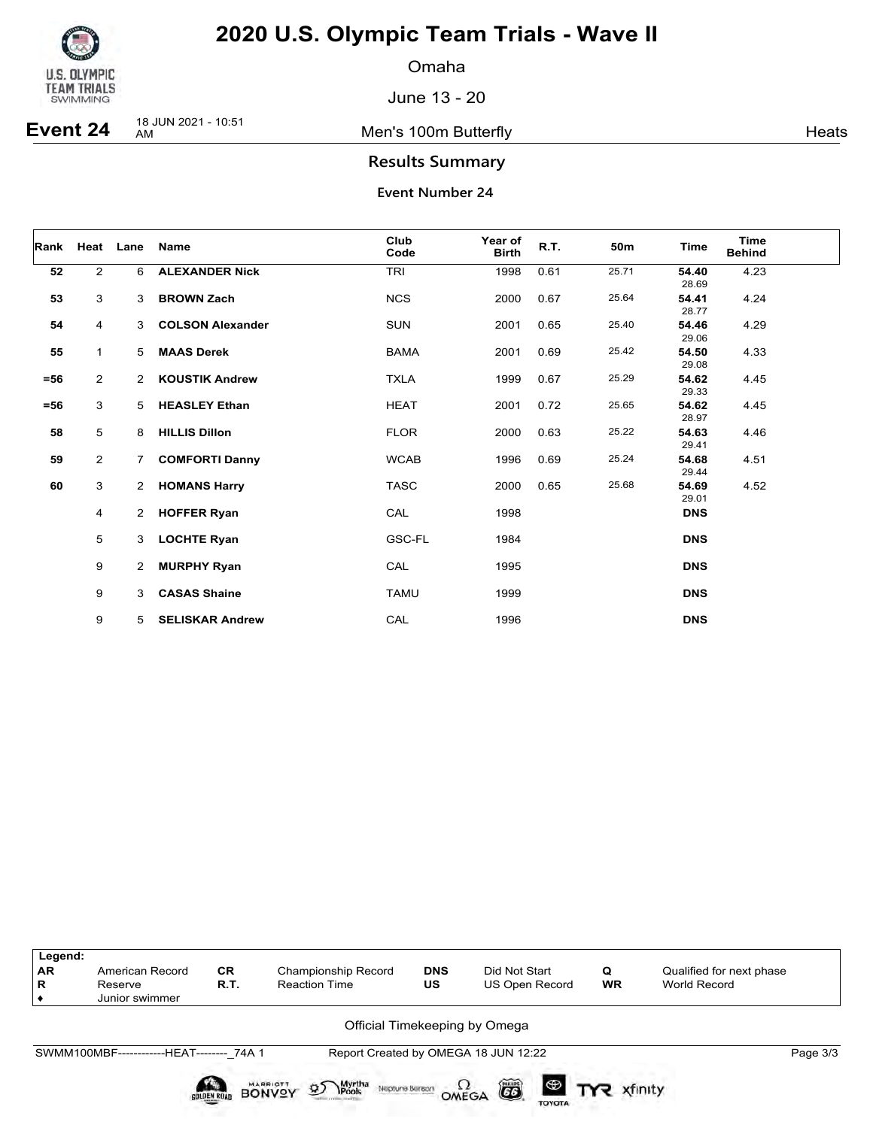

Omaha

June 13 - 20

**Event 24** 18 JUN 2021 - 10:51

Men's 100m Butterfly **American Control** Meats

### **Results Summary**

| Rank   |                | Heat Lane            | Name                    | Club<br>Code | Year of<br><b>Birth</b> | R.T. | 50m   | <b>Time</b>    | <b>Time</b><br><b>Behind</b> |
|--------|----------------|----------------------|-------------------------|--------------|-------------------------|------|-------|----------------|------------------------------|
| 52     | $\overline{2}$ | 6                    | <b>ALEXANDER Nick</b>   | TRI          | 1998                    | 0.61 | 25.71 | 54.40<br>28.69 | 4.23                         |
| 53     | 3              | 3                    | <b>BROWN Zach</b>       | <b>NCS</b>   | 2000                    | 0.67 | 25.64 | 54.41<br>28.77 | 4.24                         |
| 54     | 4              | 3                    | <b>COLSON Alexander</b> | <b>SUN</b>   | 2001                    | 0.65 | 25.40 | 54.46<br>29.06 | 4.29                         |
| 55     | $\mathbf{1}$   | 5                    | <b>MAAS Derek</b>       | <b>BAMA</b>  | 2001                    | 0.69 | 25.42 | 54.50<br>29.08 | 4.33                         |
| $= 56$ | $\overline{2}$ | $\mathbf{2}^{\circ}$ | <b>KOUSTIK Andrew</b>   | <b>TXLA</b>  | 1999                    | 0.67 | 25.29 | 54.62<br>29.33 | 4.45                         |
| $= 56$ | 3              | 5                    | <b>HEASLEY Ethan</b>    | <b>HEAT</b>  | 2001                    | 0.72 | 25.65 | 54.62<br>28.97 | 4.45                         |
| 58     | 5              | 8                    | <b>HILLIS Dillon</b>    | <b>FLOR</b>  | 2000                    | 0.63 | 25.22 | 54.63<br>29.41 | 4.46                         |
| 59     | 2              | $7^{\circ}$          | <b>COMFORTI Danny</b>   | <b>WCAB</b>  | 1996                    | 0.69 | 25.24 | 54.68<br>29.44 | 4.51                         |
| 60     | 3              | $\mathbf{2}$         | <b>HOMANS Harry</b>     | <b>TASC</b>  | 2000                    | 0.65 | 25.68 | 54.69<br>29.01 | 4.52                         |
|        | 4              | 2                    | <b>HOFFER Ryan</b>      | CAL          | 1998                    |      |       | <b>DNS</b>     |                              |
|        | 5              | 3                    | <b>LOCHTE Ryan</b>      | GSC-FL       | 1984                    |      |       | <b>DNS</b>     |                              |
|        | 9              | 2                    | <b>MURPHY Ryan</b>      | CAL          | 1995                    |      |       | <b>DNS</b>     |                              |
|        | 9              | 3                    | <b>CASAS Shaine</b>     | <b>TAMU</b>  | 1999                    |      |       | <b>DNS</b>     |                              |
|        | 9              | 5.                   | <b>SELISKAR Andrew</b>  | CAL          | 1996                    |      |       | <b>DNS</b>     |                              |

| Legend:<br><b>AR</b><br>R | American Record<br>Reserve<br>Junior swimmer | <b>CR</b><br>R.T. | Championship Record<br><b>Reaction Time</b>                               | <b>DNS</b><br>US | Did Not Start<br>US Open Record      | Q<br><b>WR</b> | Qualified for next phase<br>World Record |          |
|---------------------------|----------------------------------------------|-------------------|---------------------------------------------------------------------------|------------------|--------------------------------------|----------------|------------------------------------------|----------|
|                           |                                              |                   |                                                                           |                  | Official Timekeeping by Omega        |                |                                          |          |
|                           | SWMM100MBF-------------HEAT-------- 74A 1    |                   |                                                                           |                  | Report Created by OMEGA 18 JUN 12:22 |                |                                          | Page 3/3 |
|                           |                                              | SOLDEN ROAD       | <b>Myrtha</b><br>95<br><b>MARRIOTT</b><br>Neptune Berson<br><b>BONVOY</b> | OMEGA            | õ<br><b>TOYOTA</b>                   |                |                                          |          |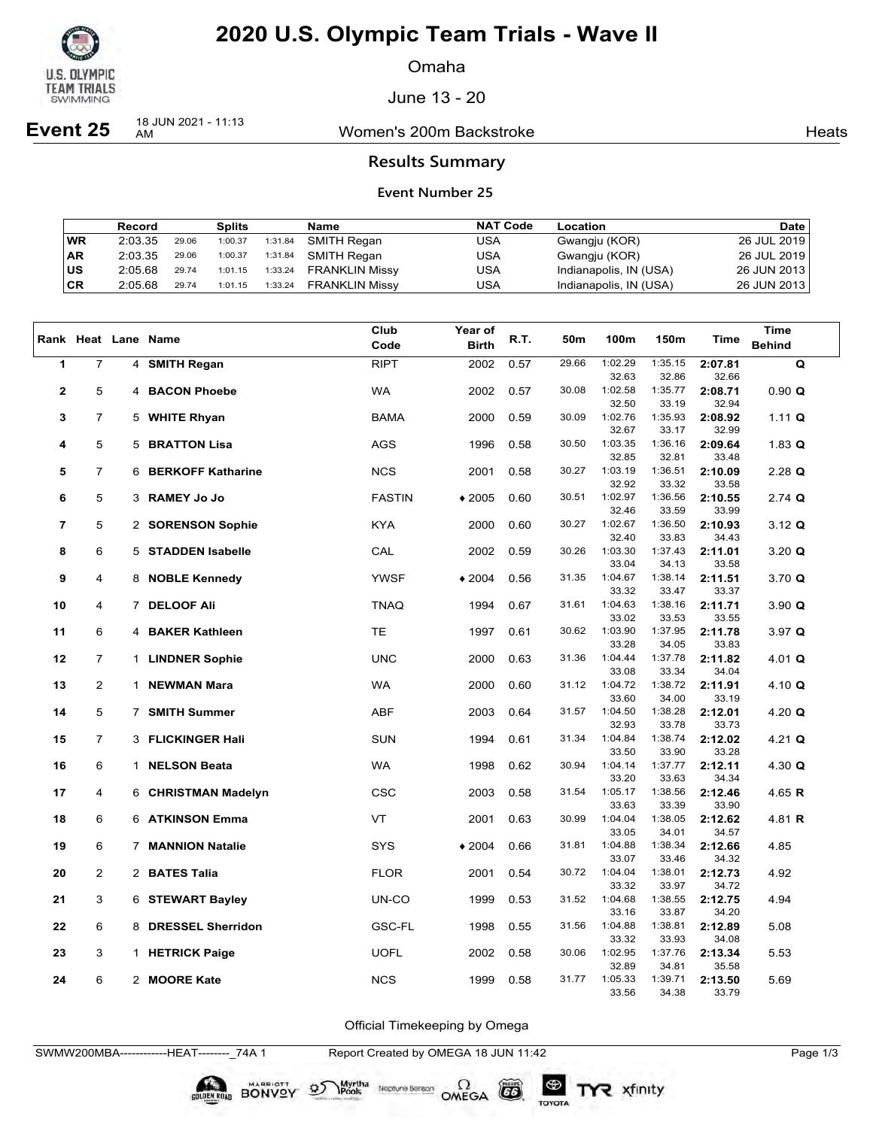

Omaha

June 13 - 20

**Event 25** 18 JUN 2021 - 11:13

Women's 200m Backstroke **Heats** Heats

### **Results Summary**

### **Event Number 25**

|           | Record  |       | <b>Splits</b> |         | Name                  | <b>NAT Code</b> | Location               | <b>Date</b>   |
|-----------|---------|-------|---------------|---------|-----------------------|-----------------|------------------------|---------------|
| <b>WR</b> | 2:03.35 | 29.06 | 1:00.37       | 1:31.84 | SMITH Regan           | USA             | Gwangju (KOR)          | 26 JUL 2019   |
| <b>AR</b> | 2:03.35 | 29.06 | 1:00.37       | 1:31.84 | SMITH Regan           | USA             | Gwangju (KOR)          | 26 JUL 2019   |
| ∣us       | 2:05.68 | 29.74 | 1:01.15       | 1:33.24 | <b>FRANKLIN Missy</b> | USA             | Indianapolis, IN (USA) | 26 JUN 2013   |
| CR        | 2:05.68 | 29.74 | 1:01.15       | 1:33.24 | <b>FRANKLIN Missy</b> | USA             | Indianapolis, IN (USA) | 26 JUN 2013 l |

|                |                |   |                          | Club          | Year of      |      |       |                  |                  |                  | <b>Time</b>          |
|----------------|----------------|---|--------------------------|---------------|--------------|------|-------|------------------|------------------|------------------|----------------------|
|                |                |   | Rank Heat Lane Name      | Code          | <b>Birth</b> | R.T. | 50m   | 100m             | 150m             | Time             | <b>Behind</b>        |
| 1              | $\overline{7}$ |   | 4 SMITH Regan            | <b>RIPT</b>   | 2002         | 0.57 | 29.66 | 1:02.29          | 1:35.15          | 2:07.81          | Q                    |
|                |                |   |                          |               |              |      |       | 32.63            | 32.86            | 32.66            |                      |
| $\mathbf{2}$   | 5              | 4 | <b>BACON Phoebe</b>      | <b>WA</b>     | 2002         | 0.57 | 30.08 | 1:02.58          | 1:35.77          | 2:08.71          | 0.90 Q               |
|                |                |   |                          |               |              |      |       | 32.50            | 33.19            | 32.94            |                      |
| 3              | $\overline{7}$ |   | 5 WHITE Rhyan            | <b>BAMA</b>   | 2000         | 0.59 | 30.09 | 1:02.76          | 1:35.93          | 2:08.92          | 1.11 $Q$             |
|                |                |   |                          |               |              |      |       | 32.67            | 33.17            | 32.99            |                      |
| 4              | 5              | 5 | <b>BRATTON Lisa</b>      | <b>AGS</b>    | 1996         | 0.58 | 30.50 | 1:03.35          | 1:36.16          | 2:09.64          | $1.83$ Q             |
|                |                |   |                          |               |              |      |       | 32.85            | 32.81            | 33.48            |                      |
| 5              | $\overline{7}$ | 6 | <b>BERKOFF Katharine</b> | <b>NCS</b>    | 2001         | 0.58 | 30.27 | 1:03.19          | 1:36.51          | 2:10.09          | $2.28$ Q             |
|                |                |   |                          |               |              |      |       | 32.92<br>1:02.97 | 33.32            | 33.58            |                      |
| 6              | 5              | 3 | <b>RAMEY Jo Jo</b>       | <b>FASTIN</b> | $*2005$      | 0.60 | 30.51 |                  | 1:36.56          | 2:10.55          | $2.74$ Q             |
| $\overline{7}$ | 5              |   | 2 SORENSON Sophie        | <b>KYA</b>    | 2000         | 0.60 | 30.27 | 32.46<br>1:02.67 | 33.59<br>1:36.50 | 33.99<br>2:10.93 | $3.12 \; \textbf{Q}$ |
|                |                |   |                          |               |              |      |       | 32.40            | 33.83            | 34.43            |                      |
| 8              | 6              |   | 5 STADDEN Isabelle       | CAL           | 2002         | 0.59 | 30.26 | 1:03.30          | 1:37.43          | 2:11.01          | 3.20 Q               |
|                |                |   |                          |               |              |      |       | 33.04            | 34.13            | 33.58            |                      |
| 9              | 4              |   | 8 NOBLE Kennedy          | <b>YWSF</b>   | $*2004$      | 0.56 | 31.35 | 1:04.67          | 1:38.14          | 2:11.51          | 3.70 Q               |
|                |                |   |                          |               |              |      |       | 33.32            | 33.47            | 33.37            |                      |
| 10             | 4              |   | 7 DELOOF Ali             | <b>TNAQ</b>   | 1994         | 0.67 | 31.61 | 1:04.63          | 1:38.16          | 2:11.71          | 3.90 Q               |
|                |                |   |                          |               |              |      |       | 33.02            | 33.53            | 33.55            |                      |
| 11             | 6              | 4 | <b>BAKER Kathleen</b>    | <b>TE</b>     | 1997         | 0.61 | 30.62 | 1:03.90          | 1:37.95          | 2:11.78          | $3.97$ Q             |
|                |                |   |                          |               |              |      |       | 33.28            | 34.05            | 33.83            |                      |
| 12             | $\overline{7}$ |   | 1 LINDNER Sophie         | <b>UNC</b>    | 2000         | 0.63 | 31.36 | 1:04.44          | 1:37.78          | 2:11.82          | 4.01 $Q$             |
|                |                |   |                          |               |              |      |       | 33.08            | 33.34            | 34.04            |                      |
| 13             | $\overline{2}$ |   | 1 NEWMAN Mara            | <b>WA</b>     | 2000         | 0.60 | 31.12 | 1:04.72          | 1:38.72          | 2:11.91          | 4.10 $Q$             |
|                |                |   |                          |               |              |      |       | 33.60            | 34.00            | 33.19            |                      |
| 14             | 5              |   | 7 SMITH Summer           | <b>ABF</b>    | 2003         | 0.64 | 31.57 | 1:04.50          | 1:38.28          | 2:12.01          | 4.20 $Q$             |
|                |                |   |                          |               |              |      |       | 32.93            | 33.78            | 33.73            |                      |
| 15             | $\overline{7}$ |   | 3 FLICKINGER Hali        | <b>SUN</b>    | 1994         | 0.61 | 31.34 | 1:04.84          | 1:38.74          | 2:12.02          | $4.21$ Q             |
|                | 6              |   |                          |               |              |      | 30.94 | 33.50<br>1:04.14 | 33.90<br>1:37.77 | 33.28            |                      |
| 16             |                |   | 1 NELSON Beata           | <b>WA</b>     | 1998         | 0.62 |       | 33.20            | 33.63            | 2:12.11<br>34.34 | 4.30 $Q$             |
| 17             | 4              |   | 6 CHRISTMAN Madelyn      | <b>CSC</b>    | 2003         | 0.58 | 31.54 | 1:05.17          | 1:38.56          | 2:12.46          | 4.65 $R$             |
|                |                |   |                          |               |              |      |       | 33.63            | 33.39            | 33.90            |                      |
| 18             | 6              |   | 6 ATKINSON Emma          | VT            | 2001         | 0.63 | 30.99 | 1:04.04          | 1:38.05          | 2:12.62          | 4.81 R               |
|                |                |   |                          |               |              |      |       | 33.05            | 34.01            | 34.57            |                      |
| 19             | 6              |   | 7 MANNION Natalie        | <b>SYS</b>    | $*2004$      | 0.66 | 31.81 | 1:04.88          | 1:38.34          | 2:12.66          | 4.85                 |
|                |                |   |                          |               |              |      |       | 33.07            | 33.46            | 34.32            |                      |
| 20             | $\overline{2}$ |   | 2 BATES Talia            | <b>FLOR</b>   | 2001         | 0.54 | 30.72 | 1:04.04          | 1:38.01          | 2:12.73          | 4.92                 |
|                |                |   |                          |               |              |      |       | 33.32            | 33.97            | 34.72            |                      |
| 21             | 3              |   | 6 STEWART Bayley         | UN-CO         | 1999         | 0.53 | 31.52 | 1:04.68          | 1:38.55          | 2:12.75          | 4.94                 |
|                |                |   |                          |               |              |      |       | 33.16            | 33.87            | 34.20            |                      |
| 22             | 6              |   | 8 DRESSEL Sherridon      | <b>GSC-FL</b> | 1998         | 0.55 | 31.56 | 1:04.88          | 1:38.81          | 2:12.89          | 5.08                 |
|                |                |   |                          |               |              |      |       | 33.32            | 33.93            | 34.08            |                      |
| 23             | 3              |   | 1 HETRICK Paige          | <b>UOFL</b>   | 2002         | 0.58 | 30.06 | 1:02.95          | 1:37.76          | 2:13.34          | 5.53                 |
|                | 6              |   | 2 MOORE Kate             | <b>NCS</b>    |              |      | 31.77 | 32.89<br>1:05.33 | 34.81<br>1:39.71 | 35.58            |                      |
| 24             |                |   |                          |               | 1999         | 0.58 |       | 33.56            | 34.38            | 2:13.50<br>33.79 | 5.69                 |
|                |                |   |                          |               |              |      |       |                  |                  |                  |                      |

Official Timekeeping by Omega

TYR xfinity

SWMW200MBA------------HEAT--------\_74A 1 Report Created by OMEGA 18 JUN 11:42 Page 1/3

BONVOY 95

Myrtha<br>Pools

Neptune Berson  $\Omega$ <br>OMEGA

CO

TOYOTA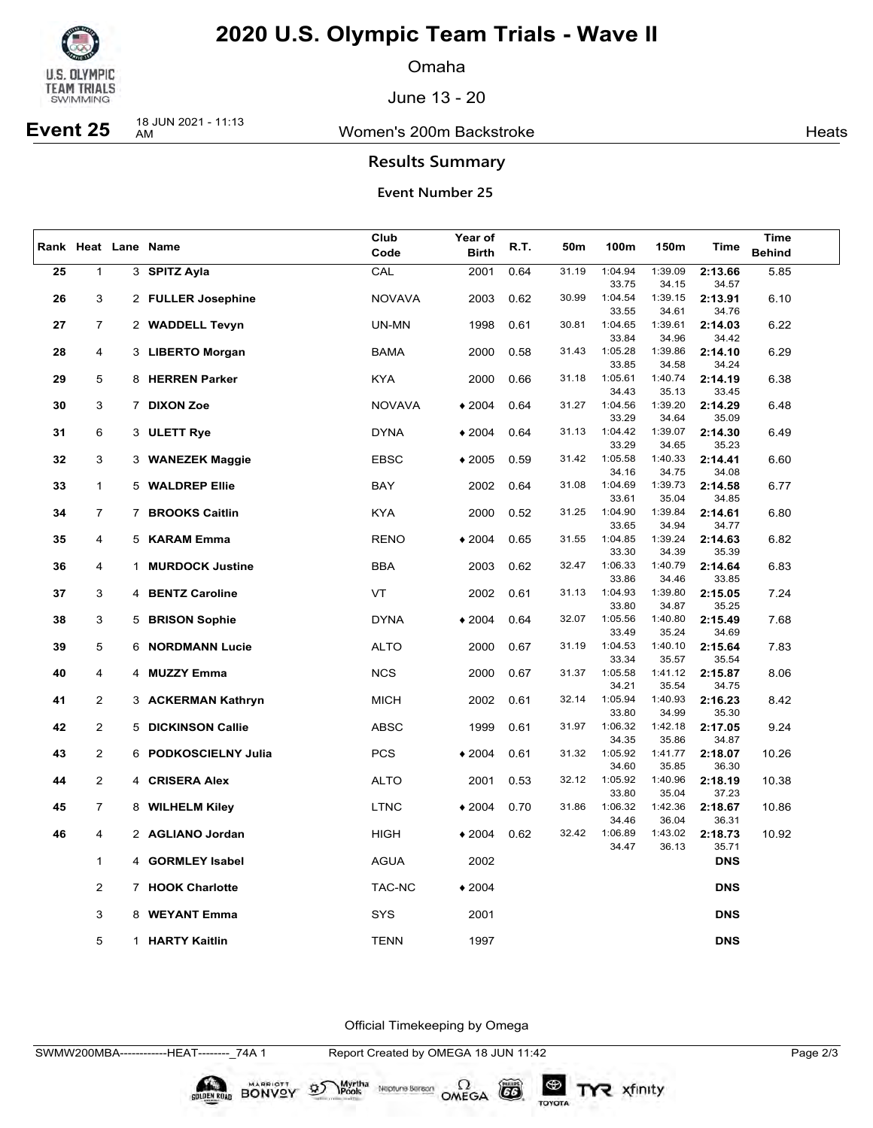

Omaha

June 13 - 20

## **Event 25** 18 JUN 2021 - 11:13

Women's 200m Backstroke **Heats** Heats

### **Results Summary**

### **Event Number 25**

|    |                |              |                         | Club          | Year of      |      |       |                  |                  |                  | Time          |
|----|----------------|--------------|-------------------------|---------------|--------------|------|-------|------------------|------------------|------------------|---------------|
|    |                |              | Rank Heat Lane Name     | Code          | <b>Birth</b> | R.T. | 50m   | 100m             | 150m             | Time             | <b>Behind</b> |
|    |                |              |                         |               |              |      |       |                  |                  |                  |               |
| 25 | $\mathbf 1$    |              | 3 SPITZ Ayla            | CAL           | 2001         | 0.64 | 31.19 | 1:04.94<br>33.75 | 1:39.09<br>34.15 | 2:13.66<br>34.57 | 5.85          |
|    |                |              |                         |               |              |      | 30.99 | 1:04.54          | 1:39.15          |                  |               |
| 26 | 3              |              | 2 FULLER Josephine      | <b>NOVAVA</b> | 2003         | 0.62 |       | 33.55            | 34.61            | 2:13.91<br>34.76 | 6.10          |
| 27 | $\overline{7}$ |              | 2 WADDELL Tevyn         | UN-MN         | 1998         | 0.61 | 30.81 | 1:04.65          | 1:39.61          | 2:14.03          | 6.22          |
|    |                |              |                         |               |              |      |       | 33.84            | 34.96            | 34.42            |               |
| 28 | 4              |              | 3 LIBERTO Morgan        | <b>BAMA</b>   | 2000         | 0.58 | 31.43 | 1:05.28          | 1:39.86          | 2:14.10          | 6.29          |
|    |                |              |                         |               |              |      |       | 33.85            | 34.58            | 34.24            |               |
| 29 | 5              |              | 8 HERREN Parker         | <b>KYA</b>    | 2000         | 0.66 | 31.18 | 1:05.61          | 1:40.74          | 2:14.19          | 6.38          |
|    |                |              |                         |               |              |      |       | 34.43            | 35.13            | 33.45            |               |
| 30 | 3              |              | 7 DIXON Zoe             | <b>NOVAVA</b> | $*2004$      | 0.64 | 31.27 | 1:04.56          | 1:39.20          | 2:14.29          | 6.48          |
|    |                |              |                         |               |              |      |       | 33.29            | 34.64            | 35.09            |               |
| 31 | 6              |              | 3 ULETT Rye             | <b>DYNA</b>   | $*2004$      | 0.64 | 31.13 | 1:04.42          | 1:39.07          | 2:14.30          | 6.49          |
|    |                |              |                         |               |              |      |       | 33.29            | 34.65            | 35.23            |               |
| 32 | 3              |              | 3 WANEZEK Maggie        | <b>EBSC</b>   | $*2005$      | 0.59 | 31.42 | 1:05.58          | 1:40.33          | 2:14.41          | 6.60          |
|    |                |              |                         |               |              |      |       | 34.16            | 34.75            | 34.08            |               |
| 33 | $\mathbf{1}$   |              | 5 WALDREP Ellie         | BAY           | 2002         | 0.64 | 31.08 | 1:04.69          | 1:39.73          | 2:14.58          | 6.77          |
|    |                |              |                         |               |              |      |       | 33.61            | 35.04            | 34.85            |               |
| 34 | 7              |              | 7 BROOKS Caitlin        | <b>KYA</b>    | 2000         | 0.52 | 31.25 | 1:04.90          | 1:39.84          | 2:14.61          | 6.80          |
|    |                |              |                         |               |              |      |       | 33.65            | 34.94            | 34.77            |               |
| 35 | 4              |              | 5 KARAM Emma            | <b>RENO</b>   | $*2004$      | 0.65 | 31.55 | 1:04.85          | 1:39.24          | 2:14.63          | 6.82          |
|    |                |              |                         |               |              |      |       | 33.30            | 34.39            | 35.39            |               |
| 36 | 4              | $\mathbf{1}$ | <b>MURDOCK Justine</b>  | <b>BBA</b>    | 2003         | 0.62 | 32.47 | 1:06.33          | 1:40.79          | 2:14.64          | 6.83          |
|    |                |              |                         |               |              | 0.61 | 31.13 | 33.86<br>1:04.93 | 34.46<br>1:39.80 | 33.85            |               |
| 37 | 3              |              | 4 BENTZ Caroline        | VT            | 2002         |      |       | 33.80            | 34.87            | 2:15.05<br>35.25 | 7.24          |
| 38 | 3              |              | 5 BRISON Sophie         | <b>DYNA</b>   | $*2004$      | 0.64 | 32.07 | 1:05.56          | 1:40.80          | 2:15.49          | 7.68          |
|    |                |              |                         |               |              |      |       | 33.49            | 35.24            | 34.69            |               |
| 39 | 5              |              | <b>6 NORDMANN Lucie</b> | <b>ALTO</b>   | 2000         | 0.67 | 31.19 | 1:04.53          | 1:40.10          | 2:15.64          | 7.83          |
|    |                |              |                         |               |              |      |       | 33.34            | 35.57            | 35.54            |               |
| 40 | 4              |              | 4 MUZZY Emma            | <b>NCS</b>    | 2000         | 0.67 | 31.37 | 1:05.58          | 1:41.12          | 2:15.87          | 8.06          |
|    |                |              |                         |               |              |      |       | 34.21            | 35.54            | 34.75            |               |
| 41 | $\overline{2}$ |              | 3 ACKERMAN Kathryn      | <b>MICH</b>   | 2002         | 0.61 | 32.14 | 1:05.94          | 1:40.93          | 2:16.23          | 8.42          |
|    |                |              |                         |               |              |      |       | 33.80            | 34.99            | 35.30            |               |
| 42 | $\overline{2}$ |              | 5 DICKINSON Callie      | <b>ABSC</b>   | 1999         | 0.61 | 31.97 | 1:06.32          | 1:42.18          | 2:17.05          | 9.24          |
|    |                |              |                         |               |              |      |       | 34.35            | 35.86            | 34.87            |               |
| 43 | $\overline{2}$ |              | 6 PODKOSCIELNY Julia    | <b>PCS</b>    | $*2004$      | 0.61 | 31.32 | 1:05.92          | 1:41.77          | 2:18.07          | 10.26         |
|    |                |              |                         |               |              |      |       | 34.60            | 35.85            | 36.30            |               |
| 44 | $\overline{2}$ |              | 4 CRISERA Alex          | <b>ALTO</b>   | 2001         | 0.53 | 32.12 | 1:05.92          | 1:40.96          | 2:18.19          | 10.38         |
|    |                |              |                         |               |              |      |       | 33.80            | 35.04            | 37.23            |               |
| 45 | $\overline{7}$ |              | 8 WILHELM Kiley         | <b>LTNC</b>   | $*2004$      | 0.70 | 31.86 | 1:06.32          | 1:42.36          | 2:18.67          | 10.86         |
| 46 | 4              |              | 2 AGLIANO Jordan        | <b>HIGH</b>   |              | 0.62 | 32.42 | 34.46<br>1:06.89 | 36.04<br>1:43.02 | 36.31            | 10.92         |
|    |                |              |                         |               | $*2004$      |      |       | 34.47            | 36.13            | 2:18.73<br>35.71 |               |
|    | 1              |              | 4 GORMLEY Isabel        | <b>AGUA</b>   | 2002         |      |       |                  |                  | <b>DNS</b>       |               |
|    |                |              |                         |               |              |      |       |                  |                  |                  |               |
|    | $\overline{2}$ |              | 7 HOOK Charlotte        | TAC-NC        | $*2004$      |      |       |                  |                  | <b>DNS</b>       |               |
|    |                |              |                         |               |              |      |       |                  |                  |                  |               |
|    | 3              |              | 8 WEYANT Emma           | SYS           | 2001         |      |       |                  |                  | <b>DNS</b>       |               |
|    |                |              |                         |               |              |      |       |                  |                  |                  |               |
|    | 5              |              | 1 HARTY Kaitlin         | <b>TENN</b>   | 1997         |      |       |                  |                  | <b>DNS</b>       |               |
|    |                |              |                         |               |              |      |       |                  |                  |                  |               |

Official Timekeeping by Omega

BONVOY 95

Myrtha

Neptune Bergan  $\Omega$ <br>OMEGA

CO

TOYOTA

TYR xfinity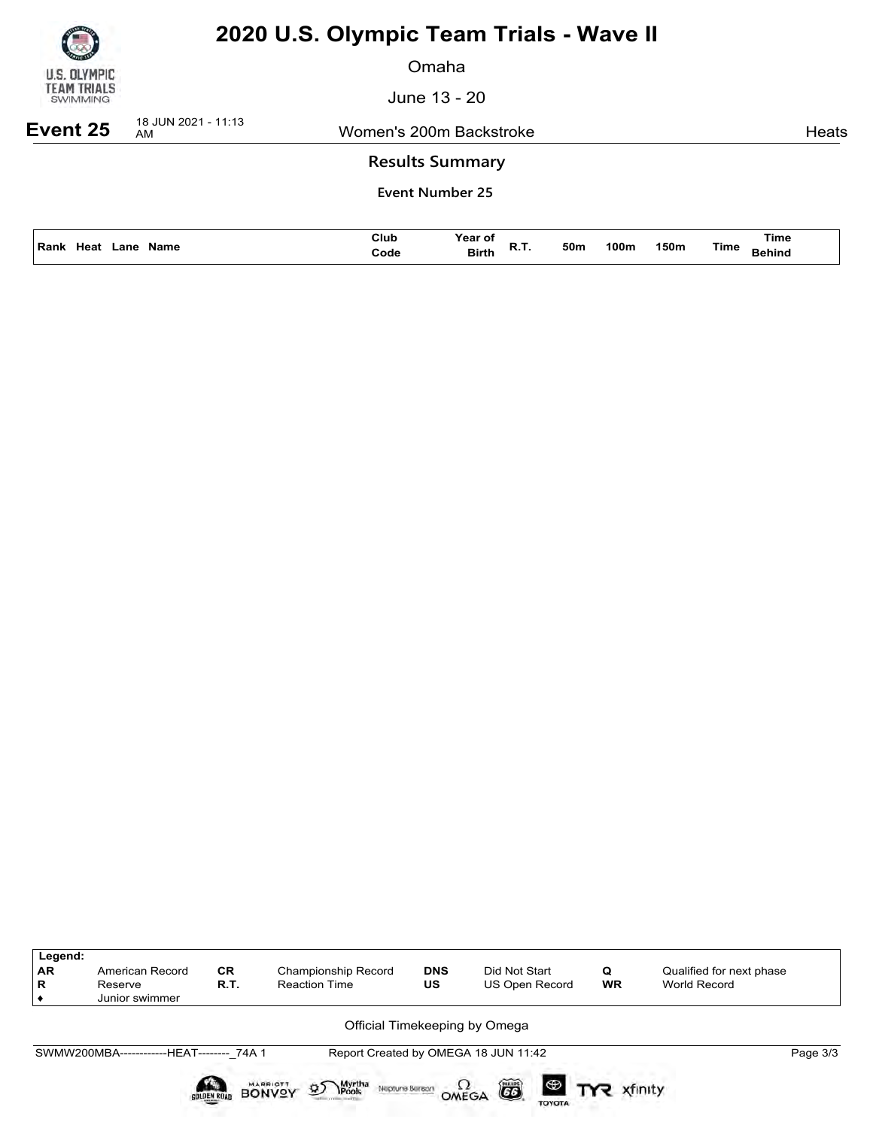

Omaha

June 13 - 20

**Event 25** 18 JUN 2021 - 11:13

Women's 200m Backstroke **Heats** Heats

### **Results Summary**

| Name<br>Rank<br>.ano | Club<br>Code<br>. | Year of<br><b>Birth</b><br>n., | 50m | '00m | 150m | Time<br>Time<br>iehinc |
|----------------------|-------------------|--------------------------------|-----|------|------|------------------------|
|                      |                   |                                |     |      |      |                        |

| Legend:<br>AR<br>$\mathbf R$ | American Record<br>Reserve<br>Junior swimmer | <b>CR</b><br>R.T.  | <b>Championship Record</b><br><b>Reaction Time</b>                   | <b>DNS</b><br>US | Did Not Start<br><b>US Open Record</b>       | Q<br><b>WR</b>        | Qualified for next phase<br>World Record |  |
|------------------------------|----------------------------------------------|--------------------|----------------------------------------------------------------------|------------------|----------------------------------------------|-----------------------|------------------------------------------|--|
|                              |                                              |                    |                                                                      |                  | Official Timekeeping by Omega                |                       |                                          |  |
|                              | SWMW200MBA-------------HEAT-------- 74A 1    |                    |                                                                      |                  | Report Created by OMEGA 18 JUN 11:42         |                       | Page 3/3                                 |  |
|                              |                                              | <b>SOLDEN ROAD</b> | <b>BONVOY</b><br>Myrtha<br>Pools<br>$\mathfrak{D}$<br>Neptune Bereon |                  | 6<br>$\Omega_{\text{MEGA}}$<br><b>TOYOTA</b> | <b>ED TYR</b> xfinity |                                          |  |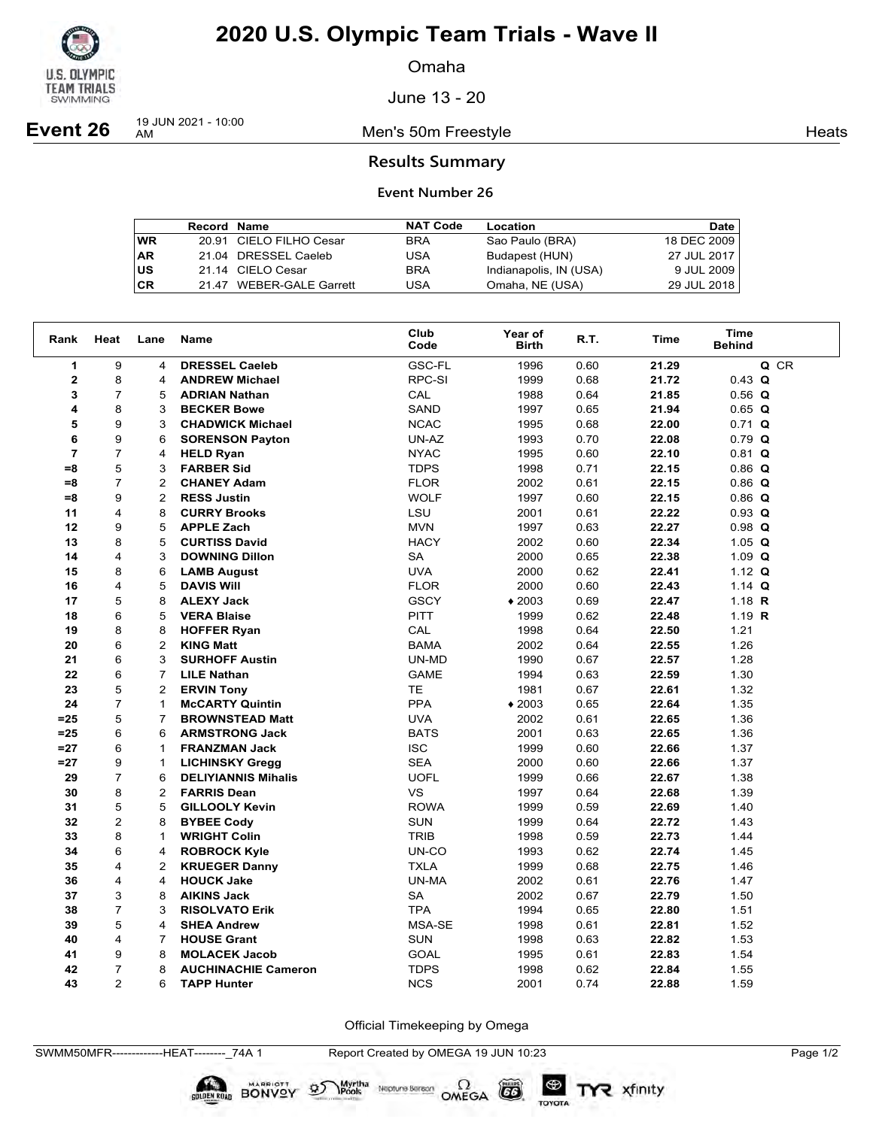

Omaha

June 13 - 20

**Event 26** 19 JUN 2021 - 10:00

Men's 50m Freestyle **Heats Heats** 

### **Results Summary**

### **Event Number 26**

|           | <b>Record Name</b> |                          | <b>NAT Code</b> | Location               | Date I      |
|-----------|--------------------|--------------------------|-----------------|------------------------|-------------|
| WR        |                    | 20.91 CIELO FILHO Cesar  | <b>BRA</b>      | Sao Paulo (BRA)        | 18 DEC 2009 |
| <b>AR</b> |                    | 21.04 DRESSEL Caeleb     | USA             | Budapest (HUN)         | 27 JUL 2017 |
| US        |                    | 21.14 CIELO Cesar        | <b>BRA</b>      | Indianapolis, IN (USA) | 9 JUL 2009  |
| <b>CR</b> |                    | 21.47 WEBER-GALE Garrett | USA             | Omaha, NE (USA)        | 29 JUL 2018 |

| Rank           | Heat           | Lane           | Name                       | Club<br>Code | Year of<br><b>Birth</b> | R.T. | Time  | <b>Time</b><br><b>Behind</b> |
|----------------|----------------|----------------|----------------------------|--------------|-------------------------|------|-------|------------------------------|
| $\mathbf{1}$   | 9              | 4              | <b>DRESSEL Caeleb</b>      | GSC-FL       | 1996                    | 0.60 | 21.29 | Q CR                         |
| $\mathbf{2}$   | 8              | 4              | <b>ANDREW Michael</b>      | RPC-SI       | 1999                    | 0.68 | 21.72 | $0.43$ Q                     |
| 3              | $\overline{7}$ | 5              | <b>ADRIAN Nathan</b>       | CAL          | 1988                    | 0.64 | 21.85 | $0.56$ Q                     |
| 4              | 8              | 3              | <b>BECKER Bowe</b>         | SAND         | 1997                    | 0.65 | 21.94 | $0.65$ Q                     |
| 5              | 9              | 3              | <b>CHADWICK Michael</b>    | <b>NCAC</b>  | 1995                    | 0.68 | 22.00 | $0.71$ Q                     |
| 6              | 9              | 6              | <b>SORENSON Payton</b>     | UN-AZ        | 1993                    | 0.70 | 22.08 | $0.79$ Q                     |
| $\overline{7}$ | $\overline{7}$ | 4              | <b>HELD Ryan</b>           | <b>NYAC</b>  | 1995                    | 0.60 | 22.10 | $0.81$ Q                     |
| $= 8$          | 5              | 3              | <b>FARBER Sid</b>          | <b>TDPS</b>  | 1998                    | 0.71 | 22.15 | $0.86$ Q                     |
| $= 8$          | $\overline{7}$ | 2              | <b>CHANEY Adam</b>         | <b>FLOR</b>  | 2002                    | 0.61 | 22.15 | $0.86$ Q                     |
| $= 8$          | 9              | $\overline{2}$ | <b>RESS Justin</b>         | <b>WOLF</b>  | 1997                    | 0.60 | 22.15 | $0.86$ Q                     |
| 11             | 4              | 8              | <b>CURRY Brooks</b>        | LSU          | 2001                    | 0.61 | 22.22 | $0.93$ Q                     |
| 12             | 9              | 5              | <b>APPLE Zach</b>          | <b>MVN</b>   | 1997                    | 0.63 | 22.27 | $0.98$ Q                     |
| 13             | 8              | 5              | <b>CURTISS David</b>       | <b>HACY</b>  | 2002                    | 0.60 | 22.34 | 1.05 $Q$                     |
| 14             | 4              | 3              | <b>DOWNING Dillon</b>      | <b>SA</b>    | 2000                    | 0.65 | 22.38 | 1.09 $Q$                     |
| 15             | 8              | 6              | <b>LAMB August</b>         | <b>UVA</b>   | 2000                    | 0.62 | 22.41 | 1.12 $Q$                     |
| 16             | 4              | 5              | <b>DAVIS Will</b>          | <b>FLOR</b>  | 2000                    | 0.60 | 22.43 | 1.14 $Q$                     |
| 17             | 5              | 8              | <b>ALEXY Jack</b>          | <b>GSCY</b>  | $*2003$                 | 0.69 | 22.47 | 1.18 $R$                     |
| 18             | 6              | 5              | <b>VERA Blaise</b>         | <b>PITT</b>  | 1999                    | 0.62 | 22.48 | 1.19 $R$                     |
| 19             | 8              | 8              | <b>HOFFER Ryan</b>         | CAL          | 1998                    | 0.64 | 22.50 | 1.21                         |
| 20             | 6              | $\overline{2}$ | <b>KING Matt</b>           | <b>BAMA</b>  | 2002                    | 0.64 | 22.55 | 1.26                         |
| 21             | 6              | 3              | <b>SURHOFF Austin</b>      | UN-MD        | 1990                    | 0.67 | 22.57 | 1.28                         |
| 22             | 6              | $\overline{7}$ | <b>LILE Nathan</b>         | <b>GAME</b>  | 1994                    | 0.63 | 22.59 | 1.30                         |
| 23             | 5              | $\overline{2}$ | <b>ERVIN Tony</b>          | <b>TE</b>    | 1981                    | 0.67 | 22.61 | 1.32                         |
| 24             | $\overline{7}$ | $\mathbf{1}$   | <b>McCARTY Quintin</b>     | <b>PPA</b>   | $*2003$                 | 0.65 | 22.64 | 1.35                         |
| $= 25$         | 5              | $\overline{7}$ | <b>BROWNSTEAD Matt</b>     | <b>UVA</b>   | 2002                    | 0.61 | 22.65 | 1.36                         |
| $=25$          | 6              | 6              | <b>ARMSTRONG Jack</b>      | <b>BATS</b>  | 2001                    | 0.63 | 22.65 | 1.36                         |
| $=27$          | 6              | $\mathbf{1}$   | <b>FRANZMAN Jack</b>       | <b>ISC</b>   | 1999                    | 0.60 | 22.66 | 1.37                         |
| $=27$          | 9              | 1              | <b>LICHINSKY Gregg</b>     | <b>SEA</b>   | 2000                    | 0.60 | 22.66 | 1.37                         |
| 29             | $\overline{7}$ | 6              | <b>DELIYIANNIS Mihalis</b> | <b>UOFL</b>  | 1999                    | 0.66 | 22.67 | 1.38                         |
| 30             | 8              | $\overline{2}$ | <b>FARRIS Dean</b>         | <b>VS</b>    | 1997                    | 0.64 | 22.68 | 1.39                         |
| 31             | 5              | 5              | <b>GILLOOLY Kevin</b>      | <b>ROWA</b>  | 1999                    | 0.59 | 22.69 | 1.40                         |
| 32             | $\overline{2}$ | 8              | <b>BYBEE Cody</b>          | <b>SUN</b>   | 1999                    | 0.64 | 22.72 | 1.43                         |
| 33             | 8              | $\mathbf{1}$   | <b>WRIGHT Colin</b>        | <b>TRIB</b>  | 1998                    | 0.59 | 22.73 | 1.44                         |
| 34             | 6              | 4              | <b>ROBROCK Kyle</b>        | UN-CO        | 1993                    | 0.62 | 22.74 | 1.45                         |
| 35             | 4              | $\overline{2}$ | <b>KRUEGER Danny</b>       | <b>TXLA</b>  | 1999                    | 0.68 | 22.75 | 1.46                         |
| 36             | 4              | 4              | <b>HOUCK Jake</b>          | UN-MA        | 2002                    | 0.61 | 22.76 | 1.47                         |
| 37             | 3              | 8              | <b>AIKINS Jack</b>         | <b>SA</b>    | 2002                    | 0.67 | 22.79 | 1.50                         |
| 38             | $\overline{7}$ | 3              | <b>RISOLVATO Erik</b>      | <b>TPA</b>   | 1994                    | 0.65 | 22.80 | 1.51                         |
| 39             | 5              | 4              | <b>SHEA Andrew</b>         | MSA-SE       | 1998                    | 0.61 | 22.81 | 1.52                         |
| 40             | 4              | $\overline{7}$ | <b>HOUSE Grant</b>         | SUN          | 1998                    | 0.63 | 22.82 | 1.53                         |
| 41             | 9              | 8              | <b>MOLACEK Jacob</b>       | <b>GOAL</b>  | 1995                    | 0.61 | 22.83 | 1.54                         |
| 42             | $\overline{7}$ | 8              | <b>AUCHINACHIE Cameron</b> | <b>TDPS</b>  | 1998                    | 0.62 | 22.84 | 1.55                         |
| 43             | $\mathfrak{p}$ | 6              | <b>TAPP Hunter</b>         | <b>NCS</b>   | 2001                    | 0.74 | 22.88 | 1.59                         |

Official Timekeeping by Omega

SWMM50MFR-------------HEAT--------\_74A 1 Report Created by OMEGA 19 JUN 10:23 Page 1/2

**DIDEN ROAD BONVOY 95** 

Neptune Bergan  $\Omega$ <br>OMEGA

 $(G)$ 

TOYOTA

Myrtha<br>Pools

TYR xfinity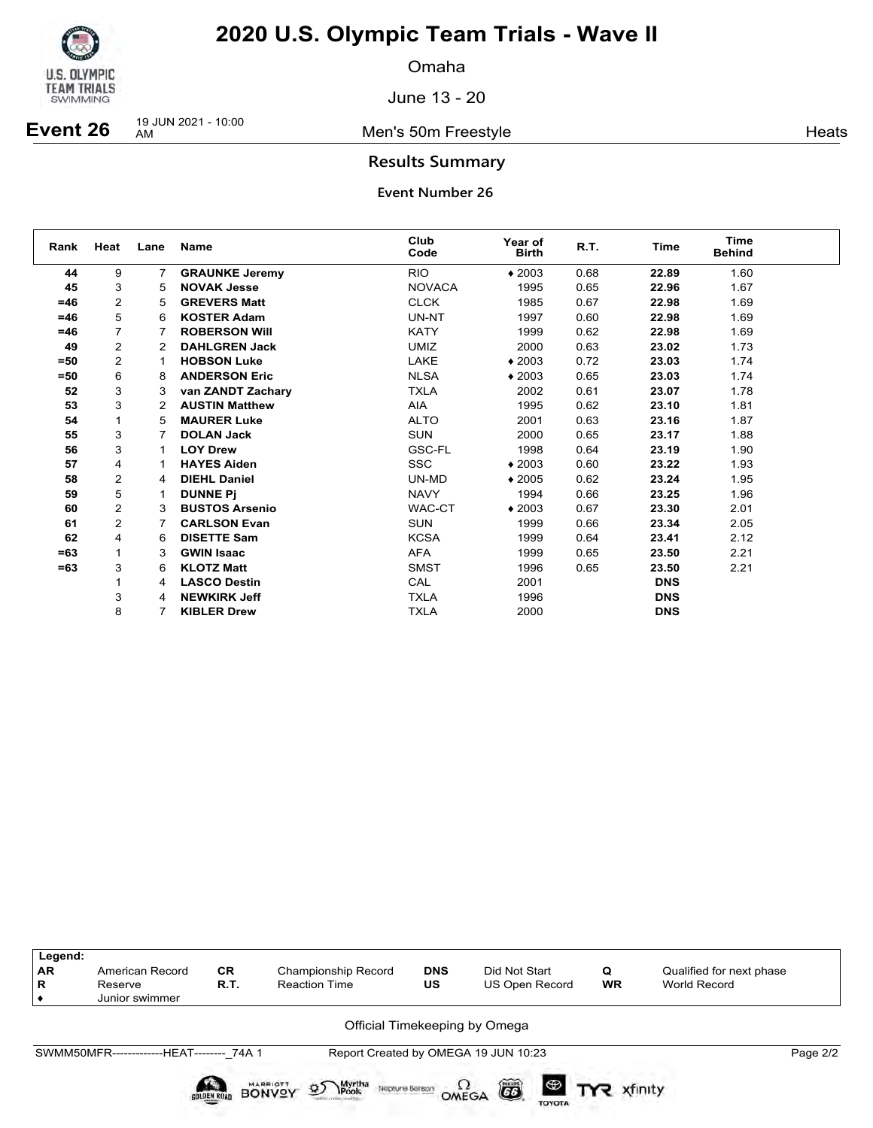

Omaha

June 13 - 20

**Event 26** 19 JUN 2021 - 10:00

Men's 50m Freestyle **Heats** 

### **Results Summary**

| Rank  | Heat           | Lane                 | Name                  | Club<br>Code  | Year of<br><b>Birth</b> | R.T. | Time       | <b>Time</b><br><b>Behind</b> |  |
|-------|----------------|----------------------|-----------------------|---------------|-------------------------|------|------------|------------------------------|--|
| 44    | 9              | $\overline{7}$       | <b>GRAUNKE Jeremy</b> | <b>RIO</b>    | $*2003$                 | 0.68 | 22.89      | 1.60                         |  |
| 45    | 3              | 5                    | <b>NOVAK Jesse</b>    | <b>NOVACA</b> | 1995                    | 0.65 | 22.96      | 1.67                         |  |
| $=46$ | $\overline{2}$ | 5                    | <b>GREVERS Matt</b>   | <b>CLCK</b>   | 1985                    | 0.67 | 22.98      | 1.69                         |  |
| $=46$ | 5              | 6                    | <b>KOSTER Adam</b>    | UN-NT         | 1997                    | 0.60 | 22.98      | 1.69                         |  |
| $=46$ |                |                      | <b>ROBERSON WIII</b>  | <b>KATY</b>   | 1999                    | 0.62 | 22.98      | 1.69                         |  |
| 49    | 2              | 2                    | <b>DAHLGREN Jack</b>  | <b>UMIZ</b>   | 2000                    | 0.63 | 23.02      | 1.73                         |  |
| $=50$ | $\overline{2}$ |                      | <b>HOBSON Luke</b>    | LAKE          | $*2003$                 | 0.72 | 23.03      | 1.74                         |  |
| $=50$ | 6              | 8                    | <b>ANDERSON Eric</b>  | <b>NLSA</b>   | $*2003$                 | 0.65 | 23.03      | 1.74                         |  |
| 52    | 3              | 3                    | van ZANDT Zachary     | <b>TXLA</b>   | 2002                    | 0.61 | 23.07      | 1.78                         |  |
| 53    | 3              | $\mathbf{2}^{\circ}$ | <b>AUSTIN Matthew</b> | AIA           | 1995                    | 0.62 | 23.10      | 1.81                         |  |
| 54    | $\mathbf 1$    | 5                    | <b>MAURER Luke</b>    | <b>ALTO</b>   | 2001                    | 0.63 | 23.16      | 1.87                         |  |
| 55    | 3              | 7                    | <b>DOLAN Jack</b>     | <b>SUN</b>    | 2000                    | 0.65 | 23.17      | 1.88                         |  |
| 56    | 3              |                      | <b>LOY Drew</b>       | GSC-FL        | 1998                    | 0.64 | 23.19      | 1.90                         |  |
| 57    | 4              |                      | <b>HAYES Aiden</b>    | <b>SSC</b>    | $*2003$                 | 0.60 | 23.22      | 1.93                         |  |
| 58    | $\overline{2}$ | 4                    | <b>DIEHL Daniel</b>   | UN-MD         | $*2005$                 | 0.62 | 23.24      | 1.95                         |  |
| 59    | 5              |                      | <b>DUNNE Pi</b>       | <b>NAVY</b>   | 1994                    | 0.66 | 23.25      | 1.96                         |  |
| 60    | $\overline{2}$ | 3                    | <b>BUSTOS Arsenio</b> | WAC-CT        | $*2003$                 | 0.67 | 23.30      | 2.01                         |  |
| 61    | 2              |                      | <b>CARLSON Evan</b>   | <b>SUN</b>    | 1999                    | 0.66 | 23.34      | 2.05                         |  |
| 62    | 4              | 6                    | <b>DISETTE Sam</b>    | <b>KCSA</b>   | 1999                    | 0.64 | 23.41      | 2.12                         |  |
| $=63$ | 1              | 3                    | <b>GWIN Isaac</b>     | <b>AFA</b>    | 1999                    | 0.65 | 23.50      | 2.21                         |  |
| $=63$ | 3              | 6                    | <b>KLOTZ Matt</b>     | <b>SMST</b>   | 1996                    | 0.65 | 23.50      | 2.21                         |  |
|       |                | 4                    | <b>LASCO Destin</b>   | CAL           | 2001                    |      | <b>DNS</b> |                              |  |
|       | 3              | 4                    | <b>NEWKIRK Jeff</b>   | <b>TXLA</b>   | 1996                    |      | <b>DNS</b> |                              |  |
|       | 8              |                      | <b>KIBLER Drew</b>    | <b>TXLA</b>   | 2000                    |      | <b>DNS</b> |                              |  |

| Legend:<br><b>AR</b><br>R | American Record<br>Reserve<br>Junior swimmer | <b>CR</b><br>R.T. | Championship Record<br><b>Reaction Time</b>                                 | <b>DNS</b><br>US | Did Not Start<br><b>US Open Record</b>    | Q<br><b>WR</b> | Qualified for next phase<br>World Record |          |
|---------------------------|----------------------------------------------|-------------------|-----------------------------------------------------------------------------|------------------|-------------------------------------------|----------------|------------------------------------------|----------|
|                           |                                              |                   |                                                                             |                  | Official Timekeeping by Omega             |                |                                          |          |
|                           | SWMM50MFR--------------HEAT-------- 74A 1    |                   |                                                                             |                  | Report Created by OMEGA 19 JUN 10:23      |                |                                          | Page 2/2 |
|                           |                                              | SOLDEN ROAD       | Myrtha<br>Pools<br><b>MARRIOTT</b><br>øS<br>Neptune Beraon<br><b>BONVOY</b> | OMEGA            | õ<br>$\bullet$ $\mathbf$<br><b>TOYOTA</b> | xfinity        |                                          |          |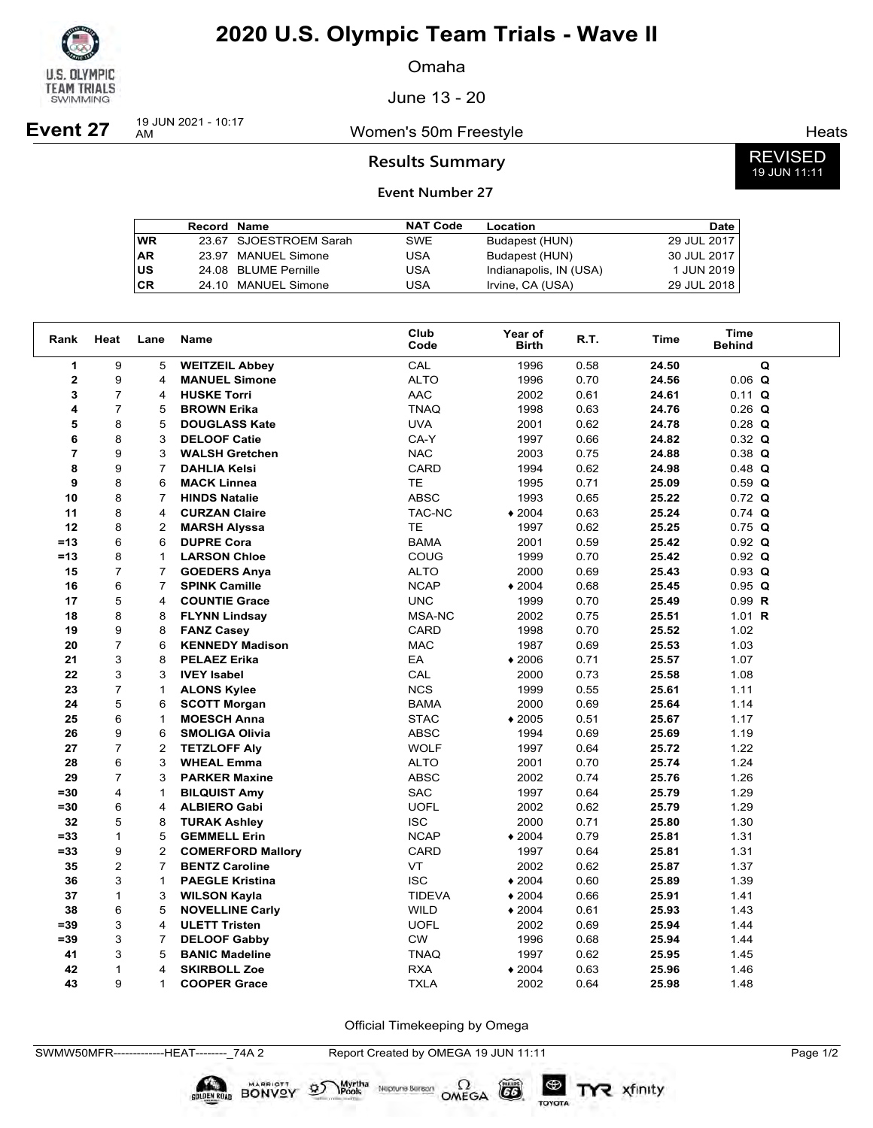

Omaha

June 13 - 20

**Event 27** 19 JUN 2021 - 10:17

Women's 50m Freestyle **Heats** Heats

### **Results Summary**

### **Event Number 27**

|           | <b>Record Name</b> |                        | <b>NAT Code</b> | Location               | Date I      |
|-----------|--------------------|------------------------|-----------------|------------------------|-------------|
| <b>WR</b> |                    | 23.67 SJOESTROEM Sarah | <b>SWE</b>      | Budapest (HUN)         | 29 JUL 2017 |
| <b>AR</b> |                    | 23.97 MANUEL Simone    | USA             | Budapest (HUN)         | 30 JUL 2017 |
| US        |                    | 24.08 BLUME Pernille   | USA             | Indianapolis, IN (USA) | 1 JUN 2019  |
| <b>CR</b> |                    | 24.10 MANUEL Simone    | USA             | Irvine, CA (USA)       | 29 JUL 2018 |

| Rank           | Heat           | Lane           | Name                     | Club<br>Code  | Year of<br><b>Birth</b> | R.T. | Time  | Time<br><b>Behind</b> |  |
|----------------|----------------|----------------|--------------------------|---------------|-------------------------|------|-------|-----------------------|--|
| 1              | 9              | 5              | <b>WEITZEIL Abbey</b>    | CAL           | 1996                    | 0.58 | 24.50 | Q                     |  |
| $\mathbf{2}$   | 9              | 4              | <b>MANUEL Simone</b>     | <b>ALTO</b>   | 1996                    | 0.70 | 24.56 | $0.06$ Q              |  |
| 3              | $\overline{7}$ | 4              | <b>HUSKE Torri</b>       | <b>AAC</b>    | 2002                    | 0.61 | 24.61 | $0.11$ Q              |  |
| 4              | $\overline{7}$ | 5              | <b>BROWN Erika</b>       | <b>TNAQ</b>   | 1998                    | 0.63 | 24.76 | $0.26$ Q              |  |
| 5              | 8              | 5              | <b>DOUGLASS Kate</b>     | <b>UVA</b>    | 2001                    | 0.62 | 24.78 | $0.28$ Q              |  |
| 6              | 8              | 3              | <b>DELOOF Catie</b>      | CA-Y          | 1997                    | 0.66 | 24.82 | $0.32$ Q              |  |
| $\overline{7}$ | 9              | 3              | <b>WALSH Gretchen</b>    | <b>NAC</b>    | 2003                    | 0.75 | 24.88 | $0.38$ Q              |  |
| 8              | 9              | $\overline{7}$ | <b>DAHLIA Kelsi</b>      | CARD          | 1994                    | 0.62 | 24.98 | $0.48$ Q              |  |
| 9              | 8              | 6              | <b>MACK Linnea</b>       | <b>TE</b>     | 1995                    | 0.71 | 25.09 | $0.59$ Q              |  |
| 10             | 8              | $\overline{7}$ | <b>HINDS Natalie</b>     | <b>ABSC</b>   | 1993                    | 0.65 | 25.22 | $0.72$ Q              |  |
| 11             | 8              | 4              | <b>CURZAN Claire</b>     | TAC-NC        | $*2004$                 | 0.63 | 25.24 | $0.74$ Q              |  |
| 12             | 8              | $\overline{2}$ | <b>MARSH Alyssa</b>      | <b>TE</b>     | 1997                    | 0.62 | 25.25 | $0.75$ Q              |  |
| $=13$          | 6              | 6              | <b>DUPRE Cora</b>        | <b>BAMA</b>   | 2001                    | 0.59 | 25.42 | $0.92$ Q              |  |
| $=13$          | 8              | 1              | <b>LARSON Chloe</b>      | COUG          | 1999                    | 0.70 | 25.42 | $0.92$ Q              |  |
| 15             | $\overline{7}$ | $\overline{7}$ | <b>GOEDERS Anya</b>      | <b>ALTO</b>   | 2000                    | 0.69 | 25.43 | $0.93$ Q              |  |
| 16             | 6              | $\overline{7}$ | <b>SPINK Camille</b>     | <b>NCAP</b>   | $*2004$                 | 0.68 | 25.45 | $0.95$ Q              |  |
| 17             | 5              | 4              | <b>COUNTIE Grace</b>     | <b>UNC</b>    | 1999                    | 0.70 | 25.49 | 0.99 R                |  |
| 18             | 8              | 8              | <b>FLYNN Lindsay</b>     | MSA-NC        | 2002                    | 0.75 | 25.51 | 1.01 $R$              |  |
| 19             | 9              | 8              | <b>FANZ Casey</b>        | CARD          | 1998                    | 0.70 | 25.52 | 1.02                  |  |
| 20             | $\overline{7}$ | 6              | <b>KENNEDY Madison</b>   | <b>MAC</b>    | 1987                    | 0.69 | 25.53 | 1.03                  |  |
| 21             | 3              | 8              | <b>PELAEZ Erika</b>      | EA            | $*2006$                 | 0.71 | 25.57 | 1.07                  |  |
| 22             | 3              | 3              | <b>IVEY Isabel</b>       | CAL           | 2000                    | 0.73 | 25.58 | 1.08                  |  |
| 23             | $\overline{7}$ | $\mathbf{1}$   | <b>ALONS Kylee</b>       | <b>NCS</b>    | 1999                    | 0.55 | 25.61 | 1.11                  |  |
| 24             | 5              | 6              | <b>SCOTT Morgan</b>      | <b>BAMA</b>   | 2000                    | 0.69 | 25.64 | 1.14                  |  |
| 25             | 6              | 1              | <b>MOESCH Anna</b>       | <b>STAC</b>   | $*2005$                 | 0.51 | 25.67 | 1.17                  |  |
| 26             | 9              | 6              | <b>SMOLIGA Olivia</b>    | <b>ABSC</b>   | 1994                    | 0.69 | 25.69 | 1.19                  |  |
| 27             | $\overline{7}$ | $\overline{2}$ | <b>TETZLOFF Aly</b>      | <b>WOLF</b>   | 1997                    | 0.64 | 25.72 | 1.22                  |  |
| 28             | 6              | 3              | <b>WHEAL Emma</b>        | <b>ALTO</b>   | 2001                    | 0.70 | 25.74 | 1.24                  |  |
| 29             | $\overline{7}$ | 3              | <b>PARKER Maxine</b>     | <b>ABSC</b>   | 2002                    | 0.74 | 25.76 | 1.26                  |  |
| $= 30$         | $\overline{4}$ | $\mathbf{1}$   | <b>BILQUIST Amy</b>      | SAC           | 1997                    | 0.64 | 25.79 | 1.29                  |  |
| $=30$          | 6              | 4              | <b>ALBIERO Gabi</b>      | <b>UOFL</b>   | 2002                    | 0.62 | 25.79 | 1.29                  |  |
| 32             | 5              | 8              | <b>TURAK Ashley</b>      | <b>ISC</b>    | 2000                    | 0.71 | 25.80 | 1.30                  |  |
| $= 33$         | $\mathbf{1}$   | 5              | <b>GEMMELL Erin</b>      | <b>NCAP</b>   | $*2004$                 | 0.79 | 25.81 | 1.31                  |  |
| $= 33$         | 9              | $\overline{2}$ | <b>COMERFORD Mallory</b> | <b>CARD</b>   | 1997                    | 0.64 | 25.81 | 1.31                  |  |
| 35             | $\overline{2}$ | $\overline{7}$ | <b>BENTZ Caroline</b>    | VT            | 2002                    | 0.62 | 25.87 | 1.37                  |  |
| 36             | 3              | $\mathbf{1}$   | <b>PAEGLE Kristina</b>   | <b>ISC</b>    | $*2004$                 | 0.60 | 25.89 | 1.39                  |  |
| 37             | $\mathbf{1}$   | 3              | <b>WILSON Kayla</b>      | <b>TIDEVA</b> | $*2004$                 | 0.66 | 25.91 | 1.41                  |  |
| 38             | 6              | 5              | <b>NOVELLINE Carly</b>   | <b>WILD</b>   | $*2004$                 | 0.61 | 25.93 | 1.43                  |  |
| $= 39$         | 3              | 4              | <b>ULETT Tristen</b>     | <b>UOFL</b>   | 2002                    | 0.69 | 25.94 | 1.44                  |  |
| $= 39$         | 3              | $\overline{7}$ | <b>DELOOF Gabby</b>      | <b>CW</b>     | 1996                    | 0.68 | 25.94 | 1.44                  |  |
| 41             | 3              | 5              | <b>BANIC Madeline</b>    | <b>TNAQ</b>   | 1997                    | 0.62 | 25.95 | 1.45                  |  |
| 42             | $\mathbf{1}$   | 4              | <b>SKIRBOLL Zoe</b>      | <b>RXA</b>    | $*2004$                 | 0.63 | 25.96 | 1.46                  |  |
| 43             | 9              | $\mathbf{1}$   | <b>COOPER Grace</b>      | <b>TXLA</b>   | 2002                    | 0.64 | 25.98 | 1.48                  |  |

Official Timekeeping by Omega

 $G6$ 

TOYOTA

SWMW50MFR-------------HEAT--------\_74A 2 Report Created by OMEGA 19 JUN 11:11 Page 1/2

**BONVOY** 

 $\mathcal{D}$ 

Myrtha Neptune Bereon OMEGA

z xfinity

REVISED 19 JUN 11:11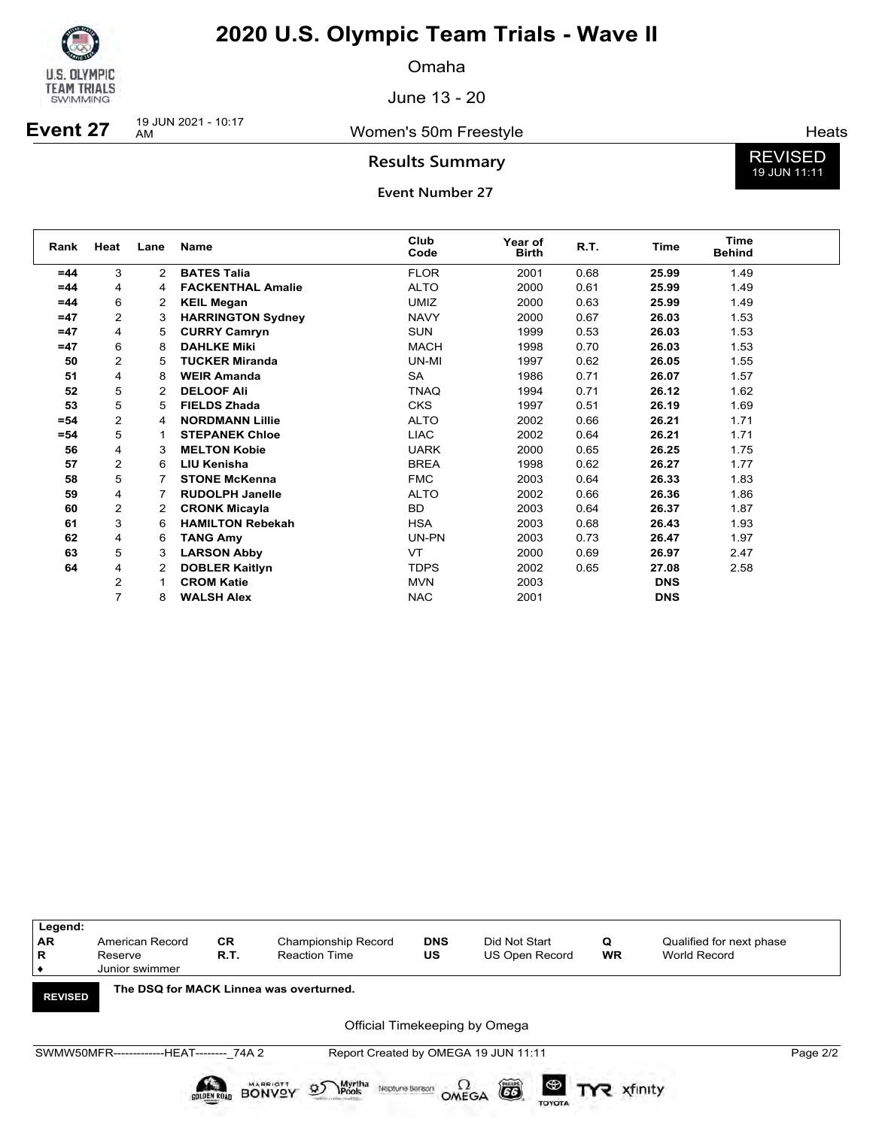

Omaha

June 13 - 20

**Event 27** 19 JUN 2021 - 10:17

Women's 50m Freestyle **Heats** Heats

**Results Summary**

**Event Number 27**

REVISED 19 JUN 11:11

| Rank   | Heat           | Lane           | <b>Name</b>              | Club<br>Code | Year of<br><b>Birth</b> | R.T. | Time       | Time<br><b>Behind</b> |  |
|--------|----------------|----------------|--------------------------|--------------|-------------------------|------|------------|-----------------------|--|
| $=44$  | 3              | $\overline{2}$ | <b>BATES Talia</b>       | <b>FLOR</b>  | 2001                    | 0.68 | 25.99      | 1.49                  |  |
| $=44$  | 4              | 4              | <b>FACKENTHAL Amalie</b> | <b>ALTO</b>  | 2000                    | 0.61 | 25.99      | 1.49                  |  |
| $=44$  | 6              | 2              | <b>KEIL Megan</b>        | UMIZ         | 2000                    | 0.63 | 25.99      | 1.49                  |  |
| $=47$  | 2              | 3              | <b>HARRINGTON Sydney</b> | <b>NAVY</b>  | 2000                    | 0.67 | 26.03      | 1.53                  |  |
| $=47$  | 4              | 5              | <b>CURRY Camryn</b>      | <b>SUN</b>   | 1999                    | 0.53 | 26.03      | 1.53                  |  |
| $=47$  | 6              | 8              | <b>DAHLKE Miki</b>       | <b>MACH</b>  | 1998                    | 0.70 | 26.03      | 1.53                  |  |
| 50     | 2              | 5              | <b>TUCKER Miranda</b>    | UN-MI        | 1997                    | 0.62 | 26.05      | 1.55                  |  |
| 51     | 4              | 8              | <b>WEIR Amanda</b>       | SA           | 1986                    | 0.71 | 26.07      | 1.57                  |  |
| 52     | 5              | 2              | <b>DELOOF Ali</b>        | <b>TNAQ</b>  | 1994                    | 0.71 | 26.12      | 1.62                  |  |
| 53     | 5              | 5              | <b>FIELDS Zhada</b>      | <b>CKS</b>   | 1997                    | 0.51 | 26.19      | 1.69                  |  |
| $= 54$ | $\overline{2}$ | 4              | <b>NORDMANN Lillie</b>   | <b>ALTO</b>  | 2002                    | 0.66 | 26.21      | 1.71                  |  |
| $= 54$ | 5              | 1              | <b>STEPANEK Chloe</b>    | <b>LIAC</b>  | 2002                    | 0.64 | 26.21      | 1.71                  |  |
| 56     | 4              | 3              | <b>MELTON Kobie</b>      | <b>UARK</b>  | 2000                    | 0.65 | 26.25      | 1.75                  |  |
| 57     | $\overline{2}$ | 6              | <b>LIU Kenisha</b>       | <b>BREA</b>  | 1998                    | 0.62 | 26.27      | 1.77                  |  |
| 58     | 5              | 7              | <b>STONE McKenna</b>     | <b>FMC</b>   | 2003                    | 0.64 | 26.33      | 1.83                  |  |
| 59     | 4              |                | <b>RUDOLPH Janelle</b>   | <b>ALTO</b>  | 2002                    | 0.66 | 26.36      | 1.86                  |  |
| 60     | 2              | 2              | <b>CRONK Micayla</b>     | BD           | 2003                    | 0.64 | 26.37      | 1.87                  |  |
| 61     | 3              | 6              | <b>HAMILTON Rebekah</b>  | <b>HSA</b>   | 2003                    | 0.68 | 26.43      | 1.93                  |  |
| 62     | 4              | 6              | <b>TANG Amy</b>          | UN-PN        | 2003                    | 0.73 | 26.47      | 1.97                  |  |
| 63     | 5              | 3              | <b>LARSON Abby</b>       | <b>VT</b>    | 2000                    | 0.69 | 26.97      | 2.47                  |  |
| 64     | 4              | 2              | <b>DOBLER Kaitlyn</b>    | <b>TDPS</b>  | 2002                    | 0.65 | 27.08      | 2.58                  |  |
|        | 2              | 1              | <b>CROM Katie</b>        | <b>MVN</b>   | 2003                    |      | <b>DNS</b> |                       |  |
|        | 7              | 8              | <b>WALSH Alex</b>        | <b>NAC</b>   | 2001                    |      | <b>DNS</b> |                       |  |

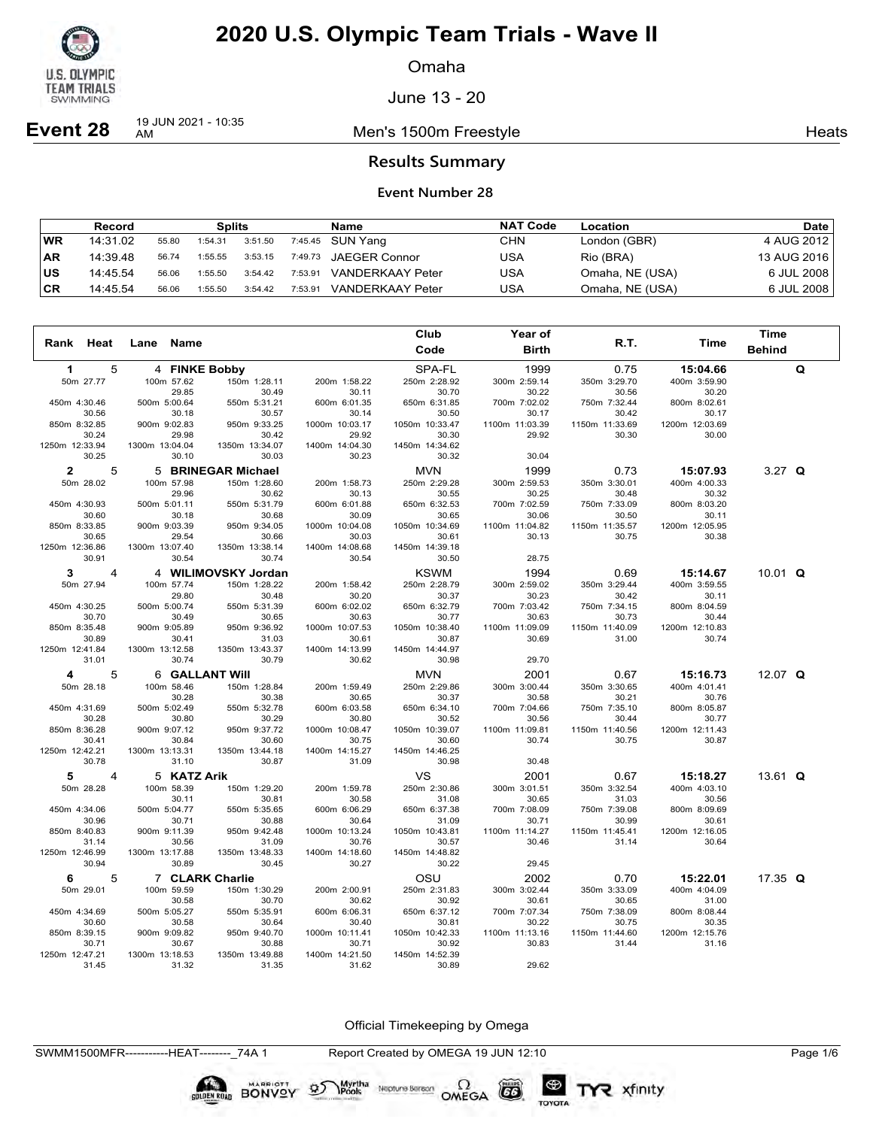

Omaha

June 13 - 20

**Event 28** 19 JUN 2021 - 10:35

Men's 1500m Freestyle **Heats** Heats

### **Results Summary**

### **Event Number 28**

|           | <b>Record</b> |       | <b>Splits</b> |         |         | Name                    | <b>NAT Code</b> | Location        | Date        |
|-----------|---------------|-------|---------------|---------|---------|-------------------------|-----------------|-----------------|-------------|
| ∣WR       | 14:31.02      | 55.80 | 1:54.31       | 3:51.50 |         | 7:45.45 SUN Yang        | CHN             | London (GBR)    | 4 AUG 2012  |
| <b>AR</b> | 14:39.48      | 56.74 | 1:55.55       | 3:53.15 |         | 7:49.73 JAEGER Connor   | USA             | Rio (BRA)       | 13 AUG 2016 |
| ∣us       | 14:45.54      | 56.06 | 1:55.50       | 3:54.42 | 7:53.91 | <b>VANDERKAAY Peter</b> | USA             | Omaha, NE (USA) | 6 JUL 2008  |
| ∣CR       | 14:45.54      | 56.06 | 1:55.50       | 3:54.42 | 7:53.91 | <b>VANDERKAAY Peter</b> | USA             | Omaha, NE (USA) | 6 JUL 2008  |

|                         |                |                         |                         |                         | Club                    | Year of               |                       |                       | <b>Time</b>   |   |
|-------------------------|----------------|-------------------------|-------------------------|-------------------------|-------------------------|-----------------------|-----------------------|-----------------------|---------------|---|
| Rank Heat               |                | Name<br>Lane            |                         |                         | Code                    | <b>Birth</b>          | R.T.                  | Time                  | <b>Behind</b> |   |
| $\mathbf 1$             | 5              | 4 FINKE Bobby           |                         |                         | SPA-FL                  | 1999                  | 0.75                  | 15:04.66              |               | Q |
| 50m 27.77               |                | 100m 57.62              | 150m 1:28.11            | 200m 1:58.22            | 250m 2:28.92            | 300m 2:59.14          | 350m 3:29.70          | 400m 3:59.90          |               |   |
|                         |                | 29.85                   | 30.49                   | 30.11                   | 30.70                   | 30.22                 | 30.56                 | 30.20                 |               |   |
| 450m 4:30.46            |                | 500m 5:00.64            | 550m 5:31.21            | 600m 6:01.35            | 650m 6:31.85            | 700m 7:02.02          | 750m 7:32.44          | 800m 8:02.61          |               |   |
| 30.56                   |                | 30.18                   | 30.57                   | 30.14                   | 30.50                   | 30.17                 | 30.42                 | 30.17                 |               |   |
| 850m 8:32.85            |                | 900m 9:02.83            | 950m 9:33.25            | 1000m 10:03.17          | 1050m 10:33.47          | 1100m 11:03.39        | 1150m 11:33.69        | 1200m 12:03.69        |               |   |
| 30.24<br>1250m 12:33.94 |                | 29.98<br>1300m 13:04.04 | 30.42<br>1350m 13:34.07 | 29.92                   | 30.30<br>1450m 14:34.62 | 29.92                 | 30.30                 | 30.00                 |               |   |
| 30.25                   |                | 30.10                   | 30.03                   | 1400m 14:04.30<br>30.23 | 30.32                   | 30.04                 |                       |                       |               |   |
|                         |                |                         |                         |                         |                         |                       |                       |                       |               |   |
| $\mathbf{2}$            | 5              |                         | 5 BRINEGAR Michael      |                         | <b>MVN</b>              | 1999                  | 0.73                  | 15:07.93              | $3.27$ Q      |   |
| 50m 28.02               |                | 100m 57.98              | 150m 1:28.60            | 200m 1:58.73            | 250m 2:29.28            | 300m 2:59.53          | 350m 3:30.01          | 400m 4:00.33          |               |   |
| 450m 4:30.93            |                | 29.96<br>500m 5:01.11   | 30.62<br>550m 5:31.79   | 30.13<br>600m 6:01.88   | 30.55<br>650m 6:32.53   | 30.25<br>700m 7:02.59 | 30.48<br>750m 7:33.09 | 30.32<br>800m 8:03.20 |               |   |
| 30.60                   |                | 30.18                   | 30.68                   | 30.09                   | 30.65                   | 30.06                 | 30.50                 | 30.11                 |               |   |
| 850m 8:33.85            |                | 900m 9:03.39            | 950m 9:34.05            | 1000m 10:04.08          | 1050m 10:34.69          | 1100m 11:04.82        | 1150m 11:35.57        | 1200m 12:05.95        |               |   |
| 30.65                   |                | 29.54                   | 30.66                   | 30.03                   | 30.61                   | 30.13                 | 30.75                 | 30.38                 |               |   |
| 1250m 12:36.86          |                | 1300m 13:07.40          | 1350m 13:38.14          | 1400m 14:08.68          | 1450m 14:39.18          |                       |                       |                       |               |   |
| 30.91                   |                | 30.54                   | 30.74                   | 30.54                   | 30.50                   | 28.75                 |                       |                       |               |   |
| 3                       | $\overline{4}$ |                         | 4 WILIMOVSKY Jordan     |                         | <b>KSWM</b>             | 1994                  | 0.69                  | 15:14.67              | 10.01 $Q$     |   |
| 50m 27.94               |                | 100m 57.74              | 150m 1:28.22            | 200m 1:58.42            | 250m 2:28.79            | 300m 2:59.02          | 350m 3:29.44          | 400m 3:59.55          |               |   |
|                         |                | 29.80                   | 30.48                   | 30.20                   | 30.37                   | 30.23                 | 30.42                 | 30.11                 |               |   |
| 450m 4:30.25            |                | 500m 5:00.74            | 550m 5:31.39            | 600m 6:02.02            | 650m 6:32.79            | 700m 7:03.42          | 750m 7:34.15          | 800m 8:04.59          |               |   |
| 30.70                   |                | 30.49                   | 30.65                   | 30.63                   | 30.77                   | 30.63                 | 30.73                 | 30.44                 |               |   |
| 850m 8:35.48            |                | 900m 9:05.89            | 950m 9:36.92            | 1000m 10:07.53          | 1050m 10:38.40          | 1100m 11:09.09        | 1150m 11:40.09        | 1200m 12:10.83        |               |   |
| 30.89                   |                | 30.41                   | 31.03                   | 30.61                   | 30.87                   | 30.69                 | 31.00                 | 30.74                 |               |   |
| 1250m 12:41.84<br>31.01 |                | 1300m 13:12.58<br>30.74 | 1350m 13:43.37<br>30.79 | 1400m 14:13.99<br>30.62 | 1450m 14:44.97          | 29.70                 |                       |                       |               |   |
|                         |                |                         |                         |                         | 30.98                   |                       |                       |                       |               |   |
| 4                       | 5              | 6 GALLANT Will          |                         |                         | <b>MVN</b>              | 2001                  | 0.67                  | 15:16.73              | 12.07 $Q$     |   |
| 50m 28.18               |                | 100m 58.46              | 150m 1:28.84            | 200m 1:59.49            | 250m 2:29.86            | 300m 3:00.44          | 350m 3:30.65          | 400m 4:01.41          |               |   |
|                         |                | 30.28                   | 30.38                   | 30.65                   | 30.37                   | 30.58                 | 30.21                 | 30.76                 |               |   |
| 450m 4:31.69<br>30.28   |                | 500m 5:02.49<br>30.80   | 550m 5:32.78<br>30.29   | 600m 6:03.58<br>30.80   | 650m 6:34.10<br>30.52   | 700m 7:04.66<br>30.56 | 750m 7:35.10<br>30.44 | 800m 8:05.87<br>30.77 |               |   |
| 850m 8:36.28            |                | 900m 9:07.12            | 950m 9:37.72            | 1000m 10:08.47          | 1050m 10:39.07          | 1100m 11:09.81        | 1150m 11:40.56        | 1200m 12:11.43        |               |   |
| 30.41                   |                | 30.84                   | 30.60                   | 30.75                   | 30.60                   | 30.74                 | 30.75                 | 30.87                 |               |   |
| 1250m 12:42.21          |                | 1300m 13:13.31          | 1350m 13:44.18          | 1400m 14:15.27          | 1450m 14:46.25          |                       |                       |                       |               |   |
| 30.78                   |                | 31.10                   | 30.87                   | 31.09                   | 30.98                   | 30.48                 |                       |                       |               |   |
| 5                       | $\overline{4}$ | 5 KATZ Arik             |                         |                         | VS                      | 2001                  | 0.67                  | 15:18.27              | 13.61 $Q$     |   |
| 50m 28.28               |                | 100m 58.39              | 150m 1:29.20            | 200m 1:59.78            | 250m 2:30.86            | 300m 3:01.51          | 350m 3:32.54          | 400m 4:03.10          |               |   |
|                         |                | 30.11                   | 30.81                   | 30.58                   | 31.08                   | 30.65                 | 31.03                 | 30.56                 |               |   |
| 450m 4:34.06            |                | 500m 5:04.77            | 550m 5:35.65            | 600m 6:06.29            | 650m 6:37.38            | 700m 7:08.09          | 750m 7:39.08          | 800m 8:09.69          |               |   |
| 30.96                   |                | 30.71                   | 30.88                   | 30.64                   | 31.09                   | 30.71                 | 30.99                 | 30.61                 |               |   |
| 850m 8:40.83            |                | 900m 9:11.39            | 950m 9:42.48            | 1000m 10:13.24          | 1050m 10:43.81          | 1100m 11:14.27        | 1150m 11:45.41        | 1200m 12:16.05        |               |   |
| 31.14                   |                | 30.56                   | 31.09                   | 30.76                   | 30.57                   | 30.46                 | 31.14                 | 30.64                 |               |   |
| 1250m 12:46.99<br>30.94 |                | 1300m 13:17.88<br>30.89 | 1350m 13:48.33<br>30.45 | 1400m 14:18.60<br>30.27 | 1450m 14:48.82<br>30.22 | 29.45                 |                       |                       |               |   |
|                         |                |                         |                         |                         |                         |                       |                       |                       |               |   |
| 6                       | 5              | 7 CLARK Charlie         |                         |                         | OSU                     | 2002                  | 0.70                  | 15:22.01              | 17.35 $Q$     |   |
| 50m 29.01               |                | 100m 59.59              | 150m 1:30.29            | 200m 2:00.91            | 250m 2:31.83            | 300m 3:02.44          | 350m 3:33.09          | 400m 4:04.09          |               |   |
| 450m 4:34.69            |                | 30.58                   | 30.70<br>550m 5:35.91   | 30.62                   | 30.92                   | 30.61                 | 30.65                 | 31.00                 |               |   |
| 30.60                   |                | 500m 5:05.27<br>30.58   | 30.64                   | 600m 6:06.31<br>30.40   | 650m 6:37.12<br>30.81   | 700m 7:07.34<br>30.22 | 750m 7:38.09<br>30.75 | 800m 8:08.44<br>30.35 |               |   |
| 850m 8:39.15            |                | 900m 9:09.82            | 950m 9:40.70            | 1000m 10:11.41          | 1050m 10:42.33          | 1100m 11:13.16        | 1150m 11:44.60        | 1200m 12:15.76        |               |   |
| 30.71                   |                | 30.67                   | 30.88                   | 30.71                   | 30.92                   | 30.83                 | 31.44                 | 31.16                 |               |   |
| 1250m 12:47.21          |                | 1300m 13:18.53          | 1350m 13:49.88          | 1400m 14:21.50          | 1450m 14:52.39          |                       |                       |                       |               |   |
| 31.45                   |                | 31.32                   | 31.35                   | 31.62                   | 30.89                   | 29.62                 |                       |                       |               |   |

Official Timekeeping by Omega

Neptune Berson  $\Omega$ <br>OMEGA

 $(G)$ 

TOYOTA

TYR xfinity

BONVOY 95

Myrtha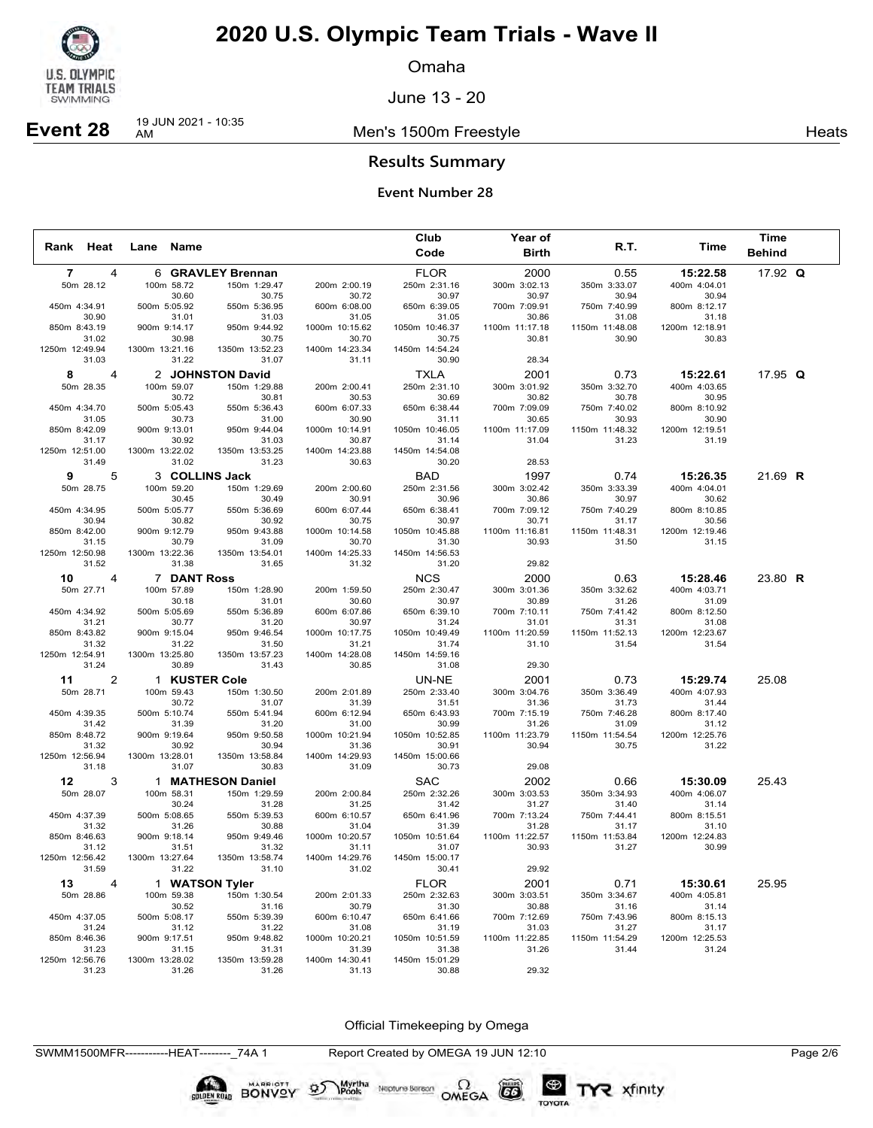

Omaha

June 13 - 20

Men's 1500m Freestyle **Heats** Heats

## **Event 28** 19 JUN 2021 - 10:35

**Results Summary**

### **Event Number 28**

|                |                |                       |                       |                         | Club                    | Year of                 |                         |                         | Time          |  |
|----------------|----------------|-----------------------|-----------------------|-------------------------|-------------------------|-------------------------|-------------------------|-------------------------|---------------|--|
| Rank Heat      |                | Lane Name             |                       |                         | Code                    | <b>Birth</b>            | <b>R.T.</b>             | Time                    | <b>Behind</b> |  |
| $\overline{7}$ | 4              |                       | 6 GRAVLEY Brennan     |                         | <b>FLOR</b>             | 2000                    | 0.55                    | 15:22.58                | 17.92 $Q$     |  |
| 50m 28.12      |                | 100m 58.72            | 150m 1:29.47          | 200m 2:00.19            | 250m 2:31.16            | 300m 3:02.13            | 350m 3:33.07            | 400m 4:04.01            |               |  |
|                |                | 30.60                 | 30.75                 | 30.72                   | 30.97                   | 30.97                   | 30.94                   | 30.94                   |               |  |
| 450m 4:34.91   | 30.90          | 500m 5:05.92<br>31.01 | 550m 5:36.95<br>31.03 | 600m 6:08.00<br>31.05   | 650m 6:39.05<br>31.05   | 700m 7:09.91<br>30.86   | 750m 7:40.99<br>31.08   | 800m 8:12.17<br>31.18   |               |  |
| 850m 8:43.19   |                | 900m 9:14.17          | 950m 9:44.92          | 1000m 10:15.62          | 1050m 10:46.37          | 1100m 11:17.18          | 1150m 11:48.08          | 1200m 12:18.91          |               |  |
|                | 31.02          | 30.98                 | 30.75                 | 30.70                   | 30.75                   | 30.81                   | 30.90                   | 30.83                   |               |  |
| 1250m 12:49.94 |                | 1300m 13:21.16        | 1350m 13:52.23        | 1400m 14:23.34          | 1450m 14:54.24          |                         |                         |                         |               |  |
|                | 31.03          | 31.22                 | 31.07                 | 31.11                   | 30.90                   | 28.34                   |                         |                         |               |  |
| 8              | 4              |                       | 2 JOHNSTON David      |                         | <b>TXLA</b>             | 2001                    | 0.73                    | 15:22.61                | 17.95 $Q$     |  |
| 50m 28.35      |                | 100m 59.07            | 150m 1:29.88          | 200m 2:00.41            | 250m 2:31.10            | 300m 3:01.92            | 350m 3:32.70            | 400m 4:03.65            |               |  |
|                |                | 30.72                 | 30.81                 | 30.53                   | 30.69                   | 30.82                   | 30.78                   | 30.95                   |               |  |
| 450m 4:34.70   | 31.05          | 500m 5:05.43<br>30.73 | 550m 5:36.43<br>31.00 | 600m 6:07.33<br>30.90   | 650m 6:38.44<br>31.11   | 700m 7:09.09<br>30.65   | 750m 7:40.02<br>30.93   | 800m 8:10.92<br>30.90   |               |  |
| 850m 8:42.09   |                | 900m 9:13.01          | 950m 9:44.04          | 1000m 10:14.91          | 1050m 10:46.05          | 1100m 11:17.09          | 1150m 11:48.32          | 1200m 12:19.51          |               |  |
|                | 31.17          | 30.92                 | 31.03                 | 30.87                   | 31.14                   | 31.04                   | 31.23                   | 31.19                   |               |  |
| 1250m 12:51.00 |                | 1300m 13:22.02        | 1350m 13:53.25        | 1400m 14:23.88          | 1450m 14:54.08          |                         |                         |                         |               |  |
|                | 31.49          | 31.02                 | 31.23                 | 30.63                   | 30.20                   | 28.53                   |                         |                         |               |  |
| 9              | 5              |                       | 3 COLLINS Jack        |                         | BAD                     | 1997                    | 0.74                    | 15:26.35                | 21.69 R       |  |
| 50m 28.75      |                | 100m 59.20            | 150m 1:29.69          | 200m 2:00.60            | 250m 2:31.56            | 300m 3:02.42            | 350m 3:33.39            | 400m 4:04.01            |               |  |
|                |                | 30.45                 | 30.49                 | 30.91                   | 30.96                   | 30.86                   | 30.97                   | 30.62                   |               |  |
| 450m 4:34.95   | 30.94          | 500m 5:05.77<br>30.82 | 550m 5:36.69<br>30.92 | 600m 6:07.44<br>30.75   | 650m 6:38.41<br>30.97   | 700m 7:09.12<br>30.71   | 750m 7:40.29<br>31.17   | 800m 8:10.85<br>30.56   |               |  |
| 850m 8:42.00   |                | 900m 9:12.79          | 950m 9:43.88          | 1000m 10:14.58          | 1050m 10:45.88          | 1100m 11:16.81          | 1150m 11:48.31          | 1200m 12:19.46          |               |  |
|                | 31.15          | 30.79                 | 31.09                 | 30.70                   | 31.30                   | 30.93                   | 31.50                   | 31.15                   |               |  |
| 1250m 12:50.98 |                | 1300m 13:22.36        | 1350m 13:54.01        | 1400m 14:25.33          | 1450m 14:56.53          |                         |                         |                         |               |  |
|                | 31.52          | 31.38                 | 31.65                 | 31.32                   | 31.20                   | 29.82                   |                         |                         |               |  |
| 10             | 4              | 7 DANT Ross           |                       |                         | <b>NCS</b>              | 2000                    | 0.63                    | 15:28.46                | 23.80 R       |  |
| 50m 27.71      |                | 100m 57.89            | 150m 1:28.90          | 200m 1:59.50            | 250m 2:30.47            | 300m 3:01.36            | 350m 3:32.62            | 400m 4:03.71            |               |  |
|                |                | 30.18                 | 31.01                 | 30.60                   | 30.97                   | 30.89                   | 31.26                   | 31.09                   |               |  |
| 450m 4:34.92   | 31.21          | 500m 5:05.69<br>30.77 | 550m 5:36.89<br>31.20 | 600m 6:07.86<br>30.97   | 650m 6:39.10<br>31.24   | 700m 7:10.11<br>31.01   | 750m 7:41.42<br>31.31   | 800m 8:12.50<br>31.08   |               |  |
| 850m 8:43.82   |                | 900m 9:15.04          | 950m 9:46.54          | 1000m 10:17.75          | 1050m 10:49.49          | 1100m 11:20.59          | 1150m 11:52.13          | 1200m 12:23.67          |               |  |
|                | 31.32          | 31.22                 | 31.50                 | 31.21                   | 31.74                   | 31.10                   | 31.54                   | 31.54                   |               |  |
| 1250m 12:54.91 |                | 1300m 13:25.80        | 1350m 13:57.23        | 1400m 14:28.08          | 1450m 14:59.16          |                         |                         |                         |               |  |
|                | 31.24          | 30.89                 | 31.43                 | 30.85                   | 31.08                   | 29.30                   |                         |                         |               |  |
| 11             | 2              |                       | 1 KUSTER Cole         |                         | UN-NE                   | 2001                    | 0.73                    | 15:29.74                | 25.08         |  |
| 50m 28.71      |                | 100m 59.43            | 150m 1:30.50          | 200m 2:01.89            | 250m 2:33.40            | 300m 3:04.76            | 350m 3:36.49            | 400m 4:07.93            |               |  |
|                |                | 30.72                 | 31.07                 | 31.39                   | 31.51                   | 31.36                   | 31.73                   | 31.44                   |               |  |
| 450m 4:39.35   | 31.42          | 500m 5:10.74<br>31.39 | 550m 5:41.94<br>31.20 | 600m 6:12.94<br>31.00   | 650m 6:43.93<br>30.99   | 700m 7:15.19<br>31.26   | 750m 7:46.28<br>31.09   | 800m 8:17.40<br>31.12   |               |  |
| 850m 8:48.72   |                | 900m 9:19.64          | 950m 9:50.58          | 1000m 10:21.94          | 1050m 10:52.85          | 1100m 11:23.79          | 1150m 11:54.54          | 1200m 12:25.76          |               |  |
|                | 31.32          | 30.92                 | 30.94                 | 31.36                   | 30.91                   | 30.94                   | 30.75                   | 31.22                   |               |  |
| 1250m 12:56.94 |                | 1300m 13:28.01        | 1350m 13:58.84        | 1400m 14:29.93          | 1450m 15:00.66          |                         |                         |                         |               |  |
|                | 31.18          | 31.07                 | 30.83                 | 31.09                   | 30.73                   | 29.08                   |                         |                         |               |  |
| 12             | 3              |                       | 1 MATHESON Daniel     |                         | <b>SAC</b>              | 2002                    | 0.66                    | 15:30.09                | 25.43         |  |
| 50m 28.07      |                | 100m 58.31            | 150m 1:29.59          | 200m 2:00.84            | 250m 2:32.26            | 300m 3:03.53            | 350m 3:34.93            | 400m 4:06.07            |               |  |
|                |                | 30.24                 | 31.28                 | 31.25                   | 31.42                   | 31.27                   | 31.40                   | 31.14                   |               |  |
| 450m 4:37.39   | 31.32          | 500m 5:08.65          | 550m 5:39.53<br>30.88 | 600m 6:10.57<br>31.04   | 650m 6:41.96<br>31.39   | 700m 7:13.24<br>31.28   | 750m 7:44.41<br>31.17   | 800m 8:15.51<br>31.10   |               |  |
| 850m 8:46.63   |                | 31.26<br>900m 9:18.14 | 950m 9:49.46          | 1000m 10:20.57          | 1050m 10:51.64          | 1100m 11:22.57          | 1150m 11:53.84          | 1200m 12:24.83          |               |  |
|                | 31.12          | 31.51                 | 31.32                 | 31.11                   | 31.07                   | 30.93                   | 31.27                   | 30.99                   |               |  |
| 1250m 12:56.42 |                | 1300m 13:27.64        | 1350m 13:58.74        | 1400m 14:29.76          | 1450m 15:00.17          |                         |                         |                         |               |  |
|                | 31.59          | 31.22                 | 31.10                 | 31.02                   | 30.41                   | 29.92                   |                         |                         |               |  |
| 13             | $\overline{4}$ |                       | 1 WATSON Tyler        |                         | <b>FLOR</b>             | 2001                    | 0.71                    | 15:30.61                | 25.95         |  |
| 50m 28.86      |                | 100m 59.38            | 150m 1:30.54          | 200m 2:01.33            | 250m 2:32.63            | 300m 3:03.51            | 350m 3:34.67            | 400m 4:05.81            |               |  |
|                |                | 30.52                 | 31.16                 | 30.79                   | 31.30                   | 30.88                   | 31.16                   | 31.14                   |               |  |
| 450m 4:37.05   |                | 500m 5:08.17          | 550m 5:39.39<br>31.22 | 600m 6:10.47            | 650m 6:41.66            | 700m 7:12.69            | 750m 7:43.96            | 800m 8:15.13            |               |  |
| 850m 8:46.36   | 31.24          | 31.12<br>900m 9:17.51 | 950m 9:48.82          | 31.08<br>1000m 10:20.21 | 31.19<br>1050m 10:51.59 | 31.03<br>1100m 11:22.85 | 31.27<br>1150m 11:54.29 | 31.17<br>1200m 12:25.53 |               |  |
|                | 31.23          | 31.15                 | 31.31                 | 31.39                   | 31.38                   | 31.26                   | 31.44                   | 31.24                   |               |  |
| 1250m 12:56.76 |                | 1300m 13:28.02        | 1350m 13:59.28        | 1400m 14:30.41          | 1450m 15:01.29          |                         |                         |                         |               |  |
|                | 31.23          | 31.26                 | 31.26                 | 31.13                   | 30.88                   | 29.32                   |                         |                         |               |  |

Official Timekeeping by Omega

SWMM1500MFR-----------HEAT--------\_74A 1 Report Created by OMEGA 19 JUN 12:10 Page 2/6

 $(G)$ 

TOYOTA

**SOLDEN ROAD BONVOY OF** 

 $\sum_{\text{Pools}}$  Neptune Bergon  $\Omega$ <br>OMEGA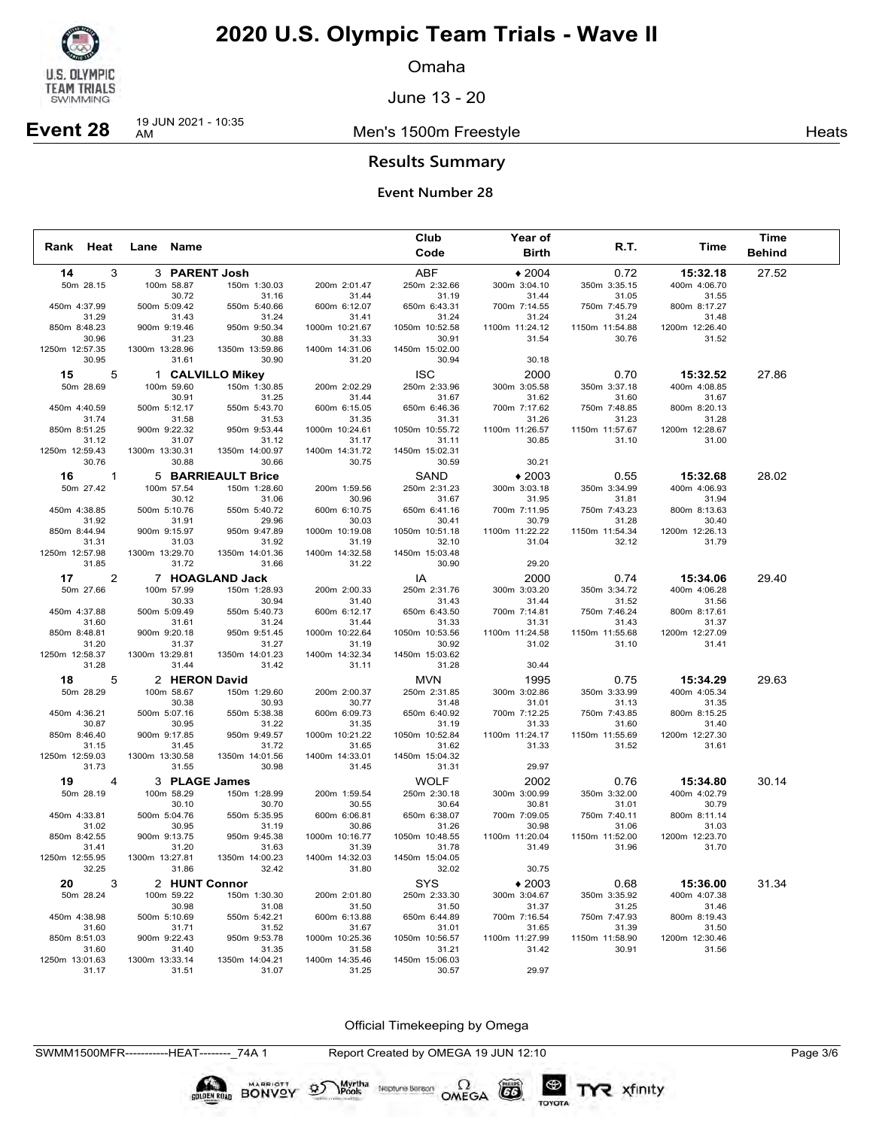

Omaha

June 13 - 20

Men's 1500m Freestyle **Heats** Heats

# **Event 28** 19 JUN 2021 - 10:35

**Results Summary**

### **Event Number 28**

|                         |                         |                         |                         | Club                    | Year of                 |                         |                         | Time          |
|-------------------------|-------------------------|-------------------------|-------------------------|-------------------------|-------------------------|-------------------------|-------------------------|---------------|
| Rank<br>Heat            | Lane Name               |                         |                         | Code                    | <b>Birth</b>            | R.T.                    | Time                    | <b>Behind</b> |
| 14                      | 3                       | 3 PARENT Josh           |                         | ABF                     | $*2004$                 | 0.72                    | 15:32.18                | 27.52         |
| 50m 28.15               | 100m 58.87              | 150m 1:30.03            | 200m 2:01.47            | 250m 2:32.66            | 300m 3:04.10            | 350m 3:35.15            | 400m 4:06.70            |               |
|                         | 30.72                   | 31.16                   | 31.44                   | 31.19                   | 31.44                   | 31.05                   | 31.55                   |               |
| 450m 4:37.99            | 500m 5:09.42            | 550m 5:40.66            | 600m 6:12.07            | 650m 6:43.31            | 700m 7:14.55            | 750m 7:45.79            | 800m 8:17.27            |               |
| 31.29<br>850m 8:48.23   | 31.43<br>900m 9:19.46   | 31.24<br>950m 9:50.34   | 31.41<br>1000m 10:21.67 | 31.24<br>1050m 10:52.58 | 31.24<br>1100m 11:24.12 | 31.24<br>1150m 11:54.88 | 31.48<br>1200m 12:26.40 |               |
| 30.96                   | 31.23                   | 30.88                   | 31.33                   | 30.91                   | 31.54                   | 30.76                   | 31.52                   |               |
| 1250m 12:57.35          | 1300m 13:28.96          | 1350m 13:59.86          | 1400m 14:31.06          | 1450m 15:02.00          |                         |                         |                         |               |
| 30.95                   | 31.61                   | 30.90                   | 31.20                   | 30.94                   | 30.18                   |                         |                         |               |
| 5<br>15                 |                         | 1 CALVILLO Mikey        |                         | <b>ISC</b>              | 2000                    | 0.70                    | 15:32.52                | 27.86         |
| 50m 28.69               | 100m 59.60              | 150m 1:30.85            | 200m 2:02.29            | 250m 2:33.96            | 300m 3:05.58            | 350m 3:37.18            | 400m 4:08.85            |               |
|                         | 30.91                   | 31.25                   | 31.44                   | 31.67                   | 31.62                   | 31.60                   | 31.67                   |               |
| 450m 4:40.59            | 500m 5:12.17            | 550m 5:43.70            | 600m 6:15.05            | 650m 6:46.36            | 700m 7:17.62            | 750m 7:48.85            | 800m 8:20.13            |               |
| 31.74                   | 31.58                   | 31.53                   | 31.35                   | 31.31                   | 31.26                   | 31.23                   | 31.28                   |               |
| 850m 8:51.25            | 900m 9:22.32            | 950m 9:53.44            | 1000m 10:24.61          | 1050m 10:55.72          | 1100m 11:26.57          | 1150m 11:57.67          | 1200m 12:28.67          |               |
| 31.12                   | 31.07                   | 31.12                   | 31.17                   | 31.11                   | 30.85                   | 31.10                   | 31.00                   |               |
| 1250m 12:59.43<br>30.76 | 1300m 13:30.31<br>30.88 | 1350m 14:00.97<br>30.66 | 1400m 14:31.72<br>30.75 | 1450m 15:02.31<br>30.59 | 30.21                   |                         |                         |               |
|                         |                         |                         |                         |                         |                         |                         |                         |               |
| 16 1                    |                         | 5 BARRIEAULT Brice      |                         | SAND                    | $*2003$                 | 0.55                    | 15:32.68                | 28.02         |
| 50m 27.42               | 100m 57.54<br>30.12     | 150m 1:28.60<br>31.06   | 200m 1:59.56<br>30.96   | 250m 2:31.23<br>31.67   | 300m 3:03.18<br>31.95   | 350m 3:34.99<br>31.81   | 400m 4:06.93<br>31.94   |               |
| 450m 4:38.85            | 500m 5:10.76            | 550m 5:40.72            | 600m 6:10.75            | 650m 6:41.16            | 700m 7:11.95            | 750m 7:43.23            | 800m 8:13.63            |               |
| 31.92                   | 31.91                   | 29.96                   | 30.03                   | 30.41                   | 30.79                   | 31.28                   | 30.40                   |               |
| 850m 8:44.94            | 900m 9:15.97            | 950m 9:47.89            | 1000m 10:19.08          | 1050m 10:51.18          | 1100m 11:22.22          | 1150m 11:54.34          | 1200m 12:26.13          |               |
| 31.31                   | 31.03                   | 31.92                   | 31.19                   | 32.10                   | 31.04                   | 32.12                   | 31.79                   |               |
| 1250m 12:57.98          | 1300m 13:29.70          | 1350m 14:01.36          | 1400m 14:32.58          | 1450m 15:03.48          |                         |                         |                         |               |
| 31.85                   | 31.72                   | 31.66                   | 31.22                   | 30.90                   | 29.20                   |                         |                         |               |
| 17<br>2                 |                         | 7 HOAGLAND Jack         |                         | IA                      | 2000                    | 0.74                    | 15:34.06                | 29.40         |
| 50m 27.66               | 100m 57.99              | 150m 1:28.93            | 200m 2:00.33            | 250m 2:31.76            | 300m 3:03.20            | 350m 3:34.72            | 400m 4:06.28            |               |
|                         | 30.33                   | 30.94                   | 31.40                   | 31.43                   | 31.44                   | 31.52                   | 31.56                   |               |
| 450m 4:37.88            | 500m 5:09.49            | 550m 5:40.73            | 600m 6:12.17            | 650m 6:43.50            | 700m 7:14.81            | 750m 7:46.24            | 800m 8:17.61            |               |
| 31.60<br>850m 8:48.81   | 31.61<br>900m 9:20.18   | 31.24<br>950m 9:51.45   | 31.44<br>1000m 10:22.64 | 31.33<br>1050m 10:53.56 | 31.31<br>1100m 11:24.58 | 31.43<br>1150m 11:55.68 | 31.37<br>1200m 12:27.09 |               |
| 31.20                   | 31.37                   | 31.27                   | 31.19                   | 30.92                   | 31.02                   | 31.10                   | 31.41                   |               |
| 1250m 12:58.37          | 1300m 13:29.81          | 1350m 14:01.23          | 1400m 14:32.34          | 1450m 15:03.62          |                         |                         |                         |               |
| 31.28                   | 31.44                   | 31.42                   | 31.11                   | 31.28                   | 30.44                   |                         |                         |               |
| 18<br>5                 | 2 HERON David           |                         |                         | <b>MVN</b>              | 1995                    | 0.75                    | 15:34.29                | 29.63         |
| 50m 28.29               | 100m 58.67              | 150m 1:29.60            | 200m 2:00.37            | 250m 2:31.85            | 300m 3:02.86            | 350m 3:33.99            | 400m 4:05.34            |               |
|                         | 30.38                   | 30.93                   | 30.77                   | 31.48                   | 31.01                   | 31.13                   | 31.35                   |               |
| 450m 4:36.21            | 500m 5:07.16            | 550m 5:38.38            | 600m 6:09.73            | 650m 6:40.92            | 700m 7:12.25            | 750m 7:43.85            | 800m 8:15.25            |               |
| 30.87                   | 30.95                   | 31.22                   | 31.35                   | 31.19                   | 31.33                   | 31.60                   | 31.40                   |               |
| 850m 8:46.40            | 900m 9:17.85            | 950m 9:49.57            | 1000m 10:21.22          | 1050m 10:52.84          | 1100m 11:24.17          | 1150m 11:55.69          | 1200m 12:27.30          |               |
| 31.15<br>1250m 12:59.03 | 31.45<br>1300m 13:30.58 | 31.72<br>1350m 14:01.56 | 31.65<br>1400m 14:33.01 | 31.62<br>1450m 15:04.32 | 31.33                   | 31.52                   | 31.61                   |               |
| 31.73                   | 31.55                   | 30.98                   | 31.45                   | 31.31                   | 29.97                   |                         |                         |               |
| 19<br>$\overline{4}$    |                         | 3 PLAGE James           |                         | <b>WOLF</b>             | 2002                    | 0.76                    | 15:34.80                | 30.14         |
| 50m 28.19               | 100m 58.29              | 150m 1:28.99            | 200m 1:59.54            | 250m 2:30.18            | 300m 3:00.99            | 350m 3:32.00            | 400m 4:02.79            |               |
|                         | 30.10                   | 30.70                   | 30.55                   | 30.64                   | 30.81                   | 31.01                   | 30.79                   |               |
| 450m 4:33.81            | 500m 5:04.76            | 550m 5:35.95            | 600m 6:06.81            | 650m 6:38.07            | 700m 7:09.05            | 750m 7:40.11            | 800m 8:11.14            |               |
| 31.02                   | 30.95                   | 31.19                   | 30.86                   | 31.26                   | 30.98                   | 31.06                   | 31.03                   |               |
| 850m 8:42.55            | 900m 9:13.75            | 950m 9:45.38            | 1000m 10:16.77          | 1050m 10:48.55          | 1100m 11:20.04          | 1150m 11:52.00          | 1200m 12:23.70          |               |
| 31.41                   | 31.20                   | 31.63                   | 31.39                   | 31.78                   | 31.49                   | 31.96                   | 31.70                   |               |
| 1250m 12:55.95          | 1300m 13:27.81<br>31.86 | 1350m 14:00.23          | 1400m 14:32.03          | 1450m 15:04.05          |                         |                         |                         |               |
| 32.25                   |                         | 32.42                   | 31.80                   | 32.02                   | 30.75                   |                         |                         |               |
| 3<br>20                 | 2 HUNT Connor           |                         |                         | SYS                     | $*2003$                 | 0.68                    | 15:36.00                | 31.34         |
| 50m 28.24               | 100m 59.22              | 150m 1:30.30            | 200m 2:01.80            | 250m 2:33.30            | 300m 3:04.67            | 350m 3:35.92            | 400m 4:07.38            |               |
| 450m 4:38.98            | 30.98<br>500m 5:10.69   | 31.08<br>550m 5:42.21   | 31.50<br>600m 6:13.88   | 31.50<br>650m 6:44.89   | 31.37<br>700m 7:16.54   | 31.25<br>750m 7:47.93   | 31.46<br>800m 8:19.43   |               |
| 31.60                   | 31.71                   | 31.52                   | 31.67                   | 31.01                   | 31.65                   | 31.39                   | 31.50                   |               |
| 850m 8:51.03            | 900m 9:22.43            | 950m 9:53.78            | 1000m 10:25.36          | 1050m 10:56.57          | 1100m 11:27.99          | 1150m 11:58.90          | 1200m 12:30.46          |               |
| 31.60                   | 31.40                   | 31.35                   | 31.58                   | 31.21                   | 31.42                   | 30.91                   | 31.56                   |               |
| 1250m 13:01.63          | 1300m 13:33.14          | 1350m 14:04.21          | 1400m 14:35.46          | 1450m 15:06.03          |                         |                         |                         |               |
| 31.17                   | 31.51                   | 31.07                   | 31.25                   | 30.57                   | 29.97                   |                         |                         |               |

Official Timekeeping by Omega

SWMM1500MFR-----------HEAT--------\_74A 1 Report Created by OMEGA 19 JUN 12:10 Page 3/6

Neptune Berson  $\Omega$ <br>OMEGA

CO

TOYOTA

Myrtha<br>Pools

 $\mathfrak{D}$ 

BONVOY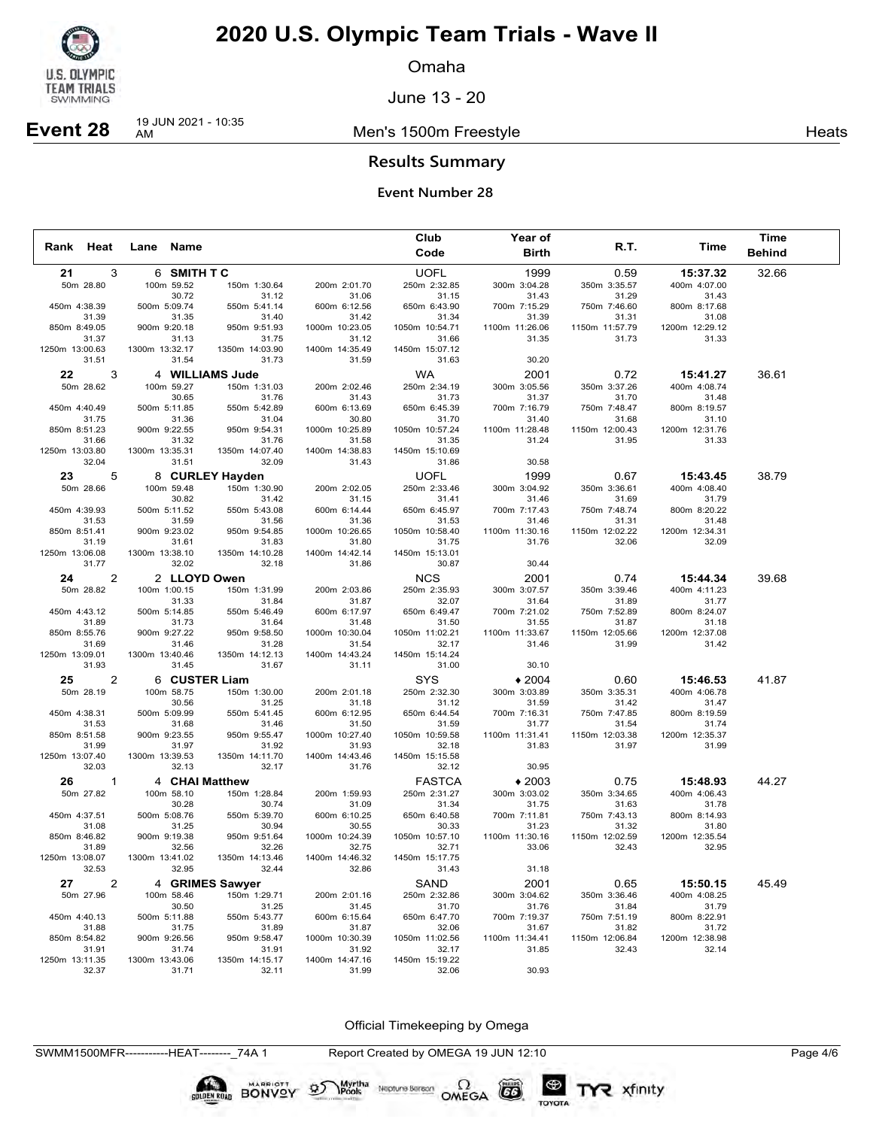

Omaha

June 13 - 20

Men's 1500m Freestyle **Heats** Heats



**Results Summary**

### **Event Number 28**

|                         |                         |                         |                         | Club                    | Year of                 |                         |                         | Time          |
|-------------------------|-------------------------|-------------------------|-------------------------|-------------------------|-------------------------|-------------------------|-------------------------|---------------|
| Rank Heat               | Lane Name               |                         |                         | Code                    | <b>Birth</b>            | R.T.                    | Time                    | <b>Behind</b> |
| 21<br>3                 | 6 SMITH TC              |                         |                         | <b>UOFL</b>             | 1999                    | 0.59                    | 15:37.32                | 32.66         |
| 50m 28.80               | 100m 59.52              | 150m 1:30.64            | 200m 2:01.70            | 250m 2:32.85            | 300m 3:04.28            | 350m 3:35.57            | 400m 4:07.00            |               |
|                         | 30.72                   | 31.12                   | 31.06                   | 31.15                   | 31.43                   | 31.29                   | 31.43                   |               |
| 450m 4:38.39            | 500m 5:09.74            | 550m 5:41.14            | 600m 6:12.56            | 650m 6:43.90            | 700m 7:15.29            | 750m 7:46.60            | 800m 8:17.68            |               |
| 31.39                   | 31.35                   | 31.40                   | 31.42                   | 31.34                   | 31.39                   | 31.31                   | 31.08                   |               |
| 850m 8:49.05            | 900m 9:20.18            | 950m 9:51.93            | 1000m 10:23.05          | 1050m 10:54.71          | 1100m 11:26.06          | 1150m 11:57.79          | 1200m 12:29.12          |               |
| 31.37<br>1250m 13:00.63 | 31.13<br>1300m 13:32.17 | 31.75<br>1350m 14:03.90 | 31.12<br>1400m 14:35.49 | 31.66<br>1450m 15:07.12 | 31.35                   | 31.73                   | 31.33                   |               |
| 31.51                   | 31.54                   | 31.73                   | 31.59                   | 31.63                   | 30.20                   |                         |                         |               |
|                         |                         |                         |                         |                         |                         |                         |                         |               |
| $22 \,$<br>3            | 4 WILLIAMS Jude         |                         |                         | <b>WA</b>               | 2001                    | 0.72                    | 15:41.27                | 36.61         |
| 50m 28.62               | 100m 59.27<br>30.65     | 150m 1:31.03<br>31.76   | 200m 2:02.46<br>31.43   | 250m 2:34.19<br>31.73   | 300m 3:05.56<br>31.37   | 350m 3:37.26<br>31.70   | 400m 4:08.74<br>31.48   |               |
| 450m 4:40.49            | 500m 5:11.85            | 550m 5:42.89            | 600m 6:13.69            | 650m 6:45.39            | 700m 7:16.79            | 750m 7:48.47            | 800m 8:19.57            |               |
| 31.75                   | 31.36                   | 31.04                   | 30.80                   | 31.70                   | 31.40                   | 31.68                   | 31.10                   |               |
| 850m 8:51.23            | 900m 9:22.55            | 950m 9:54.31            | 1000m 10:25.89          | 1050m 10:57.24          | 1100m 11:28.48          | 1150m 12:00.43          | 1200m 12:31.76          |               |
| 31.66                   | 31.32                   | 31.76                   | 31.58                   | 31.35                   | 31.24                   | 31.95                   | 31.33                   |               |
| 1250m 13:03.80          | 1300m 13:35.31          | 1350m 14:07.40          | 1400m 14:38.83          | 1450m 15:10.69          |                         |                         |                         |               |
| 32.04                   | 31.51                   | 32.09                   | 31.43                   | 31.86                   | 30.58                   |                         |                         |               |
| 23<br>5                 |                         | 8 CURLEY Hayden         |                         | <b>UOFL</b>             | 1999                    | 0.67                    | 15:43.45                | 38.79         |
| 50m 28.66               | 100m 59.48              | 150m 1:30.90            | 200m 2:02.05            | 250m 2:33.46            | 300m 3:04.92            | 350m 3:36.61            | 400m 4:08.40            |               |
|                         | 30.82                   | 31.42                   | 31.15                   | 31.41                   | 31.46                   | 31.69                   | 31.79                   |               |
| 450m 4:39.93            | 500m 5:11.52            | 550m 5:43.08            | 600m 6:14.44            | 650m 6:45.97            | 700m 7:17.43            | 750m 7:48.74            | 800m 8:20.22            |               |
| 31.53                   | 31.59                   | 31.56                   | 31.36                   | 31.53                   | 31.46                   | 31.31                   | 31.48                   |               |
| 850m 8:51.41<br>31.19   | 900m 9:23.02<br>31.61   | 950m 9:54.85<br>31.83   | 1000m 10:26.65          | 1050m 10:58.40          | 1100m 11:30.16<br>31.76 | 1150m 12:02.22<br>32.06 | 1200m 12:34.31<br>32.09 |               |
| 1250m 13:06.08          | 1300m 13:38.10          | 1350m 14:10.28          | 31.80<br>1400m 14:42.14 | 31.75<br>1450m 15:13.01 |                         |                         |                         |               |
| 31.77                   | 32.02                   | 32.18                   | 31.86                   | 30.87                   | 30.44                   |                         |                         |               |
| 2<br>24                 | 2 LLOYD Owen            |                         |                         | <b>NCS</b>              | 2001                    | 0.74                    | 15:44.34                | 39.68         |
| 50m 28.82               | 100m 1:00.15            | 150m 1:31.99            | 200m 2:03.86            | 250m 2:35.93            | 300m 3:07.57            | 350m 3:39.46            | 400m 4:11.23            |               |
|                         | 31.33                   | 31.84                   | 31.87                   | 32.07                   | 31.64                   | 31.89                   | 31.77                   |               |
| 450m 4:43.12            | 500m 5:14.85            | 550m 5:46.49            | 600m 6:17.97            | 650m 6:49.47            | 700m 7:21.02            | 750m 7:52.89            | 800m 8:24.07            |               |
| 31.89                   | 31.73                   | 31.64                   | 31.48                   | 31.50                   | 31.55                   | 31.87                   | 31.18                   |               |
| 850m 8:55.76            | 900m 9:27.22            | 950m 9:58.50            | 1000m 10:30.04          | 1050m 11:02.21          | 1100m 11:33.67          | 1150m 12:05.66          | 1200m 12:37.08          |               |
| 31.69                   | 31.46                   | 31.28                   | 31.54                   | 32.17                   | 31.46                   | 31.99                   | 31.42                   |               |
| 1250m 13:09.01          | 1300m 13:40.46          | 1350m 14:12.13          | 1400m 14:43.24          | 1450m 15:14.24          |                         |                         |                         |               |
| 31.93                   | 31.45                   | 31.67                   | 31.11                   | 31.00                   | 30.10                   |                         |                         |               |
| 25<br>2                 | 6 CUSTER Liam           |                         |                         | <b>SYS</b>              | $*2004$                 | 0.60                    | 15:46.53                | 41.87         |
| 50m 28.19               | 100m 58.75              | 150m 1:30.00            | 200m 2:01.18            | 250m 2:32.30            | 300m 3:03.89            | 350m 3:35.31            | 400m 4:06.78            |               |
|                         | 30.56                   | 31.25                   | 31.18                   | 31.12                   | 31.59                   | 31.42                   | 31.47                   |               |
| 450m 4:38.31            | 500m 5:09.99            | 550m 5:41.45            | 600m 6:12.95            | 650m 6:44.54            | 700m 7:16.31            | 750m 7:47.85            | 800m 8:19.59            |               |
| 31.53<br>850m 8:51.58   | 31.68<br>900m 9:23.55   | 31.46<br>950m 9:55.47   | 31.50<br>1000m 10:27.40 | 31.59<br>1050m 10:59.58 | 31.77<br>1100m 11:31.41 | 31.54<br>1150m 12:03.38 | 31.74<br>1200m 12:35.37 |               |
| 31.99                   | 31.97                   | 31.92                   | 31.93                   | 32.18                   | 31.83                   | 31.97                   | 31.99                   |               |
| 1250m 13:07.40          | 1300m 13:39.53          | 1350m 14:11.70          | 1400m 14:43.46          | 1450m 15:15.58          |                         |                         |                         |               |
| 32.03                   | 32.13                   | 32.17                   | 31.76                   | 32.12                   | 30.95                   |                         |                         |               |
| 26<br>$\overline{1}$    | 4 CHAI Matthew          |                         |                         | <b>FASTCA</b>           | $*2003$                 | 0.75                    | 15:48.93                | 44.27         |
| 50m 27.82               | 100m 58.10              | 150m 1:28.84            | 200m 1:59.93            | 250m 2:31.27            | 300m 3:03.02            | 350m 3:34.65            | 400m 4:06.43            |               |
|                         | 30.28                   | 30.74                   | 31.09                   | 31.34                   | 31.75                   | 31.63                   | 31.78                   |               |
| 450m 4:37.51            | 500m 5:08.76            | 550m 5:39.70            | 600m 6:10.25            | 650m 6:40.58            | 700m 7:11.81            | 750m 7:43.13            | 800m 8:14.93            |               |
| 31.08                   | 31.25                   | 30.94                   | 30.55                   | 30.33                   | 31.23                   | 31.32                   | 31.80                   |               |
| 850m 8:46.82            | 900m 9:19.38            | 950m 9:51.64            | 1000m 10:24.39          | 1050m 10:57.10          | 1100m 11:30.16          | 1150m 12:02.59          | 1200m 12:35.54          |               |
| 31.89                   | 32.56                   | 32.26                   | 32.75                   | 32.71                   | 33.06                   | 32.43                   | 32.95                   |               |
| 1250m 13:08.07<br>32.53 | 1300m 13:41.02<br>32.95 | 1350m 14:13.46<br>32.44 | 1400m 14:46.32<br>32.86 | 1450m 15:17.75<br>31.43 | 31.18                   |                         |                         |               |
|                         |                         |                         |                         |                         |                         |                         |                         |               |
| 2<br>27                 |                         | 4 GRIMES Sawyer         |                         | SAND                    | 2001                    | 0.65                    | 15:50.15                | 45.49         |
| 50m 27.96               | 100m 58.46              | 150m 1:29.71            | 200m 2:01.16            | 250m 2:32.86            | 300m 3:04.62            | 350m 3:36.46            | 400m 4:08.25            |               |
|                         | 30.50                   | 31.25                   | 31.45                   | 31.70                   | 31.76                   | 31.84                   | 31.79                   |               |
| 450m 4:40.13<br>31.88   | 500m 5:11.88<br>31.75   | 550m 5:43.77<br>31.89   | 600m 6:15.64<br>31.87   | 650m 6:47.70<br>32.06   | 700m 7:19.37<br>31.67   | 750m 7:51.19<br>31.82   | 800m 8:22.91<br>31.72   |               |
| 850m 8:54.82            | 900m 9:26.56            | 950m 9:58.47            | 1000m 10:30.39          | 1050m 11:02.56          | 1100m 11:34.41          | 1150m 12:06.84          | 1200m 12:38.98          |               |
| 31.91                   | 31.74                   | 31.91                   | 31.92                   | 32.17                   | 31.85                   | 32.43                   | 32.14                   |               |
| 1250m 13:11.35          | 1300m 13:43.06          | 1350m 14:15.17          | 1400m 14:47.16          | 1450m 15:19.22          |                         |                         |                         |               |
| 32.37                   | 31.71                   | 32.11                   | 31.99                   | 32.06                   | 30.93                   |                         |                         |               |

Official Timekeeping by Omega

SWMM1500MFR-----------HEAT--------\_74A 1 Report Created by OMEGA 19 JUN 12:10 Page 4/6

Neptune Berson  $\Omega$ <br>OMEGA

 $(G)$ 

TOYOTA

Myrtha<br>Pools

**SOLDEN ROAD BONVOY OF**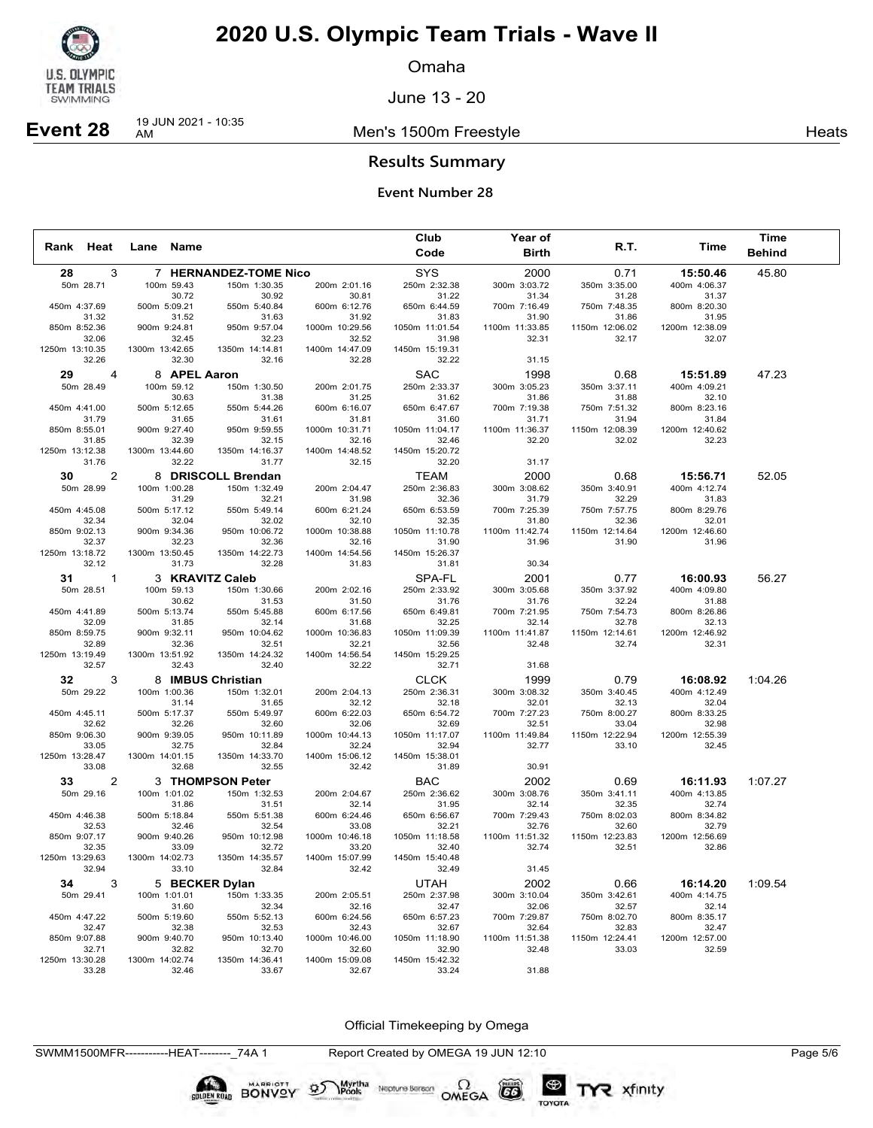

Omaha

June 13 - 20

Men's 1500m Freestyle **Heats** Heats

## **Event 28** 19 JUN 2021 - 10:35

**Results Summary**

### **Event Number 28**

|                         |                |                         |                         |                         | Club                    | Year of                 |                         |                         | Time          |
|-------------------------|----------------|-------------------------|-------------------------|-------------------------|-------------------------|-------------------------|-------------------------|-------------------------|---------------|
| Rank Heat               |                | Lane Name               |                         |                         | Code                    | <b>Birth</b>            | R.T.                    | Time                    | <b>Behind</b> |
| 28                      | 3              |                         | 7 HERNANDEZ-TOME Nico   |                         | <b>SYS</b>              | 2000                    | 0.71                    | 15:50.46                | 45.80         |
| 50m 28.71               |                | 100m 59.43              | 150m 1:30.35            | 200m 2:01.16            | 250m 2:32.38            | 300m 3:03.72            | 350m 3:35.00            | 400m 4:06.37            |               |
|                         |                | 30.72                   | 30.92                   | 30.81                   | 31.22                   | 31.34                   | 31.28                   | 31.37                   |               |
| 450m 4:37.69            |                | 500m 5:09.21            | 550m 5:40.84            | 600m 6:12.76            | 650m 6:44.59            | 700m 7:16.49            | 750m 7:48.35            | 800m 8:20.30            |               |
| 31.32                   |                | 31.52                   | 31.63<br>950m 9:57.04   | 31.92<br>1000m 10:29.56 | 31.83                   | 31.90                   | 31.86<br>1150m 12:06.02 | 31.95<br>1200m 12:38.09 |               |
| 850m 8:52.36<br>32.06   |                | 900m 9:24.81<br>32.45   | 32.23                   | 32.52                   | 1050m 11:01.54<br>31.98 | 1100m 11:33.85<br>32.31 | 32.17                   | 32.07                   |               |
| 1250m 13:10.35          |                | 1300m 13:42.65          | 1350m 14:14.81          | 1400m 14:47.09          | 1450m 15:19.31          |                         |                         |                         |               |
| 32.26                   |                | 32.30                   | 32.16                   | 32.28                   | 32.22                   | 31.15                   |                         |                         |               |
| 29                      | $\overline{4}$ | 8 APEL Aaron            |                         |                         | <b>SAC</b>              | 1998                    | 0.68                    | 15:51.89                | 47.23         |
| 50m 28.49               |                | 100m 59.12              | 150m 1:30.50            | 200m 2:01.75            | 250m 2:33.37            | 300m 3:05.23            | 350m 3:37.11            | 400m 4:09.21            |               |
|                         |                | 30.63                   | 31.38                   | 31.25                   | 31.62                   | 31.86                   | 31.88                   | 32.10                   |               |
| 450m 4:41.00            |                | 500m 5:12.65            | 550m 5:44.26            | 600m 6:16.07            | 650m 6:47.67            | 700m 7:19.38            | 750m 7:51.32            | 800m 8:23.16            |               |
| 31.79                   |                | 31.65                   | 31.61                   | 31.81                   | 31.60                   | 31.71                   | 31.94                   | 31.84                   |               |
| 850m 8:55.01<br>31.85   |                | 900m 9:27.40<br>32.39   | 950m 9:59.55<br>32.15   | 1000m 10:31.71<br>32.16 | 1050m 11:04.17<br>32.46 | 1100m 11:36.37<br>32.20 | 1150m 12:08.39<br>32.02 | 1200m 12:40.62<br>32.23 |               |
| 1250m 13:12.38          |                | 1300m 13:44.60          | 1350m 14:16.37          | 1400m 14:48.52          | 1450m 15:20.72          |                         |                         |                         |               |
| 31.76                   |                | 32.22                   | 31.77                   | 32.15                   | 32.20                   | 31.17                   |                         |                         |               |
| 30                      | 2              |                         | 8 DRISCOLL Brendan      |                         | <b>TEAM</b>             | 2000                    | 0.68                    | 15:56.71                | 52.05         |
| 50m 28.99               |                | 100m 1:00.28            | 150m 1:32.49            | 200m 2:04.47            | 250m 2:36.83            | 300m 3:08.62            | 350m 3:40.91            | 400m 4:12.74            |               |
|                         |                | 31.29                   | 32.21                   | 31.98                   | 32.36                   | 31.79                   | 32.29                   | 31.83                   |               |
| 450m 4:45.08            |                | 500m 5:17.12            | 550m 5:49.14            | 600m 6:21.24            | 650m 6:53.59            | 700m 7:25.39            | 750m 7:57.75            | 800m 8:29.76            |               |
| 32.34                   |                | 32.04                   | 32.02                   | 32.10                   | 32.35                   | 31.80                   | 32.36                   | 32.01                   |               |
| 850m 9:02.13            |                | 900m 9:34.36            | 950m 10:06.72           | 1000m 10:38.88          | 1050m 11:10.78          | 1100m 11:42.74          | 1150m 12:14.64          | 1200m 12:46.60          |               |
| 32.37<br>1250m 13:18.72 |                | 32.23<br>1300m 13:50.45 | 32.36<br>1350m 14:22.73 | 32.16<br>1400m 14:54.56 | 31.90<br>1450m 15:26.37 | 31.96                   | 31.90                   | 31.96                   |               |
| 32.12                   |                | 31.73                   | 32.28                   | 31.83                   | 31.81                   | 30.34                   |                         |                         |               |
|                         |                | 3 KRAVITZ Caleb         |                         |                         |                         |                         |                         |                         |               |
| 31<br>50m 28.51         | $\mathbf{1}$   | 100m 59.13              |                         |                         | SPA-FL<br>250m 2:33.92  | 2001                    | 0.77                    | 16:00.93                | 56.27         |
|                         |                | 30.62                   | 150m 1:30.66<br>31.53   | 200m 2:02.16<br>31.50   | 31.76                   | 300m 3:05.68<br>31.76   | 350m 3:37.92<br>32.24   | 400m 4:09.80<br>31.88   |               |
| 450m 4:41.89            |                | 500m 5:13.74            | 550m 5:45.88            | 600m 6:17.56            | 650m 6:49.81            | 700m 7:21.95            | 750m 7:54.73            | 800m 8:26.86            |               |
| 32.09                   |                | 31.85                   | 32.14                   | 31.68                   | 32.25                   | 32.14                   | 32.78                   | 32.13                   |               |
| 850m 8:59.75            |                | 900m 9:32.11            | 950m 10:04.62           | 1000m 10:36.83          | 1050m 11:09.39          | 1100m 11:41.87          | 1150m 12:14.61          | 1200m 12:46.92          |               |
| 32.89                   |                | 32.36                   | 32.51                   | 32.21                   | 32.56                   | 32.48                   | 32.74                   | 32.31                   |               |
| 1250m 13:19.49<br>32.57 |                | 1300m 13:51.92<br>32.43 | 1350m 14:24.32<br>32.40 | 1400m 14:56.54<br>32.22 | 1450m 15:29.25<br>32.71 | 31.68                   |                         |                         |               |
|                         |                |                         |                         |                         |                         |                         |                         |                         |               |
| 32                      | 3              | 8 IMBUS Christian       |                         |                         | <b>CLCK</b>             | 1999                    | 0.79                    | 16:08.92                | 1:04.26       |
| 50m 29.22               |                | 100m 1:00.36<br>31.14   | 150m 1:32.01<br>31.65   | 200m 2:04.13<br>32.12   | 250m 2:36.31<br>32.18   | 300m 3:08.32<br>32.01   | 350m 3:40.45<br>32.13   | 400m 4:12.49<br>32.04   |               |
| 450m 4:45.11            |                | 500m 5:17.37            | 550m 5:49.97            | 600m 6:22.03            | 650m 6:54.72            | 700m 7:27.23            | 750m 8:00.27            | 800m 8:33.25            |               |
| 32.62                   |                | 32.26                   | 32.60                   | 32.06                   | 32.69                   | 32.51                   | 33.04                   | 32.98                   |               |
| 850m 9:06.30            |                | 900m 9:39.05            | 950m 10:11.89           | 1000m 10:44.13          | 1050m 11:17.07          | 1100m 11:49.84          | 1150m 12:22.94          | 1200m 12:55.39          |               |
| 33.05                   |                | 32.75                   | 32.84                   | 32.24                   | 32.94                   | 32.77                   | 33.10                   | 32.45                   |               |
| 1250m 13:28.47          |                | 1300m 14:01.15          | 1350m 14:33.70          | 1400m 15:06.12<br>32.42 | 1450m 15:38.01          |                         |                         |                         |               |
| 33.08                   |                | 32.68                   | 32.55                   |                         | 31.89                   | 30.91                   |                         |                         |               |
| 33                      | 2              |                         | 3 THOMPSON Peter        |                         | <b>BAC</b>              | 2002                    | 0.69                    | 16:11.93                | 1:07.27       |
| 50m 29.16               |                | 100m 1:01.02            | 150m 1:32.53            | 200m 2:04.67            | 250m 2:36.62            | 300m 3:08.76<br>32.14   | 350m 3:41.11<br>32.35   | 400m 4:13.85<br>32.74   |               |
| 450m 4:46.38            |                | 31.86<br>500m 5:18.84   | 31.51<br>550m 5:51.38   | 32.14<br>600m 6:24.46   | 31.95<br>650m 6:56.67   | 700m 7:29.43            | 750m 8:02.03            | 800m 8:34.82            |               |
| 32.53                   |                | 32.46                   | 32.54                   | 33.08                   | 32.21                   | 32.76                   | 32.60                   | 32.79                   |               |
| 850m 9:07.17            |                | 900m 9:40.26            | 950m 10:12.98           | 1000m 10:46.18          | 1050m 11:18.58          | 1100m 11:51.32          | 1150m 12:23.83          | 1200m 12:56.69          |               |
| 32.35                   |                | 33.09                   | 32.72                   | 33.20                   | 32.40                   | 32.74                   | 32.51                   | 32.86                   |               |
| 1250m 13:29.63          |                | 1300m 14:02.73          | 1350m 14:35.57          | 1400m 15:07.99          | 1450m 15:40.48          |                         |                         |                         |               |
| 32.94                   |                | 33.10                   | 32.84                   | 32.42                   | 32.49                   | 31.45                   |                         |                         |               |
| 34                      | 3              | 5 BECKER Dylan          |                         |                         | <b>UTAH</b>             | 2002                    | 0.66                    | 16:14.20                | 1:09.54       |
| 50m 29.41               |                | 100m 1:01.01            | 150m 1:33.35            | 200m 2:05.51            | 250m 2:37.98            | 300m 3:10.04            | 350m 3:42.61            | 400m 4:14.75            |               |
| 450m 4:47.22            |                | 31.60<br>500m 5:19.60   | 32.34<br>550m 5:52.13   | 32.16<br>600m 6:24.56   | 32.47<br>650m 6:57.23   | 32.06<br>700m 7:29.87   | 32.57<br>750m 8:02.70   | 32.14<br>800m 8:35.17   |               |
| 32.47                   |                | 32.38                   | 32.53                   | 32.43                   | 32.67                   | 32.64                   | 32.83                   | 32.47                   |               |
| 850m 9:07.88            |                | 900m 9:40.70            | 950m 10:13.40           | 1000m 10:46.00          | 1050m 11:18.90          | 1100m 11:51.38          | 1150m 12:24.41          | 1200m 12:57.00          |               |
| 32.71                   |                | 32.82                   | 32.70                   | 32.60                   | 32.90                   | 32.48                   | 33.03                   | 32.59                   |               |
| 1250m 13:30.28          |                | 1300m 14:02.74          | 1350m 14:36.41          | 1400m 15:09.08          | 1450m 15:42.32          |                         |                         |                         |               |
| 33.28                   |                | 32.46                   | 33.67                   | 32.67                   | 33.24                   | 31.88                   |                         |                         |               |

Official Timekeeping by Omega

SWMM1500MFR-----------HEAT--------\_74A 1 Report Created by OMEGA 19 JUN 12:10 Page 5/6

Neptune Berson  $\Omega$ <br>OMEGA

 $G6$ 

TOYOTA

Myrtha<br>Pools

**BONYOV BONY**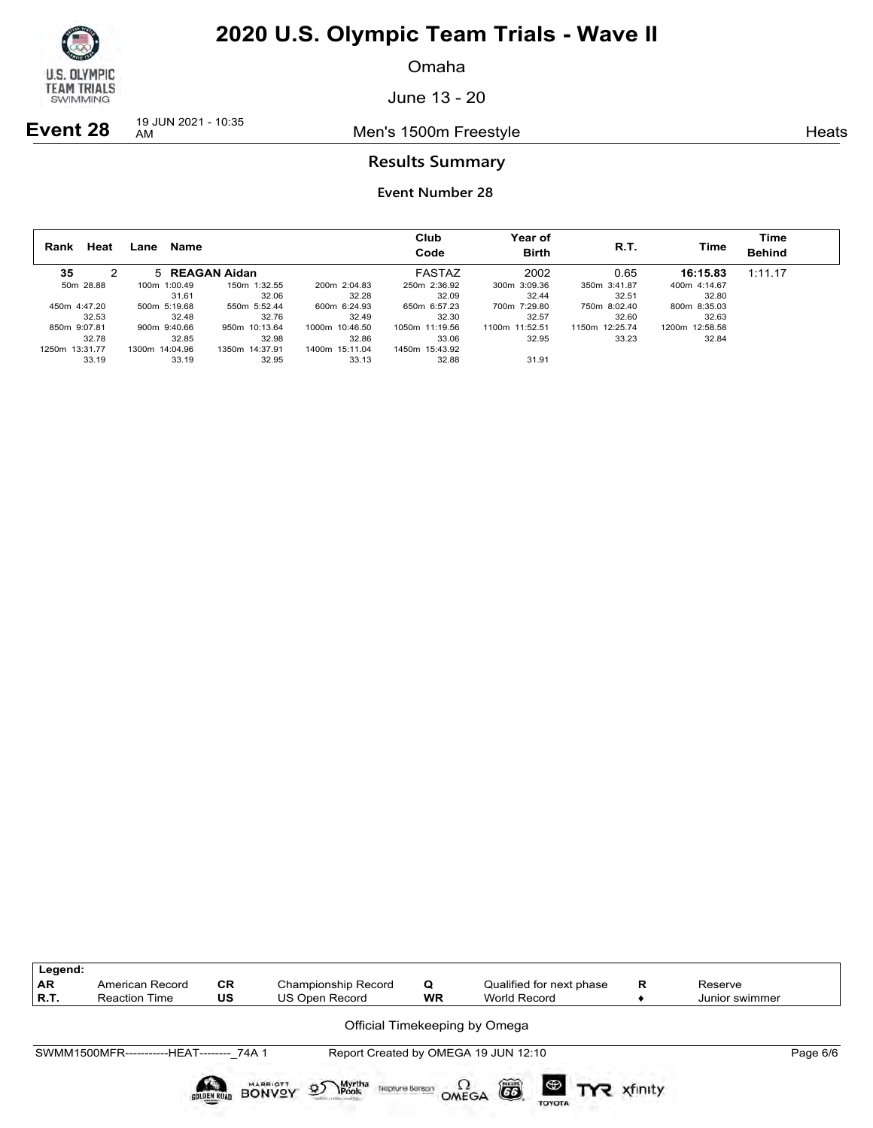

Omaha

June 13 - 20

**Event 28** 19 JUN 2021 - 10:35

Men's 1500m Freestyle **Heats** Heats

### **Results Summary**

| Heat<br>Rank   | Name<br>Lane   |                |                | Club<br>Code   | <b>Year of</b><br><b>Birth</b> | R.T.           | Time           | Time<br><b>Behind</b> |
|----------------|----------------|----------------|----------------|----------------|--------------------------------|----------------|----------------|-----------------------|
| 35             | 5 REAGAN Aidan |                |                | FASTAZ         | 2002                           | 0.65           | 16:15.83       | 1:11.17               |
| 50m 28.88      | 100m 1:00.49   | 150m 1:32.55   | 200m 2:04.83   | 250m 2:36.92   | 300m 3:09.36                   | 350m 3:41.87   | 400m 4:14.67   |                       |
|                | 31.61          | 32.06          | 32.28          | 32.09          | 32.44                          | 32.51          | 32.80          |                       |
| 450m 4:47.20   | 500m 5:19.68   | 550m 5:52.44   | 600m 6:24.93   | 650m 6:57.23   | 700m 7:29.80                   | 750m 8:02.40   | 800m 8:35.03   |                       |
| 32.53          | 32.48          | 32.76          | 32.49          | 32.30          | 32.57                          | 32.60          | 32.63          |                       |
| 850m 9:07.81   | 900m 9:40.66   | 950m 10:13.64  | 1000m 10:46.50 | 1050m 11:19.56 | 1100m 11:52.51                 | 1150m 12:25.74 | 1200m 12:58.58 |                       |
| 32.78          | 32.85          | 32.98          | 32.86          | 33.06          | 32.95                          | 33.23          | 32.84          |                       |
| 1250m 13:31.77 | 1300m 14:04.96 | 1350m 14:37.91 | 1400m 15:11.04 | 1450m 15:43.92 |                                |                |                |                       |
| 33.19          | 33.19          | 32.95          | 33.13          | 32.88          | 31.91                          |                |                |                       |

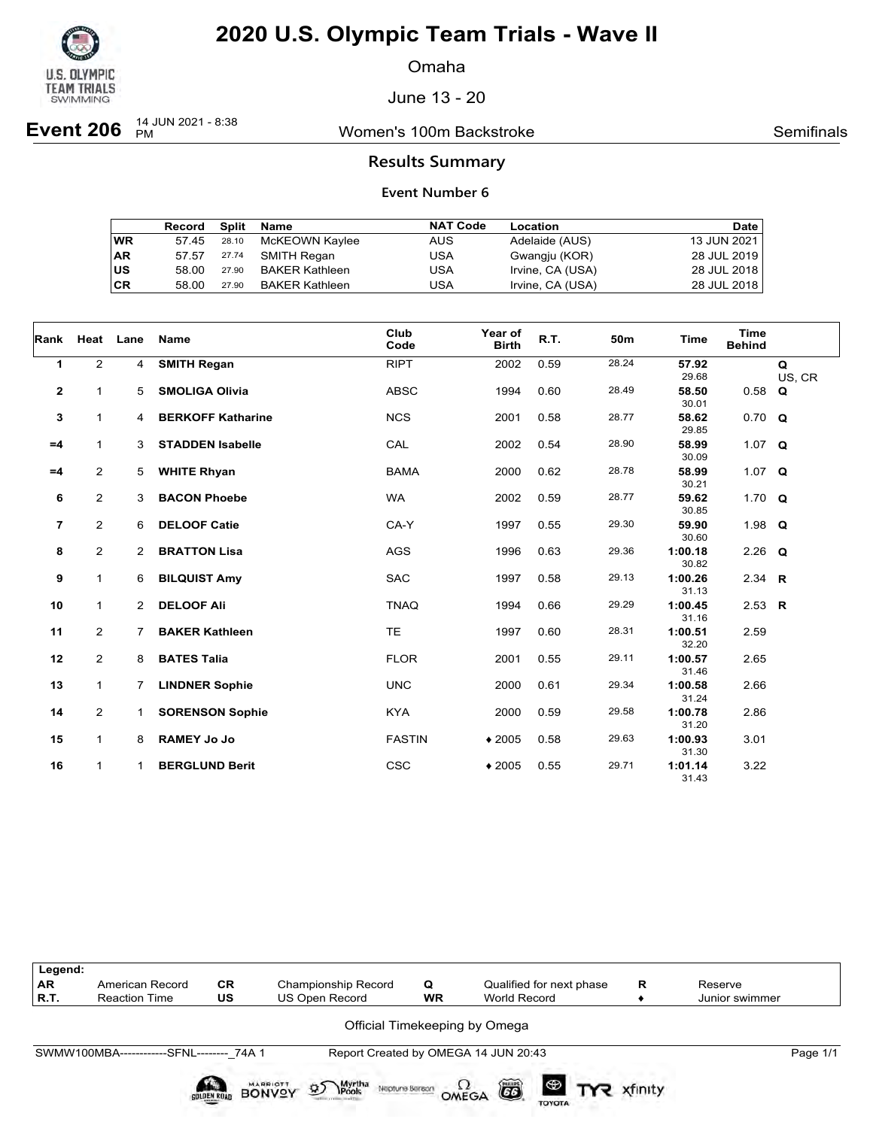

Omaha

June 13 - 20

**Event 206**  $^{14}$  JUN 2021 - 8:38

Women's 100m Backstroke **Semifinals** Semifinals

### **Results Summary**

|    | Record | Split | Name                  | <b>NAT Code</b> | Location         | Date        |
|----|--------|-------|-----------------------|-----------------|------------------|-------------|
| WR | 57.45  | 28.10 | McKEOWN Kaylee        | <b>AUS</b>      | Adelaide (AUS)   | 13 JUN 2021 |
| AR | 57.57  | 27.74 | SMITH Regan           | USA             | Gwangju (KOR)    | 28 JUL 2019 |
| US | 58.00  | 27.90 | <b>BAKER Kathleen</b> | USA             | Irvine, CA (USA) | 28 JUL 2018 |
| СR | 58.00  | 27.90 | BAKER Kathleen        | USA             | Irvine, CA (USA) | 28 JUL 2018 |

| Rank           | Heat           | Lane           | Name                     | Club          | Year of      | R.T. | 50m   | <b>Time</b>      | <b>Time</b>    |             |
|----------------|----------------|----------------|--------------------------|---------------|--------------|------|-------|------------------|----------------|-------------|
|                |                |                |                          | Code          | <b>Birth</b> |      |       |                  | <b>Behind</b>  |             |
| 1              | $\overline{2}$ | 4              | <b>SMITH Regan</b>       | <b>RIPT</b>   | 2002         | 0.59 | 28.24 | 57.92<br>29.68   |                | Q<br>US, CR |
| $\mathbf{2}$   | 1              | 5              | <b>SMOLIGA Olivia</b>    | <b>ABSC</b>   | 1994         | 0.60 | 28.49 | 58.50<br>30.01   | 0.58           | Q           |
| 3              | $\mathbf{1}$   | 4              | <b>BERKOFF Katharine</b> | <b>NCS</b>    | 2001         | 0.58 | 28.77 | 58.62<br>29.85   | $0.70 \quad Q$ |             |
| $=4$           | $\mathbf{1}$   | 3              | <b>STADDEN Isabelle</b>  | CAL           | 2002         | 0.54 | 28.90 | 58.99<br>30.09   | 1.07 $Q$       |             |
| $=4$           | $\overline{2}$ | 5              | <b>WHITE Rhyan</b>       | <b>BAMA</b>   | 2000         | 0.62 | 28.78 | 58.99<br>30.21   | 1.07 $Q$       |             |
| 6              | $\overline{2}$ | 3              | <b>BACON Phoebe</b>      | <b>WA</b>     | 2002         | 0.59 | 28.77 | 59.62<br>30.85   | 1.70 $Q$       |             |
| $\overline{7}$ | $\overline{2}$ | 6              | <b>DELOOF Catie</b>      | CA-Y          | 1997         | 0.55 | 29.30 | 59.90<br>30.60   | 1.98 $Q$       |             |
| 8              | 2              | $\overline{2}$ | <b>BRATTON Lisa</b>      | <b>AGS</b>    | 1996         | 0.63 | 29.36 | 1:00.18<br>30.82 | $2.26$ Q       |             |
| 9              | $\mathbf{1}$   | 6              | <b>BILQUIST Amy</b>      | <b>SAC</b>    | 1997         | 0.58 | 29.13 | 1:00.26<br>31.13 | 2.34 $R$       |             |
| 10             | $\mathbf{1}$   | 2              | <b>DELOOF Ali</b>        | <b>TNAQ</b>   | 1994         | 0.66 | 29.29 | 1:00.45<br>31.16 | 2.53 $R$       |             |
| 11             | $\overline{2}$ | 7              | <b>BAKER Kathleen</b>    | <b>TE</b>     | 1997         | 0.60 | 28.31 | 1:00.51<br>32.20 | 2.59           |             |
| 12             | $\overline{2}$ | 8              | <b>BATES Talia</b>       | <b>FLOR</b>   | 2001         | 0.55 | 29.11 | 1:00.57<br>31.46 | 2.65           |             |
| 13             | $\mathbf{1}$   | 7              | <b>LINDNER Sophie</b>    | <b>UNC</b>    | 2000         | 0.61 | 29.34 | 1:00.58<br>31.24 | 2.66           |             |
| 14             | $\overline{2}$ | 1              | <b>SORENSON Sophie</b>   | <b>KYA</b>    | 2000         | 0.59 | 29.58 | 1:00.78<br>31.20 | 2.86           |             |
| 15             | $\mathbf{1}$   | 8              | <b>RAMEY Jo Jo</b>       | <b>FASTIN</b> | $*2005$      | 0.58 | 29.63 | 1:00.93<br>31.30 | 3.01           |             |
| 16             | $\mathbf{1}$   | 1              | <b>BERGLUND Berit</b>    | <b>CSC</b>    | $*2005$      | 0.55 | 29.71 | 1:01.14<br>31.43 | 3.22           |             |

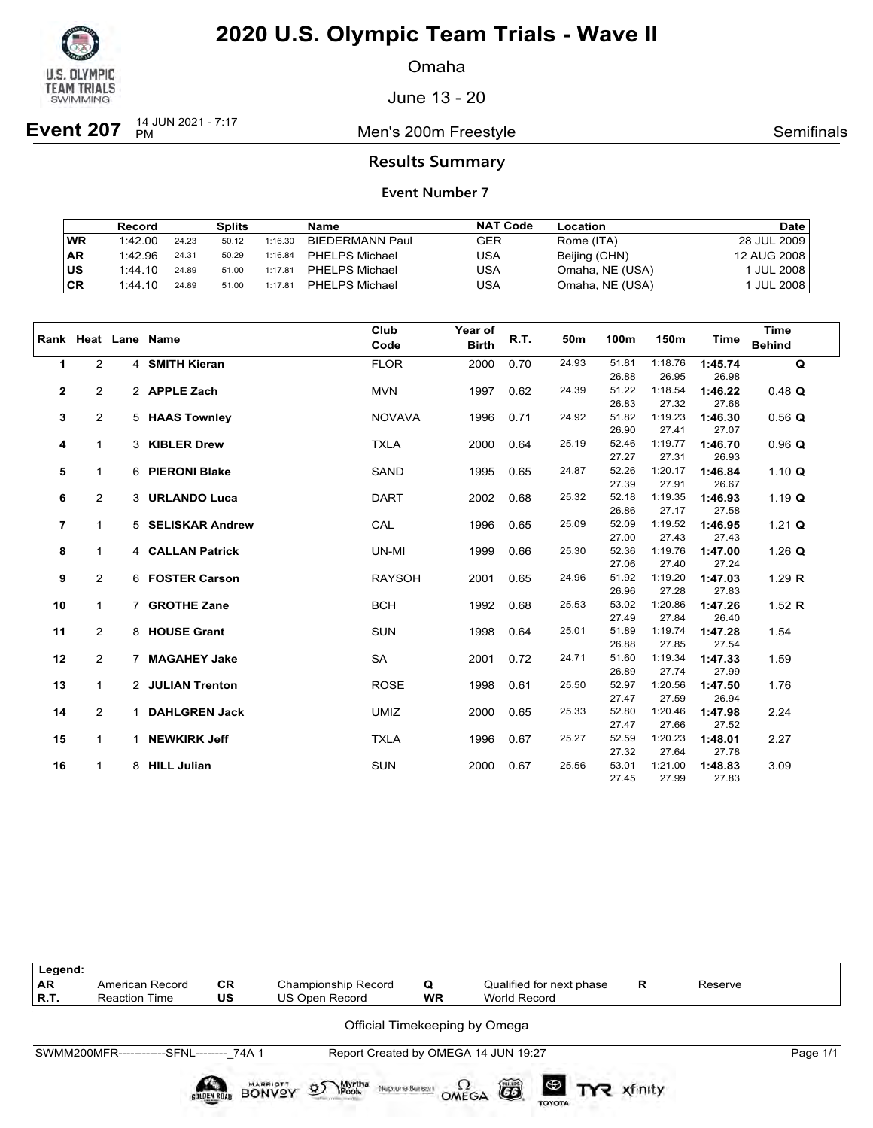

Omaha

June 13 - 20

**Event 207** <sup>14 JUN 2021 - 7:17</sup>

Men's 200m Freestyle **Semifinals** Semifinals

### **Results Summary**

|     | Record  |       | <b>Splits</b> |         | Name                   | <b>NAT Code</b> | Location        | Date                    |
|-----|---------|-------|---------------|---------|------------------------|-----------------|-----------------|-------------------------|
| WR  | 1:42.00 | 24.23 | 50.12         | 1:16.30 | <b>BIEDERMANN Paul</b> | <b>GER</b>      | Rome (ITA)      | 28 JUL 2009             |
| ∣AR | 1:42.96 | 24.31 | 50.29         | 1:16.84 | <b>PHELPS Michael</b>  | USA             | Beijing (CHN)   | 12 AUG 2008             |
| ∣us | 1:44.10 | 24.89 | 51.00         | 1:17.81 | <b>PHELPS Michael</b>  | USA             | Omaha, NE (USA) | <sup>1</sup> JUL 2008 i |
| ∣CR | 1:44.10 | 24.89 | 51.00         | 1:17.81 | <b>PHELPS Michael</b>  | USA             | Omaha, NE (USA) | 'JUL 2008               |

|                         |                |   | Rank Heat Lane Name | Club          | Year of      | R.T. | 50m   | 100m           | 150m             | Time             | <b>Time</b>   |
|-------------------------|----------------|---|---------------------|---------------|--------------|------|-------|----------------|------------------|------------------|---------------|
|                         |                |   |                     | Code          | <b>Birth</b> |      |       |                |                  |                  | <b>Behind</b> |
| $\mathbf{1}$            | $\overline{2}$ |   | 4 SMITH Kieran      | <b>FLOR</b>   | 2000         | 0.70 | 24.93 | 51.81          | 1:18.76          | 1:45.74          | $\mathbf Q$   |
|                         |                |   |                     |               |              |      |       | 26.88          | 26.95            | 26.98            |               |
| 2                       | $\overline{2}$ |   | 2 APPLE Zach        | <b>MVN</b>    | 1997         | 0.62 | 24.39 | 51.22          | 1:18.54          | 1:46.22          | $0.48$ Q      |
|                         |                |   |                     |               |              |      |       | 26.83          | 27.32            | 27.68            |               |
| 3                       | $\overline{2}$ |   | 5 HAAS Townley      | <b>NOVAVA</b> | 1996         | 0.71 | 24.92 | 51.82          | 1:19.23          | 1:46.30          | $0.56$ Q      |
|                         |                |   |                     |               |              |      |       | 26.90          | 27.41            | 27.07            |               |
| 4                       | $\mathbf{1}$   |   | 3 KIBLER Drew       | <b>TXLA</b>   | 2000         | 0.64 | 25.19 | 52.46          | 1:19.77          | 1:46.70          | $0.96$ Q      |
|                         |                |   |                     |               |              |      |       | 27.27          | 27.31            | 26.93            |               |
| 5                       | $\mathbf{1}$   |   | 6 PIERONI Blake     | <b>SAND</b>   | 1995         | 0.65 | 24.87 | 52.26          | 1:20.17          | 1:46.84          | 1.10 $Q$      |
|                         |                |   |                     |               |              |      |       | 27.39          | 27.91            | 26.67            |               |
| 6                       | $\overline{2}$ |   | 3 URLANDO Luca      | <b>DART</b>   | 2002         | 0.68 | 25.32 | 52.18          | 1:19.35          | 1:46.93          | 1.19 $Q$      |
|                         |                |   |                     |               |              |      |       | 26.86          | 27.17            | 27.58            |               |
| $\overline{\mathbf{r}}$ | $\mathbf{1}$   |   | 5 SELISKAR Andrew   | CAL           | 1996         | 0.65 | 25.09 | 52.09          | 1:19.52          | 1:46.95          | 1.21 $Q$      |
|                         |                |   |                     |               |              |      |       | 27.00          | 27.43            | 27.43            |               |
| 8                       | 1              |   | 4 CALLAN Patrick    | UN-MI         | 1999         | 0.66 | 25.30 | 52.36<br>27.06 | 1:19.76          | 1:47.00<br>27.24 | 1.26 $Q$      |
|                         | 2              |   | 6 FOSTER Carson     | <b>RAYSOH</b> | 2001         | 0.65 | 24.96 | 51.92          | 27.40<br>1:19.20 | 1:47.03          | 1.29 $R$      |
| 9                       |                |   |                     |               |              |      |       | 26.96          | 27.28            | 27.83            |               |
| 10                      | $\mathbf{1}$   |   | 7 GROTHE Zane       | <b>BCH</b>    | 1992         | 0.68 | 25.53 | 53.02          | 1:20.86          | 1:47.26          | 1.52 $R$      |
|                         |                |   |                     |               |              |      |       | 27.49          | 27.84            | 26.40            |               |
| 11                      | $\overline{2}$ |   | 8 HOUSE Grant       | <b>SUN</b>    | 1998         | 0.64 | 25.01 | 51.89          | 1:19.74          | 1:47.28          | 1.54          |
|                         |                |   |                     |               |              |      |       | 26.88          | 27.85            | 27.54            |               |
| 12                      | $\overline{2}$ |   | 7 MAGAHEY Jake      | SA            | 2001         | 0.72 | 24.71 | 51.60          | 1:19.34          | 1:47.33          | 1.59          |
|                         |                |   |                     |               |              |      |       | 26.89          | 27.74            | 27.99            |               |
| 13                      | $\mathbf{1}$   |   | 2 JULIAN Trenton    | <b>ROSE</b>   | 1998         | 0.61 | 25.50 | 52.97          | 1:20.56          | 1:47.50          | 1.76          |
|                         |                |   |                     |               |              |      |       | 27.47          | 27.59            | 26.94            |               |
| 14                      | $\overline{2}$ |   | 1 DAHLGREN Jack     | <b>UMIZ</b>   | 2000         | 0.65 | 25.33 | 52.80          | 1:20.46          | 1:47.98          | 2.24          |
|                         |                |   |                     |               |              |      |       | 27.47          | 27.66            | 27.52            |               |
| 15                      | $\mathbf{1}$   | 1 | <b>NEWKIRK Jeff</b> | <b>TXLA</b>   | 1996         | 0.67 | 25.27 | 52.59          | 1:20.23          | 1:48.01          | 2.27          |
|                         |                |   |                     |               |              |      |       | 27.32          | 27.64            | 27.78            |               |
| 16                      | $\mathbf{1}$   |   | 8 HILL Julian       | <b>SUN</b>    | 2000         | 0.67 | 25.56 | 53.01          | 1:21.00          | 1:48.83          | 3.09          |
|                         |                |   |                     |               |              |      |       | 27.45          | 27.99            | 27.83            |               |

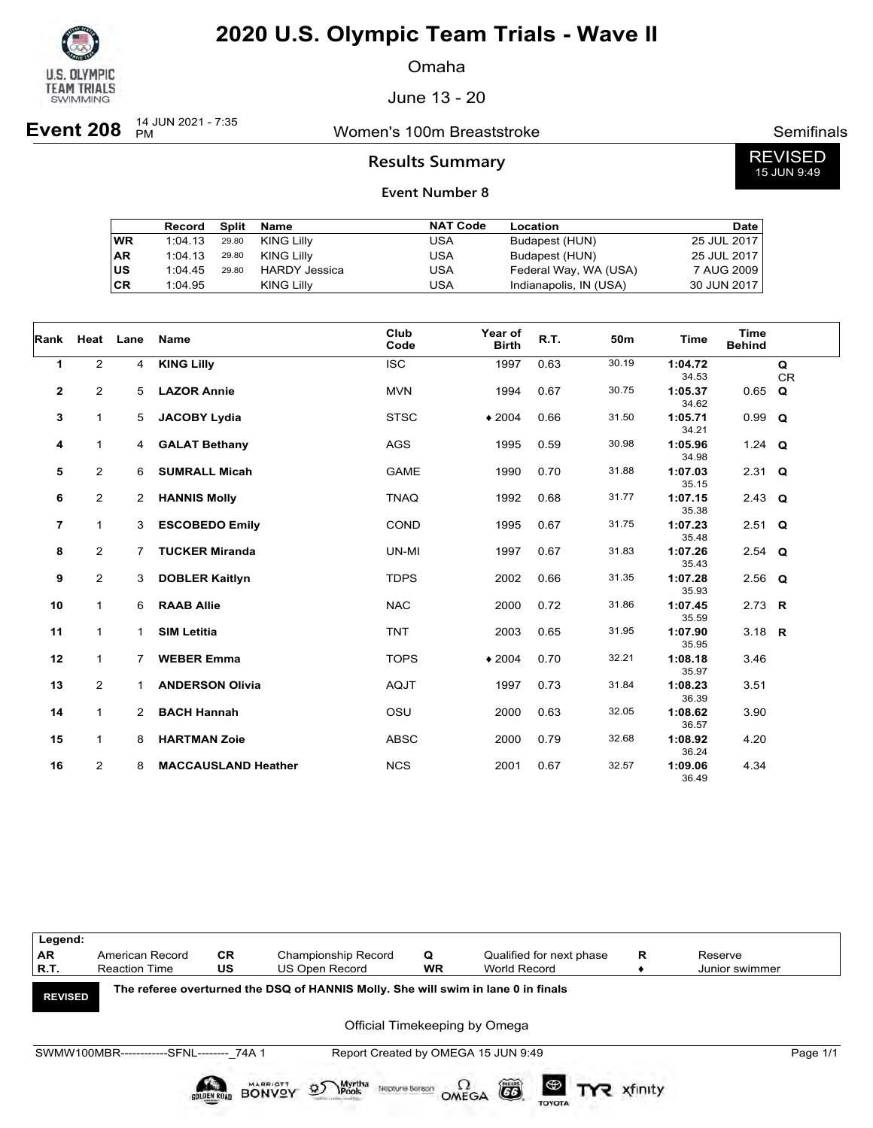

Omaha

June 13 - 20

**Event 208**  $_{PM}^{14$  JUN 2021 - 7:35

## Women's 100m Breaststroke **Semifinals** Semifinals

REVISED 15 JUN 9:49

### **Results Summary**

|    | Record  | Split | Name              | <b>NAT Code</b> | Location               | <b>Date</b> |
|----|---------|-------|-------------------|-----------------|------------------------|-------------|
| WR | 1:04.13 | 29.80 | KING Lilly        | USA             | Budapest (HUN)         | 25 JUL 2017 |
| AR | 1:04.13 | 29.80 | KING Lilly        | USA             | Budapest (HUN)         | 25 JUL 2017 |
| US | 1:04.45 | 29.80 | HARDY Jessica     | USA             | Federal Way, WA (USA)  | 7 AUG 2009  |
| СR | 1:04.95 |       | <b>KING Lilly</b> | USA             | Indianapolis, IN (USA) | 30 JUN 2017 |

| Rank                     | Heat Lane      |                      | Name                       | Club<br>Code | Year of<br><b>Birth</b> | R.T. | 50m   | Time             | <b>Time</b><br><b>Behind</b> |                |
|--------------------------|----------------|----------------------|----------------------------|--------------|-------------------------|------|-------|------------------|------------------------------|----------------|
| 1                        | $\overline{2}$ | 4                    | <b>KING Lilly</b>          | <b>ISC</b>   | 1997                    | 0.63 | 30.19 | 1:04.72<br>34.53 |                              | Q<br><b>CR</b> |
| $\mathbf{2}$             | 2              | 5                    | <b>LAZOR Annie</b>         | <b>MVN</b>   | 1994                    | 0.67 | 30.75 | 1:05.37<br>34.62 | 0.65                         | Q              |
| 3                        | $\mathbf{1}$   | 5                    | <b>JACOBY Lydia</b>        | <b>STSC</b>  | $*2004$                 | 0.66 | 31.50 | 1:05.71<br>34.21 | $0.99$ Q                     |                |
| 4                        | 1              | 4                    | <b>GALAT Bethany</b>       | <b>AGS</b>   | 1995                    | 0.59 | 30.98 | 1:05.96<br>34.98 | 1.24 $Q$                     |                |
| 5                        | $\overline{2}$ | 6                    | <b>SUMRALL Micah</b>       | <b>GAME</b>  | 1990                    | 0.70 | 31.88 | 1:07.03<br>35.15 | $2.31$ Q                     |                |
| 6                        | $\overline{2}$ | $\overline{2}$       | <b>HANNIS Molly</b>        | <b>TNAQ</b>  | 1992                    | 0.68 | 31.77 | 1:07.15<br>35.38 | 2.43 $Q$                     |                |
| $\overline{\phantom{a}}$ | $\mathbf{1}$   | 3                    | <b>ESCOBEDO Emily</b>      | COND         | 1995                    | 0.67 | 31.75 | 1:07.23<br>35.48 | $2.51$ Q                     |                |
| 8                        | $\overline{2}$ | $\overline{7}$       | <b>TUCKER Miranda</b>      | UN-MI        | 1997                    | 0.67 | 31.83 | 1:07.26<br>35.43 | $2.54$ Q                     |                |
| 9                        | $\overline{2}$ | 3                    | <b>DOBLER Kaitlyn</b>      | <b>TDPS</b>  | 2002                    | 0.66 | 31.35 | 1:07.28<br>35.93 | $2.56$ Q                     |                |
| 10                       | $\mathbf{1}$   | 6                    | <b>RAAB Allie</b>          | <b>NAC</b>   | 2000                    | 0.72 | 31.86 | 1:07.45<br>35.59 | 2.73 R                       |                |
| 11                       | 1              | $\mathbf 1$          | <b>SIM Letitia</b>         | <b>TNT</b>   | 2003                    | 0.65 | 31.95 | 1:07.90<br>35.95 | 3.18 $R$                     |                |
| 12                       | $\mathbf{1}$   | $\overline{7}$       | <b>WEBER Emma</b>          | <b>TOPS</b>  | $*2004$                 | 0.70 | 32.21 | 1:08.18<br>35.97 | 3.46                         |                |
| 13                       | $\overline{2}$ | 1                    | <b>ANDERSON Olivia</b>     | <b>AQJT</b>  | 1997                    | 0.73 | 31.84 | 1:08.23<br>36.39 | 3.51                         |                |
| 14                       | 1              | $\mathbf{2}^{\circ}$ | <b>BACH Hannah</b>         | OSU          | 2000                    | 0.63 | 32.05 | 1:08.62<br>36.57 | 3.90                         |                |
| 15                       | $\mathbf{1}$   | 8                    | <b>HARTMAN Zoie</b>        | <b>ABSC</b>  | 2000                    | 0.79 | 32.68 | 1:08.92<br>36.24 | 4.20                         |                |
| 16                       | $\overline{2}$ | 8                    | <b>MACCAUSLAND Heather</b> | <b>NCS</b>   | 2001                    | 0.67 | 32.57 | 1:09.06<br>36.49 | 4.34                         |                |

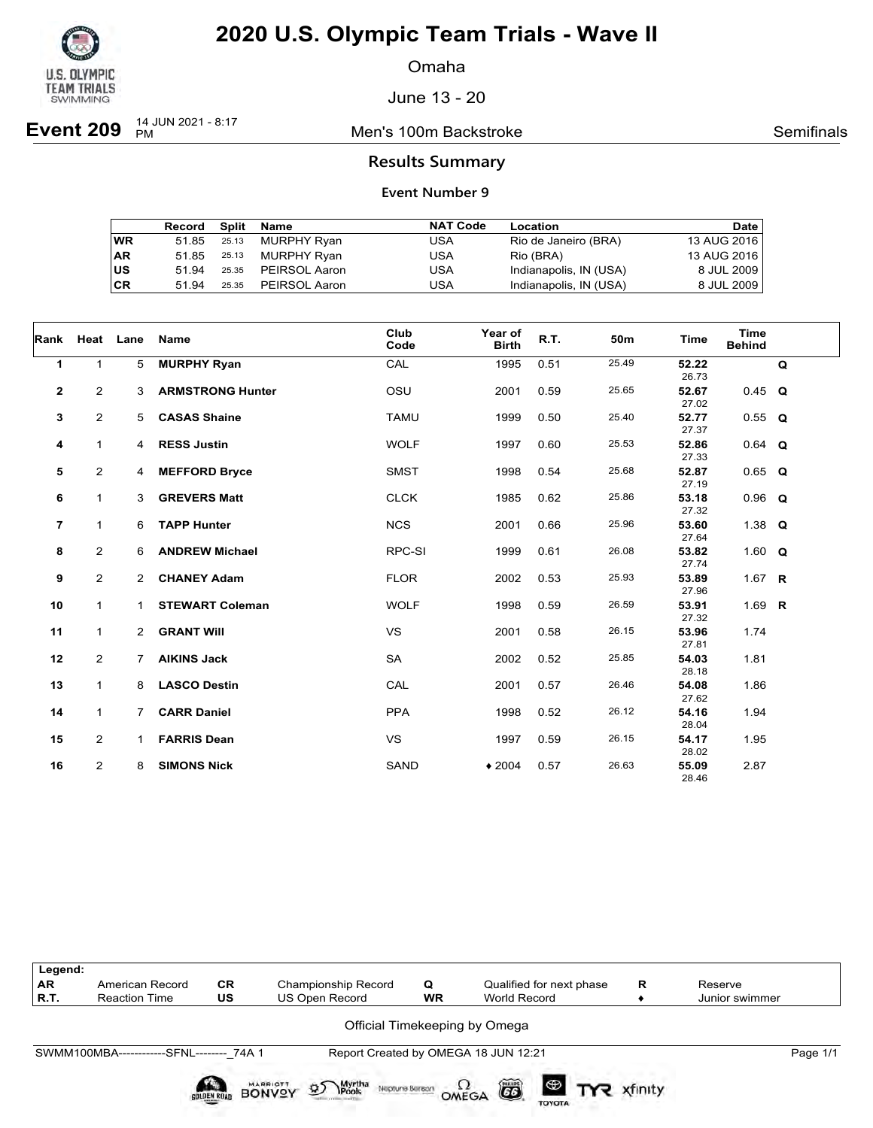

Omaha

June 13 - 20

**Event 209**  $^{14}$  JUN 2021 - 8:17

**Men's 100m Backstroke Semifinals** Semifinals

### **Results Summary**

|           | Record Split |       | Name          | <b>NAT Code</b> | Location               | Date        |
|-----------|--------------|-------|---------------|-----------------|------------------------|-------------|
| <b>WR</b> | 51.85        | 25.13 | MURPHY Ryan   | USA             | Rio de Janeiro (BRA)   | 13 AUG 2016 |
| <b>AR</b> | 51.85        | 25.13 | MURPHY Ryan   | USA             | Rio (BRA)              | 13 AUG 2016 |
| US        | 51 94        | 25.35 | PEIRSOL Aaron | USA             | Indianapolis, IN (USA) | 8 JUL 2009  |
| CR        | 51 94        | 25.35 | PEIRSOL Aaron | USA             | Indianapolis, IN (USA) | 8 JUL 2009  |

| Rank           | Heat Lane      |                | Name                    | Club<br>Code | Year of<br><b>Birth</b> | R.T. | 50m   | Time           | <b>Time</b><br><b>Behind</b> |   |
|----------------|----------------|----------------|-------------------------|--------------|-------------------------|------|-------|----------------|------------------------------|---|
| 1              | $\mathbf{1}$   | 5              | <b>MURPHY Ryan</b>      | CAL          | 1995                    | 0.51 | 25.49 | 52.22<br>26.73 |                              | Q |
| $\mathbf{2}$   | 2              | 3              | <b>ARMSTRONG Hunter</b> | OSU          | 2001                    | 0.59 | 25.65 | 52.67<br>27.02 | $0.45$ Q                     |   |
| 3              | $\overline{2}$ | 5              | <b>CASAS Shaine</b>     | <b>TAMU</b>  | 1999                    | 0.50 | 25.40 | 52.77<br>27.37 | $0.55$ Q                     |   |
| 4              | 1              | $\overline{4}$ | <b>RESS Justin</b>      | <b>WOLF</b>  | 1997                    | 0.60 | 25.53 | 52.86<br>27.33 | $0.64$ Q                     |   |
| 5              | $\overline{2}$ | 4              | <b>MEFFORD Bryce</b>    | <b>SMST</b>  | 1998                    | 0.54 | 25.68 | 52.87<br>27.19 | $0.65$ Q                     |   |
| 6              | $\mathbf{1}$   | 3              | <b>GREVERS Matt</b>     | <b>CLCK</b>  | 1985                    | 0.62 | 25.86 | 53.18<br>27.32 | $0.96$ Q                     |   |
| $\overline{7}$ | $\mathbf{1}$   | 6              | <b>TAPP Hunter</b>      | <b>NCS</b>   | 2001                    | 0.66 | 25.96 | 53.60<br>27.64 | 1.38 $Q$                     |   |
| 8              | $\overline{2}$ | 6              | <b>ANDREW Michael</b>   | RPC-SI       | 1999                    | 0.61 | 26.08 | 53.82<br>27.74 | 1.60 $Q$                     |   |
| 9              | $\overline{a}$ | $\overline{2}$ | <b>CHANEY Adam</b>      | <b>FLOR</b>  | 2002                    | 0.53 | 25.93 | 53.89<br>27.96 | 1.67 $R$                     |   |
| 10             | $\mathbf{1}$   | $\mathbf{1}$   | <b>STEWART Coleman</b>  | <b>WOLF</b>  | 1998                    | 0.59 | 26.59 | 53.91<br>27.32 | 1.69 $R$                     |   |
| 11             | $\mathbf{1}$   | $\mathbf{2}$   | <b>GRANT Will</b>       | <b>VS</b>    | 2001                    | 0.58 | 26.15 | 53.96<br>27.81 | 1.74                         |   |
| 12             | $\overline{2}$ | $\overline{7}$ | <b>AIKINS Jack</b>      | SA           | 2002                    | 0.52 | 25.85 | 54.03<br>28.18 | 1.81                         |   |
| 13             | $\mathbf{1}$   | 8              | <b>LASCO Destin</b>     | CAL          | 2001                    | 0.57 | 26.46 | 54.08<br>27.62 | 1.86                         |   |
| 14             | 1              | $\overline{7}$ | <b>CARR Daniel</b>      | <b>PPA</b>   | 1998                    | 0.52 | 26.12 | 54.16<br>28.04 | 1.94                         |   |
| 15             | $\overline{2}$ | 1              | <b>FARRIS Dean</b>      | <b>VS</b>    | 1997                    | 0.59 | 26.15 | 54.17<br>28.02 | 1.95                         |   |
| 16             | $\overline{2}$ | 8              | <b>SIMONS Nick</b>      | SAND         | $*2004$                 | 0.57 | 26.63 | 55.09<br>28.46 | 2.87                         |   |

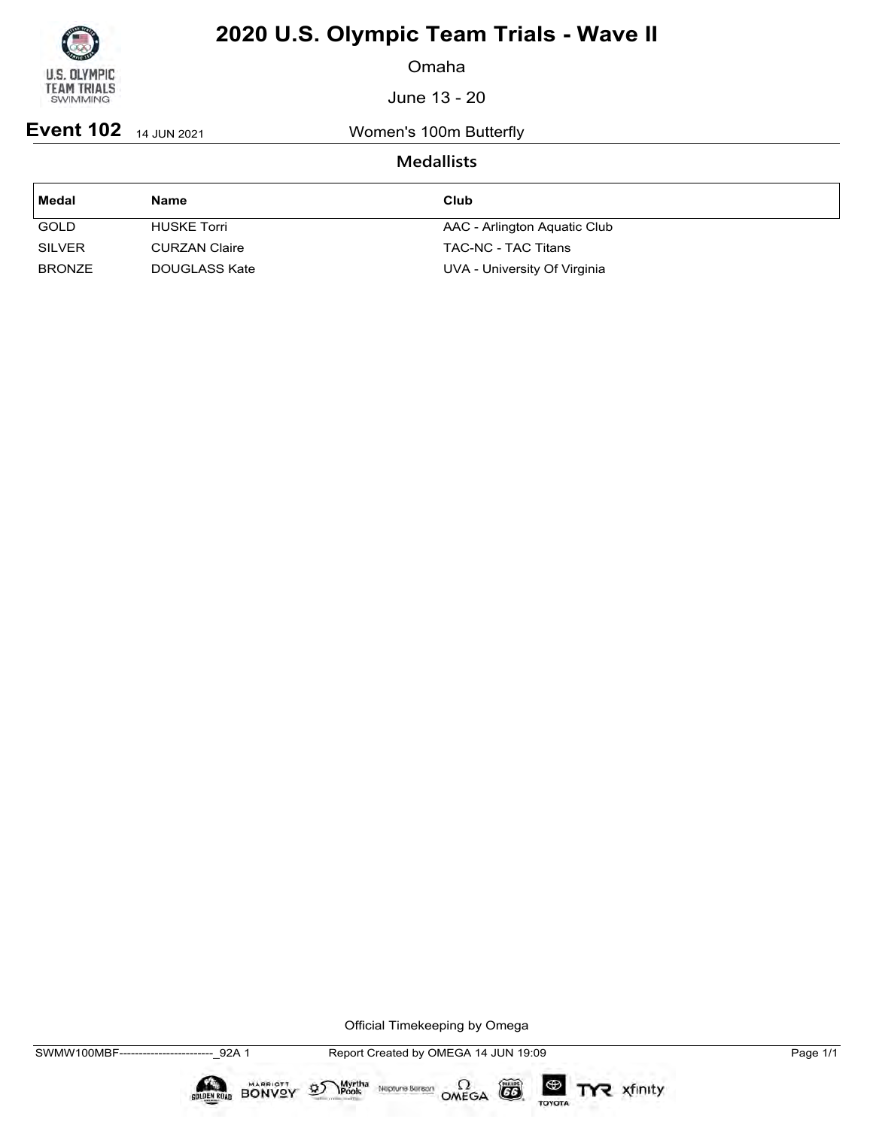

Omaha

June 13 - 20

**Event 102** 14 JUN 2021 Women's 100m Butterfly

### **Medallists**

| Medal         | <b>Name</b>          | Club                         |
|---------------|----------------------|------------------------------|
| <b>GOLD</b>   | <b>HUSKE Torri</b>   | AAC - Arlington Aquatic Club |
| <b>SILVER</b> | <b>CURZAN Claire</b> | TAC-NC - TAC Titans          |
| <b>BRONZE</b> | DOUGLASS Kate        | UVA - University Of Virginia |

Official Timekeeping by Omega

CO

TOYOTA

TYR xfinity

 $\sum_{\text{Pools}}$  Neptune Bergon  $\Omega$ <br>OMEGA



 $\mathfrak{D}$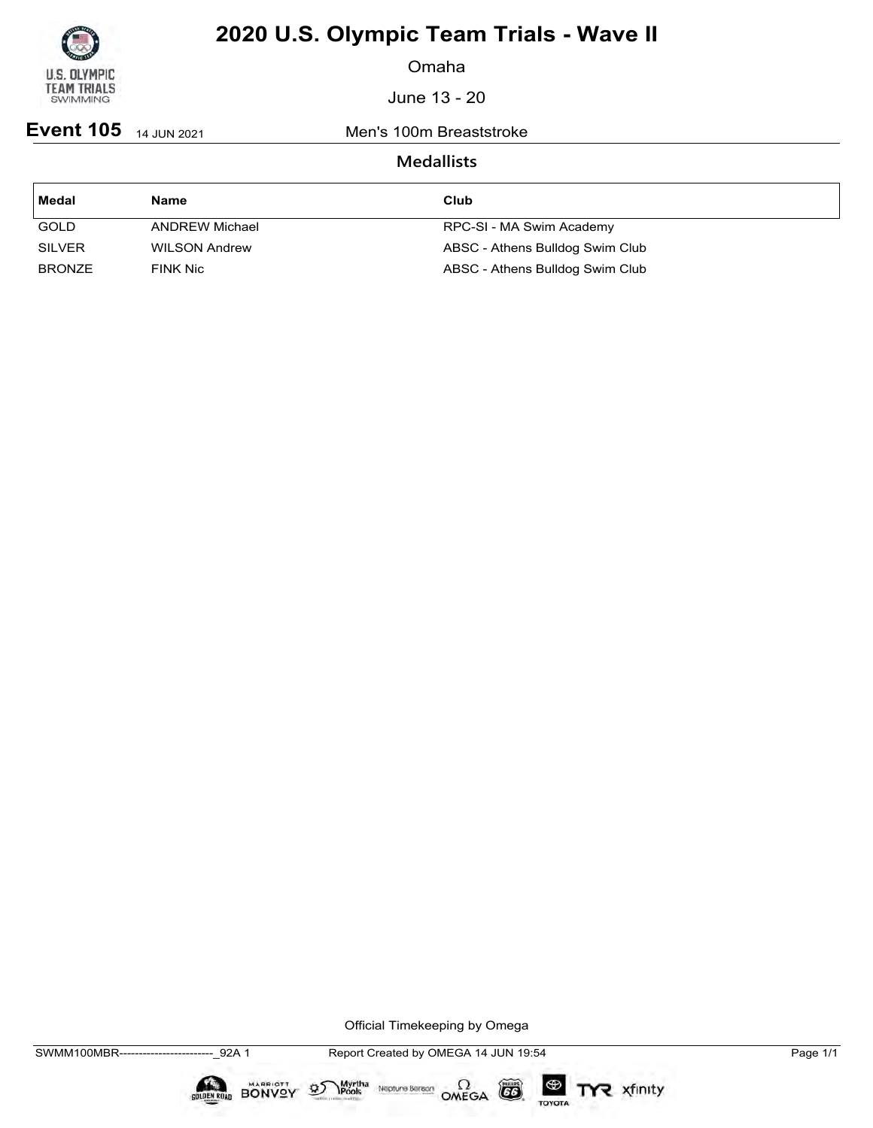

Omaha

June 13 - 20

**Event 105** 14 JUN 2021 Men's 100m Breaststroke

### **Medallists**

| Medal         | <b>Name</b>          | Club                            |
|---------------|----------------------|---------------------------------|
| <b>GOLD</b>   | ANDREW Michael       | RPC-SI - MA Swim Academy        |
| <b>SILVER</b> | <b>WILSON Andrew</b> | ABSC - Athens Bulldog Swim Club |
| <b>BRONZE</b> | <b>FINK Nic</b>      | ABSC - Athens Bulldog Swim Club |

Official Timekeeping by Omega

 $\circled{G}$ 

TOYOTA

TYR xfinity

Myrtha Neptune Bereon OMEGA



 $\mathfrak{D}$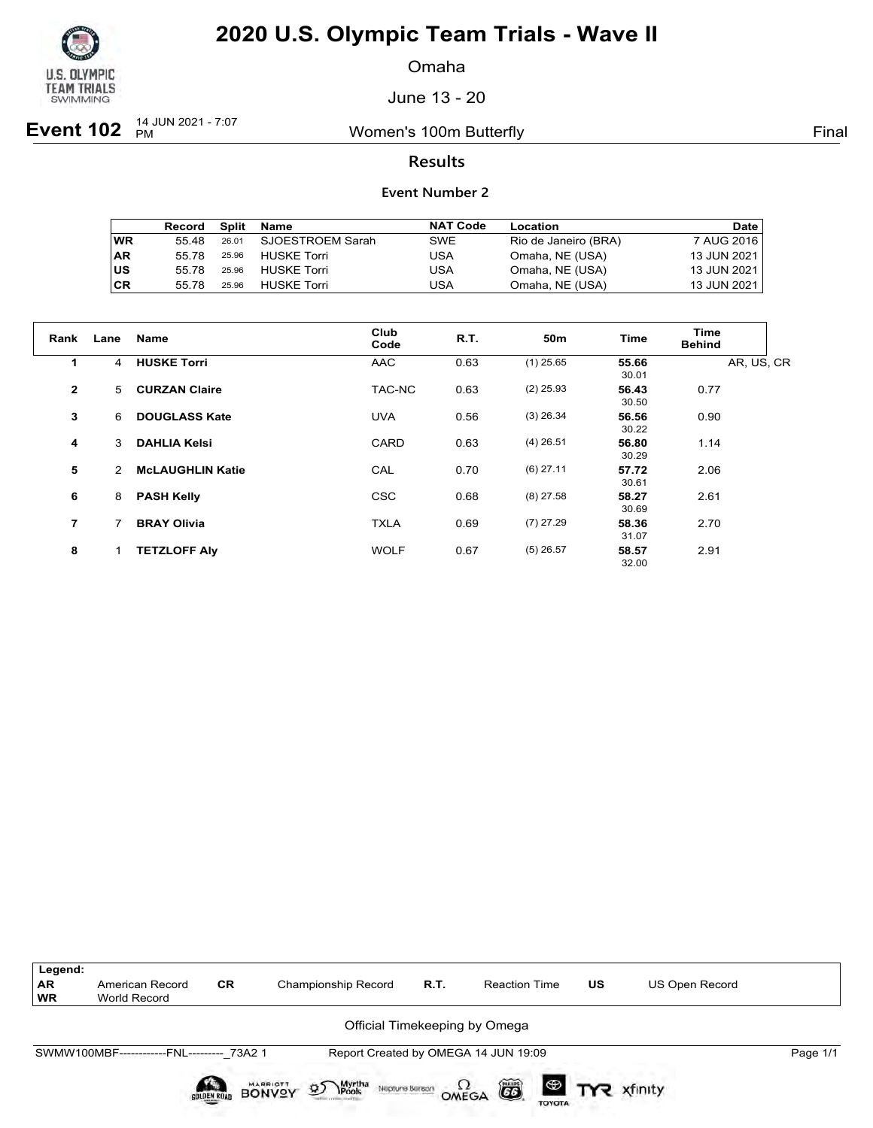

Omaha

June 13 - 20

**Event 102** <sup>14 JUN 2021 - 7:07</sup>

Women's 100m Butterfly **Final** 

### **Results**

|           | Record |       | Split Name         | <b>NAT Code</b> | Location             | Date        |
|-----------|--------|-------|--------------------|-----------------|----------------------|-------------|
| <b>WR</b> | 55.48  | 26.01 | SJOESTROEM Sarah   | SWE             | Rio de Janeiro (BRA) | 7 AUG 2016  |
| <b>AR</b> | 55 78  | 25.96 | HUSKE Torri        | USA             | Omaha, NE (USA)      | 13 JUN 2021 |
| US        | 55 78  | 25.96 | <b>HUSKE Torri</b> | USA             | Omaha, NE (USA)      | 13 JUN 2021 |
| <b>CR</b> | 55 78  | 25.96 | <b>HUSKE Torri</b> | USA             | Omaha, NE (USA)      | 13 JUN 2021 |

| Rank           | Lane | Name                    | Club<br>Code | <b>R.T.</b> | 50 <sub>m</sub> | <b>Time</b>    | Time<br><b>Behind</b> |
|----------------|------|-------------------------|--------------|-------------|-----------------|----------------|-----------------------|
| 1              | 4    | <b>HUSKE Torri</b>      | <b>AAC</b>   | 0.63        | $(1)$ 25.65     | 55.66<br>30.01 | AR, US, CR            |
| $\overline{2}$ | 5    | <b>CURZAN Claire</b>    | TAC-NC       | 0.63        | $(2)$ 25.93     | 56.43<br>30.50 | 0.77                  |
| 3              | 6    | <b>DOUGLASS Kate</b>    | <b>UVA</b>   | 0.56        | $(3)$ 26.34     | 56.56<br>30.22 | 0.90                  |
| 4              | 3    | <b>DAHLIA Kelsi</b>     | CARD         | 0.63        | $(4)$ 26.51     | 56.80<br>30.29 | 1.14                  |
| 5              | 2    | <b>McLAUGHLIN Katie</b> | CAL          | 0.70        | $(6)$ 27.11     | 57.72<br>30.61 | 2.06                  |
| 6              | 8    | <b>PASH Kelly</b>       | <b>CSC</b>   | 0.68        | $(8)$ 27.58     | 58.27<br>30.69 | 2.61                  |
| $\overline{7}$ | 7    | <b>BRAY Olivia</b>      | <b>TXLA</b>  | 0.69        | $(7)$ 27.29     | 58.36<br>31.07 | 2.70                  |
| 8              | 1    | <b>TETZLOFF Aly</b>     | <b>WOLF</b>  | 0.67        | $(5)$ 26.57     | 58.57<br>32.00 | 2.91                  |

| Legend:<br><b>AR</b><br><b>WR</b> | American Record<br>World Record           | <b>CR</b>   | Championship Record                                     | R.T. | <b>Reaction Time</b>                 | US | <b>US Open Record</b> |          |
|-----------------------------------|-------------------------------------------|-------------|---------------------------------------------------------|------|--------------------------------------|----|-----------------------|----------|
|                                   |                                           |             |                                                         |      | Official Timekeeping by Omega        |    |                       |          |
|                                   | SWMW100MBF------------FNL--------- 73A2 1 |             |                                                         |      | Report Created by OMEGA 14 JUN 19:09 |    |                       | Page 1/1 |
|                                   |                                           | SOLDEN ROAD | Myrtha<br>Pools<br><b>BONVOY</b><br>D<br>Neptune Bereon |      | ã<br>OMEGA<br><b>TOYOTA</b>          |    |                       |          |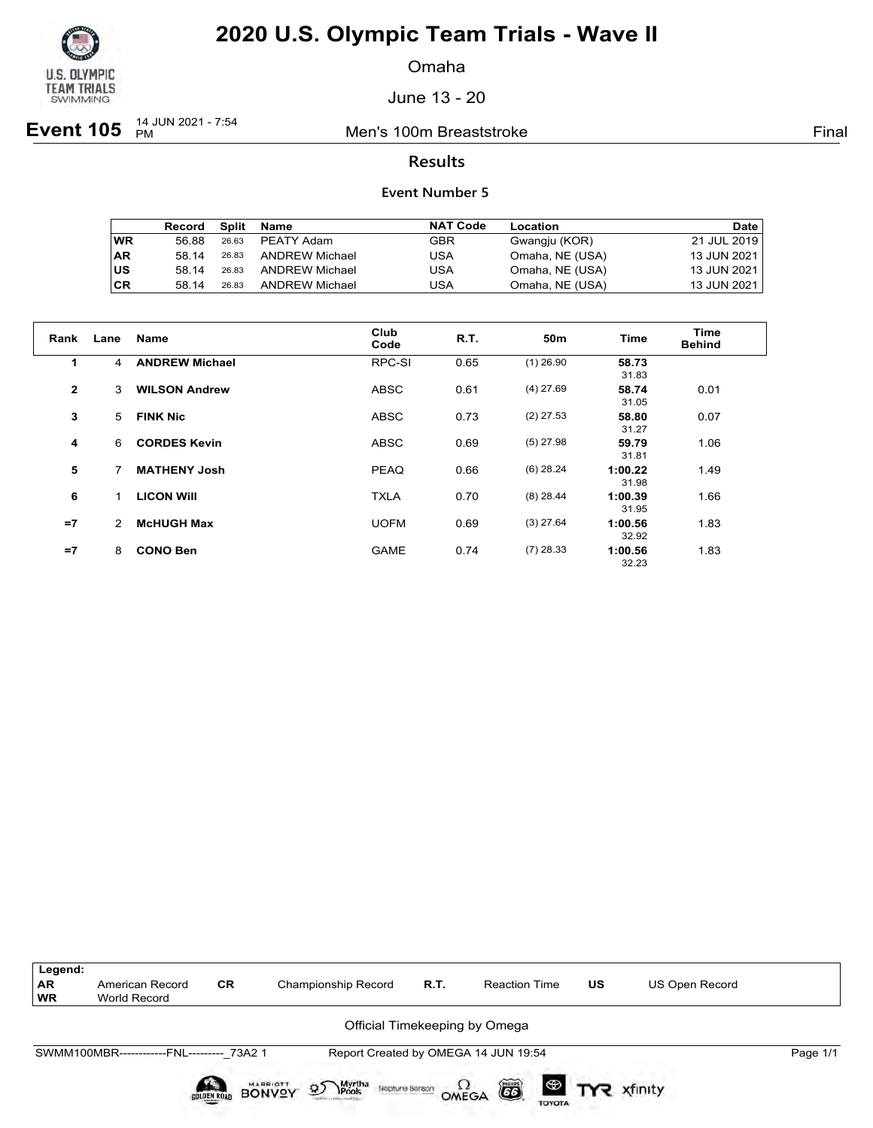

Omaha

June 13 - 20

**Event 105**  $_{PM}^{14$  JUN 2021 - 7:54

Men's 100m Breaststroke Final

### **Results**

|           | Record | Split | Name                  | <b>NAT Code</b> | Location        | Date        |
|-----------|--------|-------|-----------------------|-----------------|-----------------|-------------|
| <b>WR</b> | 56.88  | 26.63 | PEATY Adam            | GBR             | Gwangju (KOR)   | 21 JUL 2019 |
| <b>AR</b> | 58 14  | 26.83 | ANDREW Michael        | USA             | Omaha, NE (USA) | 13 JUN 2021 |
| lus       | 58 14  | 26.83 | <b>ANDREW Michael</b> | USA             | Omaha, NE (USA) | 13 JUN 2021 |
| <b>CR</b> | 58 14  | 26.83 | <b>ANDREW Michael</b> | USA             | Omaha, NE (USA) | 13 JUN 2021 |

| Rank         | Lane | <b>Name</b>           | Club<br>Code | <b>R.T.</b> | 50 <sub>m</sub> | <b>Time</b>      | Time<br><b>Behind</b> |
|--------------|------|-----------------------|--------------|-------------|-----------------|------------------|-----------------------|
| 1.           | 4    | <b>ANDREW Michael</b> | RPC-SI       | 0.65        | $(1)$ 26.90     | 58.73<br>31.83   |                       |
| $\mathbf{2}$ | 3    | <b>WILSON Andrew</b>  | <b>ABSC</b>  | 0.61        | $(4)$ 27.69     | 58.74<br>31.05   | 0.01                  |
| 3            | 5    | <b>FINK Nic</b>       | <b>ABSC</b>  | 0.73        | $(2)$ 27.53     | 58.80<br>31.27   | 0.07                  |
| 4            | 6    | <b>CORDES Kevin</b>   | <b>ABSC</b>  | 0.69        | $(5)$ 27.98     | 59.79<br>31.81   | 1.06                  |
| 5            | 7    | <b>MATHENY Josh</b>   | <b>PEAQ</b>  | 0.66        | $(6)$ 28.24     | 1:00.22<br>31.98 | 1.49                  |
| 6            | 1    | <b>LICON WIII</b>     | <b>TXLA</b>  | 0.70        | $(8)$ 28.44     | 1:00.39<br>31.95 | 1.66                  |
| $=7$         | 2    | <b>McHUGH Max</b>     | <b>UOFM</b>  | 0.69        | $(3)$ 27.64     | 1:00.56<br>32.92 | 1.83                  |
| $=7$         | 8    | <b>CONO Ben</b>       | <b>GAME</b>  | 0.74        | $(7)$ 28.33     | 1:00.56<br>32.23 | 1.83                  |

| Legend:                |                                           |             |                                                         |      |                                      |           |                       |          |
|------------------------|-------------------------------------------|-------------|---------------------------------------------------------|------|--------------------------------------|-----------|-----------------------|----------|
| <b>AR</b><br><b>WR</b> | American Record<br>World Record           | <b>CR</b>   | <b>Championship Record</b>                              | R.T. | <b>Reaction Time</b>                 | <b>US</b> | <b>US Open Record</b> |          |
|                        |                                           |             |                                                         |      | Official Timekeeping by Omega        |           |                       |          |
|                        | SWMM100MBR------------FNL--------- 73A2 1 |             |                                                         |      | Report Created by OMEGA 14 JUN 19:54 |           |                       | Page 1/1 |
|                        |                                           | SOLDEN ROAD | Myrtha<br>Pools<br>D<br><b>BONVOY</b><br>Neptune Beraon |      | ã<br>OMEGA                           |           | <b>ED TYR</b> xfinity |          |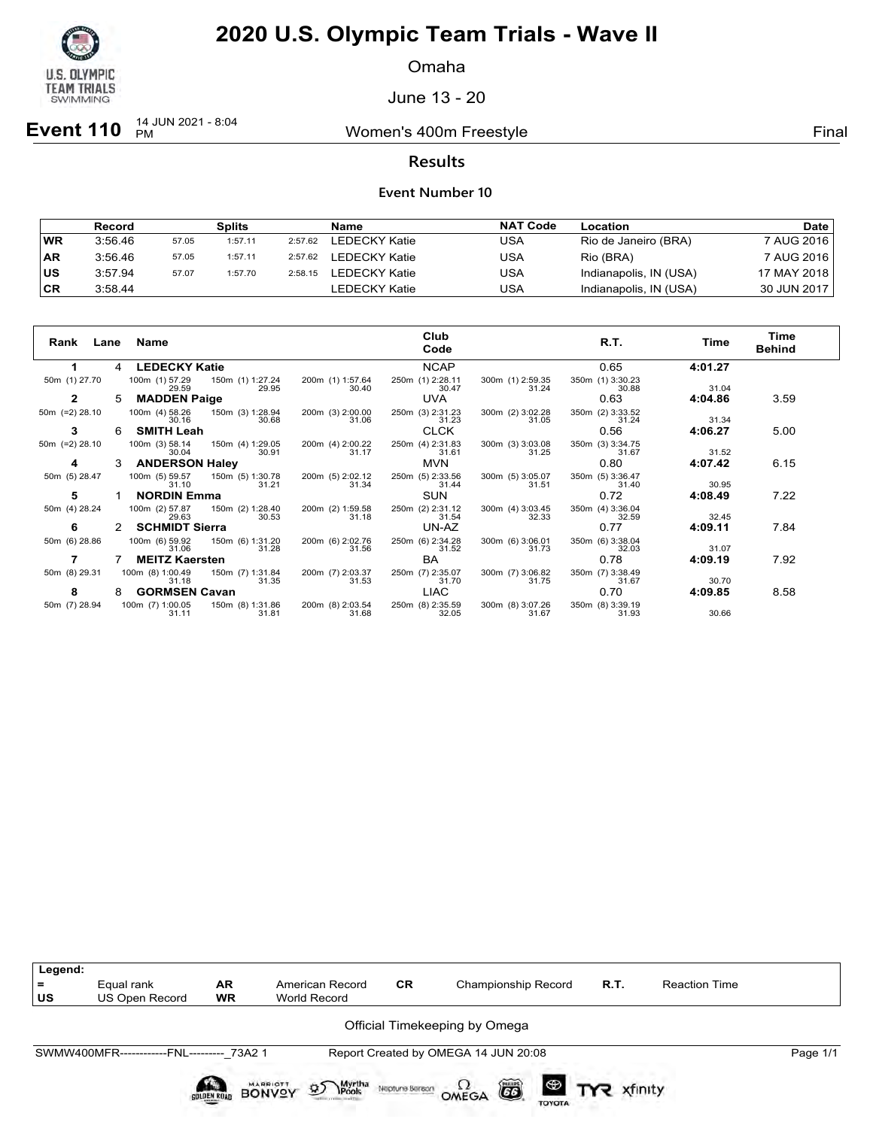

Omaha

June 13 - 20

**Event 110**  $^{14}$  JUN 2021 - 8:04

Women's 400m Freestyle **Final** 

### **Results**

|           | Record  |       | Splits  |         | Name          | <b>NAT Code</b> | Location               | Date l        |
|-----------|---------|-------|---------|---------|---------------|-----------------|------------------------|---------------|
| WR        | 3:56.46 | 57.05 | 1:57.11 | 2:57.62 | LEDECKY Katie | USA             | Rio de Janeiro (BRA)   | 7 AUG 2016    |
| <b>AR</b> | 3:56.46 | 57.05 | 1:57.11 | 2:57.62 | LEDECKY Katie | USA             | Rio (BRA)              | 7 AUG 2016    |
| US        | 3:57.94 | 57.07 | 1:57.70 | 2:58.15 | LEDECKY Katie | USA             | Indianapolis, IN (USA) | 17 MAY 2018 l |
| <b>CR</b> | 3:58.44 |       |         |         | LEDECKY Katie | USA             | Indianapolis, IN (USA) | 30 JUN 2017   |

| Rank<br>Lane      |   | Name                      |                           |                           | Club<br>Code              |                           | R.T.                      | Time    | Time<br><b>Behind</b> |
|-------------------|---|---------------------------|---------------------------|---------------------------|---------------------------|---------------------------|---------------------------|---------|-----------------------|
|                   |   | <b>LEDECKY Katie</b>      |                           |                           | <b>NCAP</b>               |                           | 0.65                      | 4:01.27 |                       |
| 50m (1) 27.70     |   | 100m (1) 57.29<br>29.59   | 150m (1) 1:27.24<br>29.95 | 200m (1) 1:57.64<br>30.40 | 250m (1) 2:28.11<br>30.47 | 300m (1) 2:59.35<br>31.24 | 350m (1) 3:30.23<br>30.88 | 31.04   |                       |
|                   | 5 | <b>MADDEN Paige</b>       |                           |                           | <b>UVA</b>                |                           | 0.63                      | 4:04.86 | 3.59                  |
| 50 $m$ (=2) 28.10 |   | 100m (4) 58.26<br>30.16   | 150m (3) 1:28.94<br>30.68 | 200m (3) 2:00.00<br>31.06 | 250m (3) 2:31.23<br>31.23 | 300m (2) 3:02.28<br>31.05 | 350m (2) 3:33.52<br>31.24 | 31.34   |                       |
| 3                 | 6 | <b>SMITH Leah</b>         |                           |                           | <b>CLCK</b>               |                           | 0.56                      | 4:06.27 | 5.00                  |
| 50 $m$ (=2) 28.10 |   | 100m (3) 58.14<br>30.04   | 150m (4) 1:29.05<br>30.91 | 200m (4) 2:00.22<br>31.17 | 250m (4) 2:31.83<br>31.61 | 300m (3) 3:03.08<br>31.25 | 350m (3) 3:34.75<br>31.67 | 31.52   |                       |
|                   | 3 | <b>ANDERSON Haley</b>     |                           |                           | <b>MVN</b>                |                           | 0.80                      | 4:07.42 | 6.15                  |
| 50m (5) 28.47     |   | 100m (5) 59.57<br>31.10   | 150m (5) 1:30.78<br>31.21 | 200m (5) 2:02.12<br>31.34 | 250m (5) 2:33.56<br>31.44 | 300m (5) 3:05.07<br>31.51 | 350m (5) 3:36.47<br>31.40 | 30.95   |                       |
| 5                 |   | <b>NORDIN Emma</b>        |                           |                           | <b>SUN</b>                |                           | 0.72                      | 4:08.49 | 7.22                  |
| 50m (4) 28.24     |   | 100m (2) 57.87<br>29.63   | 150m (2) 1:28.40<br>30.53 | 200m (2) 1:59.58<br>31.18 | 250m (2) 2:31.12<br>31.54 | 300m (4) 3:03.45<br>32.33 | 350m (4) 3:36.04<br>32.59 | 32.45   |                       |
| 6                 |   | <b>SCHMIDT Sierra</b>     |                           |                           | UN-AZ                     |                           | 0.77                      | 4:09.11 | 7.84                  |
| 50m (6) 28.86     |   | 100m (6) 59.92<br>31.06   | 150m (6) 1:31.20<br>31.28 | 200m (6) 2:02.76<br>31.56 | 250m (6) 2:34.28<br>31.52 | 300m (6) 3:06.01<br>31.73 | 350m (6) 3:38.04<br>32.03 | 31.07   |                       |
|                   |   | <b>MEITZ Kaersten</b>     |                           |                           | <b>BA</b>                 |                           | 0.78                      | 4:09.19 | 7.92                  |
| 50m (8) 29.31     |   | 100m (8) 1:00.49<br>31.18 | 150m (7) 1:31.84<br>31.35 | 200m (7) 2:03.37<br>31.53 | 250m (7) 2:35.07<br>31.70 | 300m (7) 3:06.82<br>31.75 | 350m (7) 3:38.49<br>31.67 | 30.70   |                       |
| 8                 | 8 | <b>GORMSEN Cavan</b>      |                           |                           | <b>LIAC</b>               |                           | 0.70                      | 4:09.85 | 8.58                  |
| 50m (7) 28.94     |   | 100m (7) 1:00.05<br>31.11 | 150m (8) 1:31.86<br>31.81 | 200m (8) 2:03.54<br>31.68 | 250m (8) 2:35.59<br>32.05 | 300m (8) 3:07.26<br>31.67 | 350m (8) 3:39.19<br>31.93 | 30.66   |                       |

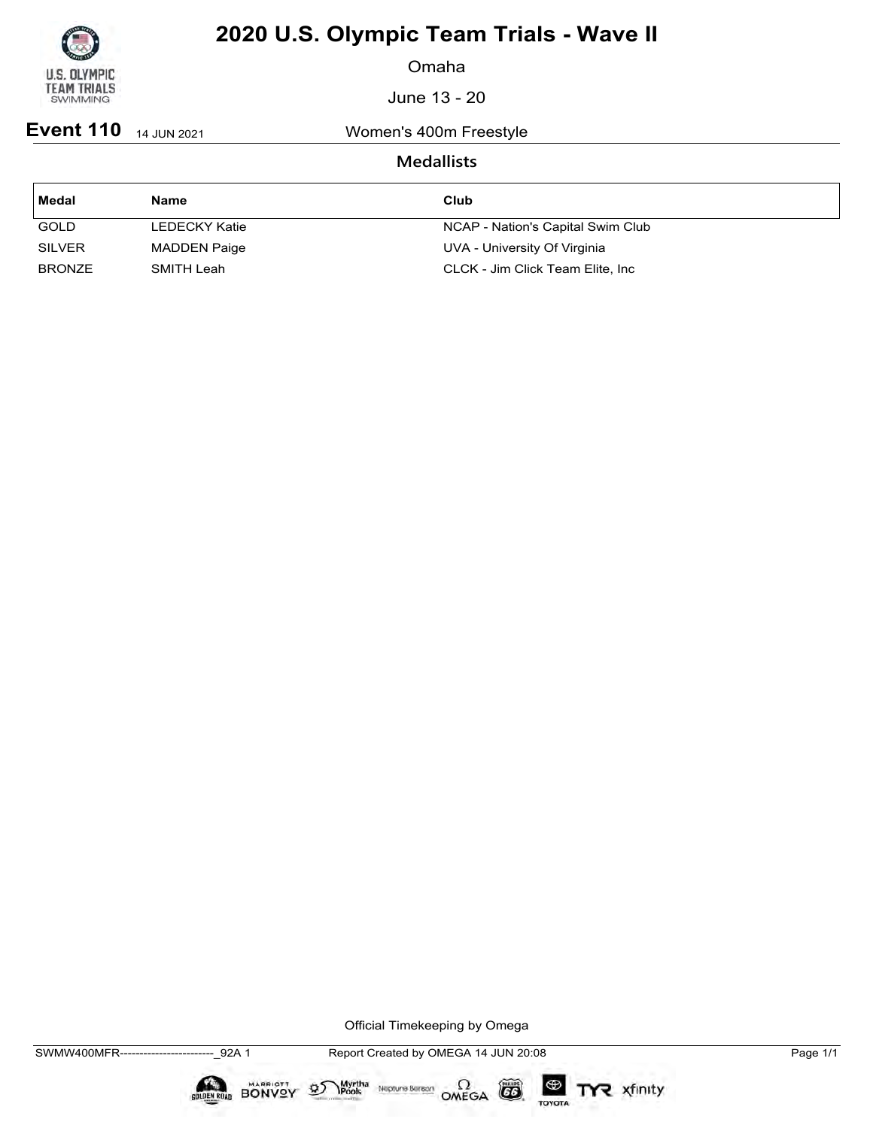

Omaha

June 13 - 20

**Event 110** 14 JUN 2021 Women's 400m Freestyle

### **Medallists**

| Medal         | <b>Name</b>         | Club                              |
|---------------|---------------------|-----------------------------------|
| <b>GOLD</b>   | LEDECKY Katie       | NCAP - Nation's Capital Swim Club |
| <b>SILVER</b> | <b>MADDEN Paige</b> | UVA - University Of Virginia      |
| <b>BRONZE</b> | SMITH Leah          | CLCK - Jim Click Team Elite, Inc  |

Official Timekeeping by Omega

 $\circled{G}$ 

TOYOTA

TYR xfinity

Myrtha Neptune Bereon OMEGA



 $\mathfrak{D}$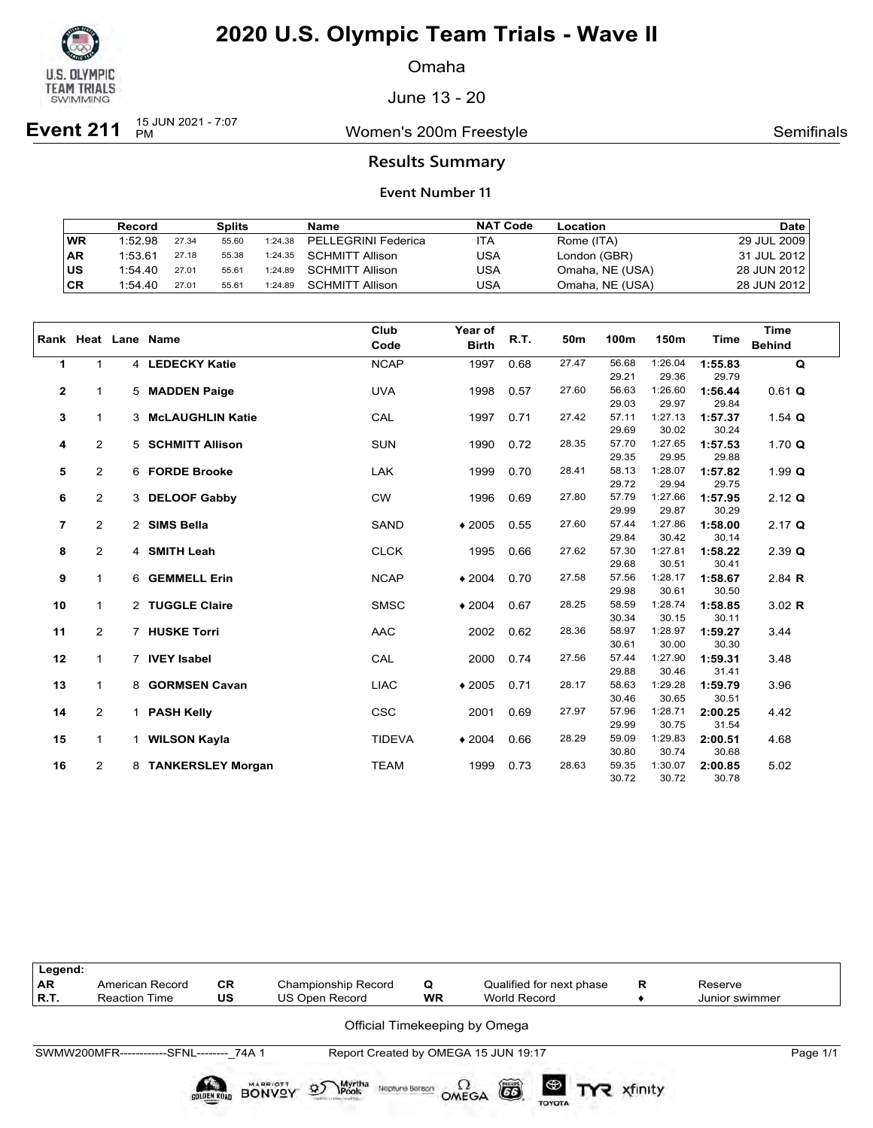

Omaha

June 13 - 20

**Event 211**  $^{15}$  JUN 2021 - 7:07

Women's 200m Freestyle **Now Semifinals** Semifinals

### **Results Summary**

|           | Record  |       | <b>Splits</b> |         | Name                    | <b>NAT Code</b> | Location        | <b>Date</b>   |
|-----------|---------|-------|---------------|---------|-------------------------|-----------------|-----------------|---------------|
| WR        | 1:52.98 | 27.34 | 55.60         | 1:24.38 | PELLEGRINI Federica     | ITA             | Rome (ITA)      | 29 JUL 2009   |
| <b>AR</b> | 1:53.61 | 27.18 | 55.38         |         | 1:24.35 SCHMITT Allison | USA             | London (GBR)    | 31 JUL 2012 l |
| ∣us       | 1:54.40 | 27.01 | 55.61         | 1:24.89 | SCHMITT Allison         | USA             | Omaha, NE (USA) | 28 JUN 2012 l |
| ∣CR       | 1:54.40 | 27.01 | 55.61         | 1:24.89 | SCHMITT Allison         | USA             | Omaha, NE (USA) | 28 JUN 2012   |

|                |                | Rank Heat Lane Name | Club<br>Code  | Year of<br><b>Birth</b> | R.T. | 50 <sub>m</sub> | 100m           | 150m             | <b>Time</b>      | <b>Time</b><br><b>Behind</b> |
|----------------|----------------|---------------------|---------------|-------------------------|------|-----------------|----------------|------------------|------------------|------------------------------|
|                |                |                     |               |                         |      |                 |                |                  |                  |                              |
| 1              | $\mathbf 1$    | 4 LEDECKY Katie     | <b>NCAP</b>   | 1997                    | 0.68 | 27.47           | 56.68<br>29.21 | 1:26.04<br>29.36 | 1:55.83<br>29.79 | $\mathbf Q$                  |
| $\mathbf{2}$   | 1              | 5 MADDEN Paige      | <b>UVA</b>    | 1998                    | 0.57 | 27.60           | 56.63          | 1:26.60          | 1:56.44          | $0.61$ Q                     |
|                |                |                     |               |                         |      |                 | 29.03          | 29.97            | 29.84            |                              |
| 3              | $\mathbf{1}$   | 3 McLAUGHLIN Katie  | CAL           | 1997                    | 0.71 | 27.42           | 57.11          | 1:27.13          | 1:57.37          | 1.54 $Q$                     |
|                |                |                     |               |                         |      |                 | 29.69          | 30.02            | 30.24            |                              |
| 4              | $\overline{2}$ | 5 SCHMITT Allison   | <b>SUN</b>    | 1990                    | 0.72 | 28.35           | 57.70          | 1:27.65          | 1:57.53          | 1.70 $Q$                     |
|                |                |                     |               |                         |      |                 | 29.35          | 29.95            | 29.88            |                              |
| 5              | $\overline{2}$ | 6 FORDE Brooke      | <b>LAK</b>    | 1999                    | 0.70 | 28.41           | 58.13          | 1:28.07          | 1:57.82          | 1.99Q                        |
|                |                |                     |               |                         |      |                 | 29.72          | 29.94            | 29.75            |                              |
| 6              | $\overline{2}$ | 3 DELOOF Gabby      | <b>CW</b>     | 1996                    | 0.69 | 27.80           | 57.79          | 1:27.66          | 1:57.95          | $2.12$ Q                     |
|                |                |                     |               |                         |      |                 | 29.99          | 29.87            | 30.29            |                              |
| $\overline{7}$ | $\overline{2}$ | 2 SIMS Bella        | <b>SAND</b>   | $*2005$                 | 0.55 | 27.60           | 57.44          | 1:27.86          | 1:58.00          | $2.17$ Q                     |
|                |                |                     |               |                         |      |                 | 29.84          | 30.42            | 30.14            |                              |
| 8              | $\overline{2}$ | 4 SMITH Leah        | <b>CLCK</b>   | 1995                    | 0.66 | 27.62           | 57.30          | 1:27.81          | 1:58.22          | $2.39$ Q                     |
|                |                |                     |               |                         |      |                 | 29.68          | 30.51            | 30.41            |                              |
| 9              | $\mathbf{1}$   | 6 GEMMELL Erin      | <b>NCAP</b>   | $*2004$                 | 0.70 | 27.58           | 57.56<br>29.98 | 1:28.17<br>30.61 | 1:58.67<br>30.50 | 2.84 $R$                     |
| 10             | $\mathbf{1}$   | 2 TUGGLE Claire     | <b>SMSC</b>   | $*2004$                 | 0.67 | 28.25           | 58.59          | 1:28.74          | 1:58.85          | $3.02 \, R$                  |
|                |                |                     |               |                         |      |                 | 30.34          | 30.15            | 30.11            |                              |
| 11             | $\overline{2}$ | 7 HUSKE Torri       | <b>AAC</b>    | 2002                    | 0.62 | 28.36           | 58.97          | 1:28.97          | 1:59.27          | 3.44                         |
|                |                |                     |               |                         |      |                 | 30.61          | 30.00            | 30.30            |                              |
| 12             | $\mathbf 1$    | 7 IVEY Isabel       | CAL           | 2000                    | 0.74 | 27.56           | 57.44          | 1:27.90          | 1:59.31          | 3.48                         |
|                |                |                     |               |                         |      |                 | 29.88          | 30.46            | 31.41            |                              |
| 13             | $\mathbf 1$    | 8 GORMSEN Cavan     | <b>LIAC</b>   | $*2005$                 | 0.71 | 28.17           | 58.63          | 1:29.28          | 1:59.79          | 3.96                         |
|                |                |                     |               |                         |      |                 | 30.46          | 30.65            | 30.51            |                              |
| 14             | $\overline{2}$ | 1 PASH Kelly        | CSC           | 2001                    | 0.69 | 27.97           | 57.96          | 1:28.71          | 2:00.25          | 4.42                         |
|                |                |                     |               |                         |      |                 | 29.99          | 30.75            | 31.54            |                              |
| 15             | $\mathbf{1}$   | 1 WILSON Kayla      | <b>TIDEVA</b> | $*2004$                 | 0.66 | 28.29           | 59.09          | 1:29.83          | 2:00.51          | 4.68                         |
|                |                |                     |               |                         |      |                 | 30.80          | 30.74            | 30.68            |                              |
| 16             | $\overline{2}$ | 8 TANKERSLEY Morgan | <b>TEAM</b>   | 1999                    | 0.73 | 28.63           | 59.35          | 1:30.07          | 2:00.85          | 5.02                         |
|                |                |                     |               |                         |      |                 | 30.72          | 30.72            | 30.78            |                              |

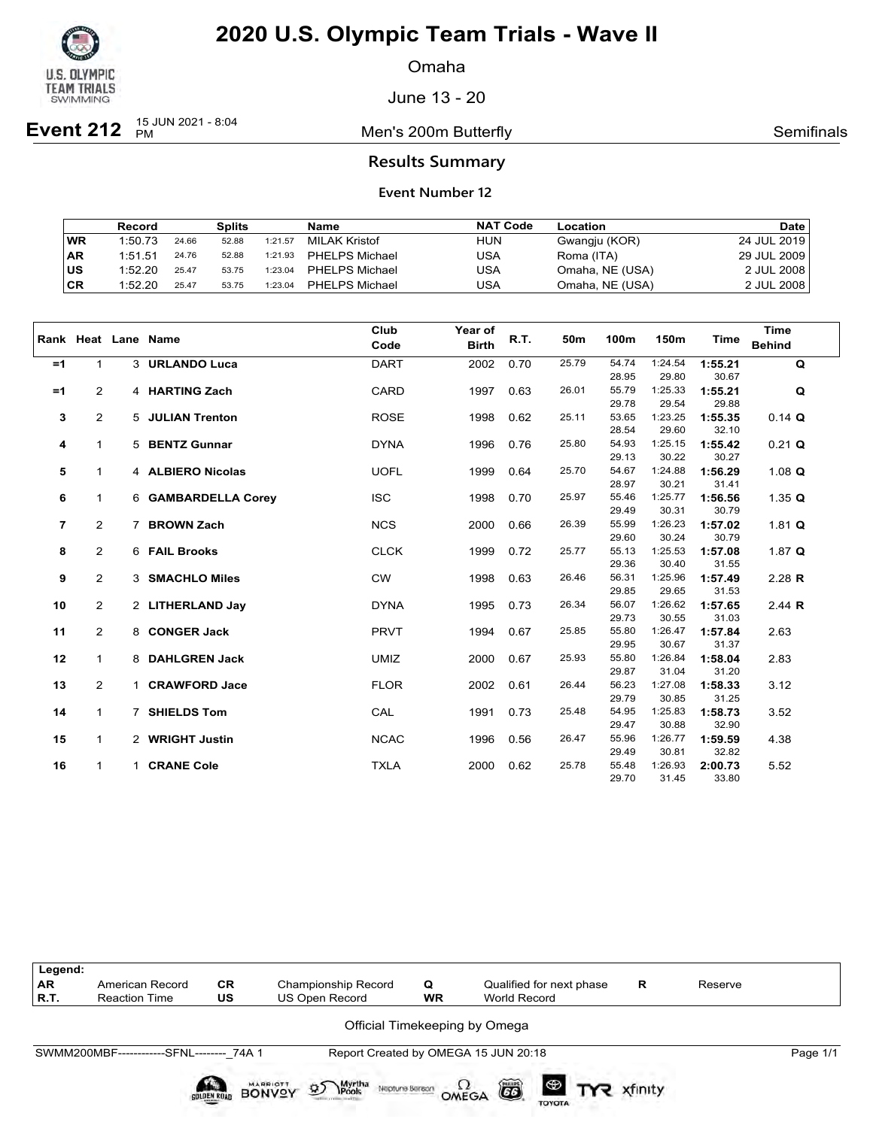

Omaha

June 13 - 20

**Event 212** <sup>15 JUN 2021 - 8:04</sup>

Men's 200m Butterfly **Semifinals** Semifinals

### **Results Summary**

|           | Record  |       | <b>Splits</b> |         | Name                  | <b>NAT Code</b> | Location        | <b>Date</b> |
|-----------|---------|-------|---------------|---------|-----------------------|-----------------|-----------------|-------------|
| <b>WR</b> | 1:50.73 | 24.66 | 52.88         | 1:21.57 | MILAK Kristof         | <b>HUN</b>      | Gwangju (KOR)   | 24 JUL 2019 |
| ∣AR       | 1:51.51 | 24.76 | 52.88         | 1:21.93 | <b>PHELPS Michael</b> | USA             | Roma (ITA)      | 29 JUL 2009 |
| ∣us       | 1:52.20 | 25.47 | 53.75         | 1:23.04 | PHELPS Michael        | USA             | Omaha, NE (USA) | 2 JUL 2008  |
| CR        | 1:52.20 | 25.47 | 53.75         | 1:23.04 | <b>PHELPS Michael</b> | USA             | Omaha, NE (USA) | 2 JUL 2008  |

|                |                |    | Rank Heat Lane Name | Club<br>Code | Year of<br><b>Birth</b> | R.T. | 50m   | 100m           | 150m             | Time             | <b>Time</b><br><b>Behind</b> |
|----------------|----------------|----|---------------------|--------------|-------------------------|------|-------|----------------|------------------|------------------|------------------------------|
| $=1$           | 1              |    | 3 URLANDO Luca      | <b>DART</b>  | 2002                    | 0.70 | 25.79 | 54.74          | 1:24.54          | 1:55.21          | Q                            |
|                |                |    |                     |              |                         |      |       | 28.95          | 29.80            | 30.67            |                              |
| $=1$           | $\overline{2}$ |    | 4 HARTING Zach      | <b>CARD</b>  | 1997                    | 0.63 | 26.01 | 55.79          | 1:25.33          | 1:55.21          | Q                            |
|                |                |    |                     |              |                         |      |       | 29.78          | 29.54            | 29.88            |                              |
| 3              | $\overline{2}$ |    | 5 JULIAN Trenton    | <b>ROSE</b>  | 1998                    | 0.62 | 25.11 | 53.65          | 1:23.25          | 1:55.35          | $0.14$ Q                     |
|                |                |    |                     |              |                         |      |       | 28.54          | 29.60            | 32.10            |                              |
| 4              | $\mathbf{1}$   |    | 5 BENTZ Gunnar      | <b>DYNA</b>  | 1996                    | 0.76 | 25.80 | 54.93          | 1:25.15          | 1:55.42          | $0.21$ Q                     |
|                |                |    |                     |              |                         |      |       | 29.13          | 30.22            | 30.27            |                              |
| 5              | $\mathbf{1}$   |    | 4 ALBIERO Nicolas   | <b>UOFL</b>  | 1999                    | 0.64 | 25.70 | 54.67<br>28.97 | 1:24.88<br>30.21 | 1:56.29<br>31.41 | 1.08 $Q$                     |
| 6              | 1              |    | 6 GAMBARDELLA Corey | <b>ISC</b>   | 1998                    | 0.70 | 25.97 | 55.46          | 1:25.77          | 1:56.56          | 1.35 $Q$                     |
|                |                |    |                     |              |                         |      |       | 29.49          | 30.31            | 30.79            |                              |
| $\overline{7}$ | $\overline{2}$ | 7  | <b>BROWN Zach</b>   | <b>NCS</b>   | 2000                    | 0.66 | 26.39 | 55.99          | 1:26.23          | 1:57.02          | 1.81 $Q$                     |
|                |                |    |                     |              |                         |      |       | 29.60          | 30.24            | 30.79            |                              |
| 8              | $\overline{2}$ |    | 6 FAIL Brooks       | <b>CLCK</b>  | 1999                    | 0.72 | 25.77 | 55.13          | 1:25.53          | 1:57.08          | 1.87 $Q$                     |
|                |                |    |                     |              |                         |      |       | 29.36          | 30.40            | 31.55            |                              |
| 9              | 2              |    | 3 SMACHLO Miles     | <b>CW</b>    | 1998                    | 0.63 | 26.46 | 56.31          | 1:25.96          | 1:57.49          | $2.28$ R                     |
|                |                |    |                     |              |                         |      |       | 29.85          | 29.65            | 31.53            |                              |
| 10             | $\overline{2}$ |    | 2 LITHERLAND Jay    | <b>DYNA</b>  | 1995                    | 0.73 | 26.34 | 56.07          | 1:26.62          | 1:57.65          | 2.44 $R$                     |
|                |                |    |                     |              |                         |      |       | 29.73          | 30.55            | 31.03            |                              |
| 11             | $\overline{2}$ |    | 8 CONGER Jack       | <b>PRVT</b>  | 1994                    | 0.67 | 25.85 | 55.80          | 1:26.47          | 1:57.84          | 2.63                         |
|                |                |    |                     |              |                         |      |       | 29.95          | 30.67            | 31.37            |                              |
| 12             | $\mathbf{1}$   |    | 8 DAHLGREN Jack     | <b>UMIZ</b>  | 2000                    | 0.67 | 25.93 | 55.80          | 1:26.84          | 1:58.04          | 2.83                         |
|                |                |    |                     |              |                         |      |       | 29.87          | 31.04            | 31.20            |                              |
| 13             | $\overline{2}$ |    | 1 CRAWFORD Jace     | <b>FLOR</b>  | 2002                    | 0.61 | 26.44 | 56.23          | 1:27.08          | 1:58.33          | 3.12                         |
| 14             | 1              |    | 7 SHIELDS Tom       | CAL          | 1991                    | 0.73 | 25.48 | 29.79<br>54.95 | 30.85<br>1:25.83 | 31.25<br>1:58.73 | 3.52                         |
|                |                |    |                     |              |                         |      |       | 29.47          | 30.88            | 32.90            |                              |
| 15             | 1              |    | 2 WRIGHT Justin     | <b>NCAC</b>  | 1996                    | 0.56 | 26.47 | 55.96          | 1:26.77          | 1:59.59          | 4.38                         |
|                |                |    |                     |              |                         |      |       | 29.49          | 30.81            | 32.82            |                              |
| 16             | $\mathbf{1}$   | 1. | <b>CRANE Cole</b>   | <b>TXLA</b>  | 2000                    | 0.62 | 25.78 | 55.48          | 1:26.93          | 2:00.73          | 5.52                         |
|                |                |    |                     |              |                         |      |       | 29.70          | 31.45            | 33.80            |                              |

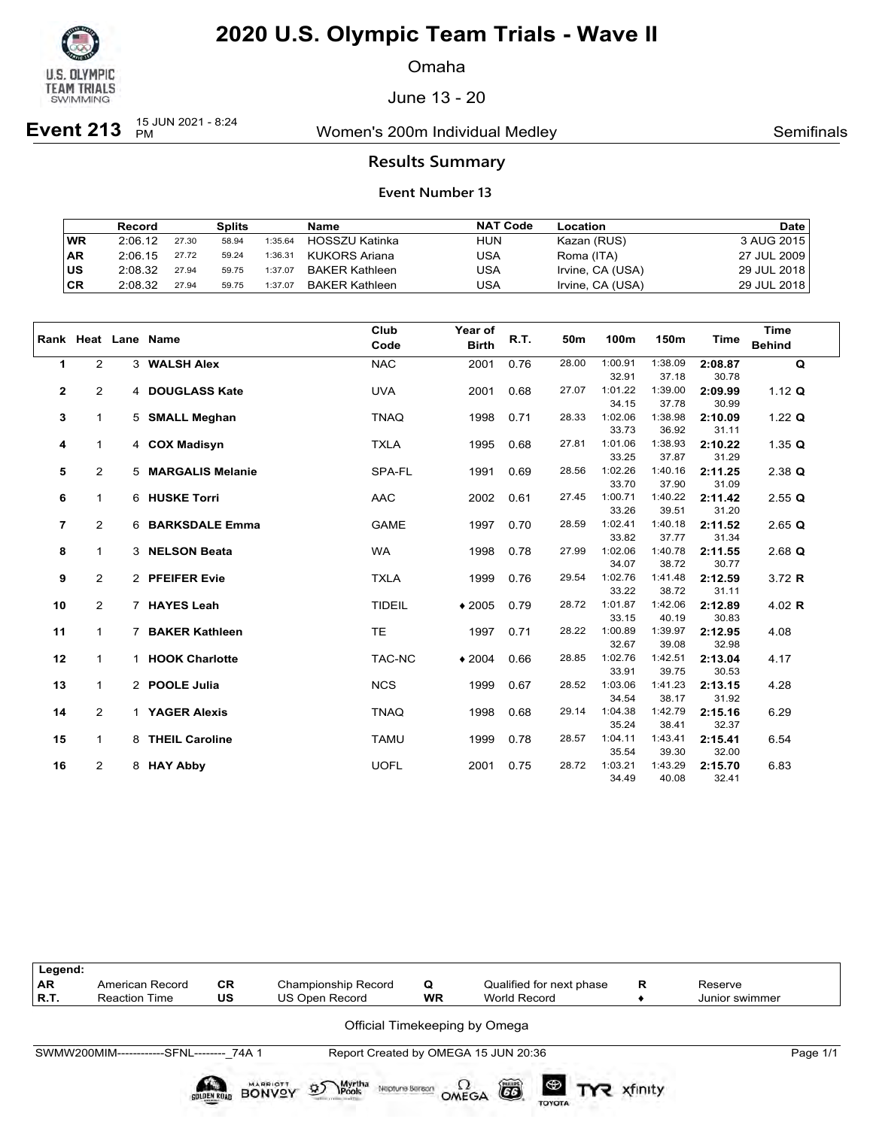

Omaha

June 13 - 20

**Event 213**  $^{15}$  JUN 2021 - 8:24

Women's 200m Individual Medley Nomen's 200m Individual Medley

### **Results Summary**

|           | Record  |       | Splits |         | Name                  | <b>NAT Code</b> | Location         | <b>Date</b> |
|-----------|---------|-------|--------|---------|-----------------------|-----------------|------------------|-------------|
| <b>WR</b> | 2:06.12 | 27.30 | 58.94  | 1:35.64 | HOSSZU Katinka        | <b>HUN</b>      | Kazan (RUS)      | 3 AUG 2015  |
| <b>AR</b> | 2:06.15 | 27.72 | 59.24  | 1:36.31 | KUKORS Ariana         | USA             | Roma (ITA)       | 27 JUL 2009 |
| lus       | 2:08.32 | 27.94 | 59.75  | 1:37.07 | BAKER Kathleen        | USA             | Irvine, CA (USA) | 29 JUL 2018 |
| CR        | 2:08.32 | 27.94 | 59.75  | 1:37.07 | <b>BAKER Kathleen</b> | USA             | Irvine, CA (USA) | 29 JUL 2018 |

|                |                |   | Rank Heat Lane Name   | Club<br>Code  | Year of<br><b>Birth</b> | R.T. | 50m   | 100m             | 150m             | <b>Time</b>      | <b>Time</b><br><b>Behind</b> |
|----------------|----------------|---|-----------------------|---------------|-------------------------|------|-------|------------------|------------------|------------------|------------------------------|
| 1              | $\overline{2}$ |   | 3 WALSH Alex          | <b>NAC</b>    | 2001                    | 0.76 | 28.00 | 1:00.91          | 1:38.09          | 2:08.87          | $\mathbf Q$                  |
|                |                |   |                       |               |                         |      |       | 32.91            | 37.18            | 30.78            |                              |
| $\mathbf 2$    | $\overline{2}$ |   | 4 DOUGLASS Kate       | <b>UVA</b>    | 2001                    | 0.68 | 27.07 | 1:01.22          | 1:39.00          | 2:09.99          | 1.12 $Q$                     |
|                |                |   |                       |               |                         |      |       | 34.15            | 37.78            | 30.99            |                              |
| 3              | $\mathbf{1}$   |   | 5 SMALL Meghan        | <b>TNAQ</b>   | 1998                    | 0.71 | 28.33 | 1:02.06          | 1:38.98          | 2:10.09          | 1.22 $Q$                     |
|                |                |   |                       |               |                         |      |       | 33.73            | 36.92            | 31.11            |                              |
| 4              | $\mathbf{1}$   |   | 4 COX Madisyn         | <b>TXLA</b>   | 1995                    | 0.68 | 27.81 | 1:01.06          | 1:38.93          | 2:10.22          | 1.35 $Q$                     |
|                |                |   |                       |               |                         |      |       | 33.25            | 37.87            | 31.29            |                              |
| 5              | $\overline{2}$ |   | 5 MARGALIS Melanie    | SPA-FL        | 1991                    | 0.69 | 28.56 | 1:02.26<br>33.70 | 1:40.16<br>37.90 | 2:11.25<br>31.09 | $2.38$ Q                     |
| 6              | $\mathbf{1}$   |   | 6 HUSKE Torri         | AAC           | 2002                    | 0.61 | 27.45 | 1:00.71          | 1:40.22          | 2:11.42          | 2.55Q                        |
|                |                |   |                       |               |                         |      |       | 33.26            | 39.51            | 31.20            |                              |
| $\overline{7}$ | 2              |   | 6 BARKSDALE Emma      | <b>GAME</b>   | 1997                    | 0.70 | 28.59 | 1:02.41          | 1:40.18          | 2:11.52          | $2.65$ Q                     |
|                |                |   |                       |               |                         |      |       | 33.82            | 37.77            | 31.34            |                              |
| 8              | $\mathbf{1}$   |   | 3 NELSON Beata        | <b>WA</b>     | 1998                    | 0.78 | 27.99 | 1:02.06          | 1:40.78          | 2:11.55          | $2.68$ Q                     |
|                |                |   |                       |               |                         |      |       | 34.07            | 38.72            | 30.77            |                              |
| 9              | $\overline{2}$ |   | 2 PFEIFER Evie        | <b>TXLA</b>   | 1999                    | 0.76 | 29.54 | 1:02.76          | 1:41.48          | 2:12.59          | 3.72 R                       |
|                |                |   |                       |               |                         |      |       | 33.22            | 38.72            | 31.11            |                              |
| 10             | $\overline{2}$ |   | 7 HAYES Leah          | <b>TIDEIL</b> | $*2005$                 | 0.79 | 28.72 | 1:01.87          | 1:42.06          | 2:12.89          | 4.02 $R$                     |
|                |                |   |                       |               |                         |      |       | 33.15            | 40.19            | 30.83            |                              |
| 11             | $\mathbf{1}$   | 7 | <b>BAKER Kathleen</b> | <b>TE</b>     | 1997                    | 0.71 | 28.22 | 1:00.89          | 1:39.97          | 2:12.95          | 4.08                         |
|                |                |   |                       |               |                         |      |       | 32.67            | 39.08            | 32.98            |                              |
| 12             | 1              |   | 1 HOOK Charlotte      | TAC-NC        | $*2004$                 | 0.66 | 28.85 | 1:02.76          | 1:42.51          | 2:13.04          | 4.17                         |
|                |                |   |                       |               |                         |      |       | 33.91            | 39.75            | 30.53            |                              |
| 13             | $\mathbf{1}$   |   | 2 POOLE Julia         | <b>NCS</b>    | 1999                    | 0.67 | 28.52 | 1:03.06          | 1:41.23          | 2:13.15          | 4.28                         |
| 14             | 2              |   | 1 YAGER Alexis        | <b>TNAQ</b>   | 1998                    | 0.68 | 29.14 | 34.54<br>1:04.38 | 38.17<br>1:42.79 | 31.92<br>2:15.16 | 6.29                         |
|                |                |   |                       |               |                         |      |       | 35.24            | 38.41            | 32.37            |                              |
| 15             | 1              |   | 8 THEIL Caroline      | <b>TAMU</b>   | 1999                    | 0.78 | 28.57 | 1:04.11          | 1:43.41          | 2:15.41          | 6.54                         |
|                |                |   |                       |               |                         |      |       | 35.54            | 39.30            | 32.00            |                              |
| 16             | $\overline{2}$ |   | 8 HAY Abby            | <b>UOFL</b>   | 2001                    | 0.75 | 28.72 | 1:03.21          | 1:43.29          | 2:15.70          | 6.83                         |
|                |                |   |                       |               |                         |      |       | 34.49            | 40.08            | 32.41            |                              |

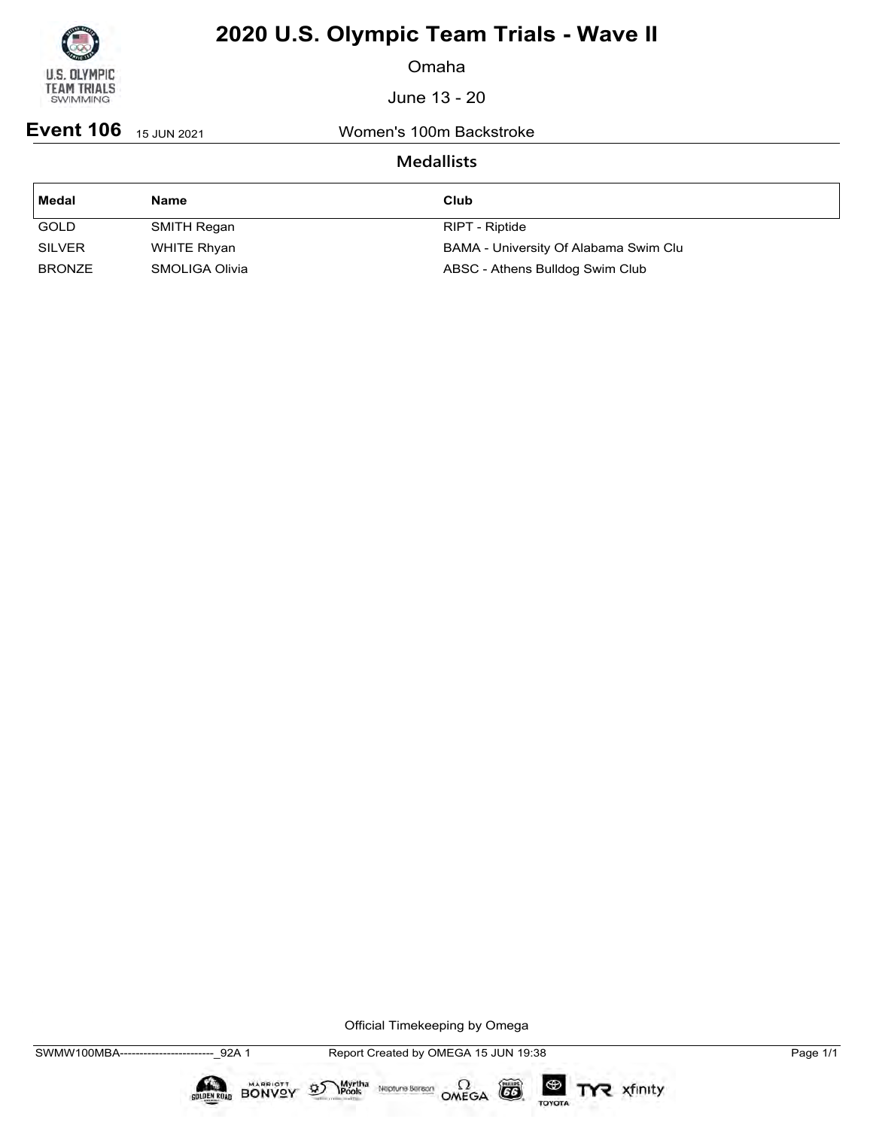

Omaha

June 13 - 20

**Event 106** 15 JUN 2021 Women's 100m Backstroke

### **Medallists**

| Medal         | <b>Name</b>           | Club                                  |
|---------------|-----------------------|---------------------------------------|
| <b>GOLD</b>   | SMITH Regan           | RIPT - Riptide                        |
| <b>SILVER</b> | WHITE Rhyan           | BAMA - University Of Alabama Swim Clu |
| <b>BRONZE</b> | <b>SMOLIGA Olivia</b> | ABSC - Athens Bulldog Swim Club       |

Official Timekeeping by Omega

 $\circled{G}$ 

TOYOTA

TYR xfinity

Myrtha Neptune Bereon OMEGA

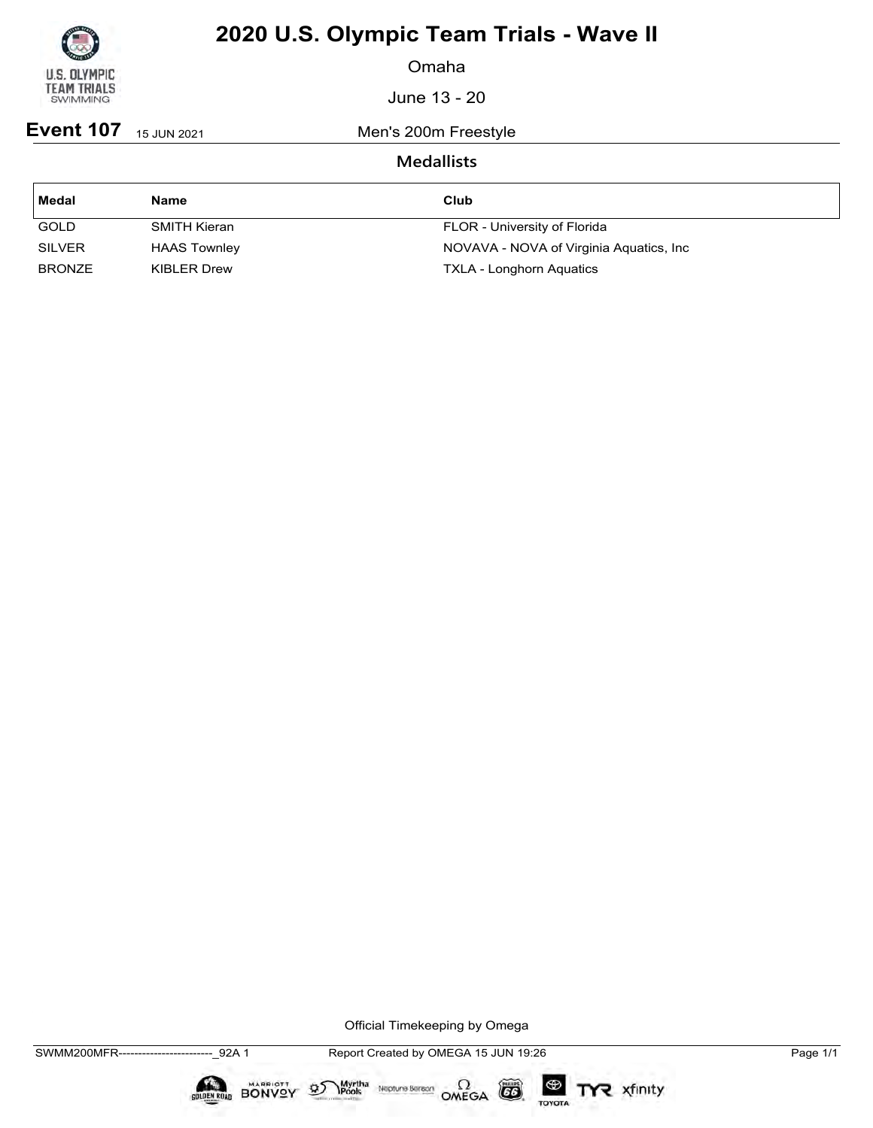

Omaha

June 13 - 20

**Event 107** 15 JUN 2021 Men's 200m Freestyle

### **Medallists**

| Medal         | <b>Name</b>         | Club                                     |
|---------------|---------------------|------------------------------------------|
| <b>GOLD</b>   | SMITH Kieran        | FLOR - University of Florida             |
| <b>SILVER</b> | <b>HAAS Townley</b> | NOVAVA - NOVA of Virginia Aquatics, Inc. |
| <b>BRONZE</b> | KIBLER Drew         | <b>TXLA - Longhorn Aquatics</b>          |

Official Timekeeping by Omega

 $\circled{G}$ 

TOYOTA

TYR xfinity

 $\sum_{\text{Pools}}$  Neptune Bergon  $\Omega$ <br>OMEGA

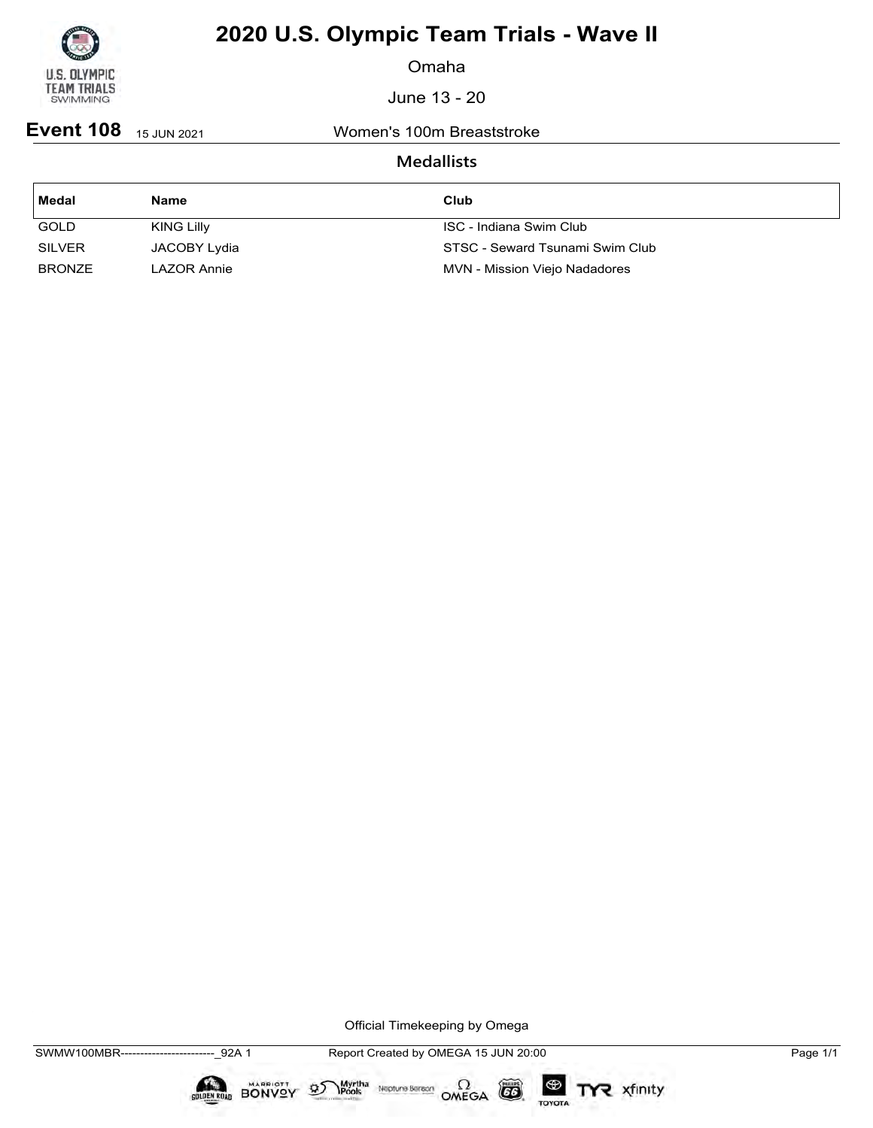

Omaha

June 13 - 20

**Event 108** 15 JUN 2021 Women's 100m Breaststroke

### **Medallists**

| Medal         | <b>Name</b>       | Club                            |
|---------------|-------------------|---------------------------------|
| <b>GOLD</b>   | <b>KING Lilly</b> | ISC - Indiana Swim Club         |
| <b>SILVER</b> | JACOBY Lydia      | STSC - Seward Tsunami Swim Club |
| <b>BRONZE</b> | LAZOR Annie       | MVN - Mission Viejo Nadadores   |

Official Timekeeping by Omega

 $\circled{G}$ 

TOYOTA

TYR xfinity

Myrtha Neptune Bereon OMEGA

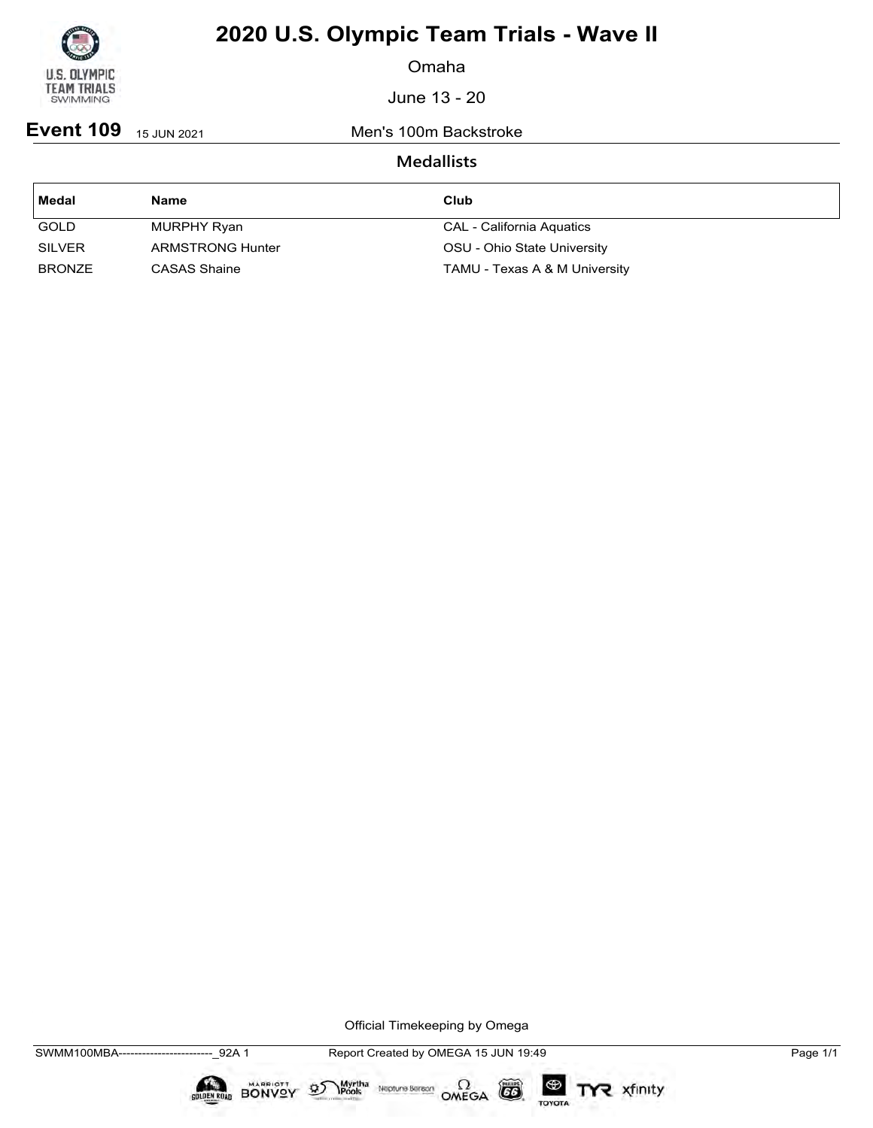

Omaha

June 13 - 20

**Event 109** 15 JUN 2021 Men's 100m Backstroke

### **Medallists**

| Medal         | <b>Name</b>             | Club                          |
|---------------|-------------------------|-------------------------------|
| <b>GOLD</b>   | MURPHY Ryan             | CAL - California Aquatics     |
| <b>SILVER</b> | <b>ARMSTRONG Hunter</b> | OSU - Ohio State University   |
| <b>BRONZE</b> | CASAS Shaine            | TAMU - Texas A & M University |

Official Timekeeping by Omega

 $\mathfrak{D}$ 

 $\circled{G}$ 

TOYOTA

TYR xfinity

 $\sum_{\text{Pools}}$  Neptune Bergon  $\Omega$ <br>OMEGA

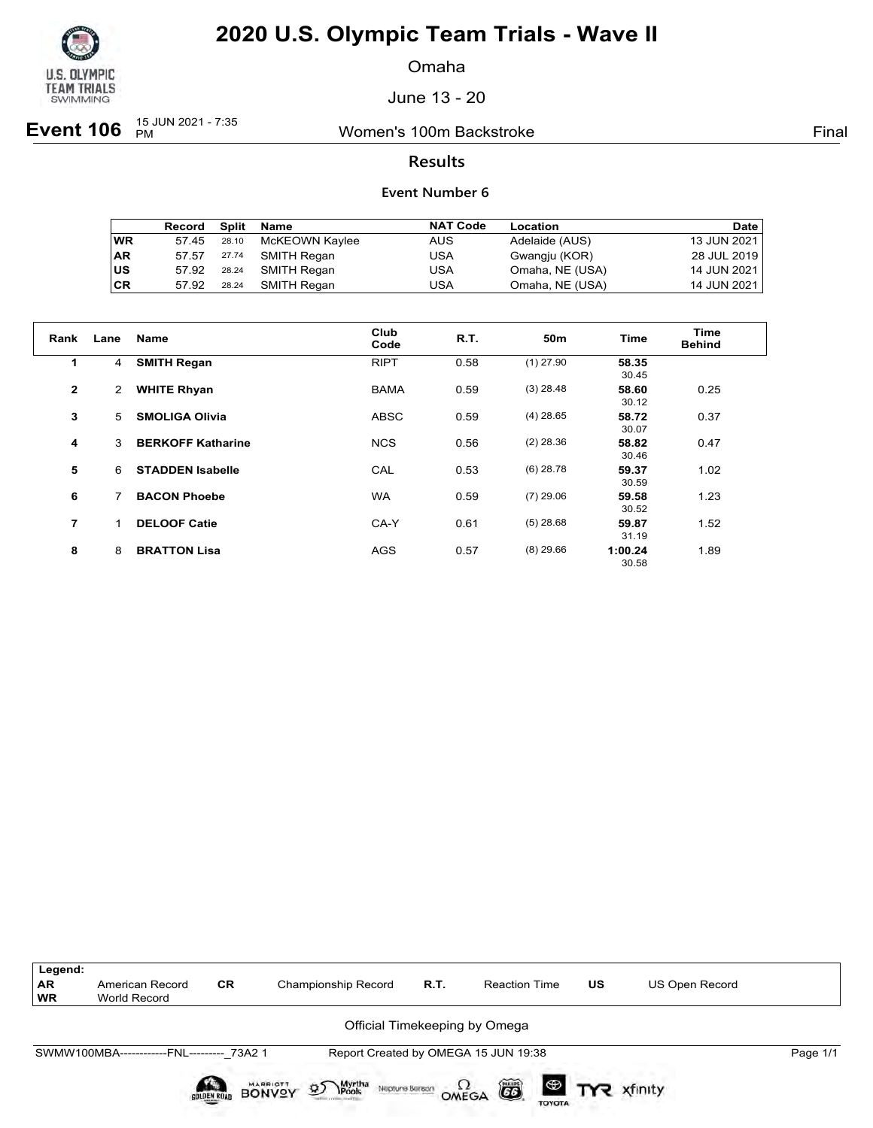

Omaha

June 13 - 20

**Event 106**  $_{PM}^{15 \text{ JUN } 2021 - 7:35}$ 

Women's 100m Backstroke **Final** 

### **Results**

|           | Record | Split | Name           | <b>NAT Code</b> | Location        | Date        |
|-----------|--------|-------|----------------|-----------------|-----------------|-------------|
| <b>WR</b> | 57.45  | 28.10 | McKEOWN Kaylee | <b>AUS</b>      | Adelaide (AUS)  | 13 JUN 2021 |
| <b>AR</b> | 57.57  | 27.74 | SMITH Regan    | USA             | Gwangju (KOR)   | 28 JUL 2019 |
| US        | 57.92  | 28.24 | SMITH Regan    | USA             | Omaha, NE (USA) | 14 JUN 2021 |
| <b>CR</b> | 57.92  | 28.24 | SMITH Regan    | USA             | Omaha, NE (USA) | 14 JUN 2021 |

| Rank           | Lane | <b>Name</b>              | Club<br>Code | R.T. | 50 <sub>m</sub> | <b>Time</b>      | Time<br><b>Behind</b> |
|----------------|------|--------------------------|--------------|------|-----------------|------------------|-----------------------|
| 1              | 4    | <b>SMITH Regan</b>       | <b>RIPT</b>  | 0.58 | $(1)$ 27.90     | 58.35<br>30.45   |                       |
| $\overline{2}$ | 2    | <b>WHITE Rhyan</b>       | <b>BAMA</b>  | 0.59 | $(3)$ 28.48     | 58.60<br>30.12   | 0.25                  |
| 3              | 5    | <b>SMOLIGA Olivia</b>    | <b>ABSC</b>  | 0.59 | $(4)$ 28.65     | 58.72<br>30.07   | 0.37                  |
| 4              | 3    | <b>BERKOFF Katharine</b> | <b>NCS</b>   | 0.56 | $(2)$ 28.36     | 58.82<br>30.46   | 0.47                  |
| 5              | 6    | <b>STADDEN Isabelle</b>  | CAL          | 0.53 | $(6)$ 28.78     | 59.37<br>30.59   | 1.02                  |
| 6              | 7    | <b>BACON Phoebe</b>      | <b>WA</b>    | 0.59 | $(7)$ 29.06     | 59.58<br>30.52   | 1.23                  |
| 7              | 1    | <b>DELOOF Catie</b>      | CA-Y         | 0.61 | $(5)$ 28.68     | 59.87<br>31.19   | 1.52                  |
| 8              | 8    | <b>BRATTON Lisa</b>      | <b>AGS</b>   | 0.57 | $(8)$ 29.66     | 1:00.24<br>30.58 | 1.89                  |

| Legend:<br><b>AR</b><br><b>WR</b> | American Record<br>World Record           | <b>CR</b>   | Championship Record                                                  | R.T. | <b>Reaction Time</b>                 | <b>US</b> | <b>US Open Record</b> |          |
|-----------------------------------|-------------------------------------------|-------------|----------------------------------------------------------------------|------|--------------------------------------|-----------|-----------------------|----------|
| Official Timekeeping by Omega     |                                           |             |                                                                      |      |                                      |           |                       |          |
|                                   | SWMW100MBA------------FNL--------- 73A2 1 |             |                                                                      |      | Report Created by OMEGA 15 JUN 19:38 |           |                       | Page 1/1 |
|                                   |                                           | SOLDEN ROAD | Myrtha<br>Pools<br><b>BONVOY</b><br>$\mathfrak{D}$<br>Neptune Beraon |      | ã<br>OMEGA<br><b>TOYOTA</b>          |           |                       |          |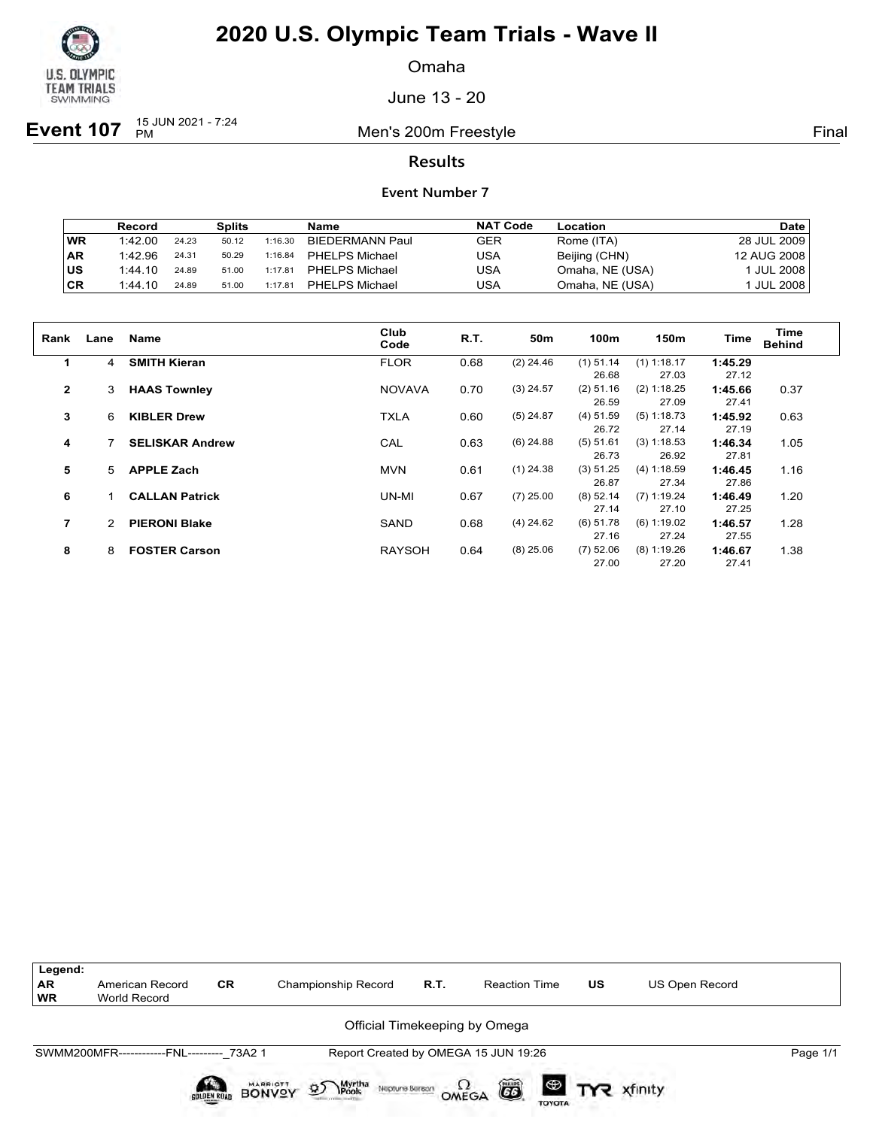

Omaha

June 13 - 20

**Event 107** <sup>15 JUN 2021 - 7:24</sup>

Men's 200m Freestyle **Final** 

### **Results**

|     | Record  |       | Splits |         | Name                   | <b>NAT Code</b> | Location        | <b>Date</b>     |
|-----|---------|-------|--------|---------|------------------------|-----------------|-----------------|-----------------|
| WR  | 1:42.00 | 24.23 | 50.12  | 1:16.30 | <b>BIEDERMANN Paul</b> | GER             | Rome (ITA)      | 28 JUL 2009     |
| AR  | 1:42.96 | 24.31 | 50.29  | 1:16.84 | PHELPS Michael         | USA             | Beijing (CHN)   | 12 AUG 2008     |
| lus | 1:44.10 | 24.89 | 51.00  | 1:17.81 | <b>PHELPS Michael</b>  | USA             | Omaha, NE (USA) | JUL 2008        |
| ∣CR | 1:44.10 | 24.89 | 51.00  | 1:17.81 | <b>PHELPS Michael</b>  | USA             | Omaha, NE (USA) | <b>JUL 2008</b> |

| Rank         | Lane | <b>Name</b>            | Club<br>Code  | R.T. | 50 <sub>m</sub> | 100m        | 150m          | <b>Time</b> | Time<br><b>Behind</b> |
|--------------|------|------------------------|---------------|------|-----------------|-------------|---------------|-------------|-----------------------|
| 1            | 4    | <b>SMITH Kieran</b>    | <b>FLOR</b>   | 0.68 | $(2)$ 24.46     | $(1)$ 51.14 | $(1)$ 1:18.17 | 1:45.29     |                       |
|              |      |                        |               |      |                 | 26.68       | 27.03         | 27.12       |                       |
| $\mathbf{2}$ | 3    | <b>HAAS Townley</b>    | <b>NOVAVA</b> | 0.70 | $(3)$ 24.57     | $(2)$ 51.16 | (2) 1:18.25   | 1:45.66     | 0.37                  |
|              |      |                        |               |      |                 | 26.59       | 27.09         | 27.41       |                       |
| 3            | 6    | <b>KIBLER Drew</b>     | <b>TXLA</b>   | 0.60 | $(5)$ 24.87     | $(4)$ 51.59 | $(5)$ 1:18.73 | 1:45.92     | 0.63                  |
|              |      |                        |               |      |                 | 26.72       | 27.14         | 27.19       |                       |
| 4            |      | <b>SELISKAR Andrew</b> | CAL           | 0.63 | $(6)$ 24.88     | (5) 51.61   | (3) 1:18.53   | 1:46.34     | 1.05                  |
|              |      |                        |               |      |                 | 26.73       | 26.92         | 27.81       |                       |
| 5            | 5.   | <b>APPLE Zach</b>      | <b>MVN</b>    | 0.61 | $(1)$ 24.38     | $(3)$ 51.25 | (4) 1:18.59   | 1:46.45     | 1.16                  |
|              |      |                        |               |      |                 | 26.87       | 27.34         | 27.86       |                       |
| 6            |      | <b>CALLAN Patrick</b>  | UN-MI         | 0.67 | $(7)$ 25.00     | $(8)$ 52.14 | $(7)$ 1:19.24 | 1:46.49     | 1.20                  |
|              |      |                        |               |      |                 | 27.14       | 27.10         | 27.25       |                       |
| 7            | 2.   | <b>PIERONI Blake</b>   | SAND          | 0.68 | $(4)$ 24.62     | $(6)$ 51.78 | $(6)$ 1:19.02 | 1:46.57     | 1.28                  |
|              |      |                        |               |      |                 | 27.16       | 27.24         | 27.55       |                       |
| 8            | 8    | <b>FOSTER Carson</b>   | <b>RAYSOH</b> | 0.64 | $(8)$ 25.06     | $(7)$ 52.06 | $(8)$ 1:19.26 | 1:46.67     | 1.38                  |
|              |      |                        |               |      |                 | 27.00       | 27.20         | 27.41       |                       |

| Legend:<br><b>AR</b><br><b>WR</b> | American Record<br><b>World Record</b>    | <b>CR</b>          | Championship Record                                     | R.T. | <b>Reaction Time</b>                         | <b>US</b> | <b>US Open Record</b>    |          |
|-----------------------------------|-------------------------------------------|--------------------|---------------------------------------------------------|------|----------------------------------------------|-----------|--------------------------|----------|
|                                   |                                           |                    |                                                         |      | Official Timekeeping by Omega                |           |                          |          |
|                                   | SWMM200MFR------------FNL--------- 73A2 1 |                    |                                                         |      | Report Created by OMEGA 15 JUN 19:26         |           |                          | Page 1/1 |
|                                   |                                           | <b>SOLDEN ROAD</b> | <b>BONVOY</b><br>Myrtha<br>Pools<br>D<br>Neptune Berson |      | ã<br>$\Omega_{\text{MEGA}}$<br><b>TOYOTA</b> |           | <sup>®</sup> TYR xfinity |          |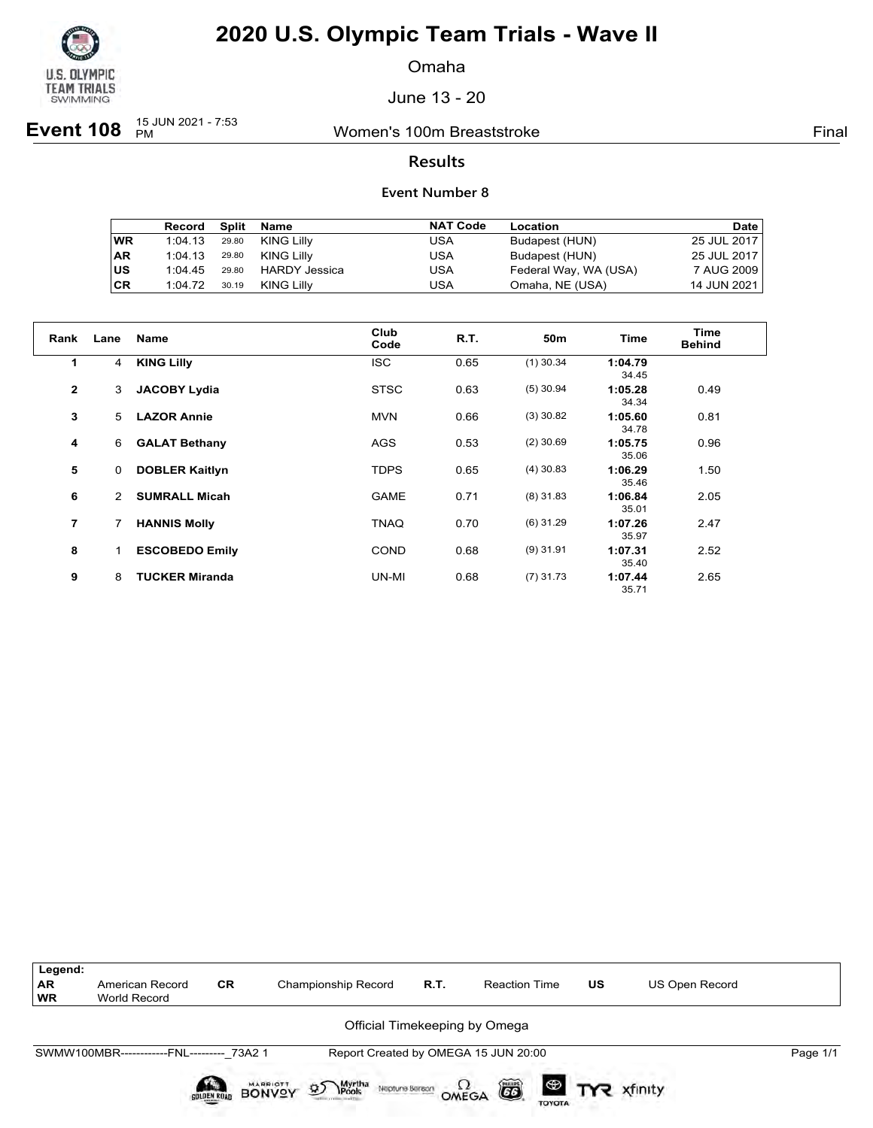

Omaha

June 13 - 20

**Event 108** <sup>15 JUN 2021 - 7:53</sup>

Women's 100m Breaststroke Final

### **Results**

|           | Record  | Split | Name                 | <b>NAT Code</b> | Location              | <b>Date</b> |
|-----------|---------|-------|----------------------|-----------------|-----------------------|-------------|
| ∣WR       | 1:04.13 | 29.80 | KING Lilly           | USA             | Budapest (HUN)        | 25 JUL 2017 |
| ∣AR       | 1:04.13 | 29.80 | KING Lilly           | USA             | Budapest (HUN)        | 25 JUL 2017 |
| <b>US</b> | 1:04.45 | 29.80 | <b>HARDY Jessica</b> | USA             | Federal Way, WA (USA) | 7 AUG 2009  |
| <b>CR</b> | 1:04.72 | 30.19 | KING Lilly           | USA             | Omaha, NE (USA)       | 14 JUN 2021 |

| Rank           | Lane           | Name                  | Club<br>Code | R.T. | 50 <sub>m</sub> | <b>Time</b>      | Time<br><b>Behind</b> |
|----------------|----------------|-----------------------|--------------|------|-----------------|------------------|-----------------------|
| $\mathbf 1$    | 4              | <b>KING Lilly</b>     | <b>ISC</b>   | 0.65 | $(1)$ 30.34     | 1:04.79<br>34.45 |                       |
| $\overline{2}$ | 3              | <b>JACOBY Lydia</b>   | <b>STSC</b>  | 0.63 | $(5)$ 30.94     | 1:05.28<br>34.34 | 0.49                  |
| 3              | 5              | <b>LAZOR Annie</b>    | <b>MVN</b>   | 0.66 | $(3)$ 30.82     | 1:05.60<br>34.78 | 0.81                  |
| 4              | 6              | <b>GALAT Bethany</b>  | <b>AGS</b>   | 0.53 | $(2)$ 30.69     | 1:05.75<br>35.06 | 0.96                  |
| 5              | 0              | <b>DOBLER Kaitlyn</b> | <b>TDPS</b>  | 0.65 | $(4)$ 30.83     | 1:06.29<br>35.46 | 1.50                  |
| 6              | $\overline{2}$ | <b>SUMRALL Micah</b>  | <b>GAME</b>  | 0.71 | $(8)$ 31.83     | 1:06.84<br>35.01 | 2.05                  |
| $\overline{7}$ | 7              | <b>HANNIS Molly</b>   | TNAQ         | 0.70 | $(6)$ 31.29     | 1:07.26<br>35.97 | 2.47                  |
| 8              | 1              | <b>ESCOBEDO Emily</b> | <b>COND</b>  | 0.68 | $(9)$ 31.91     | 1:07.31<br>35.40 | 2.52                  |
| 9              | 8              | <b>TUCKER Miranda</b> | UN-MI        | 0.68 | $(7)$ 31.73     | 1:07.44<br>35.71 | 2.65                  |

| Legend:<br>AR<br><b>WR</b> | American Record<br>World Record           | <b>CR</b>   | Championship Record                                          | <b>R.T.</b> | <b>Reaction Time</b>                 | US | US Open Record        |          |
|----------------------------|-------------------------------------------|-------------|--------------------------------------------------------------|-------------|--------------------------------------|----|-----------------------|----------|
|                            |                                           |             |                                                              |             | Official Timekeeping by Omega        |    |                       |          |
|                            | SWMW100MBR------------FNL--------- 73A2 1 |             |                                                              |             | Report Created by OMEGA 15 JUN 20:00 |    |                       | Page 1/1 |
|                            |                                           | SOLDEN ROAD | Myrtha<br>Pools<br>BONVOY<br>$\mathcal{D}$<br>Neptune Beraon |             | ã<br>OMEGA<br><b>TOYOTA</b>          |    | <b>ED TYR</b> xfinity |          |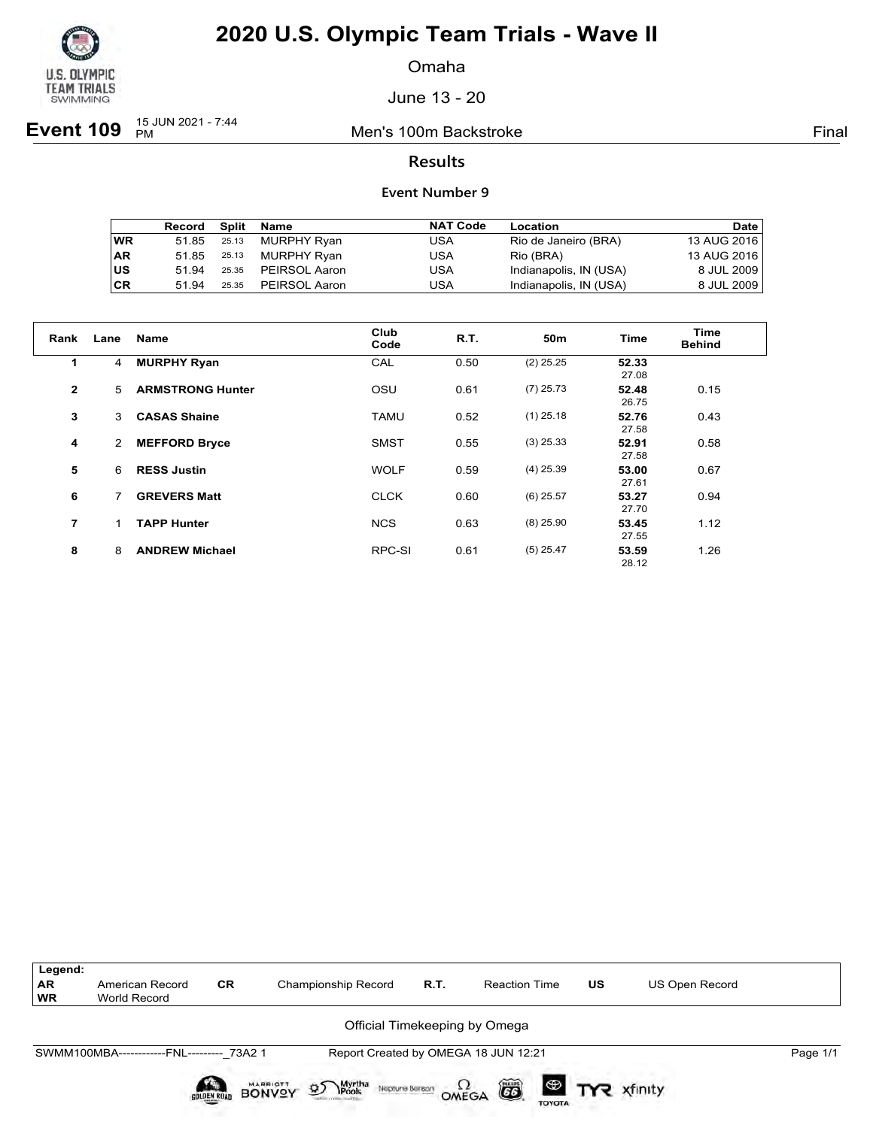

Omaha

June 13 - 20

**Event 109** <sup>15 JUN 2021 - 7:44</sup>

Men's 100m Backstroke **Final** 

### **Results**

|           | Record | Split | Name          | <b>NAT Code</b> | Location               | Date        |
|-----------|--------|-------|---------------|-----------------|------------------------|-------------|
| <b>WR</b> | 51.85  | 25.13 | MURPHY Ryan   | USA             | Rio de Janeiro (BRA)   | 13 AUG 2016 |
| <b>AR</b> | 51.85  | 25.13 | MURPHY Ryan   | USA             | Rio (BRA)              | 13 AUG 2016 |
| <b>US</b> | 51 94  | 25.35 | PEIRSOL Aaron | USA             | Indianapolis, IN (USA) | 8 JUL 2009  |
| <b>CR</b> | 51 94  | 25.35 | PEIRSOL Aaron | USA             | Indianapolis, IN (USA) | 8 JUL 2009  |

| Rank           | Lane | <b>Name</b>             | Club<br>Code | <b>R.T.</b> | 50m         | <b>Time</b>    | Time<br><b>Behind</b> |
|----------------|------|-------------------------|--------------|-------------|-------------|----------------|-----------------------|
| 1              | 4    | <b>MURPHY Ryan</b>      | CAL          | 0.50        | $(2)$ 25.25 | 52.33<br>27.08 |                       |
| $\overline{2}$ | 5    | <b>ARMSTRONG Hunter</b> | OSU          | 0.61        | $(7)$ 25.73 | 52.48<br>26.75 | 0.15                  |
| 3              | 3    | <b>CASAS Shaine</b>     | <b>TAMU</b>  | 0.52        | $(1)$ 25.18 | 52.76<br>27.58 | 0.43                  |
| 4              | 2    | <b>MEFFORD Bryce</b>    | <b>SMST</b>  | 0.55        | $(3)$ 25.33 | 52.91<br>27.58 | 0.58                  |
| 5              | 6    | <b>RESS Justin</b>      | <b>WOLF</b>  | 0.59        | $(4)$ 25.39 | 53.00<br>27.61 | 0.67                  |
| 6              | 7    | <b>GREVERS Matt</b>     | <b>CLCK</b>  | 0.60        | $(6)$ 25.57 | 53.27<br>27.70 | 0.94                  |
| $\overline{7}$ |      | <b>TAPP Hunter</b>      | <b>NCS</b>   | 0.63        | $(8)$ 25.90 | 53.45<br>27.55 | 1.12                  |
| 8              | 8    | <b>ANDREW Michael</b>   | RPC-SI       | 0.61        | $(5)$ 25.47 | 53.59<br>28.12 | 1.26                  |

| Legend:<br><b>AR</b><br><b>WR</b> | American Record<br>World Record           | <b>CR</b> | Championship Record                                 | R.T. | <b>Reaction Time</b>                 | <b>US</b> | <b>US Open Record</b> |          |
|-----------------------------------|-------------------------------------------|-----------|-----------------------------------------------------|------|--------------------------------------|-----------|-----------------------|----------|
|                                   |                                           |           |                                                     |      | Official Timekeeping by Omega        |           |                       |          |
|                                   | SWMM100MBA------------FNL--------- 73A2 1 |           |                                                     |      | Report Created by OMEGA 18 JUN 12:21 |           |                       | Page 1/1 |
|                                   |                                           | BONYSY    | Myrtha<br>Pools<br>$\mathfrak{D}$<br>Neptune Beraon |      | ã<br>OMEGA<br><b>TOYOTA</b>          |           |                       |          |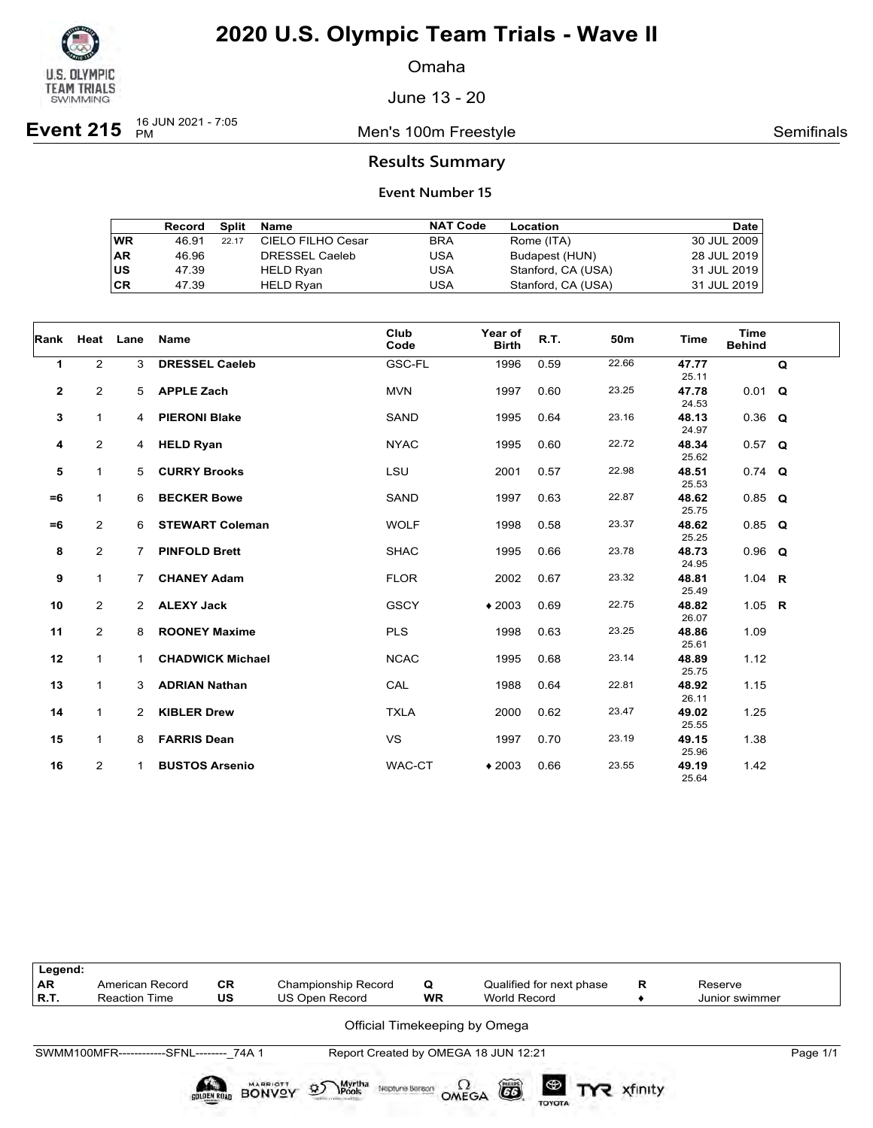

Omaha

June 13 - 20

**Event 215** 16 JUN 2021 - 7:05

Men's 100m Freestyle **Semifinals** Semifinals

### **Results Summary**

|    | Record | Split | Name              | <b>NAT Code</b> | Location           | Date        |
|----|--------|-------|-------------------|-----------------|--------------------|-------------|
| WR | 46.91  | 22.17 | CIELO FILHO Cesar | <b>BRA</b>      | Rome (ITA)         | 30 JUL 2009 |
| AR | 46.96  |       | DRESSEL Caeleb    | USA             | Budapest (HUN)     | 28 JUL 2019 |
| US | 47.39  |       | HELD Ryan         | USA             | Stanford, CA (USA) | 31 JUL 2019 |
| СR | 47.39  |       | <b>HELD Rvan</b>  | USA             | Stanford, CA (USA) | 31 JUL 2019 |

| Rank         | Heat Lane      |                | Name                    | Club<br>Code | Year of<br><b>Birth</b> | R.T. | 50m   | <b>Time</b>    | <b>Time</b><br><b>Behind</b> |   |
|--------------|----------------|----------------|-------------------------|--------------|-------------------------|------|-------|----------------|------------------------------|---|
| 1            | $\overline{2}$ | 3              | <b>DRESSEL Caeleb</b>   | GSC-FL       | 1996                    | 0.59 | 22.66 | 47.77<br>25.11 |                              | Q |
| $\mathbf{2}$ | $\overline{2}$ | 5              | <b>APPLE Zach</b>       | <b>MVN</b>   | 1997                    | 0.60 | 23.25 | 47.78<br>24.53 | $0.01$ Q                     |   |
| 3            | $\mathbf{1}$   | 4              | <b>PIERONI Blake</b>    | SAND         | 1995                    | 0.64 | 23.16 | 48.13<br>24.97 | $0.36$ Q                     |   |
| 4            | $\overline{2}$ | $\overline{4}$ | <b>HELD Ryan</b>        | <b>NYAC</b>  | 1995                    | 0.60 | 22.72 | 48.34<br>25.62 | $0.57$ Q                     |   |
| 5            | $\mathbf{1}$   | 5              | <b>CURRY Brooks</b>     | <b>LSU</b>   | 2001                    | 0.57 | 22.98 | 48.51<br>25.53 | $0.74$ Q                     |   |
| $=6$         | $\mathbf{1}$   | 6              | <b>BECKER Bowe</b>      | SAND         | 1997                    | 0.63 | 22.87 | 48.62<br>25.75 | $0.85$ Q                     |   |
| $=6$         | $\overline{2}$ | 6              | <b>STEWART Coleman</b>  | <b>WOLF</b>  | 1998                    | 0.58 | 23.37 | 48.62<br>25.25 | $0.85$ Q                     |   |
| 8            | $\overline{2}$ | $\overline{7}$ | <b>PINFOLD Brett</b>    | <b>SHAC</b>  | 1995                    | 0.66 | 23.78 | 48.73<br>24.95 | $0.96$ Q                     |   |
| 9            | 1              | $\overline{7}$ | <b>CHANEY Adam</b>      | <b>FLOR</b>  | 2002                    | 0.67 | 23.32 | 48.81<br>25.49 | 1.04 <b>R</b>                |   |
| 10           | $\overline{2}$ | $\overline{2}$ | <b>ALEXY Jack</b>       | <b>GSCY</b>  | $*2003$                 | 0.69 | 22.75 | 48.82<br>26.07 | 1.05 $R$                     |   |
| 11           | $\overline{2}$ | 8              | <b>ROONEY Maxime</b>    | <b>PLS</b>   | 1998                    | 0.63 | 23.25 | 48.86<br>25.61 | 1.09                         |   |
| 12           | $\mathbf{1}$   | 1              | <b>CHADWICK Michael</b> | <b>NCAC</b>  | 1995                    | 0.68 | 23.14 | 48.89<br>25.75 | 1.12                         |   |
| 13           | $\mathbf{1}$   | 3              | <b>ADRIAN Nathan</b>    | CAL          | 1988                    | 0.64 | 22.81 | 48.92<br>26.11 | 1.15                         |   |
| 14           | $\mathbf{1}$   | $\overline{2}$ | <b>KIBLER Drew</b>      | <b>TXLA</b>  | 2000                    | 0.62 | 23.47 | 49.02<br>25.55 | 1.25                         |   |
| 15           | $\mathbf{1}$   | 8              | <b>FARRIS Dean</b>      | <b>VS</b>    | 1997                    | 0.70 | 23.19 | 49.15<br>25.96 | 1.38                         |   |
| 16           | $\overline{2}$ | $\mathbf{1}$   | <b>BUSTOS Arsenio</b>   | WAC-CT       | $*2003$                 | 0.66 | 23.55 | 49.19<br>25.64 | 1.42                         |   |

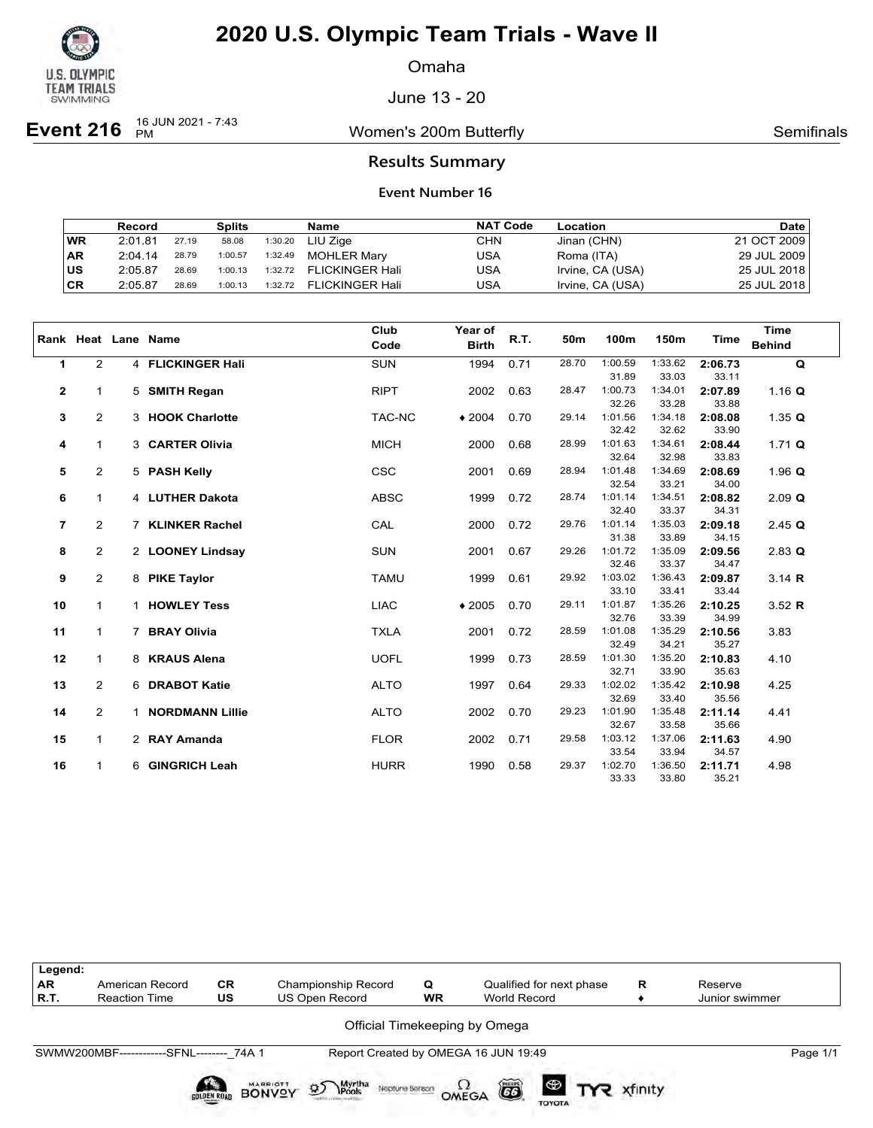

Omaha

June 13 - 20

**Event 216** <sup>16 JUN 2021 - 7:43</sup>

Women's 200m Butterfly **Semifinals** Semifinals

### **Results Summary**

|           | Record  |       | <b>Splits</b> |         | Name                    | <b>NAT Code</b> | Location         | <b>Date</b> |
|-----------|---------|-------|---------------|---------|-------------------------|-----------------|------------------|-------------|
| <b>WR</b> | 2:01.81 | 27.19 | 58.08         |         | 1:30.20 LIU Zige        | CHN             | Jinan (CHN)      | 21 OCT 2009 |
| ∣AR       | 2:04.14 | 28.79 | 1:00.57       | 1:32.49 | <b>MOHLER Marv</b>      | USA             | Roma (ITA)       | 29 JUL 2009 |
| ∣us       | 2:05.87 | 28.69 | 1:00.13       |         | 1:32.72 FLICKINGER Hali | USA             | Irvine, CA (USA) | 25 JUL 2018 |
| CR        | 2:05.87 | 28.69 | 1:00.13       |         | 1:32.72 FLICKINGER Hali | USA             | Irvine, CA (USA) | 25 JUL 2018 |

|                |                |                | Rank Heat Lane Name    | Club<br>Code | Year of<br><b>Birth</b> | R.T. | 50m   | 100m             | 150m             | Time             | <b>Time</b><br><b>Behind</b> |
|----------------|----------------|----------------|------------------------|--------------|-------------------------|------|-------|------------------|------------------|------------------|------------------------------|
|                |                |                |                        |              |                         |      |       |                  |                  |                  |                              |
| $\mathbf{1}$   | $\overline{2}$ |                | 4 FLICKINGER Hali      | <b>SUN</b>   | 1994                    | 0.71 | 28.70 | 1:00.59          | 1:33.62          | 2:06.73          | $\mathbf Q$                  |
|                |                |                |                        |              |                         |      |       | 31.89            | 33.03            | 33.11            |                              |
| 2              | 1              |                | 5 SMITH Regan          | <b>RIPT</b>  | 2002                    | 0.63 | 28.47 | 1:00.73<br>32.26 | 1:34.01<br>33.28 | 2:07.89<br>33.88 | 1.16 $Q$                     |
| 3              | $\overline{2}$ |                | 3 HOOK Charlotte       | TAC-NC       | $*2004$                 | 0.70 | 29.14 | 1:01.56          | 1:34.18          | 2:08.08          | 1.35 $Q$                     |
|                |                |                |                        |              |                         |      |       | 32.42            | 32.62            | 33.90            |                              |
| 4              | $\mathbf{1}$   |                | 3 CARTER Olivia        | <b>MICH</b>  | 2000                    | 0.68 | 28.99 | 1:01.63          | 1:34.61          | 2:08.44          | 1.71 $Q$                     |
|                |                |                |                        |              |                         |      |       | 32.64            | 32.98            | 33.83            |                              |
| 5              | $\overline{2}$ |                | 5 PASH Kelly           | <b>CSC</b>   | 2001                    | 0.69 | 28.94 | 1:01.48          | 1:34.69          | 2:08.69          | 1.96 $Q$                     |
|                |                |                |                        |              |                         |      |       | 32.54            | 33.21            | 34.00            |                              |
| 6              | 1              |                | 4 LUTHER Dakota        | <b>ABSC</b>  | 1999                    | 0.72 | 28.74 | 1:01.14          | 1:34.51          | 2:08.82          | $2.09$ Q                     |
|                |                |                |                        |              |                         |      |       | 32.40            | 33.37            | 34.31            |                              |
| $\overline{7}$ | 2              |                | 7 KLINKER Rachel       | CAL          | 2000                    | 0.72 | 29.76 | 1:01.14          | 1:35.03          | 2:09.18          | $2.45$ Q                     |
|                |                |                |                        |              |                         |      |       | 31.38            | 33.89            | 34.15            |                              |
| 8              | 2              |                | 2 LOONEY Lindsay       | <b>SUN</b>   | 2001                    | 0.67 | 29.26 | 1:01.72          | 1:35.09          | 2:09.56          | $2.83$ Q                     |
|                |                |                |                        |              |                         |      |       | 32.46            | 33.37            | 34.47            |                              |
| 9              | 2              |                | 8 PIKE Taylor          | <b>TAMU</b>  | 1999                    | 0.61 | 29.92 | 1:03.02          | 1:36.43          | 2:09.87          | $3.14$ R                     |
|                |                |                |                        |              |                         |      |       | 33.10            | 33.41            | 33.44            |                              |
| 10             | $\mathbf{1}$   | $\mathbf{1}$   | <b>HOWLEY Tess</b>     | <b>LIAC</b>  | $*2005$                 | 0.70 | 29.11 | 1:01.87          | 1:35.26          | 2:10.25          | $3.52$ R                     |
|                |                |                |                        |              |                         |      |       | 32.76            | 33.39            | 34.99            |                              |
| 11             | $\mathbf{1}$   | $\overline{7}$ | <b>BRAY Olivia</b>     | <b>TXLA</b>  | 2001                    | 0.72 | 28.59 | 1:01.08<br>32.49 | 1:35.29<br>34.21 | 2:10.56<br>35.27 | 3.83                         |
| 12             | $\mathbf{1}$   |                | 8 KRAUS Alena          | <b>UOFL</b>  | 1999                    | 0.73 | 28.59 | 1:01.30          | 1:35.20          | 2:10.83          | 4.10                         |
|                |                |                |                        |              |                         |      |       | 32.71            | 33.90            | 35.63            |                              |
| 13             | $\overline{2}$ |                | 6 DRABOT Katie         | <b>ALTO</b>  | 1997                    | 0.64 | 29.33 | 1:02.02          | 1:35.42          | 2:10.98          | 4.25                         |
|                |                |                |                        |              |                         |      |       | 32.69            | 33.40            | 35.56            |                              |
| 14             | $\overline{2}$ | 1              | <b>NORDMANN Lillie</b> | <b>ALTO</b>  | 2002                    | 0.70 | 29.23 | 1:01.90          | 1:35.48          | 2:11.14          | 4.41                         |
|                |                |                |                        |              |                         |      |       | 32.67            | 33.58            | 35.66            |                              |
| 15             | $\mathbf{1}$   |                | 2 RAY Amanda           | <b>FLOR</b>  | 2002                    | 0.71 | 29.58 | 1:03.12          | 1:37.06          | 2:11.63          | 4.90                         |
|                |                |                |                        |              |                         |      |       | 33.54            | 33.94            | 34.57            |                              |
| 16             | $\mathbf{1}$   | 6              | <b>GINGRICH Leah</b>   | <b>HURR</b>  | 1990                    | 0.58 | 29.37 | 1:02.70          | 1:36.50          | 2:11.71          | 4.98                         |
|                |                |                |                        |              |                         |      |       | 33.33            | 33.80            | 35.21            |                              |

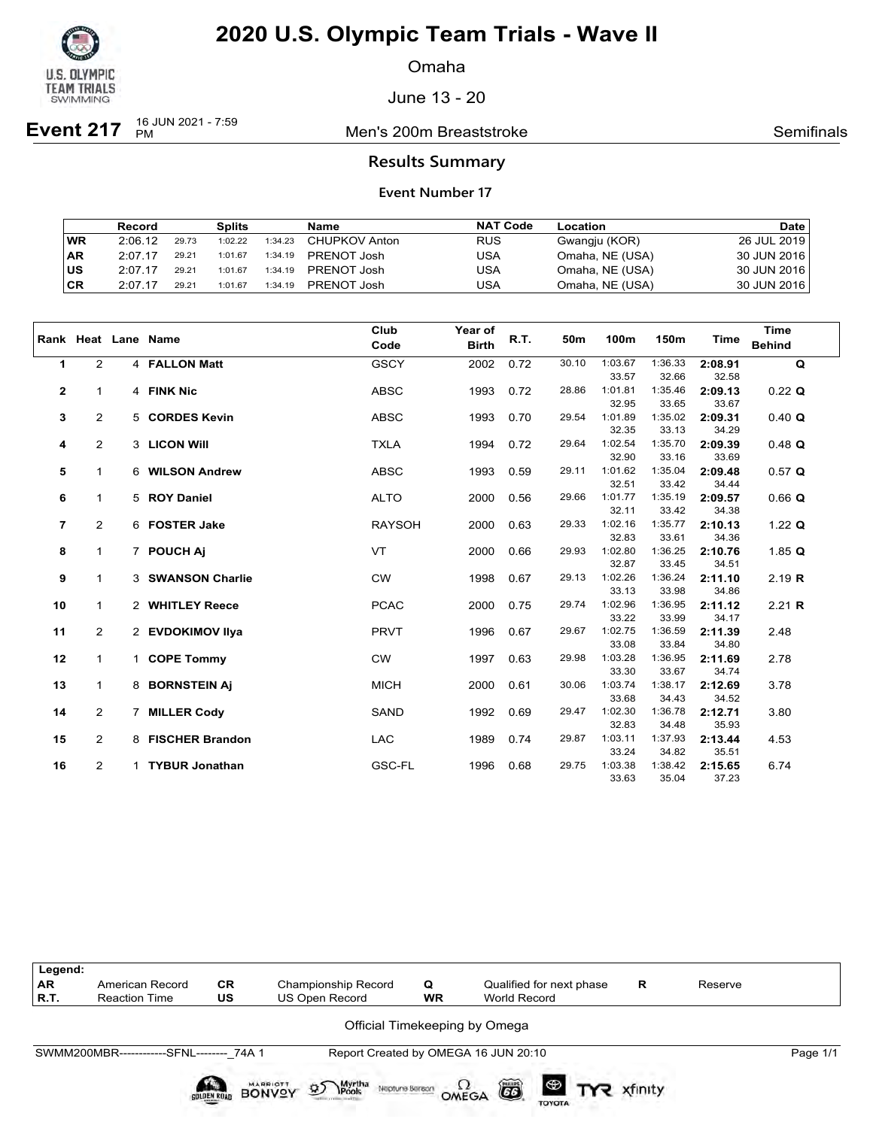

Omaha

June 13 - 20

**Event 217** 16 JUN 2021 - 7:59

**Men's 200m Breaststroke Semifinals** Semifinals

### **Results Summary**

|           | Record  |       | <b>Splits</b> |         | Name          | <b>NAT Code</b> | Location        | <b>Date</b>   |
|-----------|---------|-------|---------------|---------|---------------|-----------------|-----------------|---------------|
| <b>WR</b> | 2:06.12 | 29.73 | 1:02.22       | 1:34.23 | CHUPKOV Anton | <b>RUS</b>      | Gwangju (KOR)   | 26 JUL 2019   |
| ∣AR       | 2:07.17 | 29.21 | 1:01.67       | 1:34.19 | PRENOT Josh   | USA             | Omaha, NE (USA) | 30 JUN 2016   |
| ∣us       | 2:07.17 | 29.21 | 1:01.67       | 1:34.19 | PRENOT Josh   | USA             | Omaha, NE (USA) | 30 JUN 2016 L |
| ∣CR       | 2:07.17 | 29.21 | 1:01.67       | 1:34.19 | PRENOT Josh   | USA             | Omaha, NE (USA) | 30 JUN 2016   |

|                |                |             | Rank Heat Lane Name   | Club<br>Code  | Year of<br><b>Birth</b> | R.T. | 50m   | 100m             | 150m             | <b>Time</b>      | <b>Time</b><br><b>Behind</b> |
|----------------|----------------|-------------|-----------------------|---------------|-------------------------|------|-------|------------------|------------------|------------------|------------------------------|
| 1              | $\overline{2}$ |             | 4 FALLON Matt         | <b>GSCY</b>   | 2002                    | 0.72 | 30.10 | 1:03.67          | 1:36.33          | 2:08.91          | $\mathbf Q$                  |
|                |                |             |                       |               |                         |      |       | 33.57            | 32.66            | 32.58            |                              |
| 2              | $\mathbf{1}$   |             | 4 FINK Nic            | <b>ABSC</b>   | 1993                    | 0.72 | 28.86 | 1:01.81          | 1:35.46          | 2:09.13          | $0.22$ Q                     |
|                |                |             |                       |               |                         |      |       | 32.95            | 33.65            | 33.67            |                              |
| 3              | $\overline{2}$ |             | 5 CORDES Kevin        | <b>ABSC</b>   | 1993                    | 0.70 | 29.54 | 1:01.89          | 1:35.02          | 2:09.31          | 0.40 Q                       |
|                |                |             |                       |               |                         |      |       | 32.35            | 33.13            | 34.29            |                              |
| 4              | $\overline{2}$ |             | 3 LICON Will          | <b>TXLA</b>   | 1994                    | 0.72 | 29.64 | 1:02.54          | 1:35.70          | 2:09.39          | $0.48$ Q                     |
|                |                |             |                       |               |                         |      |       | 32.90            | 33.16            | 33.69            |                              |
| 5              | $\mathbf{1}$   |             | 6 WILSON Andrew       | <b>ABSC</b>   | 1993                    | 0.59 | 29.11 | 1:01.62          | 1:35.04          | 2:09.48          | 0.57 Q                       |
|                |                |             |                       |               |                         |      |       | 32.51            | 33.42            | 34.44            |                              |
| 6              | 1              |             | 5 ROY Daniel          | <b>ALTO</b>   | 2000                    | 0.56 | 29.66 | 1:01.77          | 1:35.19          | 2:09.57          | $0.66$ Q                     |
|                |                |             |                       |               |                         |      |       | 32.11            | 33.42            | 34.38            |                              |
| $\overline{7}$ | $\overline{2}$ |             | 6 FOSTER Jake         | <b>RAYSOH</b> | 2000                    | 0.63 | 29.33 | 1:02.16<br>32.83 | 1:35.77<br>33.61 | 2:10.13<br>34.36 | 1.22 $Q$                     |
| 8              | $\mathbf{1}$   |             | 7 POUCH AI            | <b>VT</b>     | 2000                    | 0.66 | 29.93 | 1:02.80          | 1:36.25          | 2:10.76          | 1.85 $Q$                     |
|                |                |             |                       |               |                         |      |       | 32.87            | 33.45            | 34.51            |                              |
| 9              | $\mathbf{1}$   |             | 3 SWANSON Charlie     | <b>CW</b>     | 1998                    | 0.67 | 29.13 | 1:02.26          | 1:36.24          | 2:11.10          | 2.19 R                       |
|                |                |             |                       |               |                         |      |       | 33.13            | 33.98            | 34.86            |                              |
| 10             | $\mathbf{1}$   |             | 2 WHITLEY Reece       | <b>PCAC</b>   | 2000                    | 0.75 | 29.74 | 1:02.96          | 1:36.95          | 2:11.12          | 2.21 R                       |
|                |                |             |                       |               |                         |      |       | 33.22            | 33.99            | 34.17            |                              |
| 11             | $\overline{2}$ |             | 2 EVDOKIMOV IIya      | <b>PRVT</b>   | 1996                    | 0.67 | 29.67 | 1:02.75          | 1:36.59          | 2:11.39          | 2.48                         |
|                |                |             |                       |               |                         |      |       | 33.08            | 33.84            | 34.80            |                              |
| 12             | $\mathbf{1}$   |             | 1 COPE Tommy          | <b>CW</b>     | 1997                    | 0.63 | 29.98 | 1:03.28          | 1:36.95          | 2:11.69          | 2.78                         |
|                |                |             |                       |               |                         |      |       | 33.30            | 33.67            | 34.74            |                              |
| 13             | 1              |             | 8 BORNSTEIN Aj        | <b>MICH</b>   | 2000                    | 0.61 | 30.06 | 1:03.74          | 1:38.17          | 2:12.69          | 3.78                         |
|                |                |             |                       |               |                         |      |       | 33.68            | 34.43            | 34.52            |                              |
| 14             | 2              | $7^{\circ}$ | <b>MILLER Cody</b>    | <b>SAND</b>   | 1992                    | 0.69 | 29.47 | 1:02.30          | 1:36.78          | 2:12.71          | 3.80                         |
|                |                |             |                       |               |                         |      |       | 32.83            | 34.48            | 35.93            |                              |
| 15             | $\overline{2}$ |             | 8 FISCHER Brandon     | <b>LAC</b>    | 1989                    | 0.74 | 29.87 | 1:03.11          | 1:37.93          | 2:13.44          | 4.53                         |
|                |                |             |                       |               |                         |      |       | 33.24            | 34.82            | 35.51            |                              |
| 16             | $\overline{2}$ | 1           | <b>TYBUR Jonathan</b> | GSC-FL        | 1996                    | 0.68 | 29.75 | 1:03.38          | 1:38.42          | 2:15.65          | 6.74                         |
|                |                |             |                       |               |                         |      |       | 33.63            | 35.04            | 37.23            |                              |

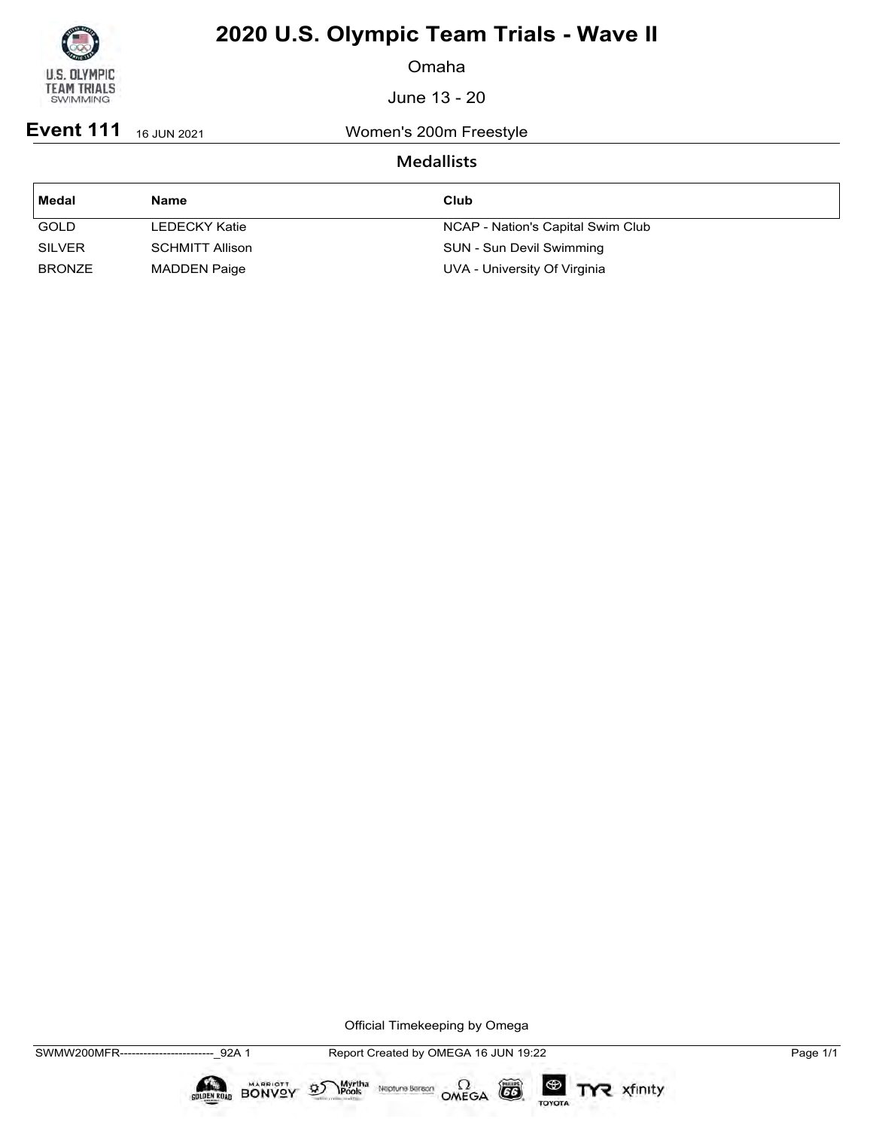

Omaha

June 13 - 20

**Event 111** 16 JUN 2021 Women's 200m Freestyle

### **Medallists**

| Medal         | <b>Name</b>            | Club                              |
|---------------|------------------------|-----------------------------------|
| <b>GOLD</b>   | LEDECKY Katie          | NCAP - Nation's Capital Swim Club |
| <b>SILVER</b> | <b>SCHMITT Allison</b> | SUN - Sun Devil Swimming          |
| <b>BRONZE</b> | <b>MADDEN Paige</b>    | UVA - University Of Virginia      |

Official Timekeeping by Omega

 $\circled{G}$ 

TOYOTA

TYR xfinity

 $\sum_{\text{Pools}}$  Neptune Bergon  $\Omega$ <br>OMEGA

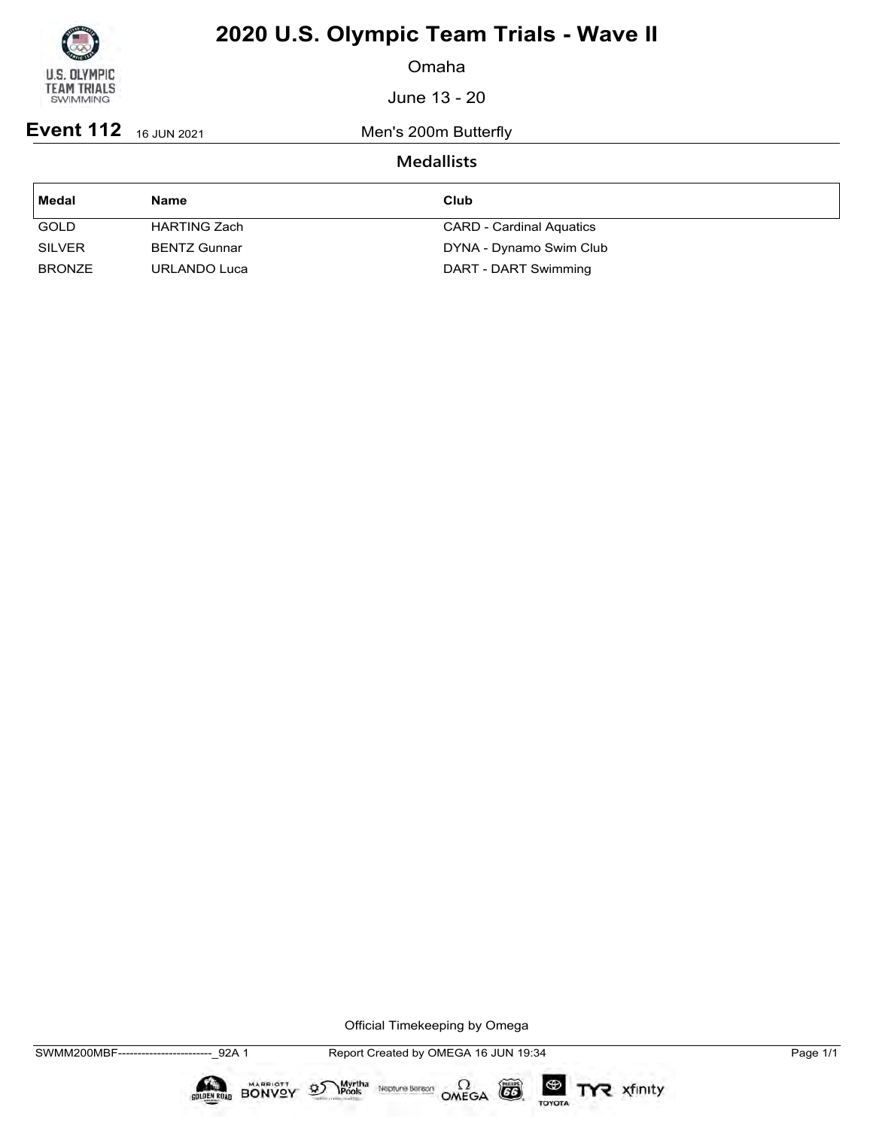

Omaha

June 13 - 20

**Event 112** 16 JUN 2021 Men's 200m Butterfly

### **Medallists**

| Medal         | Name                | Club                            |
|---------------|---------------------|---------------------------------|
| <b>GOLD</b>   | HARTING Zach        | <b>CARD - Cardinal Aquatics</b> |
| <b>SILVER</b> | <b>BENTZ Gunnar</b> | DYNA - Dynamo Swim Club         |
| <b>BRONZE</b> | URLANDO Luca        | DART - DART Swimming            |

Official Timekeeping by Omega

 $\circled{G}$ 

TOYOTA

TYR xfinity

 $\sum_{\text{Pools}}$  Neptune Bergon  $\Omega$ <br>OMEGA

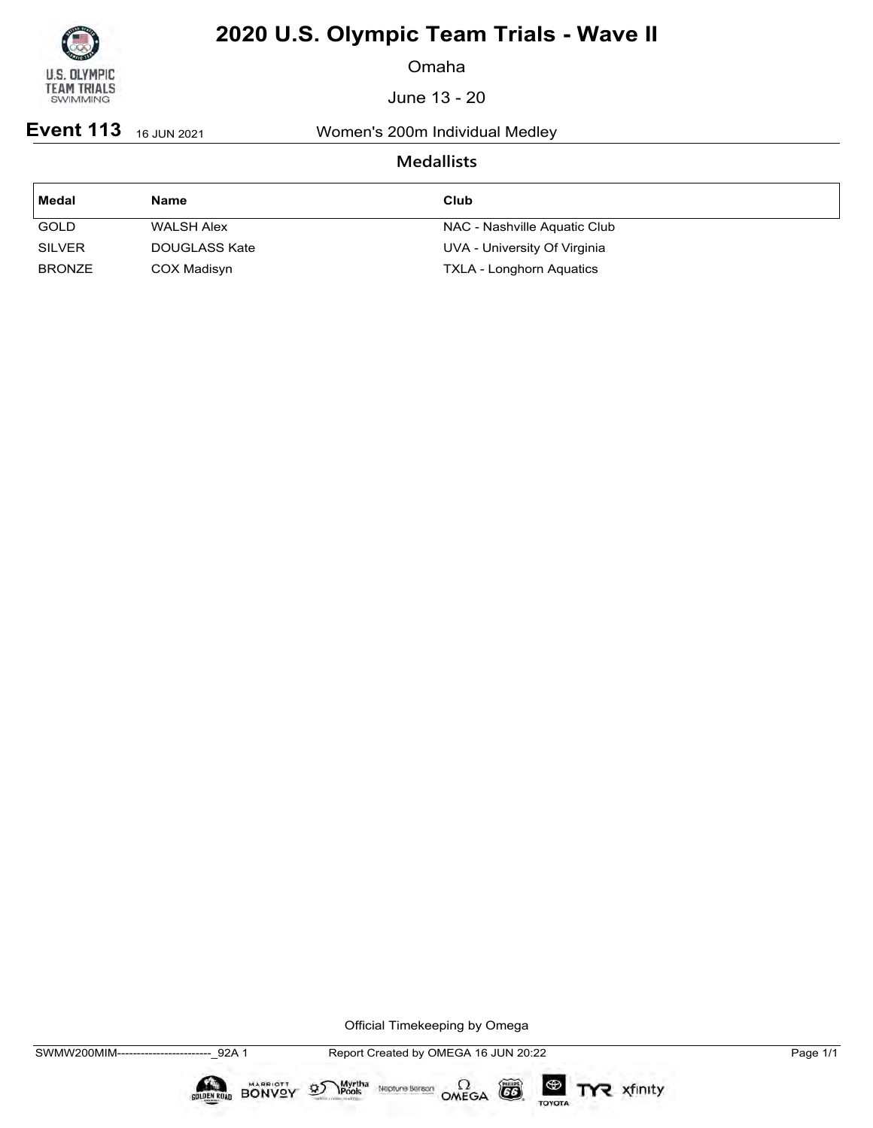

Omaha

June 13 - 20

**Event 113** 16 JUN 2021 Women's 200m Individual Medley

### **Medallists**

| Medal         | Name              | Club                            |
|---------------|-------------------|---------------------------------|
| <b>GOLD</b>   | <b>WALSH Alex</b> | NAC - Nashville Aquatic Club    |
| <b>SILVER</b> | DOUGLASS Kate     | UVA - University Of Virginia    |
| <b>BRONZE</b> | COX Madisyn       | <b>TXLA - Longhorn Aquatics</b> |

Official Timekeeping by Omega

 $\circled{G}$ 

TOYOTA

TYR xfinity

 $\sum_{\text{Pools}}$  Neptune Bergon  $\Omega$ <br>OMEGA

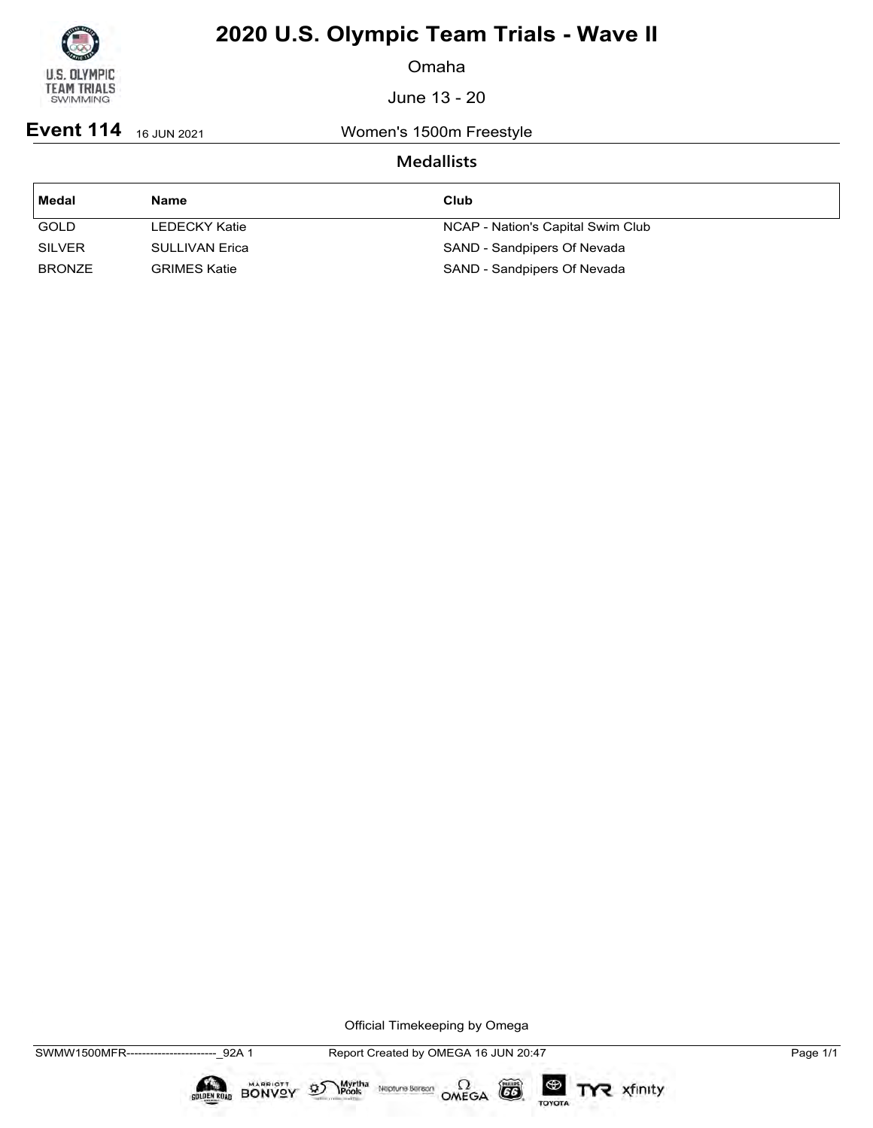

Omaha

June 13 - 20

**Event 114** 16 JUN 2021 Women's 1500m Freestyle

### **Medallists**

| ∣ Medal       | Name                | Club                              |
|---------------|---------------------|-----------------------------------|
| <b>GOLD</b>   | LEDECKY Katie       | NCAP - Nation's Capital Swim Club |
| <b>SILVER</b> | SULLIVAN Erica      | SAND - Sandpipers Of Nevada       |
| <b>BRONZE</b> | <b>GRIMES Katie</b> | SAND - Sandpipers Of Nevada       |

Official Timekeeping by Omega

 $\circled{G}$ 

TOYOTA

TYR xfinity

Myrtha Neptune Bereon OMEGA

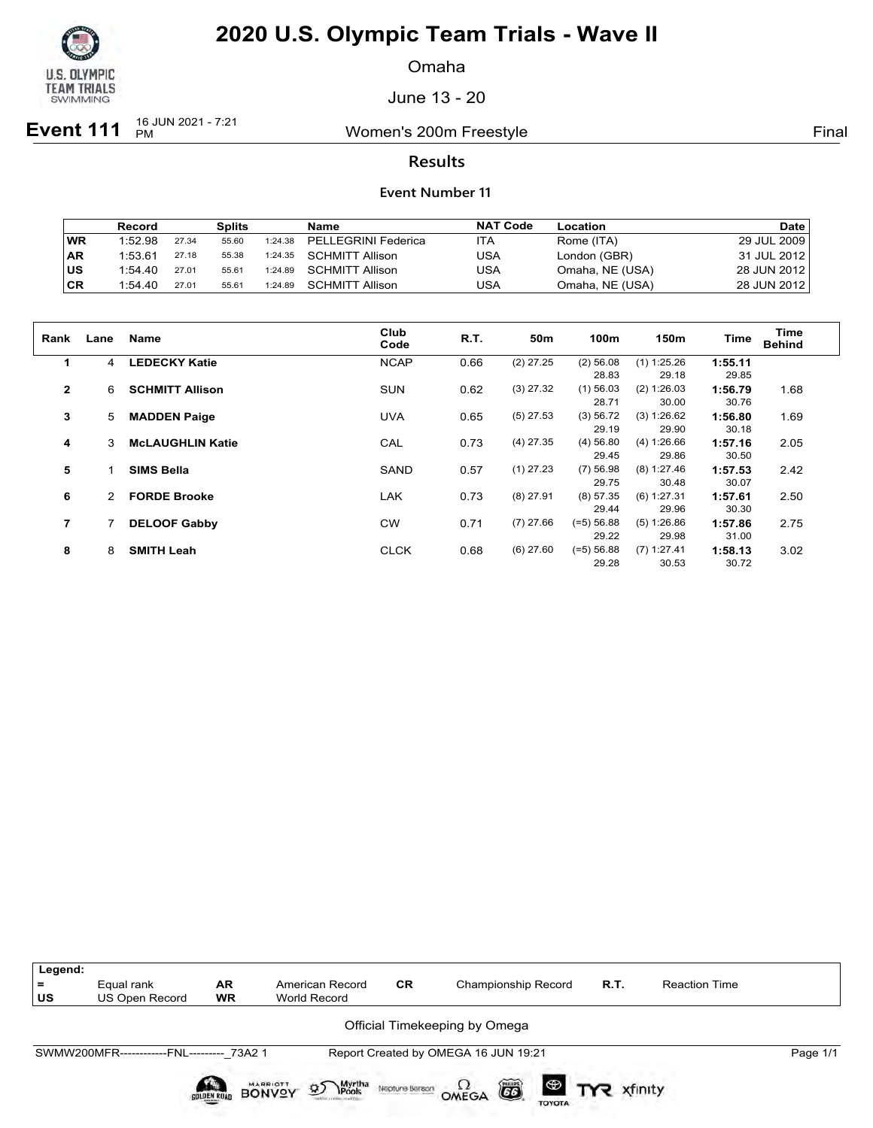

Omaha

June 13 - 20

**Event 111** <sup>16 JUN 2021 - 7:21</sup>

Women's 200m Freestyle **Final** 

### **Results**

|           | Record  |       | <b>Splits</b> |         | Name                   | <b>NAT Code</b> | Location        | <b>Date</b> |
|-----------|---------|-------|---------------|---------|------------------------|-----------------|-----------------|-------------|
| WR        | 1:52.98 | 27.34 | 55.60         | 1:24.38 | PELLEGRINI Federica    | ITA             | Rome (ITA)      | 29 JUL 2009 |
| <b>AR</b> | 1:53.61 | 27.18 | 55.38         | 1:24.35 | SCHMITT Allison        | USA             | London (GBR)    | 31 JUL 2012 |
| lus       | 1:54.40 | 27.01 | 55.61         | 1:24.89 | SCHMITT Allison        | USA             | Omaha, NE (USA) | 28 JUN 2012 |
| CR        | 1:54.40 | 27.01 | 55.61         | 1:24.89 | <b>SCHMITT Allison</b> | USA             | Omaha, NE (USA) | 28 JUN 2012 |

| Rank         | Lane | <b>Name</b>             | Club<br>Code | R.T. | 50m         | 100m         | 150m          | <b>Time</b> | Time<br><b>Behind</b> |
|--------------|------|-------------------------|--------------|------|-------------|--------------|---------------|-------------|-----------------------|
| 1            | 4    | <b>LEDECKY Katie</b>    | <b>NCAP</b>  | 0.66 | $(2)$ 27.25 | $(2)$ 56.08  | $(1)$ 1:25.26 | 1:55.11     |                       |
|              |      |                         |              |      |             | 28.83        | 29.18         | 29.85       |                       |
| $\mathbf{2}$ | 6    | <b>SCHMITT Allison</b>  | <b>SUN</b>   | 0.62 | $(3)$ 27.32 | $(1)$ 56.03  | (2) 1:26.03   | 1:56.79     | 1.68                  |
|              |      |                         |              |      |             | 28.71        | 30.00         | 30.76       |                       |
| 3            | 5    | <b>MADDEN Paige</b>     | <b>UVA</b>   | 0.65 | $(5)$ 27.53 | (3) 56.72    | (3) 1:26.62   | 1:56.80     | 1.69                  |
|              |      |                         |              |      |             | 29.19        | 29.90         | 30.18       |                       |
| 4            | 3    | <b>McLAUGHLIN Katie</b> | CAL          | 0.73 | $(4)$ 27.35 | $(4)$ 56.80  | (4) 1:26.66   | 1:57.16     | 2.05                  |
|              |      |                         |              |      |             | 29.45        | 29.86         | 30.50       |                       |
| 5            |      | <b>SIMS Bella</b>       | <b>SAND</b>  | 0.57 | $(1)$ 27.23 | $(7)$ 56.98  | (8) 1:27.46   | 1:57.53     | 2.42                  |
|              |      |                         |              |      |             | 29.75        | 30.48         | 30.07       |                       |
| 6            | 2.   | <b>FORDE Brooke</b>     | LAK          | 0.73 | $(8)$ 27.91 | $(8)$ 57.35  | (6) 1:27.31   | 1:57.61     | 2.50                  |
|              |      |                         |              |      |             | 29.44        | 29.96         | 30.30       |                       |
| 7            |      | <b>DELOOF Gabby</b>     | <b>CW</b>    | 0.71 | $(7)$ 27.66 | $(=5) 56.88$ | (5) 1:26.86   | 1:57.86     | 2.75                  |
|              |      |                         |              |      |             | 29.22        | 29.98         | 31.00       |                       |
| 8            | 8    | <b>SMITH Leah</b>       | <b>CLCK</b>  | 0.68 | $(6)$ 27.60 | $(=5) 56.88$ | $(7)$ 1:27.41 | 1:58.13     | 3.02                  |
|              |      |                         |              |      |             | 29.28        | 30.53         | 30.72       |                       |

| Legend:<br>$=$<br>US | Equal rank<br>US Open Record              | <b>AR</b><br><b>WR</b> | American Record<br>World Record             | <b>CR</b>      | Championship Record                  | R.T. | <b>Reaction Time</b> |          |
|----------------------|-------------------------------------------|------------------------|---------------------------------------------|----------------|--------------------------------------|------|----------------------|----------|
|                      |                                           |                        |                                             |                | Official Timekeeping by Omega        |      |                      |          |
|                      | SWMW200MFR------------FNL--------- 73A2 1 |                        |                                             |                | Report Created by OMEGA 16 JUN 19:21 |      |                      | Page 1/1 |
|                      |                                           | <b>GOLDEN ROAD</b>     | Myrtha<br>Pools<br>$\mathfrak{D}$<br>BONVOY | Neptune Beraon | 6<br>OMEGA<br><b>TOYOTA</b>          |      |                      |          |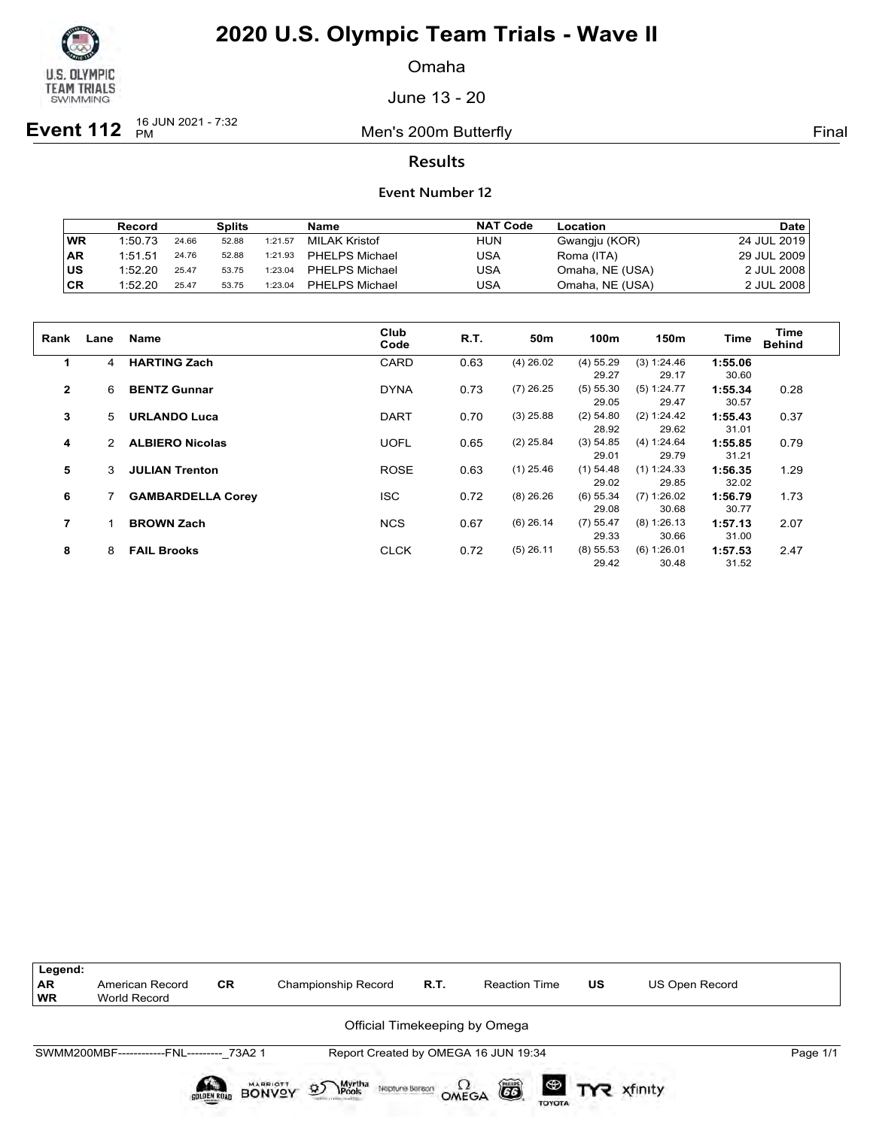

Omaha

June 13 - 20

**Event 112**  $^{16}$  JUN 2021 - 7:32

Men's 200m Butterfly **Final** 

### **Results**

|           | Record  |       | Splits |         | Name                  | <b>NAT Code</b> | Location        | <b>Date</b> |
|-----------|---------|-------|--------|---------|-----------------------|-----------------|-----------------|-------------|
| <b>WR</b> | 1:50.73 | 24.66 | 52.88  | 1:21.57 | MILAK Kristof         | HUN             | Gwangju (KOR)   | 24 JUL 2019 |
| AR        | 1:51.51 | 24.76 | 52.88  | 1:21.93 | <b>PHELPS Michael</b> | USA             | Roma (ITA)      | 29 JUL 2009 |
| lus       | 1:52.20 | 25.47 | 53.75  | 1:23.04 | <b>PHELPS Michael</b> | USA             | Omaha, NE (USA) | 2 JUL 2008  |
| ∣CR       | 1:52.20 | 25.47 | 53.75  | 1:23.04 | <b>PHELPS Michael</b> | USA             | Omaha, NE (USA) | 2 JUL 2008  |

| Rank           | Lane | <b>Name</b>              | Club<br>Code | R.T. | 50m         | 100m        | 150m        | Time    | Time<br><b>Behind</b> |
|----------------|------|--------------------------|--------------|------|-------------|-------------|-------------|---------|-----------------------|
| $\mathbf 1$    | 4    | <b>HARTING Zach</b>      | CARD         | 0.63 | $(4)$ 26.02 | $(4)$ 55.29 | (3) 1:24.46 | 1:55.06 |                       |
|                |      |                          |              |      |             | 29.27       | 29.17       | 30.60   |                       |
| $\mathbf{2}$   | 6    | <b>BENTZ Gunnar</b>      | <b>DYNA</b>  | 0.73 | $(7)$ 26.25 | $(5)$ 55.30 | (5) 1:24.77 | 1:55.34 | 0.28                  |
|                |      |                          |              |      |             | 29.05       | 29.47       | 30.57   |                       |
| 3              | 5    | <b>URLANDO Luca</b>      | <b>DART</b>  | 0.70 | $(3)$ 25.88 | $(2)$ 54.80 | (2) 1:24.42 | 1:55.43 | 0.37                  |
|                |      |                          |              |      |             | 28.92       | 29.62       | 31.01   |                       |
| 4              | 2    | <b>ALBIERO Nicolas</b>   | <b>UOFL</b>  | 0.65 | $(2)$ 25.84 | (3) 54.85   | (4) 1:24.64 | 1:55.85 | 0.79                  |
|                |      |                          |              |      |             | 29.01       | 29.79       | 31.21   |                       |
| 5              | 3    | <b>JULIAN Trenton</b>    | <b>ROSE</b>  | 0.63 | $(1)$ 25.46 | $(1)$ 54.48 | (1) 1:24.33 | 1:56.35 | 1.29                  |
|                |      |                          |              |      |             | 29.02       | 29.85       | 32.02   |                       |
| 6              |      | <b>GAMBARDELLA Corey</b> | <b>ISC</b>   | 0.72 | $(8)$ 26.26 | $(6)$ 55.34 | (7) 1:26.02 | 1:56.79 | 1.73                  |
|                |      |                          |              |      |             | 29.08       | 30.68       | 30.77   |                       |
| $\overline{7}$ |      | <b>BROWN Zach</b>        | <b>NCS</b>   | 0.67 | $(6)$ 26.14 | $(7)$ 55.47 | (8) 1:26.13 | 1:57.13 | 2.07                  |
|                |      |                          |              |      |             | 29.33       | 30.66       | 31.00   |                       |
| 8              | 8    | <b>FAIL Brooks</b>       | <b>CLCK</b>  | 0.72 | $(5)$ 26.11 | $(8)$ 55.53 | (6) 1:26.01 | 1:57.53 | 2.47                  |
|                |      |                          |              |      |             | 29.42       | 30.48       | 31.52   |                       |

| Legend:  |                                           |                    |                                                  |      |                                      |    |                       |          |
|----------|-------------------------------------------|--------------------|--------------------------------------------------|------|--------------------------------------|----|-----------------------|----------|
| AR<br>WR | American Record<br>World Record           | <b>CR</b>          | Championship Record                              | R.T. | <b>Reaction Time</b>                 | US | <b>US Open Record</b> |          |
|          |                                           |                    |                                                  |      | Official Timekeeping by Omega        |    |                       |          |
|          | SWMM200MBF------------FNL--------- 73A2 1 |                    |                                                  |      | Report Created by OMEGA 16 JUN 19:34 |    |                       | Page 1/1 |
|          |                                           | <b>SOLDEN ROAD</b> | BONVOY<br>Myrtha<br>Pools<br>D<br>Neptune Beraon |      | ã<br>OMEGA<br><b>TOYOTA</b>          |    | <b>ED TYR</b> xfinity |          |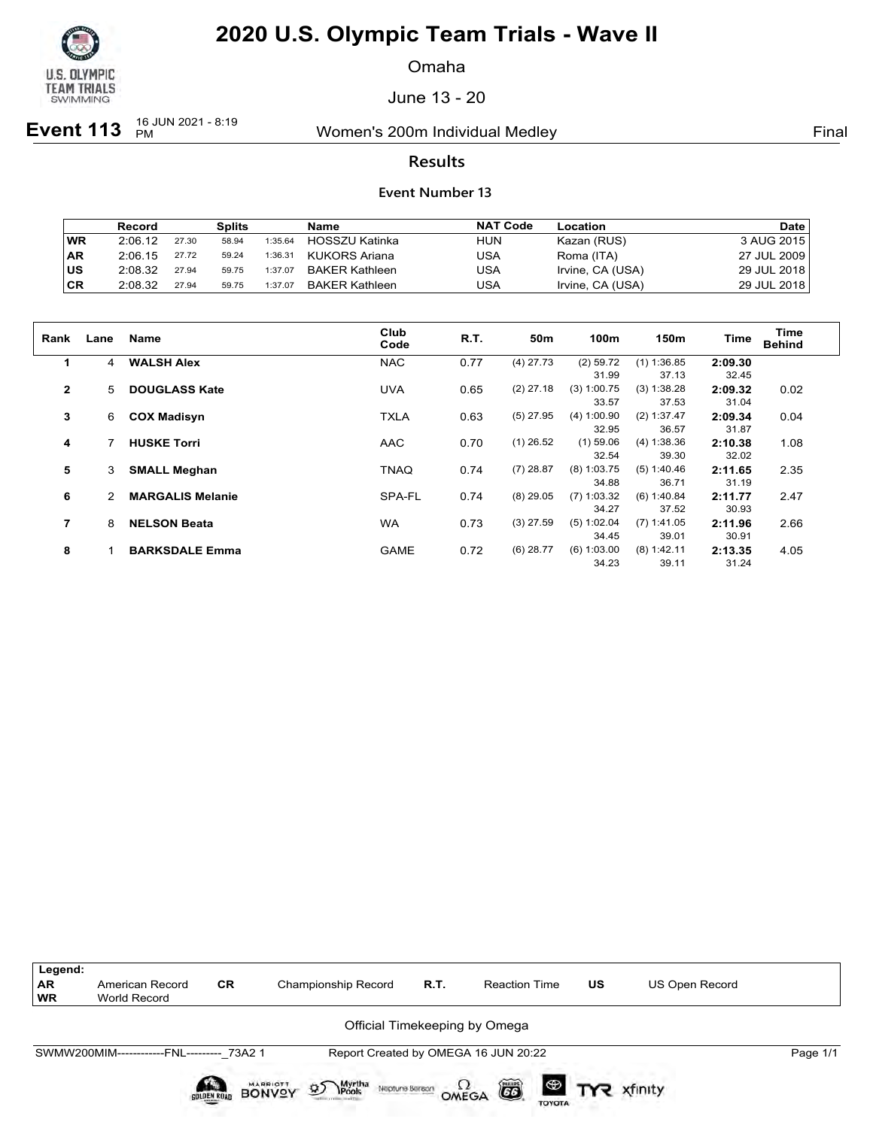

Omaha

June 13 - 20

**Event 113** 16 JUN 2021 - 8:19

Women's 200m Individual Medley **Final** Primal

### **Results**

|            | Record  |       | Splits |         | Name                  | <b>NAT Code</b> | Location         | Date        |
|------------|---------|-------|--------|---------|-----------------------|-----------------|------------------|-------------|
| WR         | 2:06.12 | 27.30 | 58.94  | 1:35.64 | HOSSZU Katinka        | <b>HUN</b>      | Kazan (RUS)      | 3 AUG 2015  |
| <b>IAR</b> | 2:06.15 | 27.72 | 59.24  | 1:36.31 | KUKORS Ariana         | USA             | Roma (ITA)       | 27 JUL 2009 |
| lus        | 2:08.32 | 27.94 | 59.75  | 1:37.07 | BAKER Kathleen        | USA             | Irvine, CA (USA) | 29 JUL 2018 |
| ∣CR        | 2:08.32 | 27.94 | 59.75  | 1:37.07 | <b>BAKER Kathleen</b> | USA             | Irvine, CA (USA) | 29 JUL 2018 |

| Rank           | Lane | <b>Name</b>             | Club<br>Code | R.T. | 50 <sub>m</sub> | 100m          | 150m          | Time    | Time<br><b>Behind</b> |
|----------------|------|-------------------------|--------------|------|-----------------|---------------|---------------|---------|-----------------------|
| $\mathbf 1$    | 4    | <b>WALSH Alex</b>       | <b>NAC</b>   | 0.77 | $(4)$ 27.73     | $(2)$ 59.72   | $(1)$ 1:36.85 | 2:09.30 |                       |
|                |      |                         |              |      |                 | 31.99         | 37.13         | 32.45   |                       |
| $\overline{2}$ | 5.   | <b>DOUGLASS Kate</b>    | <b>UVA</b>   | 0.65 | $(2)$ 27.18     | $(3)$ 1:00.75 | (3) 1:38.28   | 2:09.32 | 0.02                  |
|                |      |                         |              |      |                 | 33.57         | 37.53         | 31.04   |                       |
| 3              | 6    | <b>COX Madisyn</b>      | <b>TXLA</b>  | 0.63 | $(5)$ 27.95     | (4) 1:00.90   | (2) 1:37.47   | 2:09.34 | 0.04                  |
|                |      |                         |              |      |                 | 32.95         | 36.57         | 31.87   |                       |
| 4              |      | <b>HUSKE Torri</b>      | <b>AAC</b>   | 0.70 | $(1)$ 26.52     | $(1)$ 59.06   | (4) 1:38.36   | 2:10.38 | 1.08                  |
|                |      |                         |              |      |                 | 32.54         | 39.30         | 32.02   |                       |
| 5              | 3    | <b>SMALL Meghan</b>     | <b>TNAQ</b>  | 0.74 | $(7)$ 28.87     | $(8)$ 1:03.75 | (5) 1:40.46   | 2:11.65 | 2.35                  |
|                |      |                         |              |      |                 | 34.88         | 36.71         | 31.19   |                       |
| 6              |      | <b>MARGALIS Melanie</b> | SPA-FL       | 0.74 | $(8)$ 29.05     | $(7)$ 1:03.32 | (6) 1:40.84   | 2:11.77 | 2.47                  |
|                |      |                         |              |      |                 | 34.27         | 37.52         | 30.93   |                       |
| 7              | 8    | <b>NELSON Beata</b>     | <b>WA</b>    | 0.73 | $(3)$ 27.59     | (5) 1:02.04   | $(7)$ 1:41.05 | 2:11.96 | 2.66                  |
|                |      |                         |              |      |                 | 34.45         | 39.01         | 30.91   |                       |
| 8              |      | <b>BARKSDALE Emma</b>   | <b>GAME</b>  | 0.72 | $(6)$ 28.77     | (6) 1:03.00   | (8) 1:42.11   | 2:13.35 | 4.05                  |
|                |      |                         |              |      |                 | 34.23         | 39.11         | 31.24   |                       |

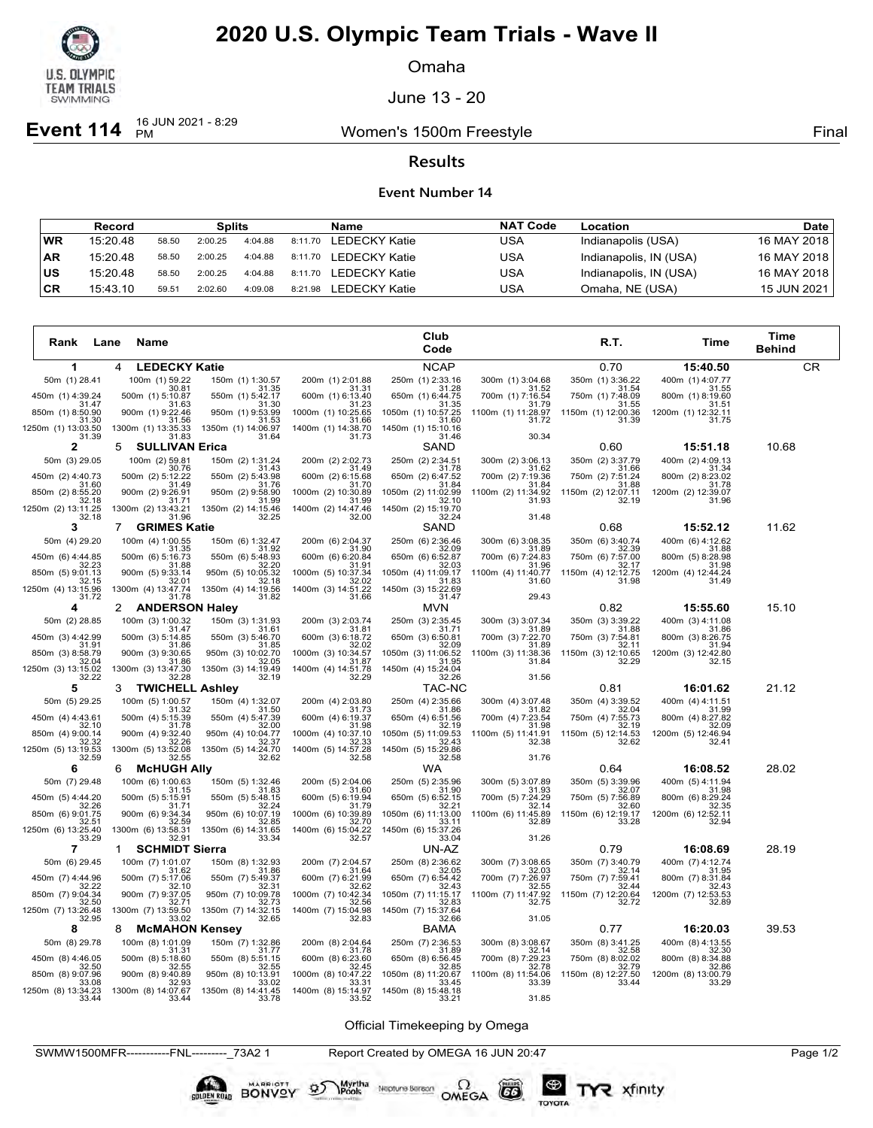

Omaha

June 13 - 20

**Event 114**  $^{16}$  JUN 2021 - 8:29

Women's 1500m Freestyle **Final** 

### **Results**

#### **Event Number 14**

|           | Record   |       | <b>Splits</b> |         |         | Name          | <b>NAT Code</b> | Location               | Date l        |
|-----------|----------|-------|---------------|---------|---------|---------------|-----------------|------------------------|---------------|
| WR        | 15:20.48 | 58.50 | 2:00.25       | 4:04.88 | 8:11.70 | LEDECKY Katie | USA             | Indianapolis (USA)     | 16 MAY 2018   |
| <b>AR</b> | 15:20.48 | 58.50 | 2:00.25       | 4:04.88 | 8:11.70 | LEDECKY Katie | USA             | Indianapolis, IN (USA) | 16 MAY 2018 l |
| US        | 15:20.48 | 58.50 | 2:00.25       | 4:04.88 | 8:11.70 | LEDECKY Katie | USA             | Indianapolis, IN (USA) | 16 MAY 2018 l |
| CR        | 15:43.10 | 59.51 | 2:02.60       | 4:09.08 | 8:21.98 | LEDECKY Katie | USA             | Omaha, NE (USA)        | 15 JUN 2021   |

| Rank<br>Lane                         | Name                                 |                                      |                                      | Club<br>Code                         |                             | R.T.                        | Time                        | Time<br><b>Behind</b> |
|--------------------------------------|--------------------------------------|--------------------------------------|--------------------------------------|--------------------------------------|-----------------------------|-----------------------------|-----------------------------|-----------------------|
| 1                                    | <b>LEDECKY Katie</b><br>4            |                                      |                                      | <b>NCAP</b>                          |                             | 0.70                        | 15:40.50                    | <b>CR</b>             |
| 50m (1) 28.41                        | 100m (1) 59.22<br>30.81              | 150m (1) 1:30.57<br>31.35            | 200m (1) 2:01.88<br>31.31            | 250m (1) 2:33.16<br>31.28            | 300m (1) 3:04.68<br>31.52   | 350m (1) 3:36.22<br>31.54   | 400m (1) 4:07.77<br>31.55   |                       |
| 450m (1) 4:39.24                     | 500m (1) 5:10.87                     | 550m (1) 5:42.17                     | 600m (1) 6:13.40                     | 650m (1) 6:44.75                     | 700m (1) 7:16.54            | 750m (1) 7:48.09            | 800m (1) 8:19.60            |                       |
| 31.47<br>850m (1) 8:50.90            | 31.63<br>900m (1) 9:22.46            | 31.30<br>950m (1) 9:53.99            | 31.23<br>1000m (1) 10:25.65          | 31.35<br>1050m (1) 10:57.25          | 31.79<br>1100m (1) 11:28.97 | 31.55<br>1150m (1) 12:00.36 | 31.51<br>1200m (1) 12:32.11 |                       |
| 31.30<br>1250m (1) 13:03.50<br>31.39 | 31.56<br>1300m (1) 13:35.33<br>31.83 | 31.53<br>1350m (1) 14:06.97<br>31.64 | 31.66<br>1400m (1) 14:38.70<br>31.73 | 31.60<br>1450m (1) 15:10.16<br>31.46 | 31.72<br>30.34              | 31.39                       | 31.75                       |                       |
| 2                                    | <b>SULLIVAN Erica</b><br>5           |                                      |                                      | SAND                                 |                             | 0.60                        | 15:51.18                    | 10.68                 |
| 50m (3) 29.05                        | 100m (2) 59.81<br>30.76              | 150m (2) 1:31.24<br>31.43            | 200m (2) 2:02.73<br>31.49            | 250m (2) 2:34.51<br>31.78            | 300m (2) 3:06.13<br>31.62   | 350m (2) 3:37.79<br>31.66   | 400m (2) 4:09.13<br>31.34   |                       |
| 450m (2) 4:40.73                     | 500m (2) 5:12.22                     | 550m (2) 5:43.98                     | 600m (2) 6:15.68                     | 650m (2) 6:47.52<br>31.84            | 700m (2) 7:19.36            | 750m (2) 7:51.24            | 800m (2) 8:23.02            |                       |
| 31.60<br>850m (2) 8:55.20            | 31.49<br>900m (2) 9:26.91            | 31.76<br>950m (2) 9:58.90            | 31.70<br>1000m (2) 10:30.89          | 1050m (2) 11:02.99                   | 31.84<br>1100m (2) 11:34.92 | 31.88<br>1150m (2) 12:07.11 | 31.78<br>1200m (2) 12:39.07 |                       |
| 32.18<br>1250m (2) 13:11.25          | 31.71<br>1300m (2) 13:43.21          | 31.99<br>1350m (2) 14:15.46          | 31.99<br>1400m (2) 14:47.46          | 32.10<br>1450m (2) 15:19.70          | 31.93                       | 32.19                       | 31.96                       |                       |
| 32.18<br>3                           | 31.96<br><b>GRIMES Katie</b><br>7    | 32.25                                | 32.00                                | 32.24<br>SAND                        | 31.48                       | 0.68                        | 15:52.12                    | 11.62                 |
| 50m (4) 29.20                        | 100m (4) 1:00.55                     | 150m (6) 1:32.47                     | 200m (6) 2:04.37                     | 250m (6) 2:36.46                     | 300m (6) 3:08.35            | 350m (6) 3:40.74            | 400m (6) 4:12.62            |                       |
| 450m (6) 4:44.85                     | 31.35<br>500m (6) 5:16.73            | 31.92<br>550m (6) 5:48.93            | 31.90<br>600m (6) 6:20.84            | 32.09<br>650m (6) 6:52.87            | 31.89<br>700m (6) 7:24.83   | 32.39<br>750m (6) 7:57.00   | 31.88<br>800m (5) 8:28.98   |                       |
| 32.23<br>850m (5) 9:01.13            | 31.88<br>900m (5) 9:33.14            | 32.20<br>950m (5) 10:05.32           | 31.91<br>1000m (5) 10:37.34          | 32.03<br>1050m (4) 11:09.17          | 31.96<br>1100m (4) 11:40.77 | 32.17<br>1150m (4) 12:12.75 | 31.98<br>1200m (4) 12:44.24 |                       |
| 32.15<br>1250m (4) 13:15.96          | 32.01<br>1300m (4) 13:47.74          | 32.18<br>1350m (4) 14:19.56          | 32.02<br>1400m (3) 14:51.22          | 31.83<br>1450m (3) 15:22.69          | 31.60                       | 31.98                       | 31.49                       |                       |
| 31.72                                | 31.78                                | 31.82                                | 31.66                                | 31.47                                | 29.43                       |                             |                             |                       |
| 4                                    | <b>ANDERSON Haley</b><br>2           |                                      |                                      | <b>MVN</b>                           |                             | 0.82                        | 15:55.60                    | 15.10                 |
| 50m (2) 28.85                        | 100m (3) 1:00.32<br>31.47            | 150m (3) 1:31.93<br>31.61            | 200m (3) 2:03.74<br>31.81            | 250m (3) 2:35.45<br>31.71            | 300m (3) 3:07.34<br>31.89   | 350m (3) 3:39.22<br>31.88   | 400m (3) 4:11.08<br>31.86   |                       |
| 450m (3) 4:42.99<br>31.91            | 500m (3) 5:14.85<br>31.86            | 550m (3) 5:46.70<br>31.85            | 600m (3) 6:18.72<br>32.02            | 650m (3) 6:50.81<br>32.09            | 700m (3) 7:22.70<br>31.89   | 750m (3) 7:54.81<br>32.11   | 800m (3) 8:26.75<br>31.94   |                       |
| 850m (3) 8:58.79<br>32.04            | 900m (3) 9:30.65<br>31.86            | 950m (3) 10:02.70<br>32.05           | 1000m (3) 10:34.57<br>31.87          | 1050m (3) 11:06.52<br>31.95          | 1100m (3) 11:38.36<br>31.84 | 1150m (3) 12:10.65<br>32.29 | 1200m (3) 12:42.80<br>32.15 |                       |
| 1250m (3) 13:15.02<br>32.22          | 1300m (3) 13:47.30<br>32.28          | 1350m (3) 14:19.49<br>32.19          | 1400m (4) 14:51.78<br>32.29          | 1450m (4) 15:24.04<br>32.26          | 31.56                       |                             |                             |                       |
| 5                                    | <b>TWICHELL</b><br>3                 | <b>Ashley</b>                        |                                      | TAC-NC                               |                             | 0.81                        | 16:01.62                    | 21.12                 |
| 50m (5) 29.25                        | 100m (5) 1:00.57<br>31.32            | 150m (4) 1:32.07<br>31.50            | 200m (4) 2:03.80<br>31.73            | 250m (4) 2:35.66<br>31.86            | 300m (4) 3:07.48<br>31.82   | 350m (4) 3:39.52<br>32.04   | 400m (4) 4:11.51<br>31.99   |                       |
| 450m (4) 4:43.61<br>32.10            | 500m (4) 5:15.39<br>31.78            | 550m (4) 5:47.39<br>32.00            | 600m (4) 6:19.37<br>31.98            | 650m (4) 6:51.56<br>32 19            | 700m (4) 7:23.54<br>31.98   | 750m (4) 7:55.73<br>32.19   | 800m (4) 8:27.82<br>32.09   |                       |
| 850m (4) 9:00.14<br>32.32            | 900m (4) 9:32.40                     | 950m (4) 10:04.77                    | 1000m (4) 10:37.10<br>32.33          | 1050m (5) 11:09.53<br>32.43          | 1100m (5) 11:41.91          | 1150m (5) 12:14.53          | 1200m (5) 12:46.94          |                       |
| 1250m (5) 13:19.53<br>32.59          | 32.26<br>1300m (5) 13:52.08<br>32.55 | 32.37<br>1350m (5) 14:24.70<br>32.62 | 1400m (5) 14:57.28<br>32.58          | 1450m (5) 15:29.86<br>32.58          | 32.38<br>31.76              | 32.62                       | 32.41                       |                       |
| 6                                    | <b>McHUGH Ally</b><br>6              |                                      |                                      | WA                                   |                             | 0.64                        | 16:08.52                    | 28.02                 |
| 50m (7) 29.48                        | 100m (6) 1:00.63                     | 150m (5) 1:32.46                     | 200m (5) 2:04.06                     | 250m (5) 2:35.96                     | 300m (5) 3:07.89            | 350m (5) 3:39.96            | 400m (5) 4:11.94            |                       |
| 450m (5) 4:44.20                     | 31.15<br>500m (5) 5:15.91            | 31.83<br>550m (5) 5:48.15            | 31.60<br>600m (5) 6:19.94            | 31.90<br>650m (5) 6:52.15            | 31.93<br>700m (5) 7:24.29   | 32.07<br>750m (5) 7:56.89   | 31.98<br>800m (6) 8:29.24   |                       |
| 32.26<br>850m (6) 9:01.75            | 31.71<br>900m (6) 9:34.34            | 32.24<br>950m (6) 10:07.19           | 31.79<br>1000m (6) 10:39.89          | 32.21<br>1050m (6) 11:13.00          | 32.14<br>1100m (6) 11:45.89 | 32.60<br>1150m (6) 12:19.17 | 32.35<br>1200m (6) 12:52.11 |                       |
| 32.51<br>1250m (6) 13:25.40          | 32.59<br>1300m (6) 13:58.31          | 32.85<br>1350m (6) 14:31.65          | 32.70<br>1400m (6) 15:04.22          | 33.11<br>1450m (6) 15:37.26          | 32.89                       | 33.28                       | 32.94                       |                       |
| 33.29<br>7                           | 32.91<br><b>SCHMIDT Sierra</b><br>1  | 33.34                                | 32.57                                | 33.04<br>UN-AZ                       | 31.26                       | 0.79                        | 16:08.69                    | 28.19                 |
| 50m (6) 29.45                        | 100m (7) 1:01.07                     | 150m (8) 1:32.93                     | 200m (7) 2:04.57                     | 250m (8) 2:36.62                     | 300m (7) 3:08.65            | 350m (7) 3:40.79            | 400m (7) 4:12.74            |                       |
| 450m (7) 4:44.96                     | 31.62<br>500m (7) 5:17.06            | 31.86<br>550m (7) 5:49.37            | 31.64<br>600m (7) 6:21.99            | 32.05<br>650m (7) 6:54.42            | 32.03<br>700m (7) 7:26.97   | 32.14<br>750m (7) 7:59.41   | 31.95<br>800m (7) 8:31.84   |                       |
| 32.22<br>850m (7) 9:04.34            | 32.10<br>900m (7) 9:37.05            | 32.31<br>950m (7) 10:09.78           | 32.62<br>1000m (7) 10:42.34          | 32.43<br>1050m (7) 11:15.17          | 32.55<br>1100m (7) 11:47.92 | 32.44<br>1150m (7) 12:20.64 | 32.43<br>1200m (7) 12:53.53 |                       |
| 32.50<br>1250m (7) 13:26.48          | 32.71<br>1300m (7) 13:59.50          | 32.73<br>1350m (7) 14:32.15          | 32.56<br>1400m (7) 15:04.98          | 32.83<br>1450m (7) 15:37.64          | 32.75                       | 32.72                       | 32.89                       |                       |
| 32.95                                | 33.02                                | 32.65                                | 32.83                                | 32.66                                | 31.05                       |                             |                             |                       |
| 8                                    | <b>McMAHON Kensey</b><br>8           |                                      |                                      | <b>BAMA</b>                          |                             | 0.77                        | 16:20.03                    | 39.53                 |
| 50m (8) 29.78                        | 100m (8) 1:01.09<br>31.31            | 150m (7) 1:32.86<br>31.77            | 200m (8) 2:04.64<br>31.78            | 250m (7) 2:36.53<br>31.89            | 300m (8) 3:08.67<br>32.14   | 350m (8) 3:41.25<br>32.58   | 400m (8) 4:13.55<br>32.30   |                       |
| 450m (8) 4:46.05<br>32.50            | 500m (8) 5:18.60<br>32.55            | 550m (8) 5:51.15<br>32.55            | 600m (8) 6:23.60<br>32.45            | 650m (8) 6:56.45<br>32.85            | 700m (8) 7:29.23<br>32.78   | 750m (8) 8:02.02<br>32.79   | 800m (8) 8:34.88<br>32.86   |                       |
| 850m (8) 9:07.96<br>33.08            | 900m (8) 9:40.89<br>32.93            | 950m (8) 10:13.91<br>33.02           | 1000m (8) 10:47.22<br>33.31          | 1050m (8) 11:20.67<br>33.45          | 1100m (8) 11:54.06<br>33.39 | 1150m (8) 12:27.50<br>33.44 | 1200m (8) 13:00.79<br>33.29 |                       |
| 1250m (8) 13:34.23<br>33.44          | 1300m (8) 14:07.67<br>33.44          | 1350m (8) 14:41.45<br>33.78          | 1400m (8) 15:14.97<br>33.52          | 1450m (8) 15:48.18<br>33.21          | 31.85                       |                             |                             |                       |

Official Timekeeping by Omega

SWMW1500MFR-----------FNL---------\_73A2 1 Report Created by OMEGA 16 JUN 20:47 Page 1/2

CG

TOYOTA

 $\sum_{\text{Pools}}$  Neptune Bergon OMEGA

 $\mathcal{D}$ 

BONVOY

**LOEN ROAN** 

*x*finity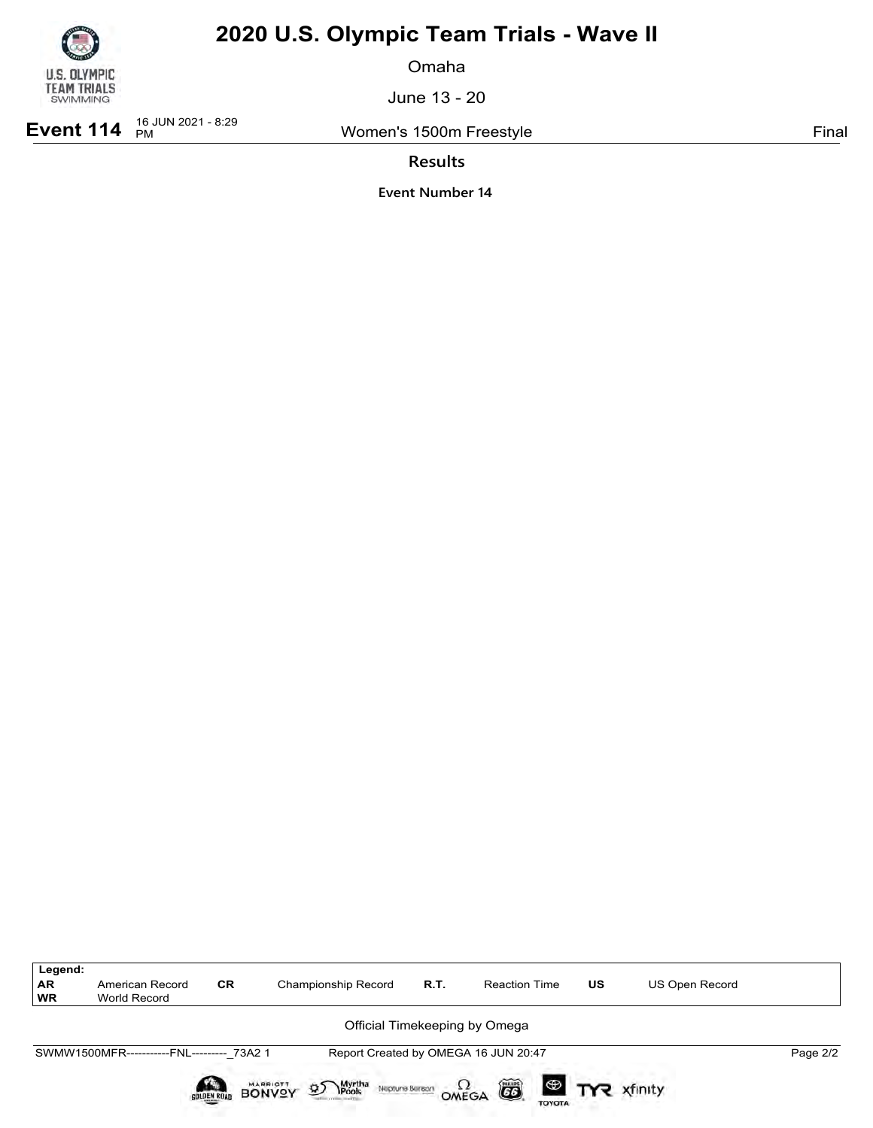

Omaha

June 13 - 20

**Event 114**  $^{16}$  JUN 2021 - 8:29

Women's 1500m Freestyle **Final** 

**Results**

| Legend:         |                                           |           |                               |      |                                      |    |                |          |
|-----------------|-------------------------------------------|-----------|-------------------------------|------|--------------------------------------|----|----------------|----------|
| AR<br><b>WR</b> | American Record<br>World Record           | <b>CR</b> | Championship Record           | R.T. | <b>Reaction Time</b>                 | US | US Open Record |          |
|                 |                                           |           | Official Timekeeping by Omega |      |                                      |    |                |          |
|                 | SWMW1500MFR-----------FNL--------- 73A2 1 |           |                               |      | Report Created by OMEGA 16 JUN 20:47 |    |                | Page 2/2 |
|                 |                                           |           |                               |      | õ<br>$\Omega_{\text{MEGA}}$          |    |                |          |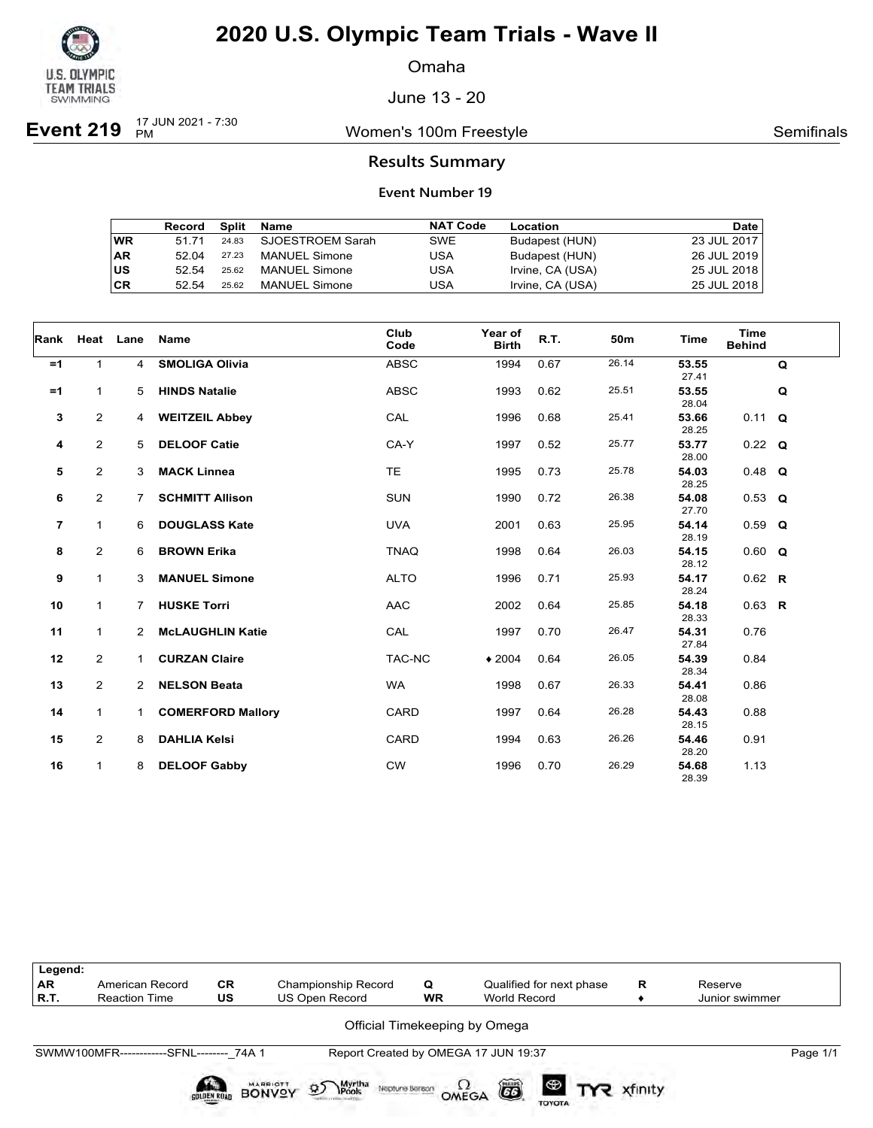

Omaha

June 13 - 20

**Event 219**  $_{PM}^{17 \text{ JUN } 2021 - 7:30}$ 

Women's 100m Freestyle **Semifinals** Semifinals

### **Results Summary**

|    | Record | Split | Name                 | <b>NAT Code</b> | Location         | <b>Date</b> |
|----|--------|-------|----------------------|-----------------|------------------|-------------|
| WR | 51 71  | 24.83 | SJOESTROEM Sarah     | SWE             | Budapest (HUN)   | 23 JUL 2017 |
| AR | 52.04  | 27.23 | <b>MANUEL Simone</b> | USA             | Budapest (HUN)   | 26 JUL 2019 |
| US | 52.54  | 25.62 | <b>MANUEL Simone</b> | USA             | Irvine, CA (USA) | 25 JUL 2018 |
| СR | 52.54  | 25.62 | <b>MANUEL Simone</b> | USA             | Irvine, CA (USA) | 25 JUL 2018 |

| Rank           | Heat Lane      |                | Name                     | Club<br>Code | Year of<br><b>Birth</b> | R.T. | 50m   | Time           | <b>Time</b><br><b>Behind</b> |   |
|----------------|----------------|----------------|--------------------------|--------------|-------------------------|------|-------|----------------|------------------------------|---|
| $=1$           | 1              | $\overline{4}$ | <b>SMOLIGA Olivia</b>    | <b>ABSC</b>  | 1994                    | 0.67 | 26.14 | 53.55<br>27.41 |                              | Q |
| $=1$           | 1              | 5              | <b>HINDS Natalie</b>     | <b>ABSC</b>  | 1993                    | 0.62 | 25.51 | 53.55<br>28.04 |                              | Q |
| 3              | $\overline{2}$ | 4              | <b>WEITZEIL Abbey</b>    | CAL          | 1996                    | 0.68 | 25.41 | 53.66<br>28.25 | $0.11$ Q                     |   |
| 4              | $\overline{2}$ | 5              | <b>DELOOF Catie</b>      | CA-Y         | 1997                    | 0.52 | 25.77 | 53.77<br>28.00 | $0.22$ Q                     |   |
| 5              | $\overline{2}$ | 3              | <b>MACK Linnea</b>       | <b>TE</b>    | 1995                    | 0.73 | 25.78 | 54.03<br>28.25 | $0.48$ Q                     |   |
| 6              | $\overline{2}$ | $\overline{7}$ | <b>SCHMITT Allison</b>   | <b>SUN</b>   | 1990                    | 0.72 | 26.38 | 54.08<br>27.70 | $0.53$ Q                     |   |
| $\overline{7}$ | 1              | 6              | <b>DOUGLASS Kate</b>     | <b>UVA</b>   | 2001                    | 0.63 | 25.95 | 54.14<br>28.19 | $0.59$ Q                     |   |
| 8              | 2              | 6              | <b>BROWN Erika</b>       | <b>TNAQ</b>  | 1998                    | 0.64 | 26.03 | 54.15<br>28.12 | $0.60$ Q                     |   |
| 9              | 1              | 3              | <b>MANUEL Simone</b>     | <b>ALTO</b>  | 1996                    | 0.71 | 25.93 | 54.17<br>28.24 | $0.62$ R                     |   |
| 10             | $\mathbf{1}$   | 7              | <b>HUSKE Torri</b>       | <b>AAC</b>   | 2002                    | 0.64 | 25.85 | 54.18<br>28.33 | $0.63$ R                     |   |
| 11             | $\mathbf{1}$   | $\mathbf{2}$   | <b>McLAUGHLIN Katie</b>  | CAL          | 1997                    | 0.70 | 26.47 | 54.31<br>27.84 | 0.76                         |   |
| 12             | $\overline{2}$ | 1              | <b>CURZAN Claire</b>     | TAC-NC       | $*2004$                 | 0.64 | 26.05 | 54.39<br>28.34 | 0.84                         |   |
| 13             | $\overline{2}$ | $\overline{2}$ | <b>NELSON Beata</b>      | <b>WA</b>    | 1998                    | 0.67 | 26.33 | 54.41<br>28.08 | 0.86                         |   |
| 14             | $\mathbf{1}$   | 1.             | <b>COMERFORD Mallory</b> | CARD         | 1997                    | 0.64 | 26.28 | 54.43<br>28.15 | 0.88                         |   |
| 15             | $\overline{a}$ | 8              | <b>DAHLIA Kelsi</b>      | CARD         | 1994                    | 0.63 | 26.26 | 54.46<br>28.20 | 0.91                         |   |
| 16             | $\mathbf{1}$   | 8              | <b>DELOOF Gabby</b>      | <b>CW</b>    | 1996                    | 0.70 | 26.29 | 54.68<br>28.39 | 1.13                         |   |

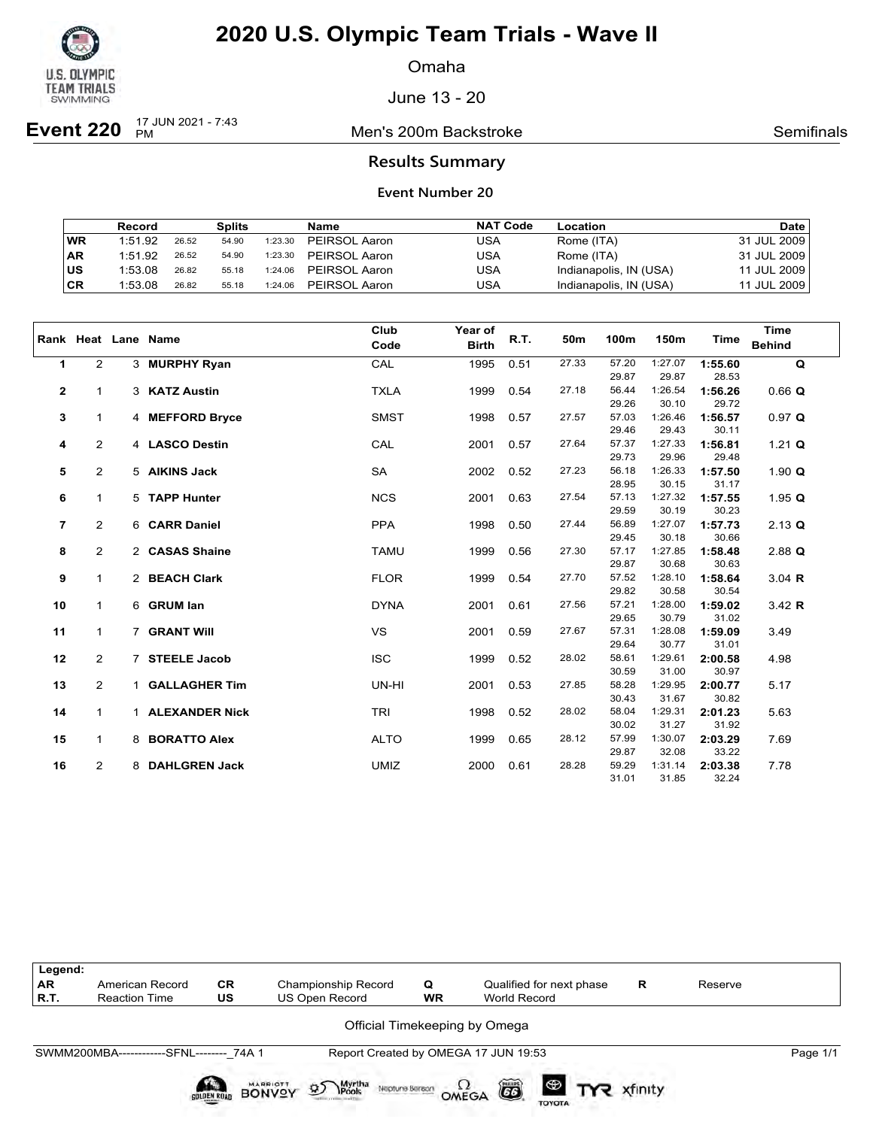

Omaha

June 13 - 20

**Event 220**  $\frac{17 \text{ JUN } 2021 - 7:43}{PM}$ 

Men's 200m Backstroke **Semifinals** Semifinals

### **Results Summary**

|           | Record  |       | <b>Splits</b> |         | Name          | <b>NAT Code</b> | Location               | <b>Date</b> |
|-----------|---------|-------|---------------|---------|---------------|-----------------|------------------------|-------------|
| <b>WR</b> | 1:51.92 | 26.52 | 54.90         | 1:23.30 | PEIRSOL Aaron | USA             | Rome (ITA)             | 31 JUL 2009 |
| ∣AR       | 1:51.92 | 26.52 | 54.90         | 1:23.30 | PEIRSOL Aaron | USA             | Rome (ITA)             | 31 JUL 2009 |
| ∣us       | 1:53.08 | 26.82 | 55.18         | 1:24.06 | PEIRSOL Aaron | USA             | Indianapolis, IN (USA) | 11 JUL 2009 |
| ∣CR       | 1:53.08 | 26.82 | 55.18         | 1:24.06 | PEIRSOL Aaron | USA             | Indianapolis, IN (USA) | 11 JUL 2009 |

|                |                | Rank Heat Lane Name | Club<br>Code | Year of<br><b>Birth</b> | R.T. | 50m   | 100m  | 150m    | <b>Time</b> | <b>Time</b><br><b>Behind</b> |
|----------------|----------------|---------------------|--------------|-------------------------|------|-------|-------|---------|-------------|------------------------------|
| $\mathbf{1}$   | $\overline{2}$ | 3 MURPHY Ryan       | CAL          | 1995                    | 0.51 | 27.33 | 57.20 | 1:27.07 | 1:55.60     | Q                            |
|                |                |                     |              |                         |      |       | 29.87 | 29.87   | 28.53       |                              |
| $\mathbf 2$    | $\mathbf{1}$   | 3 KATZ Austin       | <b>TXLA</b>  | 1999                    | 0.54 | 27.18 | 56.44 | 1:26.54 | 1:56.26     | $0.66$ Q                     |
|                |                |                     |              |                         |      |       | 29.26 | 30.10   | 29.72       |                              |
| 3              | $\mathbf{1}$   | 4 MEFFORD Bryce     | <b>SMST</b>  | 1998                    | 0.57 | 27.57 | 57.03 | 1:26.46 | 1:56.57     | 0.97 Q                       |
|                |                |                     |              |                         |      |       | 29.46 | 29.43   | 30.11       |                              |
| 4              | $\overline{2}$ | 4 LASCO Destin      | CAL          | 2001                    | 0.57 | 27.64 | 57.37 | 1:27.33 | 1:56.81     | 1.21 $Q$                     |
|                |                |                     |              |                         |      |       | 29.73 | 29.96   | 29.48       |                              |
| 5              | $\overline{2}$ | 5 AIKINS Jack       | <b>SA</b>    | 2002                    | 0.52 | 27.23 | 56.18 | 1:26.33 | 1:57.50     | 1.90 $Q$                     |
|                |                |                     |              |                         |      |       | 28.95 | 30.15   | 31.17       |                              |
| 6              | $\mathbf{1}$   | 5 TAPP Hunter       | <b>NCS</b>   | 2001                    | 0.63 | 27.54 | 57.13 | 1:27.32 | 1:57.55     | 1.95 $Q$                     |
|                |                |                     |              |                         |      |       | 29.59 | 30.19   | 30.23       |                              |
| $\overline{7}$ | $\overline{2}$ | 6 CARR Daniel       | <b>PPA</b>   | 1998                    | 0.50 | 27.44 | 56.89 | 1:27.07 | 1:57.73     | $2.13$ Q                     |
|                |                |                     |              |                         |      |       | 29.45 | 30.18   | 30.66       |                              |
| 8              | $\overline{2}$ | 2 CASAS Shaine      | <b>TAMU</b>  | 1999                    | 0.56 | 27.30 | 57.17 | 1:27.85 | 1:58.48     | $2.88$ Q                     |
|                |                |                     |              |                         |      |       | 29.87 | 30.68   | 30.63       |                              |
| 9              | $\mathbf{1}$   | 2 BEACH Clark       | <b>FLOR</b>  | 1999                    | 0.54 | 27.70 | 57.52 | 1:28.10 | 1:58.64     | $3.04$ R                     |
|                |                |                     |              |                         |      |       | 29.82 | 30.58   | 30.54       |                              |
| 10             | $\mathbf{1}$   | 6 GRUM lan          | <b>DYNA</b>  | 2001                    | 0.61 | 27.56 | 57.21 | 1:28.00 | 1:59.02     | 3.42 R                       |
|                |                |                     |              |                         |      |       | 29.65 | 30.79   | 31.02       |                              |
| 11             | $\mathbf{1}$   | 7 GRANT Will        | <b>VS</b>    | 2001                    | 0.59 | 27.67 | 57.31 | 1:28.08 | 1:59.09     | 3.49                         |
|                |                |                     |              |                         |      |       | 29.64 | 30.77   | 31.01       |                              |
| 12             | $\overline{2}$ | 7 STEELE Jacob      | <b>ISC</b>   | 1999                    | 0.52 | 28.02 | 58.61 | 1:29.61 | 2:00.58     | 4.98                         |
|                |                |                     |              |                         |      |       | 30.59 | 31.00   | 30.97       |                              |
| 13             | $\overline{2}$ | 1 GALLAGHER Tim     | UN-HI        | 2001                    | 0.53 | 27.85 | 58.28 | 1:29.95 | 2:00.77     | 5.17                         |
|                |                |                     |              |                         |      |       | 30.43 | 31.67   | 30.82       |                              |
| 14             | $\mathbf{1}$   | 1 ALEXANDER Nick    | <b>TRI</b>   | 1998                    | 0.52 | 28.02 | 58.04 | 1:29.31 | 2:01.23     | 5.63                         |
|                |                |                     |              |                         |      |       | 30.02 | 31.27   | 31.92       |                              |
| 15             | $\mathbf{1}$   | 8 BORATTO Alex      | <b>ALTO</b>  | 1999                    | 0.65 | 28.12 | 57.99 | 1:30.07 | 2:03.29     | 7.69                         |
|                |                |                     |              |                         |      |       | 29.87 | 32.08   | 33.22       |                              |
| 16             | $\overline{2}$ | 8 DAHLGREN Jack     | <b>UMIZ</b>  | 2000                    | 0.61 | 28.28 | 59.29 | 1:31.14 | 2:03.38     | 7.78                         |
|                |                |                     |              |                         |      |       | 31.01 | 31.85   | 32.24       |                              |

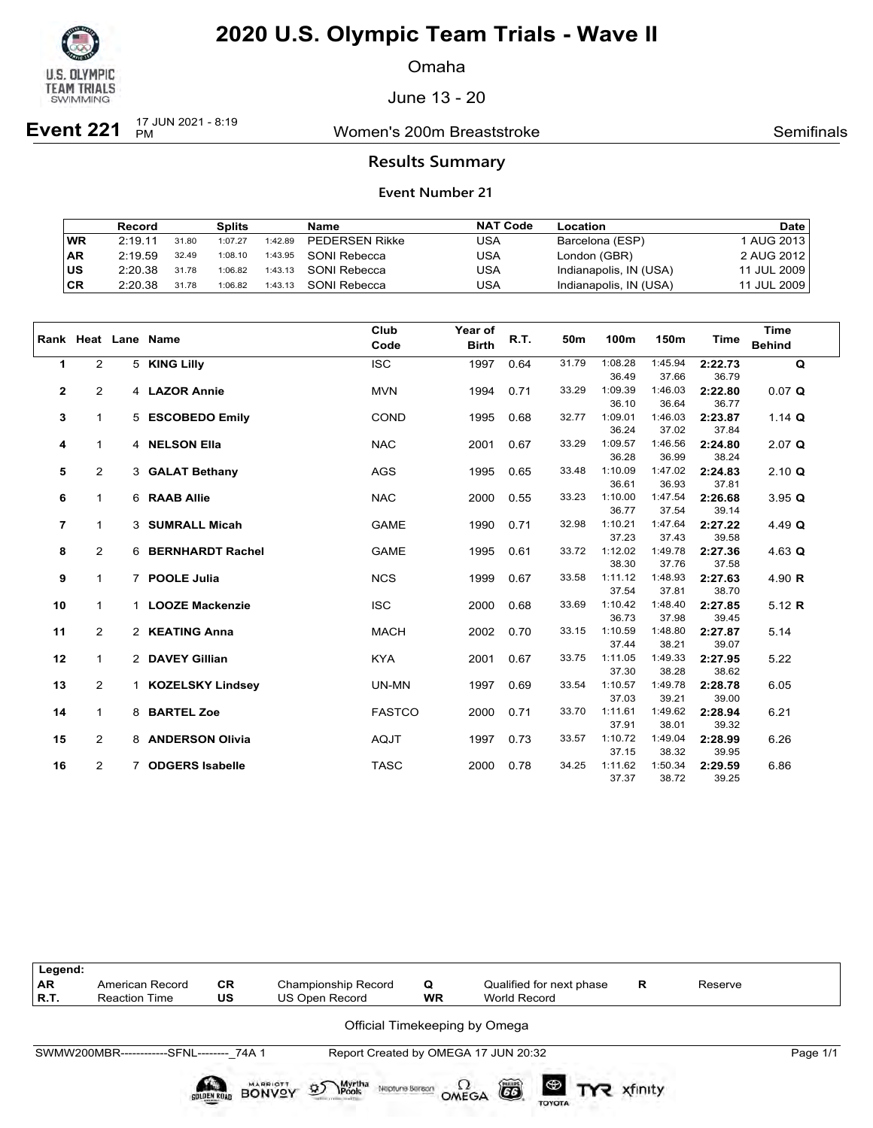

Omaha

June 13 - 20

**Event 221** 17 JUN 2021 - 8:19

Women's 200m Breaststroke **Semifinals** Semifinals

### **Results Summary**

|           | Record  |       | <b>Splits</b> |         | Name                  | <b>NAT Code</b> | Location               | <b>Date</b> |
|-----------|---------|-------|---------------|---------|-----------------------|-----------------|------------------------|-------------|
| <b>WR</b> | 2:19.11 | 31.80 | 1:07.27       | 1:42.89 | <b>PEDERSEN Rikke</b> | USA             | Barcelona (ESP)        | 1 AUG 2013  |
| ∣AR       | 2:19.59 | 32.49 | 1:08.10       | 1:43.95 | SONI Rebecca          | USA             | London (GBR)           | 2 AUG 2012  |
| ∣us       | 2:20.38 | 31.78 | 1:06.82       | 1:43.13 | SONI Rebecca          | USA             | Indianapolis, IN (USA) | 11 JUL 2009 |
| ∣CR       | 2:20.38 | 31.78 | 1:06.82       | 1:43.13 | SONI Rebecca          | USA             | Indianapolis, IN (USA) | 11 JUL 2009 |

|                |                |   | Rank Heat Lane Name    | Club<br>Code  | Year of<br><b>Birth</b> | R.T. | 50m   | 100m    | 150m    | Time    | <b>Time</b><br><b>Behind</b> |
|----------------|----------------|---|------------------------|---------------|-------------------------|------|-------|---------|---------|---------|------------------------------|
| $\mathbf{1}$   | $\overline{2}$ |   | 5 KING Lilly           | <b>ISC</b>    | 1997                    | 0.64 | 31.79 | 1:08.28 | 1:45.94 | 2:22.73 | $\mathbf Q$                  |
|                |                |   |                        |               |                         |      |       | 36.49   | 37.66   | 36.79   |                              |
| $\mathbf 2$    | $\overline{2}$ |   | 4 LAZOR Annie          | <b>MVN</b>    | 1994                    | 0.71 | 33.29 | 1:09.39 | 1:46.03 | 2:22.80 | 0.07 Q                       |
|                |                |   |                        |               |                         |      |       | 36.10   | 36.64   | 36.77   |                              |
| 3              | $\mathbf{1}$   |   | 5 ESCOBEDO Emily       | <b>COND</b>   | 1995                    | 0.68 | 32.77 | 1:09.01 | 1:46.03 | 2:23.87 | 1.14 $Q$                     |
|                |                |   |                        |               |                         |      |       | 36.24   | 37.02   | 37.84   |                              |
| 4              | $\mathbf{1}$   |   | 4 NELSON Ella          | <b>NAC</b>    | 2001                    | 0.67 | 33.29 | 1:09.57 | 1:46.56 | 2:24.80 | $2.07$ Q                     |
|                |                |   |                        |               |                         |      |       | 36.28   | 36.99   | 38.24   |                              |
| 5              | $\overline{2}$ |   | 3 GALAT Bethany        | AGS           | 1995                    | 0.65 | 33.48 | 1:10.09 | 1:47.02 | 2:24.83 | $2.10 \text{ Q}$             |
|                |                |   |                        |               |                         |      |       | 36.61   | 36.93   | 37.81   |                              |
| 6              | $\mathbf{1}$   |   | 6 RAAB Allie           | <b>NAC</b>    | 2000                    | 0.55 | 33.23 | 1:10.00 | 1:47.54 | 2:26.68 | 3.95 Q                       |
|                |                |   |                        |               |                         |      |       | 36.77   | 37.54   | 39.14   |                              |
| $\overline{7}$ | $\mathbf{1}$   |   | 3 SUMRALL Micah        | <b>GAME</b>   | 1990                    | 0.71 | 32.98 | 1:10.21 | 1:47.64 | 2:27.22 | 4.49 $Q$                     |
|                |                |   |                        |               |                         |      |       | 37.23   | 37.43   | 39.58   |                              |
| 8              | $\overline{2}$ |   | 6 BERNHARDT Rachel     | <b>GAME</b>   | 1995                    | 0.61 | 33.72 | 1:12.02 | 1:49.78 | 2:27.36 | 4.63 $Q$                     |
|                |                |   |                        |               |                         |      |       | 38.30   | 37.76   | 37.58   |                              |
| 9              | $\mathbf{1}$   |   | 7 POOLE Julia          | <b>NCS</b>    | 1999                    | 0.67 | 33.58 | 1:11.12 | 1:48.93 | 2:27.63 | 4.90 $R$                     |
|                |                |   |                        |               |                         |      |       | 37.54   | 37.81   | 38.70   |                              |
| 10             | $\mathbf{1}$   |   | 1 LOOZE Mackenzie      | <b>ISC</b>    | 2000                    | 0.68 | 33.69 | 1:10.42 | 1:48.40 | 2:27.85 | 5.12 $R$                     |
|                |                |   |                        |               |                         |      |       | 36.73   | 37.98   | 39.45   |                              |
| 11             | $\overline{2}$ |   | 2 KEATING Anna         | <b>MACH</b>   | 2002                    | 0.70 | 33.15 | 1:10.59 | 1:48.80 | 2:27.87 | 5.14                         |
|                |                |   |                        |               |                         |      |       | 37.44   | 38.21   | 39.07   |                              |
| 12             | $\mathbf{1}$   |   | 2 DAVEY Gillian        | <b>KYA</b>    | 2001                    | 0.67 | 33.75 | 1:11.05 | 1:49.33 | 2:27.95 | 5.22                         |
|                |                |   |                        |               |                         |      |       | 37.30   | 38.28   | 38.62   |                              |
| 13             | $\overline{2}$ |   | 1 KOZELSKY Lindsey     | UN-MN         | 1997                    | 0.69 | 33.54 | 1:10.57 | 1:49.78 | 2:28.78 | 6.05                         |
|                |                |   |                        |               |                         |      |       | 37.03   | 39.21   | 39.00   |                              |
| 14             | $\mathbf{1}$   |   | 8 BARTEL Zoe           | <b>FASTCO</b> | 2000                    | 0.71 | 33.70 | 1:11.61 | 1:49.62 | 2:28.94 | 6.21                         |
|                |                |   |                        |               |                         |      |       | 37.91   | 38.01   | 39.32   |                              |
| 15             | $\overline{2}$ |   | 8 ANDERSON Olivia      | <b>AQJT</b>   | 1997                    | 0.73 | 33.57 | 1:10.72 | 1:49.04 | 2:28.99 | 6.26                         |
|                |                |   |                        |               |                         |      |       | 37.15   | 38.32   | 39.95   |                              |
| 16             | $\overline{2}$ | 7 | <b>ODGERS Isabelle</b> | <b>TASC</b>   | 2000                    | 0.78 | 34.25 | 1:11.62 | 1:50.34 | 2:29.59 | 6.86                         |
|                |                |   |                        |               |                         |      |       | 37.37   | 38.72   | 39.25   |                              |

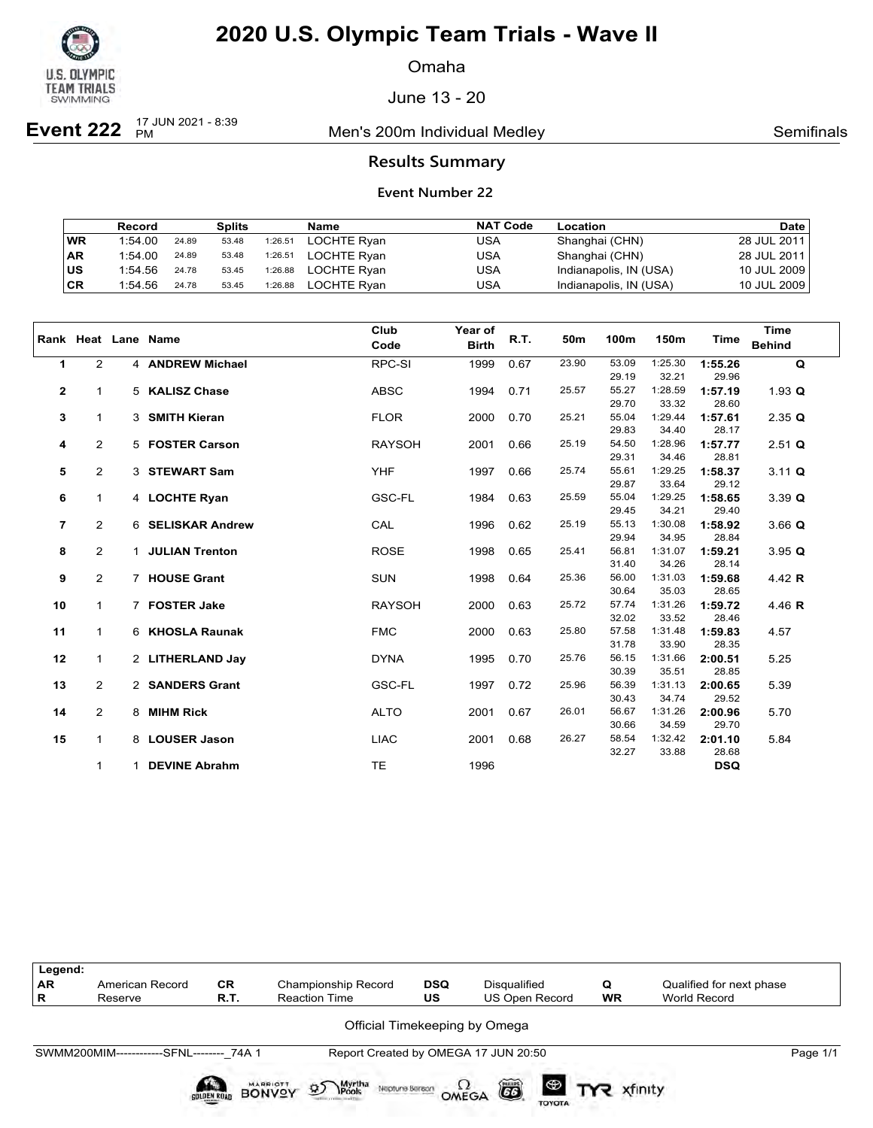

Omaha

June 13 - 20

**Event 222**  $_{PM}^{17 \text{ JUN } 2021 - 8:39}$ 

Men's 200m Individual Medley **Semifinals** Semifinals

### **Results Summary**

|           | Record  |       | <b>Splits</b> |         | Name        | <b>NAT Code</b> | Location               | <b>Date</b> |
|-----------|---------|-------|---------------|---------|-------------|-----------------|------------------------|-------------|
| WR        | 1:54.00 | 24.89 | 53.48         | 1:26.51 | LOCHTE Ryan | USA             | Shanghai (CHN)         | 28 JUL 2011 |
| <b>AR</b> | 1:54.00 | 24.89 | 53.48         | 1:26.51 | LOCHTE Ryan | USA             | Shanghai (CHN)         | 28 JUL 2011 |
| ∣us       | 1:54.56 | 24.78 | 53.45         | 1:26.88 | LOCHTE Ryan | USA             | Indianapolis, IN (USA) | 10 JUL 2009 |
| CR        | 1:54.56 | 24.78 | 53.45         | 1:26.88 | LOCHTE Ryan | USA             | Indianapolis, IN (USA) | 10 JUL 2009 |

|                         |                |   | Rank Heat Lane Name | Club<br>Code  | Year of<br><b>Birth</b> | R.T. | 50m   | 100m           | 150m             | Time             | <b>Time</b><br><b>Behind</b> |
|-------------------------|----------------|---|---------------------|---------------|-------------------------|------|-------|----------------|------------------|------------------|------------------------------|
| 1                       | $\overline{2}$ |   | 4 ANDREW Michael    | RPC-SI        | 1999                    | 0.67 | 23.90 | 53.09          | 1:25.30          | 1:55.26          | $\mathbf Q$                  |
|                         |                |   |                     |               |                         |      |       | 29.19          | 32.21            | 29.96            |                              |
| $\mathbf{2}$            | $\mathbf{1}$   |   | 5 KALISZ Chase      | <b>ABSC</b>   | 1994                    | 0.71 | 25.57 | 55.27          | 1:28.59          | 1:57.19          | 1.93 Q                       |
|                         |                |   |                     |               |                         |      |       | 29.70          | 33.32            | 28.60            |                              |
| 3                       | $\mathbf{1}$   |   | 3 SMITH Kieran      | <b>FLOR</b>   | 2000                    | 0.70 | 25.21 | 55.04          | 1:29.44          | 1:57.61          | $2.35$ Q                     |
|                         |                |   |                     |               |                         |      |       | 29.83          | 34.40            | 28.17            |                              |
| 4                       | $\overline{2}$ |   | 5 FOSTER Carson     | <b>RAYSOH</b> | 2001                    | 0.66 | 25.19 | 54.50          | 1:28.96          | 1:57.77          | $2.51$ Q                     |
|                         |                |   |                     |               |                         |      |       | 29.31          | 34.46            | 28.81            |                              |
| 5                       | $\overline{2}$ |   | 3 STEWART Sam       | <b>YHF</b>    | 1997                    | 0.66 | 25.74 | 55.61          | 1:29.25          | 1:58.37          | $3.11 \Omega$                |
|                         |                |   |                     |               |                         |      |       | 29.87          | 33.64            | 29.12            |                              |
| 6                       | $\mathbf{1}$   |   | 4 LOCHTE Ryan       | GSC-FL        | 1984                    | 0.63 | 25.59 | 55.04          | 1:29.25          | 1:58.65          | 3.39 Q                       |
|                         | $\overline{2}$ |   |                     | CAL           |                         |      | 25.19 | 29.45<br>55.13 | 34.21<br>1:30.08 | 29.40            |                              |
| $\overline{\mathbf{r}}$ |                |   | 6 SELISKAR Andrew   |               | 1996                    | 0.62 |       | 29.94          | 34.95            | 1:58.92<br>28.84 | $3.66$ Q                     |
| 8                       | $\overline{2}$ |   | 1 JULIAN Trenton    | <b>ROSE</b>   | 1998                    | 0.65 | 25.41 | 56.81          | 1:31.07          | 1:59.21          | $3.95 \; \textsf{Q}$         |
|                         |                |   |                     |               |                         |      |       | 31.40          | 34.26            | 28.14            |                              |
| 9                       | $\overline{2}$ |   | 7 HOUSE Grant       | <b>SUN</b>    | 1998                    | 0.64 | 25.36 | 56.00          | 1:31.03          | 1:59.68          | 4.42 $R$                     |
|                         |                |   |                     |               |                         |      |       | 30.64          | 35.03            | 28.65            |                              |
| 10                      | $\mathbf{1}$   |   | 7 FOSTER Jake       | <b>RAYSOH</b> | 2000                    | 0.63 | 25.72 | 57.74          | 1:31.26          | 1:59.72          | 4.46 $R$                     |
|                         |                |   |                     |               |                         |      |       | 32.02          | 33.52            | 28.46            |                              |
| 11                      | $\mathbf{1}$   |   | 6 KHOSLA Raunak     | <b>FMC</b>    | 2000                    | 0.63 | 25.80 | 57.58          | 1:31.48          | 1:59.83          | 4.57                         |
|                         |                |   |                     |               |                         |      |       | 31.78          | 33.90            | 28.35            |                              |
| 12                      | $\mathbf{1}$   |   | 2 LITHERLAND Jay    | <b>DYNA</b>   | 1995                    | 0.70 | 25.76 | 56.15          | 1:31.66          | 2:00.51          | 5.25                         |
|                         |                |   |                     |               |                         |      |       | 30.39          | 35.51            | 28.85            |                              |
| 13                      | $\overline{2}$ |   | 2 SANDERS Grant     | <b>GSC-FL</b> | 1997                    | 0.72 | 25.96 | 56.39          | 1:31.13          | 2:00.65          | 5.39                         |
|                         |                |   |                     |               |                         |      |       | 30.43          | 34.74            | 29.52            |                              |
| 14                      | $\overline{2}$ | 8 | <b>MIHM Rick</b>    | <b>ALTO</b>   | 2001                    | 0.67 | 26.01 | 56.67          | 1:31.26          | 2:00.96          | 5.70                         |
|                         |                |   |                     |               |                         |      |       | 30.66          | 34.59            | 29.70            |                              |
| 15                      | $\mathbf{1}$   |   | 8 LOUSER Jason      | <b>LIAC</b>   | 2001                    | 0.68 | 26.27 | 58.54          | 1:32.42          | 2:01.10          | 5.84                         |
|                         |                |   |                     |               |                         |      |       | 32.27          | 33.88            | 28.68            |                              |
|                         | 1              |   | 1 DEVINE Abrahm     | TE            | 1996                    |      |       |                |                  | <b>DSQ</b>       |                              |

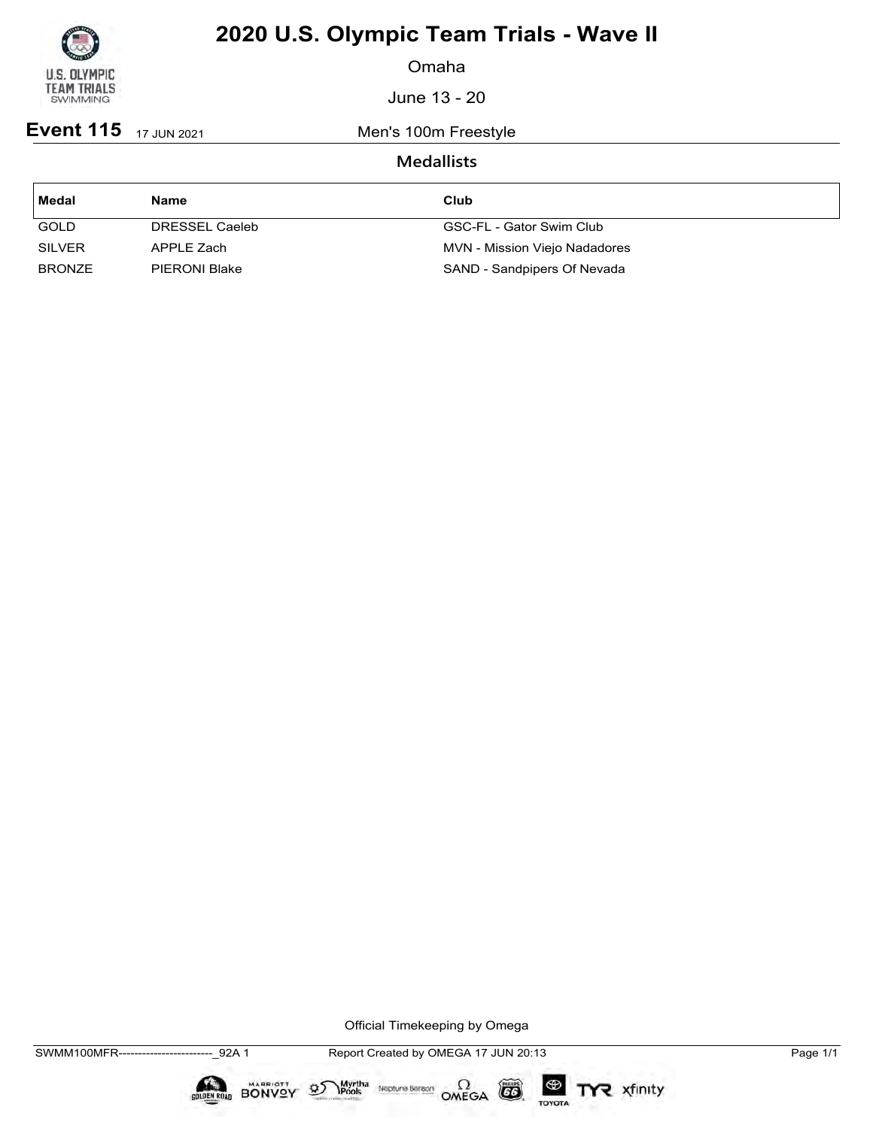

Omaha

June 13 - 20

**Event 115** 17 JUN 2021 Men's 100m Freestyle

### **Medallists**

| Medal         | <b>Name</b>          | Club                          |
|---------------|----------------------|-------------------------------|
| <b>GOLD</b>   | DRESSEL Caeleb       | GSC-FL - Gator Swim Club      |
| <b>SILVER</b> | APPLE Zach           | MVN - Mission Viejo Nadadores |
| <b>BRONZE</b> | <b>PIERONI Blake</b> | SAND - Sandpipers Of Nevada   |

Official Timekeeping by Omega

 $\circled{G}$ 

TOYOTA

TYR xfinity

Myrtha Neptune Bereon OMEGA

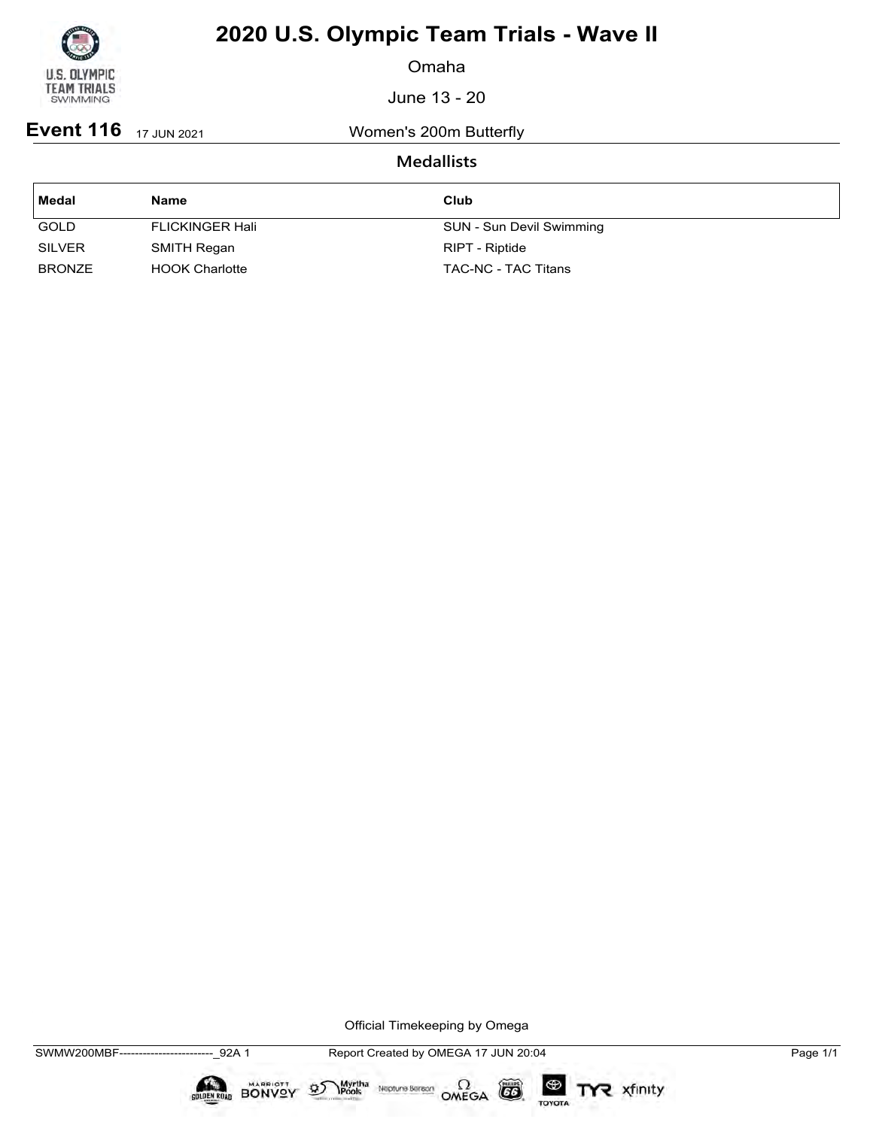

Omaha

June 13 - 20

**Event 116** 17 JUN 2021 Women's 200m Butterfly

### **Medallists**

| Medal         | <b>Name</b>            | Club                     |
|---------------|------------------------|--------------------------|
| <b>GOLD</b>   | <b>FLICKINGER Hali</b> | SUN - Sun Devil Swimming |
| <b>SILVER</b> | SMITH Regan            | RIPT - Riptide           |
| <b>BRONZE</b> | <b>HOOK Charlotte</b>  | TAC-NC - TAC Titans      |

Official Timekeeping by Omega

CO

TOYOTA

TYR xfinity

 $\sum_{\text{Pools}}$  Neptune Bergon  $\Omega$ <br>OMEGA

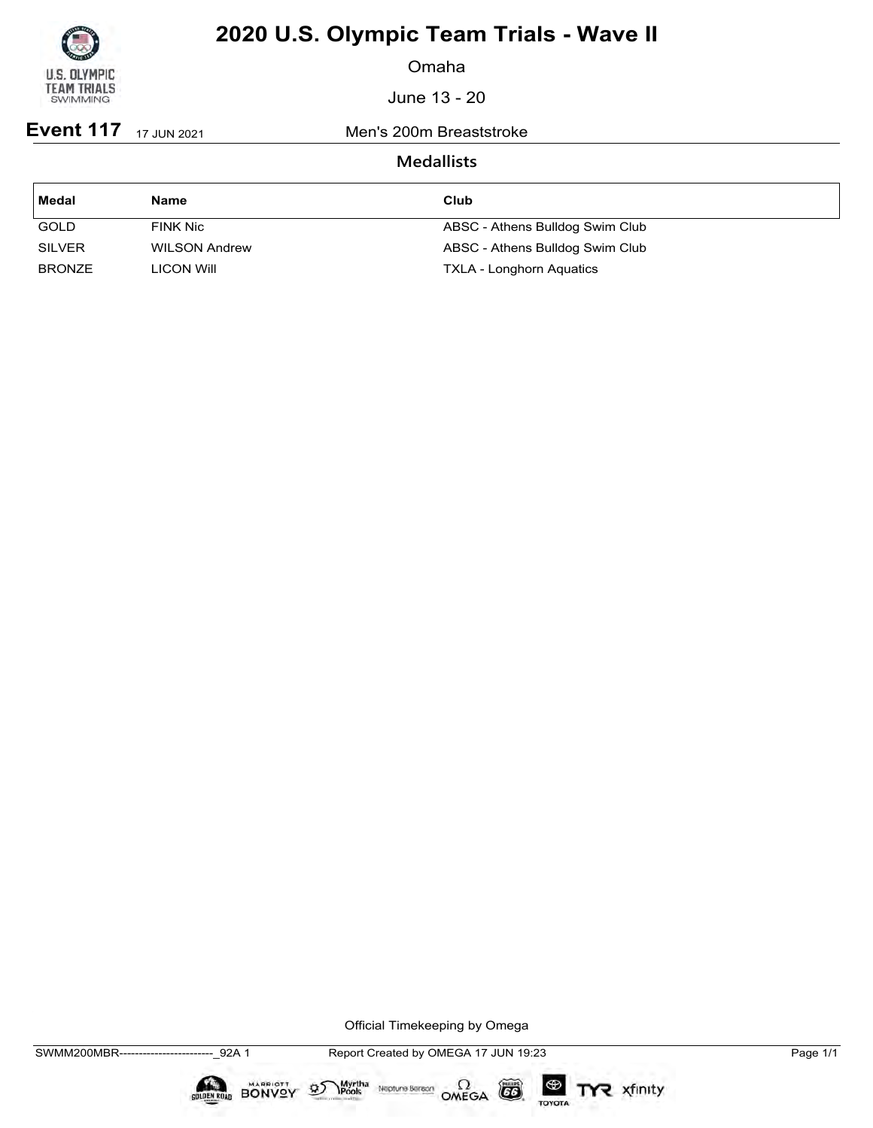

Omaha

June 13 - 20

**Event 117** 17 JUN 2021 Men's 200m Breaststroke

### **Medallists**

| l Medal       | Name                 | Club                            |
|---------------|----------------------|---------------------------------|
| <b>GOLD</b>   | FINK Nic             | ABSC - Athens Bulldog Swim Club |
| <b>SILVER</b> | <b>WILSON Andrew</b> | ABSC - Athens Bulldog Swim Club |
| <b>BRONZE</b> | <b>LICON WIII</b>    | <b>TXLA - Longhorn Aquatics</b> |

Official Timekeeping by Omega

 $\circled{G}$ 

TOYOTA

TYR xfinity

Myrtha Neptune Bereon OMEGA

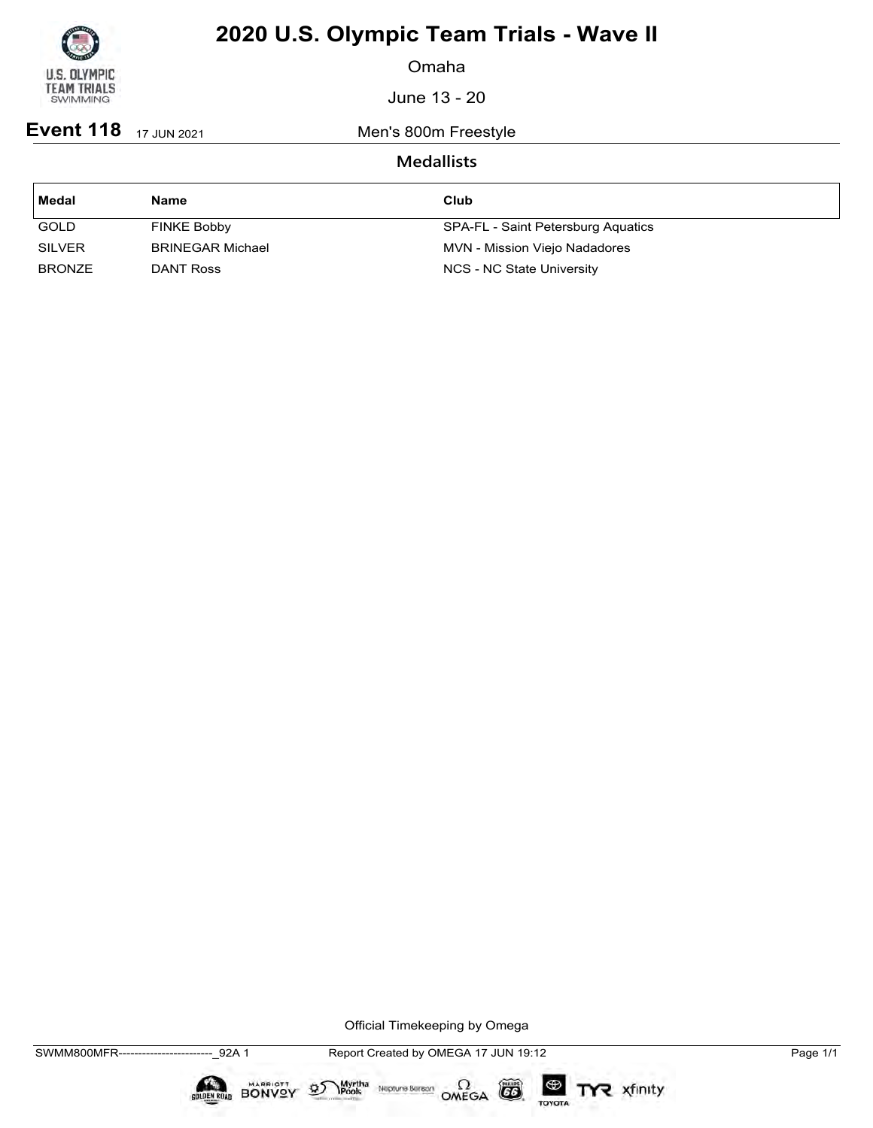

Omaha

June 13 - 20

**Event 118** 17 JUN 2021 Men's 800m Freestyle

### **Medallists**

| Medal         | <b>Name</b>             | Club                               |
|---------------|-------------------------|------------------------------------|
| <b>GOLD</b>   | FINKE Bobby             | SPA-FL - Saint Petersburg Aquatics |
| <b>SILVER</b> | <b>BRINEGAR Michael</b> | MVN - Mission Viejo Nadadores      |
| <b>BRONZE</b> | DANT Ross               | NCS - NC State University          |

Official Timekeeping by Omega

 $\circled{G}$ 

TOYOTA

TYR xfinity

 $\sum_{\text{Pools}}$  Neptune Bergon  $\Omega$ <br>OMEGA

 $\mathfrak{D}$ 

BONVOY

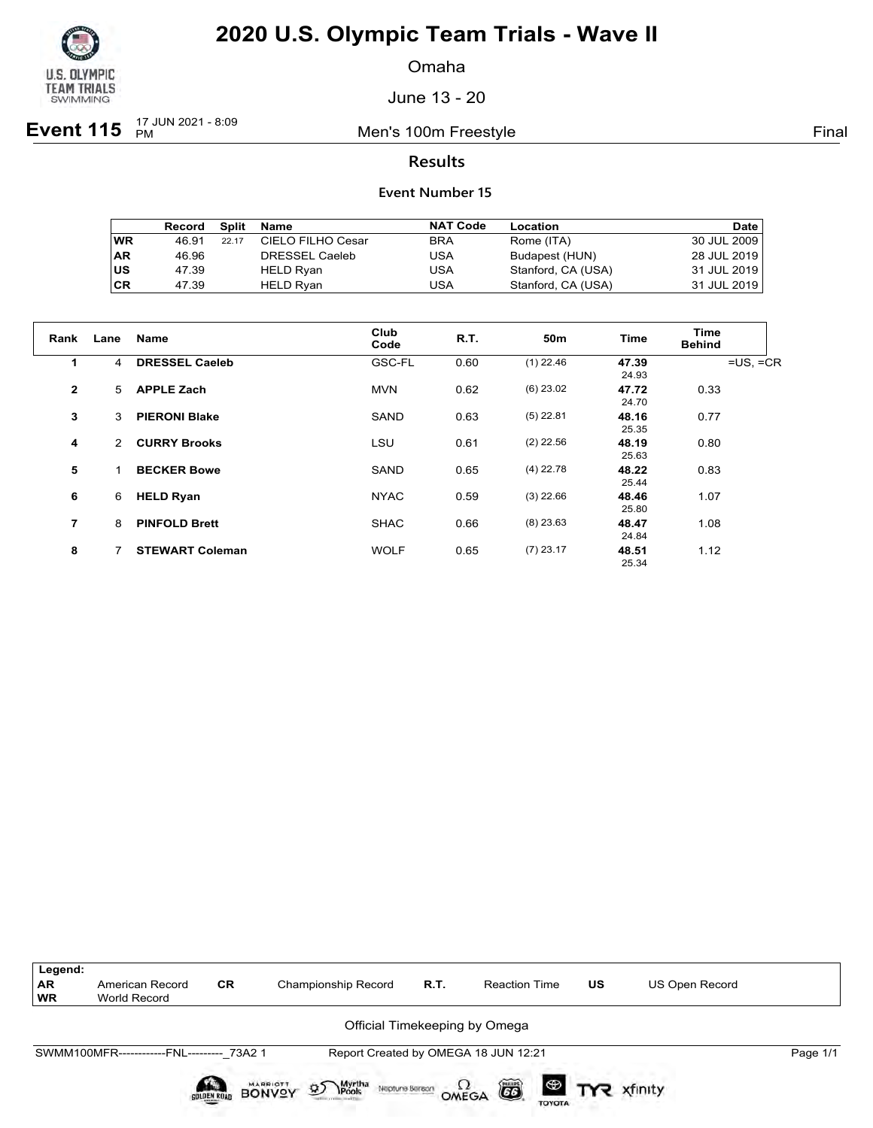

Omaha

June 13 - 20

**Event 115**  $\frac{17 \text{ JUN } 2021 - 8:09}{PM}$ 

Men's 100m Freestyle **Final** 

### **Results**

|           | Record | Split | Name              | <b>NAT Code</b> | Location           | <b>Date</b> |
|-----------|--------|-------|-------------------|-----------------|--------------------|-------------|
| <b>WR</b> | 46.91  | 22.17 | CIELO FILHO Cesar | <b>BRA</b>      | Rome (ITA)         | 30 JUL 2009 |
| <b>AR</b> | 46.96  |       | DRESSEL Caeleb    | USA             | Budapest (HUN)     | 28 JUL 2019 |
| <b>US</b> | 47.39  |       | HELD Ryan         | USA             | Stanford, CA (USA) | 31 JUL 2019 |
| <b>CR</b> | 47.39  |       | HELD Ryan         | USA             | Stanford, CA (USA) | 31 JUL 2019 |

| Rank         | Lane | Name                   | Club<br>Code | <b>R.T.</b> | 50m         | <b>Time</b>    | Time<br><b>Behind</b> |
|--------------|------|------------------------|--------------|-------------|-------------|----------------|-----------------------|
| $\mathbf 1$  | 4    | <b>DRESSEL Caeleb</b>  | GSC-FL       | 0.60        | $(1)$ 22.46 | 47.39<br>24.93 | $=US, =CR$            |
| $\mathbf{2}$ | 5    | <b>APPLE Zach</b>      | <b>MVN</b>   | 0.62        | $(6)$ 23.02 | 47.72<br>24.70 | 0.33                  |
| 3            | 3    | <b>PIERONI Blake</b>   | SAND         | 0.63        | $(5)$ 22.81 | 48.16<br>25.35 | 0.77                  |
| 4            | 2    | <b>CURRY Brooks</b>    | LSU          | 0.61        | $(2)$ 22.56 | 48.19<br>25.63 | 0.80                  |
| 5            |      | <b>BECKER Bowe</b>     | <b>SAND</b>  | 0.65        | $(4)$ 22.78 | 48.22<br>25.44 | 0.83                  |
| 6            | 6    | <b>HELD Ryan</b>       | <b>NYAC</b>  | 0.59        | $(3)$ 22.66 | 48.46<br>25.80 | 1.07                  |
| 7            | 8    | <b>PINFOLD Brett</b>   | <b>SHAC</b>  | 0.66        | $(8)$ 23.63 | 48.47<br>24.84 | 1.08                  |
| 8            | 7    | <b>STEWART Coleman</b> | <b>WOLF</b>  | 0.65        | $(7)$ 23.17 | 48.51<br>25.34 | 1.12                  |

| Legend:<br><b>AR</b><br><b>WR</b> | American Record<br>World Record           | <b>CR</b>   | <b>Championship Record</b>                                           | R.T.  | <b>Reaction Time</b>                 | US | US Open Record        |          |  |  |  |
|-----------------------------------|-------------------------------------------|-------------|----------------------------------------------------------------------|-------|--------------------------------------|----|-----------------------|----------|--|--|--|
|                                   | Official Timekeeping by Omega             |             |                                                                      |       |                                      |    |                       |          |  |  |  |
|                                   | SWMM100MFR------------FNL--------- 73A2 1 |             |                                                                      |       | Report Created by OMEGA 18 JUN 12:21 |    |                       | Page 1/1 |  |  |  |
|                                   |                                           | SOLDEN ROAD | <b>BONVOY</b><br>Myrtha<br>Pools<br>$\mathfrak{D}$<br>Neptune Bereon | OMEGA | ã<br><b>TOYOTA</b>                   |    | <b>ED TYR</b> xfinity |          |  |  |  |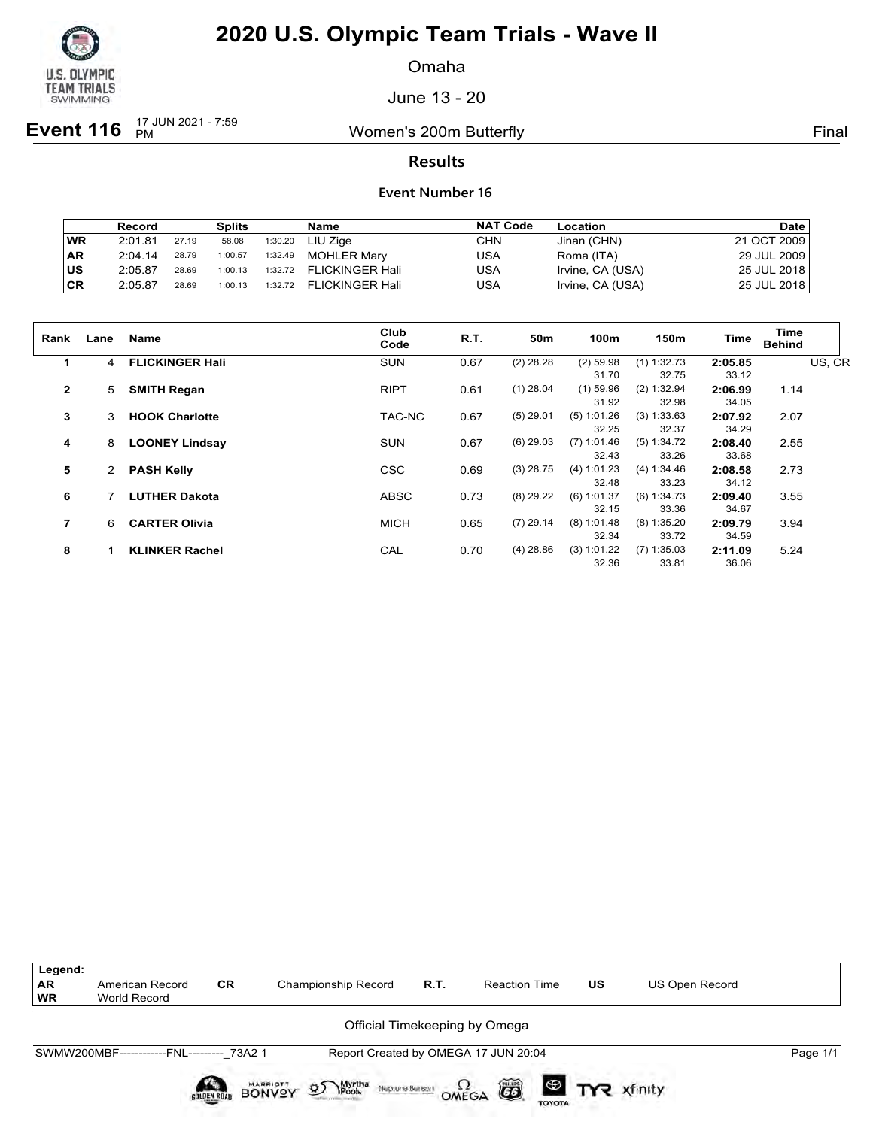

Omaha

June 13 - 20

**Event 116**  $\frac{17 \text{ JUN } 2021 - 7:59}{PM}$ 

Women's 200m Butterfly **Final** 

### **Results**

|           | Record  |       | <b>Splits</b> |         | Name                   | <b>NAT Code</b> | Location         | Date        |
|-----------|---------|-------|---------------|---------|------------------------|-----------------|------------------|-------------|
| <b>WR</b> | 2:01.81 | 27.19 | 58.08         | 1:30.20 | LIU Ziae               | CHN             | Jinan (CHN)      | 21 OCT 2009 |
| <b>AR</b> | 2:04.14 | 28.79 | 1:00.57       | 1:32.49 | <b>MOHLER Marv</b>     | USA             | Roma (ITA)       | 29 JUL 2009 |
| ∣us       | 2:05.87 | 28.69 | 1:00.13       | 1:32.72 | <b>FLICKINGER Hali</b> | USA             | Irvine, CA (USA) | 25 JUL 2018 |
| <b>CR</b> | 2:05.87 | 28.69 | 1:00.13       | 1:32.72 | <b>FLICKINGER Hali</b> | USA             | Irvine, CA (USA) | 25 JUL 2018 |

| Rank           | Lane | <b>Name</b>            | Club<br>Code | R.T. | 50 <sub>m</sub> | 100m           | 150m          | Time    | Time<br><b>Behind</b> |        |
|----------------|------|------------------------|--------------|------|-----------------|----------------|---------------|---------|-----------------------|--------|
|                | 4    | <b>FLICKINGER Hall</b> | <b>SUN</b>   | 0.67 | $(2)$ 28.28     | $(2)$ 59.98    | $(1)$ 1:32.73 | 2:05.85 |                       | US, CR |
|                |      |                        |              |      |                 | 31.70          | 32.75         | 33.12   |                       |        |
| $\overline{2}$ | 5    | <b>SMITH Regan</b>     | <b>RIPT</b>  | 0.61 | $(1)$ 28.04     | $(1)$ 59.96    | (2) 1:32.94   | 2:06.99 | 1.14                  |        |
|                |      |                        |              |      |                 | 31.92          | 32.98         | 34.05   |                       |        |
| 3              | 3    | <b>HOOK Charlotte</b>  | TAC-NC       | 0.67 | $(5)$ 29.01     | (5) 1:01.26    | (3) 1:33.63   | 2:07.92 | 2.07                  |        |
|                |      |                        |              |      |                 | 32.25          | 32.37         | 34.29   |                       |        |
| 4              | 8    | <b>LOONEY Lindsay</b>  | <b>SUN</b>   | 0.67 | $(6)$ 29.03     | (7)<br>1:01.46 | (5) 1:34.72   | 2:08.40 | 2.55                  |        |
|                |      |                        |              |      |                 | 32.43          | 33.26         | 33.68   |                       |        |
| 5              |      | <b>PASH Kelly</b>      | <b>CSC</b>   | 0.69 | $(3)$ 28.75     | (4) 1:01.23    | (4) 1:34.46   | 2:08.58 | 2.73                  |        |
|                |      |                        |              |      |                 | 32.48          | 33.23         | 34.12   |                       |        |
| 6              |      | <b>LUTHER Dakota</b>   | <b>ABSC</b>  | 0.73 | $(8)$ 29.22     | $(6)$ 1:01.37  | (6) 1:34.73   | 2:09.40 | 3.55                  |        |
|                |      |                        |              |      |                 | 32.15          | 33.36         | 34.67   |                       |        |
| 7              | 6    | <b>CARTER Olivia</b>   | <b>MICH</b>  | 0.65 | $(7)$ 29.14     | $(8)$ 1:01.48  | (8) 1:35.20   | 2:09.79 | 3.94                  |        |
|                |      |                        |              |      |                 | 32.34          | 33.72         | 34.59   |                       |        |
| 8              |      | <b>KLINKER Rachel</b>  | CAL          | 0.70 | $(4)$ 28.86     | (3) 1:01.22    | $(7)$ 1:35.03 | 2:11.09 | 5.24                  |        |
|                |      |                        |              |      |                 | 32.36          | 33.81         | 36.06   |                       |        |
|                |      |                        |              |      |                 |                |               |         |                       |        |

| Legend:<br><b>AR</b><br><b>WR</b> | American Record<br><b>World Record</b>    | <b>CR</b> | Championship Record                                 | R.T.  | <b>Reaction Time</b> |               | US                   | US Open Record |          |
|-----------------------------------|-------------------------------------------|-----------|-----------------------------------------------------|-------|----------------------|---------------|----------------------|----------------|----------|
|                                   |                                           |           | Official Timekeeping by Omega                       |       |                      |               |                      |                |          |
|                                   | SWMW200MBF------------FNL--------- 73A2 1 |           | Report Created by OMEGA 17 JUN 20:04                |       |                      |               |                      |                | Page 1/1 |
|                                   |                                           | BONYST    | Myrtha<br>Pools<br>$\mathfrak{D}$<br>Neptune Beraon | OMEGA | ã                    | <b>TOYOTA</b> | <b>D</b> TYR xfinity |                |          |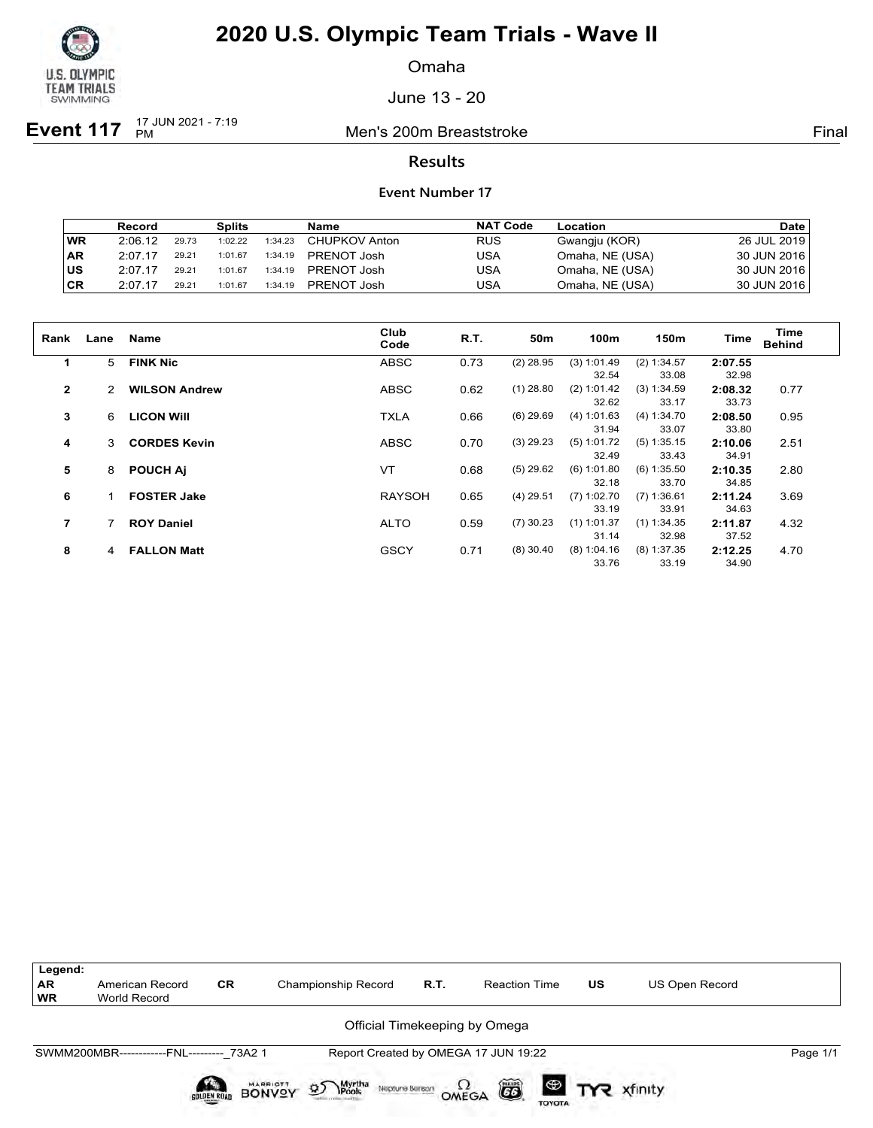

Omaha

June 13 - 20

**Event 117**  $\frac{17 \text{ JUN } 2021 - 7:19}{PM}$ 

**Men's 200m Breaststroke Final** 

### **Results**

#### **Event Number 17**

|           | Record  |       | <b>Splits</b> |         | Name          | <b>NAT Code</b> | Location        | <b>Date</b> |
|-----------|---------|-------|---------------|---------|---------------|-----------------|-----------------|-------------|
| <b>WR</b> | 2:06.12 | 29.73 | 1:02.22       | 1:34.23 | CHUPKOV Anton | <b>RUS</b>      | Gwangju (KOR)   | 26 JUL 2019 |
| ∣AR       | 2:07.17 | 29.21 | 1:01.67       | 1:34.19 | PRENOT Josh   | USA             | Omaha, NE (USA) | 30 JUN 2016 |
| ∣us       | 2:07.17 | 29.21 | 1:01.67       | 1:34.19 | PRENOT Josh   | USA             | Omaha, NE (USA) | 30 JUN 2016 |
| ∣CR       | 2:07.17 | 29.21 | 1:01.67       | 1:34.19 | PRENOT Josh   | USA             | Omaha, NE (USA) | 30 JUN 2016 |

| Rank         | Lane | <b>Name</b>          | Club<br>Code  | R.T. | 50 <sub>m</sub> | 100m          | 150m          | <b>Time</b> | Time<br><b>Behind</b> |
|--------------|------|----------------------|---------------|------|-----------------|---------------|---------------|-------------|-----------------------|
| 1            | 5    | <b>FINK Nic</b>      | <b>ABSC</b>   | 0.73 | $(2)$ 28.95     | (3) 1:01.49   | (2) 1:34.57   | 2:07.55     |                       |
|              |      |                      |               |      |                 | 32.54         | 33.08         | 32.98       |                       |
| $\mathbf{2}$ |      | <b>WILSON Andrew</b> | <b>ABSC</b>   | 0.62 | $(1)$ 28.80     | (2) 1:01.42   | (3) 1:34.59   | 2:08.32     | 0.77                  |
|              |      |                      |               |      |                 | 32.62         | 33.17         | 33.73       |                       |
| 3            | 6    | <b>LICON WIII</b>    | <b>TXLA</b>   | 0.66 | $(6)$ 29.69     | (4) 1:01.63   | (4) 1:34.70   | 2:08.50     | 0.95                  |
|              |      |                      |               |      |                 | 31.94         | 33.07         | 33.80       |                       |
| 4            | 3    | <b>CORDES Kevin</b>  | <b>ABSC</b>   | 0.70 | $(3)$ 29.23     | (5) 1:01.72   | $(5)$ 1:35.15 | 2:10.06     | 2.51                  |
|              |      |                      |               |      |                 | 32.49         | 33.43         | 34.91       |                       |
| 5            | 8    | <b>POUCH AI</b>      | VT            | 0.68 | $(5)$ 29.62     | (6) 1:01.80   | $(6)$ 1:35.50 | 2:10.35     | 2.80                  |
|              |      |                      |               |      |                 | 32.18         | 33.70         | 34.85       |                       |
| 6            |      | <b>FOSTER Jake</b>   | <b>RAYSOH</b> | 0.65 | $(4)$ 29.51     | $(7)$ 1:02.70 | $(7)$ 1:36.61 | 2:11.24     | 3.69                  |
|              |      |                      |               |      |                 | 33.19         | 33.91         | 34.63       |                       |
| 7            |      | <b>ROY Daniel</b>    | <b>ALTO</b>   | 0.59 | $(7)$ 30.23     | $(1)$ 1:01.37 | $(1)$ 1:34.35 | 2:11.87     | 4.32                  |
|              |      |                      |               |      |                 | 31.14         | 32.98         | 37.52       |                       |
| 8            | 4    | <b>FALLON Matt</b>   | <b>GSCY</b>   | 0.71 | $(8)$ 30.40     | (8) 1:04.16   | $(8)$ 1:37.35 | 2:12.25     | 4.70                  |
|              |      |                      |               |      |                 | 33.76         | 33.19         | 34.90       |                       |



TOYOTA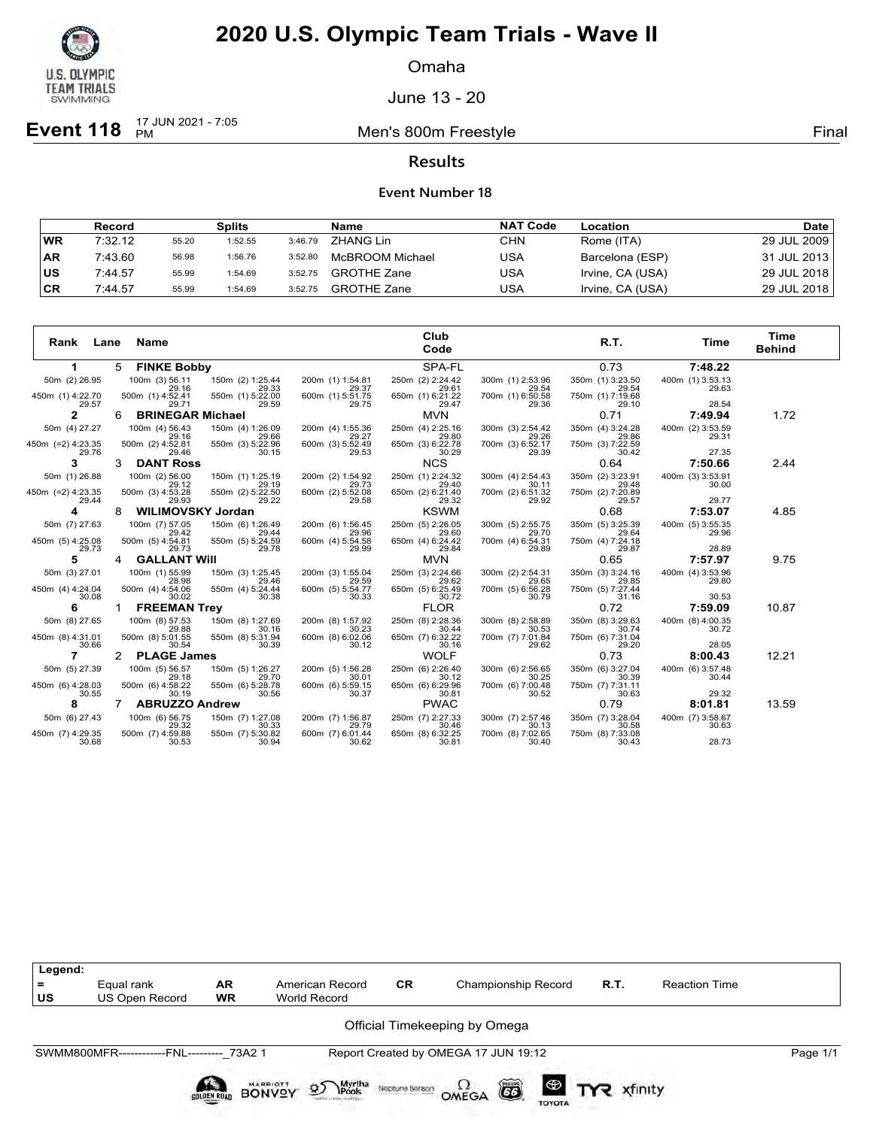

Omaha

June 13 - 20

**Event 118**  $\frac{17 \text{ JUN } 2021 - 7:05}{PM}$ 

Men's 800m Freestyle **Final** 

**Results**

|           | <b>Record</b> |       | <b>Splits</b> |         | Name               | <b>NAT Code</b> | Location         | Date l      |
|-----------|---------------|-------|---------------|---------|--------------------|-----------------|------------------|-------------|
| <b>WR</b> | 7:32.12       | 55.20 | 1:52.55       | 3:46.79 | ZHANG Lin          | CHN             | Rome (ITA)       | 29 JUL 2009 |
| <b>AR</b> | 7:43.60       | 56.98 | 1:56.76       | 3:52.80 | McBROOM Michael    | USA             | Barcelona (ESP)  | 31 JUL 2013 |
| <b>US</b> | 7:44.57       | 55.99 | 1:54.69       | 3:52.75 | <b>GROTHE Zane</b> | USA             | Irvine, CA (USA) | 29 JUL 2018 |
| <b>CR</b> | 7:44.57       | 55.99 | 1:54.69       | 3:52.75 | <b>GROTHE Zane</b> | USA             | Irvine, CA (USA) | 29 JUL 2018 |

| Rank<br>Lane               | Name                          |                           |                           | Club<br>Code              |                           | R.T.                      | Time                      | Time<br><b>Behind</b> |
|----------------------------|-------------------------------|---------------------------|---------------------------|---------------------------|---------------------------|---------------------------|---------------------------|-----------------------|
| 1                          | <b>FINKE Bobby</b><br>5       |                           |                           | SPA-FL                    |                           | 0.73                      | 7:48.22                   |                       |
| 50m (2) 26.95              | 100m (3) 56.11<br>29.16       | 150m (2) 1:25.44<br>29.33 | 200m (1) 1:54.81<br>29.37 | 250m (2) 2:24.42<br>29.61 | 300m (1) 2:53.96<br>29.54 | 350m (1) 3:23.50<br>29.54 | 400m (1) 3:53.13<br>29.63 |                       |
| 450m (1) 4:22.70<br>29.57  | 500m (1) 4:52.41<br>29.71     | 550m (1) 5:22.00<br>29.59 | 600m (1) 5:51.75<br>29.75 | 650m (1) 6:21.22<br>29.47 | 700m (1) 6:50.58<br>29.36 | 750m (1) 7:19.68<br>29.10 | 28.54                     |                       |
| 2                          | <b>BRINEGAR Michael</b><br>6  |                           |                           | <b>MVN</b>                |                           | 0.71                      | 7:49.94                   | 1.72                  |
| 50m (4) 27.27              | 100m (4) 56.43<br>29.16       | 150m (4) 1:26.09<br>29.66 | 200m (4) 1:55.36<br>29.27 | 250m (4) 2:25.16<br>29.80 | 300m (3) 2:54.42<br>29.26 | 350m (4) 3:24.28<br>29.86 | 400m (2) 3:53.59<br>29.31 |                       |
| 450m (=2) 4:23.35<br>29.76 | 500m (2) 4:52.81<br>29.46     | 550m (3) 5:22.96<br>30.15 | 600m (3) 5:52.49<br>29.53 | 650m (3) 6:22.78<br>30.29 | 700m (3) 6:52.17<br>29.39 | 750m (3) 7:22.59<br>30.42 | 27.35                     |                       |
| 3                          | <b>DANT Ross</b><br>3         |                           |                           | <b>NCS</b>                |                           | 0.64                      | 7:50.66                   | 2.44                  |
| 50m (1) 26.88              | 100m (2) 56.00<br>29.12       | 150m (1) 1:25.19<br>29.19 | 200m (2) 1:54.92<br>29.73 | 250m (1) 2:24.32<br>29.40 | 300m (4) 2:54.43<br>30.11 | 350m (2) 3:23.91<br>29.48 | 400m (3) 3:53.91<br>30.00 |                       |
| 450m (=2) 4:23.35<br>29.44 | 500m (3) 4:53.28<br>29.93     | 550m (2) 5:22.50<br>29.22 | 600m (2) 5:52.08<br>29.58 | 650m (2) 6:21.40<br>29.32 | 700m (2) 6:51.32<br>29.92 | 750m (2) 7:20.89<br>29.57 | 29.77                     |                       |
| 4                          | <b>WILIMOVSKY Jordan</b><br>8 |                           |                           | <b>KSWM</b>               |                           | 0.68                      | 7:53.07                   | 4.85                  |
| 50m (7) 27.63              | 100m (7) 57.05<br>29.42       | 150m (6) 1:26.49<br>29.44 | 200m (6) 1:56.45<br>29.96 | 250m (5) 2:26.05<br>29.60 | 300m (5) 2:55.75<br>29.70 | 350m (5) 3:25.39<br>29.64 | 400m (5) 3:55.35<br>29.96 |                       |
| 450m (5) 4:25.08<br>29.73  | 500m (5) 4:54.81<br>29.73     | 550m (5) 5:24.59<br>29.78 | 600m (4) 5:54.58<br>29.99 | 650m (4) 6:24.42<br>29.84 | 700m (4) 6:54.31<br>29.89 | 750m (4) 7:24.18<br>29.87 | 28.89                     |                       |
| 5                          | <b>GALLANT WIII</b><br>4      |                           |                           | <b>MVN</b>                |                           | 0.65                      | 7:57.97                   | 9.75                  |
| 50m (3) 27.01              | 100m (1) 55.99<br>28.98       | 150m (3) 1:25.45<br>29.46 | 200m (3) 1:55.04<br>29.59 | 250m (3) 2:24.66<br>29.62 | 300m (2) 2:54.31<br>29.65 | 350m (3) 3:24.16<br>29.85 | 400m (4) 3:53.96<br>29.80 |                       |
| 450m (4) 4:24.04<br>30.08  | 500m (4) 4:54.06<br>30.02     | 550m (4) 5:24.44<br>30.38 | 600m (5) 5:54.77<br>30.33 | 650m (5) 6:25.49<br>30.72 | 700m (5) 6:56.28<br>30.79 | 750m (5) 7:27.44<br>31.16 | 30.53                     |                       |
| 6                          | <b>FREEMAN Trey</b>           |                           |                           | <b>FLOR</b>               |                           | 0.72                      | 7:59.09                   | 10.87                 |
| 50m (8) 27.65              | 100m (8) 57.53<br>29.88       | 150m (8) 1:27.69<br>30.16 | 200m (8) 1:57.92<br>30.23 | 250m (8) 2:28.36<br>30.44 | 300m (8) 2:58.89<br>30.53 | 350m (8) 3:29.63<br>30.74 | 400m (8) 4:00.35<br>30.72 |                       |
| 450m (8) 4:31.01<br>30.66  | 500m (8) 5:01.55<br>30.54     | 550m (8) 5:31.94<br>30.39 | 600m (8) 6:02.06<br>30.12 | 650m (7) 6:32.22<br>30.16 | 700m (7) 7:01.84<br>29.62 | 750m (6) 7:31.04<br>29.20 | 28.05                     |                       |
| 7                          | <b>PLAGE James</b>            |                           |                           | <b>WOLF</b>               |                           | 0.73                      | 8:00.43                   | 12.21                 |
| 50m (5) 27.39              | 100m (5) 56.57<br>29.18       | 150m (5) 1:26.27<br>29.70 | 200m (5) 1:56.28<br>30.01 | 250m (6) 2:26.40<br>30.12 | 300m (6) 2:56.65<br>30.25 | 350m (6) 3:27.04<br>30.39 | 400m (6) 3:57.48<br>30.44 |                       |
| 450m (6) 4:28.03<br>30.55  | 500m (6) 4:58.22<br>30.19     | 550m (6) 5:28.78<br>30.56 | 600m (6) 5:59.15<br>30.37 | 650m (6) 6:29.96<br>30.81 | 700m (6) 7:00.48<br>30.52 | 750m (7) 7:31.11<br>30.63 | 29.32                     |                       |
| 8                          | <b>ABRUZZO Andrew</b>         |                           |                           | <b>PWAC</b>               |                           | 0.79                      | 8:01.81                   | 13.59                 |
| 50m (6) 27.43              | 100m (6) 56.75<br>29.32       | 150m (7) 1:27.08<br>30.33 | 200m (7) 1:56.87<br>29.79 | 250m (7) 2:27.33<br>30.46 | 300m (7) 2:57.46<br>30.13 | 350m (7) 3:28.04<br>30.58 | 400m (7) 3:58.67<br>30.63 |                       |
| 450m (7) 4:29.35<br>30.68  | 500m (7) 4:59.88<br>30.53     | 550m (7) 5:30.82<br>30.94 | 600m (7) 6:01.44<br>30.62 | 650m (8) 6:32.25<br>30.81 | 700m (8) 7:02.65<br>30.40 | 750m (8) 7:33.08<br>30.43 | 28.73                     |                       |

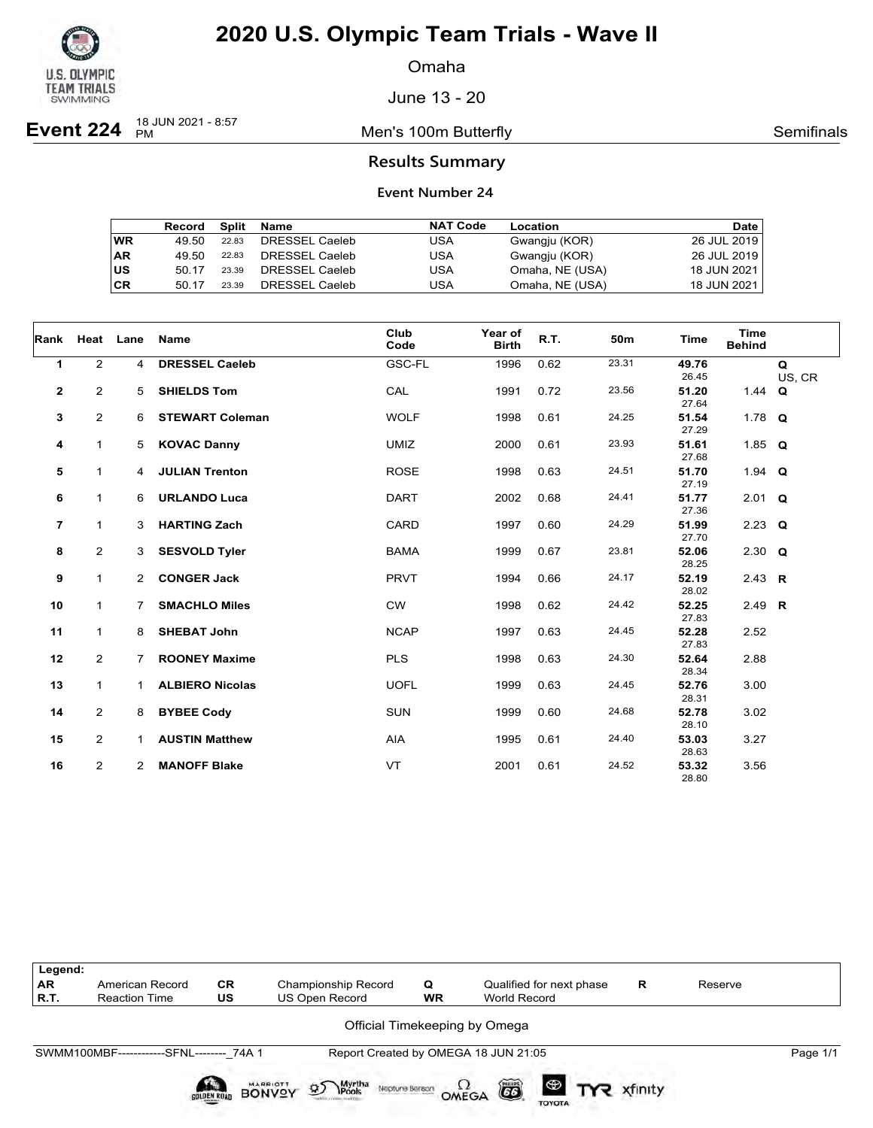

Omaha

June 13 - 20

**Event 224** 18 JUN 2021 - 8:57

Men's 100m Butterfly **Semifinals** Semifinals

### **Results Summary**

|    | Record | Split | Name           | <b>NAT Code</b> | Location        | Date        |
|----|--------|-------|----------------|-----------------|-----------------|-------------|
| WR | 49.50  | 22.83 | DRESSEL Caeleb | USA             | Gwangju (KOR)   | 26 JUL 2019 |
| AR | 49.50  | 22.83 | DRESSEL Caeleb | USA             | Gwangju (KOR)   | 26 JUL 2019 |
| US | 50 17  | 23.39 | DRESSEL Caeleb | USA             | Omaha, NE (USA) | 18 JUN 2021 |
| СR | 50.17  | 23.39 | DRESSEL Caeleb | USA             | Omaha, NE (USA) | 18 JUN 2021 |

| Rank           |                | Heat Lane      | Name                   | Club<br>Code | Year of<br><b>Birth</b> | R.T. | 50m   | Time           | <b>Time</b><br><b>Behind</b> |             |
|----------------|----------------|----------------|------------------------|--------------|-------------------------|------|-------|----------------|------------------------------|-------------|
| 1              | $\overline{2}$ | 4              | <b>DRESSEL Caeleb</b>  | GSC-FL       | 1996                    | 0.62 | 23.31 | 49.76<br>26.45 |                              | Q<br>US, CR |
| $\mathbf{2}$   | 2              | 5              | <b>SHIELDS Tom</b>     | CAL          | 1991                    | 0.72 | 23.56 | 51.20<br>27.64 | 1.44 $Q$                     |             |
| 3              | $\overline{2}$ | 6              | <b>STEWART Coleman</b> | <b>WOLF</b>  | 1998                    | 0.61 | 24.25 | 51.54<br>27.29 | 1.78 $Q$                     |             |
| 4              | 1              | 5              | <b>KOVAC Danny</b>     | <b>UMIZ</b>  | 2000                    | 0.61 | 23.93 | 51.61<br>27.68 | 1.85 $Q$                     |             |
| 5              | 1              | 4              | <b>JULIAN Trenton</b>  | <b>ROSE</b>  | 1998                    | 0.63 | 24.51 | 51.70<br>27.19 | 1.94 $Q$                     |             |
| 6              | $\mathbf{1}$   | 6              | <b>URLANDO Luca</b>    | <b>DART</b>  | 2002                    | 0.68 | 24.41 | 51.77<br>27.36 | $2.01$ Q                     |             |
| $\overline{7}$ | $\mathbf{1}$   | 3              | <b>HARTING Zach</b>    | CARD         | 1997                    | 0.60 | 24.29 | 51.99<br>27.70 | $2.23$ Q                     |             |
| 8              | $\overline{2}$ | 3              | <b>SESVOLD Tyler</b>   | <b>BAMA</b>  | 1999                    | 0.67 | 23.81 | 52.06<br>28.25 | 2.30 $Q$                     |             |
| 9              | $\mathbf{1}$   | $\overline{2}$ | <b>CONGER Jack</b>     | <b>PRVT</b>  | 1994                    | 0.66 | 24.17 | 52.19<br>28.02 | 2.43 R                       |             |
| 10             | $\mathbf{1}$   | $7^{\circ}$    | <b>SMACHLO Miles</b>   | <b>CW</b>    | 1998                    | 0.62 | 24.42 | 52.25<br>27.83 | 2.49 R                       |             |
| 11             | $\mathbf{1}$   | 8              | <b>SHEBAT John</b>     | <b>NCAP</b>  | 1997                    | 0.63 | 24.45 | 52.28<br>27.83 | 2.52                         |             |
| 12             | $\overline{2}$ | 7              | <b>ROONEY Maxime</b>   | <b>PLS</b>   | 1998                    | 0.63 | 24.30 | 52.64<br>28.34 | 2.88                         |             |
| 13             | $\mathbf{1}$   | 1              | <b>ALBIERO Nicolas</b> | <b>UOFL</b>  | 1999                    | 0.63 | 24.45 | 52.76<br>28.31 | 3.00                         |             |
| 14             | $\overline{2}$ | 8              | <b>BYBEE Cody</b>      | <b>SUN</b>   | 1999                    | 0.60 | 24.68 | 52.78<br>28.10 | 3.02                         |             |
| 15             | $\overline{2}$ | 1              | <b>AUSTIN Matthew</b>  | <b>AIA</b>   | 1995                    | 0.61 | 24.40 | 53.03<br>28.63 | 3.27                         |             |
| 16             | $\overline{2}$ | 2              | <b>MANOFF Blake</b>    | <b>VT</b>    | 2001                    | 0.61 | 24.52 | 53.32<br>28.80 | 3.56                         |             |

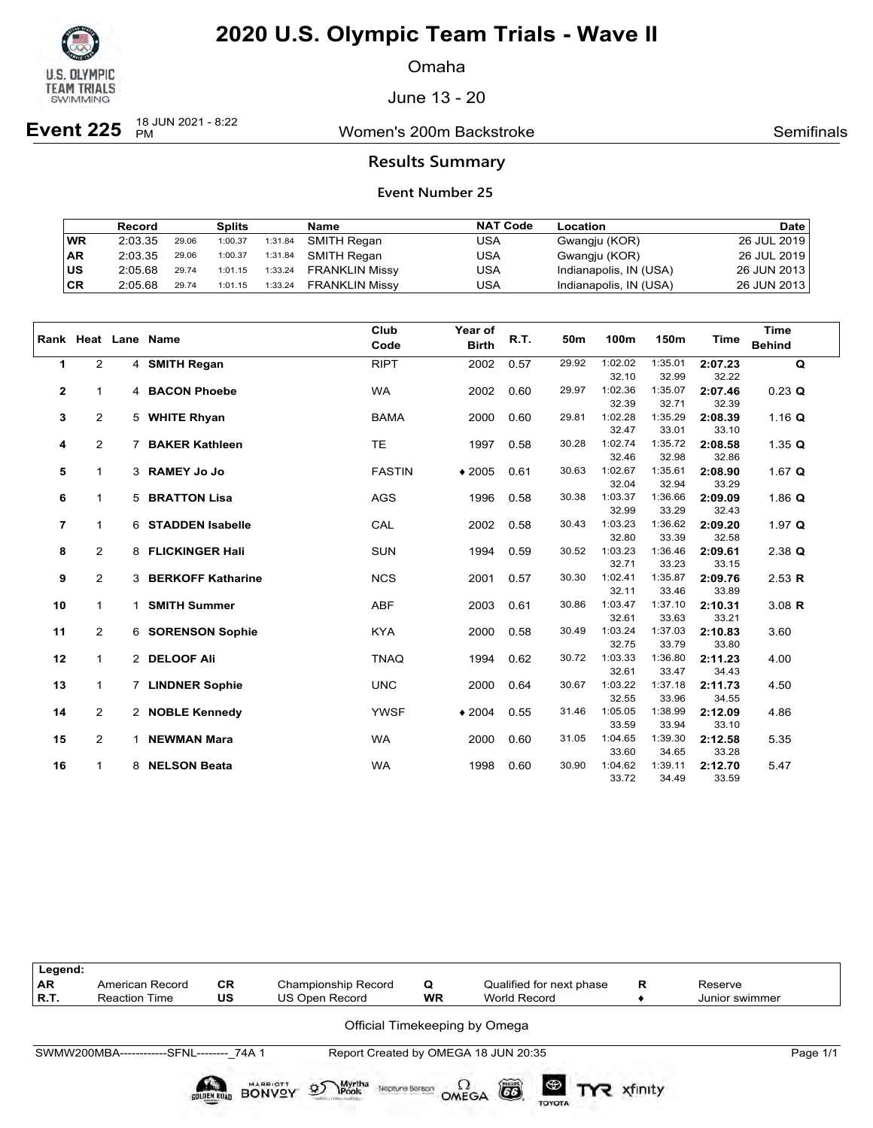

Omaha

June 13 - 20

**Event 225**  $\frac{18 \text{ JUN } 2021 - 8:22}{PM}$ 

Women's 200m Backstroke **National Semitians** Semifinals

### **Results Summary**

|           | Record  |       | <b>Splits</b> |         | Name                  | <b>NAT Code</b> | <b>Location</b>        | <b>Date</b> |
|-----------|---------|-------|---------------|---------|-----------------------|-----------------|------------------------|-------------|
| WR        | 2:03.35 | 29.06 | 1:00.37       | 1:31.84 | SMITH Regan           | USA             | Gwangju (KOR)          | 26 JUL 2019 |
| <b>AR</b> | 2:03.35 | 29.06 | 1:00.37       | 1:31.84 | SMITH Regan           | USA             | Gwangju (KOR)          | 26 JUL 2019 |
| ∣us       | 2:05.68 | 29.74 | 1:01.15       | 1:33.24 | <b>FRANKLIN Missy</b> | USA             | Indianapolis, IN (USA) | 26 JUN 2013 |
| CR        | 2:05.68 | 29.74 | 1:01.15       | 1:33.24 | FRANKLIN Missy        | USA             | Indianapolis, IN (USA) | 26 JUN 2013 |

|                |                |                | Rank Heat Lane Name   | Club<br>Code  | Year of<br><b>Birth</b> | R.T. | 50m   | 100m             | 150m             | <b>Time</b>      | <b>Time</b><br><b>Behind</b> |
|----------------|----------------|----------------|-----------------------|---------------|-------------------------|------|-------|------------------|------------------|------------------|------------------------------|
| $\mathbf{1}$   | $\overline{2}$ |                | 4 SMITH Regan         | <b>RIPT</b>   | 2002                    | 0.57 | 29.92 | 1:02.02          | 1:35.01          | 2:07.23          | Q                            |
|                |                |                |                       |               |                         |      |       | 32.10            | 32.99            | 32.22            |                              |
| $\mathbf 2$    | $\mathbf{1}$   |                | 4 BACON Phoebe        | <b>WA</b>     | 2002                    | 0.60 | 29.97 | 1:02.36          | 1:35.07          | 2:07.46          | $0.23$ Q                     |
|                |                |                |                       |               |                         |      |       | 32.39            | 32.71            | 32.39            |                              |
| 3              | $\overline{2}$ |                | 5 WHITE Rhyan         | <b>BAMA</b>   | 2000                    | 0.60 | 29.81 | 1:02.28          | 1:35.29          | 2:08.39          | 1.16 Q                       |
|                |                |                |                       |               |                         |      |       | 32.47            | 33.01            | 33.10            |                              |
| 4              | $\overline{2}$ | $\overline{7}$ | <b>BAKER Kathleen</b> | <b>TE</b>     | 1997                    | 0.58 | 30.28 | 1:02.74          | 1:35.72          | 2:08.58          | 1.35 $Q$                     |
|                |                |                |                       |               |                         |      |       | 32.46            | 32.98            | 32.86            |                              |
| 5              | $\mathbf{1}$   |                | 3 RAMEY Jo Jo         | <b>FASTIN</b> | $*2005$                 | 0.61 | 30.63 | 1:02.67<br>32.04 | 1:35.61          | 2:08.90          | 1.67 $Q$                     |
| 6              | $\mathbf{1}$   |                | <b>5 BRATTON Lisa</b> | <b>AGS</b>    | 1996                    | 0.58 | 30.38 | 1:03.37          | 32.94<br>1:36.66 | 33.29<br>2:09.09 | 1.86 $Q$                     |
|                |                |                |                       |               |                         |      |       | 32.99            | 33.29            | 32.43            |                              |
| $\overline{7}$ | $\mathbf{1}$   |                | 6 STADDEN Isabelle    | CAL           | 2002                    | 0.58 | 30.43 | 1:03.23          | 1:36.62          | 2:09.20          | 1.97 $Q$                     |
|                |                |                |                       |               |                         |      |       | 32.80            | 33.39            | 32.58            |                              |
| 8              | $\overline{2}$ |                | 8 FLICKINGER Hali     | <b>SUN</b>    | 1994                    | 0.59 | 30.52 | 1:03.23          | 1:36.46          | 2:09.61          | $2.38$ Q                     |
|                |                |                |                       |               |                         |      |       | 32.71            | 33.23            | 33.15            |                              |
| 9              | $\overline{2}$ |                | 3 BERKOFF Katharine   | <b>NCS</b>    | 2001                    | 0.57 | 30.30 | 1:02.41          | 1:35.87          | 2:09.76          | 2.53 R                       |
|                |                |                |                       |               |                         |      |       | 32.11            | 33.46            | 33.89            |                              |
| 10             | $\mathbf{1}$   | $\mathbf{1}$   | <b>SMITH Summer</b>   | <b>ABF</b>    | 2003                    | 0.61 | 30.86 | 1:03.47          | 1:37.10          | 2:10.31          | $3.08$ R                     |
|                |                |                |                       |               |                         |      |       | 32.61            | 33.63            | 33.21            |                              |
| 11             | $\overline{2}$ |                | 6 SORENSON Sophie     | <b>KYA</b>    | 2000                    | 0.58 | 30.49 | 1:03.24          | 1:37.03          | 2:10.83          | 3.60                         |
|                |                |                |                       |               |                         |      |       | 32.75            | 33.79            | 33.80            |                              |
| 12             | $\mathbf{1}$   |                | 2 DELOOF Ali          | <b>TNAQ</b>   | 1994                    | 0.62 | 30.72 | 1:03.33          | 1:36.80          | 2:11.23          | 4.00                         |
|                |                |                |                       |               |                         |      | 30.67 | 32.61<br>1:03.22 | 33.47            | 34.43            |                              |
| 13             | $\mathbf{1}$   |                | 7 LINDNER Sophie      | <b>UNC</b>    | 2000                    | 0.64 |       | 32.55            | 1:37.18<br>33.96 | 2:11.73<br>34.55 | 4.50                         |
| 14             | $\overline{2}$ |                | 2 NOBLE Kennedy       | <b>YWSF</b>   | $*2004$                 | 0.55 | 31.46 | 1:05.05          | 1:38.99          | 2:12.09          | 4.86                         |
|                |                |                |                       |               |                         |      |       | 33.59            | 33.94            | 33.10            |                              |
| 15             | $\overline{2}$ | $\mathbf 1$    | <b>NEWMAN Mara</b>    | <b>WA</b>     | 2000                    | 0.60 | 31.05 | 1:04.65          | 1:39.30          | 2:12.58          | 5.35                         |
|                |                |                |                       |               |                         |      |       | 33.60            | 34.65            | 33.28            |                              |
| 16             | 1              | 8              | <b>NELSON Beata</b>   | <b>WA</b>     | 1998                    | 0.60 | 30.90 | 1:04.62          | 1:39.11          | 2:12.70          | 5.47                         |
|                |                |                |                       |               |                         |      |       | 33.72            | 34.49            | 33.59            |                              |

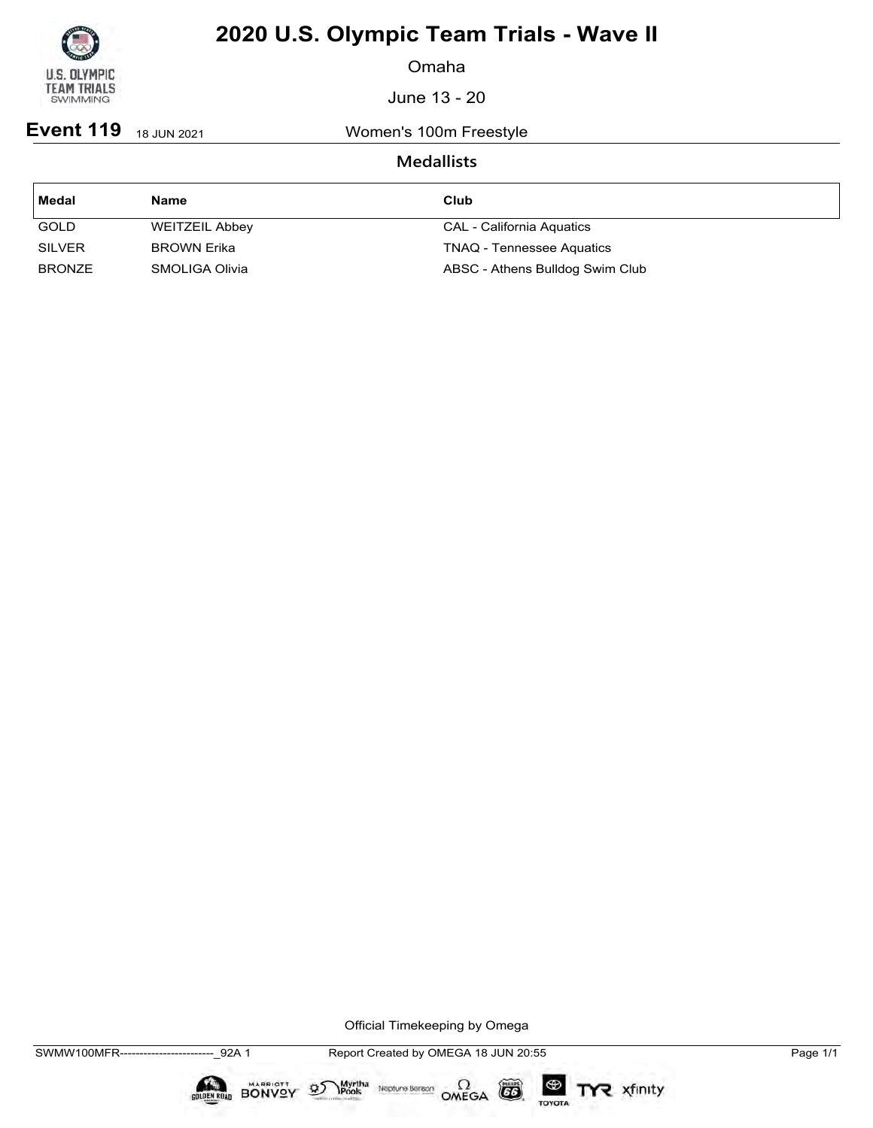

Omaha

June 13 - 20

**Event 119** 18 JUN 2021 Women's 100m Freestyle

### **Medallists**

| Medal         | <b>Name</b>           | Club                             |
|---------------|-----------------------|----------------------------------|
| GOLD          | <b>WEITZEIL Abbey</b> | <b>CAL - California Aquatics</b> |
| <b>SILVER</b> | <b>BROWN Erika</b>    | <b>TNAQ - Tennessee Aquatics</b> |
| <b>BRONZE</b> | SMOLIGA Olivia        | ABSC - Athens Bulldog Swim Club  |

Official Timekeeping by Omega

 $\circled{G}$ 

TOYOTA

TYR xfinity

 $\sum_{\text{Pools}}$  Neptune Bergon  $\Omega$ <br>OMEGA

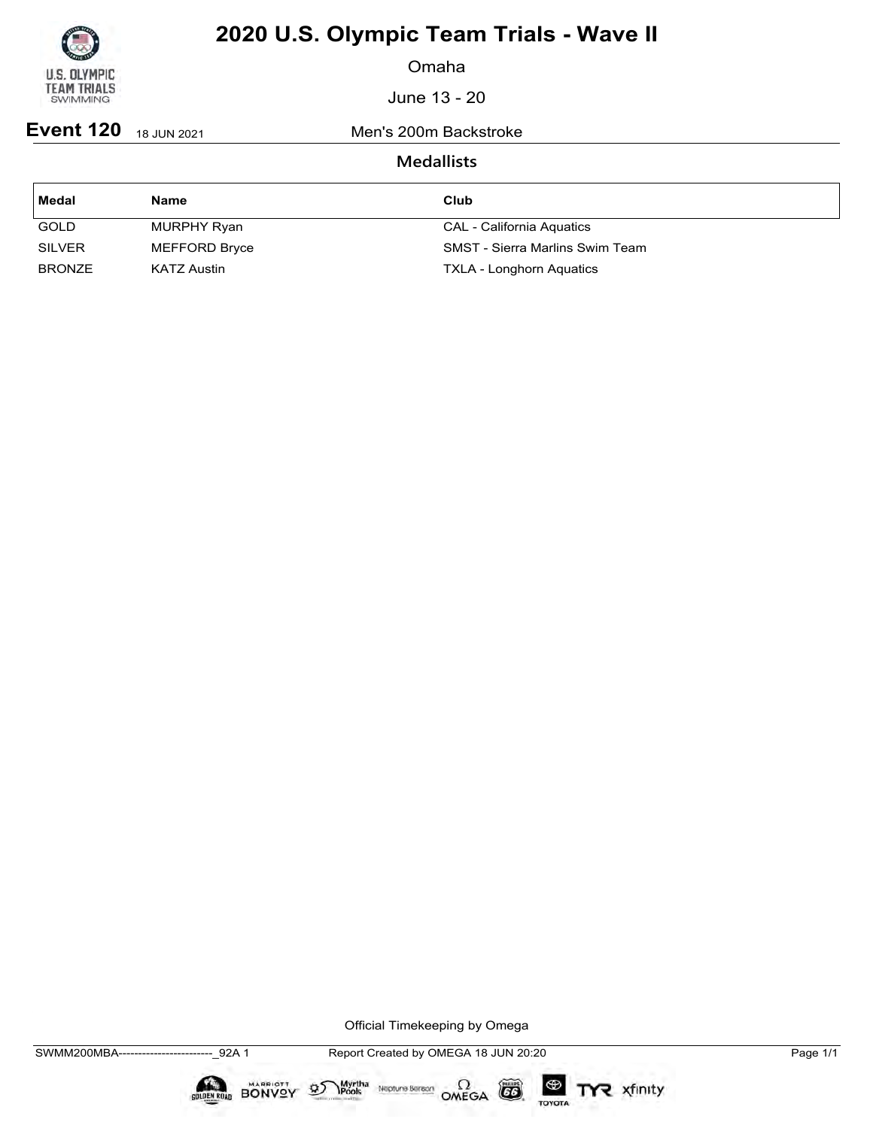

Omaha

June 13 - 20

**Event 120** 18 JUN 2021 Men's 200m Backstroke

## **Medallists**

| Medal         | <b>Name</b>   | Club                                   |
|---------------|---------------|----------------------------------------|
| GOLD          | MURPHY Ryan   | CAL - California Aquatics              |
| <b>SILVER</b> | MEFFORD Bryce | <b>SMST - Sierra Marlins Swim Team</b> |
| <b>BRONZE</b> | KATZ Austin   | <b>TXLA - Longhorn Aquatics</b>        |

Official Timekeeping by Omega

 $\circled{G}$ 

TOYOTA

TYR xfinity

 $\sum_{\text{Pools}}$  Neptune Bergon  $\Omega$ <br>OMEGA

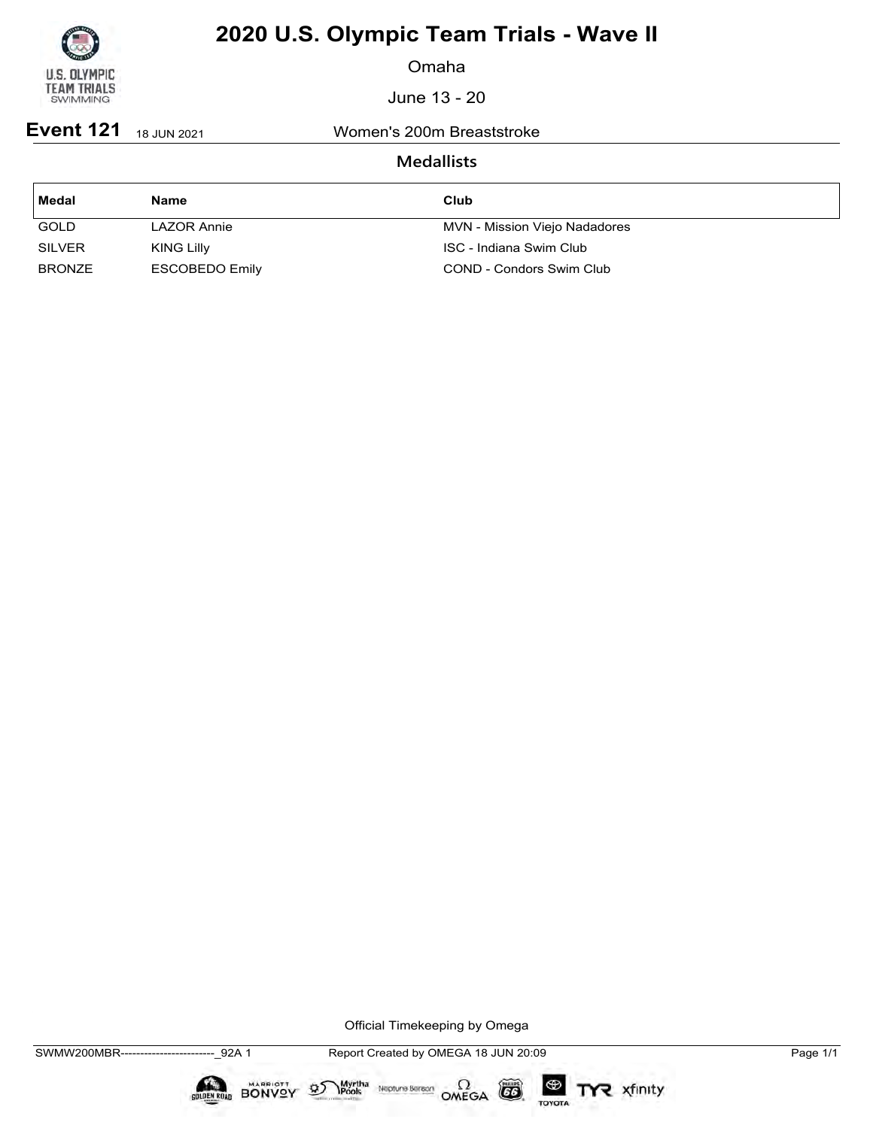

Omaha

June 13 - 20

**Event 121** 18 JUN 2021 Women's 200m Breaststroke

## **Medallists**

| ∣ Medal       | Name              | Club                          |
|---------------|-------------------|-------------------------------|
| <b>GOLD</b>   | LAZOR Annie       | MVN - Mission Viejo Nadadores |
| <b>SILVER</b> | <b>KING Lilly</b> | ISC - Indiana Swim Club       |
| <b>BRONZE</b> | ESCOBEDO Emily    | COND - Condors Swim Club      |

Official Timekeeping by Omega

**COLDEN ROAD** 

BONVOY

 $\mathfrak{D}$ 

 $\circled{G}$ 

TOYOTA

TYR xfinity

Myrtha Neptune Bereon OMEGA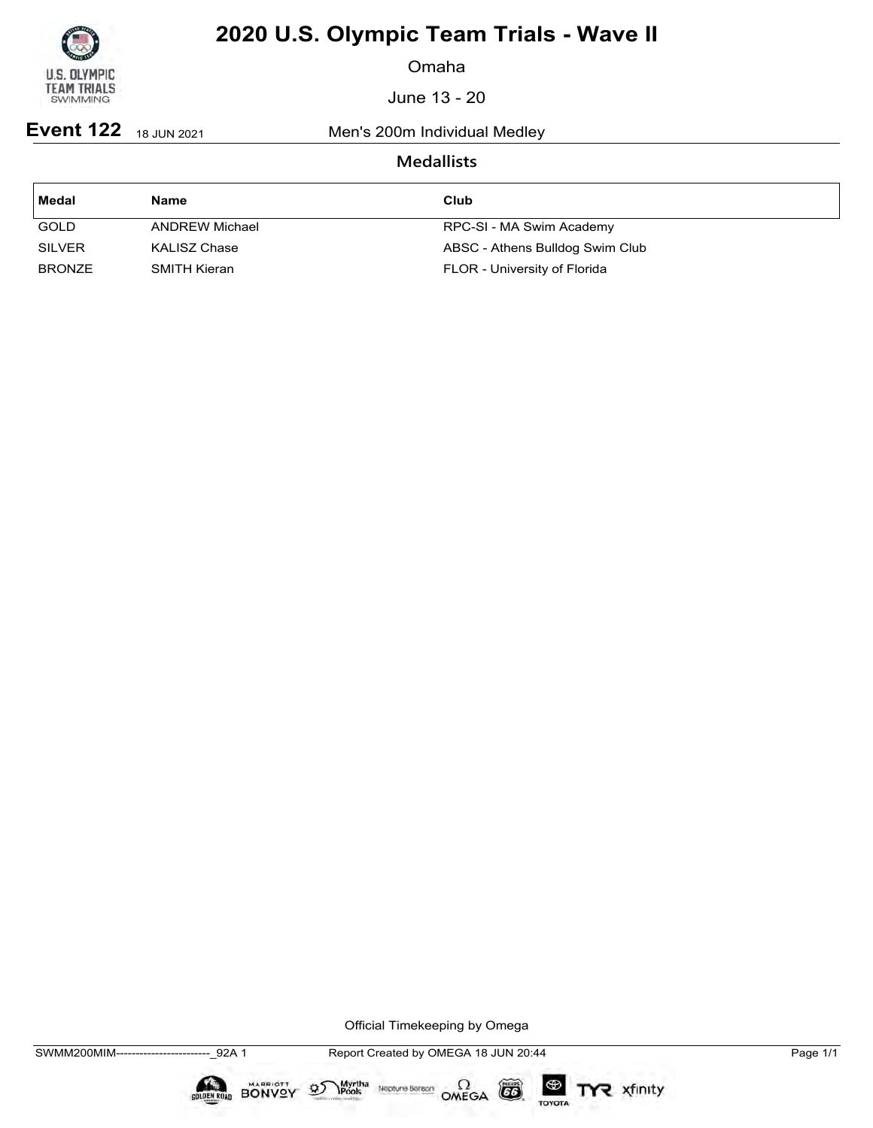

Omaha

June 13 - 20

**Event 122** 18 JUN 2021 Men's 200m Individual Medley

## **Medallists**

| Medal         | <b>Name</b>    | Club                            |
|---------------|----------------|---------------------------------|
| <b>GOLD</b>   | ANDREW Michael | RPC-SI - MA Swim Academy        |
| <b>SILVER</b> | KALISZ Chase   | ABSC - Athens Bulldog Swim Club |
| <b>BRONZE</b> | SMITH Kieran   | FLOR - University of Florida    |

Official Timekeeping by Omega

 $\circled{G}$ 

TOYOTA

TYR xfinity

 $\sum_{\text{Pools}}$  Neptune Bergon  $\Omega$ <br>OMEGA

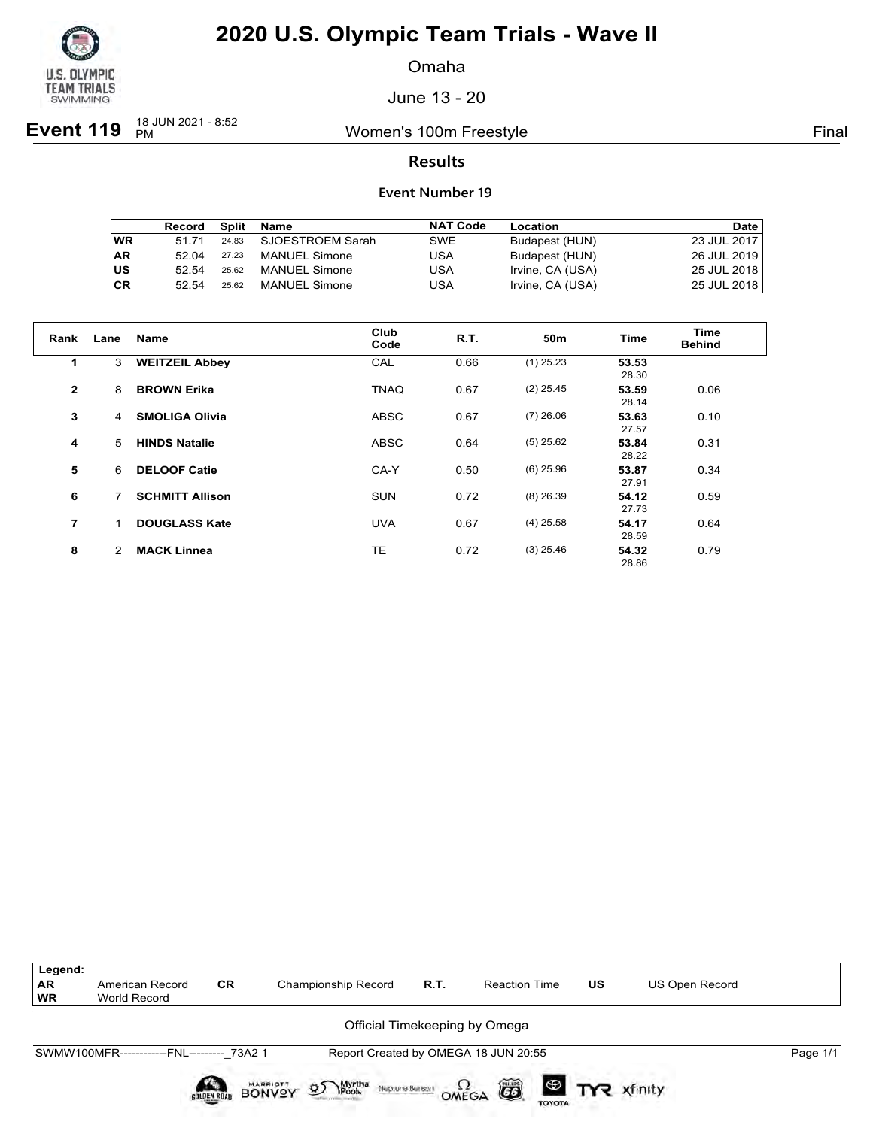

Omaha

June 13 - 20

**Event 119** <sup>18 JUN 2021 - 8:52</sup>

Women's 100m Freestyle **Final** 

### **Results**

|           | Record | Split | Name                 | <b>NAT Code</b> | Location         | Date l      |
|-----------|--------|-------|----------------------|-----------------|------------------|-------------|
| WR        | 51 71  | 24.83 | SJOESTROEM Sarah     | SWE             | Budapest (HUN)   | 23 JUL 2017 |
| <b>AR</b> | 52.04  | 27.23 | <b>MANUEL Simone</b> | USA             | Budapest (HUN)   | 26 JUL 2019 |
| US        | 52.54  | 25.62 | <b>MANUEL Simone</b> | USA             | Irvine, CA (USA) | 25 JUL 2018 |
| <b>CR</b> | 52.54  | 25.62 | <b>MANUEL Simone</b> | USA             | Irvine, CA (USA) | 25 JUL 2018 |

| Rank           | Lane | <b>Name</b>            | Club<br>Code | R.T. | 50 <sub>m</sub> | <b>Time</b>    | Time<br><b>Behind</b> |
|----------------|------|------------------------|--------------|------|-----------------|----------------|-----------------------|
| 1              | 3    | <b>WEITZEIL Abbey</b>  | CAL          | 0.66 | $(1)$ 25.23     | 53.53<br>28.30 |                       |
| $\mathbf{2}$   | 8    | <b>BROWN Erika</b>     | <b>TNAQ</b>  | 0.67 | $(2)$ 25.45     | 53.59<br>28.14 | 0.06                  |
| 3              | 4    | <b>SMOLIGA Olivia</b>  | <b>ABSC</b>  | 0.67 | $(7)$ 26.06     | 53.63<br>27.57 | 0.10                  |
| 4              | 5    | <b>HINDS Natalie</b>   | <b>ABSC</b>  | 0.64 | $(5)$ 25.62     | 53.84<br>28.22 | 0.31                  |
| 5              | 6    | <b>DELOOF Catie</b>    | CA-Y         | 0.50 | $(6)$ 25.96     | 53.87<br>27.91 | 0.34                  |
| 6              | 7    | <b>SCHMITT Allison</b> | <b>SUN</b>   | 0.72 | $(8)$ 26.39     | 54.12<br>27.73 | 0.59                  |
| $\overline{7}$ | 1    | <b>DOUGLASS Kate</b>   | <b>UVA</b>   | 0.67 | $(4)$ 25.58     | 54.17<br>28.59 | 0.64                  |
| 8              | 2    | <b>MACK Linnea</b>     | TE           | 0.72 | $(3)$ 25.46     | 54.32<br>28.86 | 0.79                  |

| Legend:<br><b>AR</b><br><b>WR</b> | American Record<br>World Record           | <b>CR</b>          | Championship Record                                                 | R.T. | <b>Reaction Time</b>                         | <b>US</b> | US Open Record           |          |
|-----------------------------------|-------------------------------------------|--------------------|---------------------------------------------------------------------|------|----------------------------------------------|-----------|--------------------------|----------|
|                                   |                                           |                    |                                                                     |      | Official Timekeeping by Omega                |           |                          |          |
|                                   | SWMW100MFR------------FNL--------- 73A2 1 |                    |                                                                     |      | Report Created by OMEGA 18 JUN 20:55         |           |                          | Page 1/1 |
|                                   |                                           | <b>GOLDEN ROAD</b> | Myrtha<br>Pools<br><b>BONVOY</b><br>$\mathcal{D}$<br>Neptune Berson |      | õ<br>$\Omega_{\text{MEGA}}$<br><b>TOYOTA</b> |           | <sup>®</sup> TYR xfinity |          |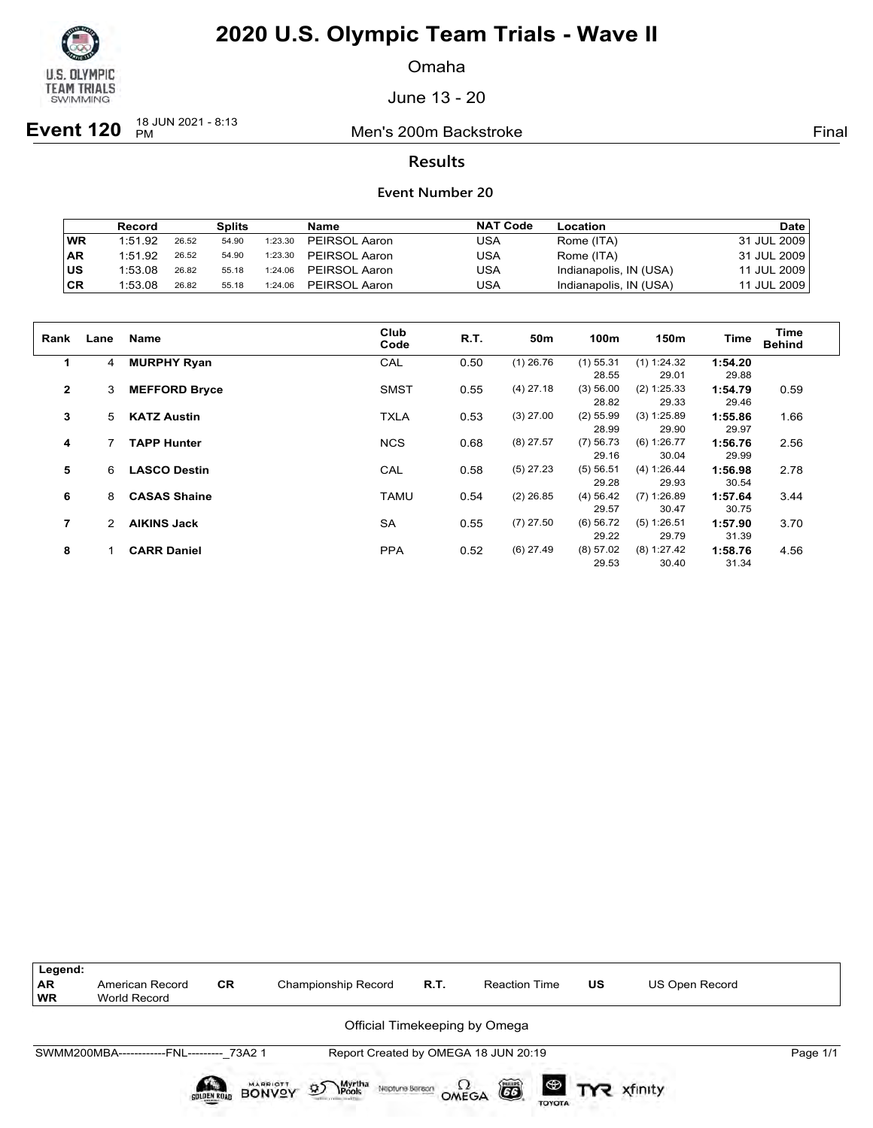

Omaha

June 13 - 20

**Event 120**  $^{18}$  JUN 2021 - 8:13

Men's 200m Backstroke Final

### **Results**

### **Event Number 20**

|           | <b>Record</b> |       | <b>Splits</b> |         | Name          | <b>NAT Code</b> | Location               | <b>Date</b> |
|-----------|---------------|-------|---------------|---------|---------------|-----------------|------------------------|-------------|
| <b>WR</b> | 1:51.92       | 26.52 | 54.90         | 1:23.30 | PEIRSOL Aaron | USA             | Rome (ITA)             | 31 JUL 2009 |
| <b>AR</b> | 1:51.92       | 26.52 | 54.90         | 1:23.30 | PEIRSOL Aaron | USA             | Rome (ITA)             | 31 JUL 2009 |
| lus       | 1:53.08       | 26.82 | 55.18         | 1:24.06 | PEIRSOL Aaron | USA             | Indianapolis, IN (USA) | 11 JUL 2009 |
| ∣CR       | 1:53.08       | 26.82 | 55.18         | 1:24.06 | PEIRSOL Aaron | USA             | Indianapolis, IN (USA) | 11 JUL 2009 |

| Rank           | Lane | <b>Name</b>          | Club        | R.T. | 50 <sub>m</sub> | 100m        | 150m          | <b>Time</b> | Time          |
|----------------|------|----------------------|-------------|------|-----------------|-------------|---------------|-------------|---------------|
|                |      |                      | Code        |      |                 |             |               |             | <b>Behind</b> |
| $\mathbf 1$    | 4    | <b>MURPHY Ryan</b>   | CAL         | 0.50 | $(1)$ 26.76     | $(1)$ 55.31 | (1) 1:24.32   | 1:54.20     |               |
|                |      |                      |             |      |                 | 28.55       | 29.01         | 29.88       |               |
| $\overline{2}$ | 3    | <b>MEFFORD Bryce</b> | <b>SMST</b> | 0.55 | $(4)$ 27.18     | (3) 56.00   | (2) 1:25.33   | 1:54.79     | 0.59          |
|                |      |                      |             |      |                 | 28.82       | 29.33         | 29.46       |               |
| 3              | 5    | <b>KATZ Austin</b>   | <b>TXLA</b> | 0.53 | $(3)$ 27.00     | $(2)$ 55.99 | (3) 1:25.89   | 1:55.86     | 1.66          |
|                |      |                      |             |      |                 | 28.99       | 29.90         | 29.97       |               |
| 4              |      | <b>TAPP Hunter</b>   | <b>NCS</b>  | 0.68 | $(8)$ 27.57     | $(7)$ 56.73 | (6) 1:26.77   | 1:56.76     | 2.56          |
|                |      |                      |             |      |                 | 29.16       | 30.04         | 29.99       |               |
| 5              | 6    | <b>LASCO Destin</b>  | CAL         | 0.58 | $(5)$ 27.23     | (5) 56.51   | (4) 1:26.44   | 1:56.98     | 2.78          |
|                |      |                      |             |      |                 | 29.28       | 29.93         | 30.54       |               |
| 6              | 8    | <b>CASAS Shaine</b>  | <b>TAMU</b> | 0.54 | $(2)$ 26.85     | (4) 56.42   | $(7)$ 1:26.89 | 1:57.64     | 3.44          |
|                |      |                      |             |      |                 | 29.57       | 30.47         | 30.75       |               |
| $\overline{7}$ |      | <b>AIKINS Jack</b>   | <b>SA</b>   | 0.55 | $(7)$ 27.50     | $(6)$ 56.72 | (5) 1:26.51   | 1:57.90     | 3.70          |
|                |      |                      |             |      |                 | 29.22       | 29.79         | 31.39       |               |
| 8              |      | <b>CARR Daniel</b>   | <b>PPA</b>  | 0.52 | $(6)$ 27.49     | (8) 57.02   | (8) 1:27.42   | 1:58.76     | 4.56          |
|                |      |                      |             |      |                 | 29.53       | 30.40         | 31.34       |               |



TOYOTA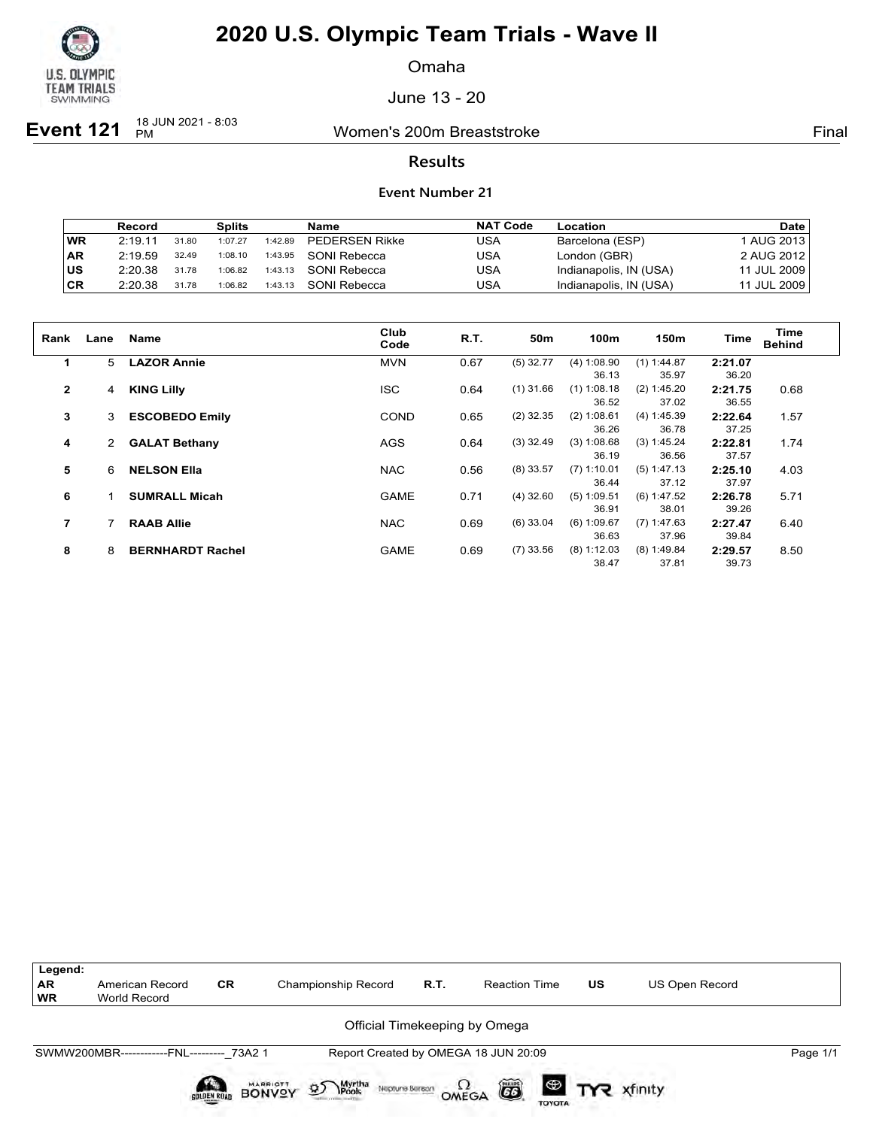

Omaha

June 13 - 20

**Event 121**  $\frac{18 \text{ JUN } 2021 - 8:03}{PM}$ 

Women's 200m Breaststroke Final

### **Results**

#### **Event Number 21**

|           | Record  |       | <b>Splits</b> |         | Name                  | <b>NAT Code</b> | Location               | <b>Date</b> |
|-----------|---------|-------|---------------|---------|-----------------------|-----------------|------------------------|-------------|
| <b>WR</b> | 2:19.11 | 31.80 | 1:07.27       | 1:42.89 | <b>PEDERSEN Rikke</b> | USA             | Barcelona (ESP)        | AUG 2013 l  |
| <b>AR</b> | 2:19.59 | 32.49 | 1:08.10       | 1:43.95 | SONI Rebecca          | USA             | London (GBR)           | 2 AUG 2012  |
| lus       | 2:20.38 | 31.78 | 1:06.82       | 1:43.13 | SONI Rebecca          | USA             | Indianapolis, IN (USA) | 11 JUL 2009 |
| ∣CR       | 2:20.38 | 31.78 | 1:06.82       | 1:43.13 | SONI Rebecca          | USA             | Indianapolis, IN (USA) | 11 JUL 2009 |

| Rank           | Lane | <b>Name</b>             | Club<br>Code | R.T. | 50 <sub>m</sub> | 100m          | 150m          | Time    | Time<br><b>Behind</b> |
|----------------|------|-------------------------|--------------|------|-----------------|---------------|---------------|---------|-----------------------|
| $\mathbf 1$    | 5    | <b>LAZOR Annie</b>      | <b>MVN</b>   | 0.67 | $(5)$ 32.77     | (4) 1:08.90   | $(1)$ 1:44.87 | 2:21.07 |                       |
|                |      |                         |              |      |                 | 36.13         | 35.97         | 36.20   |                       |
| $\overline{2}$ | 4    | <b>KING Lilly</b>       | <b>ISC</b>   | 0.64 | $(1)$ 31.66     | $(1)$ 1:08.18 | (2) 1:45.20   | 2:21.75 | 0.68                  |
|                |      |                         |              |      |                 | 36.52         | 37.02         | 36.55   |                       |
| 3              | 3    | <b>ESCOBEDO Emily</b>   | COND         | 0.65 | $(2)$ 32.35     | (2) 1:08.61   | (4) 1:45.39   | 2:22.64 | 1.57                  |
|                |      |                         |              |      |                 | 36.26         | 36.78         | 37.25   |                       |
| 4              | 2    | <b>GALAT Bethany</b>    | AGS          | 0.64 | $(3)$ 32.49     | (3) 1:08.68   | (3) 1:45.24   | 2:22.81 | 1.74                  |
|                |      |                         |              |      |                 | 36.19         | 36.56         | 37.57   |                       |
| 5              | 6    | <b>NELSON Ella</b>      | <b>NAC</b>   | 0.56 | $(8)$ 33.57     | $(7)$ 1:10.01 | (5) 1:47.13   | 2:25.10 | 4.03                  |
|                |      |                         |              |      |                 | 36.44         | 37.12         | 37.97   |                       |
| 6              |      | <b>SUMRALL Micah</b>    | <b>GAME</b>  | 0.71 | $(4)$ 32.60     | $(5)$ 1:09.51 | (6) 1:47.52   | 2:26.78 | 5.71                  |
|                |      |                         |              |      |                 | 36.91         | 38.01         | 39.26   |                       |
| 7              |      | <b>RAAB Allie</b>       | <b>NAC</b>   | 0.69 | $(6)$ 33.04     | (6) 1:09.67   | (7) 1:47.63   | 2:27.47 | 6.40                  |
|                |      |                         |              |      |                 | 36.63         | 37.96         | 39.84   |                       |
| 8              | 8    | <b>BERNHARDT Rachel</b> | <b>GAME</b>  | 0.69 | $(7)$ 33.56     | (8) 1:12.03   | (8) 1:49.84   | 2:29.57 | 8.50                  |
|                |      |                         |              |      |                 | 38.47         | 37.81         | 39.73   |                       |



TOYOTA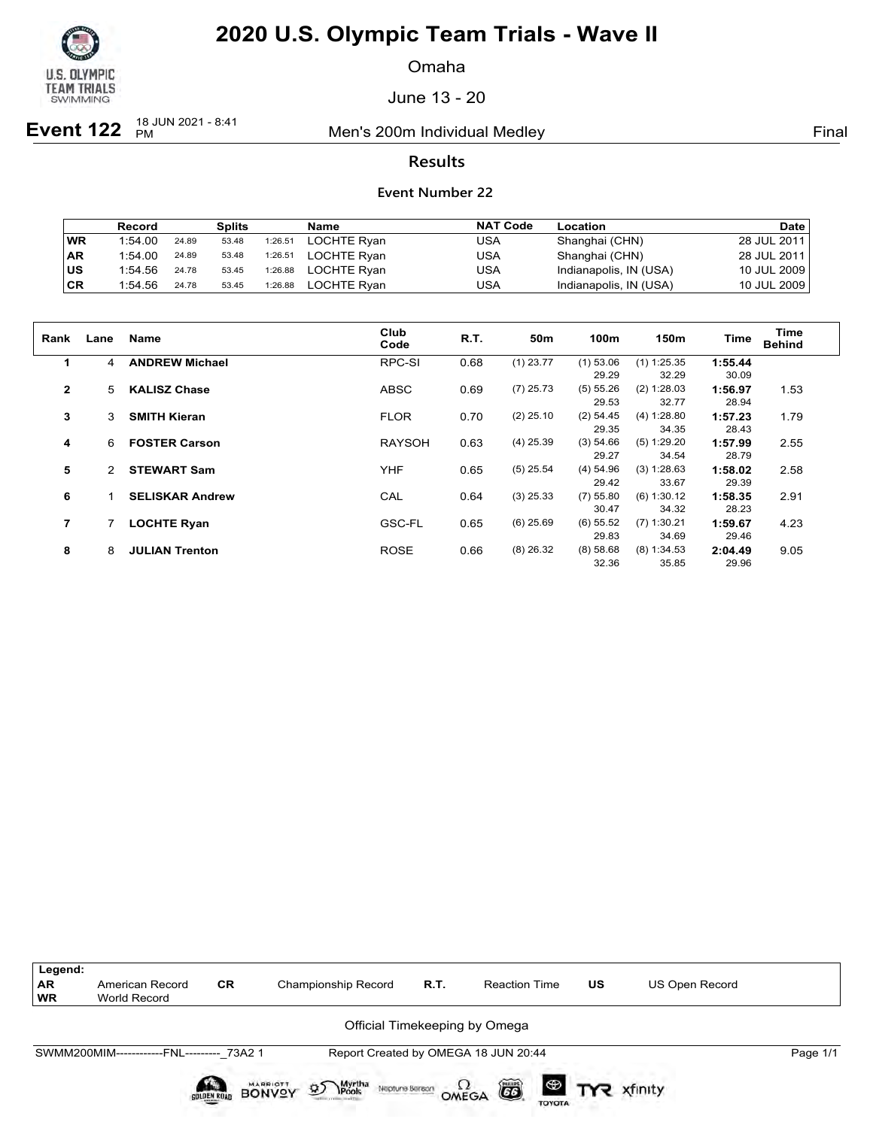

Omaha

June 13 - 20

**Event 122**  $^{18}$  JUN 2021 - 8:41

Men's 200m Individual Medley **Final** Primal

### **Results**

|           | <b>Record</b> |       | <b>Splits</b> |         | <b>Name</b> | <b>NAT Code</b> | Location               | <b>Date</b> |
|-----------|---------------|-------|---------------|---------|-------------|-----------------|------------------------|-------------|
| <b>WR</b> | 1:54.00       | 24.89 | 53.48         | 1:26.51 | LOCHTE Ryan | USA             | Shanghai (CHN)         | 28 JUL 2011 |
| ∣AR       | 1:54.00       | 24.89 | 53.48         | 1:26.51 | LOCHTE Rvan | USA             | Shanghai (CHN)         | 28 JUL 2011 |
| ∣us       | 1:54.56       | 24.78 | 53.45         | 1:26.88 | LOCHTE Rvan | USA             | Indianapolis, IN (USA) | 10 JUL 2009 |
| CR        | 1:54.56       | 24.78 | 53.45         | 1:26.88 | LOCHTE Rvan | USA             | Indianapolis, IN (USA) | 10 JUL 2009 |

| Rank         | Lane           | <b>Name</b>            | Club<br>Code  | <b>R.T.</b> | 50m         | 100m        | 150m          | <b>Time</b> | Time<br><b>Behind</b> |
|--------------|----------------|------------------------|---------------|-------------|-------------|-------------|---------------|-------------|-----------------------|
| $\mathbf 1$  | $\overline{4}$ | <b>ANDREW Michael</b>  | RPC-SI        | 0.68        | $(1)$ 23.77 | $(1)$ 53.06 | $(1)$ 1:25.35 | 1:55.44     |                       |
|              |                |                        |               |             |             | 29.29       | 32.29         | 30.09       |                       |
| $\mathbf{2}$ | 5              | <b>KALISZ Chase</b>    | <b>ABSC</b>   | 0.69        | $(7)$ 25.73 | (5) 55.26   | (2) 1:28.03   | 1:56.97     | 1.53                  |
|              |                |                        |               |             |             | 29.53       | 32.77         | 28.94       |                       |
| 3            | 3              | <b>SMITH Kieran</b>    | <b>FLOR</b>   | 0.70        | $(2)$ 25.10 | $(2)$ 54.45 | (4) 1:28.80   | 1:57.23     | 1.79                  |
|              |                |                        |               |             |             | 29.35       | 34.35         | 28.43       |                       |
| 4            | 6              | <b>FOSTER Carson</b>   | <b>RAYSOH</b> | 0.63        | $(4)$ 25.39 | (3) 54.66   | (5) 1:29.20   | 1:57.99     | 2.55                  |
|              |                |                        |               |             |             | 29.27       | 34.54         | 28.79       |                       |
| 5            | $\mathcal{P}$  | <b>STEWART Sam</b>     | <b>YHF</b>    | 0.65        | $(5)$ 25.54 | $(4)$ 54.96 | (3) 1:28.63   | 1:58.02     | 2.58                  |
|              |                |                        |               |             |             | 29.42       | 33.67         | 29.39       |                       |
| 6            |                | <b>SELISKAR Andrew</b> | CAL           | 0.64        | $(3)$ 25.33 | $(7)$ 55.80 | (6) 1:30.12   | 1:58.35     | 2.91                  |
|              |                |                        |               |             |             | 30.47       | 34.32         | 28.23       |                       |
| 7            |                | <b>LOCHTE Ryan</b>     | GSC-FL        | 0.65        | $(6)$ 25.69 | $(6)$ 55.52 | (7) 1:30.21   | 1:59.67     | 4.23                  |
|              |                |                        |               |             |             | 29.83       | 34.69         | 29.46       |                       |
| 8            | 8              | <b>JULIAN Trenton</b>  | <b>ROSE</b>   | 0.66        | $(8)$ 26.32 | (8) 58.68   | (8) 1:34.53   | 2:04.49     | 9.05                  |
|              |                |                        |               |             |             | 32.36       | 35.85         | 29.96       |                       |

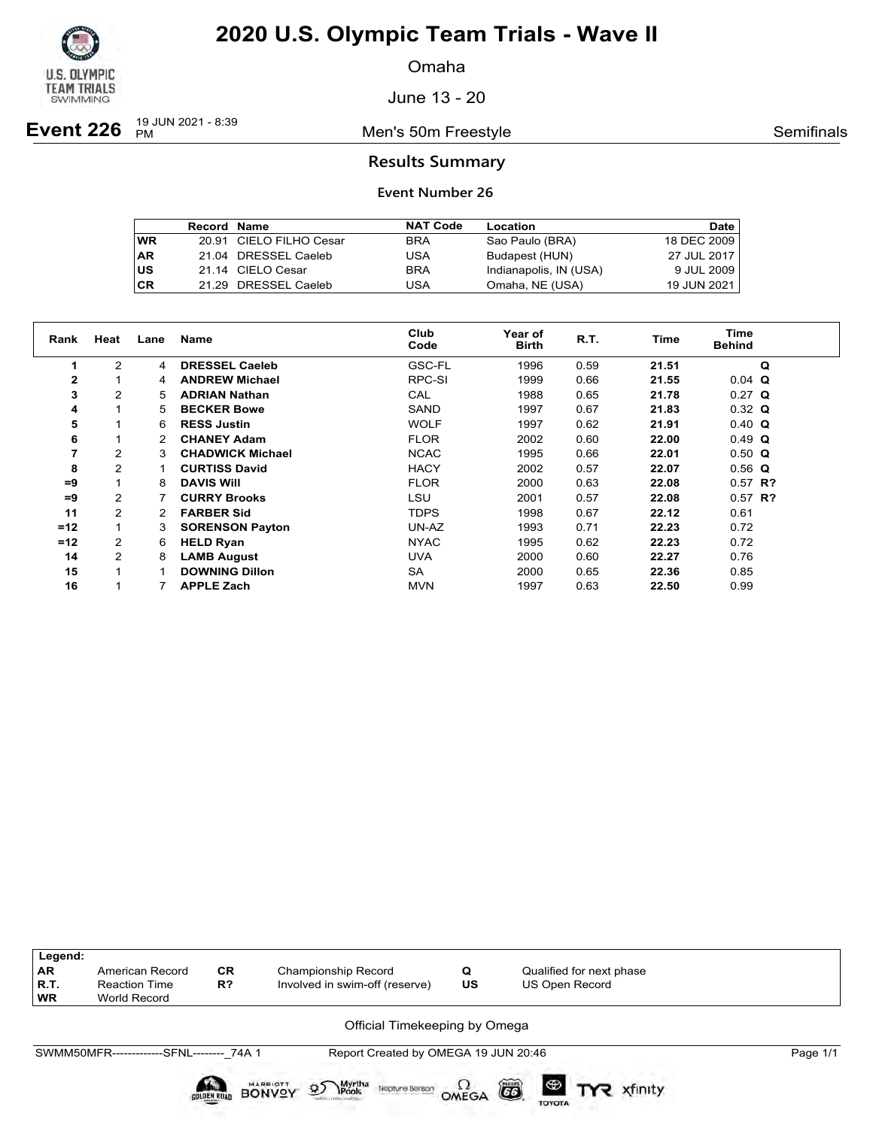

Omaha

June 13 - 20

**Event 226**  $\frac{19 \text{ JUN } 2021 - 8:39}{PM}$ 

Men's 50m Freestyle **Semifinals** Semifinals

### **Results Summary**

|           | <b>Record Name</b> |                         | <b>NAT Code</b> | Location               | <b>Date</b> |
|-----------|--------------------|-------------------------|-----------------|------------------------|-------------|
| <b>WR</b> |                    | 20.91 CIELO FILHO Cesar | <b>BRA</b>      | Sao Paulo (BRA)        | 18 DEC 2009 |
| <b>AR</b> |                    | 21.04 DRESSEL Caeleb    | <b>USA</b>      | Budapest (HUN)         | 27 JUL 2017 |
| US        |                    | 21.14 CIELO Cesar       | <b>BRA</b>      | Indianapolis, IN (USA) | 9 JUL 2009  |
| CR        |                    | 21.29 DRESSEL Caeleb    | USA             | Omaha, NE (USA)        | 19 JUN 2021 |

| Rank         | Heat           | Lane           | Name                    | Club<br>Code | <b>Year of</b><br><b>Birth</b> | R.T. | Time  | <b>Time</b><br><b>Behind</b> |
|--------------|----------------|----------------|-------------------------|--------------|--------------------------------|------|-------|------------------------------|
|              | $\overline{2}$ | $\overline{4}$ | <b>DRESSEL Caeleb</b>   | GSC-FL       | 1996                           | 0.59 | 21.51 | Q                            |
| $\mathbf{2}$ |                | 4              | <b>ANDREW Michael</b>   | RPC-SI       | 1999                           | 0.66 | 21.55 | $0.04$ Q                     |
| 3            | $\overline{2}$ | 5.             | <b>ADRIAN Nathan</b>    | CAL          | 1988                           | 0.65 | 21.78 | $0.27$ Q                     |
| 4            |                | 5.             | <b>BECKER Bowe</b>      | <b>SAND</b>  | 1997                           | 0.67 | 21.83 | $0.32 \Omega$                |
| 5            |                | 6              | <b>RESS Justin</b>      | <b>WOLF</b>  | 1997                           | 0.62 | 21.91 | $0.40 \Omega$                |
| 6            |                | 2              | <b>CHANEY Adam</b>      | <b>FLOR</b>  | 2002                           | 0.60 | 22.00 | $0.49$ Q                     |
| 7            | 2              | 3              | <b>CHADWICK Michael</b> | <b>NCAC</b>  | 1995                           | 0.66 | 22.01 | $0.50$ Q                     |
| 8            | 2              |                | <b>CURTISS David</b>    | <b>HACY</b>  | 2002                           | 0.57 | 22.07 | $0.56$ Q                     |
| $=9$         |                | 8              | <b>DAVIS WIII</b>       | <b>FLOR</b>  | 2000                           | 0.63 | 22.08 | $0.57$ R?                    |
| $=9$         | 2              |                | <b>CURRY Brooks</b>     | LSU          | 2001                           | 0.57 | 22.08 | $0.57$ R?                    |
| 11           | 2              |                | <b>FARBER Sid</b>       | <b>TDPS</b>  | 1998                           | 0.67 | 22.12 | 0.61                         |
| $=12$        |                | 3              | <b>SORENSON Payton</b>  | UN-AZ        | 1993                           | 0.71 | 22.23 | 0.72                         |
| $=12$        | 2              | 6              | <b>HELD Ryan</b>        | <b>NYAC</b>  | 1995                           | 0.62 | 22.23 | 0.72                         |
| 14           | $\overline{2}$ | 8              | <b>LAMB August</b>      | <b>UVA</b>   | 2000                           | 0.60 | 22.27 | 0.76                         |
| 15           |                |                | <b>DOWNING Dillon</b>   | SA           | 2000                           | 0.65 | 22.36 | 0.85                         |
| 16           |                |                | <b>APPLE Zach</b>       | <b>MVN</b>   | 1997                           | 0.63 | 22.50 | 0.99                         |

| Legend:<br>AR<br>R.T.<br><b>WR</b> | American Record<br><b>Reaction Time</b><br>World Record | <b>CR</b><br>R?    | Championship Record<br>Involved in swim-off (reserve)                                                                     | Q<br>US                | Qualified for next phase<br>US Open Record     |          |  |  |
|------------------------------------|---------------------------------------------------------|--------------------|---------------------------------------------------------------------------------------------------------------------------|------------------------|------------------------------------------------|----------|--|--|
|                                    | Official Timekeeping by Omega                           |                    |                                                                                                                           |                        |                                                |          |  |  |
|                                    | SWMM50MFR--------------SFNL-------- 74A 1               | <b>GOLDEN ROAD</b> | Report Created by OMEGA 19 JUN 20:46<br>MARRIOTT<br>Myrtha<br>IPools<br>$\mathfrak{D}$<br>Neptune Beraon<br><b>BONVOY</b> | $\Omega_{\text{MEGA}}$ | õ<br>$\circledast$<br>xfinity<br><b>TOYOTA</b> | Page 1/1 |  |  |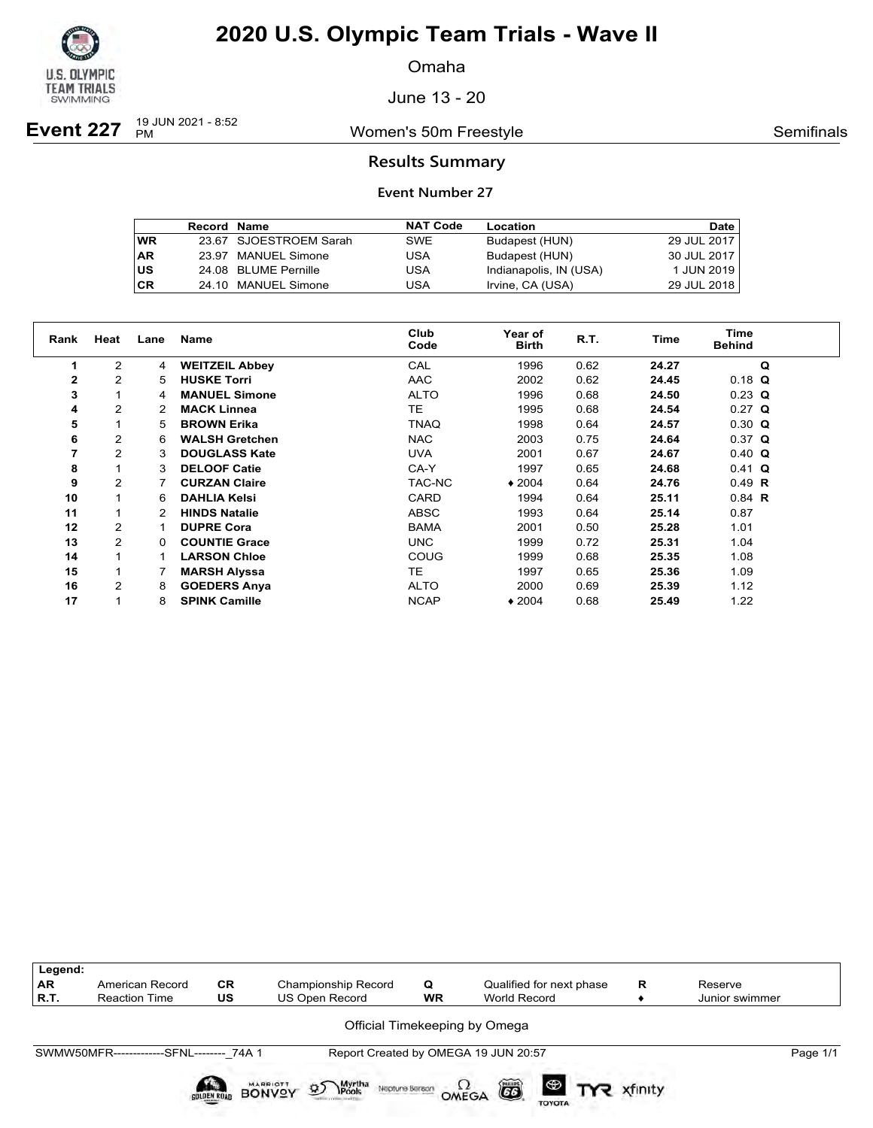

Omaha

June 13 - 20

**Event 227**  $_{PM}^{19 \text{ JUN }2021 - 8:52}$ 

Women's 50m Freestyle **Semifinals** Semifinals

### **Results Summary**

|    | <b>Record Name</b> |                        | <b>NAT Code</b> | Location               | <b>Date</b> |
|----|--------------------|------------------------|-----------------|------------------------|-------------|
| WR |                    | 23.67 SJOESTROEM Sarah | <b>SWE</b>      | Budapest (HUN)         | 29 JUL 2017 |
| AR |                    | 23.97 MANUEL Simone    | USA             | Budapest (HUN)         | 30 JUL 2017 |
| US |                    | 24.08 BLUME Pernille   | USA             | Indianapolis, IN (USA) | 1 JUN 2019  |
| СR |                    | 24.10 MANUEL Simone    | USA             | Irvine, CA (USA)       | 29 JUL 2018 |

| Rank           | Heat           | Lane | <b>Name</b>           | Club<br>Code | Year of<br><b>Birth</b> | R.T. | Time  | Time<br><b>Behind</b> |
|----------------|----------------|------|-----------------------|--------------|-------------------------|------|-------|-----------------------|
|                | $\overline{2}$ | 4    | <b>WEITZEIL Abbey</b> | CAL          | 1996                    | 0.62 | 24.27 | Q                     |
| 2              | 2              | 5.   | <b>HUSKE Torri</b>    | <b>AAC</b>   | 2002                    | 0.62 | 24.45 | $0.18$ Q              |
| 3              |                | 4    | <b>MANUEL Simone</b>  | <b>ALTO</b>  | 1996                    | 0.68 | 24.50 | $0.23$ Q              |
| 4              | $\overline{2}$ | 2    | <b>MACK Linnea</b>    | TE.          | 1995                    | 0.68 | 24.54 | $0.27$ Q              |
| 5              |                | 5.   | <b>BROWN Erika</b>    | <b>TNAQ</b>  | 1998                    | 0.64 | 24.57 | $0.30 \Omega$         |
| 6              | 2              | 6    | <b>WALSH Gretchen</b> | <b>NAC</b>   | 2003                    | 0.75 | 24.64 | $0.37$ Q              |
| $\overline{7}$ | $\overline{2}$ | 3    | <b>DOUGLASS Kate</b>  | <b>UVA</b>   | 2001                    | 0.67 | 24.67 | $0.40 \Omega$         |
| 8              |                | 3    | <b>DELOOF Catie</b>   | CA-Y         | 1997                    | 0.65 | 24.68 | $0.41$ Q              |
| 9              | $\overline{2}$ |      | <b>CURZAN Claire</b>  | TAC-NC       | $*2004$                 | 0.64 | 24.76 | $0.49$ R              |
| 10             |                | 6    | <b>DAHLIA Kelsi</b>   | CARD         | 1994                    | 0.64 | 25.11 | $0.84$ R              |
| 11             |                |      | <b>HINDS Natalie</b>  | ABSC         | 1993                    | 0.64 | 25.14 | 0.87                  |
| 12             | $\overline{2}$ |      | <b>DUPRE Cora</b>     | <b>BAMA</b>  | 2001                    | 0.50 | 25.28 | 1.01                  |
| 13             | $\overline{2}$ | 0    | <b>COUNTIE Grace</b>  | <b>UNC</b>   | 1999                    | 0.72 | 25.31 | 1.04                  |
| 14             |                |      | <b>LARSON Chloe</b>   | COUG         | 1999                    | 0.68 | 25.35 | 1.08                  |
| 15             |                |      | <b>MARSH Alyssa</b>   | TE.          | 1997                    | 0.65 | 25.36 | 1.09                  |
| 16             | $\overline{2}$ | 8    | <b>GOEDERS Anya</b>   | <b>ALTO</b>  | 2000                    | 0.69 | 25.39 | 1.12                  |
| 17             |                | 8    | <b>SPINK Camille</b>  | <b>NCAP</b>  | $*2004$                 | 0.68 | 25.49 | 1.22                  |

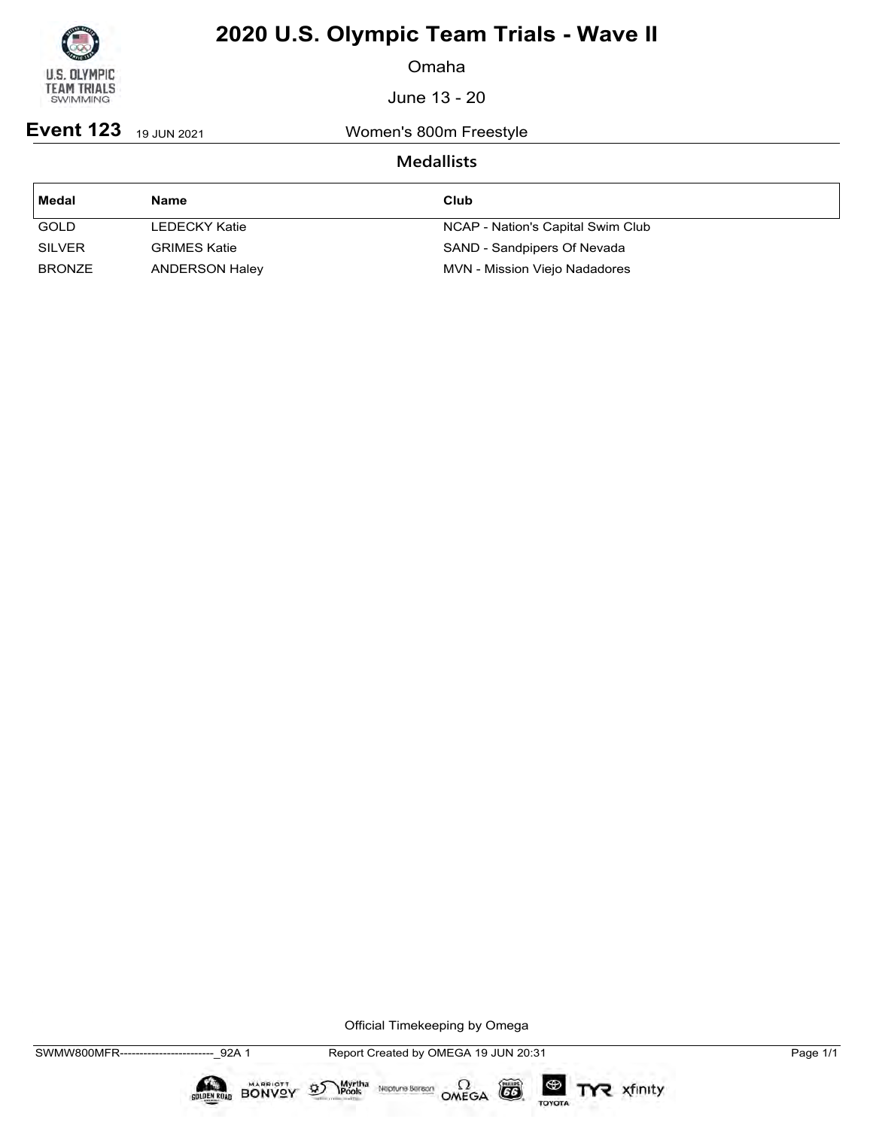

Omaha

June 13 - 20

Event 123 19 JUN 2021 Women's 800m Freestyle

## **Medallists**

| ∣ Medal       | Name                | Club                              |
|---------------|---------------------|-----------------------------------|
| GOLD          | LEDECKY Katie       | NCAP - Nation's Capital Swim Club |
| <b>SILVER</b> | <b>GRIMES Katie</b> | SAND - Sandpipers Of Nevada       |
| <b>BRONZE</b> | ANDERSON Haley      | MVN - Mission Viejo Nadadores     |

Official Timekeeping by Omega

 $\circled{G}$ 

TOYOTA

TYR xfinity

Myrtha Neptune Bereon OMEGA

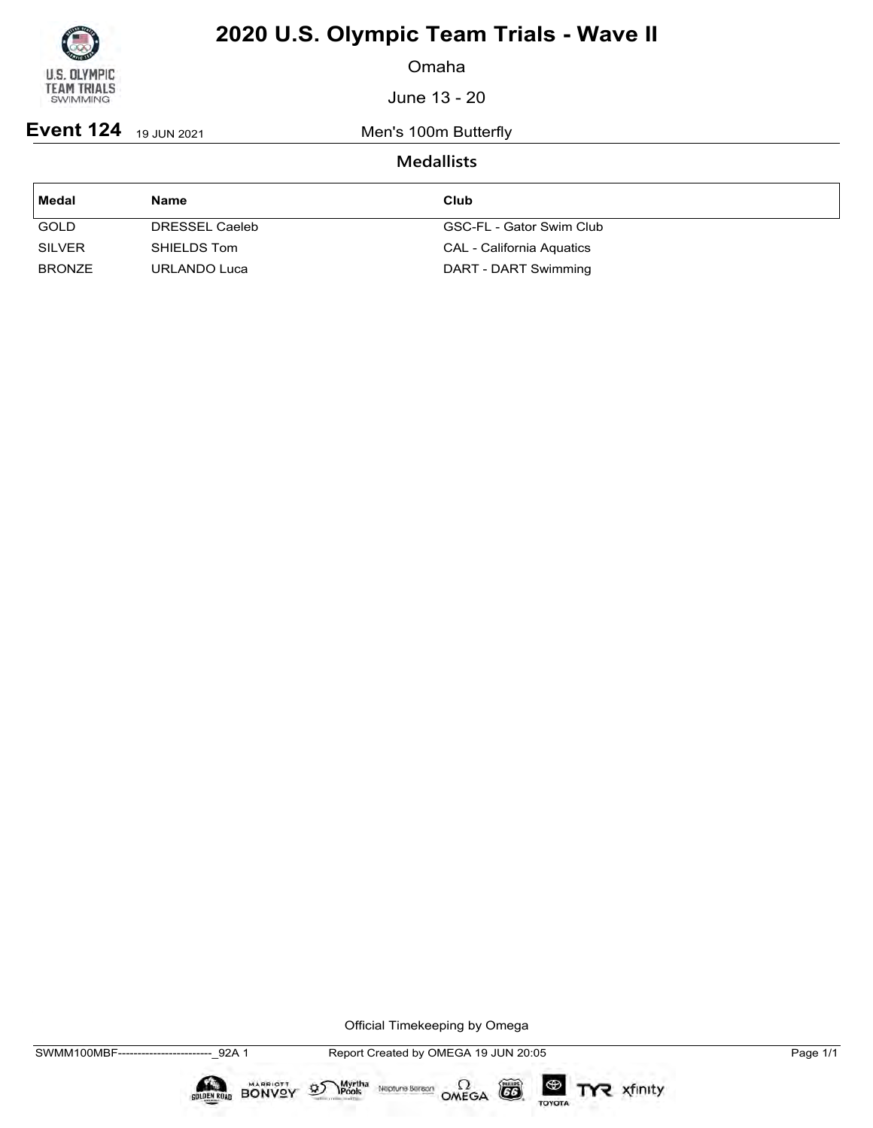

Omaha

June 13 - 20

**Event 124** 19 JUN 2021 Men's 100m Butterfly

## **Medallists**

| ∣ Medal       | Name           | Club                      |
|---------------|----------------|---------------------------|
| <b>GOLD</b>   | DRESSEL Caeleb | GSC-FL - Gator Swim Club  |
| <b>SILVER</b> | SHIELDS Tom    | CAL - California Aquatics |
| <b>BRONZE</b> | URLANDO Luca   | DART - DART Swimming      |

Official Timekeeping by Omega

 $\circled{G}$ 

TOYOTA

TYR xfinity

 $\sum_{\text{Pools}}$  Neptune Bergon  $\Omega$ <br>OMEGA

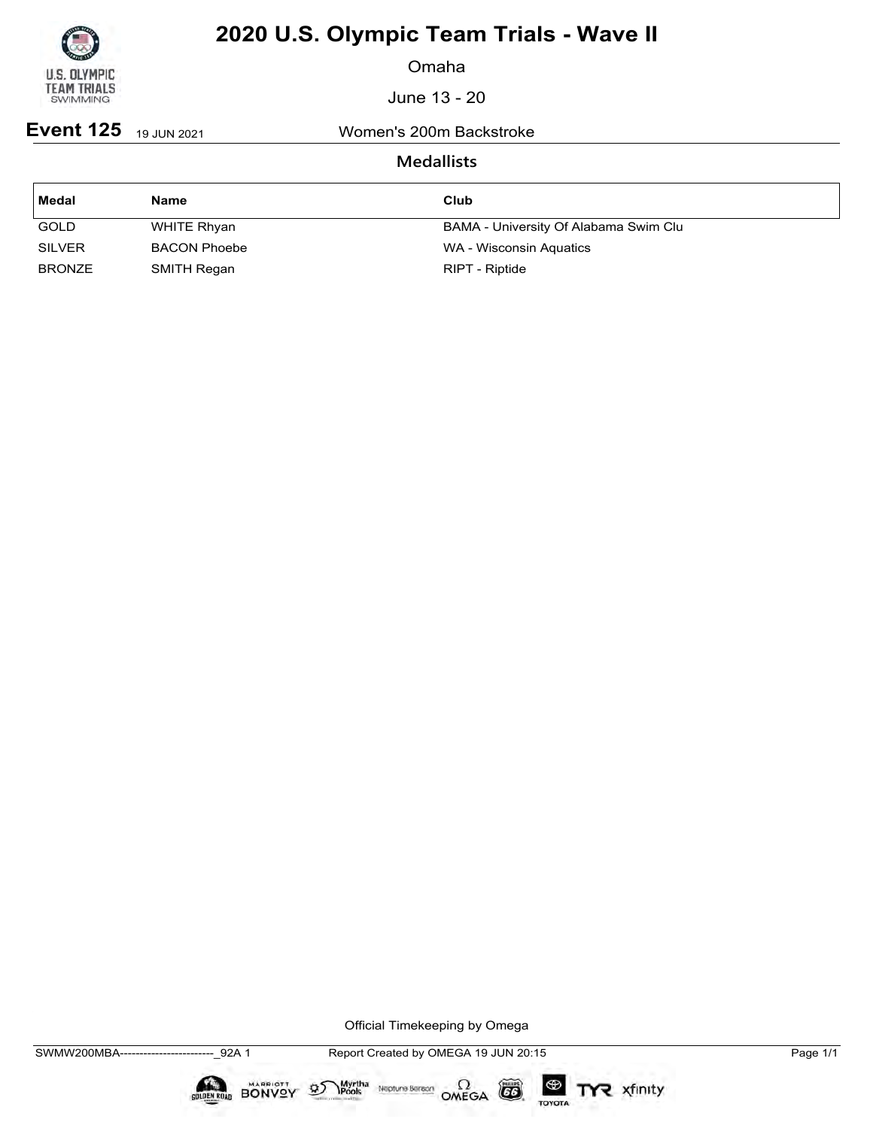

Omaha

June 13 - 20

**Event 125** 19 JUN 2021 Women's 200m Backstroke

### **Medallists**

| <b>Medal</b>  | Name                | Club                                  |
|---------------|---------------------|---------------------------------------|
| <b>GOLD</b>   | WHITE Rhyan         | BAMA - University Of Alabama Swim Clu |
| <b>SILVER</b> | <b>BACON Phoebe</b> | WA - Wisconsin Aquatics               |
| <b>BRONZE</b> | SMITH Regan         | RIPT - Riptide                        |

Official Timekeeping by Omega

 $\circled{G}$ 

TOYOTA

TYR xfinity

Myrtha Neptune Bereon OMEGA

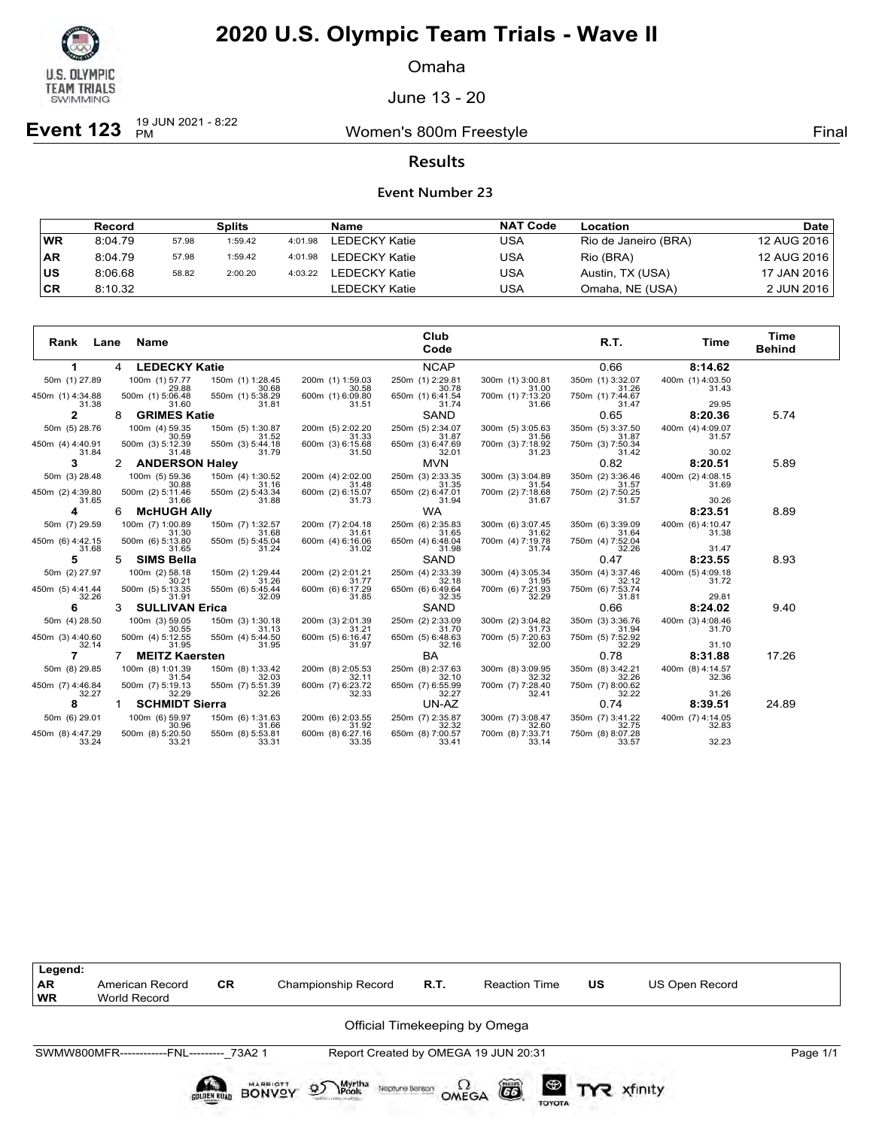

Omaha

June 13 - 20

**Event 123**  $_{PM}^{19 \text{ JUN } 2021 - 8:22}$ 

Women's 800m Freestyle **Final** 

### **Results**

### **Event Number 23**

|           | Record  |       | Splits  |         | Name                 | <b>NAT Code</b> | Location             | Date        |
|-----------|---------|-------|---------|---------|----------------------|-----------------|----------------------|-------------|
| <b>WR</b> | 8:04.79 | 57.98 | 1:59.42 | 4:01.98 | LEDECKY Katie        | USA             | Rio de Janeiro (BRA) | 12 AUG 2016 |
| <b>AR</b> | 8:04.79 | 57.98 | 1:59.42 | 4:01.98 | LEDECKY Katie        | USA             | Rio (BRA)            | 12 AUG 2016 |
| ∣us       | 8:06.68 | 58.82 | 2:00.20 | 4:03.22 | <b>LEDECKY Katie</b> | USA             | Austin, TX (USA)     | 17 JAN 2016 |
| ∣CR       | 8:10.32 |       |         |         | LEDECKY Katie        | USA             | Omaha, NE (USA)      | 2 JUN 2016  |

| Rank<br>Lane              | Name                       |                           |                           | Club<br>Code              |                           | R.T.                      | Time                      | Time<br><b>Behind</b> |
|---------------------------|----------------------------|---------------------------|---------------------------|---------------------------|---------------------------|---------------------------|---------------------------|-----------------------|
| 1                         | <b>LEDECKY Katie</b><br>4  |                           |                           | <b>NCAP</b>               |                           | 0.66                      | 8:14.62                   |                       |
| 50m (1) 27.89             | 100m (1) 57.77<br>29.88    | 150m (1) 1:28.45<br>30.68 | 200m (1) 1:59.03<br>30.58 | 250m (1) 2:29.81<br>30.78 | 300m (1) 3:00.81<br>31.00 | 350m (1) 3:32.07<br>31.26 | 400m (1) 4:03.50<br>31.43 |                       |
| 450m (1) 4:34.88<br>31.38 | 500m (1) 5:06.48<br>31.60  | 550m (1) 5:38.29<br>31.81 | 600m (1) 6:09.80<br>31.51 | 650m (1) 6:41.54<br>31.74 | 700m (1) 7:13.20<br>31.66 | 750m (1) 7:44.67<br>31.47 | 29.95                     |                       |
| 2                         | <b>GRIMES Katie</b><br>8   |                           |                           | <b>SAND</b>               |                           | 0.65                      | 8:20.36                   | 5.74                  |
| 50m (5) 28.76             | 100m (4) 59.35<br>30.59    | 150m (5) 1:30.87<br>31.52 | 200m (5) 2:02.20<br>31.33 | 250m (5) 2:34.07<br>31.87 | 300m (5) 3:05.63<br>31.56 | 350m (5) 3:37.50<br>31.87 | 400m (4) 4:09.07<br>31.57 |                       |
| 450m (4) 4:40.91<br>31.84 | 500m (3) 5:12.39<br>31.48  | 550m (3) 5:44.18<br>31.79 | 600m (3) 6:15.68<br>31.50 | 650m (3) 6:47.69<br>32.01 | 700m (3) 7:18.92<br>31.23 | 750m (3) 7:50.34<br>31.42 | 30.02                     |                       |
| 3                         | <b>ANDERSON Haley</b>      |                           |                           | <b>MVN</b>                |                           | 0.82                      | 8:20.51                   | 5.89                  |
| 50m (3) 28.48             | 100m (5) 59.36<br>30.88    | 150m (4) 1:30.52<br>31.16 | 200m (4) 2:02.00<br>31.48 | 250m (3) 2:33.35<br>31.35 | 300m (3) 3:04.89<br>31.54 | 350m (2) 3:36.46<br>31.57 | 400m (2) 4:08.15<br>31.69 |                       |
| 450m (2) 4:39.80<br>31.65 | 500m (2) 5:11.46<br>31.66  | 550m (2) 5:43.34<br>31.88 | 600m (2) 6:15.07<br>31.73 | 650m (2) 6:47.01<br>31.94 | 700m (2) 7:18.68<br>31.67 | 750m (2) 7:50.25<br>31.57 | 30.26                     |                       |
| 4                         | <b>McHUGH Ally</b><br>6    |                           |                           | <b>WA</b>                 |                           |                           | 8:23.51                   | 8.89                  |
| 50m (7) 29.59             | 100m (7) 1:00.89<br>31.30  | 150m (7) 1:32.57<br>31.68 | 200m (7) 2:04.18<br>31.61 | 250m (6) 2:35.83<br>31.65 | 300m (6) 3:07.45<br>31.62 | 350m (6) 3:39.09<br>31.64 | 400m (6) 4:10.47<br>31.38 |                       |
| 450m (6) 4:42.15<br>31.68 | 500m (6) 5:13.80<br>31.65  | 550m (5) 5:45.04<br>31.24 | 600m (4) 6:16.06<br>31.02 | 650m (4) 6:48.04<br>31.98 | 700m (4) 7:19.78<br>31.74 | 750m (4) 7:52.04<br>32.26 | 31.47                     |                       |
| 5                         | <b>SIMS Bella</b><br>5     |                           |                           | SAND                      |                           | 0.47                      | 8:23.55                   | 8.93                  |
| 50m (2) 27.97             | 100m (2) 58.18<br>30.21    | 150m (2) 1:29.44<br>31.26 | 200m (2) 2:01.21<br>31.77 | 250m (4) 2:33.39<br>32.18 | 300m (4) 3:05.34<br>31.95 | 350m (4) 3:37.46<br>32.12 | 400m (5) 4:09.18<br>31.72 |                       |
| 450m (5) 4:41.44<br>32.26 | 500m (5) 5:13.35<br>31.91  | 550m (6) 5:45.44<br>32.09 | 600m (6) 6:17.29<br>31.85 | 650m (6) 6:49.64<br>32.35 | 700m (6) 7:21.93<br>32.29 | 750m (6) 7:53.74<br>31.81 | 29.81                     |                       |
| 6                         | <b>SULLIVAN Erica</b><br>3 |                           |                           | SAND                      |                           | 0.66                      | 8:24.02                   | 9.40                  |
| 50m (4) 28.50             | 100m (3) 59.05<br>30.55    | 150m (3) 1:30.18<br>31.13 | 200m (3) 2:01.39<br>31.21 | 250m (2) 2:33.09<br>31.70 | 300m (2) 3:04.82<br>31.73 | 350m (3) 3:36.76<br>31.94 | 400m (3) 4:08.46          |                       |
| 450m (3) 4:40.60<br>32.14 | 500m (4) 5:12.55<br>31.95  | 550m (4) 5:44.50<br>31.95 | 600m (5) 6:16.47<br>31.97 | 650m (5) 6:48.63<br>32.16 | 700m (5) 7:20.63<br>32.00 | 750m (5) 7:52.92<br>32.29 | 31.70<br>31.10            |                       |
| 7                         | <b>MEITZ Kaersten</b>      |                           |                           | BA                        |                           | 0.78                      | 8:31.88                   | 17.26                 |
| 50m (8) 29.85             | 100m (8) 1:01.39<br>31.54  | 150m (8) 1:33.42<br>32.03 | 200m (8) 2:05.53<br>32.11 | 250m (8) 2:37.63<br>32.10 | 300m (8) 3:09.95<br>32.32 | 350m (8) 3:42.21<br>32.26 | 400m (8) 4:14.57<br>32.36 |                       |
| 450m (7) 4:46.84<br>32.27 | 500m (7) 5:19.13<br>32.29  | 550m (7) 5:51.39<br>32.26 | 600m (7) 6:23.72<br>32.33 | 650m (7) 6:55.99<br>32.27 | 700m (7) 7:28.40<br>32.41 | 750m (7) 8:00.62<br>32.22 | 31.26                     |                       |
| 8                         | <b>SCHMIDT Sierra</b>      |                           |                           | UN-AZ                     |                           | 0.74                      | 8:39.51                   | 24.89                 |
| 50m (6) 29.01             | 100m (6) 59.97<br>30.96    | 150m (6) 1:31.63<br>31.66 | 200m (6) 2:03.55<br>31.92 | 250m (7) 2:35.87<br>32.32 | 300m (7) 3:08.47<br>32.60 | 350m (7) 3:41.22<br>32.75 | 400m (7) 4:14.05<br>32.83 |                       |
| 450m (8) 4:47.29<br>33.24 | 500m (8) 5:20.50<br>33.21  | 550m (8) 5:53.81<br>33.31 | 600m (8) 6:27.16<br>33.35 | 650m (8) 7:00.57<br>33.41 | 700m (8) 7:33.71<br>33.14 | 750m (8) 8:07.28<br>33.57 | 32.23                     |                       |



 $G6$ 

TOYOTA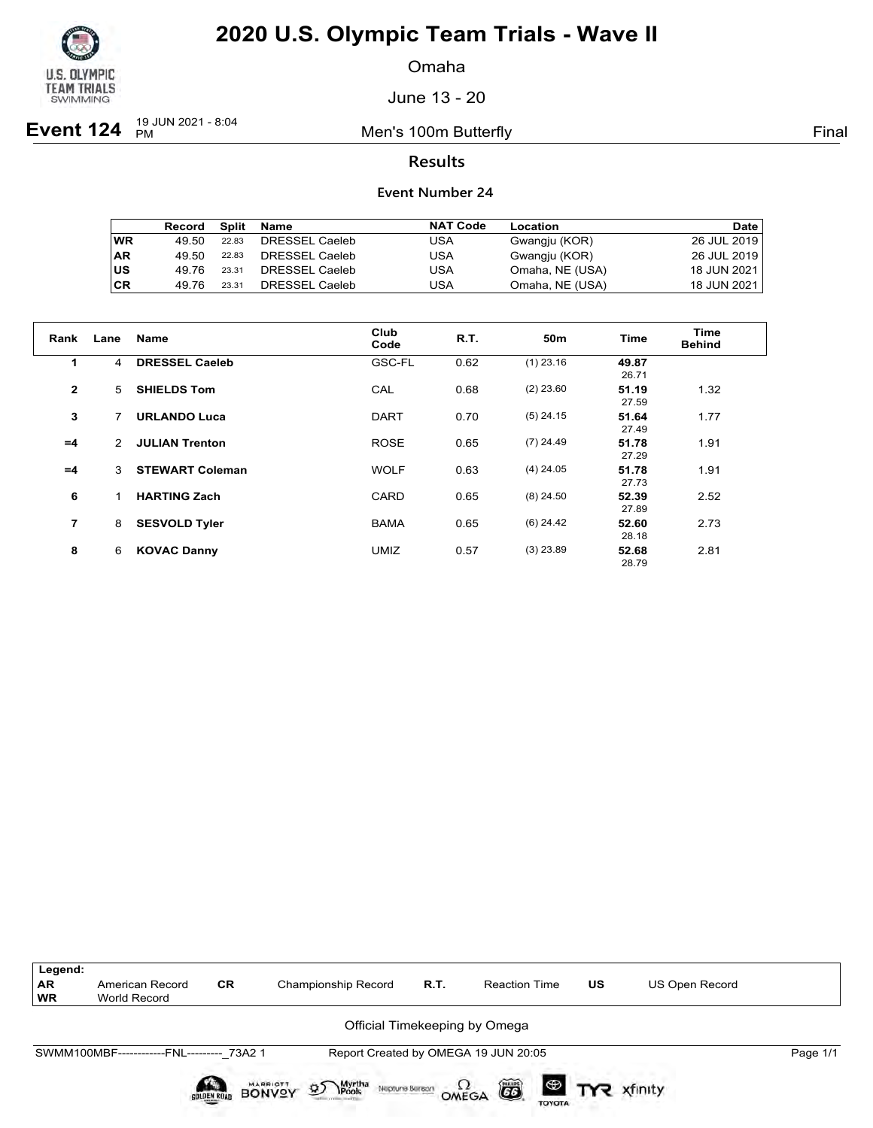

Omaha

June 13 - 20

**Event 124** <sup>19 JUN 2021 - 8:04</sup>

Men's 100m Butterfly **Final** 

### **Results**

|           | Record | Split | Name           | <b>NAT Code</b> | Location        | Date        |
|-----------|--------|-------|----------------|-----------------|-----------------|-------------|
| <b>WR</b> | 49.50  | 22.83 | DRESSEL Caeleb | USA             | Gwangju (KOR)   | 26 JUL 2019 |
| <b>AR</b> | 49.50  | 22.83 | DRESSEL Caeleb | USA             | Gwangju (KOR)   | 26 JUL 2019 |
| lus       | 49.76  | 23.31 | DRESSEL Caeleb | USA             | Omaha, NE (USA) | 18 JUN 2021 |
| <b>CR</b> | 49.76  | 23.31 | DRESSEL Caeleb | USA             | Omaha, NE (USA) | 18 JUN 2021 |

| Rank           | Lane | <b>Name</b>            | Club<br>Code | R.T. | 50 <sub>m</sub> | <b>Time</b>    | Time<br><b>Behind</b> |
|----------------|------|------------------------|--------------|------|-----------------|----------------|-----------------------|
| 1.             | 4    | <b>DRESSEL Caeleb</b>  | GSC-FL       | 0.62 | $(1)$ 23.16     | 49.87<br>26.71 |                       |
| $\mathbf{2}$   | 5    | <b>SHIELDS Tom</b>     | CAL          | 0.68 | $(2)$ 23.60     | 51.19<br>27.59 | 1.32                  |
| 3              | 7    | <b>URLANDO Luca</b>    | <b>DART</b>  | 0.70 | $(5)$ 24.15     | 51.64<br>27.49 | 1.77                  |
| $=4$           | 2    | <b>JULIAN Trenton</b>  | <b>ROSE</b>  | 0.65 | $(7)$ 24.49     | 51.78<br>27.29 | 1.91                  |
| $=4$           | 3    | <b>STEWART Coleman</b> | <b>WOLF</b>  | 0.63 | $(4)$ 24.05     | 51.78<br>27.73 | 1.91                  |
| 6              | 1    | <b>HARTING Zach</b>    | CARD         | 0.65 | $(8)$ 24.50     | 52.39<br>27.89 | 2.52                  |
| $\overline{7}$ | 8    | <b>SESVOLD Tyler</b>   | <b>BAMA</b>  | 0.65 | $(6)$ 24.42     | 52.60<br>28.18 | 2.73                  |
| 8              | 6    | <b>KOVAC Danny</b>     | <b>UMIZ</b>  | 0.57 | $(3)$ 23.89     | 52.68<br>28.79 | 2.81                  |

| Legend:                |                                           |             |                                                                      |      |                                      |                       |                |          |
|------------------------|-------------------------------------------|-------------|----------------------------------------------------------------------|------|--------------------------------------|-----------------------|----------------|----------|
| <b>AR</b><br><b>WR</b> | American Record<br>World Record           | <b>CR</b>   | Championship Record                                                  | R.T. | <b>Reaction Time</b>                 | <b>US</b>             | US Open Record |          |
|                        |                                           |             |                                                                      |      | Official Timekeeping by Omega        |                       |                |          |
|                        | SWMM100MBF------------FNL--------- 73A2 1 |             |                                                                      |      | Report Created by OMEGA 19 JUN 20:05 |                       |                | Page 1/1 |
|                        |                                           | SOLDEN ROAD | <b>BONVOY</b><br>Myrtha<br>Pools<br>$\mathfrak{D}$<br>Neptune Berson |      | ã<br>OMEGA<br><b>TOYOTA</b>          | <b>ED TYR</b> xfinity |                |          |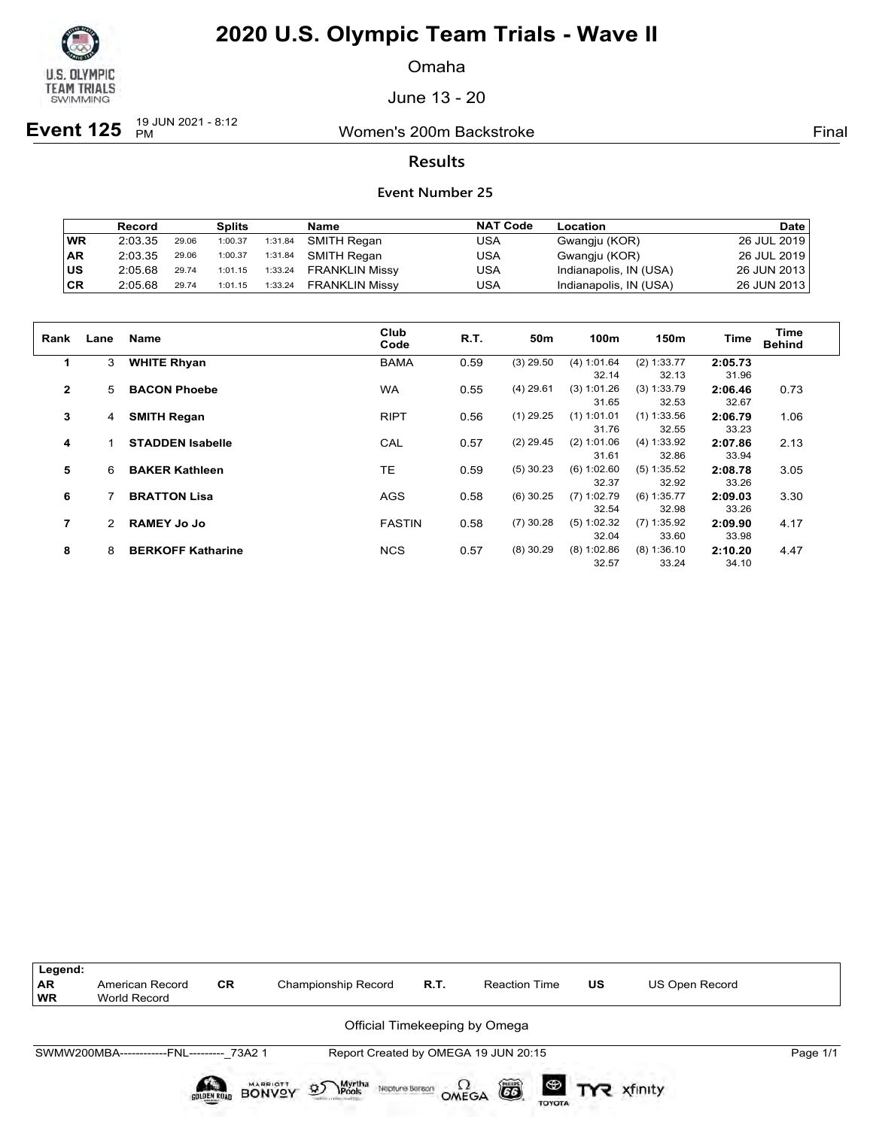

Omaha

June 13 - 20

**Event 125**  $\frac{19 \text{ JUN } 2021 - 8:12}{PM}$ 

Women's 200m Backstroke **Final** 

### **Results**

|      | <b>Record</b> |       | <b>Splits</b> |         | Name                  | <b>NAT Code</b> | Location               | <b>Date</b>   |
|------|---------------|-------|---------------|---------|-----------------------|-----------------|------------------------|---------------|
| WR   | 2:03.35       | 29.06 | 1:00.37       | 1:31.84 | SMITH Regan           | USA             | Gwangju (KOR)          | 26 JUL 2019   |
| AR   | 2:03.35       | 29.06 | 1:00.37       | 1:31.84 | SMITH Regan           | USA             | Gwangju (KOR)          | 26 JUL 2019   |
| lus. | 2:05.68       | 29.74 | 1:01.15       | 1:33.24 | <b>FRANKLIN Missy</b> | USA             | Indianapolis, IN (USA) | 26 JUN 2013 l |
| ∣CR  | 2:05.68       | 29.74 | 1:01.15       | 1:33.24 | <b>FRANKLIN Missy</b> | USA             | Indianapolis, IN (USA) | 26 JUN 2013   |

| Rank           | Lane | <b>Name</b>              | Club<br>Code  | R.T. | 50 <sub>m</sub> | 100m          | 150m          | <b>Time</b> | Time<br><b>Behind</b> |
|----------------|------|--------------------------|---------------|------|-----------------|---------------|---------------|-------------|-----------------------|
| 1              | 3    | <b>WHITE Rhyan</b>       | <b>BAMA</b>   | 0.59 | $(3)$ 29.50     | (4) 1:01.64   | (2) 1:33.77   | 2:05.73     |                       |
|                |      |                          |               |      |                 | 32.14         | 32.13         | 31.96       |                       |
| $\overline{2}$ | 5    | <b>BACON Phoebe</b>      | <b>WA</b>     | 0.55 | $(4)$ 29.61     | (3) 1:01.26   | (3) 1:33.79   | 2:06.46     | 0.73                  |
|                |      |                          |               |      |                 | 31.65         | 32.53         | 32.67       |                       |
| 3              | 4    | <b>SMITH Regan</b>       | <b>RIPT</b>   | 0.56 | $(1)$ 29.25     | $(1)$ 1:01.01 | $(1)$ 1:33.56 | 2:06.79     | 1.06                  |
|                |      |                          |               |      |                 | 31.76         | 32.55         | 33.23       |                       |
| 4              |      | <b>STADDEN Isabelle</b>  | CAL           | 0.57 | $(2)$ 29.45     | (2) 1:01.06   | (4) 1:33.92   | 2:07.86     | 2.13                  |
|                |      |                          |               |      |                 | 31.61         | 32.86         | 33.94       |                       |
| 5              | 6    | <b>BAKER Kathleen</b>    | <b>TE</b>     | 0.59 | $(5)$ 30.23     | (6) 1:02.60   | (5) 1:35.52   | 2:08.78     | 3.05                  |
|                |      |                          |               |      |                 | 32.37         | 32.92         | 33.26       |                       |
| 6              |      | <b>BRATTON Lisa</b>      | AGS           | 0.58 | $(6)$ 30.25     | $(7)$ 1:02.79 | $(6)$ 1:35.77 | 2:09.03     | 3.30                  |
|                |      |                          |               |      |                 | 32.54         | 32.98         | 33.26       |                       |
| 7              |      | <b>RAMEY Jo Jo</b>       | <b>FASTIN</b> | 0.58 | $(7)$ 30.28     | (5) 1:02.32   | $(7)$ 1:35.92 | 2:09.90     | 4.17                  |
|                |      |                          |               |      |                 | 32.04         | 33.60         | 33.98       |                       |
| 8              | 8    | <b>BERKOFF Katharine</b> | <b>NCS</b>    | 0.57 | $(8)$ 30.29     | $(8)$ 1:02.86 | $(8)$ 1:36.10 | 2:10.20     | 4.47                  |
|                |      |                          |               |      |                 | 32.57         | 33.24         | 34.10       |                       |

| Legend:<br>AR  <br>  WR | American Record<br>World Record           | <b>CR</b>   | Championship Record                                                 | R.T. | <b>Reaction Time</b>                 | <b>US</b> | <b>US Open Record</b> |          |
|-------------------------|-------------------------------------------|-------------|---------------------------------------------------------------------|------|--------------------------------------|-----------|-----------------------|----------|
|                         |                                           |             |                                                                     |      | Official Timekeeping by Omega        |           |                       |          |
|                         | SWMW200MBA------------FNL--------- 73A2 1 |             |                                                                     |      | Report Created by OMEGA 19 JUN 20:15 |           |                       | Page 1/1 |
|                         |                                           | SOLDEN ROAD | <b>BONVOY</b><br>Myrtha<br>Pools<br>$\mathcal{D}$<br>Neptune Berean |      | ã<br>OMEGA<br><b>TOYOTA</b>          |           | <b>ED TYR</b> xfinity |          |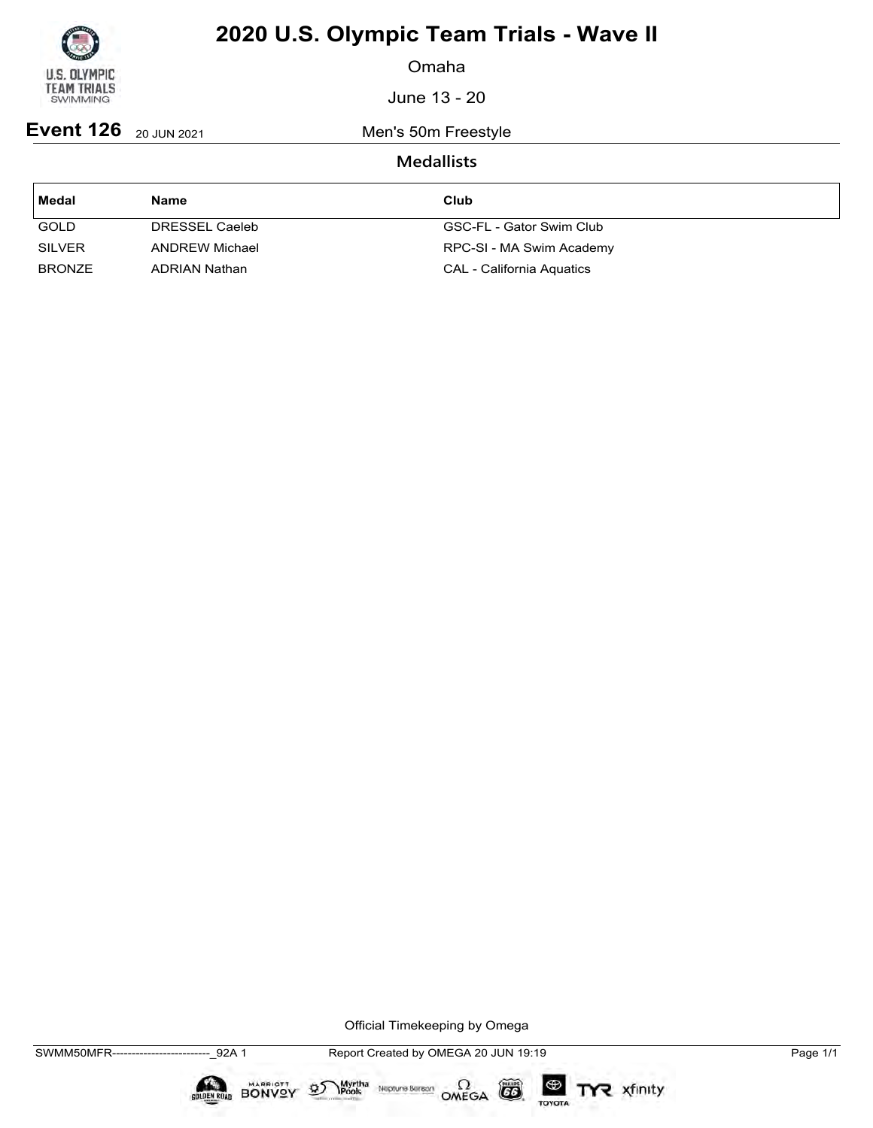

Omaha

June 13 - 20

**Event 126** 20 JUN 2021 Men's 50m Freestyle

## **Medallists**

| Medal         | Name                  | Club                             |
|---------------|-----------------------|----------------------------------|
| <b>GOLD</b>   | DRESSEL Caeleb        | GSC-FL - Gator Swim Club         |
| <b>SILVER</b> | <b>ANDREW Michael</b> | RPC-SI - MA Swim Academy         |
| <b>BRONZE</b> | ADRIAN Nathan         | <b>CAL - California Aquatics</b> |

Official Timekeeping by Omega

 $\circled{G}$ 

TOYOTA

TYR xfinity

 $\sum_{\text{Pools}}$  Neptune Bergon  $\Omega$ <br>OMEGA

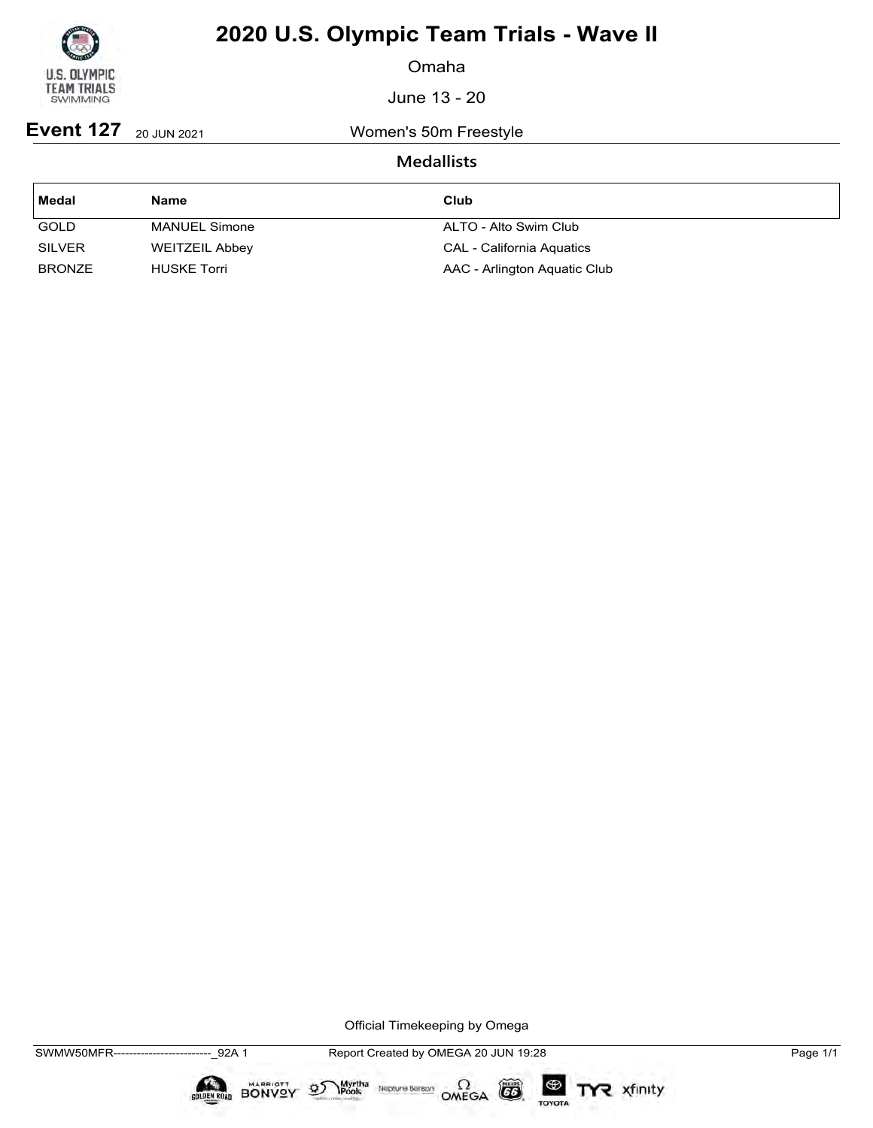

Omaha

June 13 - 20

**Event 127** 20 JUN 2021 Women's 50m Freestyle

## **Medallists**

| ∣ Medal       | <b>Name</b>           | Club                         |
|---------------|-----------------------|------------------------------|
| <b>GOLD</b>   | <b>MANUEL Simone</b>  | ALTO - Alto Swim Club        |
| <b>SILVER</b> | <b>WEITZEIL Abbey</b> | CAL - California Aquatics    |
| <b>BRONZE</b> | <b>HUSKE Torri</b>    | AAC - Arlington Aquatic Club |

Official Timekeeping by Omega

SWMW50MFR-------------------------\_92A 1 Report Created by OMEGA 20 JUN 19:28 Page 1/1

 $\circled{G}$ 

TOYOTA

TYR xfinity

 $\sum_{\text{Pools}}$  Neptune Bergon  $\Omega$ <br>OMEGA

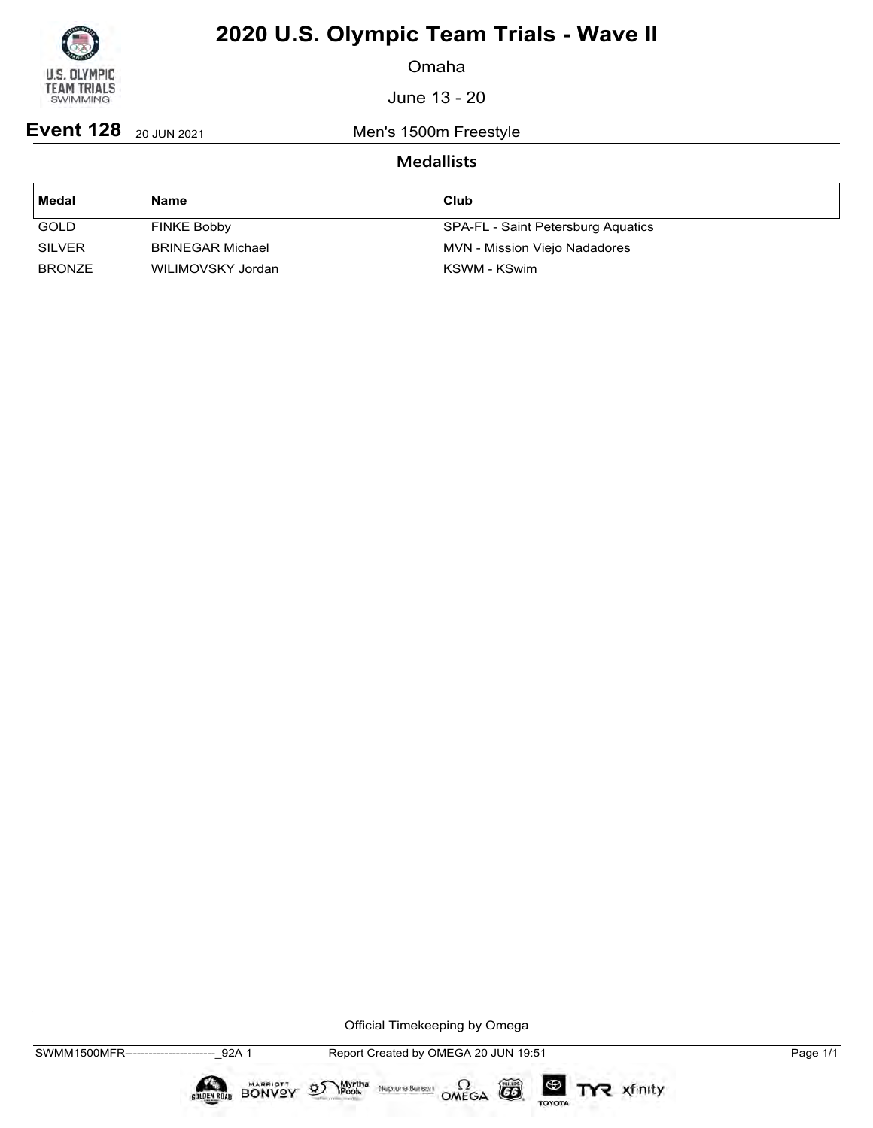

Omaha

June 13 - 20

**Event 128** 20 JUN 2021 Men's 1500m Freestyle

## **Medallists**

| Medal         | <b>Name</b>             | Club                               |
|---------------|-------------------------|------------------------------------|
| <b>GOLD</b>   | <b>FINKE Bobby</b>      | SPA-FL - Saint Petersburg Aquatics |
| <b>SILVER</b> | <b>BRINEGAR Michael</b> | MVN - Mission Viejo Nadadores      |
| <b>BRONZE</b> | WILIMOVSKY Jordan       | KSWM - KSwim                       |

Official Timekeeping by Omega

CO

TOYOTA

TYR xfinity

 $\sum_{\text{Pools}}$  Neptune Bergon  $\Omega$ <br>OMEGA

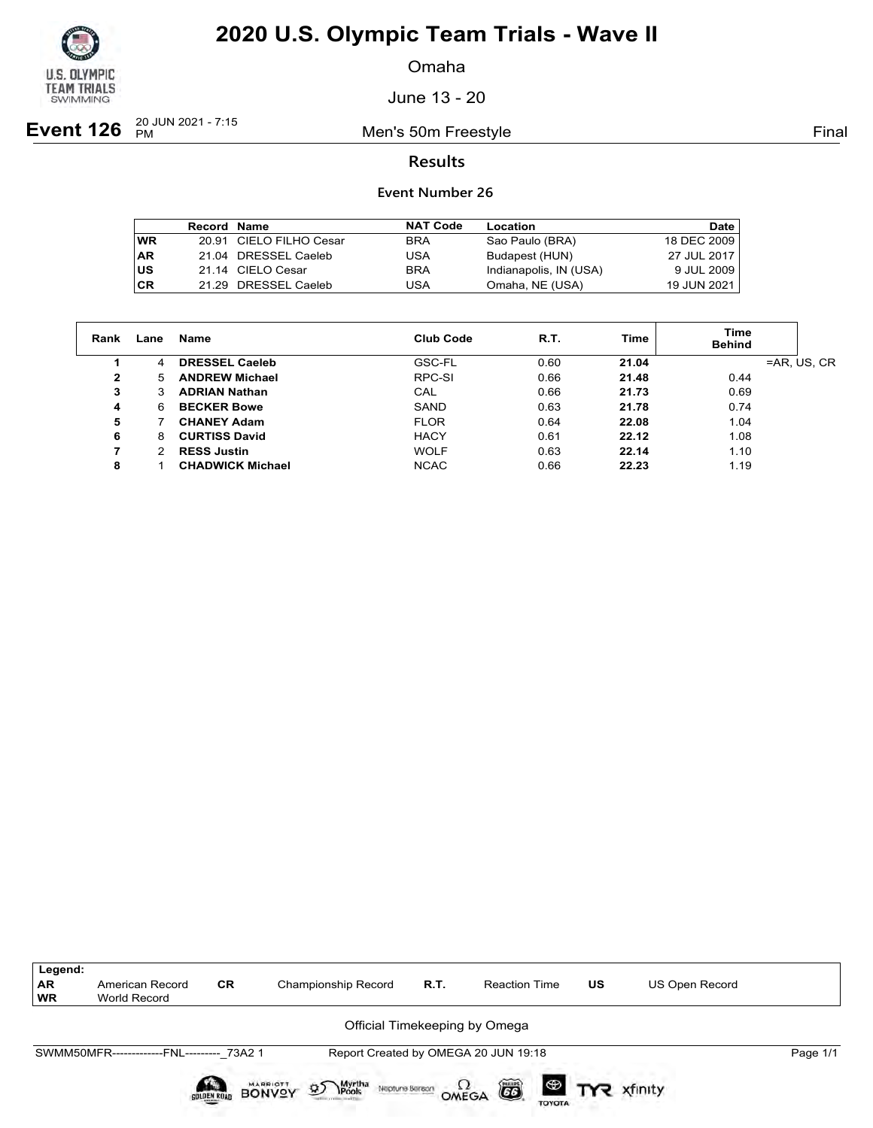

Omaha

June 13 - 20

**Event 126**  $_{PM}^{20 \text{ JUN } 2021 - 7:15}$ 

Men's 50m Freestyle **Final** 

### **Results**

|            | Record Name |                         | <b>NAT Code</b> | Location               | Date        |
|------------|-------------|-------------------------|-----------------|------------------------|-------------|
| <b>WR</b>  |             | 20.91 CIELO FILHO Cesar | <b>BRA</b>      | Sao Paulo (BRA)        | 18 DEC 2009 |
| <b>AR</b>  |             | 21.04 DRESSEL Caeleb    | USA             | Budapest (HUN)         | 27 JUL 2017 |
| ∣us        |             | 21.14 CIELO Cesar       | <b>BRA</b>      | Indianapolis, IN (USA) | 9 JUL 2009  |
| <b>ICR</b> |             | 21.29 DRESSEL Caeleb    | USA             | Omaha, NE (USA)        | 19 JUN 2021 |

| Rank         | Lane | Name                    | Club Code   | R.T. | Time  | <b>Time</b><br><b>Behind</b> |
|--------------|------|-------------------------|-------------|------|-------|------------------------------|
|              | 4    | <b>DRESSEL Caeleb</b>   | GSC-FL      | 0.60 | 21.04 | $=AR, US, CR$                |
| $\mathbf{2}$ | 5    | <b>ANDREW Michael</b>   | RPC-SI      | 0.66 | 21.48 | 0.44                         |
| 3            | 3    | <b>ADRIAN Nathan</b>    | CAL         | 0.66 | 21.73 | 0.69                         |
| 4            | 6    | <b>BECKER Bowe</b>      | SAND        | 0.63 | 21.78 | 0.74                         |
| 5            |      | <b>CHANEY Adam</b>      | <b>FLOR</b> | 0.64 | 22.08 | 1.04                         |
| 6            | 8    | <b>CURTISS David</b>    | <b>HACY</b> | 0.61 | 22.12 | 1.08                         |
| 7            | 2    | <b>RESS Justin</b>      | <b>WOLF</b> | 0.63 | 22.14 | 1.10                         |
| 8            |      | <b>CHADWICK Michael</b> | <b>NCAC</b> | 0.66 | 22.23 | 1.19                         |

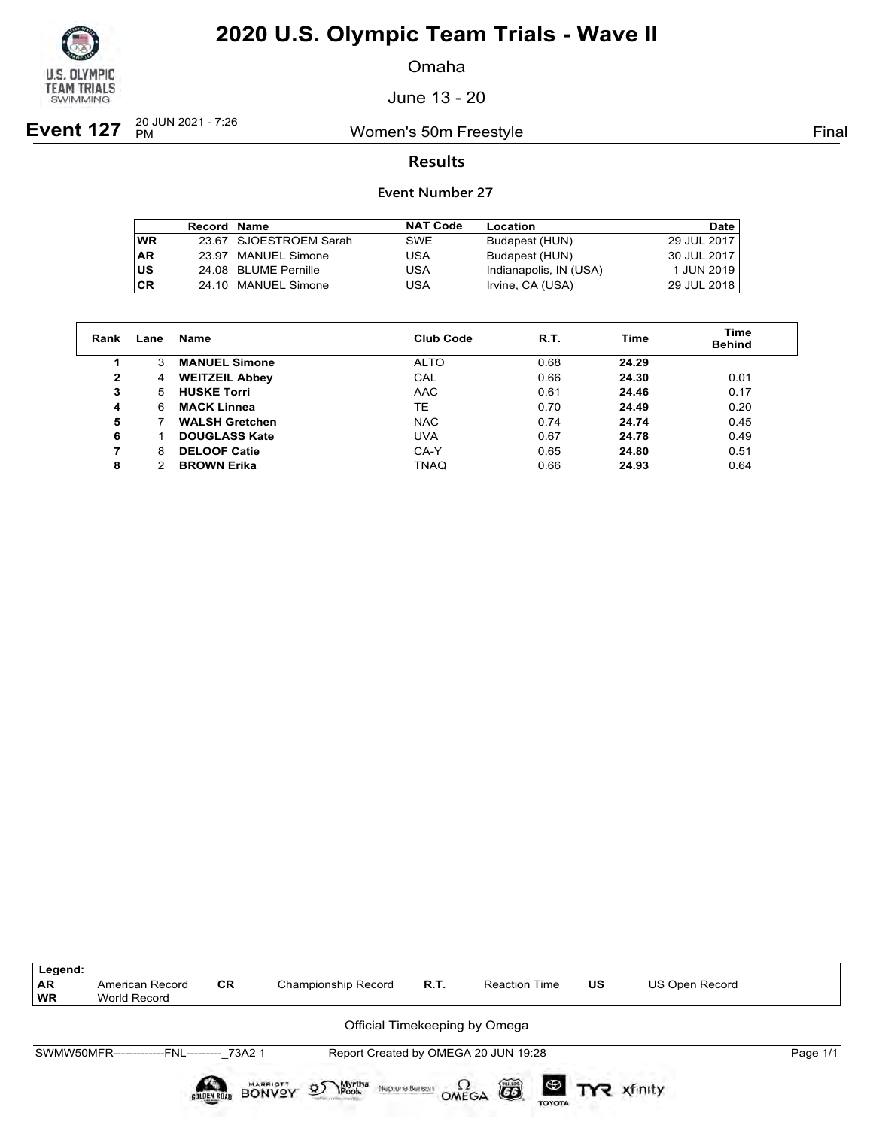

Omaha

June 13 - 20

**Event 127**  $_{PM}^{20 \text{ JUN } 2021 - 7:26}$ 

Women's 50m Freestyle **Final** 

### **Results**

|           | <b>Record Name</b> |                        | <b>NAT Code</b> | Location               | <b>Date</b> |
|-----------|--------------------|------------------------|-----------------|------------------------|-------------|
| <b>WR</b> |                    | 23.67 SJOESTROEM Sarah | <b>SWE</b>      | Budapest (HUN)         | 29 JUL 2017 |
| <b>AR</b> |                    | 23.97 MANUEL Simone    | USA             | Budapest (HUN)         | 30 JUL 2017 |
| lus       |                    | 24.08 BLUME Pernille   | USA             | Indianapolis, IN (USA) | 1 JUN 2019  |
| <b>CR</b> |                    | 24.10 MANUEL Simone    | USA             | Irvine, CA (USA)       | 29 JUL 2018 |

| Rank         | Lane | <b>Name</b>           | <b>Club Code</b> | R.T. | Time  | <b>Time</b><br><b>Behind</b> |
|--------------|------|-----------------------|------------------|------|-------|------------------------------|
|              | 3    | <b>MANUEL Simone</b>  | <b>ALTO</b>      | 0.68 | 24.29 |                              |
| $\mathbf{2}$ | 4    | <b>WEITZEIL Abbey</b> | CAL              | 0.66 | 24.30 | 0.01                         |
| 3            | 5.   | <b>HUSKE Torri</b>    | <b>AAC</b>       | 0.61 | 24.46 | 0.17                         |
| 4            | 6    | <b>MACK Linnea</b>    | TE               | 0.70 | 24.49 | 0.20                         |
| 5            |      | <b>WALSH Gretchen</b> | <b>NAC</b>       | 0.74 | 24.74 | 0.45                         |
| 6            |      | <b>DOUGLASS Kate</b>  | <b>UVA</b>       | 0.67 | 24.78 | 0.49                         |
| 7            | 8    | <b>DELOOF Catie</b>   | CA-Y             | 0.65 | 24.80 | 0.51                         |
| 8            | 2    | <b>BROWN Erika</b>    | TNAQ             | 0.66 | 24.93 | 0.64                         |

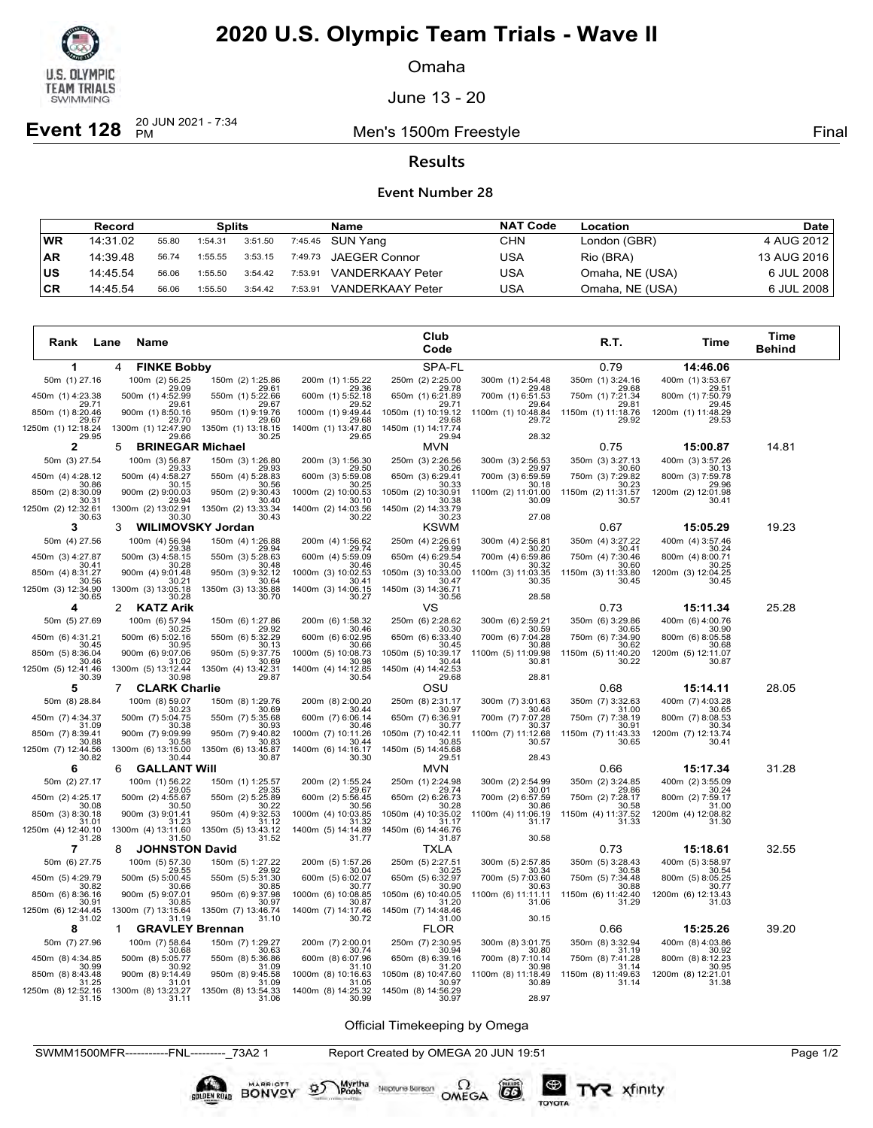

Omaha

June 13 - 20

**Event 128**  $_{PM}^{20 \text{ JUN } 2021 - 7:34}$ 

Men's 1500m Freestyle **Final** 

### **Results**

#### **Event Number 28**

|           | Record   |       | <b>Splits</b> |         |         | Name                    | <b>NAT Code</b> | Location        | Date l      |
|-----------|----------|-------|---------------|---------|---------|-------------------------|-----------------|-----------------|-------------|
| WR        | 14:31.02 | 55.80 | 1:54.31       | 3:51.50 |         | 7:45.45 SUN Yang        | CHN             | London (GBR)    | 4 AUG 2012  |
| <b>AR</b> | 14:39.48 | 56.74 | 1:55.55       | 3:53.15 |         | 7:49.73 JAEGER Connor   | USA             | Rio (BRA)       | 13 AUG 2016 |
| ∣us       | 14:45.54 | 56.06 | 1:55.50       | 3:54.42 | 7:53.91 | <b>VANDERKAAY Peter</b> | USA             | Omaha, NE (USA) | 6 JUL 2008  |
| ∣CR       | 14:45.54 | 56.06 | 1:55.50       | 3:54.42 | 7:53.91 | <b>VANDERKAAY Peter</b> | USA             | Omaha, NE (USA) | 6 JUL 2008  |

| Rank<br>Lane                | Name                                            |                             |                             | Club<br>Code                    |                             | R.T.                        | Time                         | Time<br><b>Behind</b> |
|-----------------------------|-------------------------------------------------|-----------------------------|-----------------------------|---------------------------------|-----------------------------|-----------------------------|------------------------------|-----------------------|
| 1                           | 4<br><b>FINKE Bobby</b>                         |                             |                             | SPA-FL                          |                             | 0.79                        | 14:46.06                     |                       |
| 50m (1) 27.16               | 100m (2) 56.25                                  | 150m (2) 1:25.86            | 200m (1) 1:55.22            | 250m (2) 2:25.00                | 300m (1) 2:54.48            | 350m (1) 3:24.16            | 400m (1) 3:53.67             |                       |
| 450m (1) 4:23.38            | 29.09<br>500m (1) 4:52.99                       | 29.61<br>550m (1) 5:22.66   | 29.36<br>600m (1) 5:52.18   | 29.78<br>650m (1) 6:21.89       | 29.48<br>700m (1) 6:51.53   | 29.68<br>750m (1) 7:21.34   | 29.51<br>800m (1) 7:50.79    |                       |
| 29.71<br>850m (1) 8:20.46   | 29.61<br>900m (1) 8:50.16                       | 29.67<br>950m (1) 9:19.76   | 29.52<br>1000m (1) 9:49.44  | 29.71<br>1050m (1) 10:19.12     | 29.64<br>1100m (1) 10:48.84 | 29.81<br>1150m (1) 11:18.76 | 29.45<br>1200m (1) 11:48.29  |                       |
| 29.67<br>1250m (1) 12:18.24 | 29.70<br>1300m (1) 12:47.90                     | 29.60<br>1350m (1) 13:18.15 | 29.68<br>1400m (1) 13:47.80 | 29.68<br>1450m (1) 14:17.74     | 29.72                       | 29.92                       | 29.53                        |                       |
| 29.95<br>$\mathbf{2}$       | 29.66<br><b>BRINEGAR Michael</b><br>5           | 30.25                       | 29.65                       | 29.94<br><b>MVN</b>             | 28.32                       | 0.75                        | 15:00.87                     | 14.81                 |
| 50m (3) 27.54               | 100m (3) 56.87                                  | 150m (3) 1:26.80            | 200m (3) 1:56.30            | 250m (3) 2:26.56                | 300m (3) 2:56.53            | 350m (3) 3:27.13            | 400m (3) 3:57.26             |                       |
| 450m (4) 4:28.12            | 29.33<br>500m (4) 4:58.27                       | 29.93<br>550m (4) 5:28.83   | 29.50<br>600m (3) 5:59.08   | 30.26<br>650m (3) 6:29.41       | 29.97<br>700m (3) 6:59.59   | 30.60<br>750m (3) 7:29.82   | 30.13<br>800m (3) 7:59.78    |                       |
| 30.86<br>850m (2) 8:30.09   | 30.15<br>900m (2) 9:00.03                       | 30.56<br>950m (2) 9:30.43   | 30.25<br>1000m (2) 10:00.53 | 30.33<br>1050m (2) 10:30.91     | 30.18<br>1100m (2) 11:01.00 | 30.23<br>1150m (2) 11:31.57 | 29.96<br>1200m (2) 12:01.98  |                       |
| 30.31<br>1250m (2) 12:32.61 | 29.94<br>1300m (2) 13:02.91                     | 30.40<br>1350m (2) 13:33.34 | 30.10<br>1400m (2) 14:03.56 | 30.38<br>1450m (2) 14:33.79     | 30.09                       | 30.57                       | 30.41                        |                       |
| 30.63                       | 30.30                                           | 30.43                       | 30.22                       | 30.23                           | 27.08                       |                             |                              |                       |
| 3<br>50m (4) 27.56          | <b>WILIMOVSKY Jordan</b><br>3<br>100m (4) 56.94 | 150m (4) 1:26.88            | 200m (4) 1:56.62            | <b>KSWM</b><br>250m (4) 2:26.61 | 300m (4) 2:56.81            | 0.67<br>350m (4) 3:27.22    | 15:05.29<br>400m (4) 3:57.46 | 19.23                 |
|                             | 29.38                                           | 29.94                       | 29.74                       | 29.99                           | 30.20                       | 30.41                       | 30.24                        |                       |
| 450m (3) 4:27.87<br>30.41   | 500m (3) 4:58.15<br>30.28                       | 550m (3) 5:28.63<br>30.48   | 600m (4) 5:59.09<br>30.46   | 650m (4) 6:29.54<br>30.45       | 700m (4) 6:59.86<br>30.32   | 750m (4) 7:30.46<br>30.60   | 800m (4) 8:00.71<br>30.25    |                       |
| 850m (4) 8:31.27<br>30.56   | 900m (4) 9:01.48<br>30.21                       | 950m (3) 9:32.12<br>30.64   | 1000m (3) 10:02.53<br>30.41 | 1050m (3) 10:33.00<br>30.47     | 1100m (3) 11:03.35<br>30.35 | 1150m (3) 11:33.80<br>30.45 | 1200m (3) 12:04.25<br>30.45  |                       |
| 1250m (3) 12:34.90<br>30.65 | 1300m (3) 13:05.18<br>30.28                     | 1350m (3) 13:35.88<br>30.70 | 1400m (3) 14:06.15<br>30.27 | 1450m (3) 14:36.71<br>30.56     | 28.58                       |                             |                              |                       |
| 4                           | 2<br><b>KATZ Arik</b>                           |                             |                             | VS                              |                             | 0.73                        | 15:11.34                     | 25.28                 |
| 50m (5) 27.69               | 100m (6) 57.94<br>30.25                         | 150m (6) 1:27.86<br>29.92   | 200m (6) 1:58.32<br>30.46   | 250m (6) 2:28.62<br>30.30       | 300m (6) 2:59.21<br>30.59   | 350m (6) 3:29.86<br>30.65   | 400m (6) 4:00.76<br>30.90    |                       |
| 450m (6) 4:31.21<br>30.45   | 500m (6) 5:02.16<br>30.95                       | 550m (6) 5:32.29<br>30.13   | 600m (6) 6:02.95<br>30.66   | 650m (6) 6:33.40<br>30.45       | 700m (6) 7:04.28<br>30.88   | 750m (6) 7:34.90<br>30.62   | 800m (6) 8:05.58<br>30.68    |                       |
| 850m (5) 8:36.04<br>30.46   | 900m (6) 9:07.06<br>31.02                       | 950m (5) 9:37.75<br>30.69   | 1000m (5) 10:08.73<br>30.98 | 1050m (5) 10:39.17<br>30.44     | 1100m (5) 11:09.98<br>30.81 | 1150m (5) 11:40.20<br>30.22 | 1200m (5) 12:11.07<br>30.87  |                       |
| 1250m (5) 12:41.46<br>30.39 | 1300m (5) 13:12.44<br>30.98                     | 1350m (4) 13:42.31<br>29.87 | 1400m (4) 14:12.85<br>30.54 | 1450m (4) 14:42.53<br>29.68     | 28.81                       |                             |                              |                       |
| 5                           | $\overline{7}$<br><b>CLARK Charlie</b>          |                             |                             | osu                             |                             | 0.68                        | 15:14.11                     | 28.05                 |
| 50m (8) 28.84               | 100m (8) 59.07<br>30.23                         | 150m (8) 1:29.76<br>30.69   | 200m (8) 2:00.20<br>30.44   | 250m (8) 2:31.17<br>30.97       | 300m (7) 3:01.63<br>30.46   | 350m (7) 3:32.63<br>31.00   | 400m (7) 4:03.28<br>30.65    |                       |
| 450m (7) 4:34.37            | 500m (7) 5:04.75                                | 550m (7) 5:35.68            | 600m (7) 6:06.14            | 650m (7) 6:36.91                | 700m (7) 7:07.28            | 750m (7) 7:38.19            | 800m (7) 8:08.53             |                       |
| 31.09<br>850m (7) 8:39.41   | 30.38<br>900m (7) 9:09.99                       | 30.93<br>950m (7) 9:40.82   | 30.46<br>1000m (7) 10:11.26 | 30.77<br>1050m (7) 10:42.11     | 30.37<br>1100m (7) 11:12.68 | 30.91<br>1150m (7) 11:43.33 | 30.34<br>1200m (7) 12:13.74  |                       |
| 30.88<br>1250m (7) 12:44.56 | 30.58<br>1300m (6) 13:15.00                     | 30.83<br>1350m (6) 13:45.87 | 30.44<br>1400m (6) 14:16.17 | 30.85<br>1450m (5) 14:45.68     | 30.57                       | 30.65                       | 30.41                        |                       |
| 30.82<br>6                  | 30.44<br><b>GALLANT WIII</b><br>6               | 30.87                       | 30.30                       | 29.51<br><b>MVN</b>             | 28.43                       | 0.66                        | 15:17.34                     | 31.28                 |
| 50m (2) 27.17               | 100m (1) 56.22                                  | 150m (1) 1:25.57            | 200m (2) 1:55.24            | 250m (1) 2:24.98                | 300m (2) 2:54.99            | 350m (2) 3:24.85            | 400m (2) 3:55.09             |                       |
| 450m (2) 4:25.17            | 29.05<br>500m (2) 4:55.67                       | 29.35<br>550m (2) 5:25.89   | 29.67<br>600m (2) 5:56.45   | 29.74<br>650m (2) 6:26.73       | 30.01<br>700m (2) 6:57.59   | 29.86<br>750m (2) 7:28.17   | 30.24<br>800m (2) 7:59.17    |                       |
| 30.08<br>850m (3) 8:30.18   | 30.50<br>900m (3) 9:01.41                       | 30.22<br>950m (4) 9:32.53   | 30.56<br>1000m (4) 10:03.85 | 30.28<br>1050m (4) 10:35.02     | 30.86<br>1100m (4) 11:06.19 | 30.58<br>1150m (4) 11:37.52 | 31.00<br>1200m (4) 12:08.82  |                       |
| 31.01<br>1250m (4) 12:40.10 | 31.23<br>1300m (4) 13:11.60                     | 31.12<br>1350m (5) 13:43.12 | 31.32<br>1400m (5) 14:14.89 | 31.17<br>1450m (6) 14:46.76     | 31.17                       | 31.33                       | 31.30                        |                       |
| 31.28<br>$\overline{7}$     | 31.50                                           | 31.52                       | 31.77                       | 31.87                           | 30.58                       | 0.73                        |                              | 32.55                 |
| 50m (6) 27.75               | <b>JOHNSTON David</b><br>8<br>100m (5) 57.30    | 150m (5) 1:27.22            | 200m (5) 1:57.26            | TXLA<br>250m (5) 2:27.51        | 300m (5) 2:57.85            | 350m (5) 3:28.43            | 15:18.61<br>400m (5) 3:58.97 |                       |
| 450m (5) 4:29.79            | 29.55<br>500m (5) 5:00.45                       | 29.92<br>550m (5) 5:31.30   | 30.04<br>600m (5) 6:02.07   | 30.25<br>650m (5) 6:32.97       | 30.34<br>700m (5) 7:03.60   | 30.58<br>750m (5) 7:34.48   | 30.54<br>800m (5) 8:05.25    |                       |
| 30.82<br>850m (6) 8:36.16   | 30.66<br>900m (5) 9:07.01                       | 30.85<br>950m (6) 9:37.98   | 30.77<br>1000m (6) 10:08.85 | 30.90<br>1050m (6) 10:40.05     | 30.63<br>1100m (6) 11:11.11 | 30.88<br>1150m (6) 11:42.40 | 30.77<br>1200m (6) 12:13.43  |                       |
| 30.91<br>1250m (6) 12:44.45 | 30.85<br>1300m (7) 13:15.64                     | 30.97<br>1350m (7) 13:46.74 | 30.87                       | 31.20                           | 31.06                       | 31.29                       | 31.03                        |                       |
| 31.02                       | 31.19                                           | 31.10                       | 1400m (7) 14:17.46<br>30.72 | 1450m (7) 14:48.46<br>31.00     | 30.15                       |                             |                              |                       |
| 8                           | <b>GRAVLEY Brennan</b><br>1                     |                             |                             | <b>FLOR</b>                     |                             | 0.66                        | 15:25.26                     | 39.20                 |
| 50m (7) 27.96               | 100m (7) 58.64<br>30.68                         | 150m (7) 1:29.27<br>30.63   | 200m (7) 2:00.01<br>30.74   | 250m (7) 2:30.95<br>30.94       | 300m (8) 3:01.75<br>30.80   | 350m (8) 3:32.94<br>31.19   | 400m (8) 4:03.86<br>30.92    |                       |
| 450m (8) 4:34.85<br>30.99   | 500m (8) 5:05.77<br>30.92                       | 550m (8) 5:36.86<br>31.09   | 600m (8) 6:07.96<br>31.10   | 650m (8) 6:39.16<br>31.20       | 700m (8) 7:10.14<br>30.98   | 750m (8) 7:41.28<br>31.14   | 800m (8) 8:12.23<br>30.95    |                       |
| 850m (8) 8:43.48<br>31.25   | 900m (8) 9:14.49<br>31.01                       | 950m (8) 9:45.58<br>31.09   | 1000m (8) 10:16.63<br>31.05 | 1050m (8) 10:47.60<br>30.97     | 1100m (8) 11:18.49<br>30.89 | 1150m (8) 11:49.63<br>31.14 | 1200m (8) 12:21.01<br>31.38  |                       |
| 1250m (8) 12:52.16<br>31.15 | 1300m (8) 13:23.27<br>31.11                     | 1350m (8) 13:54.33<br>31.06 | 1400m (8) 14:25.32<br>30.99 | 1450m (8) 14:56.29<br>30.97     | 28.97                       |                             |                              |                       |

Official Timekeeping by Omega

SWMM1500MFR-----------FNL---------\_73A2 1 Report Created by OMEGA 20 JUN 19:51 Page 1/2

Neptune Berson  $\Omega$ <br>OMEGA

 $G6$ 

TOYOTA

BONVOY

**LOEN ROAN** 

Myrtha<br>Pools

 $\mathcal{D}$ 

**2** xfinity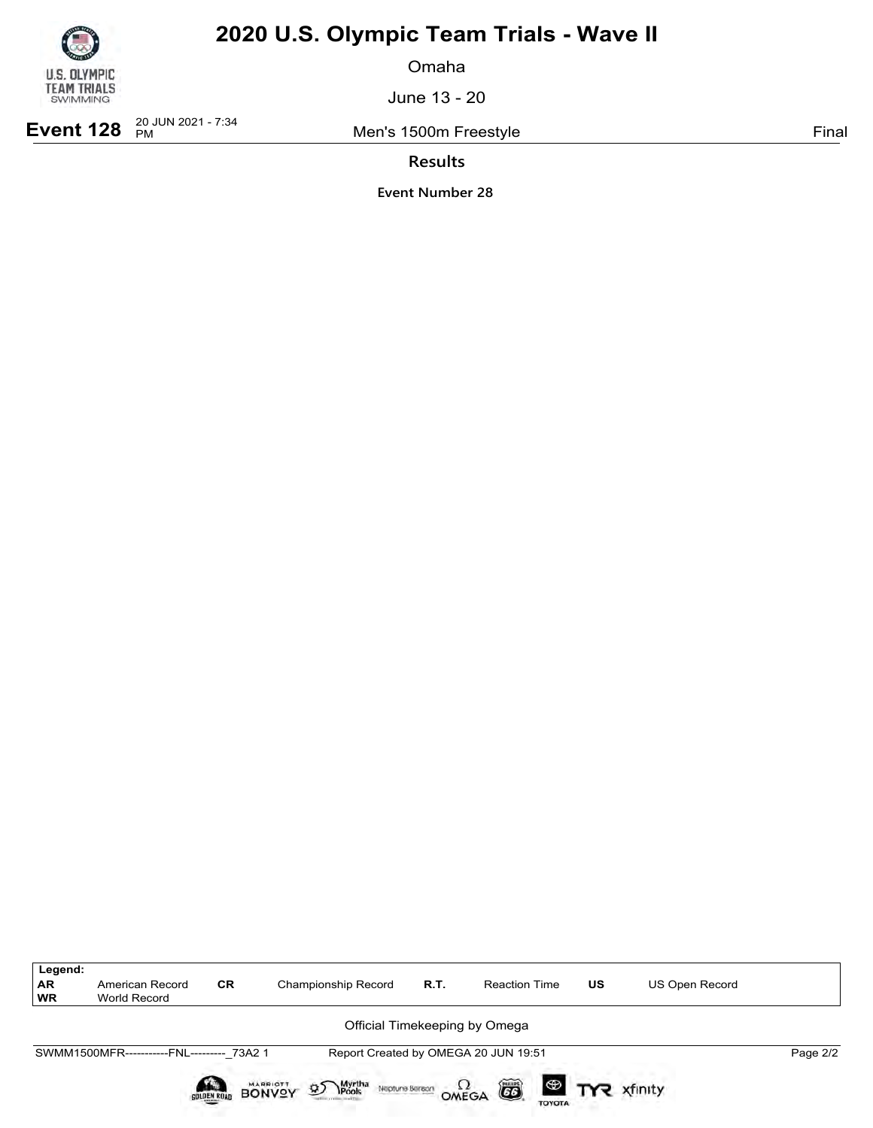

Omaha

June 13 - 20

**Event 128**  $_{PM}^{20 \text{ JUN } 2021 - 7:34}$ 

Men's 1500m Freestyle **Final** 

**Results**

| Legend:                |                                           |                    |                                                                         |                        |                                      |                       |                |          |
|------------------------|-------------------------------------------|--------------------|-------------------------------------------------------------------------|------------------------|--------------------------------------|-----------------------|----------------|----------|
| <b>AR</b><br><b>WR</b> | American Record<br>World Record           | <b>CR</b>          | Championship Record                                                     | R.T.                   | <b>Reaction Time</b>                 | US                    | US Open Record |          |
|                        |                                           |                    |                                                                         |                        | Official Timekeeping by Omega        |                       |                |          |
|                        | SWMM1500MFR-----------FNL--------- 73A2 1 |                    |                                                                         |                        | Report Created by OMEGA 20 JUN 19:51 |                       |                | Page 2/2 |
|                        |                                           | <b>GOLDEN ROAD</b> | Myrtha<br><b>\Pools</b><br>MARRIOTT<br>$\mathfrak{D}$<br>Neptune Berson | $\Omega_{\text{MEGA}}$ | 6                                    | <b>ED TYR</b> xfinity |                |          |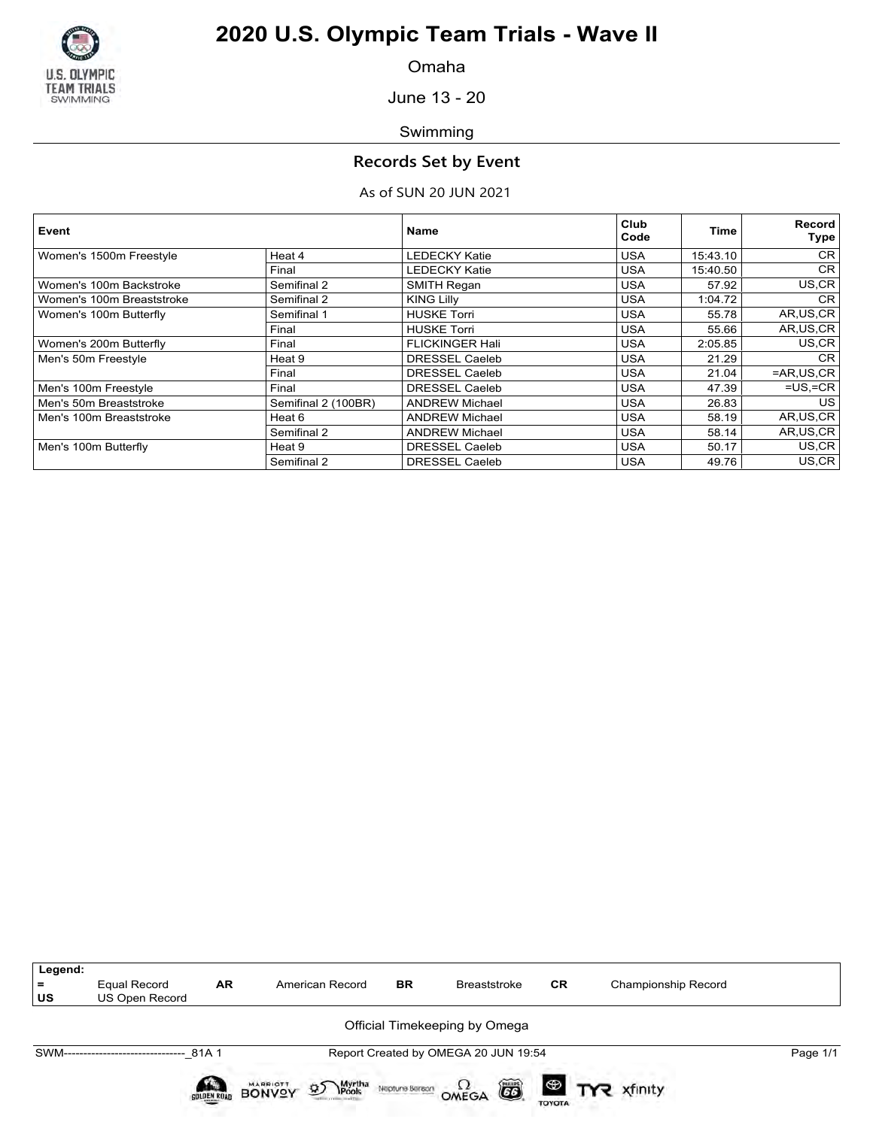

Omaha

June 13 - 20

Swimming

### **Records Set by Event**

### As of SUN 20 JUN 2021

| Event                     |                     | <b>Name</b>            | Club<br>Code | Time     | Record<br>Type |
|---------------------------|---------------------|------------------------|--------------|----------|----------------|
| Women's 1500m Freestyle   | Heat 4              | <b>LEDECKY Katie</b>   | <b>USA</b>   | 15:43.10 | <b>CR</b>      |
|                           | Final               | <b>LEDECKY Katie</b>   | <b>USA</b>   | 15:40.50 | <b>CR</b>      |
| Women's 100m Backstroke   | Semifinal 2         | SMITH Regan            | <b>USA</b>   | 57.92    | US,CR          |
| Women's 100m Breaststroke | Semifinal 2         | <b>KING Lilly</b>      | <b>USA</b>   | 1:04.72  | <b>CR</b>      |
| Women's 100m Butterfly    | Semifinal 1         | <b>HUSKE Torri</b>     | <b>USA</b>   | 55.78    | AR, US, CR     |
|                           | Final               | <b>HUSKE Torri</b>     | <b>USA</b>   | 55.66    | AR, US, CR     |
| Women's 200m Butterfly    | Final               | <b>FLICKINGER Hali</b> | <b>USA</b>   | 2:05.85  | US,CR          |
| Men's 50m Freestyle       | Heat 9              | <b>DRESSEL Caeleb</b>  | <b>USA</b>   | 21.29    | <b>CR</b>      |
|                           | Final               | <b>DRESSEL Caeleb</b>  | <b>USA</b>   | 21.04    | $=AR,US,CR$    |
| Men's 100m Freestyle      | Final               | <b>DRESSEL Caeleb</b>  | <b>USA</b>   | 47.39    | $=US$ , $=CR$  |
| Men's 50m Breaststroke    | Semifinal 2 (100BR) | <b>ANDREW Michael</b>  | <b>USA</b>   | 26.83    | US             |
| Men's 100m Breaststroke   | Heat 6              | <b>ANDREW Michael</b>  | <b>USA</b>   | 58.19    | AR, US, CR     |
|                           | Semifinal 2         | <b>ANDREW Michael</b>  | <b>USA</b>   | 58.14    | AR, US, CR     |
| Men's 100m Butterfly      | Heat 9              | <b>DRESSEL Caeleb</b>  | <b>USA</b>   | 50.17    | US.CR          |
|                           | Semifinal 2         | <b>DRESSEL Caeleb</b>  | <b>USA</b>   | 49.76    | US,CR          |

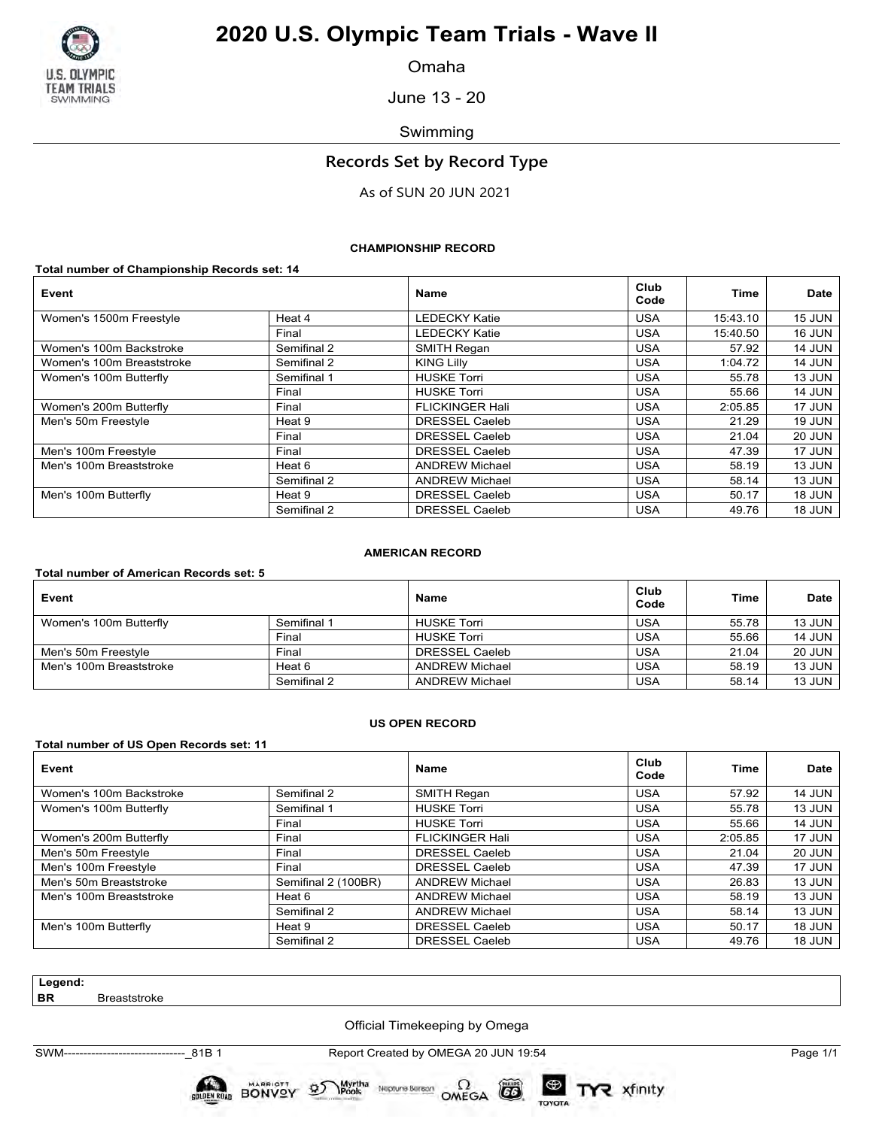

Omaha

June 13 - 20

Swimming

## **Records Set by Record Type**

As of SUN 20 JUN 2021

#### **CHAMPIONSHIP RECORD**

**Total number of Championship Records set: 14**

| Event                     |             | <b>Name</b>            | Club<br>Code | <b>Time</b> | <b>Date</b>   |
|---------------------------|-------------|------------------------|--------------|-------------|---------------|
| Women's 1500m Freestyle   | Heat 4      | <b>LEDECKY Katie</b>   | <b>USA</b>   | 15:43.10    | 15 JUN        |
|                           | Final       | <b>LEDECKY Katie</b>   | <b>USA</b>   | 15:40.50    | <b>16 JUN</b> |
| Women's 100m Backstroke   | Semifinal 2 | SMITH Regan            | <b>USA</b>   | 57.92       | <b>14 JUN</b> |
| Women's 100m Breaststroke | Semifinal 2 | <b>KING Lilly</b>      | <b>USA</b>   | 1:04.72     | <b>14 JUN</b> |
| Women's 100m Butterfly    | Semifinal 1 | <b>HUSKE Torri</b>     | <b>USA</b>   | 55.78       | 13 JUN        |
|                           | Final       | <b>HUSKE Torri</b>     | <b>USA</b>   | 55.66       | <b>14 JUN</b> |
| Women's 200m Butterfly    | Final       | <b>FLICKINGER Hali</b> | <b>USA</b>   | 2:05.85     | 17 JUN        |
| Men's 50m Freestyle       | Heat 9      | <b>DRESSEL Caeleb</b>  | <b>USA</b>   | 21.29       | <b>19 JUN</b> |
|                           | Final       | <b>DRESSEL Caeleb</b>  | <b>USA</b>   | 21.04       | <b>20 JUN</b> |
| Men's 100m Freestyle      | Final       | <b>DRESSEL Caeleb</b>  | <b>USA</b>   | 47.39       | 17 JUN        |
| Men's 100m Breaststroke   | Heat 6      | <b>ANDREW Michael</b>  | <b>USA</b>   | 58.19       | 13 JUN        |
|                           | Semifinal 2 | <b>ANDREW Michael</b>  | <b>USA</b>   | 58.14       | 13 JUN        |
| Men's 100m Butterfly      | Heat 9      | <b>DRESSEL Caeleb</b>  | <b>USA</b>   | 50.17       | 18 JUN        |
|                           | Semifinal 2 | DRESSEL Caeleb         | <b>USA</b>   | 49.76       | <b>18 JUN</b> |

#### **AMERICAN RECORD**

#### **Total number of American Records set: 5**

| Event                   |             | <b>Name</b>           | Club<br>Code | Time  | <b>Date</b>   |
|-------------------------|-------------|-----------------------|--------------|-------|---------------|
| Women's 100m Butterfly  | Semifinal 1 | <b>HUSKE Torri</b>    | <b>USA</b>   | 55.78 | 13 JUN        |
|                         | Final       | <b>HUSKE Torri</b>    | <b>USA</b>   | 55.66 | <b>14 JUN</b> |
| Men's 50m Freestyle     | Final       | DRESSEL Caeleb        | USA          | 21.04 | <b>20 JUN</b> |
| Men's 100m Breaststroke | Heat 6      | <b>ANDREW Michael</b> | <b>USA</b>   | 58.19 | <b>13 JUN</b> |
|                         | Semifinal 2 | <b>ANDREW Michael</b> | <b>USA</b>   | 58.14 | 13 JUN        |

#### **US OPEN RECORD**

#### **Total number of US Open Records set: 11**

| Event                   |                     | <b>Name</b>            | Club<br>Code | <b>Time</b> | <b>Date</b>   |
|-------------------------|---------------------|------------------------|--------------|-------------|---------------|
| Women's 100m Backstroke | Semifinal 2         | <b>SMITH Regan</b>     | <b>USA</b>   | 57.92       | <b>14 JUN</b> |
| Women's 100m Butterfly  | Semifinal 1         | <b>HUSKE Torri</b>     | <b>USA</b>   | 55.78       | 13 JUN        |
|                         | Final               | <b>HUSKE Torri</b>     | <b>USA</b>   | 55.66       | <b>14 JUN</b> |
| Women's 200m Butterfly  | Final               | <b>FLICKINGER Hali</b> | <b>USA</b>   | 2:05.85     | 17 JUN        |
| Men's 50m Freestyle     | Final               | <b>DRESSEL Caeleb</b>  | <b>USA</b>   | 21.04       | <b>20 JUN</b> |
| Men's 100m Freestyle    | Final               | DRESSEL Caeleb         | <b>USA</b>   | 47.39       | 17 JUN        |
| Men's 50m Breaststroke  | Semifinal 2 (100BR) | <b>ANDREW Michael</b>  | <b>USA</b>   | 26.83       | 13 JUN        |
| Men's 100m Breaststroke | Heat 6              | <b>ANDREW Michael</b>  | <b>USA</b>   | 58.19       | 13 JUN        |
|                         | Semifinal 2         | <b>ANDREW Michael</b>  | <b>USA</b>   | 58.14       | 13 JUN        |
| Men's 100m Butterfly    | Heat 9              | <b>DRESSEL Caeleb</b>  | <b>USA</b>   | 50.17       | <b>18 JUN</b> |
|                         | Semifinal 2         | <b>DRESSEL Caeleb</b>  | <b>USA</b>   | 49.76       | <b>18 JUN</b> |

**Legend:**

**Breaststroke** 

Official Timekeeping by Omega

SWM-------------------------------\_81B 1 Report Created by OMEGA 20 JUN 19:54 Page 1/1

Neptune Berech  $\Omega$ <br>OMEGA

 $(66)$ 

TOYOTA

Myrtha<br>IPools

 $\mathfrak{D}$ 

**BONVOY** 

**R** xfinity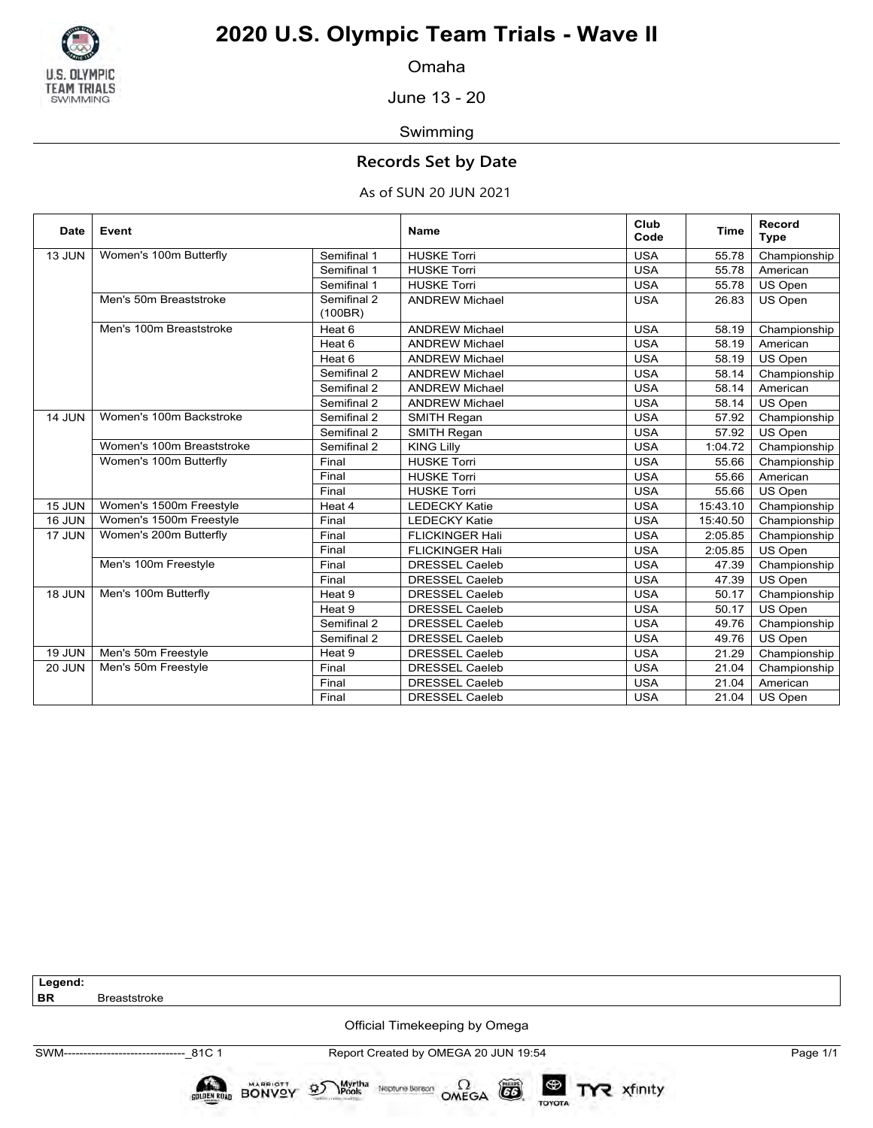

Omaha

June 13 - 20

Swimming

### **Records Set by Date**

### As of SUN 20 JUN 2021

| <b>Date</b>   | Event                     |                        | <b>Name</b>            | Club<br>Code | Time     | Record<br><b>Type</b> |
|---------------|---------------------------|------------------------|------------------------|--------------|----------|-----------------------|
| 13 JUN        | Women's 100m Butterfly    | Semifinal 1            | <b>HUSKE Torri</b>     | <b>USA</b>   | 55.78    | Championship          |
|               |                           | Semifinal 1            | <b>HUSKE Torri</b>     | <b>USA</b>   | 55.78    | American              |
|               |                           | Semifinal 1            | <b>HUSKE Torri</b>     | <b>USA</b>   | 55.78    | US Open               |
|               | Men's 50m Breaststroke    | Semifinal 2<br>(100BR) | <b>ANDREW Michael</b>  | <b>USA</b>   | 26.83    | US Open               |
|               | Men's 100m Breaststroke   | Heat 6                 | <b>ANDREW Michael</b>  | <b>USA</b>   | 58.19    | Championship          |
|               |                           | Heat 6                 | <b>ANDREW Michael</b>  | <b>USA</b>   | 58.19    | American              |
|               |                           | Heat 6                 | <b>ANDREW Michael</b>  | <b>USA</b>   | 58.19    | US Open               |
|               |                           | Semifinal 2            | <b>ANDREW Michael</b>  | <b>USA</b>   | 58.14    | Championship          |
|               |                           | Semifinal 2            | <b>ANDREW Michael</b>  | <b>USA</b>   | 58.14    | American              |
|               |                           | Semifinal 2            | <b>ANDREW Michael</b>  | <b>USA</b>   | 58.14    | US Open               |
| 14 JUN        | Women's 100m Backstroke   | Semifinal 2            | <b>SMITH Regan</b>     | <b>USA</b>   | 57.92    | Championship          |
|               |                           | Semifinal 2            | <b>SMITH Regan</b>     | <b>USA</b>   | 57.92    | US Open               |
|               | Women's 100m Breaststroke | Semifinal 2            | <b>KING Lilly</b>      | <b>USA</b>   | 1:04.72  | Championship          |
|               | Women's 100m Butterfly    | Final                  | <b>HUSKE Torri</b>     | <b>USA</b>   | 55.66    | Championship          |
|               |                           | Final                  | <b>HUSKE Torri</b>     | <b>USA</b>   | 55.66    | American              |
|               |                           | Final                  | <b>HUSKE Torri</b>     | <b>USA</b>   | 55.66    | US Open               |
| <b>15 JUN</b> | Women's 1500m Freestyle   | Heat 4                 | <b>LEDECKY Katie</b>   | <b>USA</b>   | 15:43.10 | Championship          |
| <b>16 JUN</b> | Women's 1500m Freestyle   | Final                  | <b>LEDECKY Katie</b>   | <b>USA</b>   | 15:40.50 | Championship          |
| 17 JUN        | Women's 200m Butterfly    | Final                  | <b>FLICKINGER Hali</b> | <b>USA</b>   | 2:05.85  | Championship          |
|               |                           | Final                  | <b>FLICKINGER Hali</b> | <b>USA</b>   | 2:05.85  | US Open               |
|               | Men's 100m Freestyle      | Final                  | <b>DRESSEL Caeleb</b>  | <b>USA</b>   | 47.39    | Championship          |
|               |                           | Final                  | <b>DRESSEL Caeleb</b>  | <b>USA</b>   | 47.39    | US Open               |
| <b>18 JUN</b> | Men's 100m Butterfly      | Heat 9                 | <b>DRESSEL Caeleb</b>  | <b>USA</b>   | 50.17    | Championship          |
|               |                           | Heat 9                 | <b>DRESSEL Caeleb</b>  | <b>USA</b>   | 50.17    | US Open               |
|               |                           | Semifinal 2            | <b>DRESSEL Caeleb</b>  | <b>USA</b>   | 49.76    | Championship          |
|               |                           | Semifinal 2            | <b>DRESSEL Caeleb</b>  | <b>USA</b>   | 49.76    | US Open               |
| <b>19 JUN</b> | Men's 50m Freestyle       | Heat 9                 | <b>DRESSEL Caeleb</b>  | <b>USA</b>   | 21.29    | Championship          |
| <b>20 JUN</b> | Men's 50m Freestyle       | Final                  | <b>DRESSEL Caeleb</b>  | <b>USA</b>   | 21.04    | Championship          |
|               |                           | Final                  | <b>DRESSEL Caeleb</b>  | <b>USA</b>   | 21.04    | American              |
|               |                           | Final                  | <b>DRESSEL Caeleb</b>  | <b>USA</b>   | 21.04    | US Open               |

**Legend:**

**Breaststroke** 

Official Timekeeping by Omega

BONVOY

**GOLDEN ROAD** 

SWM-------------------------------\_81C 1 Report Created by OMEGA 20 JUN 19:54 Page 1/1

Neptune Berean  $\Omega$ <br>OMEGA

 $(GS)$ 

TOYOTA

Myrtha<br>Pools

 $\mathcal{D}$ 

TYR xfinity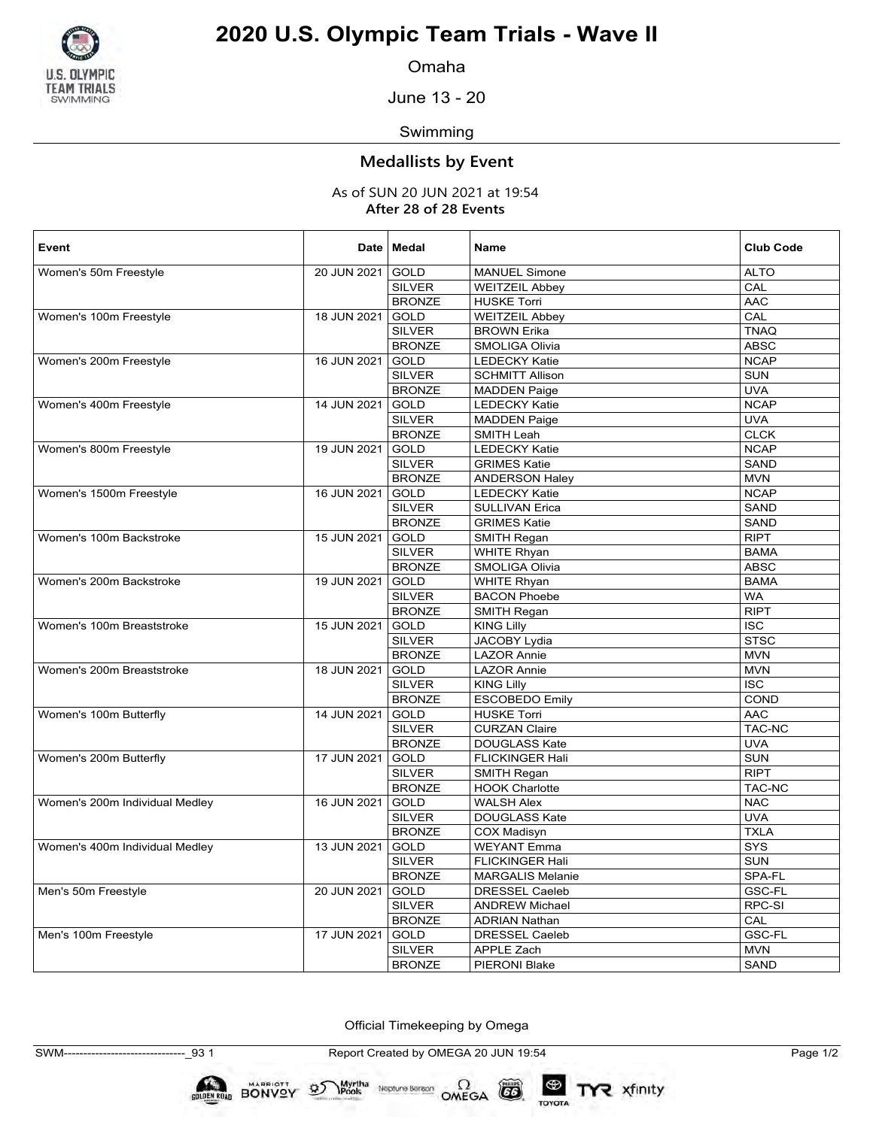

Omaha

June 13 - 20

### Swimming

### **Medallists by Event**

As of SUN 20 JUN 2021 at 19:54 **After 28 of 28 Events**

| Event                          |             | Date   Medal  | <b>Name</b>             | <b>Club Code</b> |
|--------------------------------|-------------|---------------|-------------------------|------------------|
| Women's 50m Freestyle          | 20 JUN 2021 | <b>GOLD</b>   | <b>MANUEL Simone</b>    | <b>ALTO</b>      |
|                                |             | <b>SILVER</b> | <b>WEITZEIL Abbey</b>   | CAL              |
|                                |             | <b>BRONZE</b> | <b>HUSKE Torri</b>      | <b>AAC</b>       |
| Women's 100m Freestyle         | 18 JUN 2021 | GOLD          | <b>WEITZEIL Abbey</b>   | CAL              |
|                                |             | <b>SILVER</b> | <b>BROWN Erika</b>      | <b>TNAQ</b>      |
|                                |             | <b>BRONZE</b> | SMOLIGA Olivia          | <b>ABSC</b>      |
| Women's 200m Freestyle         | 16 JUN 2021 | <b>GOLD</b>   | <b>LEDECKY Katie</b>    | <b>NCAP</b>      |
|                                |             | <b>SILVER</b> | <b>SCHMITT Allison</b>  | <b>SUN</b>       |
|                                |             | <b>BRONZE</b> | <b>MADDEN Paige</b>     | <b>UVA</b>       |
| Women's 400m Freestyle         | 14 JUN 2021 | <b>GOLD</b>   | <b>LEDECKY Katie</b>    | <b>NCAP</b>      |
|                                |             | <b>SILVER</b> | <b>MADDEN Paige</b>     | <b>UVA</b>       |
|                                |             | <b>BRONZE</b> | SMITH Leah              | <b>CLCK</b>      |
| Women's 800m Freestyle         | 19 JUN 2021 | <b>GOLD</b>   | <b>LEDECKY Katie</b>    | <b>NCAP</b>      |
|                                |             | <b>SILVER</b> | <b>GRIMES Katie</b>     | SAND             |
|                                |             | <b>BRONZE</b> | <b>ANDERSON Haley</b>   | <b>MVN</b>       |
| Women's 1500m Freestyle        | 16 JUN 2021 | GOLD          | <b>LEDECKY Katie</b>    | <b>NCAP</b>      |
|                                |             | <b>SILVER</b> | <b>SULLIVAN Erica</b>   | SAND             |
|                                |             | <b>BRONZE</b> | <b>GRIMES Katie</b>     | SAND             |
| Women's 100m Backstroke        | 15 JUN 2021 | GOLD          | SMITH Regan             | <b>RIPT</b>      |
|                                |             | <b>SILVER</b> | <b>WHITE Rhyan</b>      | <b>BAMA</b>      |
|                                |             | <b>BRONZE</b> | SMOLIGA Olivia          | <b>ABSC</b>      |
| Women's 200m Backstroke        | 19 JUN 2021 | GOLD          | <b>WHITE Rhyan</b>      | <b>BAMA</b>      |
|                                |             | <b>SILVER</b> | <b>BACON Phoebe</b>     | <b>WA</b>        |
|                                |             | <b>BRONZE</b> | SMITH Regan             | <b>RIPT</b>      |
| Women's 100m Breaststroke      | 15 JUN 2021 | <b>GOLD</b>   | <b>KING Lilly</b>       | <b>ISC</b>       |
|                                |             | <b>SILVER</b> | JACOBY Lydia            | <b>STSC</b>      |
|                                |             | <b>BRONZE</b> | <b>LAZOR Annie</b>      | <b>MVN</b>       |
| Women's 200m Breaststroke      | 18 JUN 2021 | <b>GOLD</b>   | <b>LAZOR Annie</b>      | <b>MVN</b>       |
|                                |             | <b>SILVER</b> | <b>KING Lilly</b>       | <b>ISC</b>       |
|                                |             | <b>BRONZE</b> | <b>ESCOBEDO Emily</b>   | COND             |
| Women's 100m Butterfly         | 14 JUN 2021 | <b>GOLD</b>   | <b>HUSKE Torri</b>      | <b>AAC</b>       |
|                                |             | <b>SILVER</b> | <b>CURZAN Claire</b>    | TAC-NC           |
|                                |             | <b>BRONZE</b> | <b>DOUGLASS Kate</b>    | <b>UVA</b>       |
| Women's 200m Butterfly         | 17 JUN 2021 | <b>GOLD</b>   | <b>FLICKINGER Hali</b>  | <b>SUN</b>       |
|                                |             | <b>SILVER</b> | SMITH Regan             | <b>RIPT</b>      |
|                                |             | <b>BRONZE</b> | <b>HOOK Charlotte</b>   | TAC-NC           |
| Women's 200m Individual Medley | 16 JUN 2021 | <b>GOLD</b>   | <b>WALSH Alex</b>       | <b>NAC</b>       |
|                                |             | <b>SILVER</b> | DOUGLASS Kate           | <b>UVA</b>       |
|                                |             | <b>BRONZE</b> | <b>COX Madisyn</b>      | <b>TXLA</b>      |
| Women's 400m Individual Medley | 13 JUN 2021 | <b>GOLD</b>   | <b>WEYANT Emma</b>      | SYS              |
|                                |             | <b>SILVER</b> | <b>FLICKINGER Hali</b>  | <b>SUN</b>       |
|                                |             | <b>BRONZE</b> | <b>MARGALIS Melanie</b> | SPA-FL           |
| Men's 50m Freestyle            | 20 JUN 2021 | <b>GOLD</b>   | <b>DRESSEL Caeleb</b>   | GSC-FL           |
|                                |             | <b>SILVER</b> | <b>ANDREW Michael</b>   | RPC-SI           |
|                                |             | <b>BRONZE</b> | <b>ADRIAN Nathan</b>    | CAL              |
| Men's 100m Freestyle           | 17 JUN 2021 | <b>GOLD</b>   | <b>DRESSEL Caeleb</b>   | GSC-FL           |
|                                |             | <b>SILVER</b> | <b>APPLE Zach</b>       | <b>MVN</b>       |
|                                |             | <b>BRONZE</b> | PIERONI Blake           | <b>SAND</b>      |

Official Timekeeping by Omega

SWM-------------------------------\_93 1 Report Created by OMEGA 20 JUN 19:54 Page 1/2

 $\left( 5\right)$ 

TOYOTA

TYR xfinity

 $\sum_{\text{Pools}}$  Neptune Bergon  $\Omega$ <br>OMEGA

BONVOY

**GOLDEN ROAD** 

 $\mathcal{D}$